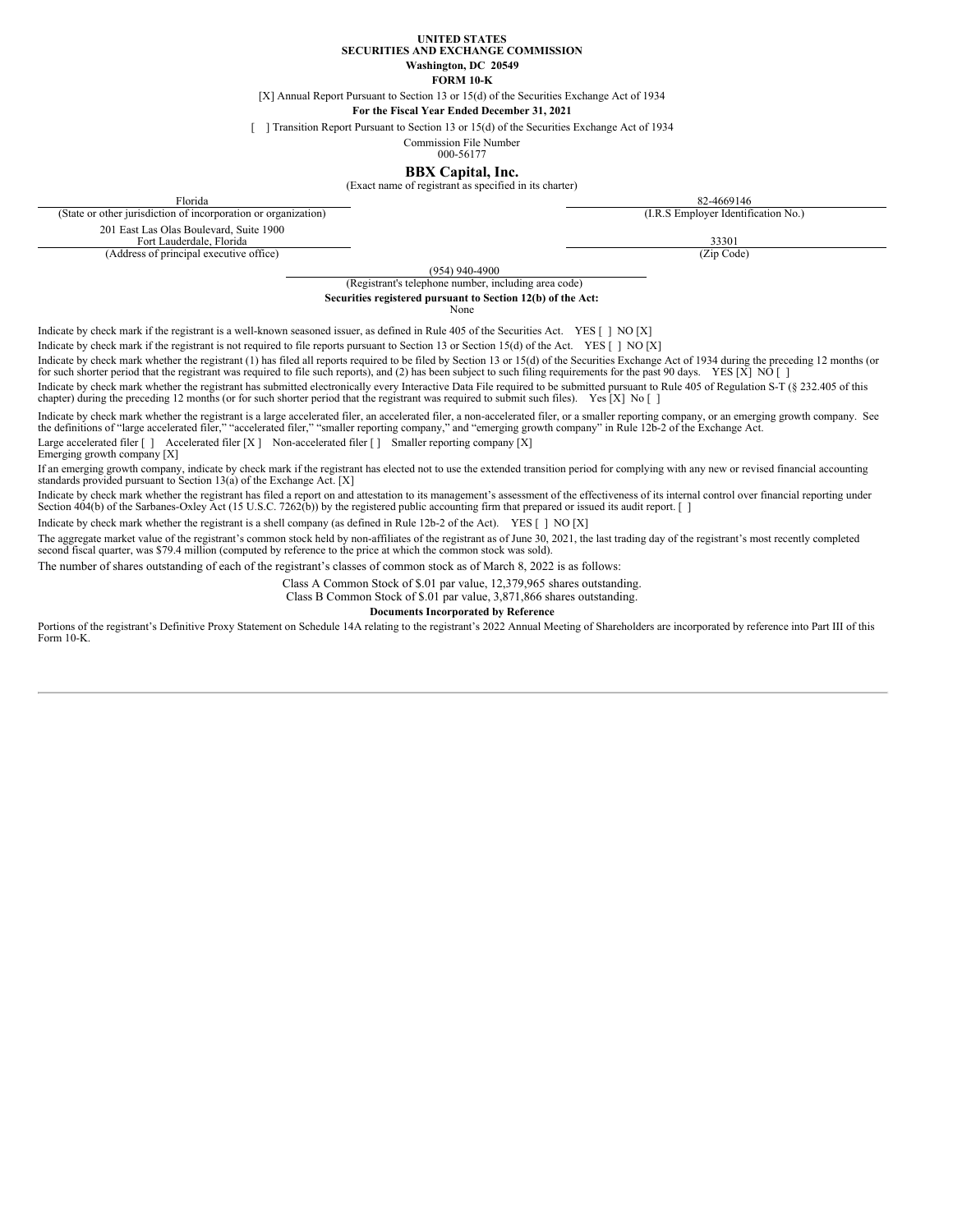**UNITED STATES SECURITIES AND EXCHANGE COMMISSION**

> **Washington, DC 20549 FORM 10-K**

[X] Annual Report Pursuant to Section 13 or 15(d) of the Securities Exchange Act of 1934

**For the Fiscal Year Ended December 31, 2021**

[ ] Transition Report Pursuant to Section 13 or 15(d) of the Securities Exchange Act of 1934

Commission File Number

000-56177

**BBX Capital, Inc.** (Exact name of registrant as specified in its charter)

<span id="page-0-0"></span>Florida 82-4669146 (State or other jurisdiction of incorporation or organization) (I.R.S Employer Identification No.) 201 East Las Olas Boulevard, Suite 1900

(Address of principal executive office)

Fort Lauderdale, Florida 33301 33301 33301 33301 33301 33301 33301 33301 33301 33301 33301 33301 33301 33301 33301 33301 33301 33301 33301 33301 33301 3330 35 Stringial executive office)

(954) 940-4900

# (Registrant's telephone number, including area code) **Securities registered pursuant to Section 12(b) of the Act:**

None

Indicate by check mark if the registrant is a well-known seasoned issuer, as defined in Rule 405 of the Securities Act. YES [ ] NO [X]

Indicate by check mark if the registrant is not required to file reports pursuant to Section 13 or Section 15(d) of the Act. YES [ ] NO [X]

Indicate by check mark whether the registrant (1) has filed all reports required to be filed by Section 13 or 15(d) of the Securities Exchange Act of 1934 during the preceding 12 months (or for such shorter period that the registrant was required to file such reports), and (2) has been subject to such filing requirements for the past 90 days. YES [X] NO []

Indicate by check mark whether the registrant has submitted electronically every Interactive Data File required to be submitted pursuant to Rule 405 of Regulation S-T (§ 232.405 of this chapter) during the preceding 12 mon

Indicate by check mark whether the registrant is a large accelerated filer, an accelerated filer, a non-accelerated filer, or a smaller reporting company, or an emerging growth company. See the definitions of "large accele

Large accelerated filer [ ] Accelerated filer [X ] Non-accelerated filer [ ] Smaller reporting company [X] Emerging growth company [X]

If an emerging growth company, indicate by check mark if the registrant has elected not to use the extended transition period for complying with any new or revised financial accounting standards provided pursuant to Section 13(a) of the Exchange Act. [X]

Indicate by check mark whether the registrant has filed a report on and attestation to its management's assessment of the effectiveness of its internal control over financial reporting under<br>Section 404(b) of the Sarbanes-

Indicate by check mark whether the registrant is a shell company (as defined in Rule 12b-2 of the Act). YES [ ] NO [X]

The aggregate market value of the registrant's common stock held by non-affiliates of the registrant as of June 30, 2021, the last trading day of the registrant's most recently completed second fiscal quarter, was \$79.4 million (computed by reference to the price at which the common stock was sold).

The number of shares outstanding of each of the registrant's classes of common stock as of March 8, 2022 is as follows:

Class A Common Stock of \$.01 par value, 12,379,965 shares outstanding.

Class B Common Stock of \$.01 par value, 3,871,866 shares outstanding.

**Documents Incorporated by Reference**

Portions of the registrant's Definitive Proxy Statement on Schedule 14A relating to the registrant's 2022 Annual Meeting of Shareholders are incorporated by reference into Part III of this Form 10-K.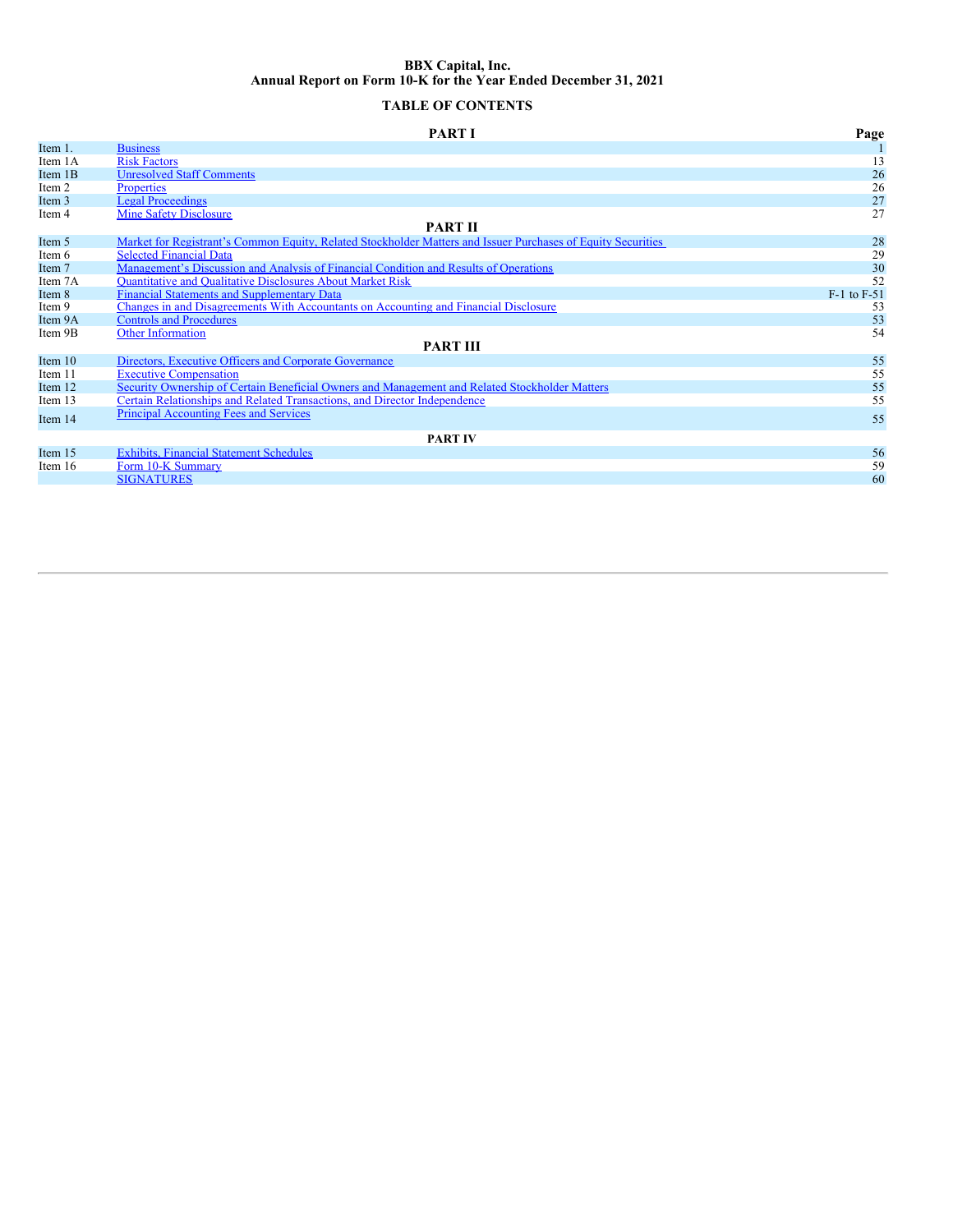# **BBX Capital, Inc. Annual Report on Form 10-K for the Year Ended December 31, 2021**

# **TABLE OF CONTENTS**

|                | <b>PART I</b>                                                                                                | Page            |  |  |
|----------------|--------------------------------------------------------------------------------------------------------------|-----------------|--|--|
| Item 1.        | <b>Business</b>                                                                                              |                 |  |  |
| Item 1A        | <b>Risk Factors</b>                                                                                          | 13              |  |  |
| Item 1B        | <b>Unresolved Staff Comments</b>                                                                             | 26              |  |  |
| Item 2         | <b>Properties</b>                                                                                            | 26              |  |  |
| Item 3         | <b>Legal Proceedings</b>                                                                                     | 27              |  |  |
| Item 4         | <b>Mine Safety Disclosure</b>                                                                                | 27              |  |  |
|                | <b>PART II</b>                                                                                               |                 |  |  |
| Item 5         | Market for Registrant's Common Equity, Related Stockholder Matters and Issuer Purchases of Equity Securities | 28              |  |  |
| Item 6         | <b>Selected Financial Data</b>                                                                               | 29              |  |  |
| Item 7         | Management's Discussion and Analysis of Financial Condition and Results of Operations                        | 30              |  |  |
| Item 7A        | <b>Ouantitative and Qualitative Disclosures About Market Risk</b>                                            | 52              |  |  |
| Item 8         | <b>Financial Statements and Supplementary Data</b>                                                           | $F-1$ to $F-51$ |  |  |
| Item 9         | Changes in and Disagreements With Accountants on Accounting and Financial Disclosure                         | 53              |  |  |
| Item 9A        | <b>Controls and Procedures</b>                                                                               | 53              |  |  |
| Item 9B        | <b>Other Information</b>                                                                                     | 54              |  |  |
|                | <b>PART III</b>                                                                                              |                 |  |  |
| Item $10$      | Directors, Executive Officers and Corporate Governance                                                       | 55              |  |  |
| Item 11        | <b>Executive Compensation</b>                                                                                | 55              |  |  |
| Item 12        | Security Ownership of Certain Beneficial Owners and Management and Related Stockholder Matters               | 55              |  |  |
| Item 13        | Certain Relationships and Related Transactions, and Director Independence                                    | 55              |  |  |
| Item 14        | <b>Principal Accounting Fees and Services</b>                                                                | 55              |  |  |
| <b>PART IV</b> |                                                                                                              |                 |  |  |
| Item 15        | <b>Exhibits, Financial Statement Schedules</b>                                                               | 56              |  |  |
| Item 16        | Form 10-K Summary                                                                                            | 59              |  |  |
|                | <b>SIGNATURES</b>                                                                                            | 60              |  |  |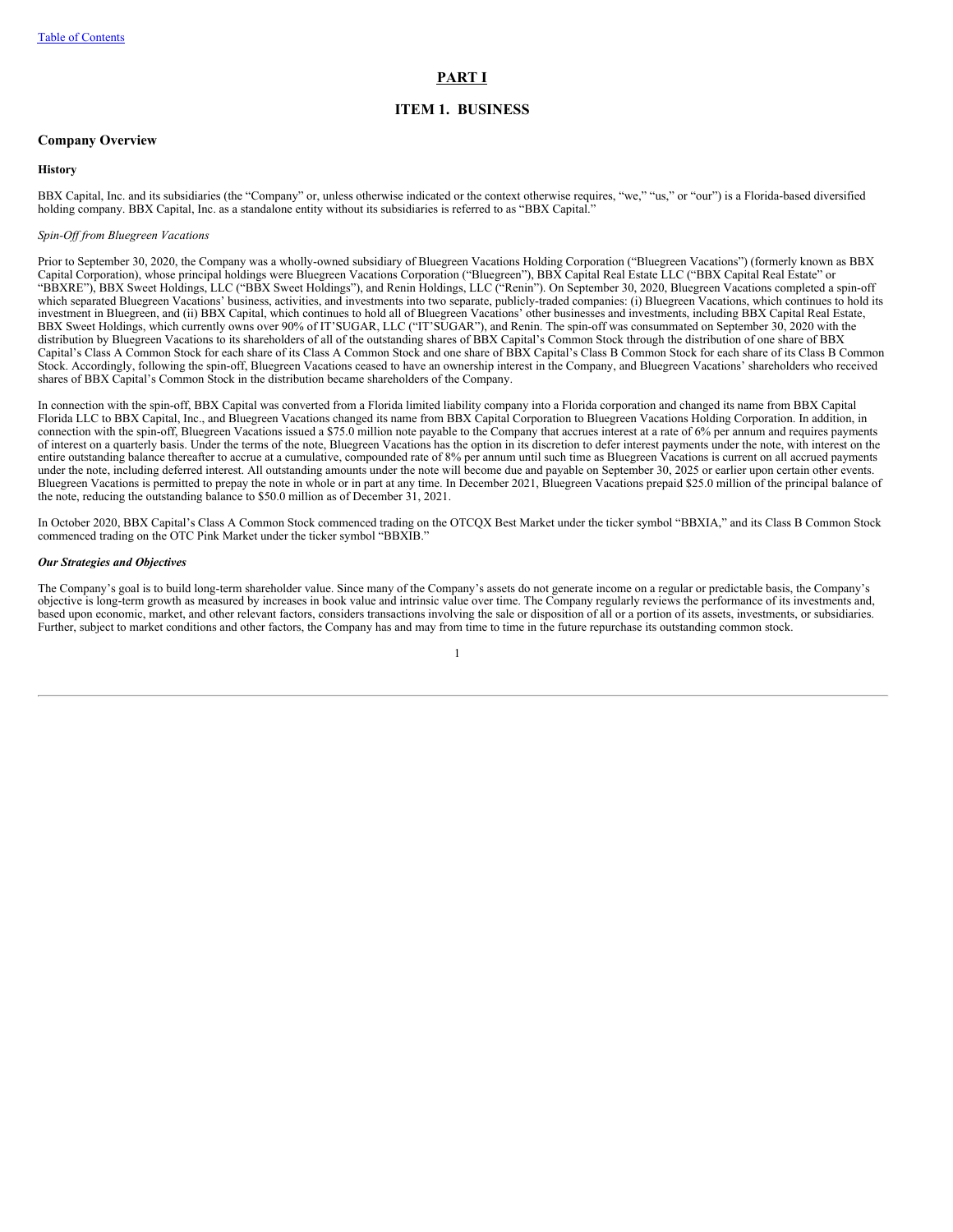# <span id="page-2-0"></span>**PART I**

# **ITEM 1. BUSINESS**

# **Company Overview**

#### **History**

BBX Capital, Inc. and its subsidiaries (the "Company" or, unless otherwise indicated or the context otherwise requires, "we," "us," or "our") is a Florida-based diversified holding company. BBX Capital, Inc. as a standalone entity without its subsidiaries is referred to as "BBX Capital."

#### *Spin-Of from Bluegreen Vacations*

Prior to September 30, 2020, the Company was a wholly-owned subsidiary of Bluegreen Vacations Holding Corporation ("Bluegreen Vacations") (formerly known as BBX Capital Corporation), whose principal holdings were Bluegreen Vacations Corporation ("Bluegreen"), BBX Capital Real Estate LLC ("BBX Capital Real Estate" or "BBXRE"), BBX Sweet Holdings, LLC ("BBX Sweet Holdings"), and Renin Holdings, LLC ("Renin"). On September 30, 2020, Bluegreen Vacations completed a spin-off which separated Bluegreen Vacations' business, activities, and investments into two separate, publicly-traded companies: (i) Bluegreen Vacations, which continues to hold its investment in Bluegreen, and (ii) BBX Capital, which continues to hold all of Bluegreen Vacations' other businesses and investments, including BBX Capital Real Estate, BBX Sweet Holdings, which currently owns over 90% of IT'SUGAR, LLC ("IT'SUGAR"), and Renin. The spin-off was consummated on September 30, 2020 with the distribution by Bluegreen Vacations to its shareholders of all of the outstanding shares of BBX Capital's Common Stock through the distribution of one share of BBX Capital's Class A Common Stock for each share of its Class A Common Stock and one share of BBX Capital's Class B Common Stock for each share of its Class B Common Stock. Accordingly, following the spin-off, Bluegreen Vacations ceased to have an ownership interest in the Company, and Bluegreen Vacations' shareholders who received shares of BBX Capital's Common Stock in the distribution became shareholders of the Company.

In connection with the spin-off, BBX Capital was converted from a Florida limited liability company into a Florida corporation and changed its name from BBX Capital Florida LLC to BBX Capital, Inc., and Bluegreen Vacations changed its name from BBX Capital Corporation to Bluegreen Vacations Holding Corporation. In addition, in connection with the spin-off, Bluegreen Vacations issued a \$75.0 million note payable to the Company that accrues interest at a rate of 6% per annum and requires payments of interest on a quarterly basis. Under the terms of the note, Bluegreen Vacations has the option in its discretion to defer interest payments under the note, with interest on the entire outstanding balance thereafter to accrue at a cumulative, compounded rate of 8% per annum until such time as Bluegreen Vacations is current on all accrued payments under the note, including deferred interest. All outstanding amounts under the note will become due and payable on September 30, 2025 or earlier upon certain other events. Bluegreen Vacations is permitted to prepay the note in whole or in part at any time. In December 2021, Bluegreen Vacations prepaid \$25.0 million of the principal balance of the note, reducing the outstanding balance to \$50.0 million as of December 31, 2021.

In October 2020, BBX Capital's Class A Common Stock commenced trading on the OTCQX Best Market under the ticker symbol "BBXIA," and its Class B Common Stock commenced trading on the OTC Pink Market under the ticker symbol "BBXIB."

# *Our Strategies and Objectives*

The Company's goal is to build long-term shareholder value. Since many of the Company's assets do not generate income on a regular or predictable basis, the Company's objective is long-term growth as measured by increases in book value and intrinsic value over time. The Company regularly reviews the performance of its investments and, based upon economic, market, and other relevant factors, considers transactions involving the sale or disposition of all or a portion of its assets, investments, or subsidiaries. Further, subject to market conditions and other factors, the Company has and may from time to time in the future repurchase its outstanding common stock.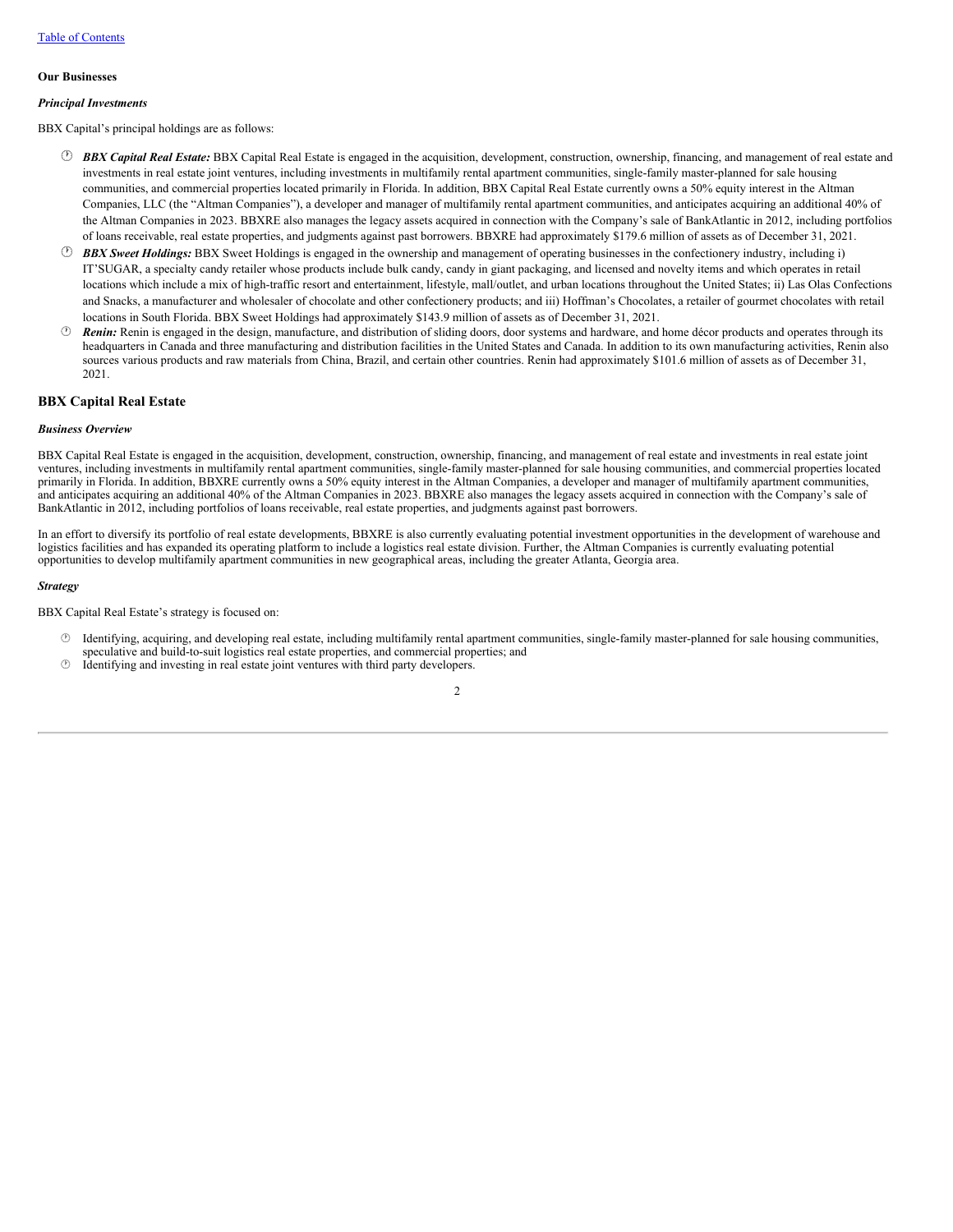#### **Our Businesses**

# *Principal Investments*

BBX Capital's principal holdings are as follows:

- · *BBX Capital Real Estate:* BBX Capital Real Estate is engaged in the acquisition, development, construction, ownership, financing, and management of real estate and investments in real estate joint ventures, including investments in multifamily rental apartment communities, single-family master-planned for sale housing communities, and commercial properties located primarily in Florida. In addition, BBX Capital Real Estate currently owns a 50% equity interest in the Altman Companies, LLC (the "Altman Companies"), a developer and manager of multifamily rental apartment communities, and anticipates acquiring an additional 40% of the Altman Companies in 2023. BBXRE also manages the legacy assets acquired in connection with the Company's sale of BankAtlantic in 2012, including portfolios of loans receivable, real estate properties, and judgments against past borrowers. BBXRE had approximately \$179.6 million of assets as of December 31, 2021.
- · *BBX Sweet Holdings:* BBX Sweet Holdings is engaged in the ownership and management of operating businesses in the confectionery industry, including i) IT'SUGAR, a specialty candy retailer whose products include bulk candy, candy in giant packaging, and licensed and novelty items and which operates in retail locations which include a mix of high-traffic resort and entertainment, lifestyle, mall/outlet, and urban locations throughout the United States; ii) Las Olas Confections and Snacks, a manufacturer and wholesaler of chocolate and other confectionery products; and iii) Hoffman's Chocolates, a retailer of gourmet chocolates with retail locations in South Florida. BBX Sweet Holdings had approximately \$143.9 million of assets as of December 31, 2021.
- · *Renin:* Renin is engaged in the design, manufacture, and distribution of sliding doors, door systems and hardware, and home décor products and operates through its headquarters in Canada and three manufacturing and distribution facilities in the United States and Canada. In addition to its own manufacturing activities, Renin also sources various products and raw materials from China, Brazil, and certain other countries. Renin had approximately \$101.6 million of assets as of December 31, 2021.

# **BBX Capital Real Estate**

#### *Business Overview*

BBX Capital Real Estate is engaged in the acquisition, development, construction, ownership, financing, and management of real estate and investments in real estate joint ventures, including investments in multifamily rental apartment communities, single-family master-planned for sale housing communities, and commercial properties located primarily in Florida. In addition, BBXRE currently owns a 50% equity interest in the Altman Companies, a developer and manager of multifamily apartment communities, and anticipates acquiring an additional 40% of the Altman Companies in 2023. BBXRE also manages the legacy assets acquired in connection with the Company's sale of BankAtlantic in 2012, including portfolios of loans receivable, real estate properties, and judgments against past borrowers.

In an effort to diversify its portfolio of real estate developments, BBXRE is also currently evaluating potential investment opportunities in the development of warehouse and logistics facilities and has expanded its operating platform to include a logistics real estate division. Further, the Altman Companies is currently evaluating potential opportunities to develop multifamily apartment communities in new geographical areas, including the greater Atlanta, Georgia area.

#### *Strategy*

BBX Capital Real Estate's strategy is focused on:

- · Identifying, acquiring, and developing real estate, including multifamily rental apartment communities, single-family master-planned for sale housing communities, speculative and build-to-suit logistics real estate properties, and commercial properties; and
- Identifying and investing in real estate joint ventures with third party developers.

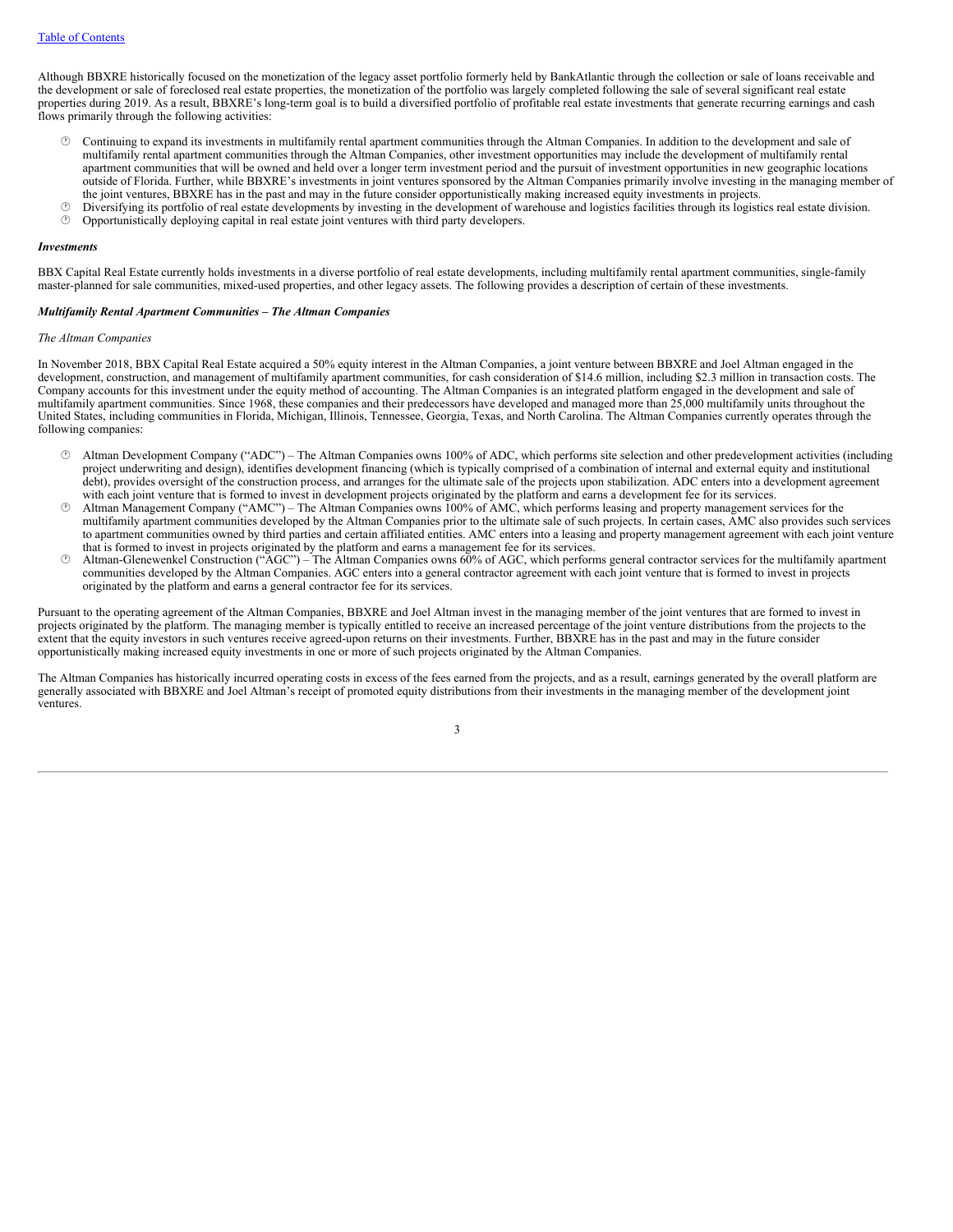Although BBXRE historically focused on the monetization of the legacy asset portfolio formerly held by BankAtlantic through the collection or sale of loans receivable and the development or sale of foreclosed real estate properties, the monetization of the portfolio was largely completed following the sale of several significant real estate properties during 2019. As a result, BBXRE's long-term goal is to build a diversified portfolio of profitable real estate investments that generate recurring earnings and cash flows primarily through the following activities:

- · Continuing to expand its investments in multifamily rental apartment communities through the Altman Companies. In addition to the development and sale of multifamily rental apartment communities through the Altman Companies, other investment opportunities may include the development of multifamily rental apartment communities that will be owned and held over a longer term investment period and the pursuit of investment opportunities in new geographic locations outside of Florida. Further, while BBXRE's investments in joint ventures sponsored by the Altman Companies primarily involve investing in the managing member of the joint ventures, BBXRE has in the past and may in the future consider opportunistically making increased equity investments in projects.
- $\circled{b}$  Diversifying its portfolio of real estate developments by investing in the development of warehouse and logistics facilities through its logistics real estate division.
- · Opportunistically deploying capital in real estate joint ventures with third party developers.

#### *Investments*

BBX Capital Real Estate currently holds investments in a diverse portfolio of real estate developments, including multifamily rental apartment communities, single-family master-planned for sale communities, mixed-used properties, and other legacy assets. The following provides a description of certain of these investments.

#### *Multifamily Rental Apartment Communities – The Altman Companies*

#### *The Altman Companies*

In November 2018, BBX Capital Real Estate acquired a 50% equity interest in the Altman Companies, a joint venture between BBXRE and Joel Altman engaged in the development, construction, and management of multifamily apartment communities, for cash consideration of \$14.6 million, including \$2.3 million in transaction costs. The Company accounts for this investment under the equity method of accounting. The Altman Companies is an integrated platform engaged in the development and sale of multifamily apartment communities. Since 1968, these companies and their predecessors have developed and managed more than 25,000 multifamily units throughout the United States, including communities in Florida, Michigan, Illinois, Tennessee, Georgia, Texas, and North Carolina. The Altman Companies currently operates through the following companies:

- · Altman Development Company ("ADC") The Altman Companies owns 100% of ADC, which performs site selection and other predevelopment activities (including project underwriting and design), identifies development financing (which is typically comprised of a combination of internal and external equity and institutional debt), provides oversight of the construction process, and arranges for the ultimate sale of the projects upon stabilization. ADC enters into a development agreement with each joint venture that is formed to invest in development projects originated by the platform and earns a development fee for its services.
- · Altman Management Company ("AMC") The Altman Companies owns 100% of AMC, which performs leasing and property management services for the multifamily apartment communities developed by the Altman Companies prior to the ultimate sale of such projects. In certain cases, AMC also provides such services to apartment communities owned by third parties and certain affiliated entities. AMC enters into a leasing and property management agreement with each joint venture that is formed to invest in projects originated by the platform and earns a management fee for its services.
- · Altman-Glenewenkel Construction ("AGC") The Altman Companies owns 60% of AGC, which performs general contractor services for the multifamily apartment communities developed by the Altman Companies. AGC enters into a general contractor agreement with each joint venture that is formed to invest in projects originated by the platform and earns a general contractor fee for its services.

Pursuant to the operating agreement of the Altman Companies, BBXRE and Joel Altman invest in the managing member of the joint ventures that are formed to invest in projects originated by the platform. The managing member is typically entitled to receive an increased percentage of the joint venture distributions from the projects to the extent that the equity investors in such ventures receive agreed-upon returns on their investments. Further, BBXRE has in the past and may in the future consider opportunistically making increased equity investments in one or more of such projects originated by the Altman Companies.

The Altman Companies has historically incurred operating costs in excess of the fees earned from the projects, and as a result, earnings generated by the overall platform are generally associated with BBXRE and Joel Altman's receipt of promoted equity distributions from their investments in the managing member of the development joint ventures.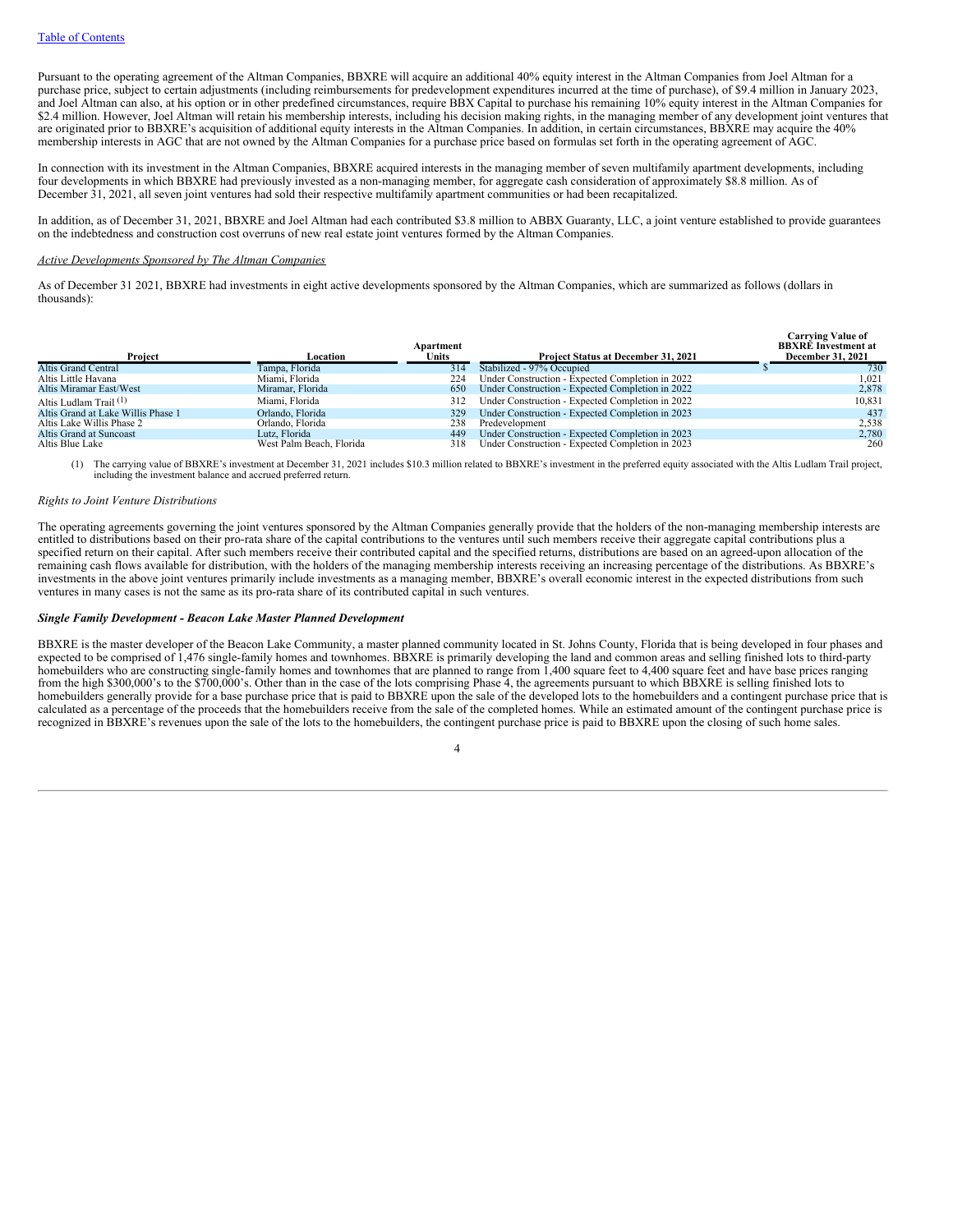Pursuant to the operating agreement of the Altman Companies, BBXRE will acquire an additional 40% equity interest in the Altman Companies from Joel Altman for a purchase price, subject to certain adjustments (including reimbursements for predevelopment expenditures incurred at the time of purchase), of \$9.4 million in January 2023, and Joel Altman can also, at his option or in other predefined circumstances, require BBX Capital to purchase his remaining 10% equity interest in the Altman Companies for \$2.4 million. However, Joel Altman will retain his membership interests, including his decision making rights, in the managing member of any development joint ventures that are originated prior to BBXRE's acquisition of additional equity interests in the Altman Companies. In addition, in certain circumstances, BBXRE may acquire the 40% membership interests in AGC that are not owned by the Altman Companies for a purchase price based on formulas set forth in the operating agreement of AGC.

In connection with its investment in the Altman Companies, BBXRE acquired interests in the managing member of seven multifamily apartment developments, including four developments in which BBXRE had previously invested as a non-managing member, for aggregate cash consideration of approximately \$8.8 million. As of December 31, 2021, all seven joint ventures had sold their respective multifamily apartment communities or had been recapitalized.

In addition, as of December 31, 2021, BBXRE and Joel Altman had each contributed \$3.8 million to ABBX Guaranty, LLC, a joint venture established to provide guarantees on the indebtedness and construction cost overruns of new real estate joint ventures formed by the Altman Companies.

### *Active Developments Sponsored by The Altman Companies*

As of December 31 2021, BBXRE had investments in eight active developments sponsored by the Altman Companies, which are summarized as follows (dollars in thousands):

| Proiect                            | Location                 | Apartment<br>Units | Project Status at December 31, 2021              | <b>Carrying Value of</b><br><b>BBXRE</b> Investment at<br><b>December 31, 2021</b> |
|------------------------------------|--------------------------|--------------------|--------------------------------------------------|------------------------------------------------------------------------------------|
| <b>Altis Grand Central</b>         | Tampa, Florida           | 314                | Stabilized - 97% Occupied                        | 730                                                                                |
| Altis Little Havana                | Miami. Florida           | 224                | Under Construction - Expected Completion in 2022 | 1.021                                                                              |
| Altis Miramar East/West            | Miramar, Florida         | 650                | Under Construction - Expected Completion in 2022 | 2,878                                                                              |
| Altis Ludlam Trail <sup>(1)</sup>  | Miami, Florida           | 312                | Under Construction - Expected Completion in 2022 | 10,831                                                                             |
| Altis Grand at Lake Willis Phase 1 | Orlando, Florida         | 329                | Under Construction - Expected Completion in 2023 | 437                                                                                |
| Altis Lake Willis Phase 2          | Orlando, Florida         | 238                | Predevelopment                                   | 2.538                                                                              |
| Altis Grand at Suncoast            | Lutz, Florida            | 449                | Under Construction - Expected Completion in 2023 | 2.780                                                                              |
| Altis Blue Lake                    | West Palm Beach, Florida | 318                | Under Construction - Expected Completion in 2023 | 260                                                                                |

(1) The carrying value of BBXRE's investment at December 31, 2021 includes \$10.3 million related to BBXRE's investment in the preferred equity associated with the Altis Ludlam Trail project, including the investment balance and accrued preferred return.

### *Rights to Joint Venture Distributions*

The operating agreements governing the joint ventures sponsored by the Altman Companies generally provide that the holders of the non-managing membership interests are entitled to distributions based on their pro-rata share of the capital contributions to the ventures until such members receive their aggregate capital contributions plus a specified return on their capital. After such members receive their contributed capital and the specified returns, distributions are based on an agreed-upon allocation of the remaining cash flows available for distribution, with the holders of the managing membership interests receiving an increasing percentage of the distributions. As BBXRE's investments in the above joint ventures primarily include investments as a managing member, BBXRE's overall economic interest in the expected distributions from such ventures in many cases is not the same as its pro-rata share of its contributed capital in such ventures.

## *Single Family Development - Beacon Lake Master Planned Development*

BBXRE is the master developer of the Beacon Lake Community, a master planned community located in St. Johns County, Florida that is being developed in four phases and expected to be comprised of 1,476 single-family homes and townhomes. BBXRE is primarily developing the land and common areas and selling finished lots to third-party homebuilders who are constructing single-family homes and townhomes that are planned to range from 1,400 square feet to 4,400 square feet and have base prices ranging from the high \$300,000's to the \$700,000's. Other than in the case of the lots comprising Phase 4, the agreements pursuant to which BBXRE is selling finished lots to homebuilders generally provide for a base purchase price that is paid to BBXRE upon the sale of the developed lots to the homebuilders and a contingent purchase price that is calculated as a percentage of the proceeds that the homebuilders receive from the sale of the completed homes. While an estimated amount of the contingent purchase price is recognized in BBXRE's revenues upon the sale of the lots to the homebuilders, the contingent purchase price is paid to BBXRE upon the closing of such home sales.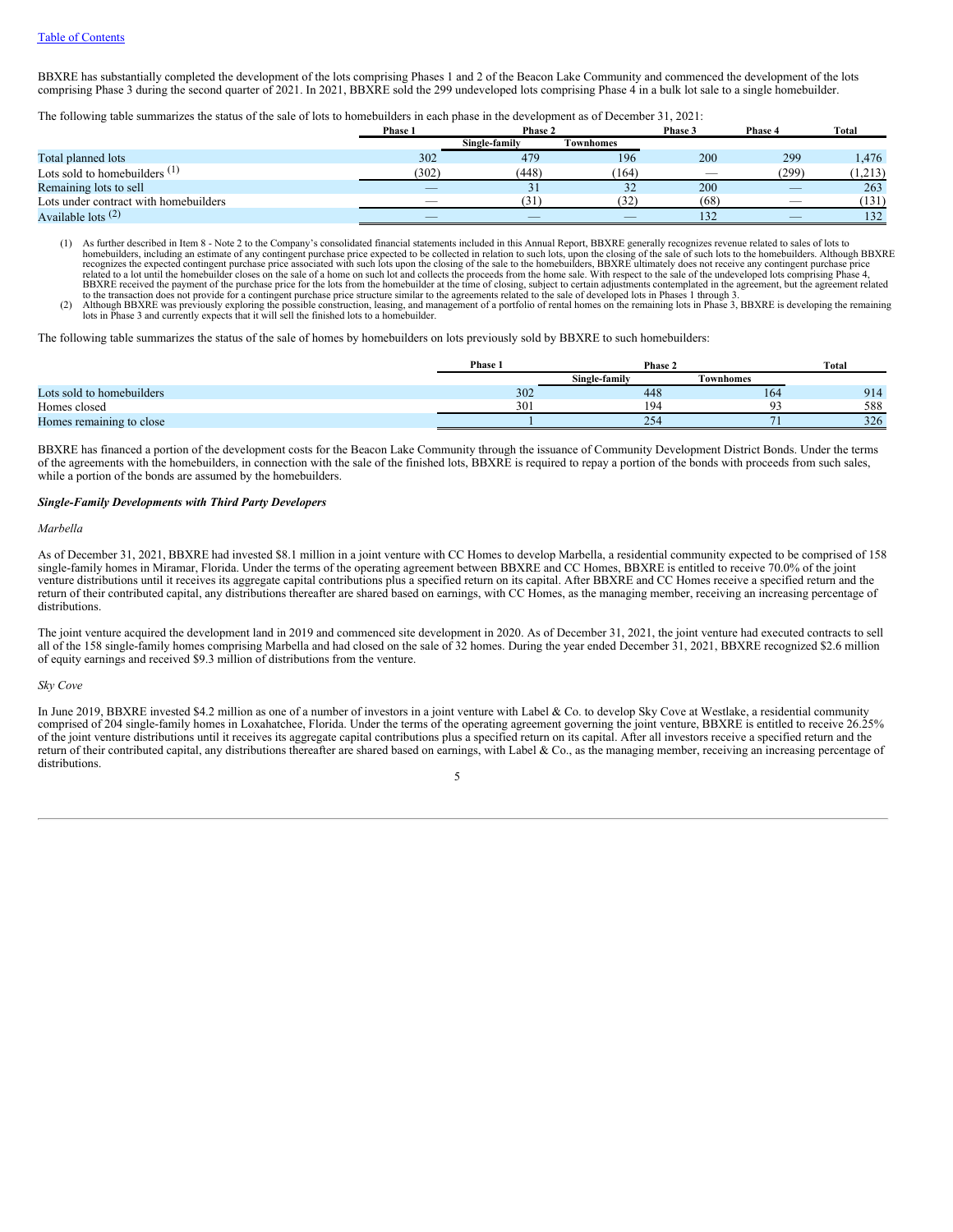BBXRE has substantially completed the development of the lots comprising Phases 1 and 2 of the Beacon Lake Community and commenced the development of the lots comprising Phase 3 during the second quarter of 2021. In 2021, BBXRE sold the 299 undeveloped lots comprising Phase 4 in a bulk lot sale to a single homebuilder.

The following table summarizes the status of the sale of lots to homebuilders in each phase in the development as of December 31, 2021:

|                                       | Phase 1                  | Phase 2       |                  | Phase 3                  | Phase 4                  | Total   |
|---------------------------------------|--------------------------|---------------|------------------|--------------------------|--------------------------|---------|
|                                       |                          | Single-family | <b>Townhomes</b> |                          |                          |         |
| Total planned lots                    | 302                      | 479           | 196              | 200                      | 299                      | l,476   |
| Lots sold to homebuilders $(1)$       | (302)                    | (448)         | (164)            | $\overline{\phantom{a}}$ | (299)                    | (1,213) |
| Remaining lots to sell                | _                        |               | 32               | 200                      |                          | 263     |
| Lots under contract with homebuilders | $\overline{\phantom{a}}$ | 31            | (32)             | (68)                     | $\overline{\phantom{a}}$ | (131)   |
| Available lots $(2)$                  | $\overline{\phantom{a}}$ | _             |                  | 132                      | $\overline{\phantom{a}}$ | 132     |

(1) As further described in Item 8 - Note 2 to the Company's consolidated financial statements included in this Annual Report, BBXRE generally recognizes revenue related to sales of lots to<br>homebuilders, including an estim related to a lot until the homebuilder closes on the sale of a home on such lot and collects the proceeds from the home sale. With respect to the sale of the undeveloped lots comprising Phase 4,<br>BBXRE received the payment

lots in Phase 3 and currently expects that it will sell the finished lots to a homebuilder.

The following table summarizes the status of the sale of homes by homebuilders on lots previously sold by BBXRE to such homebuilders:

|                           | Phase | Phase 2       |                 |     | Total |  |
|---------------------------|-------|---------------|-----------------|-----|-------|--|
|                           |       | Single-family | Townhomes       |     |       |  |
| Lots sold to homebuilders | 302   |               | 448             | 164 | 914   |  |
| Homes closed              | 30    |               | 194             |     | 588   |  |
| Homes remaining to close  |       |               | 25 <sup>c</sup> |     | 326   |  |

BBXRE has financed a portion of the development costs for the Beacon Lake Community through the issuance of Community Development District Bonds. Under the terms of the agreements with the homebuilders, in connection with the sale of the finished lots, BBXRE is required to repay a portion of the bonds with proceeds from such sales, while a portion of the bonds are assumed by the homebuilders.

# *Single-Family Developments with Third Party Developers*

#### *Marbella*

As of December 31, 2021, BBXRE had invested \$8.1 million in a joint venture with CC Homes to develop Marbella, a residential community expected to be comprised of 158 single-family homes in Miramar, Florida. Under the terms of the operating agreement between BBXRE and CC Homes, BBXRE is entitled to receive 70.0% of the joint venture distributions until it receives its aggregate capital contributions plus a specified return on its capital. After BBXRE and CC Homes receive a specified return and the return of their contributed capital, any distributions thereafter are shared based on earnings, with CC Homes, as the managing member, receiving an increasing percentage of distributions.

The joint venture acquired the development land in 2019 and commenced site development in 2020. As of December 31, 2021, the joint venture had executed contracts to sell all of the 158 single-family homes comprising Marbella and had closed on the sale of 32 homes. During the year ended December  $31$ , 2021, BBXRE recognized \$2.6 million of equity earnings and received \$9.3 million of distributions from the venture.

#### *Sky Cove*

In June 2019, BBXRE invested \$4.2 million as one of a number of investors in a joint venture with Label & Co. to develop Sky Cove at Westlake, a residential community comprised of 204 single-family homes in Loxahatchee, Florida. Under the terms of the operating agreement governing the joint venture, BBXRE is entitled to receive 26.25% of the joint venture distributions until it receives its aggregate capital contributions plus a specified return on its capital. After all investors receive a specified return and the return of their contributed capital, any distributions thereafter are shared based on earnings, with Label & Co., as the managing member, receiving an increasing percentage of distributions.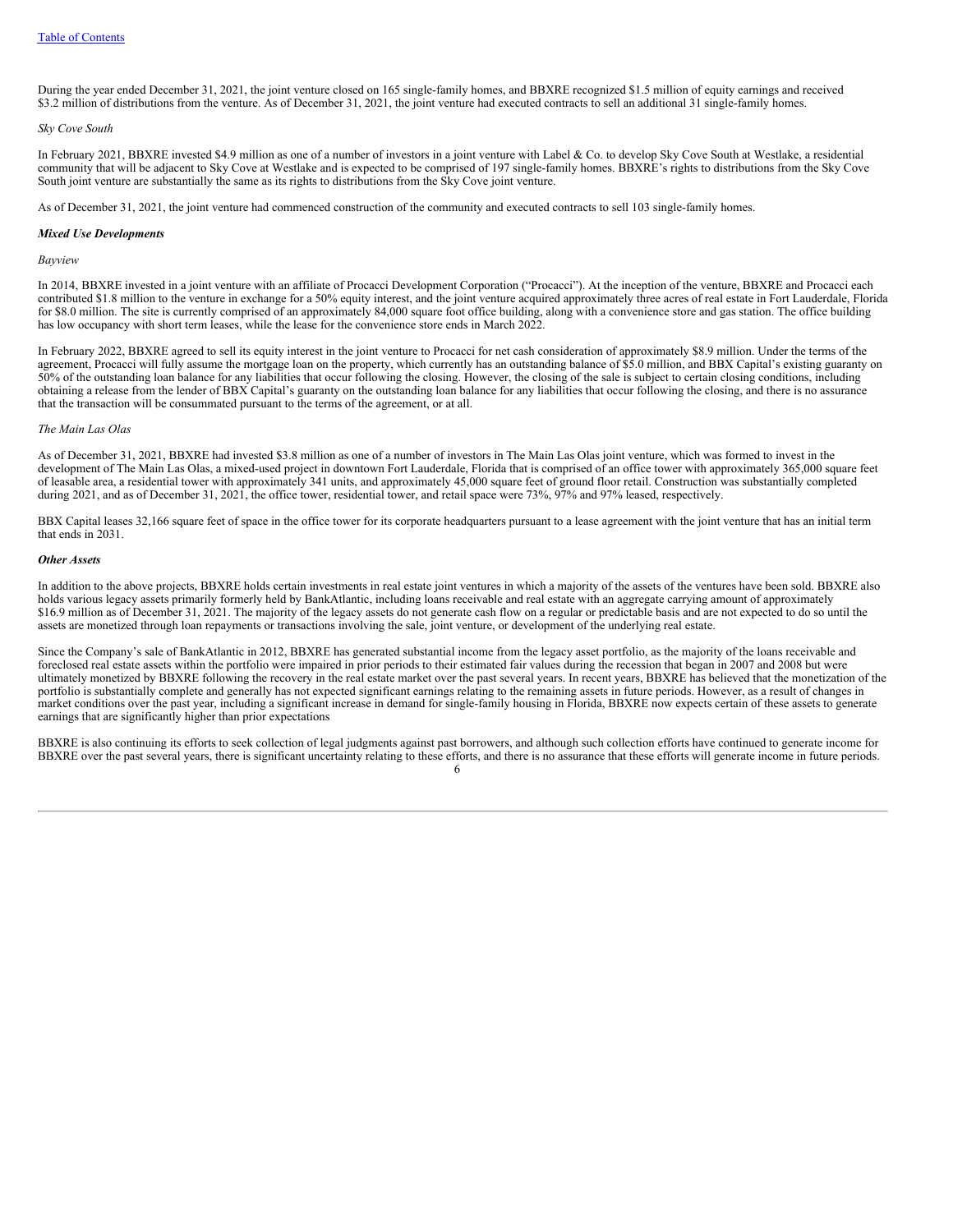During the year ended December 31, 2021, the joint venture closed on 165 single-family homes, and BBXRE recognized \$1.5 million of equity earnings and received \$3.2 million of distributions from the venture. As of December 31, 2021, the joint venture had executed contracts to sell an additional 31 single-family homes.

#### *Sky Cove South*

In February 2021, BBXRE invested \$4.9 million as one of a number of investors in a joint venture with Label & Co. to develop Sky Cove South at Westlake, a residential community that will be adjacent to Sky Cove at Westlake and is expected to be comprised of 197 single-family homes. BBXRE's rights to distributions from the Sky Cove South joint venture are substantially the same as its rights to distributions from the Sky Cove joint venture.

As of December 31, 2021, the joint venture had commenced construction of the community and executed contracts to sell 103 single-family homes.

#### *Mixed Use Developments*

#### *Bayview*

In 2014, BBXRE invested in a joint venture with an affiliate of Procacci Development Corporation ("Procacci"). At the inception of the venture, BBXRE and Procacci each contributed \$1.8 million to the venture in exchange for a 50% equity interest, and the joint venture acquired approximately three acres of real estate in Fort Lauderdale, Florida for \$8.0 million. The site is currently comprised of an approximately 84,000 square foot office building, along with a convenience store and gas station. The office building has low occupancy with short term leases, while the lease for the convenience store ends in March 2022.

In February 2022, BBXRE agreed to sell its equity interest in the joint venture to Procacci for net cash consideration of approximately \$8.9 million. Under the terms of the agreement, Procacci will fully assume the mortgage loan on the property, which currently has an outstanding balance of \$5.0 million, and BBX Capital's existing guaranty on 50% of the outstanding loan balance for any liabilities that occur following the closing. However, the closing of the sale is subject to certain closing conditions, including obtaining a release from the lender of BBX Capital's guaranty on the outstanding loan balance for any liabilities that occur following the closing, and there is no assurance that the transaction will be consummated pursuant to the terms of the agreement, or at all.

#### *The Main Las Olas*

As of December 31, 2021, BBXRE had invested \$3.8 million as one of a number of investors in The Main Las Olas joint venture, which was formed to invest in the development of The Main Las Olas, a mixed-used project in downtown Fort Lauderdale, Florida that is comprised of an office tower with approximately 365,000 square feet of leasable area, a residential tower with approximately 341 units, and approximately 45,000 square feet of ground floor retail. Construction was substantially completed during 2021, and as of December 31, 2021, the office tower, residential tower, and retail space were 73%, 97% and 97% leased, respectively.

BBX Capital leases 32,166 square feet of space in the office tower for its corporate headquarters pursuant to a lease agreement with the joint venture that has an initial term that ends in 2031.

#### *Other Assets*

In addition to the above projects, BBXRE holds certain investments in real estate joint ventures in which a majority of the assets of the ventures have been sold. BBXRE also holds various legacy assets primarily formerly held by BankAtlantic, including loans receivable and real estate with an aggregate carrying amount of approximately \$16.9 million as of December 31, 2021. The majority of the legacy assets do not generate cash flow on a regular or predictable basis and are not expected to do so until the assets are monetized through loan repayments or transactions involving the sale, joint venture, or development of the underlying real estate.

Since the Company's sale of BankAtlantic in 2012, BBXRE has generated substantial income from the legacy asset portfolio, as the majority of the loans receivable and foreclosed real estate assets within the portfolio were impaired in prior periods to their estimated fair values during the recession that began in 2007 and 2008 but were ultimately monetized by BBXRE following the recovery in the real estate market over the past several years. In recent years, BBXRE has believed that the monetization of the portfolio is substantially complete and generally has not expected significant earnings relating to the remaining assets in future periods. However, as a result of changes in market conditions over the past year, including a significant increase in demand for single-family housing in Florida, BBXRE now expects certain of these assets to generate earnings that are significantly higher than prior expectations

BBXRE is also continuing its efforts to seek collection of legal judgments against past borrowers, and although such collection efforts have continued to generate income for BBXRE over the past several years, there is significant uncertainty relating to these efforts, and there is no assurance that these efforts will generate income in future periods. 6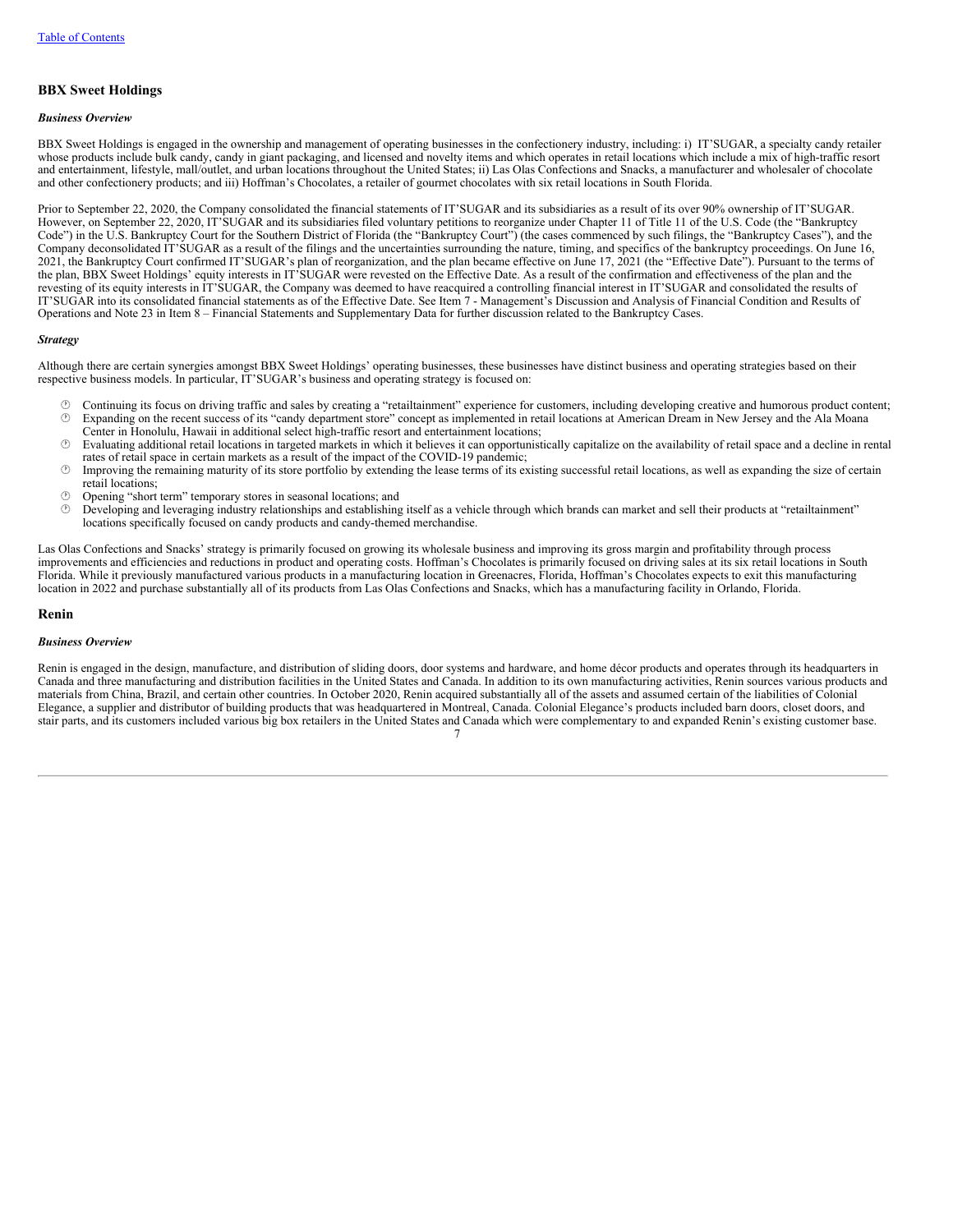# **BBX Sweet Holdings**

### *Business Overview*

BBX Sweet Holdings is engaged in the ownership and management of operating businesses in the confectionery industry, including: i) IT'SUGAR, a specialty candy retailer whose products include bulk candy, candy in giant packaging, and licensed and novelty items and which operates in retail locations which include a mix of high-traffic resort and entertainment, lifestyle, mall/outlet, and urban locations throughout the United States; ii) Las Olas Confections and Snacks, a manufacturer and wholesaler of chocolate and other confectionery products; and iii) Hoffman's Chocolates, a retailer of gourmet chocolates with six retail locations in South Florida.

Prior to September 22, 2020, the Company consolidated the financial statements of IT'SUGAR and its subsidiaries as a result of its over 90% ownership of IT'SUGAR. However, on September 22, 2020, IT'SUGAR and its subsidiaries filed voluntary petitions to reorganize under Chapter 11 of Title 11 of the U.S. Code (the "Bankruptcy Code") in the U.S. Bankruptcy Court for the Southern District of Florida (the "Bankruptcy Court") (the cases commenced by such filings, the "Bankruptcy Cases"), and the Company deconsolidated IT'SUGAR as a result of the filings and the uncertainties surrounding the nature, timing, and specifics of the bankruptcy proceedings. On June 16, 2021, the Bankruptcy Court confirmed IT'SUGAR's plan of reorganization, and the plan became effective on June 17, 2021 (the "Effective Date"). Pursuant to the terms of the plan, BBX Sweet Holdings' equity interests in IT'SUGAR were revested on the Effective Date. As a result of the confirmation and effectiveness of the plan and the revesting of its equity interests in IT'SUGAR, the Company was deemed to have reacquired a controlling financial interest in IT'SUGAR and consolidated the results of IT'SUGAR into its consolidated financial statements as of the Effective Date. See Item 7 - Management's Discussion and Analysis of Financial Condition and Results of Operations and Note 23 in Item 8 – Financial Statements and Supplementary Data for further discussion related to the Bankruptcy Cases.

### *Strategy*

Although there are certain synergies amongst BBX Sweet Holdings' operating businesses, these businesses have distinct business and operating strategies based on their respective business models. In particular, IT'SUGAR's business and operating strategy is focused on:

- $\circled{c}$  Continuing its focus on driving traffic and sales by creating a "retailtainment" experience for customers, including developing creative and humorous product content;<br> $\circled{c}$  Expanding on the recent success of i Expanding on the recent success of its "candy department store" concept as implemented in retail locations at American Dream in New Jersey and the Ala Moana Center in Honolulu, Hawaii in additional select high-traffic resort and entertainment locations;
- $\circ$  Evaluating additional retail locations in targeted markets in which it believes it can opportunistically capitalize on the availability of retail space and a decline in rental rates of retail space in certain markets as a result of the impact of the COVID-19 pandemic;
- · Improving the remaining maturity of its store portfolio by extending the lease terms of its existing successful retail locations, as well as expanding the size of certain retail locations;
- $\circled{r}$  Opening "short term" temporary stores in seasonal locations; and  $\circled{r}$  Developing and leveraging industry relationships and establiships
- · Developing and leveraging industry relationships and establishing itself as a vehicle through which brands can market and sell their products at "retailtainment" locations specifically focused on candy products and candy-themed merchandise.

Las Olas Confections and Snacks' strategy is primarily focused on growing its wholesale business and improving its gross margin and profitability through process improvements and efficiencies and reductions in product and operating costs. Hoffman's Chocolates is primarily focused on driving sales at its six retail locations in South Florida. While it previously manufactured various products in a manufacturing location in Greenacres, Florida, Hoffman's Chocolates expects to exit this manufacturing location in 2022 and purchase substantially all of its products from Las Olas Confections and Snacks, which has a manufacturing facility in Orlando, Florida.

### **Renin**

# *Business Overview*

Renin is engaged in the design, manufacture, and distribution of sliding doors, door systems and hardware, and home décor products and operates through its headquarters in Canada and three manufacturing and distribution facilities in the United States and Canada. In addition to its own manufacturing activities, Renin sources various products and materials from China, Brazil, and certain other countries. In October 2020, Renin acquired substantially all of the assets and assumed certain of the liabilities of Colonial Elegance, a supplier and distributor of building products that was headquartered in Montreal, Canada. Colonial Elegance's products included barn doors, closet doors, and stair parts, and its customers included various big box retailers in the United States and Canada which were complementary to and expanded Renin's existing customer base. 7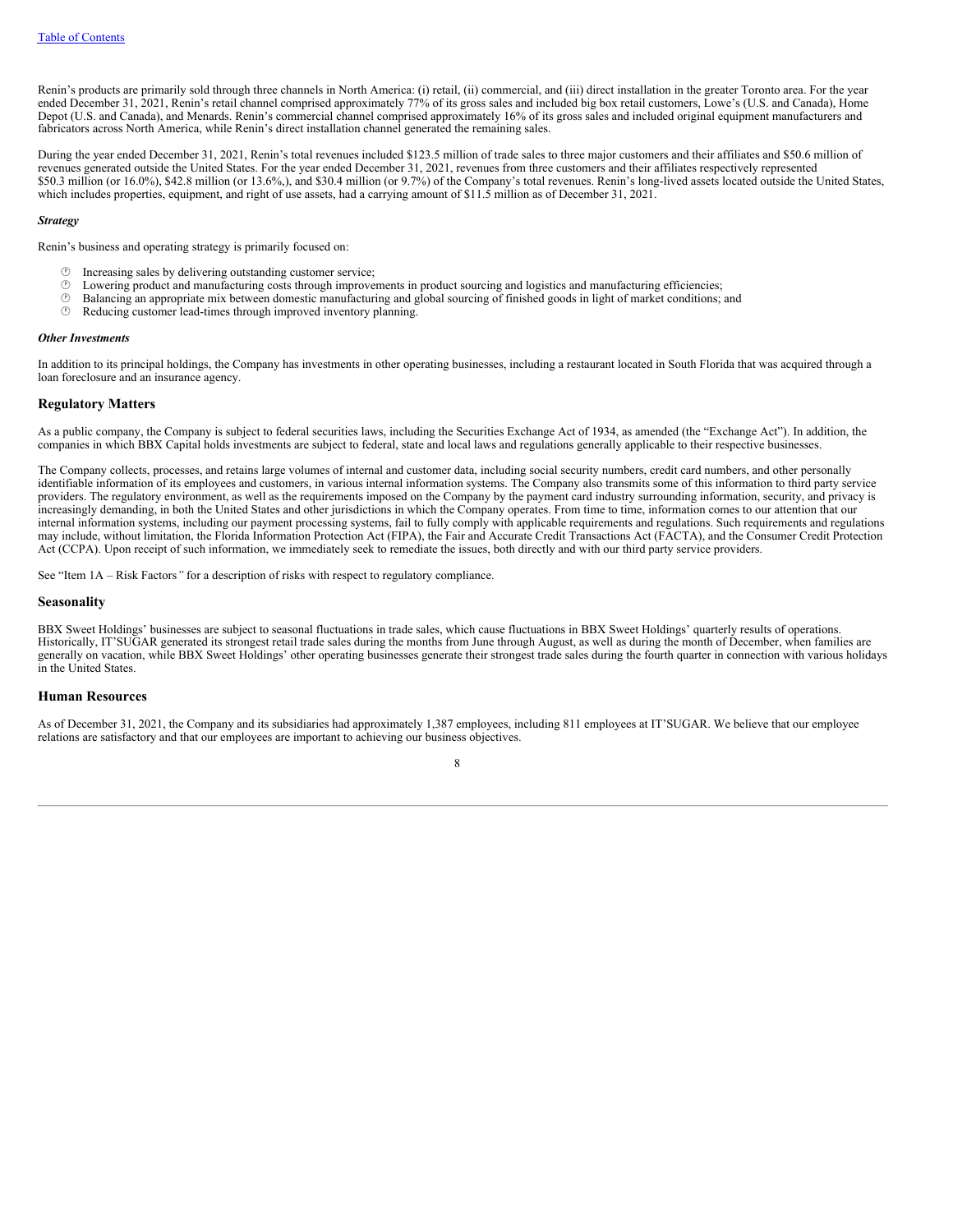Renin's products are primarily sold through three channels in North America: (i) retail, (ii) commercial, and (iii) direct installation in the greater Toronto area. For the year ended December 31, 2021, Renin's retail channel comprised approximately 77% of its gross sales and included big box retail customers, Lowe's (U.S. and Canada), Home Depot (U.S. and Canada), and Menards. Renin's commercial channel comprised approximately 16% of its gross sales and included original equipment manufacturers and fabricators across North America, while Renin's direct installation channel generated the remaining sales.

During the year ended December 31, 2021, Renin's total revenues included \$123.5 million of trade sales to three major customers and their affiliates and \$50.6 million of revenues generated outside the United States. For the year ended December 31, 2021, revenues from three customers and their affiliates respectively represented \$50.3 million (or 16.0%), \$42.8 million (or 13.6%,), and \$30.4 million (or 9.7%) of the Company's total revenues. Renin's long-lived assets located outside the United States, which includes properties, equipment, and right of use assets, had a carrying amount of \$11.5 million as of December 31, 2021.

### *Strategy*

Renin's business and operating strategy is primarily focused on:

- $\circled{r}$  Increasing sales by delivering outstanding customer service;<br> $\circled{r}$  I owering product and manufacturing costs through improves
- $\circled{}$  Lowering product and manufacturing costs through improvements in product sourcing and logistics and manufacturing efficiencies;<br> $\circled{}$  Balancing an appropriate mix between domestic manufacturing and global sourci
- · Balancing an appropriate mix between domestic manufacturing and global sourcing of finished goods in light of market conditions; and
- $\circled{e}$  Reducing customer lead-times through improved inventory planning.

### *Other Investments*

In addition to its principal holdings, the Company has investments in other operating businesses, including a restaurant located in South Florida that was acquired through a loan foreclosure and an insurance agency.

# **Regulatory Matters**

As a public company, the Company is subject to federal securities laws, including the Securities Exchange Act of 1934, as amended (the "Exchange Act"). In addition, the companies in which BBX Capital holds investments are subject to federal, state and local laws and regulations generally applicable to their respective businesses.

The Company collects, processes, and retains large volumes of internal and customer data, including social security numbers, credit card numbers, and other personally identifiable information of its employees and customers, in various internal information systems. The Company also transmits some of this information to third party service providers. The regulatory environment, as well as the requirements imposed on the Company by the payment card industry surrounding information, security, and privacy is increasingly demanding, in both the United States and other jurisdictions in which the Company operates. From time to time, information comes to our attention that our internal information systems, including our payment processing systems, fail to fully comply with applicable requirements and regulations. Such requirements and regulations may include, without limitation, the Florida Information Protection Act (FIPA), the Fair and Accurate Credit Transactions Act (FACTA), and the Consumer Credit Protection Act (CCPA). Upon receipt of such information, we immediately seek to remediate the issues, both directly and with our third party service providers.

See "Item 1A – Risk Factors*"* for a description of risks with respect to regulatory compliance.

### **Seasonality**

BBX Sweet Holdings' businesses are subject to seasonal fluctuations in trade sales, which cause fluctuations in BBX Sweet Holdings' quarterly results of operations. Historically, IT'SUGAR generated its strongest retail trade sales during the months from June through August, as well as during the month of December, when families are generally on vacation, while BBX Sweet Holdings' other operating businesses generate their strongest trade sales during the fourth quarter in connection with various holidays in the United States.

### **Human Resources**

As of December 31, 2021, the Company and its subsidiaries had approximately 1,387 employees, including 811 employees at IT'SUGAR. We believe that our employee relations are satisfactory and that our employees are important to achieving our business objectives.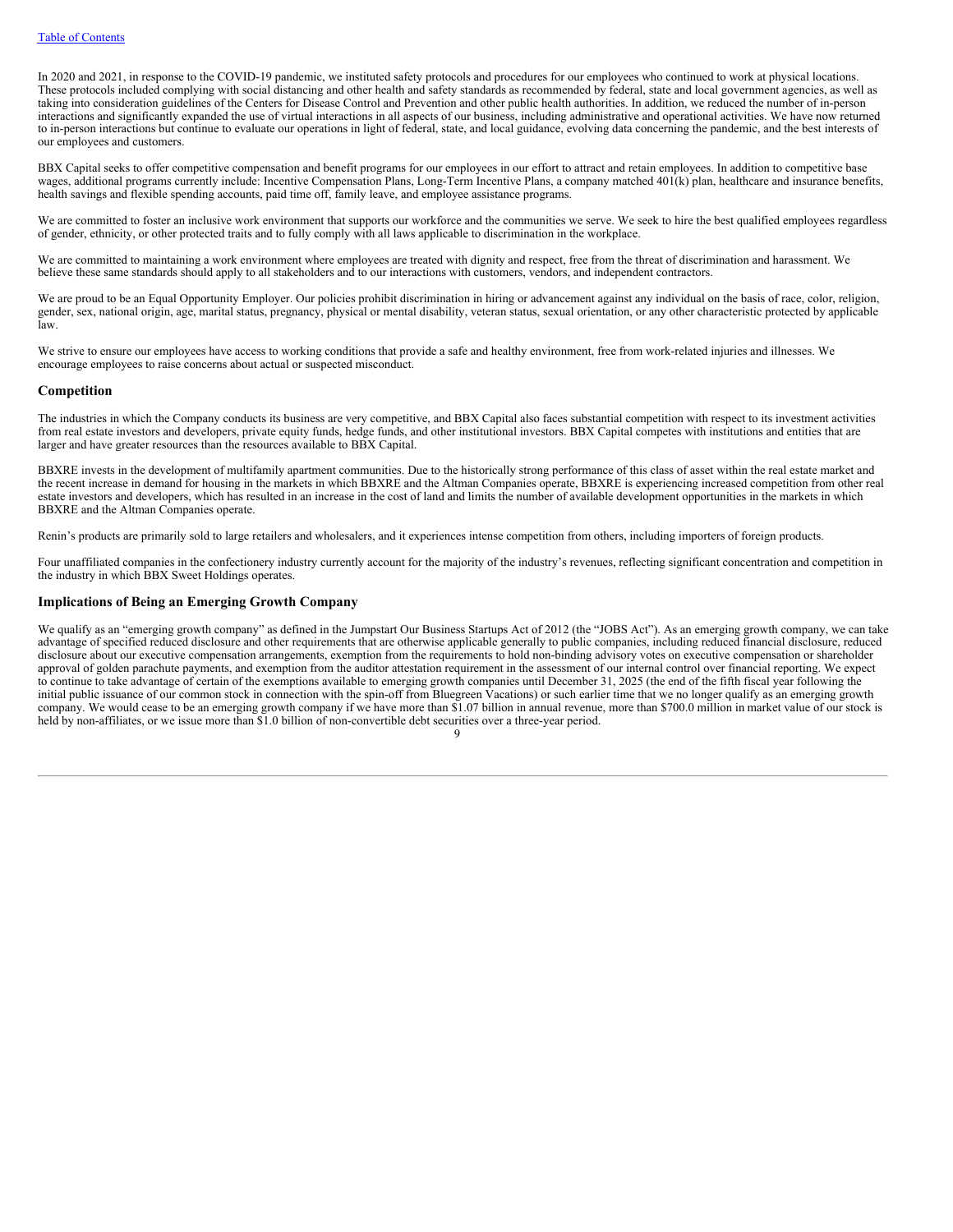In 2020 and 2021, in response to the COVID-19 pandemic, we instituted safety protocols and procedures for our employees who continued to work at physical locations. These protocols included complying with social distancing and other health and safety standards as recommended by federal, state and local government agencies, as well as taking into consideration guidelines of the Centers for Disease Control and Prevention and other public health authorities. In addition, we reduced the number of in-person interactions and significantly expanded the use of virtual interactions in all aspects of our business, including administrative and operational activities. We have now returned to in-person interactions but continue to evaluate our operations in light of federal, state, and local guidance, evolving data concerning the pandemic, and the best interests of our employees and customers.

BBX Capital seeks to offer competitive compensation and benefit programs for our employees in our effort to attract and retain employees. In addition to competitive base wages, additional programs currently include: Incentive Compensation Plans, Long-Term Incentive Plans, a company matched 401(k) plan, healthcare and insurance benefits, health savings and flexible spending accounts, paid time off, family leave, and employee assistance programs.

We are committed to foster an inclusive work environment that supports our workforce and the communities we serve. We seek to hire the best qualified employees regardless of gender, ethnicity, or other protected traits and to fully comply with all laws applicable to discrimination in the workplace.

We are committed to maintaining a work environment where employees are treated with dignity and respect, free from the threat of discrimination and harassment. We believe these same standards should apply to all stakeholders and to our interactions with customers, vendors, and independent contractors.

We are proud to be an Equal Opportunity Employer. Our policies prohibit discrimination in hiring or advancement against any individual on the basis of race, color, religion, gender, sex, national origin, age, marital status, pregnancy, physical or mental disability, veteran status, sexual orientation, or any other characteristic protected by applicable law.

We strive to ensure our employees have access to working conditions that provide a safe and healthy environment, free from work-related injuries and illnesses. We encourage employees to raise concerns about actual or suspected misconduct.

# **Competition**

The industries in which the Company conducts its business are very competitive, and BBX Capital also faces substantial competition with respect to its investment activities from real estate investors and developers, private equity funds, hedge funds, and other institutional investors. BBX Capital competes with institutions and entities that are larger and have greater resources than the resources available to BBX Capital.

BBXRE invests in the development of multifamily apartment communities. Due to the historically strong performance of this class of asset within the real estate market and the recent increase in demand for housing in the markets in which BBXRE and the Altman Companies operate, BBXRE is experiencing increased competition from other real estate investors and developers, which has resulted in an increase in the cost of land and limits the number of available development opportunities in the markets in which BBXRE and the Altman Companies operate.

Renin's products are primarily sold to large retailers and wholesalers, and it experiences intense competition from others, including importers of foreign products.

Four unaffiliated companies in the confectionery industry currently account for the majority of the industry's revenues, reflecting significant concentration and competition in the industry in which BBX Sweet Holdings operates.

# **Implications of Being an Emerging Growth Company**

We qualify as an "emerging growth company" as defined in the Jumpstart Our Business Startups Act of 2012 (the "JOBS Act"). As an emerging growth company, we can take advantage of specified reduced disclosure and other requirements that are otherwise applicable generally to public companies, including reduced financial disclosure, reduced disclosure about our executive compensation arrangements, exemption from the requirements to hold non-binding advisory votes on executive compensation or shareholder approval of golden parachute payments, and exemption from the auditor attestation requirement in the assessment of our internal control over financial reporting. We expect to continue to take advantage of certain of the exemptions available to emerging growth companies until December 31, 2025 (the end of the fifth fiscal year following the initial public issuance of our common stock in connection with the spin-off from Bluegreen Vacations) or such earlier time that we no longer qualify as an emerging growth company. We would cease to be an emerging growth company if we have more than \$1.07 billion in annual revenue, more than \$700.0 million in market value of our stock is held by non-affiliates, or we issue more than \$1.0 billion of non-convertible debt securities over a three-year period.  $\Omega$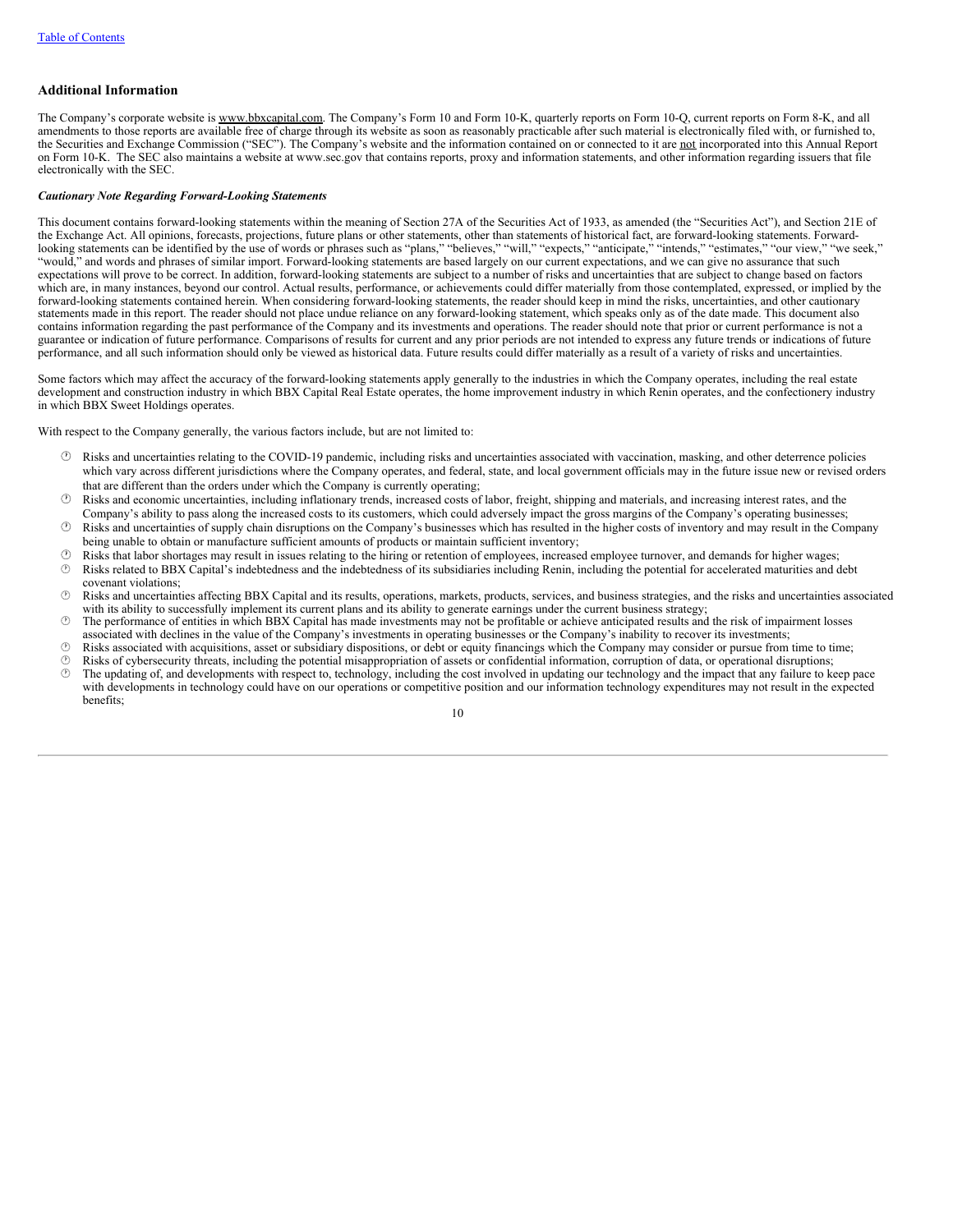# **Additional Information**

The Company's corporate website is www.bbxcapital.com. The Company's Form 10 and Form 10-K, quarterly reports on Form 10-Q, current reports on Form 8-K, and all amendments to those reports are available free of charge through its website as soon as reasonably practicable after such material is electronically filed with, or furnished to, the Securities and Exchange Commission ("SEC"). The Company's website and the information contained on or connected to it are not incorporated into this Annual Report on Form 10-K. The SEC also maintains a website at www.sec.gov that contains reports, proxy and information statements, and other information regarding issuers that file electronically with the SEC.

# *Cautionary Note Regarding Forward-Looking Statements*

This document contains forward-looking statements within the meaning of Section 27A of the Securities Act of 1933, as amended (the "Securities Act"), and Section 21E of the Exchange Act. All opinions, forecasts, projections, future plans or other statements, other than statements of historical fact, are forward-looking statements. Forwardlooking statements can be identified by the use of words or phrases such as "plans," "believes," "will," "expects," "anticipate," "intends," "estimates," "our view," "we seek," "would," and words and phrases of similar import. Forward-looking statements are based largely on our current expectations, and we can give no assurance that such expectations will prove to be correct. In addition, forward-looking statements are subject to a number of risks and uncertainties that are subject to change based on factors which are, in many instances, beyond our control. Actual results, performance, or achievements could differ materially from those contemplated, expressed, or implied by the forward-looking statements contained herein. When considering forward-looking statements, the reader should keep in mind the risks, uncertainties, and other cautionary statements made in this report. The reader should not place undue reliance on any forward-looking statement, which speaks only as of the date made. This document also contains information regarding the past performance of the Company and its investments and operations. The reader should note that prior or current performance is not a guarantee or indication of future performance. Comparisons of results for current and any prior periods are not intended to express any future trends or indications of future performance, and all such information should only be viewed as historical data. Future results could differ materially as a result of a variety of risks and uncertainties.

Some factors which may affect the accuracy of the forward-looking statements apply generally to the industries in which the Company operates, including the real estate development and construction industry in which BBX Capital Real Estate operates, the home improvement industry in which Renin operates, and the confectionery industry in which BBX Sweet Holdings operates.

With respect to the Company generally, the various factors include, but are not limited to:

- · Risks and uncertainties relating to the COVID-19 pandemic, including risks and uncertainties associated with vaccination, masking, and other deterrence policies which vary across different jurisdictions where the Company operates, and federal, state, and local government officials may in the future issue new or revised orders that are different than the orders under which the Company is currently operating;
- · Risks and economic uncertainties, including inflationary trends, increased costs of labor, freight, shipping and materials, and increasing interest rates, and the
- Company's ability to pass along the increased costs to its customers, which could adversely impact the gross margins of the Company's operating businesses; · Risks and uncertainties of supply chain disruptions on the Company's businesses which has resulted in the higher costs of inventory and may result in the Company
- being unable to obtain or manufacture sufficient amounts of products or maintain sufficient inventory;
- · Risks that labor shortages may result in issues relating to the hiring or retention of employees, increased employee turnover, and demands for higher wages; · Risks related to BBX Capital's indebtedness and the indebtedness of its subsidiaries including Renin, including the potential for accelerated maturities and debt covenant violations;
- · Risks and uncertainties affecting BBX Capital and its results, operations, markets, products, services, and business strategies, and the risks and uncertainties associated with its ability to successfully implement its current plans and its ability to generate earnings under the current business strategy;
- $\circled{}$  The performance of entities in which BBX Capital has made investments may not be profitable or achieve anticipated results and the risk of impairment losses associated with declines in the value of the Company's investments in operating businesses or the Company's inability to recover its investments;
- · Risks associated with acquisitions, asset or subsidiary dispositions, or debt or equity financings which the Company may consider or pursue from time to time;
- $\circled{B}$  Risks of cybersecurity threats, including the potential misappropriation of assets or confidential information, corruption of data, or operational disruptions;<br> $\circled{B}$  The undating of and developments with respe · The updating of, and developments with respect to, technology, including the cost involved in updating our technology and the impact that any failure to keep pace with developments in technology could have on our operations or competitive position and our information technology expenditures may not result in the expected benefits;

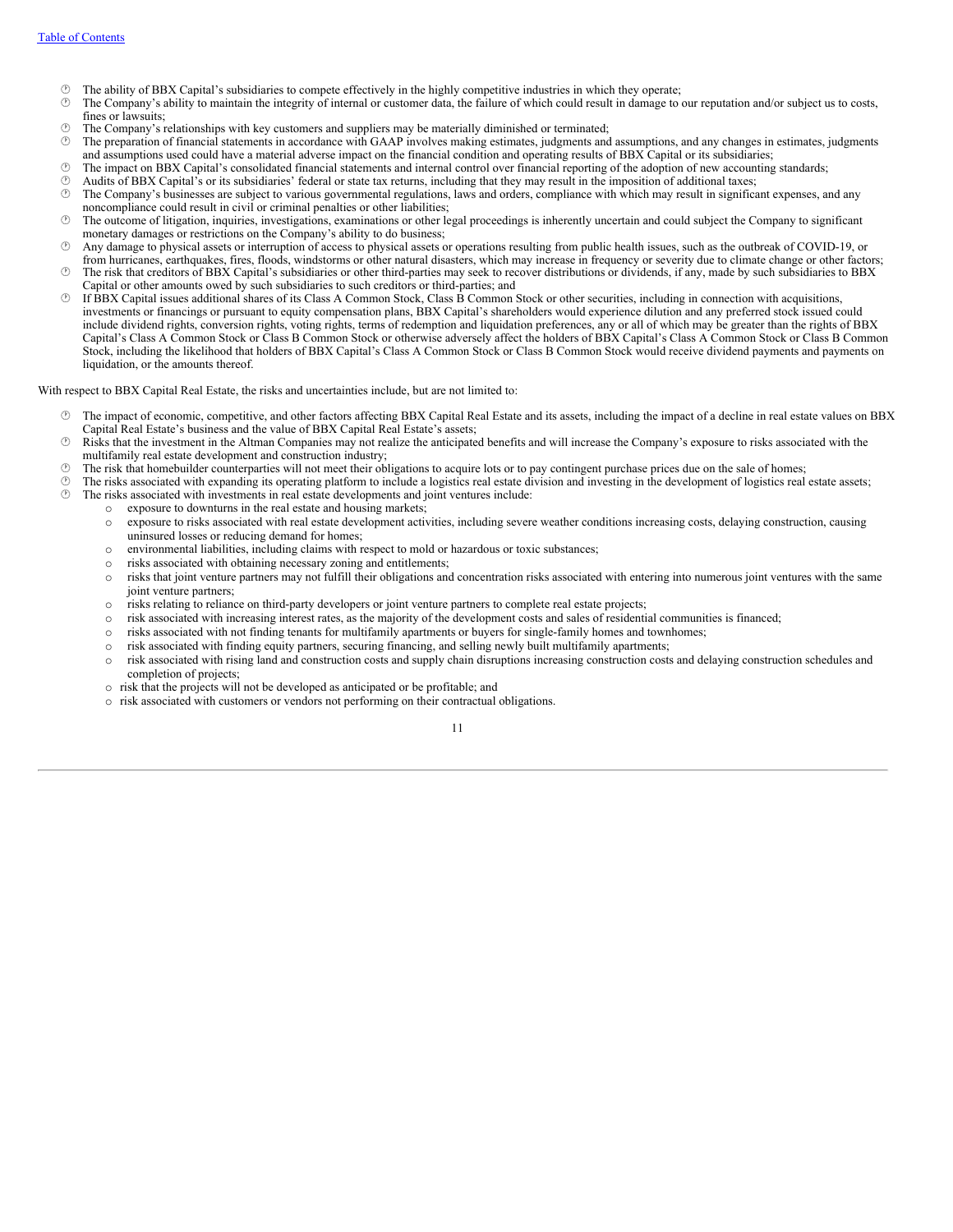- $\circled{?}$  The ability of BBX Capital's subsidiaries to compete effectively in the highly competitive industries in which they operate;  $\circled{>}$  The Company's ability to maintain the integrity of internal or customer data, t
- · The Company's ability to maintain the integrity of internal or customer data, the failure of which could result in damage to our reputation and/or subject us to costs, fines or lawsuits:
- $\circled{?}$  The Company's relationships with key customers and suppliers may be materially diminished or terminated;  $\circled{>}$  The preparation of financial statements in accordance with GAAP involves making estimates judgments
- · The preparation of financial statements in accordance with GAAP involves making estimates, judgments and assumptions, and any changes in estimates, judgments and assumptions used could have a material adverse impact on the financial condition and operating results of BBX Capital or its subsidiaries;
- · The impact on BBX Capital's consolidated financial statements and internal control over financial reporting of the adoption of new accounting standards;
- $\circled{b}$  Audits of BBX Capital's or its subsidiaries' federal or state tax returns, including that they may result in the imposition of additional taxes;<br> $\circled{b}$  The Company's businesses are subject to various government
- The Company's businesses are subject to various governmental regulations, laws and orders, compliance with which may result in significant expenses, and any noncompliance could result in civil or criminal penalties or other liabilities;
- · The outcome of litigation, inquiries, investigations, examinations or other legal proceedings is inherently uncertain and could subject the Company to significant monetary damages or restrictions on the Company's ability to do business;
- · Any damage to physical assets or interruption of access to physical assets or operations resulting from public health issues, such as the outbreak of COVID-19, or from hurricanes, earthquakes, fires, floods, windstorms or other natural disasters, which may increase in frequency or severity due to climate change or other factors;
- · The risk that creditors of BBX Capital's subsidiaries or other third-parties may seek to recover distributions or dividends, if any, made by such subsidiaries to BBX Capital or other amounts owed by such subsidiaries to such creditors or third-parties; and
- · If BBX Capital issues additional shares of its Class A Common Stock, Class B Common Stock or other securities, including in connection with acquisitions, investments or financings or pursuant to equity compensation plans, BBX Capital's shareholders would experience dilution and any preferred stock issued could include dividend rights, conversion rights, voting rights, terms of redemption and liquidation preferences, any or all of which may be greater than the rights of BBX Capital's Class A Common Stock or Class B Common Stock or otherwise adversely affect the holders of BBX Capital's Class A Common Stock or Class B Common Stock, including the likelihood that holders of BBX Capital's Class A Common Stock or Class B Common Stock would receive dividend payments and payments on liquidation, or the amounts thereof.

With respect to BBX Capital Real Estate, the risks and uncertainties include, but are not limited to:

- · The impact of economic, competitive, and other factors affecting BBX Capital Real Estate and its assets, including the impact of a decline in real estate values on BBX Capital Real Estate's business and the value of BBX Capital Real Estate's assets;
- · Risks that the investment in the Altman Companies may not realize the anticipated benefits and will increase the Company's exposure to risks associated with the multifamily real estate development and construction industry;
- $\circled{?}$  The risk that homebuilder counterparties will not meet their obligations to acquire lots or to pay contingent purchase prices due on the sale of homes;<br> $\circled{>}$  The risks associated with expanding its operating pl
- $\circled{b}$  The risks associated with expanding its operating platform to include a logistics real estate division and investing in the development of logistics real estate assets;<br> $\circled{b}$  The risks associated with investme The risks associated with investments in real estate developments and joint ventures include:
	- o exposure to downturns in the real estate and housing markets;
		- o exposure to risks associated with real estate development activities, including severe weather conditions increasing costs, delaying construction, causing uninsured losses or reducing demand for homes;
		- o environmental liabilities, including claims with respect to mold or hazardous or toxic substances;
		- o risks associated with obtaining necessary zoning and entitlements;
		- $\circ$  risks that joint venture partners may not fulfill their obligations and concentration risks associated with entering into numerous joint ventures with the same joint venture partners;
		- o risks relating to reliance on third-party developers or joint venture partners to complete real estate projects;
		- o risk associated with increasing interest rates, as the majority of the development costs and sales of residential communities is financed;
		- o risks associated with not finding tenants for multifamily apartments or buyers for single-family homes and townhomes;
		- o risk associated with finding equity partners, securing financing, and selling newly built multifamily apartments;
		- o risk associated with rising land and construction costs and supply chain disruptions increasing construction costs and delaying construction schedules and completion of projects;
		- o risk that the projects will not be developed as anticipated or be profitable; and
		- o risk associated with customers or vendors not performing on their contractual obligations.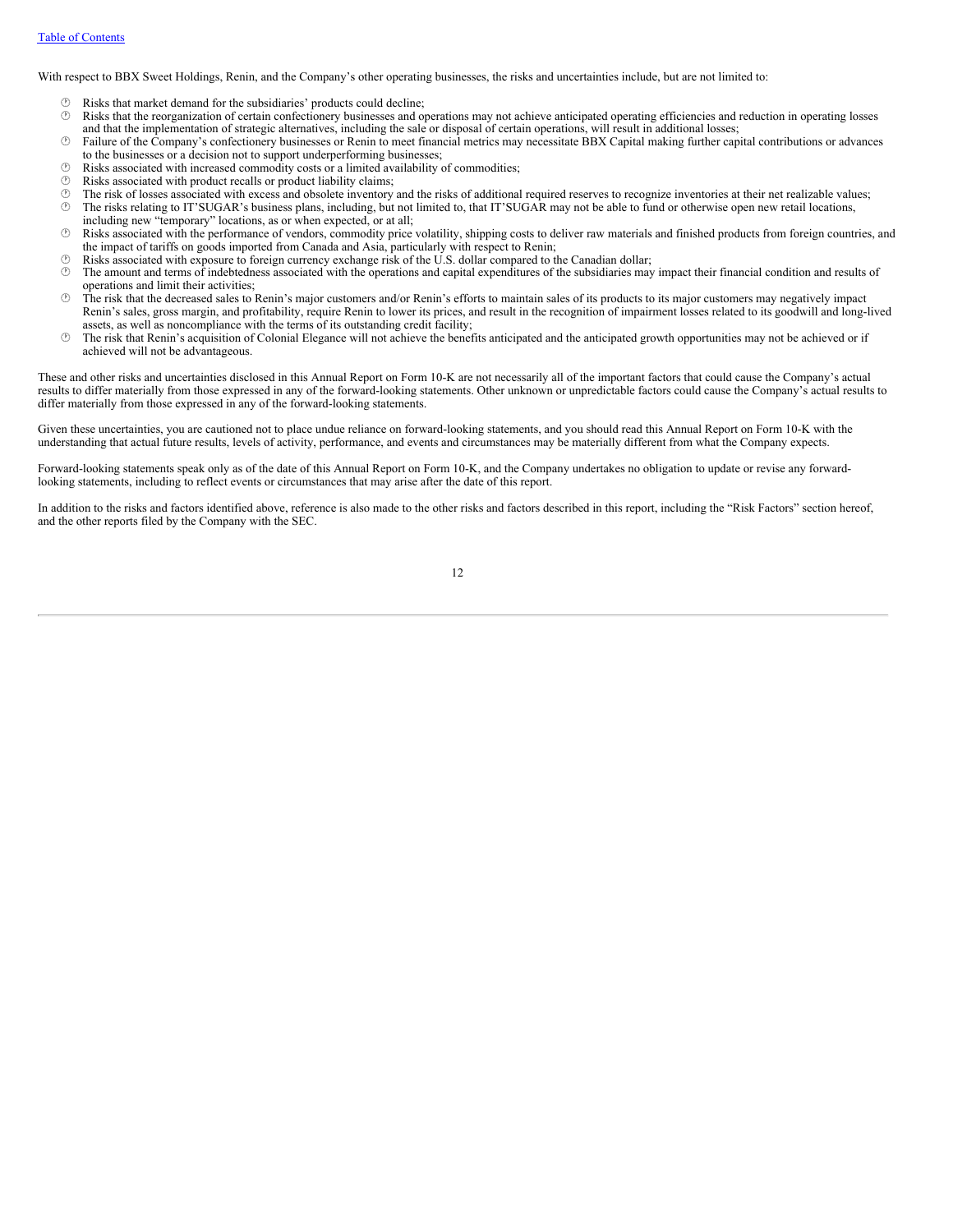With respect to BBX Sweet Holdings, Renin, and the Company's other operating businesses, the risks and uncertainties include, but are not limited to:

- $\circled{b}$  Risks that market demand for the subsidiaries' products could decline;<br> $\circled{b}$  Risks that the reorganization of certain confectionery businesses and or
- · Risks that the reorganization of certain confectionery businesses and operations may not achieve anticipated operating efficiencies and reduction in operating losses and that the implementation of strategic alternatives, including the sale or disposal of certain operations, will result in additional losses;
- · Failure of the Company's confectionery businesses or Renin to meet financial metrics may necessitate BBX Capital making further capital contributions or advances to the businesses or a decision not to support underperforming businesses;
- $\circled{b}$  Risks associated with increased commodity costs or a limited availability of commodities;<br> $\circled{b}$  Risks associated with product recalls or product liability claims:
- $\circled{r}$  Risks associated with product recalls or product liability claims;<br> $\circled{r}$  The risk of losses associated with excess and obsolete inventory
- $\circ$  The risk of losses associated with excess and obsolete inventory and the risks of additional required reserves to recognize inventories at their net realizable values;<br> $\circ$  The risks relating to IT'SUGAR's business p
- The risks relating to IT'SUGAR's business plans, including, but not limited to, that IT'SUGAR may not be able to fund or otherwise open new retail locations, including new "temporary" locations, as or when expected, or at all;
- · Risks associated with the performance of vendors, commodity price volatility, shipping costs to deliver raw materials and finished products from foreign countries, and the impact of tariffs on goods imported from Canada and Asia, particularly with respect to Renin;
- $\circled{b}$  Risks associated with exposure to foreign currency exchange risk of the U.S. dollar compared to the Canadian dollar;<br> $\circled{b}$  The amount and terms of indebtedness associated with the operations and canital expend
- The amount and terms of indebtedness associated with the operations and capital expenditures of the subsidiaries may impact their financial condition and results of operations and limit their activities;
- · The risk that the decreased sales to Renin's major customers and/or Renin's efforts to maintain sales of its products to its major customers may negatively impact Renin's sales, gross margin, and profitability, require Renin to lower its prices, and result in the recognition of impairment losses related to its goodwill and long-lived assets, as well as noncompliance with the terms of its outstanding credit facility;
- · The risk that Renin's acquisition of Colonial Elegance will not achieve the benefits anticipated and the anticipated growth opportunities may not be achieved or if achieved will not be advantageous.

These and other risks and uncertainties disclosed in this Annual Report on Form 10-K are not necessarily all of the important factors that could cause the Company's actual results to differ materially from those expressed in any of the forward-looking statements. Other unknown or unpredictable factors could cause the Company's actual results to differ materially from those expressed in any of the forward-looking statements.

Given these uncertainties, you are cautioned not to place undue reliance on forward-looking statements, and you should read this Annual Report on Form 10-K with the understanding that actual future results, levels of activity, performance, and events and circumstances may be materially different from what the Company expects.

Forward-looking statements speak only as of the date of this Annual Report on Form 10-K, and the Company undertakes no obligation to update or revise any forwardlooking statements, including to reflect events or circumstances that may arise after the date of this report.

In addition to the risks and factors identified above, reference is also made to the other risks and factors described in this report, including the "Risk Factors" section hereof, and the other reports filed by the Company with the SEC.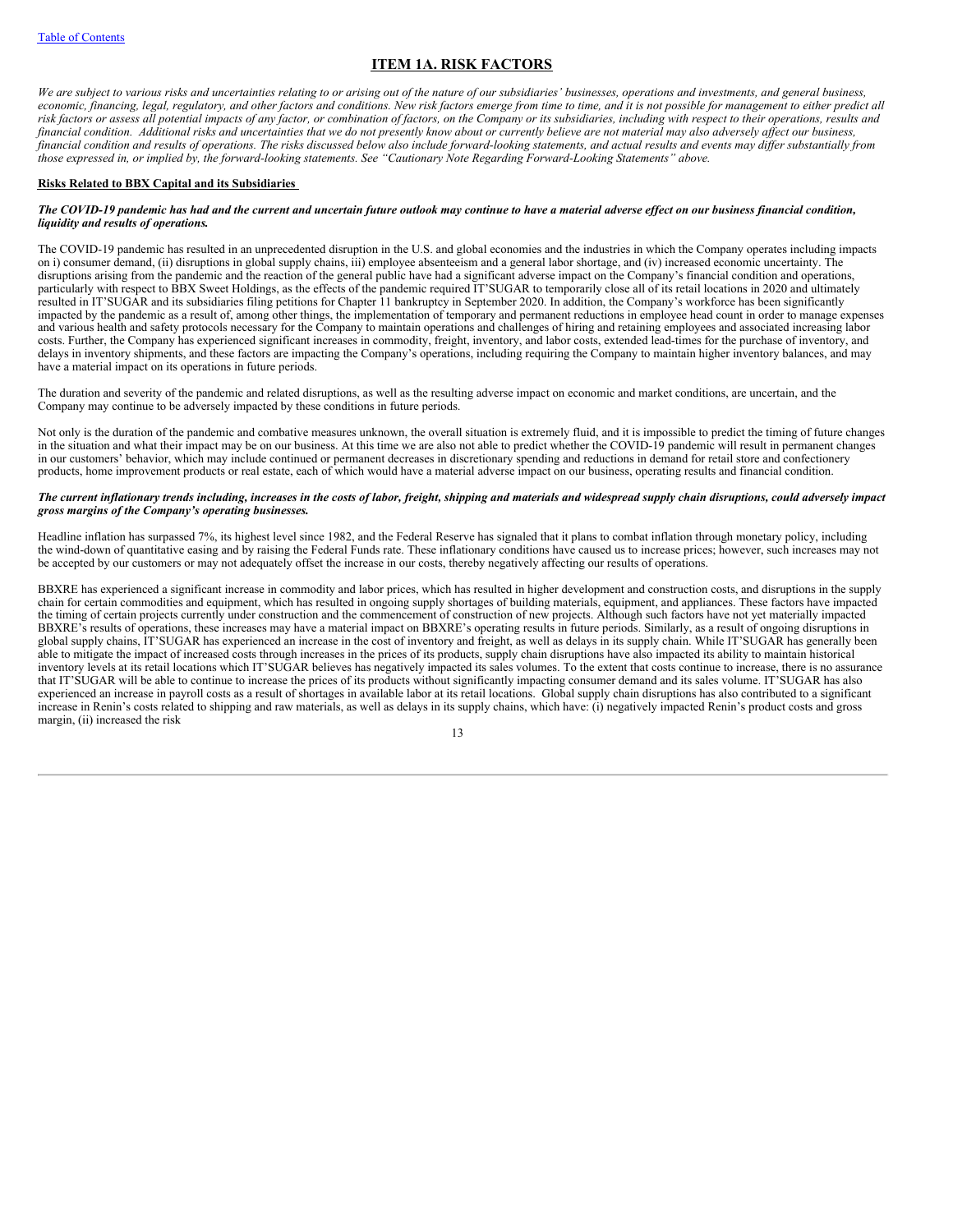# <span id="page-14-0"></span>**ITEM 1A. RISK FACTORS**

We are subject to various risks and uncertainties relating to or arising out of the nature of our subsidiaries' businesses, operations and investments, and general business, economic, financing, legal, regulatory, and other factors and conditions. New risk factors emerge from time to time, and it is not possible for management to either predict all risk factors or assess all potential impacts of any factor, or combination of factors, on the Company or its subsidiaries, including with respect to their operations, results and financial condition. Additional risks and uncertainties that we do not presently know about or currently believe are not material may also adversely affect our business, financial condition and results of operations. The risks discussed below also include forward-looking statements, and actual results and events may differ substantially from those expressed in, or implied by, the forward-looking statements. See "Cautionary Note Regarding Forward-Looking Statements" above.

## **Risks Related to BBX Capital and its Subsidiaries**

### The COVID-19 pandemic has had and the current and uncertain future outlook may continue to have a material adverse effect on our business financial condition, *liquidity and results of operations.*

The COVID-19 pandemic has resulted in an unprecedented disruption in the U.S. and global economies and the industries in which the Company operates including impacts on i) consumer demand, (ii) disruptions in global supply chains, iii) employee absenteeism and a general labor shortage, and (iv) increased economic uncertainty. The disruptions arising from the pandemic and the reaction of the general public have had a significant adverse impact on the Company's financial condition and operations, particularly with respect to BBX Sweet Holdings, as the effects of the pandemic required IT'SUGAR to temporarily close all of its retail locations in 2020 and ultimately resulted in IT'SUGAR and its subsidiaries filing petitions for Chapter 11 bankruptcy in September 2020. In addition, the Company's workforce has been significantly impacted by the pandemic as a result of, among other things, the implementation of temporary and permanent reductions in employee head count in order to manage expenses and various health and safety protocols necessary for the Company to maintain operations and challenges of hiring and retaining employees and associated increasing labor costs. Further, the Company has experienced significant increases in commodity, freight, inventory, and labor costs, extended lead-times for the purchase of inventory, and delays in inventory shipments, and these factors are impacting the Company's operations, including requiring the Company to maintain higher inventory balances, and may have a material impact on its operations in future periods.

The duration and severity of the pandemic and related disruptions, as well as the resulting adverse impact on economic and market conditions, are uncertain, and the Company may continue to be adversely impacted by these conditions in future periods.

Not only is the duration of the pandemic and combative measures unknown, the overall situation is extremely fluid, and it is impossible to predict the timing of future changes in the situation and what their impact may be on our business. At this time we are also not able to predict whether the COVID-19 pandemic will result in permanent changes in our customers' behavior, which may include continued or permanent decreases in discretionary spending and reductions in demand for retail store and confectionery products, home improvement products or real estate, each of which would have a material adverse impact on our business, operating results and financial condition.

# The current inflationary trends including, increases in the costs of labor, freight, shipping and materials and widespread supply chain disruptions, could adversely impact *gross margins of the Company's operating businesses.*

Headline inflation has surpassed 7%, its highest level since 1982, and the Federal Reserve has signaled that it plans to combat inflation through monetary policy, including the wind-down of quantitative easing and by raising the Federal Funds rate. These inflationary conditions have caused us to increase prices; however, such increases may not be accepted by our customers or may not adequately offset the increase in our costs, thereby negatively affecting our results of operations.

BBXRE has experienced a significant increase in commodity and labor prices, which has resulted in higher development and construction costs, and disruptions in the supply chain for certain commodities and equipment, which has resulted in ongoing supply shortages of building materials, equipment, and appliances. These factors have impacted the timing of certain projects currently under construction and the commencement of construction of new projects. Although such factors have not yet materially impacted BBXRE's results of operations, these increases may have a material impact on BBXRE's operating results in future periods. Similarly, as a result of ongoing disruptions in global supply chains, IT'SUGAR has experienced an increase in the cost of inventory and freight, as well as delays in its supply chain. While IT'SUGAR has generally been able to mitigate the impact of increased costs through increases in the prices of its products, supply chain disruptions have also impacted its ability to maintain historical inventory levels at its retail locations which IT'SUGAR believes has negatively impacted its sales volumes. To the extent that costs continue to increase, there is no assurance that IT'SUGAR will be able to continue to increase the prices of its products without significantly impacting consumer demand and its sales volume. IT'SUGAR has also experienced an increase in payroll costs as a result of shortages in available labor at its retail locations. Global supply chain disruptions has also contributed to a significant increase in Renin's costs related to shipping and raw materials, as well as delays in its supply chains, which have: (i) negatively impacted Renin's product costs and gross margin, (ii) increased the risk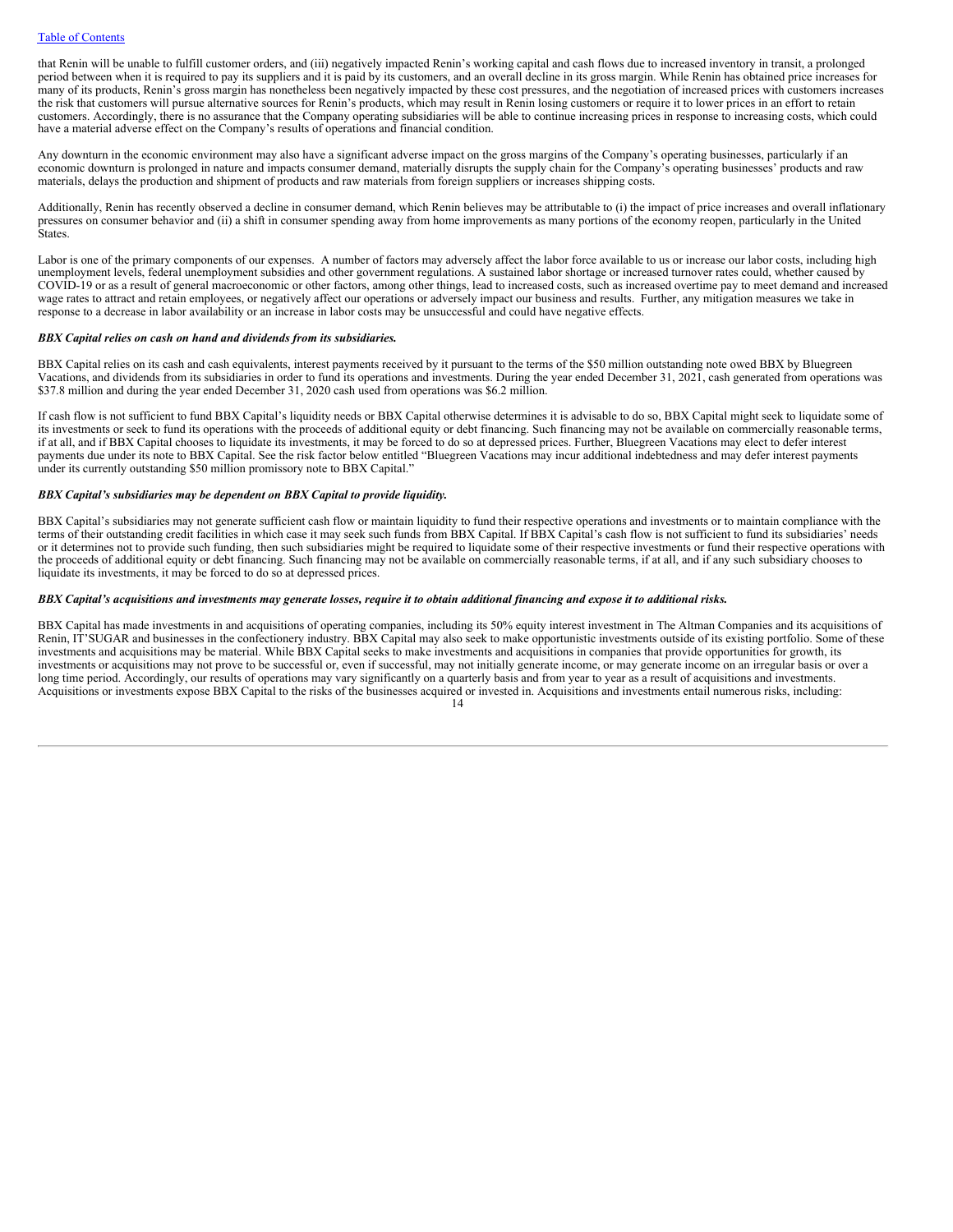that Renin will be unable to fulfill customer orders, and (iii) negatively impacted Renin's working capital and cash flows due to increased inventory in transit, a prolonged period between when it is required to pay its suppliers and it is paid by its customers, and an overall decline in its gross margin. While Renin has obtained price increases for many of its products, Renin's gross margin has nonetheless been negatively impacted by these cost pressures, and the negotiation of increased prices with customers increases the risk that customers will pursue alternative sources for Renin's products, which may result in Renin losing customers or require it to lower prices in an effort to retain customers. Accordingly, there is no assurance that the Company operating subsidiaries will be able to continue increasing prices in response to increasing costs, which could have a material adverse effect on the Company's results of operations and financial condition.

Any downturn in the economic environment may also have a significant adverse impact on the gross margins of the Company's operating businesses, particularly if an economic downturn is prolonged in nature and impacts consumer demand, materially disrupts the supply chain for the Company's operating businesses' products and raw materials, delays the production and shipment of products and raw materials from foreign suppliers or increases shipping costs.

Additionally, Renin has recently observed a decline in consumer demand, which Renin believes may be attributable to (i) the impact of price increases and overall inflationary pressures on consumer behavior and (ii) a shift in consumer spending away from home improvements as many portions of the economy reopen, particularly in the United States.

Labor is one of the primary components of our expenses. A number of factors may adversely affect the labor force available to us or increase our labor costs, including high unemployment levels, federal unemployment subsidies and other government regulations. A sustained labor shortage or increased turnover rates could, whether caused by COVID-19 or as a result of general macroeconomic or other factors, among other things, lead to increased costs, such as increased overtime pay to meet demand and increased wage rates to attract and retain employees, or negatively affect our operations or adversely impact our business and results. Further, any mitigation measures we take in response to a decrease in labor availability or an increase in labor costs may be unsuccessful and could have negative effects.

## *BBX Capital relies on cash on hand and dividends from its subsidiaries.*

BBX Capital relies on its cash and cash equivalents, interest payments received by it pursuant to the terms of the \$50 million outstanding note owed BBX by Bluegreen Vacations, and dividends from its subsidiaries in order to fund its operations and investments. During the year ended December 31, 2021, cash generated from operations was \$37.8 million and during the year ended December 31, 2020 cash used from operations was \$6.2 million.

If cash flow is not sufficient to fund BBX Capital's liquidity needs or BBX Capital otherwise determines it is advisable to do so, BBX Capital might seek to liquidate some of its investments or seek to fund its operations with the proceeds of additional equity or debt financing. Such financing may not be available on commercially reasonable terms, if at all, and if BBX Capital chooses to liquidate its investments, it may be forced to do so at depressed prices. Further, Bluegreen Vacations may elect to defer interest payments due under its note to BBX Capital. See the risk factor below entitled "Bluegreen Vacations may incur additional indebtedness and may defer interest payments under its currently outstanding \$50 million promissory note to BBX Capital."

# *BBX Capital's subsidiaries may be dependent on BBX Capital to provide liquidity.*

BBX Capital's subsidiaries may not generate sufficient cash flow or maintain liquidity to fund their respective operations and investments or to maintain compliance with the terms of their outstanding credit facilities in which case it may seek such funds from BBX Capital. If BBX Capital's cash flow is not sufficient to fund its subsidiaries' needs or it determines not to provide such funding, then such subsidiaries might be required to liquidate some of their respective investments or fund their respective operations with the proceeds of additional equity or debt financing. Such financing may not be available on commercially reasonable terms, if at all, and if any such subsidiary chooses to liquidate its investments, it may be forced to do so at depressed prices.

# BBX Capital's acquisitions and investments may generate losses, require it to obtain additional financing and expose it to additional risks.

BBX Capital has made investments in and acquisitions of operating companies, including its 50% equity interest investment in The Altman Companies and its acquisitions of Renin, IT'SUGAR and businesses in the confectionery industry. BBX Capital may also seek to make opportunistic investments outside of its existing portfolio. Some of these investments and acquisitions may be material. While BBX Capital seeks to make investments and acquisitions in companies that provide opportunities for growth, its investments or acquisitions may not prove to be successful or, even if successful, may not initially generate income, or may generate income on an irregular basis or over a long time period. Accordingly, our results of operations may vary significantly on a quarterly basis and from year to year as a result of acquisitions and investments. Acquisitions or investments expose BBX Capital to the risks of the businesses acquired or invested in. Acquisitions and investments entail numerous risks, including: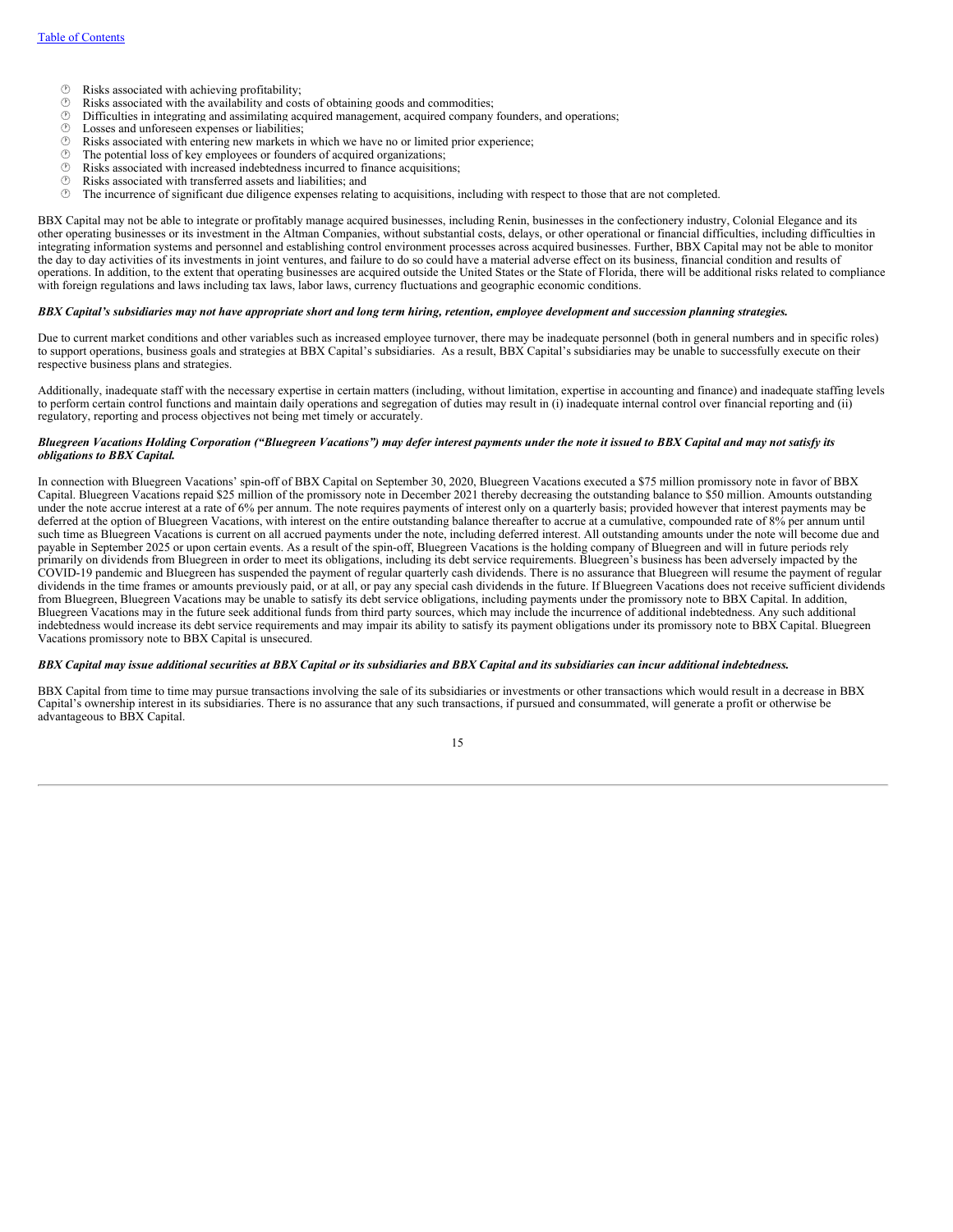- $\circled{)}$  Risks associated with achieving profitability;<br> $\circled{)}$  Risks associated with the availability and cost
- $\circled{b}$  Risks associated with the availability and costs of obtaining goods and commodities;<br> $\circled{b}$  Difficulties in integrating and assimilating acquired management, acquired company
- $\circled{r}$  Difficulties in integrating and assimilating acquired management, acquired company founders, and operations;<br> $\circled{r}$  Losses and unforeseen expenses or liabilities:
- $\circled{2}$  Losses and unforeseen expenses or liabilities;<br> $\circled{2}$  Risks associated with entering new markets in
- $\circled{r}$  Risks associated with entering new markets in which we have no or limited prior experience;<br> $\circled{r}$  The potential loss of key employees or founders of acquired organizations:
- $\circled{}$  The potential loss of key employees or founders of acquired organizations;  $\circled{}$  Risks associated with increased indebtedness incurred to finance acquisition
- $\circled{ }$  Risks associated with increased indebtedness incurred to finance acquisitions;<br> $\circled{ }$  Risks associated with transferred assets and liabilities; and
- $\circled{r}$  Risks associated with transferred assets and liabilities; and  $\circled{r}$  The incurrence of significant due diligence expenses relatively
- The incurrence of significant due diligence expenses relating to acquisitions, including with respect to those that are not completed.

BBX Capital may not be able to integrate or profitably manage acquired businesses, including Renin, businesses in the confectionery industry, Colonial Elegance and its other operating businesses or its investment in the Altman Companies, without substantial costs, delays, or other operational or financial difficulties, including difficulties in integrating information systems and personnel and establishing control environment processes across acquired businesses. Further, BBX Capital may not be able to monitor the day to day activities of its investments in joint ventures, and failure to do so could have a material adverse effect on its business, financial condition and results of operations. In addition, to the extent that operating businesses are acquired outside the United States or the State of Florida, there will be additional risks related to compliance with foreign regulations and laws including tax laws, labor laws, currency fluctuations and geographic economic conditions.

#### BBX Capital's subsidiaries may not have appropriate short and long term hiring, retention, employee development and succession planning strategies.

Due to current market conditions and other variables such as increased employee turnover, there may be inadequate personnel (both in general numbers and in specific roles) to support operations, business goals and strategies at BBX Capital's subsidiaries. As a result, BBX Capital's subsidiaries may be unable to successfully execute on their respective business plans and strategies.

Additionally, inadequate staff with the necessary expertise in certain matters (including, without limitation, expertise in accounting and finance) and inadequate staffing levels to perform certain control functions and maintain daily operations and segregation of duties may result in (i) inadequate internal control over financial reporting and (ii) regulatory, reporting and process objectives not being met timely or accurately.

# Bluegreen Vacations Holding Corporation ("Bluegreen Vacations") may defer interest payments under the note it issued to BBX Capital and may not satisfy its *obligations to BBX Capital.*

In connection with Bluegreen Vacations' spin-off of BBX Capital on September 30, 2020, Bluegreen Vacations executed a \$75 million promissory note in favor of BBX Capital. Bluegreen Vacations repaid \$25 million of the promissory note in December 2021 thereby decreasing the outstanding balance to \$50 million. Amounts outstanding under the note accrue interest at a rate of 6% per annum. The note requires payments of interest only on a quarterly basis; provided however that interest payments may be deferred at the option of Bluegreen Vacations, with interest on the entire outstanding balance thereafter to accrue at a cumulative, compounded rate of 8% per annum until such time as Bluegreen Vacations is current on all accrued payments under the note, including deferred interest. All outstanding amounts under the note will become due and payable in September 2025 or upon certain events. As a result of the spin-off, Bluegreen Vacations is the holding company of Bluegreen and will in future periods rely primarily on dividends from Bluegreen in order to meet its obligations, including its debt service requirements. Bluegreen's business has been adversely impacted by the COVID-19 pandemic and Bluegreen has suspended the payment of regular quarterly cash dividends. There is no assurance that Bluegreen will resume the payment of regular dividends in the time frames or amounts previously paid, or at all, or pay any special cash dividends in the future. If Bluegreen Vacations does not receive sufficient dividends from Bluegreen, Bluegreen Vacations may be unable to satisfy its debt service obligations, including payments under the promissory note to BBX Capital. In addition, Bluegreen Vacations may in the future seek additional funds from third party sources, which may include the incurrence of additional indebtedness. Any such additional indebtedness would increase its debt service requirements and may impair its ability to satisfy its payment obligations under its promissory note to BBX Capital. Bluegreen Vacations promissory note to BBX Capital is unsecured.

# BBX Capital may issue additional securities at BBX Capital or its subsidiaries and BBX Capital and its subsidiaries can incur additional indebtedness.

BBX Capital from time to time may pursue transactions involving the sale of its subsidiaries or investments or other transactions which would result in a decrease in BBX Capital's ownership interest in its subsidiaries. There is no assurance that any such transactions, if pursued and consummated, will generate a profit or otherwise be advantageous to BBX Capital.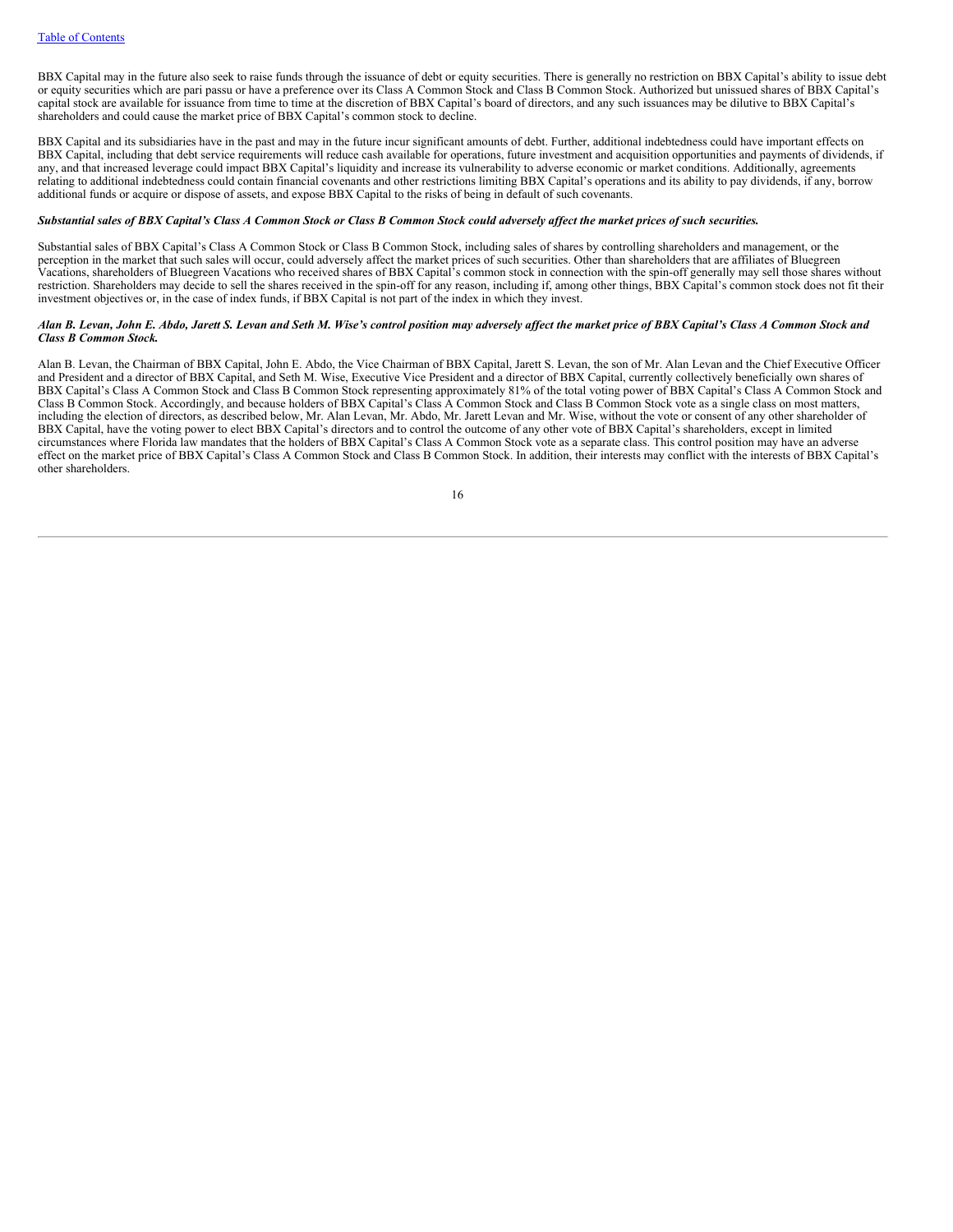BBX Capital may in the future also seek to raise funds through the issuance of debt or equity securities. There is generally no restriction on BBX Capital's ability to issue debt or equity securities which are pari passu or have a preference over its Class A Common Stock and Class B Common Stock. Authorized but unissued shares of BBX Capital's capital stock are available for issuance from time to time at the discretion of BBX Capital's board of directors, and any such issuances may be dilutive to BBX Capital's shareholders and could cause the market price of BBX Capital's common stock to decline.

BBX Capital and its subsidiaries have in the past and may in the future incur significant amounts of debt. Further, additional indebtedness could have important effects on BBX Capital, including that debt service requirements will reduce cash available for operations, future investment and acquisition opportunities and payments of dividends, if any, and that increased leverage could impact BBX Capital's liquidity and increase its vulnerability to adverse economic or market conditions. Additionally, agreements relating to additional indebtedness could contain financial covenants and other restrictions limiting BBX Capital's operations and its ability to pay dividends, if any, borrow additional funds or acquire or dispose of assets, and expose BBX Capital to the risks of being in default of such covenants.

# Substantial sales of BBX Capital's Class A Common Stock or Class B Common Stock could adversely affect the market prices of such securities.

Substantial sales of BBX Capital's Class A Common Stock or Class B Common Stock, including sales of shares by controlling shareholders and management, or the perception in the market that such sales will occur, could adversely affect the market prices of such securities. Other than shareholders that are affiliates of Bluegreen Vacations, shareholders of Bluegreen Vacations who received shares of BBX Capital's common stock in connection with the spin-off generally may sell those shares without restriction. Shareholders may decide to sell the shares received in the spin-off for any reason, including if, among other things, BBX Capital's common stock does not fit their investment objectives or, in the case of index funds, if BBX Capital is not part of the index in which they invest.

## Alan B. Levan, John E. Abdo, Jarett S. Levan and Seth M. Wise's control position may adversely affect the market price of BBX Capital's Class A Common Stock and *Class B Common Stock.*

Alan B. Levan, the Chairman of BBX Capital, John E. Abdo, the Vice Chairman of BBX Capital, Jarett S. Levan, the son of Mr. Alan Levan and the Chief Executive Officer and President and a director of BBX Capital, and Seth M. Wise, Executive Vice President and a director of BBX Capital, currently collectively beneficially own shares of BBX Capital's Class A Common Stock and Class B Common Stock representing approximately 81% of the total voting power of BBX Capital's Class A Common Stock and Class B Common Stock. Accordingly, and because holders of BBX Capital's Class A Common Stock and Class B Common Stock vote as a single class on most matters, including the election of directors, as described below, Mr. Alan Levan, Mr. Abdo, Mr. Jarett Levan and Mr. Wise, without the vote or consent of any other shareholder of BBX Capital, have the voting power to elect BBX Capital's directors and to control the outcome of any other vote of BBX Capital's shareholders, except in limited circumstances where Florida law mandates that the holders of BBX Capital's Class A Common Stock vote as a separate class. This control position may have an adverse effect on the market price of BBX Capital's Class A Common Stock and Class B Common Stock. In addition, their interests may conflict with the interests of BBX Capital's other shareholders.

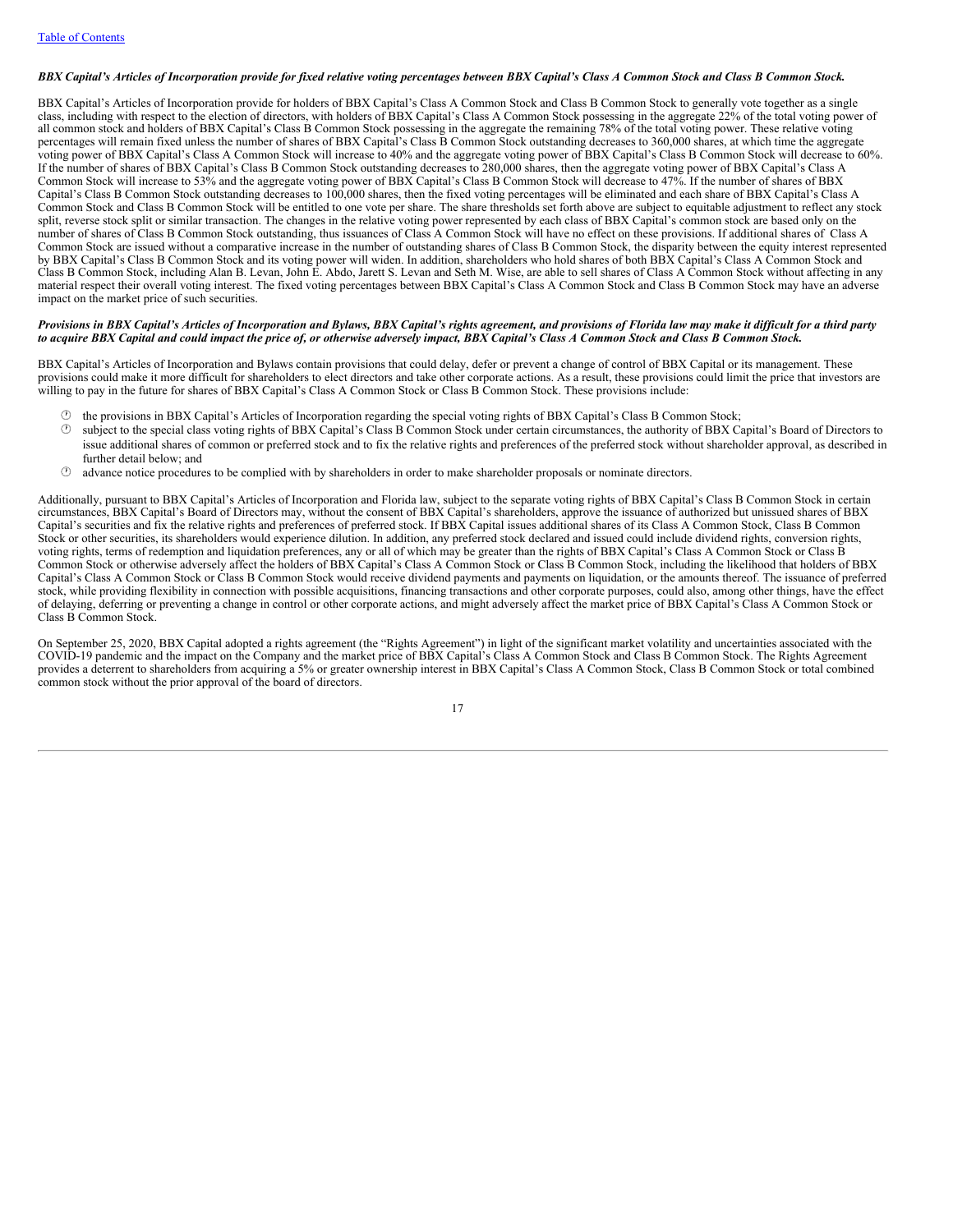# BBX Capital's Articles of Incorporation provide for fixed relative voting percentages between BBX Capital's Class A Common Stock and Class B Common Stock.

BBX Capital's Articles of Incorporation provide for holders of BBX Capital's Class A Common Stock and Class B Common Stock to generally vote together as a single class, including with respect to the election of directors, with holders of BBX Capital's Class A Common Stock possessing in the aggregate 22% of the total voting power of all common stock and holders of BBX Capital's Class B Common Stock possessing in the aggregate the remaining 78% of the total voting power. These relative voting percentages will remain fixed unless the number of shares of BBX Capital's Class B Common Stock outstanding decreases to 360,000 shares, at which time the aggregate voting power of BBX Capital's Class A Common Stock will increase to 40% and the aggregate voting power of BBX Capital's Class B Common Stock will decrease to 60%. If the number of shares of BBX Capital's Class B Common Stock outstanding decreases to 280,000 shares, then the aggregate voting power of BBX Capital's Class A Common Stock will increase to 53% and the aggregate voting power of BBX Capital's Class B Common Stock will decrease to 47%. If the number of shares of BBX Capital's Class B Common Stock outstanding decreases to 100,000 shares, then the fixed voting percentages will be eliminated and each share of BBX Capital's Class A Common Stock and Class B Common Stock will be entitled to one vote per share. The share thresholds set forth above are subject to equitable adjustment to reflect any stock split, reverse stock split or similar transaction. The changes in the relative voting power represented by each class of BBX Capital's common stock are based only on the number of shares of Class B Common Stock outstanding, thus issuances of Class A Common Stock will have no effect on these provisions. If additional shares of Class A Common Stock are issued without a comparative increase in the number of outstanding shares of Class B Common Stock, the disparity between the equity interest represented by BBX Capital's Class B Common Stock and its voting power will widen. In addition, shareholders who hold shares of both BBX Capital's Class A Common Stock and Class B Common Stock, including Alan B. Levan, John E. Abdo, Jarett S. Levan and Seth M. Wise, are able to sell shares of Class A Common Stock without affecting in any material respect their overall voting interest. The fixed voting percentages between BBX Capital's Class A Common Stock and Class B Common Stock may have an adverse impact on the market price of such securities.

### Provisions in BBX Capital's Articles of Incorporation and Bylaws, BBX Capital's rights agreement, and provisions of Florida law may make it difficult for a third party to acquire BBX Capital and could impact the price of, or otherwise adversely impact, BBX Capital's Class A Common Stock and Class B Common Stock.

BBX Capital's Articles of Incorporation and Bylaws contain provisions that could delay, defer or prevent a change of control of BBX Capital or its management. These provisions could make it more difficult for shareholders to elect directors and take other corporate actions. As a result, these provisions could limit the price that investors are willing to pay in the future for shares of BBX Capital's Class A Common Stock or Class B Common Stock. These provisions include:

- · the provisions in BBX Capital's Articles of Incorporation regarding the special voting rights of BBX Capital's Class B Common Stock;
- · subject to the special class voting rights of BBX Capital's Class B Common Stock under certain circumstances, the authority of BBX Capital's Board of Directors to issue additional shares of common or preferred stock and to fix the relative rights and preferences of the preferred stock without shareholder approval, as described in further detail below; and
- $<sup>①</sup>$  advance notice procedures to be complied with by shareholders in order to make shareholder proposals or nominate directors.</sup>

Additionally, pursuant to BBX Capital's Articles of Incorporation and Florida law, subject to the separate voting rights of BBX Capital's Class B Common Stock in certain circumstances, BBX Capital's Board of Directors may, without the consent of BBX Capital's shareholders, approve the issuance of authorized but unissued shares of BBX Capital's securities and fix the relative rights and preferences of preferred stock. If BBX Capital issues additional shares of its Class A Common Stock, Class B Common Stock or other securities, its shareholders would experience dilution. In addition, any preferred stock declared and issued could include dividend rights, conversion rights, voting rights, terms of redemption and liquidation preferences, any or all of which may be greater than the rights of BBX Capital's Class A Common Stock or Class B Common Stock or otherwise adversely affect the holders of BBX Capital's Class A Common Stock or Class B Common Stock, including the likelihood that holders of BBX Capital's Class A Common Stock or Class B Common Stock would receive dividend payments and payments on liquidation, or the amounts thereof. The issuance of preferred stock, while providing flexibility in connection with possible acquisitions, financing transactions and other corporate purposes, could also, among other things, have the effect of delaying, deferring or preventing a change in control or other corporate actions, and might adversely affect the market price of BBX Capital's Class A Common Stock or Class B Common Stock.

On September 25, 2020, BBX Capital adopted a rights agreement (the "Rights Agreement") in light of the significant market volatility and uncertainties associated with the COVID-19 pandemic and the impact on the Company and the market price of BBX Capital's Class A Common Stock and Class B Common Stock. The Rights Agreement provides a deterrent to shareholders from acquiring a 5% or greater ownership interest in BBX Capital's Class A Common Stock, Class B Common Stock or total combined common stock without the prior approval of the board of directors.

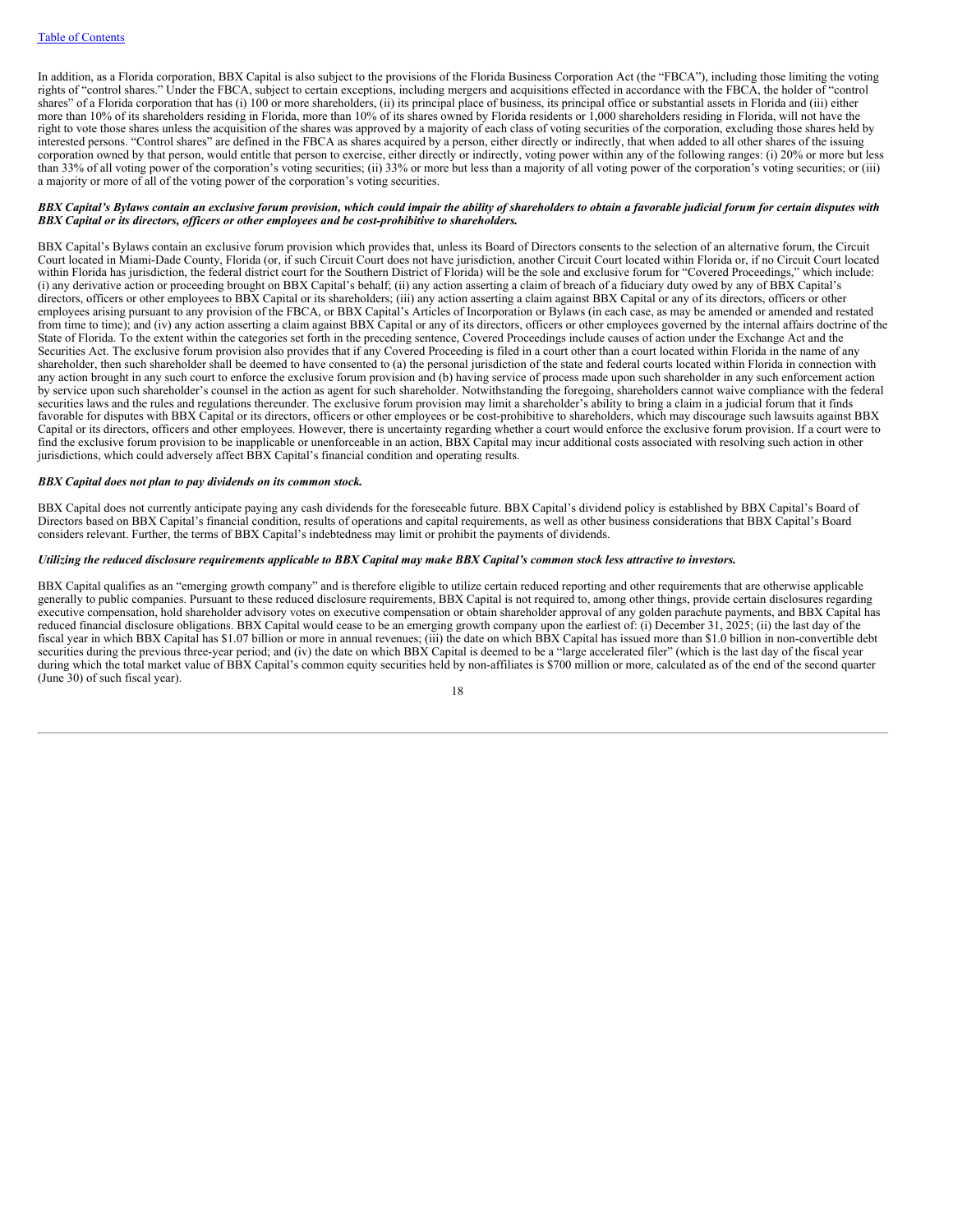In addition, as a Florida corporation, BBX Capital is also subject to the provisions of the Florida Business Corporation Act (the "FBCA"), including those limiting the voting rights of "control shares." Under the FBCA, subject to certain exceptions, including mergers and acquisitions effected in accordance with the FBCA, the holder of "control shares" of a Florida corporation that has (i) 100 or more shareholders, (ii) its principal place of business, its principal office or substantial assets in Florida and (iii) either more than 10% of its shareholders residing in Florida, more than 10% of its shares owned by Florida residents or 1,000 shareholders residing in Florida, will not have the right to vote those shares unless the acquisition of the shares was approved by a majority of each class of voting securities of the corporation, excluding those shares held by interested persons. "Control shares" are defined in the FBCA as shares acquired by a person, either directly or indirectly, that when added to all other shares of the issuing corporation owned by that person, would entitle that person to exercise, either directly or indirectly, voting power within any of the following ranges: (i) 20% or more but less than 33% of all voting power of the corporation's voting securities; (ii) 33% or more but less than a majority of all voting power of the corporation's voting securities; or (iii) a majority or more of all of the voting power of the corporation's voting securities.

# BBX Capital's Bylaws contain an exclusive forum provision, which could impair the ability of shareholders to obtain a favorable judicial forum for certain disputes with *BBX Capital or its directors, of icers or other employees and be cost-prohibitive to shareholders.*

BBX Capital's Bylaws contain an exclusive forum provision which provides that, unless its Board of Directors consents to the selection of an alternative forum, the Circuit Court located in Miami-Dade County, Florida (or, if such Circuit Court does not have jurisdiction, another Circuit Court located within Florida or, if no Circuit Court located within Florida has jurisdiction, the federal district court for the Southern District of Florida) will be the sole and exclusive forum for "Covered Proceedings," which include: (i) any derivative action or proceeding brought on BBX Capital's behalf; (ii) any action asserting a claim of breach of a fiduciary duty owed by any of BBX Capital's directors, officers or other employees to BBX Capital or its shareholders; (iii) any action asserting a claim against BBX Capital or any of its directors, officers or other employees arising pursuant to any provision of the FBCA, or BBX Capital's Articles of Incorporation or Bylaws (in each case, as may be amended or amended and restated from time to time); and (iv) any action asserting a claim against BBX Capital or any of its directors, officers or other employees governed by the internal affairs doctrine of the State of Florida. To the extent within the categories set forth in the preceding sentence, Covered Proceedings include causes of action under the Exchange Act and the Securities Act. The exclusive forum provision also provides that if any Covered Proceeding is filed in a court other than a court located within Florida in the name of any shareholder, then such shareholder shall be deemed to have consented to (a) the personal jurisdiction of the state and federal courts located within Florida in connection with any action brought in any such court to enforce the exclusive forum provision and (b) having service of process made upon such shareholder in any such enforcement action by service upon such shareholder's counsel in the action as agent for such shareholder. Notwithstanding the foregoing, shareholders cannot waive compliance with the federal securities laws and the rules and regulations thereunder. The exclusive forum provision may limit a shareholder's ability to bring a claim in a judicial forum that it finds favorable for disputes with BBX Capital or its directors, officers or other employees or be cost-prohibitive to shareholders, which may discourage such lawsuits against BBX Capital or its directors, officers and other employees. However, there is uncertainty regarding whether a court would enforce the exclusive forum provision. If a court were to find the exclusive forum provision to be inapplicable or unenforceable in an action, BBX Capital may incur additional costs associated with resolving such action in other jurisdictions, which could adversely affect BBX Capital's financial condition and operating results.

### *BBX Capital does not plan to pay dividends on its common stock.*

BBX Capital does not currently anticipate paying any cash dividends for the foreseeable future. BBX Capital's dividend policy is established by BBX Capital's Board of Directors based on BBX Capital's financial condition, results of operations and capital requirements, as well as other business considerations that BBX Capital's Board considers relevant. Further, the terms of BBX Capital's indebtedness may limit or prohibit the payments of dividends.

# Utilizing the reduced disclosure requirements applicable to BBX Capital may make BBX Capital's common stock less attractive to investors.

BBX Capital qualifies as an "emerging growth company" and is therefore eligible to utilize certain reduced reporting and other requirements that are otherwise applicable generally to public companies. Pursuant to these reduced disclosure requirements, BBX Capital is not required to, among other things, provide certain disclosures regarding executive compensation, hold shareholder advisory votes on executive compensation or obtain shareholder approval of any golden parachute payments, and BBX Capital has reduced financial disclosure obligations. BBX Capital would cease to be an emerging growth company upon the earliest of: (i) December 31, 2025; (ii) the last day of the fiscal year in which BBX Capital has \$1.07 billion or more in annual revenues; (iii) the date on which BBX Capital has issued more than \$1.0 billion in non-convertible debt securities during the previous three-year period; and (iv) the date on which BBX Capital is deemed to be a "large accelerated filer" (which is the last day of the fiscal year during which the total market value of BBX Capital's common equity securities held by non-affiliates is \$700 million or more, calculated as of the end of the second quarter (June 30) of such fiscal year).

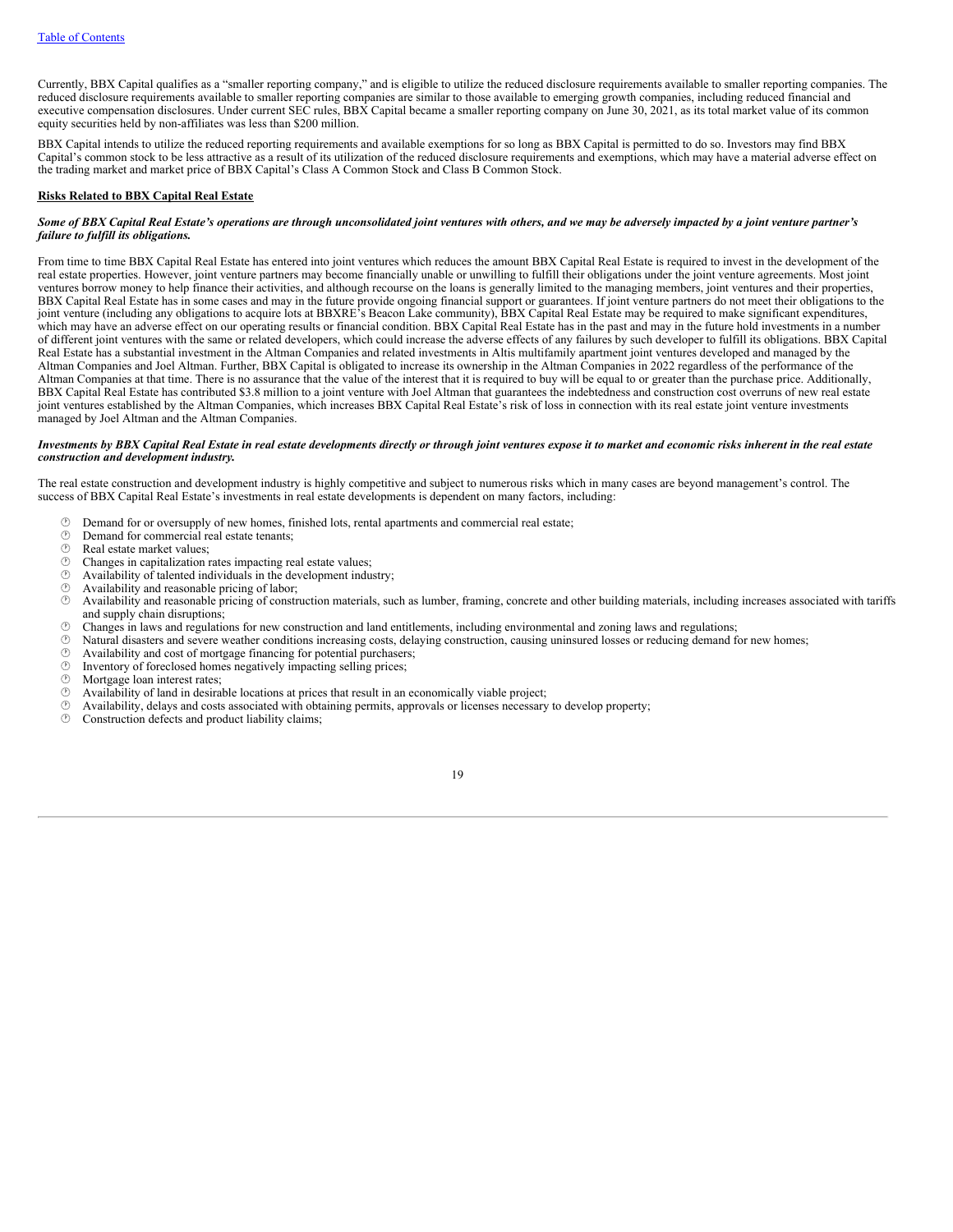Currently, BBX Capital qualifies as a "smaller reporting company," and is eligible to utilize the reduced disclosure requirements available to smaller reporting companies. The reduced disclosure requirements available to smaller reporting companies are similar to those available to emerging growth companies, including reduced financial and executive compensation disclosures. Under current SEC rules, BBX Capital became a smaller reporting company on June 30, 2021, as its total market value of its common equity securities held by non-affiliates was less than \$200 million.

BBX Capital intends to utilize the reduced reporting requirements and available exemptions for so long as BBX Capital is permitted to do so. Investors may find BBX Capital's common stock to be less attractive as a result of its utilization of the reduced disclosure requirements and exemptions, which may have a material adverse effect on the trading market and market price of BBX Capital's Class A Common Stock and Class B Common Stock.

### **Risks Related to BBX Capital Real Estate**

## Some of BBX Capital Real Estate's operations are through unconsolidated joint ventures with others, and we may be adversely impacted by a joint venture partner's *failure to fulfill its obligations.*

From time to time BBX Capital Real Estate has entered into joint ventures which reduces the amount BBX Capital Real Estate is required to invest in the development of the real estate properties. However, joint venture partners may become financially unable or unwilling to fulfill their obligations under the joint venture agreements. Most joint ventures borrow money to help finance their activities, and although recourse on the loans is generally limited to the managing members, joint ventures and their properties, BBX Capital Real Estate has in some cases and may in the future provide ongoing financial support or guarantees. If joint venture partners do not meet their obligations to the joint venture (including any obligations to acquire lots at BBXRE's Beacon Lake community), BBX Capital Real Estate may be required to make significant expenditures, which may have an adverse effect on our operating results or financial condition. BBX Capital Real Estate has in the past and may in the future hold investments in a number of different joint ventures with the same or related developers, which could increase the adverse effects of any failures by such developer to fulfill its obligations. BBX Capital Real Estate has a substantial investment in the Altman Companies and related investments in Altis multifamily apartment joint ventures developed and managed by the Altman Companies and Joel Altman. Further, BBX Capital is obligated to increase its ownership in the Altman Companies in 2022 regardless of the performance of the Altman Companies at that time. There is no assurance that the value of the interest that it is required to buy will be equal to or greater than the purchase price. Additionally, BBX Capital Real Estate has contributed \$3.8 million to a joint venture with Joel Altman that guarantees the indebtedness and construction cost overruns of new real estate joint ventures established by the Altman Companies, which increases BBX Capital Real Estate's risk of loss in connection with its real estate joint venture investments managed by Joel Altman and the Altman Companies.

# Investments by BBX Capital Real Estate in real estate developments directly or through joint ventures expose it to market and economic risks inherent in the real estate *construction and development industry.*

The real estate construction and development industry is highly competitive and subject to numerous risks which in many cases are beyond management's control. The success of BBX Capital Real Estate's investments in real estate developments is dependent on many factors, including:

- $\circled{r}$  Demand for or oversupply of new homes, finished lots, rental apartments and commercial real estate;<br> $\circled{r}$  Demand for commercial real estate tenants:
- $\circled{?}$  Demand for commercial real estate tenants;<br> $\circled{>}$  Real estate market values:
- $\circled{?}$  Real estate market values;<br> $\circled{?}$  Changes in canitalization is
- $\circled{r}$  Changes in capitalization rates impacting real estate values;<br> $\circled{r}$  Availability of talented individuals in the development indu-
- $\circled{?}$  Availability of talented individuals in the development industry;<br> $\circled{>}$  Availability and reasonable pricing of labor:
- $\circled{1}$  Availability and reasonable pricing of labor;<br> $\circled{2}$  Availability and reasonable pricing of constr
- · Availability and reasonable pricing of construction materials, such as lumber, framing, concrete and other building materials, including increases associated with tariffs and supply chain disruptions;
- $\circ$  Changes in laws and regulations for new construction and land entitlements, including environmental and zoning laws and regulations;<br> $\circ$  Natural disasters and severe weather conditions increasing costs delaying cons
- $\circled{}$  Natural disasters and severe weather conditions increasing costs, delaying construction, causing uninsured losses or reducing demand for new homes;<br> $\circled{}$  Availability and cost of mortgage financing for potential
- $\circled{}$  Availability and cost of mortgage financing for potential purchasers;<br> $\circled{}$  Inventory of foreclosed homes negatively impacting selling prices:
- $\circled{1}$  Inventory of foreclosed homes negatively impacting selling prices;<br> $\circled{1}$  Morteage loan interest rates:
- $\circled{r}$  Mortgage loan interest rates;<br> $\circled{r}$  Availability of land in desiral
- $\circled{?}$  Availability of land in desirable locations at prices that result in an economically viable project;  $\circled{?}$  Availability delays and costs associated with obtaining permits, approvals or licenses necessary
- $\circled{ }$  Availability, delays and costs associated with obtaining permits, approvals or licenses necessary to develop property;<br> $\circled{ }$  Construction defects and product liability claims:
- Construction defects and product liability claims;

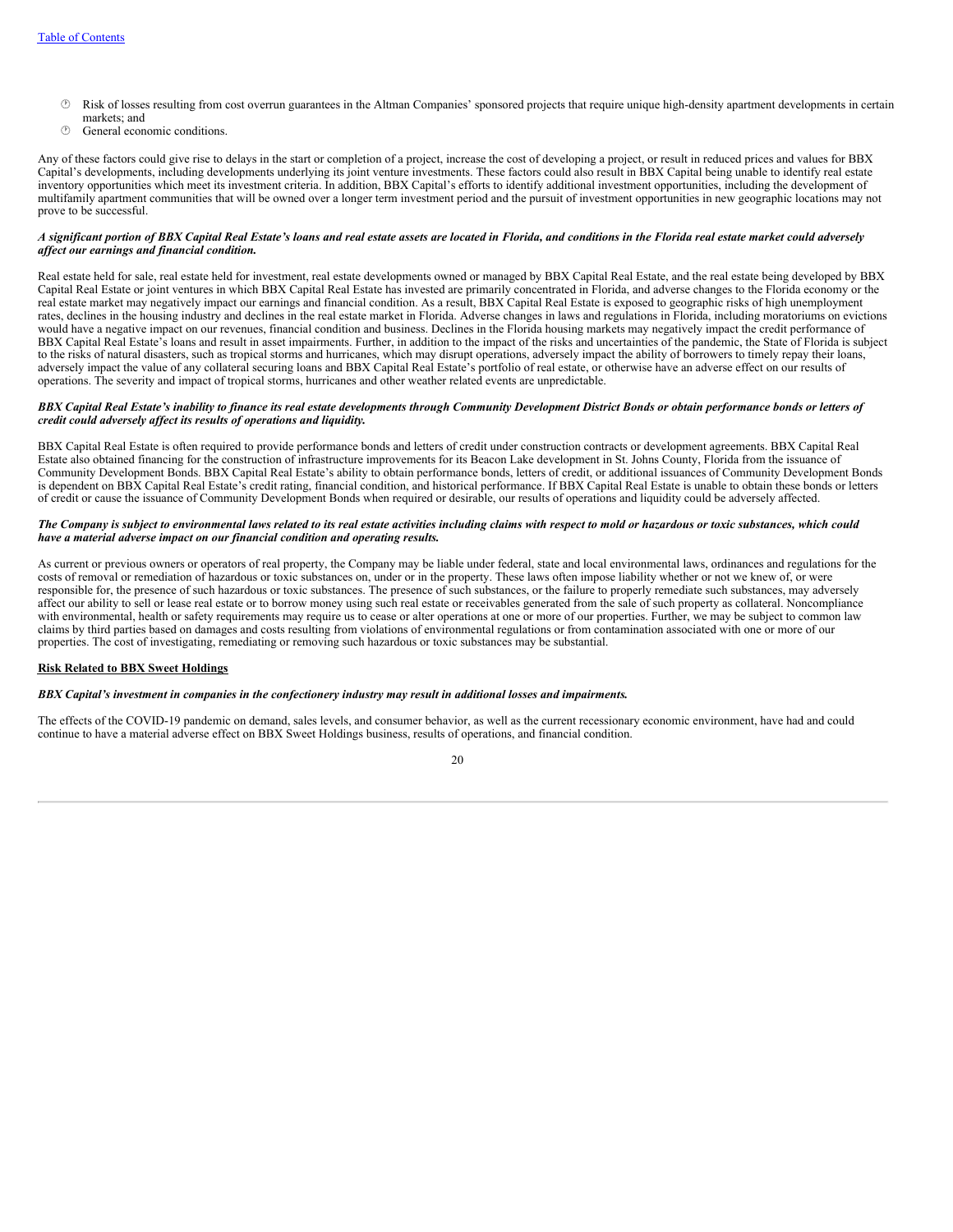- · Risk of losses resulting from cost overrun guarantees in the Altman Companies' sponsored projects that require unique high-density apartment developments in certain markets; and
- **<sup>** $\circledcirc$ **</sup>** General economic conditions.

Any of these factors could give rise to delays in the start or completion of a project, increase the cost of developing a project, or result in reduced prices and values for BBX Capital's developments, including developments underlying its joint venture investments. These factors could also result in BBX Capital being unable to identify real estate inventory opportunities which meet its investment criteria. In addition, BBX Capital's efforts to identify additional investment opportunities, including the development of multifamily apartment communities that will be owned over a longer term investment period and the pursuit of investment opportunities in new geographic locations may not prove to be successful.

# A significant portion of BBX Capital Real Estate's loans and real estate assets are located in Florida, and conditions in the Florida real estate market could adversely *af ect our earnings and financial condition.*

Real estate held for sale, real estate held for investment, real estate developments owned or managed by BBX Capital Real Estate, and the real estate being developed by BBX Capital Real Estate or joint ventures in which BBX Capital Real Estate has invested are primarily concentrated in Florida, and adverse changes to the Florida economy or the real estate market may negatively impact our earnings and financial condition. As a result, BBX Capital Real Estate is exposed to geographic risks of high unemployment rates, declines in the housing industry and declines in the real estate market in Florida. Adverse changes in laws and regulations in Florida, including moratoriums on evictions would have a negative impact on our revenues, financial condition and business. Declines in the Florida housing markets may negatively impact the credit performance of BBX Capital Real Estate's loans and result in asset impairments. Further, in addition to the impact of the risks and uncertainties of the pandemic, the State of Florida is subject to the risks of natural disasters, such as tropical storms and hurricanes, which may disrupt operations, adversely impact the ability of borrowers to timely repay their loans, adversely impact the value of any collateral securing loans and BBX Capital Real Estate's portfolio of real estate, or otherwise have an adverse effect on our results of operations. The severity and impact of tropical storms, hurricanes and other weather related events are unpredictable.

## BBX Capital Real Estate's inability to finance its real estate developments through Community Development District Bonds or obtain performance bonds or letters of *credit could adversely af ect its results of operations and liquidity.*

BBX Capital Real Estate is often required to provide performance bonds and letters of credit under construction contracts or development agreements. BBX Capital Real Estate also obtained financing for the construction of infrastructure improvements for its Beacon Lake development in St. Johns County, Florida from the issuance of Community Development Bonds. BBX Capital Real Estate's ability to obtain performance bonds, letters of credit, or additional issuances of Community Development Bonds is dependent on BBX Capital Real Estate's credit rating, financial condition, and historical performance. If BBX Capital Real Estate is unable to obtain these bonds or letters of credit or cause the issuance of Community Development Bonds when required or desirable, our results of operations and liquidity could be adversely affected.

## The Company is subject to environmental laws related to its real estate activities including claims with respect to mold or hazardous or toxic substances, which could *have a material adverse impact on our financial condition and operating results.*

As current or previous owners or operators of real property, the Company may be liable under federal, state and local environmental laws, ordinances and regulations for the costs of removal or remediation of hazardous or toxic substances on, under or in the property. These laws often impose liability whether or not we knew of, or were responsible for, the presence of such hazardous or toxic substances. The presence of such substances, or the failure to properly remediate such substances, may adversely affect our ability to sell or lease real estate or to borrow money using such real estate or receivables generated from the sale of such property as collateral. Noncompliance with environmental, health or safety requirements may require us to cease or alter operations at one or more of our properties. Further, we may be subject to common law claims by third parties based on damages and costs resulting from violations of environmental regulations or from contamination associated with one or more of our properties. The cost of investigating, remediating or removing such hazardous or toxic substances may be substantial.

# **Risk Related to BBX Sweet Holdings**

### BBX Capital's investment in companies in the confectionery industry may result in additional losses and impairments.

The effects of the COVID-19 pandemic on demand, sales levels, and consumer behavior, as well as the current recessionary economic environment, have had and could continue to have a material adverse effect on BBX Sweet Holdings business, results of operations, and financial condition.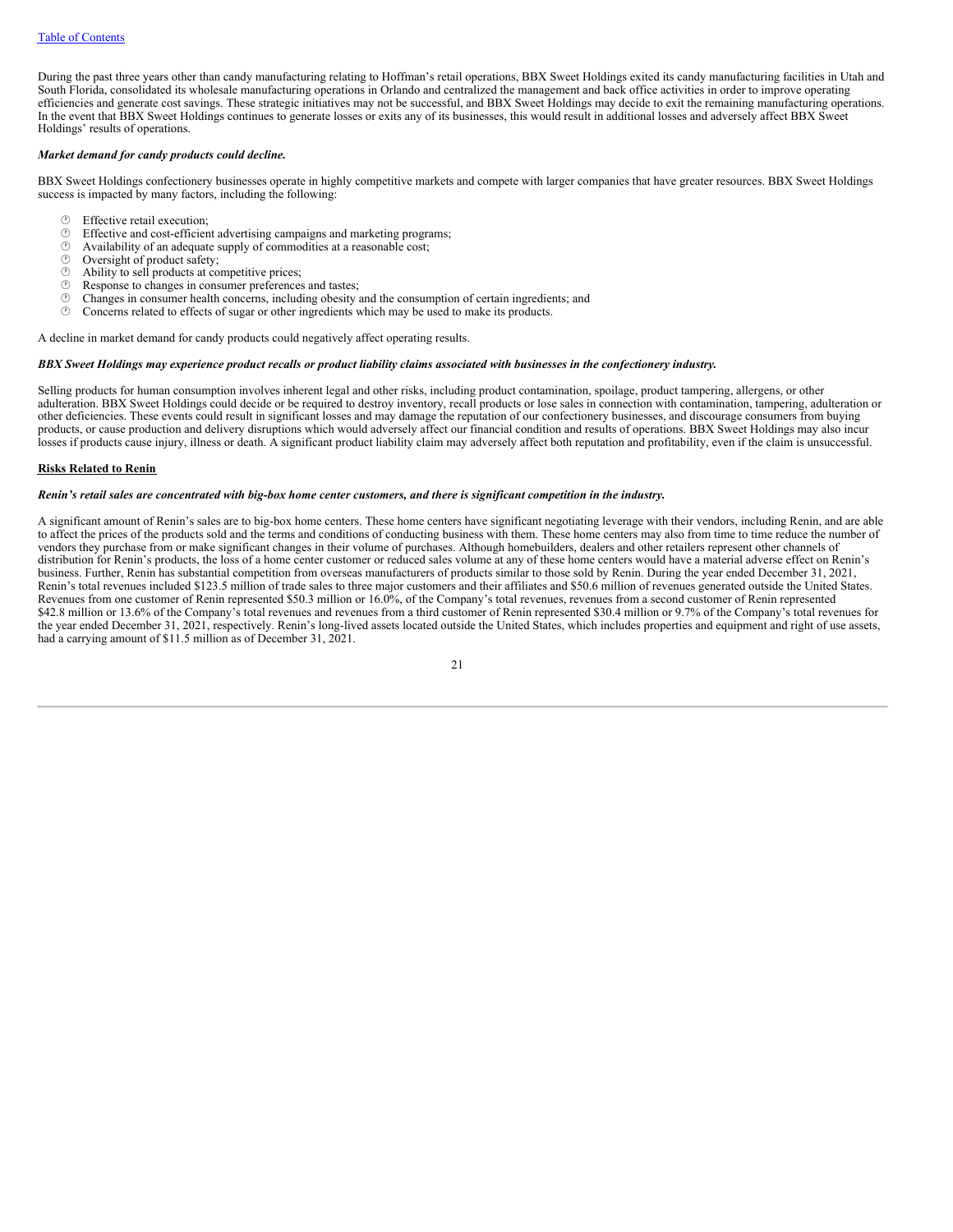During the past three years other than candy manufacturing relating to Hoffman's retail operations, BBX Sweet Holdings exited its candy manufacturing facilities in Utah and South Florida, consolidated its wholesale manufacturing operations in Orlando and centralized the management and back office activities in order to improve operating efficiencies and generate cost savings. These strategic initiatives may not be successful, and BBX Sweet Holdings may decide to exit the remaining manufacturing operations. In the event that BBX Sweet Holdings continues to generate losses or exits any of its businesses, this would result in additional losses and adversely affect BBX Sweet Holdings' results of operations.

### *Market demand for candy products could decline.*

BBX Sweet Holdings confectionery businesses operate in highly competitive markets and compete with larger companies that have greater resources. BBX Sweet Holdings success is impacted by many factors, including the following:

- **<sup>①</sup>** Effective retail execution;<br><sup>①</sup> Effective and cost-efficien
- $\circled{}$  Effective and cost-efficient advertising campaigns and marketing programs;<br> $\circled{}$  Availability of an adequate supply of commodities at a reasonable cost:
- $\circled{1}$  Availability of an adequate supply of commodities at a reasonable cost;<br> $\circled{1}$  Oversight of product safety:
- $\circled{r}$  Oversight of product safety;<br> $\circled{r}$  Ability to sell products at con-
- $\circled{b}$  Ability to sell products at competitive prices;<br> $\circled{c}$  Response to changes in consumer preferences
- $\circled{}$  Response to changes in consumer preferences and tastes;<br> $\circled{}$  Changes in consumer health concerns, including obesity a
- $\circled{c}$  Changes in consumer health concerns, including obesity and the consumption of certain ingredients; and  $\circled{c}$  Concerns related to effects of sugar or other ingredients which may be used to make its products
- Concerns related to effects of sugar or other ingredients which may be used to make its products.

A decline in market demand for candy products could negatively affect operating results.

#### BBX Sweet Holdings may experience product recalls or product liability claims associated with businesses in the confectionery industry.

Selling products for human consumption involves inherent legal and other risks, including product contamination, spoilage, product tampering, allergens, or other adulteration. BBX Sweet Holdings could decide or be required to destroy inventory, recall products or lose sales in connection with contamination, tampering, adulteration or other deficiencies. These events could result in significant losses and may damage the reputation of our confectionery businesses, and discourage consumers from buying products, or cause production and delivery disruptions which would adversely affect our financial condition and results of operations. BBX Sweet Holdings may also incur losses if products cause injury, illness or death. A significant product liability claim may adversely affect both reputation and profitability, even if the claim is unsuccessful.

# **Risks Related to Renin**

#### Renin's retail sales are concentrated with big-box home center customers, and there is significant competition in the industry.

A significant amount of Renin's sales are to big-box home centers. These home centers have significant negotiating leverage with their vendors, including Renin, and are able to affect the prices of the products sold and the terms and conditions of conducting business with them. These home centers may also from time to time reduce the number of vendors they purchase from or make significant changes in their volume of purchases. Although homebuilders, dealers and other retailers represent other channels of distribution for Renin's products, the loss of a home center customer or reduced sales volume at any of these home centers would have a material adverse effect on Renin's business. Further, Renin has substantial competition from overseas manufacturers of products similar to those sold by Renin. During the year ended December 31, 2021, Renin's total revenues included \$123.5 million of trade sales to three major customers and their affiliates and \$50.6 million of revenues generated outside the United States. Revenues from one customer of Renin represented \$50.3 million or 16.0%, of the Company's total revenues, revenues from a second customer of Renin represented \$42.8 million or 13.6% of the Company's total revenues and revenues from a third customer of Renin represented \$30.4 million or 9.7% of the Company's total revenues for the year ended December 31, 2021, respectively. Renin's long-lived assets located outside the United States, which includes properties and equipment and right of use assets, had a carrying amount of \$11.5 million as of December 31, 2021.

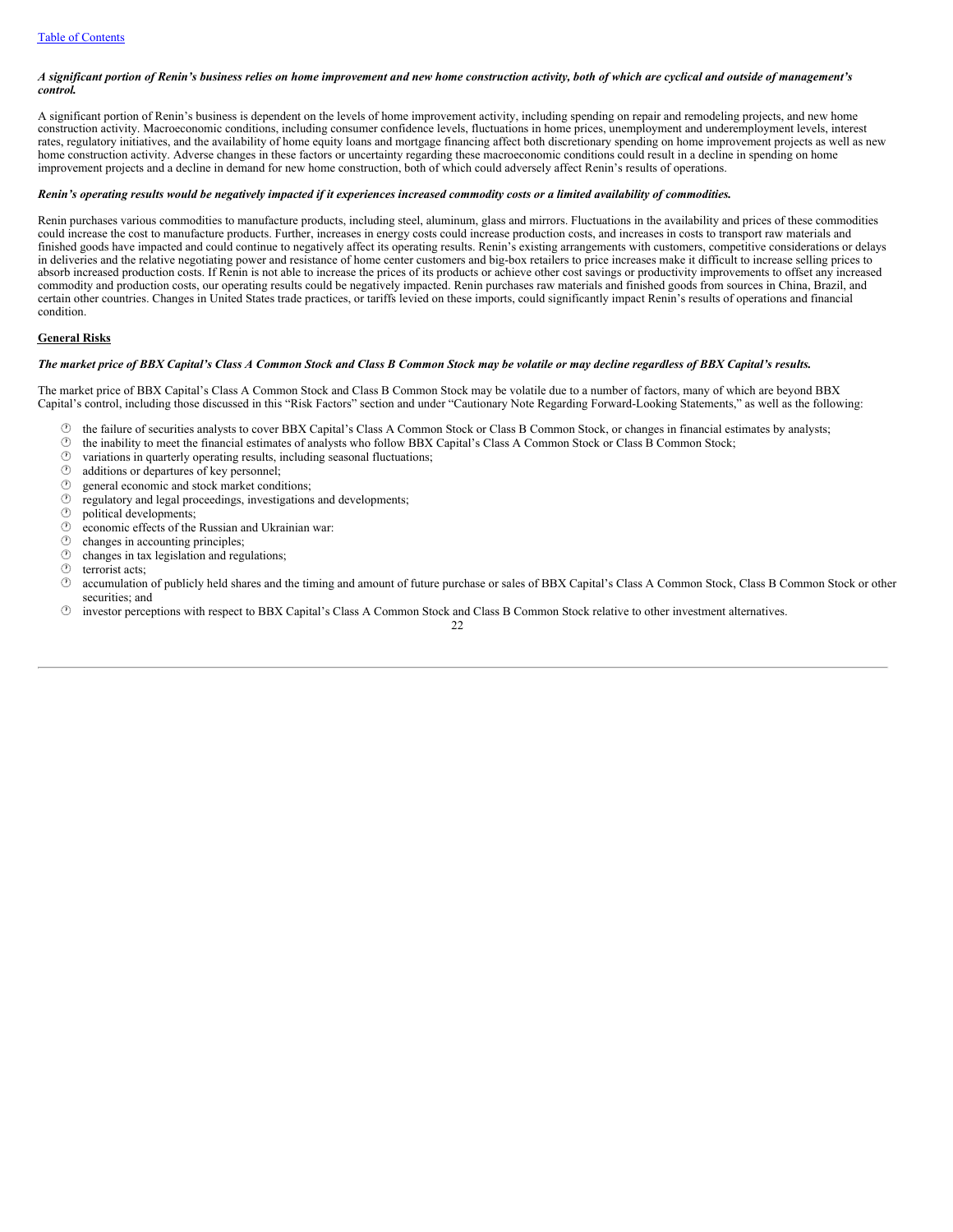# A significant portion of Renin's business relies on home improvement and new home construction activity, both of which are cyclical and outside of management's *control.*

A significant portion of Renin's business is dependent on the levels of home improvement activity, including spending on repair and remodeling projects, and new home construction activity. Macroeconomic conditions, including consumer confidence levels, fluctuations in home prices, unemployment and underemployment levels, interest rates, regulatory initiatives, and the availability of home equity loans and mortgage financing affect both discretionary spending on home improvement projects as well as new home construction activity. Adverse changes in these factors or uncertainty regarding these macroeconomic conditions could result in a decline in spending on home improvement projects and a decline in demand for new home construction, both of which could adversely affect Renin's results of operations.

# Renin's operating results would be negatively impacted if it experiences increased commodity costs or a limited availability of commodities.

Renin purchases various commodities to manufacture products, including steel, aluminum, glass and mirrors. Fluctuations in the availability and prices of these commodities could increase the cost to manufacture products. Further, increases in energy costs could increase production costs, and increases in costs to transport raw materials and finished goods have impacted and could continue to negatively affect its operating results. Renin's existing arrangements with customers, competitive considerations or delays in deliveries and the relative negotiating power and resistance of home center customers and big-box retailers to price increases make it difficult to increase selling prices to absorb increased production costs. If Renin is not able to increase the prices of its products or achieve other cost savings or productivity improvements to offset any increased commodity and production costs, our operating results could be negatively impacted. Renin purchases raw materials and finished goods from sources in China, Brazil, and certain other countries. Changes in United States trade practices, or tariffs levied on these imports, could significantly impact Renin's results of operations and financial condition.

# **General Risks**

### The market price of BBX Capital's Class A Common Stock and Class B Common Stock may be volatile or may decline regardless of BBX Capital's results.

The market price of BBX Capital's Class A Common Stock and Class B Common Stock may be volatile due to a number of factors, many of which are beyond BBX Capital's control, including those discussed in this "Risk Factors" section and under "Cautionary Note Regarding Forward-Looking Statements," as well as the following:

- $\circled{}$  the failure of securities analysts to cover BBX Capital's Class A Common Stock or Class B Common Stock, or changes in financial estimates by analysts;<br> $\circled{}$  the inability to meet the financial estimates of analy
- $\circled{?}$  the inability to meet the financial estimates of analysts who follow BBX Capital's Class A Common Stock or Class B Common Stock;<br> $\circled{>}$  variations in quarterly operating results, including seasonal fluctuations;
- variations in quarterly operating results, including seasonal fluctuations;
- 
- $\circled{1}$  additions or departures of key personnel;<br> $\circled{1}$  general economic and stock market condi general economic and stock market conditions;
- $<sup>①</sup>$  regulatory and legal proceedings, investigations and developments;</sup>
- $\circled{b}$  political developments;
- $\circledcirc$  economic effects of the Russian and Ukrainian war:
- $\circled{r}$  changes in accounting principles;<br> $\circled{r}$  changes in tax legislation and reg
- changes in tax legislation and regulations;
- $\circledcirc$  terrorist acts;
- · accumulation of publicly held shares and the timing and amount of future purchase or sales of BBX Capital's Class A Common Stock, Class B Common Stock or other securities; and
- · investor perceptions with respect to BBX Capital's Class A Common Stock and Class B Common Stock relative to other investment alternatives.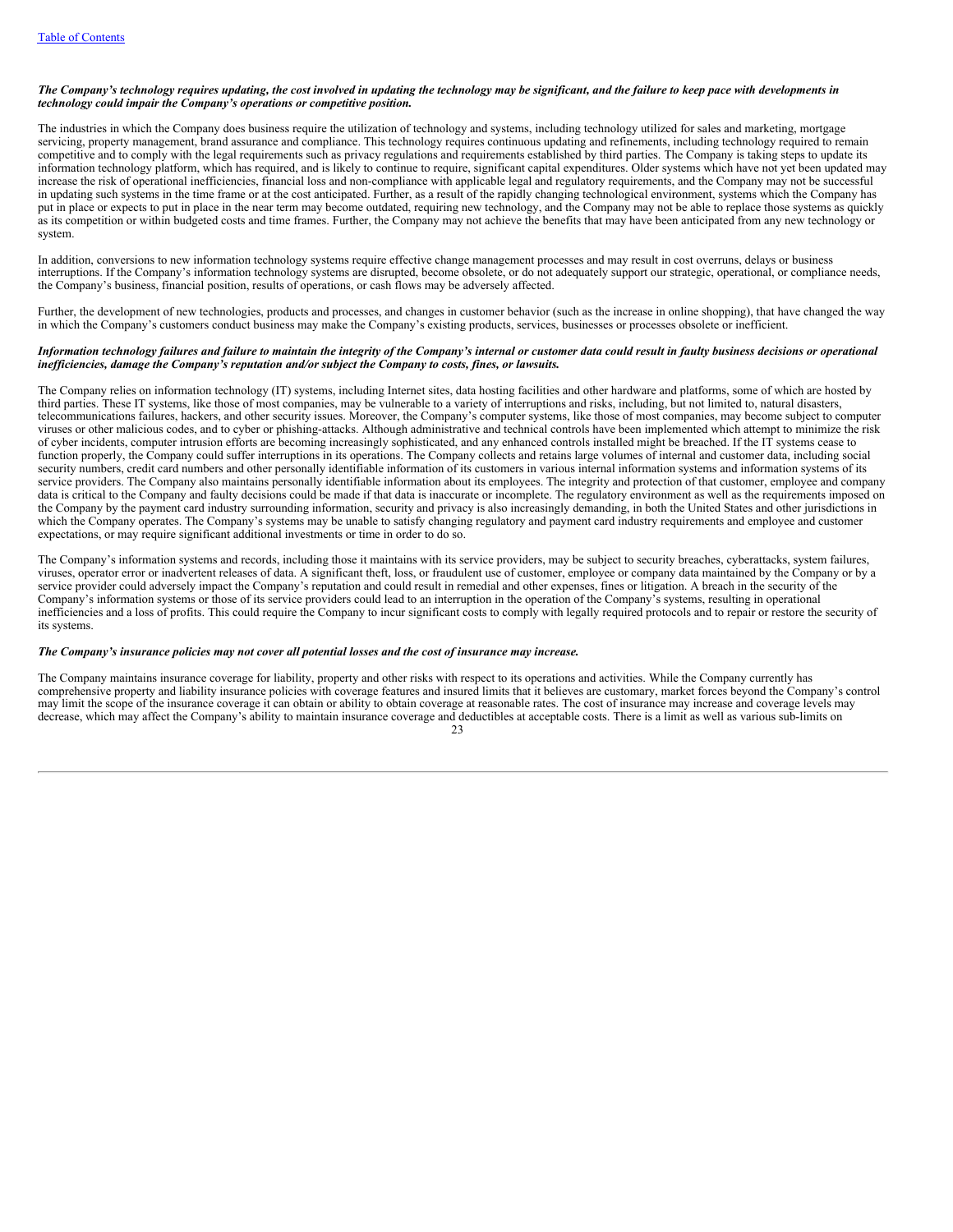# The Company's technology requires updating, the cost involved in updating the technology may be significant, and the failure to keep pace with developments in *technology could impair the Company's operations or competitive position.*

The industries in which the Company does business require the utilization of technology and systems, including technology utilized for sales and marketing, mortgage servicing, property management, brand assurance and compliance. This technology requires continuous updating and refinements, including technology required to remain competitive and to comply with the legal requirements such as privacy regulations and requirements established by third parties. The Company is taking steps to update its information technology platform, which has required, and is likely to continue to require, significant capital expenditures. Older systems which have not yet been updated may increase the risk of operational inefficiencies, financial loss and non-compliance with applicable legal and regulatory requirements, and the Company may not be successful in updating such systems in the time frame or at the cost anticipated. Further, as a result of the rapidly changing technological environment, systems which the Company has put in place or expects to put in place in the near term may become outdated, requiring new technology, and the Company may not be able to replace those systems as quickly as its competition or within budgeted costs and time frames. Further, the Company may not achieve the benefits that may have been anticipated from any new technology or system.

In addition, conversions to new information technology systems require effective change management processes and may result in cost overruns, delays or business interruptions. If the Company's information technology systems are disrupted, become obsolete, or do not adequately support our strategic, operational, or compliance needs, the Company's business, financial position, results of operations, or cash flows may be adversely affected.

Further, the development of new technologies, products and processes, and changes in customer behavior (such as the increase in online shopping), that have changed the way in which the Company's customers conduct business may make the Company's existing products, services, businesses or processes obsolete or inefficient.

## Information technology failures and failure to maintain the integrity of the Company's internal or customer data could result in faulty business decisions or operational *inef iciencies, damage the Company's reputation and/or subject the Company to costs, fines, or lawsuits.*

The Company relies on information technology (IT) systems, including Internet sites, data hosting facilities and other hardware and platforms, some of which are hosted by third parties. These IT systems, like those of most companies, may be vulnerable to a variety of interruptions and risks, including, but not limited to, natural disasters, telecommunications failures, hackers, and other security issues. Moreover, the Company's computer systems, like those of most companies, may become subject to computer viruses or other malicious codes, and to cyber or phishing-attacks. Although administrative and technical controls have been implemented which attempt to minimize the risk of cyber incidents, computer intrusion efforts are becoming increasingly sophisticated, and any enhanced controls installed might be breached. If the IT systems cease to function properly, the Company could suffer interruptions in its operations. The Company collects and retains large volumes of internal and customer data, including social security numbers, credit card numbers and other personally identifiable information of its customers in various internal information systems and information systems of its service providers. The Company also maintains personally identifiable information about its employees. The integrity and protection of that customer, employee and company data is critical to the Company and faulty decisions could be made if that data is inaccurate or incomplete. The regulatory environment as well as the requirements imposed on the Company by the payment card industry surrounding information, security and privacy is also increasingly demanding, in both the United States and other jurisdictions in which the Company operates. The Company's systems may be unable to satisfy changing regulatory and payment card industry requirements and employee and customer expectations, or may require significant additional investments or time in order to do so.

The Company's information systems and records, including those it maintains with its service providers, may be subject to security breaches, cyberattacks, system failures, viruses, operator error or inadvertent releases of data. A significant theft, loss, or fraudulent use of customer, employee or company data maintained by the Company or by a service provider could adversely impact the Company's reputation and could result in remedial and other expenses, fines or litigation. A breach in the security of the Company's information systems or those of its service providers could lead to an interruption in the operation of the Company's systems, resulting in operational inefficiencies and a loss of profits. This could require the Company to incur significant costs to comply with legally required protocols and to repair or restore the security of its systems.

# The Company's insurance policies may not cover all potential losses and the cost of insurance may increase.

The Company maintains insurance coverage for liability, property and other risks with respect to its operations and activities. While the Company currently has comprehensive property and liability insurance policies with coverage features and insured limits that it believes are customary, market forces beyond the Company's control may limit the scope of the insurance coverage it can obtain or ability to obtain coverage at reasonable rates. The cost of insurance may increase and coverage levels may decrease, which may affect the Company's ability to maintain insurance coverage and deductibles at acceptable costs. There is a limit as well as various sub-limits on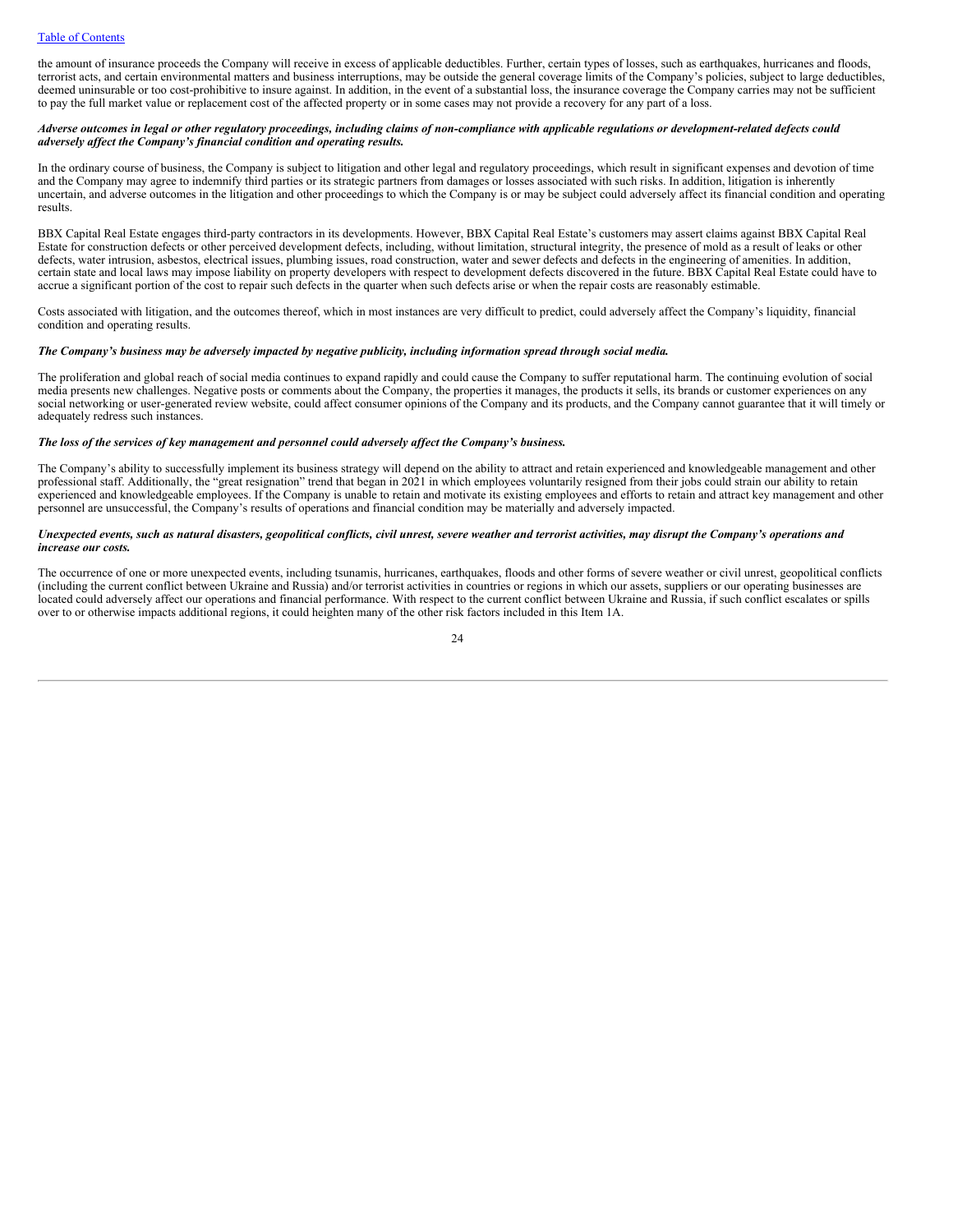the amount of insurance proceeds the Company will receive in excess of applicable deductibles. Further, certain types of losses, such as earthquakes, hurricanes and floods, terrorist acts, and certain environmental matters and business interruptions, may be outside the general coverage limits of the Company's policies, subject to large deductibles, deemed uninsurable or too cost-prohibitive to insure against. In addition, in the event of a substantial loss, the insurance coverage the Company carries may not be sufficient to pay the full market value or replacement cost of the affected property or in some cases may not provide a recovery for any part of a loss.

### Adverse outcomes in legal or other regulatory proceedings, including claims of non-compliance with applicable regulations or development-related defects could *adversely af ect the Company's financial condition and operating results.*

In the ordinary course of business, the Company is subject to litigation and other legal and regulatory proceedings, which result in significant expenses and devotion of time and the Company may agree to indemnify third parties or its strategic partners from damages or losses associated with such risks. In addition, litigation is inherently uncertain, and adverse outcomes in the litigation and other proceedings to which the Company is or may be subject could adversely affect its financial condition and operating results.

BBX Capital Real Estate engages third-party contractors in its developments. However, BBX Capital Real Estate's customers may assert claims against BBX Capital Real Estate for construction defects or other perceived development defects, including, without limitation, structural integrity, the presence of mold as a result of leaks or other defects, water intrusion, asbestos, electrical issues, plumbing issues, road construction, water and sewer defects and defects in the engineering of amenities. In addition, certain state and local laws may impose liability on property developers with respect to development defects discovered in the future. BBX Capital Real Estate could have to accrue a significant portion of the cost to repair such defects in the quarter when such defects arise or when the repair costs are reasonably estimable.

Costs associated with litigation, and the outcomes thereof, which in most instances are very difficult to predict, could adversely affect the Company's liquidity, financial condition and operating results.

# The Company's business may be adversely impacted by negative publicity, including information spread through social media.

The proliferation and global reach of social media continues to expand rapidly and could cause the Company to suffer reputational harm. The continuing evolution of social media presents new challenges. Negative posts or comments about the Company, the properties it manages, the products it sells, its brands or customer experiences on any social networking or user-generated review website, could affect consumer opinions of the Company and its products, and the Company cannot guarantee that it will timely or adequately redress such instances.

# *The loss of the services of key management and personnel could adversely af ect the Company's business.*

The Company's ability to successfully implement its business strategy will depend on the ability to attract and retain experienced and knowledgeable management and other professional staff. Additionally, the "great resignation" trend that began in 2021 in which employees voluntarily resigned from their jobs could strain our ability to retain experienced and knowledgeable employees. If the Company is unable to retain and motivate its existing employees and efforts to retain and attract key management and other personnel are unsuccessful, the Company's results of operations and financial condition may be materially and adversely impacted.

#### Unexpected events, such as natural disasters, geopolitical conflicts, civil unrest, severe weather and terrorist activities, may disrupt the Company's operations and *increase our costs.*

The occurrence of one or more unexpected events, including tsunamis, hurricanes, earthquakes, floods and other forms of severe weather or civil unrest, geopolitical conflicts (including the current conflict between Ukraine and Russia) and/or terrorist activities in countries or regions in which our assets, suppliers or our operating businesses are located could adversely affect our operations and financial performance. With respect to the current conflict between Ukraine and Russia, if such conflict escalates or spills over to or otherwise impacts additional regions, it could heighten many of the other risk factors included in this Item 1A.

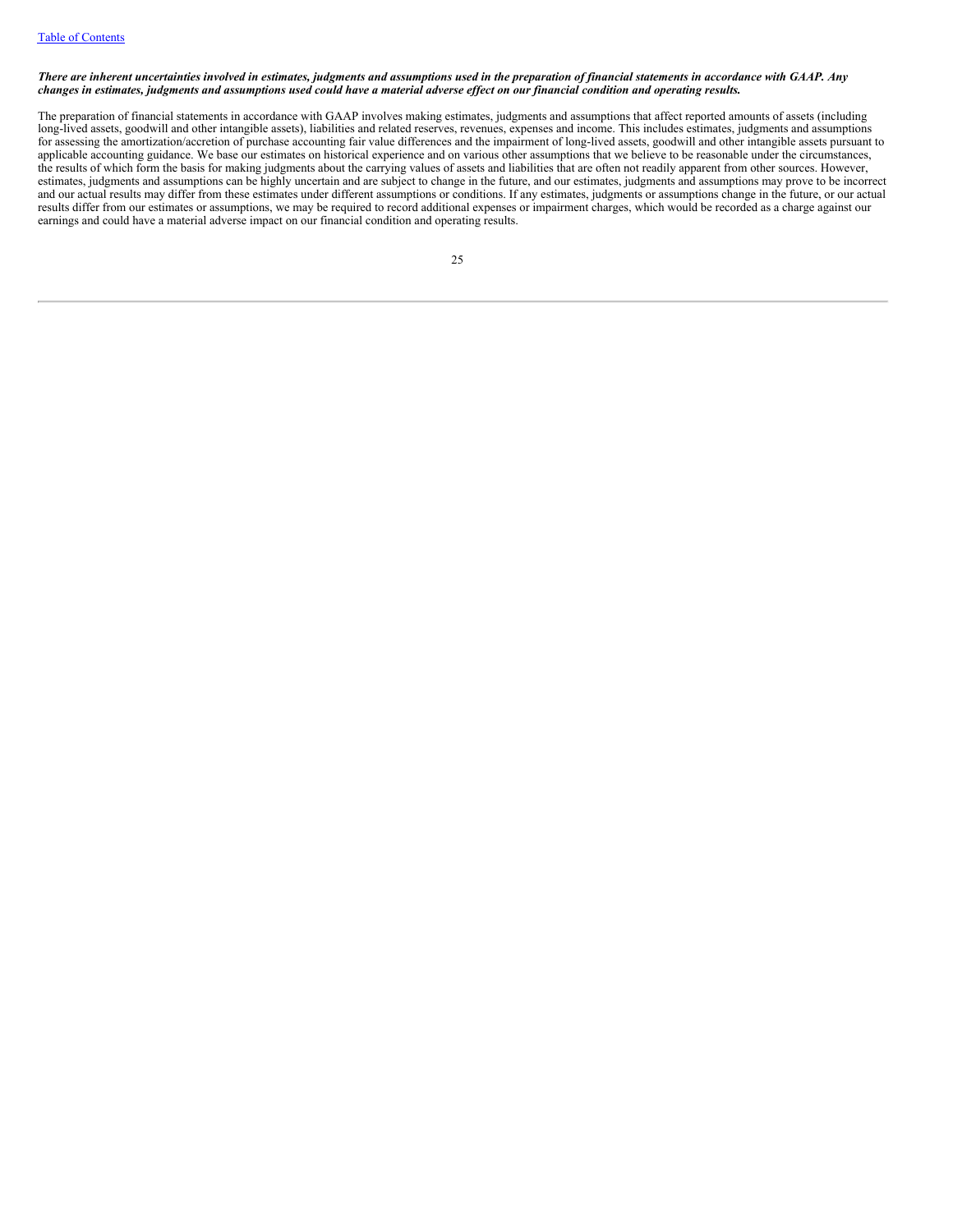### There are inherent uncertainties involved in estimates, judgments and assumptions used in the preparation of financial statements in accordance with GAAP. Any changes in estimates, judgments and assumptions used could have a material adverse effect on our financial condition and operating results.

The preparation of financial statements in accordance with GAAP involves making estimates, judgments and assumptions that affect reported amounts of assets (including long-lived assets, goodwill and other intangible assets), liabilities and related reserves, revenues, expenses and income. This includes estimates, judgments and assumptions for assessing the amortization/accretion of purchase accounting fair value differences and the impairment of long-lived assets, goodwill and other intangible assets pursuant to applicable accounting guidance. We base our estimates on historical experience and on various other assumptions that we believe to be reasonable under the circumstances, the results of which form the basis for making judgments about the carrying values of assets and liabilities that are often not readily apparent from other sources. However, estimates, judgments and assumptions can be highly uncertain and are subject to change in the future, and our estimates, judgments and assumptions may prove to be incorrect and our actual results may differ from these estimates under different assumptions or conditions. If any estimates, judgments or assumptions change in the future, or our actual and our actual results may differ from these results differ from our estimates or assumptions, we may be required to record additional expenses or impairment charges, which would be recorded as a charge against our earnings and could have a material adverse impact on our financial condition and operating results.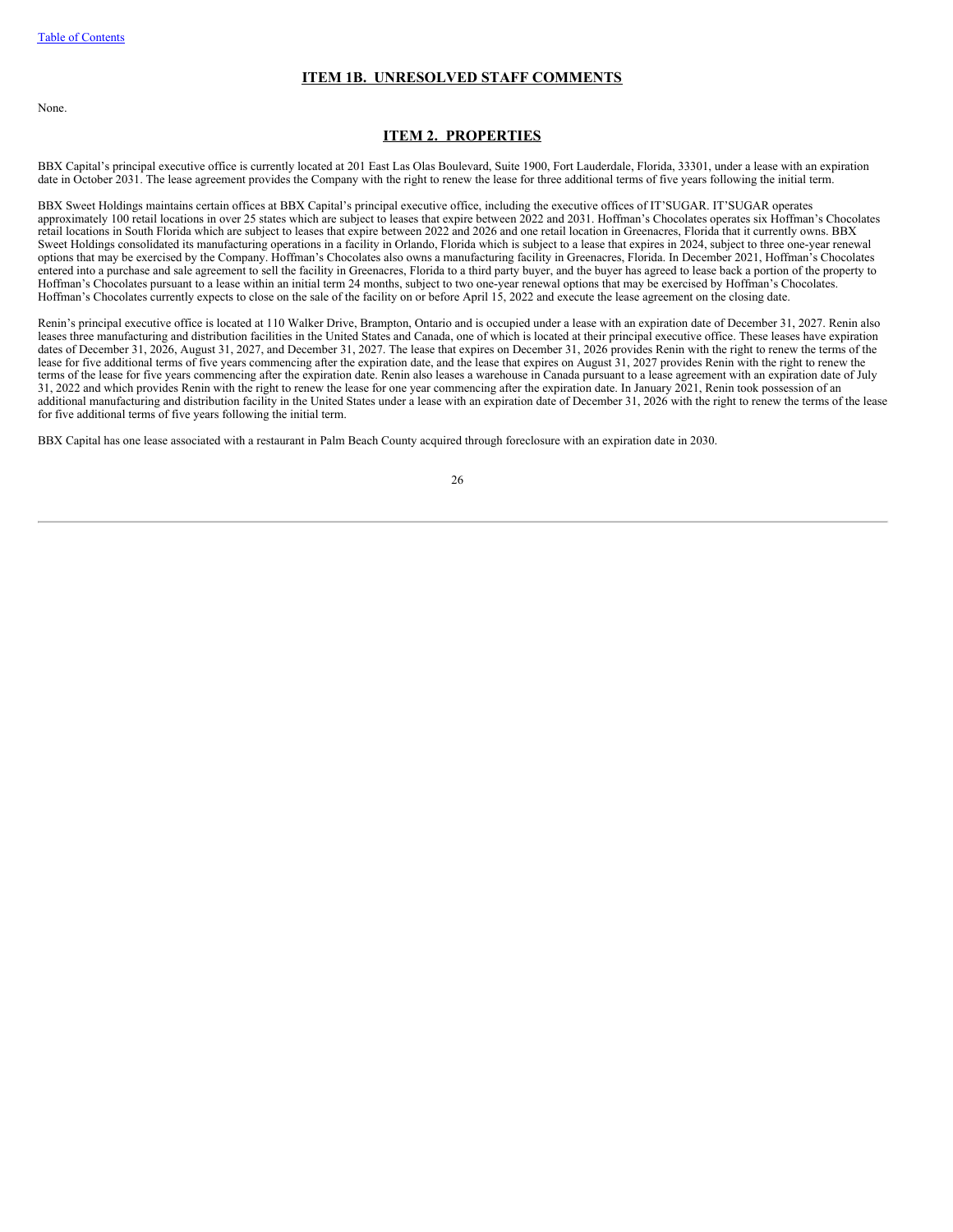# **ITEM 1B. UNRESOLVED STAFF COMMENTS**

None.

# <span id="page-27-1"></span><span id="page-27-0"></span>**ITEM 2. PROPERTIES**

BBX Capital's principal executive office is currently located at 201 East Las Olas Boulevard, Suite 1900, Fort Lauderdale, Florida, 33301, under a lease with an expiration date in October 2031. The lease agreement provides the Company with the right to renew the lease for three additional terms of five years following the initial term.

BBX Sweet Holdings maintains certain offices at BBX Capital's principal executive office, including the executive offices of IT'SUGAR. IT'SUGAR operates approximately 100 retail locations in over 25 states which are subject to leases that expire between 2022 and 2031. Hoffman's Chocolates operates six Hoffman's Chocolates retail locations in South Florida which are subject to leases that expire between 2022 and 2026 and one retail location in Greenacres, Florida that it currently owns. BBX Sweet Holdings consolidated its manufacturing operations in a facility in Orlando, Florida which is subject to a lease that expires in 2024, subject to three one-year renewal options that may be exercised by the Company. Hoffman's Chocolates also owns a manufacturing facility in Greenacres, Florida. In December 2021, Hoffman's Chocolates entered into a purchase and sale agreement to sell the facility in Greenacres, Florida to a third party buyer, and the buyer has agreed to lease back a portion of the property to Hoffman's Chocolates pursuant to a lease within an initial term 24 months, subject to two one-year renewal options that may be exercised by Hoffman's Chocolates. Hoffman's Chocolates currently expects to close on the sale of the facility on or before April 15, 2022 and execute the lease agreement on the closing date.

Renin's principal executive office is located at 110 Walker Drive, Brampton, Ontario and is occupied under a lease with an expiration date of December 31, 2027. Renin also leases three manufacturing and distribution facilities in the United States and Canada, one of which is located at their principal executive office. These leases have expiration dates of December 31, 2026, August 31, 2027, and December 31, 2027. The lease that expires on December 31, 2026 provides Renin with the right to renew the terms of the lease for five additional terms of five years commencing after the expiration date, and the lease that expires on August 31, 2027 provides Renin with the right to renew the terms of the lease for five years commencing after the expiration date. Renin also leases a warehouse in Canada pursuant to a lease agreement with an expiration date of July 31, 2022 and which provides Renin with the right to renew the lease for one year commencing after the expiration date. In January 2021, Renin took possession of an additional manufacturing and distribution facility in the United States under a lease with an expiration date of December 31, 2026 with the right to renew the terms of the lease for five additional terms of five years following the initial term.

BBX Capital has one lease associated with a restaurant in Palm Beach County acquired through foreclosure with an expiration date in 2030.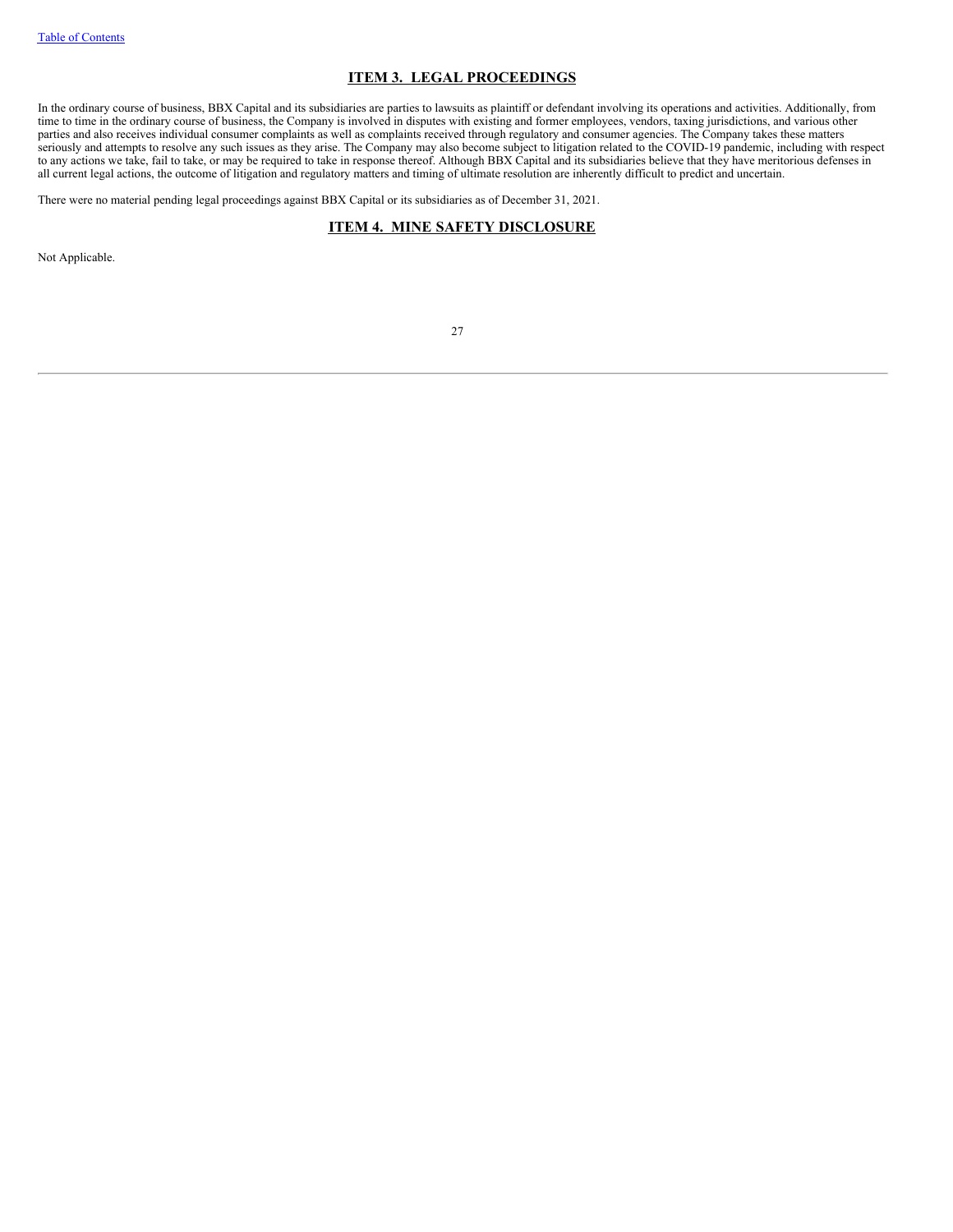# <span id="page-28-0"></span>**ITEM 3. LEGAL PROCEEDINGS**

In the ordinary course of business, BBX Capital and its subsidiaries are parties to lawsuits as plaintiff or defendant involving its operations and activities. Additionally, from time to time in the ordinary course of business, the Company is involved in disputes with existing and former employees, vendors, taxing jurisdictions, and various other parties and also receives individual consumer complaints as well as complaints received through regulatory and consumer agencies. The Company takes these matters seriously and attempts to resolve any such issues as they arise. The Company may also become subject to litigation related to the COVID-19 pandemic, including with respect to any actions we take, fail to take, or may be required to take in response thereof. Although BBX Capital and its subsidiaries believe that they have meritorious defenses in all current legal actions, the outcome of litigation and regulatory matters and timing of ultimate resolution are inherently difficult to predict and uncertain.

There were no material pending legal proceedings against BBX Capital or its subsidiaries as of December 31, 2021.

# <span id="page-28-1"></span>**ITEM 4. MINE SAFETY DISCLOSURE**

Not Applicable.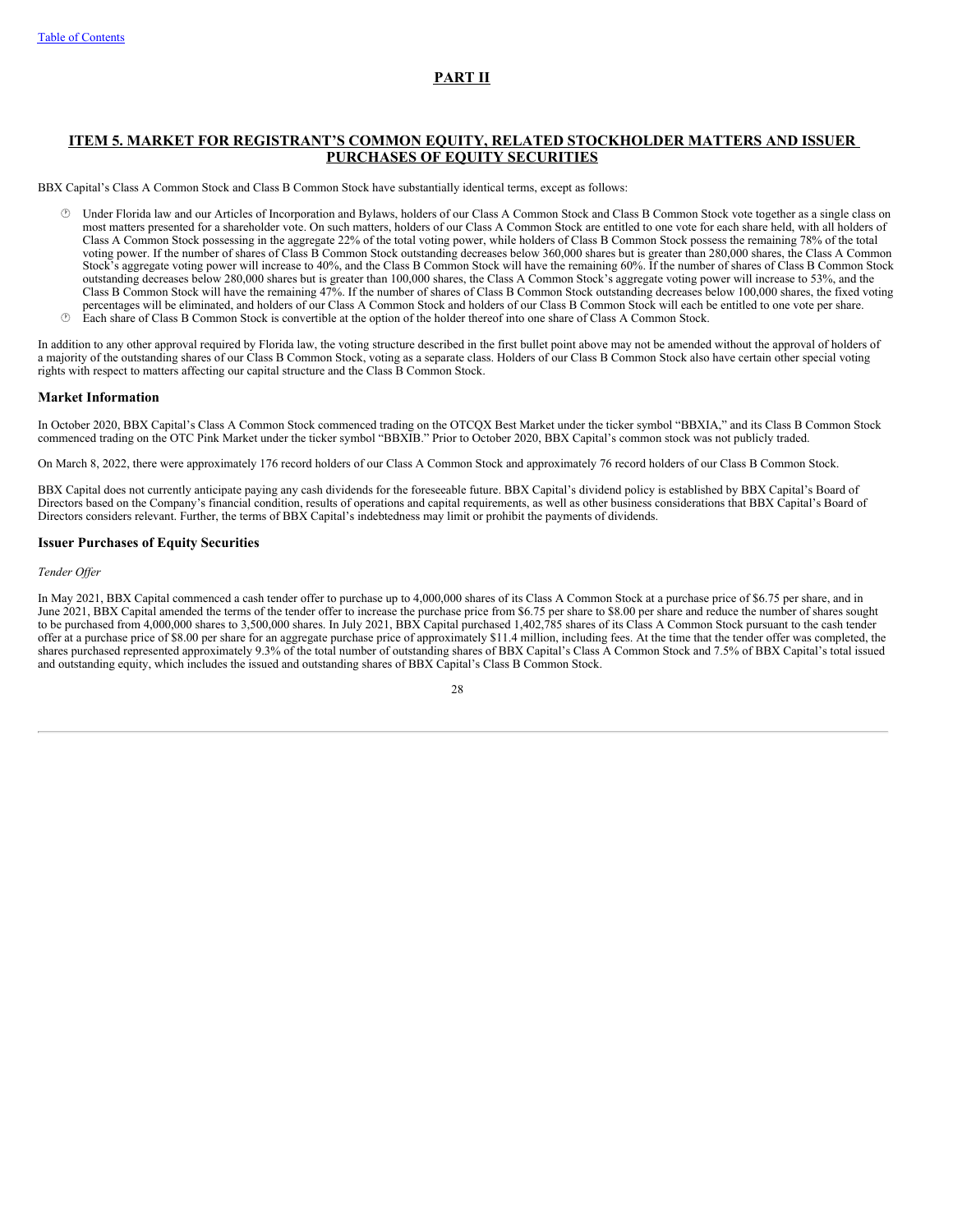# <span id="page-29-0"></span>**PART II**

# **ITEM 5. MARKET FOR REGISTRANT'S COMMON EQUITY, RELATED STOCKHOLDER MATTERS AND ISSUER PURCHASES OF EQUITY SECURITIES**

BBX Capital's Class A Common Stock and Class B Common Stock have substantially identical terms, except as follows:

- Under Florida law and our Articles of Incorporation and Bylaws, holders of our Class A Common Stock and Class B Common Stock vote together as a single class on most matters presented for a shareholder vote. On such matters, holders of our Class A Common Stock are entitled to one vote for each share held, with all holders of Class A Common Stock possessing in the aggregate 22% of the total voting power, while holders of Class B Common Stock possess the remaining 78% of the total voting power. If the number of shares of Class B Common Stock outstanding decreases below 360,000 shares but is greater than 280,000 shares, the Class A Common Stock's aggregate voting power will increase to 40%, and the Class B Common Stock will have the remaining 60%. If the number of shares of Class B Common Stock outstanding decreases below 280,000 shares but is greater than 100,000 shares, the Class A Common Stock's aggregate voting power will increase to 53%, and the Class B Common Stock will have the remaining 47%. If the number of shares of Class B Common Stock outstanding decreases below 100,000 shares, the fixed voting percentages will be eliminated, and holders of our Class A Common Stock and holders of our Class B Common Stock will each be entitled to one vote per share.
- · Each share of Class B Common Stock is convertible at the option of the holder thereof into one share of Class A Common Stock.

In addition to any other approval required by Florida law, the voting structure described in the first bullet point above may not be amended without the approval of holders of a majority of the outstanding shares of our Class B Common Stock, voting as a separate class. Holders of our Class B Common Stock also have certain other special voting rights with respect to matters affecting our capital structure and the Class B Common Stock.

# **Market Information**

In October 2020, BBX Capital's Class A Common Stock commenced trading on the OTCQX Best Market under the ticker symbol "BBXIA," and its Class B Common Stock commenced trading on the OTC Pink Market under the ticker symbol "BBXIB." Prior to October 2020, BBX Capital's common stock was not publicly traded.

On March 8, 2022, there were approximately 176 record holders of our Class A Common Stock and approximately 76 record holders of our Class B Common Stock.

BBX Capital does not currently anticipate paying any cash dividends for the foreseeable future. BBX Capital's dividend policy is established by BBX Capital's Board of Directors based on the Company's financial condition, results of operations and capital requirements, as well as other business considerations that BBX Capital's Board of Directors considers relevant. Further, the terms of BBX Capital's indebtedness may limit or prohibit the payments of dividends.

# **Issuer Purchases of Equity Securities**

### *Tender Of er*

In May 2021, BBX Capital commenced a cash tender offer to purchase up to 4,000,000 shares of its Class A Common Stock at a purchase price of \$6.75 per share, and in June 2021, BBX Capital amended the terms of the tender offer to increase the purchase price from \$6.75 per share to \$8.00 per share and reduce the number of shares sought to be purchased from 4,000,000 shares to 3,500,000 shares. In July 2021, BBX Capital purchased 1,402,785 shares of its Class A Common Stock pursuant to the cash tender offer at a purchase price of \$8.00 per share for an aggregate purchase price of approximately \$11.4 million, including fees. At the time that the tender offer was completed, the shares purchased represented approximately 9.3% of the total number of outstanding shares of BBX Capital's Class A Common Stock and 7.5% of BBX Capital's total issued and outstanding equity, which includes the issued and outstanding shares of BBX Capital's Class B Common Stock.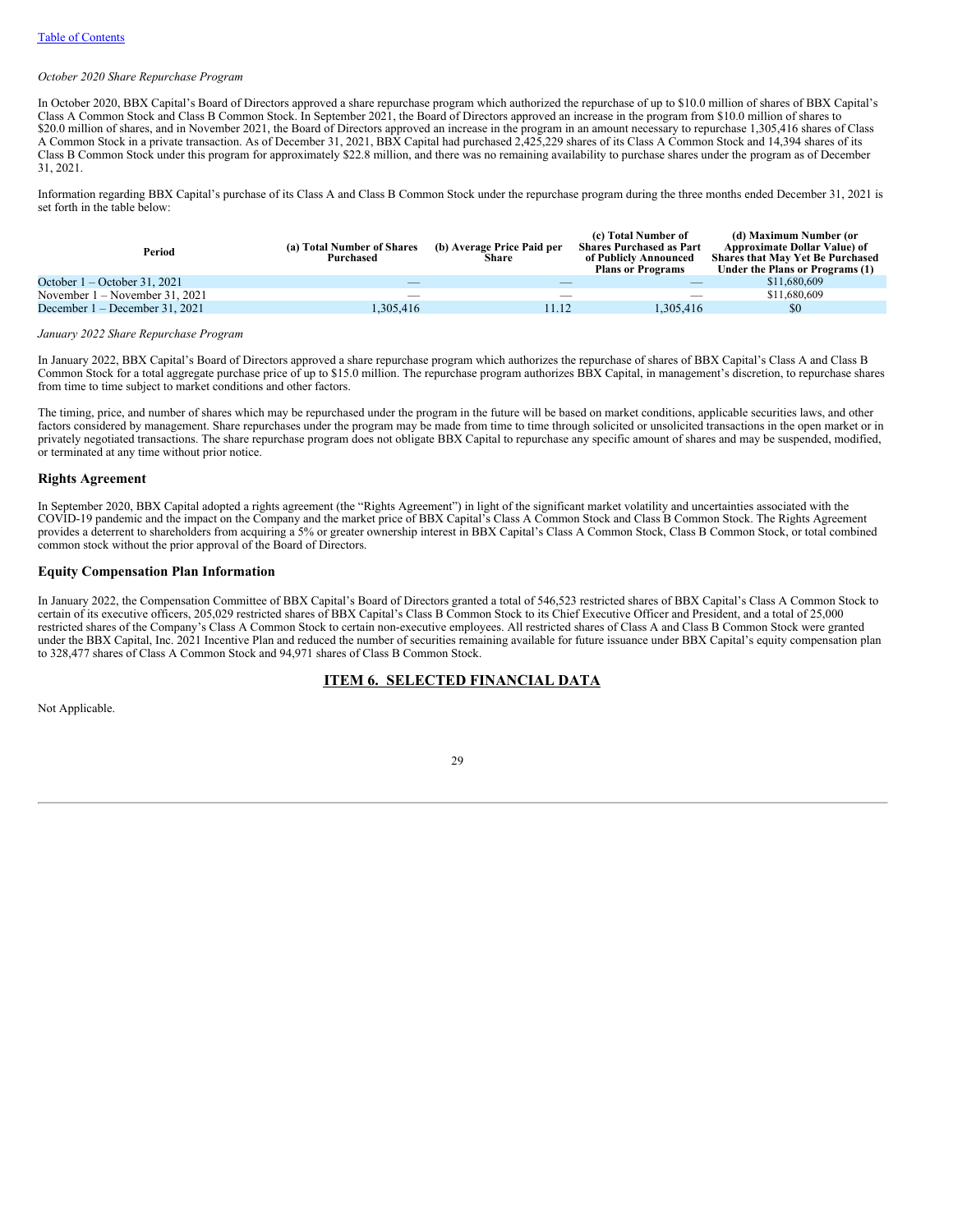#### *October 2020 Share Repurchase Program*

In October 2020, BBX Capital's Board of Directors approved a share repurchase program which authorized the repurchase of up to \$10.0 million of shares of BBX Capital's Class A Common Stock and Class B Common Stock. In September 2021, the Board of Directors approved an increase in the program from \$10.0 million of shares to \$20.0 million of shares, and in November 2021, the Board of Directors approved an increase in the program in an amount necessary to repurchase 1,305,416 shares of Class A Common Stock in a private transaction. As of December 31, 2021, BBX Capital had purchased 2,425,229 shares of its Class A Common Stock and 14,394 shares of its Class B Common Stock under this program for approximately \$22.8 million, and there was no remaining availability to purchase shares under the program as of December 31, 2021.

Information regarding BBX Capital's purchase of its Class A and Class B Common Stock under the repurchase program during the three months ended December 31, 2021 is set forth in the table below:

| Period                           | (a) Total Number of Shares<br>Purchased | (b) Average Price Paid per<br>Share | (c) Total Number of<br><b>Shares Purchased as Part</b><br>of Publicly Announced<br><b>Plans or Programs</b> | (d) Maximum Number (or<br>Approximate Dollar Value) of<br><b>Shares that May Yet Be Purchased</b><br>Under the Plans or Programs (1) |
|----------------------------------|-----------------------------------------|-------------------------------------|-------------------------------------------------------------------------------------------------------------|--------------------------------------------------------------------------------------------------------------------------------------|
| October $1 -$ October 31, 2021   |                                         |                                     |                                                                                                             | \$11,680,609                                                                                                                         |
| November $1 -$ November 31, 2021 |                                         |                                     |                                                                                                             | \$11,680,609                                                                                                                         |
| December 1 – December 31, 2021   | 1.305.416                               | 11.12                               | 1.305.416                                                                                                   | \$0                                                                                                                                  |
|                                  |                                         |                                     |                                                                                                             |                                                                                                                                      |

#### *January 2022 Share Repurchase Program*

In January 2022, BBX Capital's Board of Directors approved a share repurchase program which authorizes the repurchase of shares of BBX Capital's Class A and Class B Common Stock for a total aggregate purchase price of up to \$15.0 million. The repurchase program authorizes BBX Capital, in management's discretion, to repurchase shares from time to time subject to market conditions and other factors.

The timing, price, and number of shares which may be repurchased under the program in the future will be based on market conditions, applicable securities laws, and other factors considered by management. Share repurchases under the program may be made from time to time through solicited or unsolicited transactions in the open market or in privately negotiated transactions. The share repurchase program does not obligate BBX Capital to repurchase any specific amount of shares and may be suspended, modified, or terminated at any time without prior notice.

#### **Rights Agreement**

In September 2020, BBX Capital adopted a rights agreement (the "Rights Agreement") in light of the significant market volatility and uncertainties associated with the COVID-19 pandemic and the impact on the Company and the market price of BBX Capital's Class A Common Stock and Class B Common Stock. The Rights Agreement provides a deterrent to shareholders from acquiring a 5% or greater ownership interest in BBX Capital's Class A Common Stock, Class B Common Stock, or total combined common stock without the prior approval of the Board of Directors.

# **Equity Compensation Plan Information**

In January 2022, the Compensation Committee of BBX Capital's Board of Directors granted a total of 546,523 restricted shares of BBX Capital's Class A Common Stock to certain of its executive officers, 205,029 restricted shares of BBX Capital's Class B Common Stock to its Chief Executive Officer and President, and a total of 25,000 restricted shares of the Company's Class A Common Stock to certain non-executive employees. All restricted shares of Class A and Class B Common Stock were granted under the BBX Capital, Inc. 2021 Incentive Plan and reduced the number of securities remaining available for future issuance under BBX Capital's equity compensation plan to 328,477 shares of Class A Common Stock and 94,971 shares of Class B Common Stock.

# <span id="page-30-0"></span>**ITEM 6. SELECTED FINANCIAL DATA**

Not Applicable.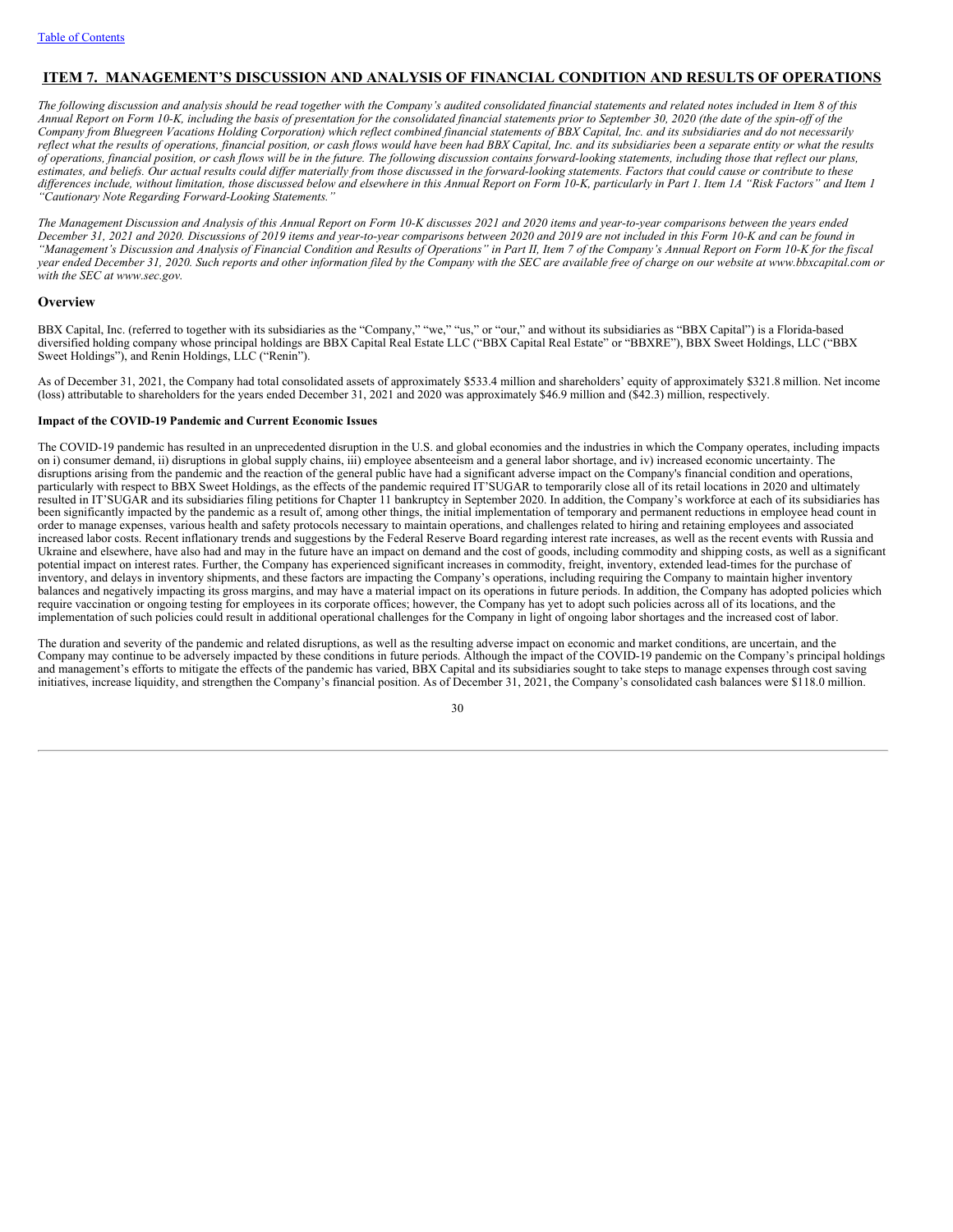# <span id="page-31-0"></span>**ITEM 7. MANAGEMENT'S DISCUSSION AND ANALYSIS OF FINANCIAL CONDITION AND RESULTS OF OPERATIONS**

The following discussion and analysis should be read together with the Company's audited consolidated financial statements and related notes included in Item 8 of this Annual Report on Form 10-K, including the basis of presentation for the consolidated financial statements prior to September 30, 2020 (the date of the spin-off of the Company from Bluegreen Vacations Holding Corporation) which reflect combined financial statements of BBX Capital, Inc. and its subsidiaries and do not necessarily reflect what the results of operations, financial position, or cash flows would have been had BBX Capital, Inc. and its subsidiaries been a separate entity or what the results of operations, financial position, or cash flows will be in the future. The following discussion contains forward-looking statements, including those that reflect our plans, estimates, and beliefs. Our actual results could differ materially from those discussed in the forward-looking statements. Factors that could cause or contribute to these differences include, without limitation, those discussed below and elsewhere in this Annual Report on Form 10-K, particularly in Part 1. Item 1A "Risk Factors" and Item 1 *"Cautionary Note Regarding Forward-Looking Statements."*

The Management Discussion and Analysis of this Annual Report on Form 10-K discusses 2021 and 2020 items and year-to-year comparisons between the years ended December 31, 2021 and 2020. Discussions of 2019 items and year-to-year comparisons between 2020 and 2019 are not included in this Form 10-K and can be found in "Management's Discussion and Analysis of Financial Condition and Results of Operations" in Part II, Item 7 of the Company's Annual Report on Form 10-K for the fiscal year ended December 31, 2020. Such reports and other information filed by the Company with the SEC are available free of charge on our website at www.bbxcapital.com or *with the SEC at www.sec.gov.*

### **Overview**

BBX Capital, Inc. (referred to together with its subsidiaries as the "Company," "we," "us," or "our," and without its subsidiaries as "BBX Capital") is a Florida-based diversified holding company whose principal holdings are BBX Capital Real Estate LLC ("BBX Capital Real Estate" or "BBXRE"), BBX Sweet Holdings, LLC ("BBX Sweet Holdings"), and Renin Holdings, LLC ("Renin").

As of December 31, 2021, the Company had total consolidated assets of approximately \$533.4 million and shareholders' equity of approximately \$321.8 million. Net income (loss) attributable to shareholders for the years ended December 31, 2021 and 2020 was approximately \$46.9 million and (\$42.3) million, respectively.

### **Impact of the COVID-19 Pandemic and Current Economic Issues**

The COVID-19 pandemic has resulted in an unprecedented disruption in the U.S. and global economies and the industries in which the Company operates, including impacts on i) consumer demand, ii) disruptions in global supply chains, iii) employee absenteeism and a general labor shortage, and iv) increased economic uncertainty. The disruptions arising from the pandemic and the reaction of the general public have had a significant adverse impact on the Company's financial condition and operations, particularly with respect to BBX Sweet Holdings, as the effects of the pandemic required IT'SUGAR to temporarily close all of its retail locations in 2020 and ultimately resulted in IT'SUGAR and its subsidiaries filing petitions for Chapter 11 bankruptcy in September 2020. In addition, the Company's workforce at each of its subsidiaries has been significantly impacted by the pandemic as a result of, among other things, the initial implementation of temporary and permanent reductions in employee head count in order to manage expenses, various health and safety protocols necessary to maintain operations, and challenges related to hiring and retaining employees and associated increased labor costs. Recent inflationary trends and suggestions by the Federal Reserve Board regarding interest rate increases, as well as the recent events with Russia and Ukraine and elsewhere, have also had and may in the future have an impact on demand and the cost of goods, including commodity and shipping costs, as well as a significant potential impact on interest rates. Further, the Company has experienced significant increases in commodity, freight, inventory, extended lead-times for the purchase of inventory, and delays in inventory shipments, and these factors are impacting the Company's operations, including requiring the Company to maintain higher inventory balances and negatively impacting its gross margins, and may have a material impact on its operations in future periods. In addition, the Company has adopted policies which require vaccination or ongoing testing for employees in its corporate offices; however, the Company has yet to adopt such policies across all of its locations, and the implementation of such policies could result in additional operational challenges for the Company in light of ongoing labor shortages and the increased cost of labor.

The duration and severity of the pandemic and related disruptions, as well as the resulting adverse impact on economic and market conditions, are uncertain, and the Company may continue to be adversely impacted by these conditions in future periods. Although the impact of the COVID-19 pandemic on the Company's principal holdings and management's efforts to mitigate the effects of the pandemic has varied, BBX Capital and its subsidiaries sought to take steps to manage expenses through cost saving initiatives, increase liquidity, and strengthen the Company's financial position. As of December 31, 2021, the Company's consolidated cash balances were \$118.0 million.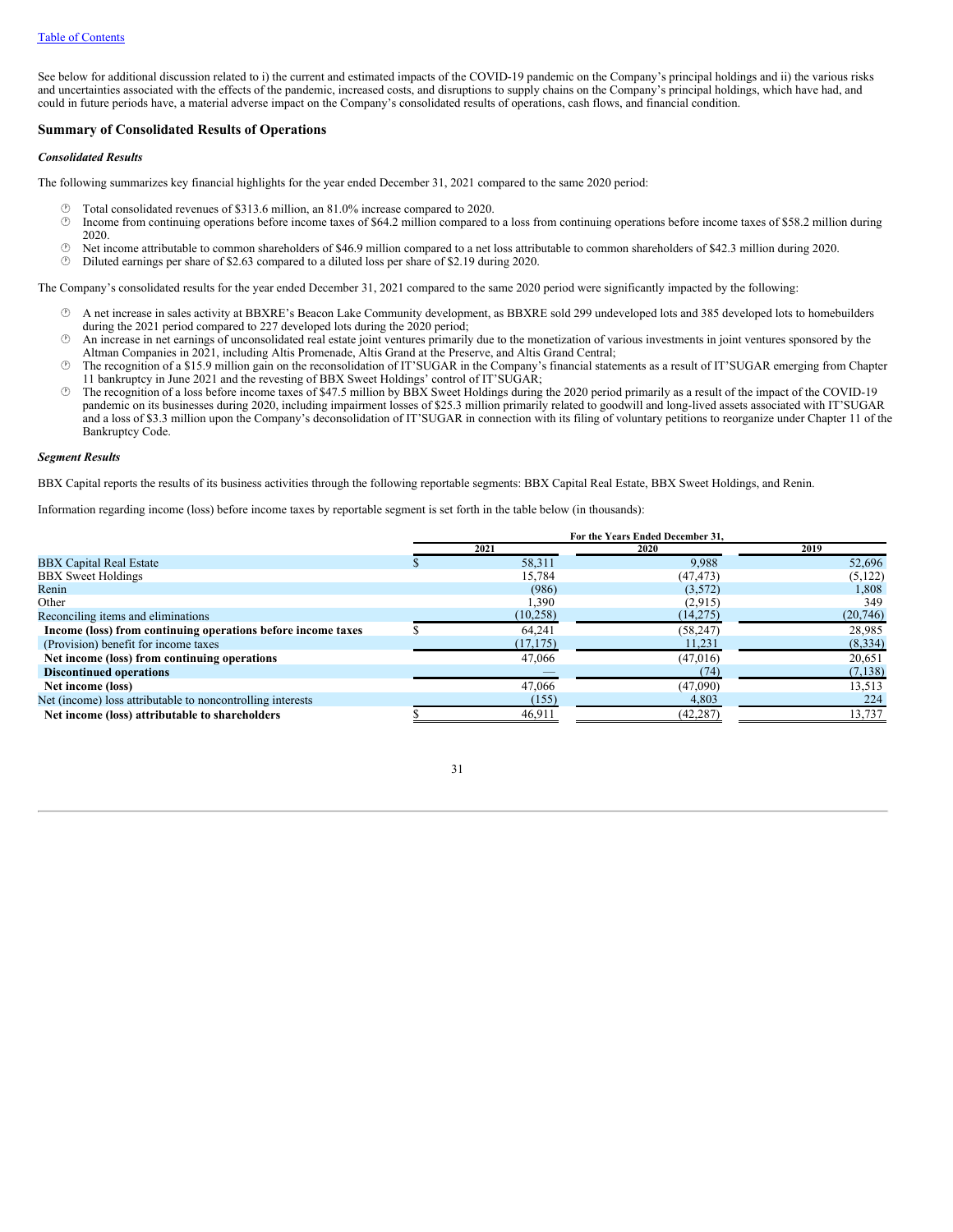See below for additional discussion related to i) the current and estimated impacts of the COVID-19 pandemic on the Company's principal holdings and ii) the various risks and uncertainties associated with the effects of the pandemic, increased costs, and disruptions to supply chains on the Company's principal holdings, which have had, and could in future periods have, a material adverse impact on the Company's consolidated results of operations, cash flows, and financial condition.

# **Summary of Consolidated Results of Operations**

#### *Consolidated Results*

The following summarizes key financial highlights for the year ended December 31, 2021 compared to the same 2020 period:

- $\circled{1}$  Total consolidated revenues of \$313.6 million, an 81.0% increase compared to 2020.<br> $\circled{1}$  Income from continuing operations before income taxes of \$64.2 million compared to
- · Income from continuing operations before income taxes of \$64.2 million compared to a loss from continuing operations before income taxes of \$58.2 million during 2020.
- · Net income attributable to common shareholders of \$46.9 million compared to a net loss attributable to common shareholders of \$42.3 million during 2020.
- · Diluted earnings per share of \$2.63 compared to a diluted loss per share of \$2.19 during 2020.

The Company's consolidated results for the year ended December 31, 2021 compared to the same 2020 period were significantly impacted by the following:

- · A net increase in sales activity at BBXRE's Beacon Lake Community development, as BBXRE sold 299 undeveloped lots and 385 developed lots to homebuilders during the 2021 period compared to 227 developed lots during the 2020 period;
- · An increase in net earnings of unconsolidated real estate joint ventures primarily due to the monetization of various investments in joint ventures sponsored by the Altman Companies in 2021, including Altis Promenade, Altis Grand at the Preserve, and Altis Grand Central;
- · The recognition of a \$15.9 million gain on the reconsolidation of IT'SUGAR in the Company's financial statements as a result of IT'SUGAR emerging from Chapter 11 bankruptcy in June 2021 and the revesting of BBX Sweet Holdings' control of IT'SUGAR;
- · The recognition of a loss before income taxes of \$47.5 million by BBX Sweet Holdings during the 2020 period primarily as a result of the impact of the COVID-19 pandemic on its businesses during 2020, including impairment losses of \$25.3 million primarily related to goodwill and long-lived assets associated with IT'SUGAR and a loss of \$3.3 million upon the Company's deconsolidation of IT'SUGAR in connection with its filing of voluntary petitions to reorganize under Chapter 11 of the Bankruptcy Code.

### *Segment Results*

BBX Capital reports the results of its business activities through the following reportable segments: BBX Capital Real Estate, BBX Sweet Holdings, and Renin.

Information regarding income (loss) before income taxes by reportable segment is set forth in the table below (in thousands):

|                                                              | For the Years Ended December 31. |           |           |          |
|--------------------------------------------------------------|----------------------------------|-----------|-----------|----------|
|                                                              |                                  | 2021      | 2020      | 2019     |
| <b>BBX Capital Real Estate</b>                               |                                  | 58.311    | 9.988     | 52,696   |
| <b>BBX</b> Sweet Holdings                                    |                                  | 15,784    | (47, 473) | (5, 122) |
| Renin                                                        |                                  | (986)     | (3,572)   | 1,808    |
| Other                                                        |                                  | 1,390     | (2,915)   | 349      |
| Reconciling items and eliminations                           |                                  | (10, 258) | (14,275)  | (20,746) |
| Income (loss) from continuing operations before income taxes |                                  | 64.241    | (58, 247) | 28,985   |
| (Provision) benefit for income taxes                         |                                  | (17, 175) | 11.231    | (8,334)  |
| Net income (loss) from continuing operations                 |                                  | 47,066    | (47,016)  | 20,651   |
| <b>Discontinued operations</b>                               |                                  |           | (74)      | (7, 138) |
| Net income (loss)                                            |                                  | 47,066    | (47,090)  | 13,513   |
| Net (income) loss attributable to noncontrolling interests   |                                  | (155)     | 4,803     | 224      |
| Net income (loss) attributable to shareholders               |                                  | 46,911    | (42, 287) | 13,737   |

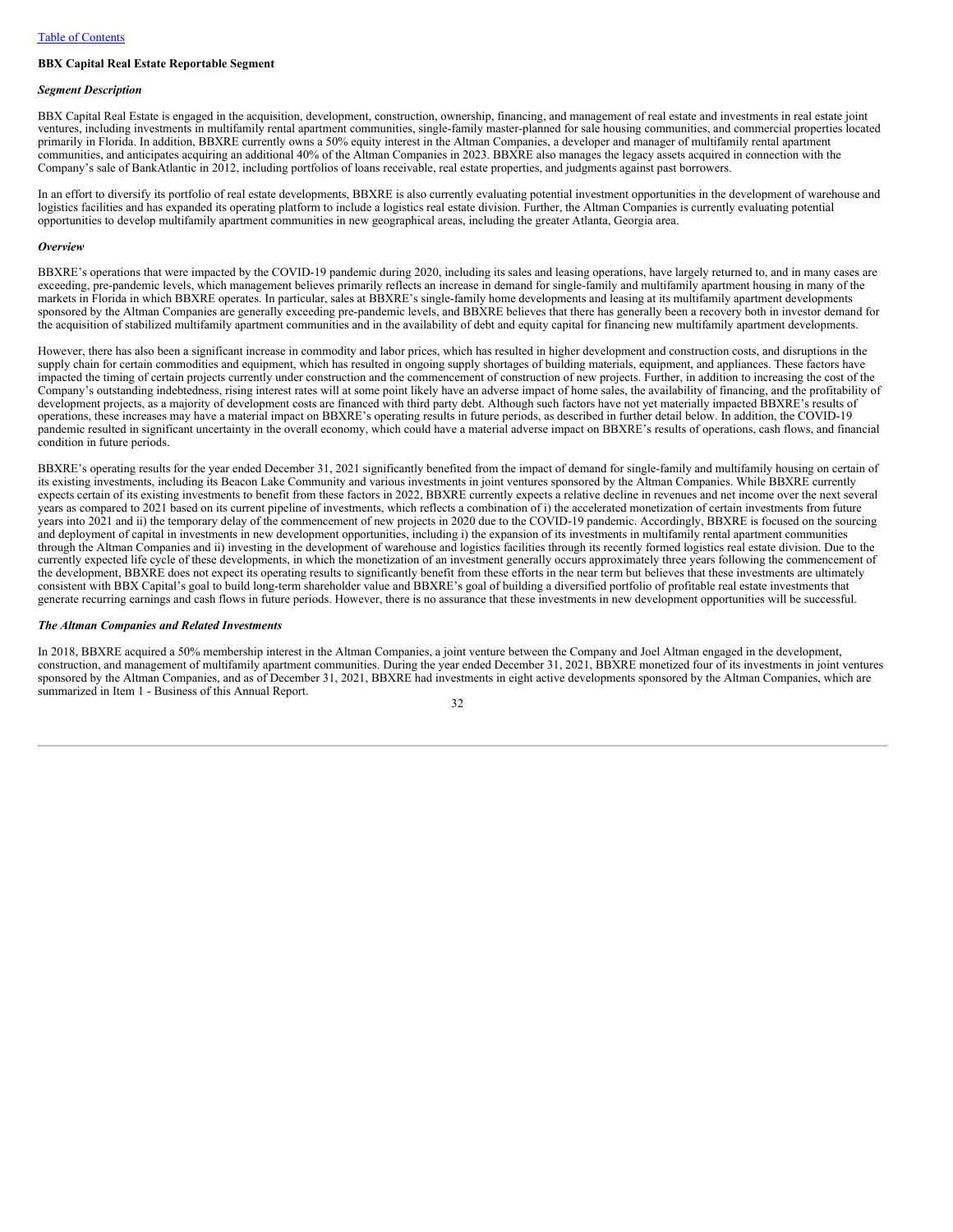## **BBX Capital Real Estate Reportable Segment**

#### *Segment Description*

BBX Capital Real Estate is engaged in the acquisition, development, construction, ownership, financing, and management of real estate and investments in real estate joint ventures, including investments in multifamily rental apartment communities, single-family master-planned for sale housing communities, and commercial properties located primarily in Florida. In addition, BBXRE currently owns a 50% equity interest in the Altman Companies, a developer and manager of multifamily rental apartment communities, and anticipates acquiring an additional 40% of the Altman Companies in 2023. BBXRE also manages the legacy assets acquired in connection with the Company's sale of BankAtlantic in 2012, including portfolios of loans receivable, real estate properties, and judgments against past borrowers.

In an effort to diversify its portfolio of real estate developments, BBXRE is also currently evaluating potential investment opportunities in the development of warehouse and logistics facilities and has expanded its operating platform to include a logistics real estate division. Further, the Altman Companies is currently evaluating potential opportunities to develop multifamily apartment communities in new geographical areas, including the greater Atlanta, Georgia area.

#### *Overview*

BBXRE's operations that were impacted by the COVID-19 pandemic during 2020, including its sales and leasing operations, have largely returned to, and in many cases are exceeding, pre-pandemic levels, which management believes primarily reflects an increase in demand for single-family and multifamily apartment housing in many of the markets in Florida in which BBXRE operates. In particular, sales at BBXRE's single-family home developments and leasing at its multifamily apartment developments sponsored by the Altman Companies are generally exceeding pre-pandemic levels, and BBXRE believes that there has generally been a recovery both in investor demand for the acquisition of stabilized multifamily apartment communities and in the availability of debt and equity capital for financing new multifamily apartment developments.

However, there has also been a significant increase in commodity and labor prices, which has resulted in higher development and construction costs, and disruptions in the supply chain for certain commodities and equipment, which has resulted in ongoing supply shortages of building materials, equipment, and appliances. These factors have impacted the timing of certain projects currently under construction and the commencement of construction of new projects. Further, in addition to increasing the cost of the Company's outstanding indebtedness, rising interest rates will at some point likely have an adverse impact of home sales, the availability of financing, and the profitability of development projects, as a majority of development costs are financed with third party debt. Although such factors have not yet materially impacted BBXRE's results of operations, these increases may have a material impact on BBXRE's operating results in future periods, as described in further detail below. In addition, the COVID-19 pandemic resulted in significant uncertainty in the overall economy, which could have a material adverse impact on BBXRE's results of operations, cash flows, and financial condition in future periods.

BBXRE's operating results for the year ended December 31, 2021 significantly benefited from the impact of demand for single-family and multifamily housing on certain of its existing investments, including its Beacon Lake Community and various investments in joint ventures sponsored by the Altman Companies. While BBXRE currently expects certain of its existing investments to benefit from these factors in 2022, BBXRE currently expects a relative decline in revenues and net income over the next several years as compared to 2021 based on its current pipeline of investments, which reflects a combination of i) the accelerated monetization of certain investments from future years into 2021 and ii) the temporary delay of the commencement of new projects in 2020 due to the COVID-19 pandemic. Accordingly, BBXRE is focused on the sourcing and deployment of capital in investments in new development opportunities, including i) the expansion of its investments in multifamily rental apartment communities through the Altman Companies and ii) investing in the development of warehouse and logistics facilities through its recently formed logistics real estate division. Due to the currently expected life cycle of these developments, in which the monetization of an investment generally occurs approximately three years following the commencement of the development, BBXRE does not expect its operating results to significantly benefit from these efforts in the near term but believes that these investments are ultimately consistent with BBX Capital's goal to build long-term shareholder value and BBXRE's goal of building a diversified portfolio of profitable real estate investments that generate recurring earnings and cash flows in future periods. However, there is no assurance that these investments in new development opportunities will be successful.

#### *The Altman Companies and Related Investments*

In 2018, BBXRE acquired a 50% membership interest in the Altman Companies, a joint venture between the Company and Joel Altman engaged in the development, construction, and management of multifamily apartment communities. During the year ended December 31, 2021, BBXRE monetized four of its investments in joint ventures sponsored by the Altman Companies, and as of December 31, 2021, BBXRE had investments in eight active developments sponsored by the Altman Companies, which are summarized in Item 1 - Business of this Annual Report.

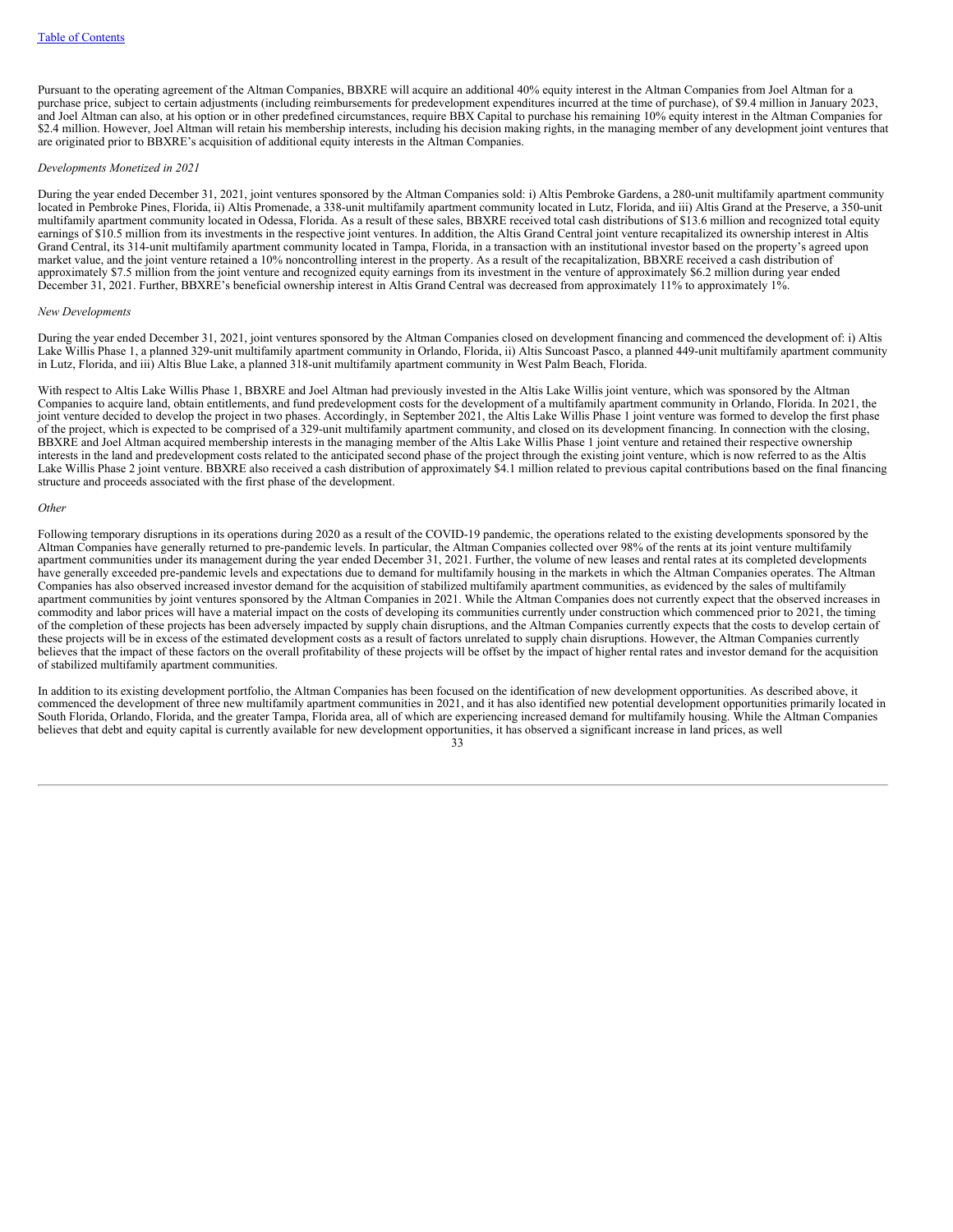Pursuant to the operating agreement of the Altman Companies, BBXRE will acquire an additional 40% equity interest in the Altman Companies from Joel Altman for a purchase price, subject to certain adjustments (including reimbursements for predevelopment expenditures incurred at the time of purchase), of \$9.4 million in January 2023, and Joel Altman can also, at his option or in other predefined circumstances, require BBX Capital to purchase his remaining 10% equity interest in the Altman Companies for \$2.4 million. However, Joel Altman will retain his membership interests, including his decision making rights, in the managing member of any development joint ventures that are originated prior to BBXRE's acquisition of additional equity interests in the Altman Companies.

# *Developments Monetized in 2021*

During the year ended December 31, 2021, joint ventures sponsored by the Altman Companies sold: i) Altis Pembroke Gardens, a 280-unit multifamily apartment community located in Pembroke Pines, Florida, ii) Altis Promenade, a 338-unit multifamily apartment community located in Lutz, Florida, and iii) Altis Grand at the Preserve, a 350-unit multifamily apartment community located in Odessa, Florida. As a result of these sales, BBXRE received total cash distributions of \$13.6 million and recognized total equity earnings of \$10.5 million from its investments in the respective joint ventures. In addition, the Altis Grand Central joint venture recapitalized its ownership interest in Altis Grand Central, its 314-unit multifamily apartment community located in Tampa, Florida, in a transaction with an institutional investor based on the property's agreed upon market value, and the joint venture retained a 10% noncontrolling interest in the property. As a result of the recapitalization, BBXRE received a cash distribution of approximately \$7.5 million from the joint venture and recognized equity earnings from its investment in the venture of approximately \$6.2 million during year ended December 31, 2021. Further, BBXRE's beneficial ownership interest in Altis Grand Central was decreased from approximately 11% to approximately 1%.

# *New Developments*

During the year ended December 31, 2021, joint ventures sponsored by the Altman Companies closed on development financing and commenced the development of: i) Altis Lake Willis Phase 1, a planned 329-unit multifamily apartment community in Orlando, Florida, ii) Altis Suncoast Pasco, a planned 449-unit multifamily apartment community in Lutz, Florida, and iii) Altis Blue Lake, a planned 318-unit multifamily apartment community in West Palm Beach, Florida.

With respect to Altis Lake Willis Phase 1, BBXRE and Joel Altman had previously invested in the Altis Lake Willis joint venture, which was sponsored by the Altman Companies to acquire land, obtain entitlements, and fund predevelopment costs for the development of a multifamily apartment community in Orlando, Florida. In 2021, the joint venture decided to develop the project in two phases. Accordingly, in September 2021, the Altis Lake Willis Phase 1 joint venture was formed to develop the first phase of the project, which is expected to be comprised of a 329-unit multifamily apartment community, and closed on its development financing. In connection with the closing, BBXRE and Joel Altman acquired membership interests in the managing member of the Altis Lake Willis Phase 1 joint venture and retained their respective ownership interests in the land and predevelopment costs related to the anticipated second phase of the project through the existing joint venture, which is now referred to as the Altis Lake Willis Phase 2 joint venture. BBXRE also received a cash distribution of approximately \$4.1 million related to previous capital contributions based on the final financing structure and proceeds associated with the first phase of the development.

#### *Other*

Following temporary disruptions in its operations during 2020 as a result of the COVID-19 pandemic, the operations related to the existing developments sponsored by the Altman Companies have generally returned to pre-pandemic levels. In particular, the Altman Companies collected over 98% of the rents at its joint venture multifamily apartment communities under its management during the year ended December 31, 2021. Further, the volume of new leases and rental rates at its completed developments have generally exceeded pre-pandemic levels and expectations due to demand for multifamily housing in the markets in which the Altman Companies operates. The Altman Companies has also observed increased investor demand for the acquisition of stabilized multifamily apartment communities, as evidenced by the sales of multifamily apartment communities by joint ventures sponsored by the Altman Companies in 2021. While the Altman Companies does not currently expect that the observed increases in commodity and labor prices will have a material impact on the costs of developing its communities currently under construction which commenced prior to 2021, the timing of the completion of these projects has been adversely impacted by supply chain disruptions, and the Altman Companies currently expects that the costs to develop certain of these projects will be in excess of the estimated development costs as a result of factors unrelated to supply chain disruptions. However, the Altman Companies currently believes that the impact of these factors on the overall profitability of these projects will be offset by the impact of higher rental rates and investor demand for the acquisition of stabilized multifamily apartment communities.

In addition to its existing development portfolio, the Altman Companies has been focused on the identification of new development opportunities. As described above, it commenced the development of three new multifamily apartment communities in 2021, and it has also identified new potential development opportunities primarily located in South Florida, Orlando, Florida, and the greater Tampa, Florida area, all of which are experiencing increased demand for multifamily housing. While the Altman Companies believes that debt and equity capital is currently available for new development opportunities, it has observed a significant increase in land prices, as well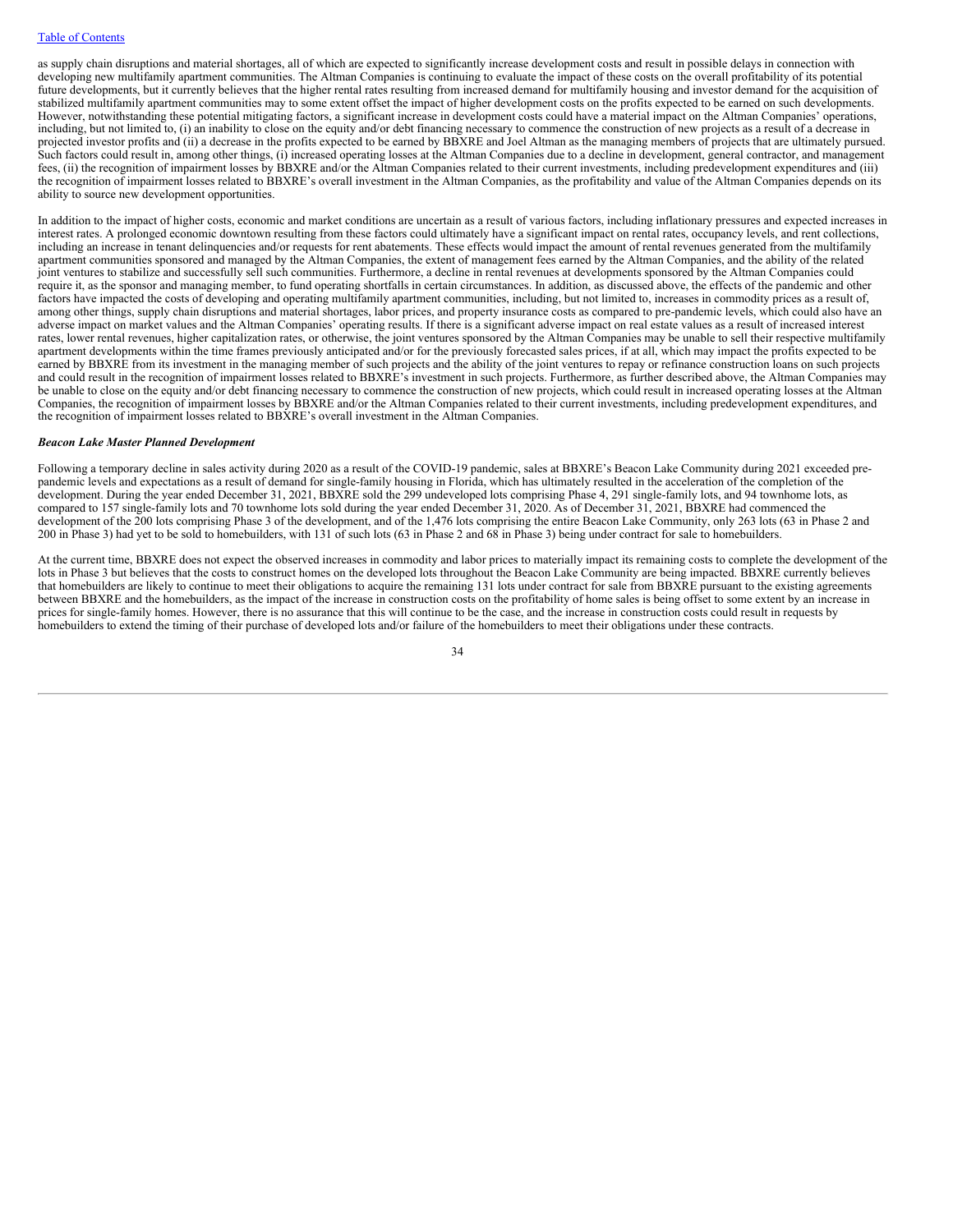as supply chain disruptions and material shortages, all of which are expected to significantly increase development costs and result in possible delays in connection with developing new multifamily apartment communities. The Altman Companies is continuing to evaluate the impact of these costs on the overall profitability of its potential future developments, but it currently believes that the higher rental rates resulting from increased demand for multifamily housing and investor demand for the acquisition of stabilized multifamily apartment communities may to some extent offset the impact of higher development costs on the profits expected to be earned on such developments. However, notwithstanding these potential mitigating factors, a significant increase in development costs could have a material impact on the Altman Companies' operations, including, but not limited to, (i) an inability to close on the equity and/or debt financing necessary to commence the construction of new projects as a result of a decrease in projected investor profits and (ii) a decrease in the profits expected to be earned by BBXRE and Joel Altman as the managing members of projects that are ultimately pursued. Such factors could result in, among other things, (i) increased operating losses at the Altman Companies due to a decline in development, general contractor, and management fees, (ii) the recognition of impairment losses by BBXRE and/or the Altman Companies related to their current investments, including predevelopment expenditures and (iii) the recognition of impairment losses related to BBXRE's overall investment in the Altman Companies, as the profitability and value of the Altman Companies depends on its ability to source new development opportunities.

In addition to the impact of higher costs, economic and market conditions are uncertain as a result of various factors, including inflationary pressures and expected increases in interest rates. A prolonged economic downtown resulting from these factors could ultimately have a significant impact on rental rates, occupancy levels, and rent collections, including an increase in tenant delinquencies and/or requests for rent abatements. These effects would impact the amount of rental revenues generated from the multifamily apartment communities sponsored and managed by the Altman Companies, the extent of management fees earned by the Altman Companies, and the ability of the related joint ventures to stabilize and successfully sell such communities. Furthermore, a decline in rental revenues at developments sponsored by the Altman Companies could require it, as the sponsor and managing member, to fund operating shortfalls in certain circumstances. In addition, as discussed above, the effects of the pandemic and other factors have impacted the costs of developing and operating multifamily apartment communities, including, but not limited to, increases in commodity prices as a result of, among other things, supply chain disruptions and material shortages, labor prices, and property insurance costs as compared to pre-pandemic levels, which could also have an adverse impact on market values and the Altman Companies' operating results. If there is a significant adverse impact on real estate values as a result of increased interest rates, lower rental revenues, higher capitalization rates, or otherwise, the joint ventures sponsored by the Altman Companies may be unable to sell their respective multifamily apartment developments within the time frames previously anticipated and/or for the previously forecasted sales prices, if at all, which may impact the profits expected to be earned by BBXRE from its investment in the managing member of such projects and the ability of the joint ventures to repay or refinance construction loans on such projects and could result in the recognition of impairment losses related to BBXRE's investment in such projects. Furthermore, as further described above, the Altman Companies may be unable to close on the equity and/or debt financing necessary to commence the construction of new projects, which could result in increased operating losses at the Altman Companies, the recognition of impairment losses by BBXRE and/or the Altman Companies related to their current investments, including predevelopment expenditures, and the recognition of impairment losses related to BBXRE's overall investment in the Altman Companies.

## *Beacon Lake Master Planned Development*

Following a temporary decline in sales activity during 2020 as a result of the COVID-19 pandemic, sales at BBXRE's Beacon Lake Community during 2021 exceeded prepandemic levels and expectations as a result of demand for single-family housing in Florida, which has ultimately resulted in the acceleration of the completion of the development. During the year ended December 31, 2021, BBXRE sold the 299 undeveloped lots comprising Phase 4, 291 single-family lots, and 94 townhome lots, as compared to 157 single-family lots and 70 townhome lots sold during the year ended December 31, 2020. As of December 31, 2021, BBXRE had commenced the development of the 200 lots comprising Phase 3 of the development, and of the 1,476 lots comprising the entire Beacon Lake Community, only 263 lots (63 in Phase 2 and 200 in Phase 3) had yet to be sold to homebuilders, with 131 of such lots (63 in Phase 2 and 68 in Phase 3) being under contract for sale to homebuilders.

At the current time, BBXRE does not expect the observed increases in commodity and labor prices to materially impact its remaining costs to complete the development of the lots in Phase 3 but believes that the costs to construct homes on the developed lots throughout the Beacon Lake Community are being impacted. BBXRE currently believes that homebuilders are likely to continue to meet their obligations to acquire the remaining 131 lots under contract for sale from BBXRE pursuant to the existing agreements between BBXRE and the homebuilders, as the impact of the increase in construction costs on the profitability of home sales is being offset to some extent by an increase in prices for single-family homes. However, there is no assurance that this will continue to be the case, and the increase in construction costs could result in requests by homebuilders to extend the timing of their purchase of developed lots and/or failure of the homebuilders to meet their obligations under these contracts.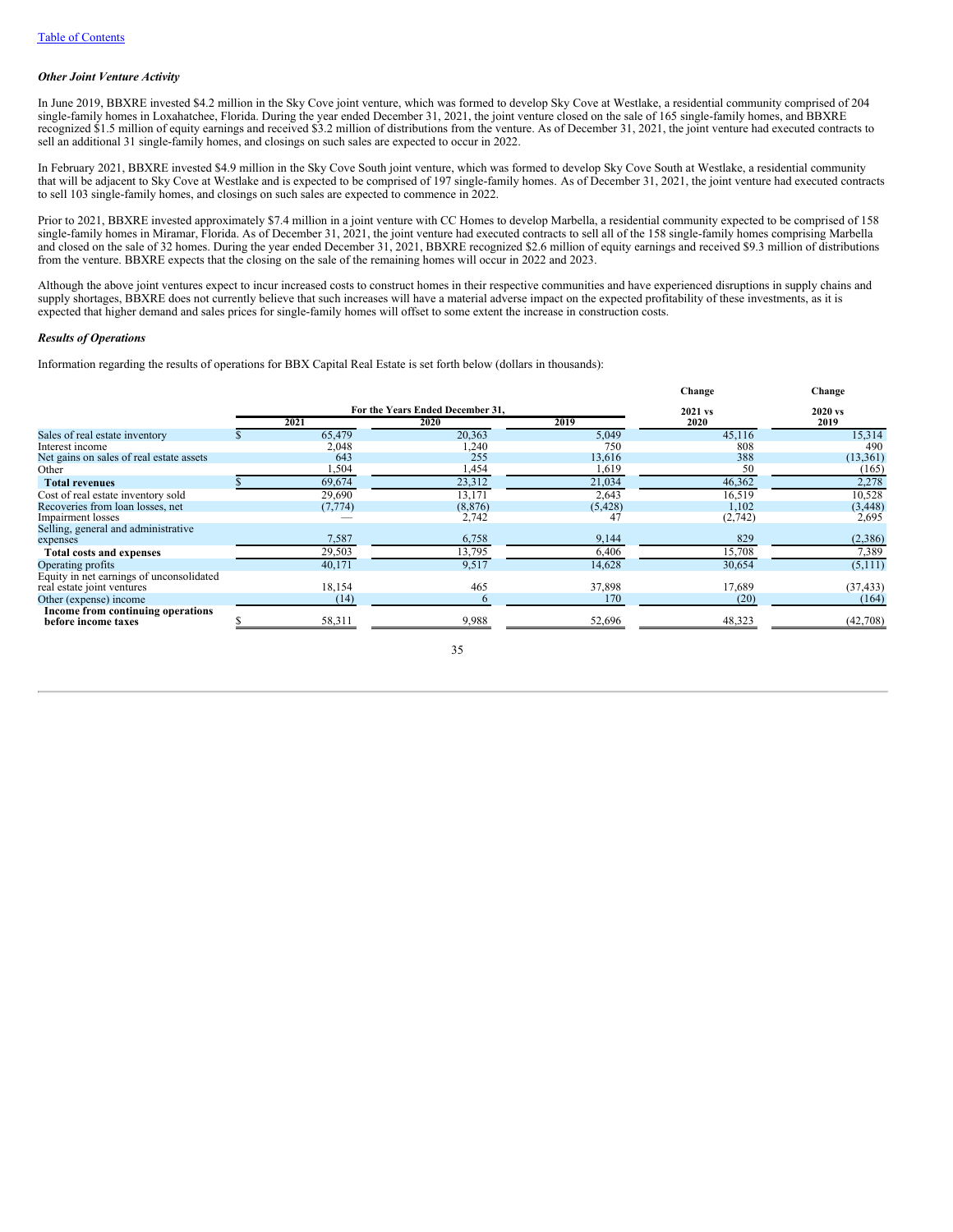### *Other Joint Venture Activity*

In June 2019, BBXRE invested \$4.2 million in the Sky Cove joint venture, which was formed to develop Sky Cove at Westlake, a residential community comprised of 204 single-family homes in Loxahatchee, Florida. During the year ended December 31, 2021, the joint venture closed on the sale of 165 single-family homes, and BBXRE recognized \$1.5 million of equity earnings and received \$3.2 million of distributions from the venture. As of December 31, 2021, the joint venture had executed contracts to sell an additional 31 single-family homes, and closings on such sales are expected to occur in 2022.

In February 2021, BBXRE invested \$4.9 million in the Sky Cove South joint venture, which was formed to develop Sky Cove South at Westlake, a residential community that will be adjacent to Sky Cove at Westlake and is expected to be comprised of 197 single-family homes. As of December 31, 2021, the joint venture had executed contracts to sell 103 single-family homes, and closings on such sales are expected to commence in 2022.

Prior to 2021, BBXRE invested approximately \$7.4 million in a joint venture with CC Homes to develop Marbella, a residential community expected to be comprised of 158 single-family homes in Miramar, Florida. As of December 31, 2021, the joint venture had executed contracts to sell all of the 158 single-family homes comprising Marbella and closed on the sale of 32 homes. During the year ended December 31, 2021, BBXRE recognized \$2.6 million of equity earnings and received \$9.3 million of distributions from the venture. BBXRE expects that the closing on the sale of the remaining homes will occur in 2022 and 2023.

Although the above joint ventures expect to incur increased costs to construct homes in their respective communities and have experienced disruptions in supply chains and supply shortages, BBXRE does not currently believe that such increases will have a material adverse impact on the expected profitability of these investments, as it is expected that higher demand and sales prices for single-family homes will offset to some extent the increase in construction costs.

### *Results of Operations*

Information regarding the results of operations for BBX Capital Real Estate is set forth below (dollars in thousands):

|                                                          |          |                                  |          | Change  | Change    |  |
|----------------------------------------------------------|----------|----------------------------------|----------|---------|-----------|--|
|                                                          |          | For the Years Ended December 31, |          | 2021 vs | 2020 vs   |  |
|                                                          | 2021     | <b>2020</b>                      | 2019     | 2020    | 2019      |  |
| Sales of real estate inventory                           | 65,479   | 20,363                           | 5,049    | 45,116  | 15,314    |  |
| Interest income                                          | 2,048    | 1,240                            | 750      | 808     | 490       |  |
| Net gains on sales of real estate assets                 | 643      | 255                              | 13,616   | 388     | (13, 361) |  |
| Other                                                    | 1,504    | 1,454                            | 1,619    | 50      | (165)     |  |
| <b>Total revenues</b>                                    | 69,674   | 23,312                           | 21,034   | 46,362  | 2,278     |  |
| Cost of real estate inventory sold                       | 29,690   | 13,171                           | 2,643    | 16,519  | 10,528    |  |
| Recoveries from loan losses, net                         | (7, 774) | (8, 876)                         | (5, 428) | 1,102   | (3, 448)  |  |
| Impairment losses                                        |          | 2,742                            | 47       | (2,742) | 2,695     |  |
| Selling, general and administrative                      |          |                                  |          |         |           |  |
| expenses                                                 | 7,587    | 6,758                            | 9,144    | 829     | (2,386)   |  |
| <b>Total costs and expenses</b>                          | 29,503   | 13,795                           | 6,406    | 15,708  | 7,389     |  |
| Operating profits                                        | 40,171   | 9,517                            | 14,628   | 30,654  | (5,111)   |  |
| Equity in net earnings of unconsolidated                 |          |                                  |          |         |           |  |
| real estate joint ventures                               | 18,154   | 465                              | 37,898   | 17,689  | (37, 433) |  |
| Other (expense) income                                   | (14)     |                                  | 170      | (20)    | (164)     |  |
| Income from continuing operations<br>before income taxes | 58,311   | 9,988                            | 52,696   | 48,323  | (42,708)  |  |
|                                                          |          |                                  |          |         |           |  |

35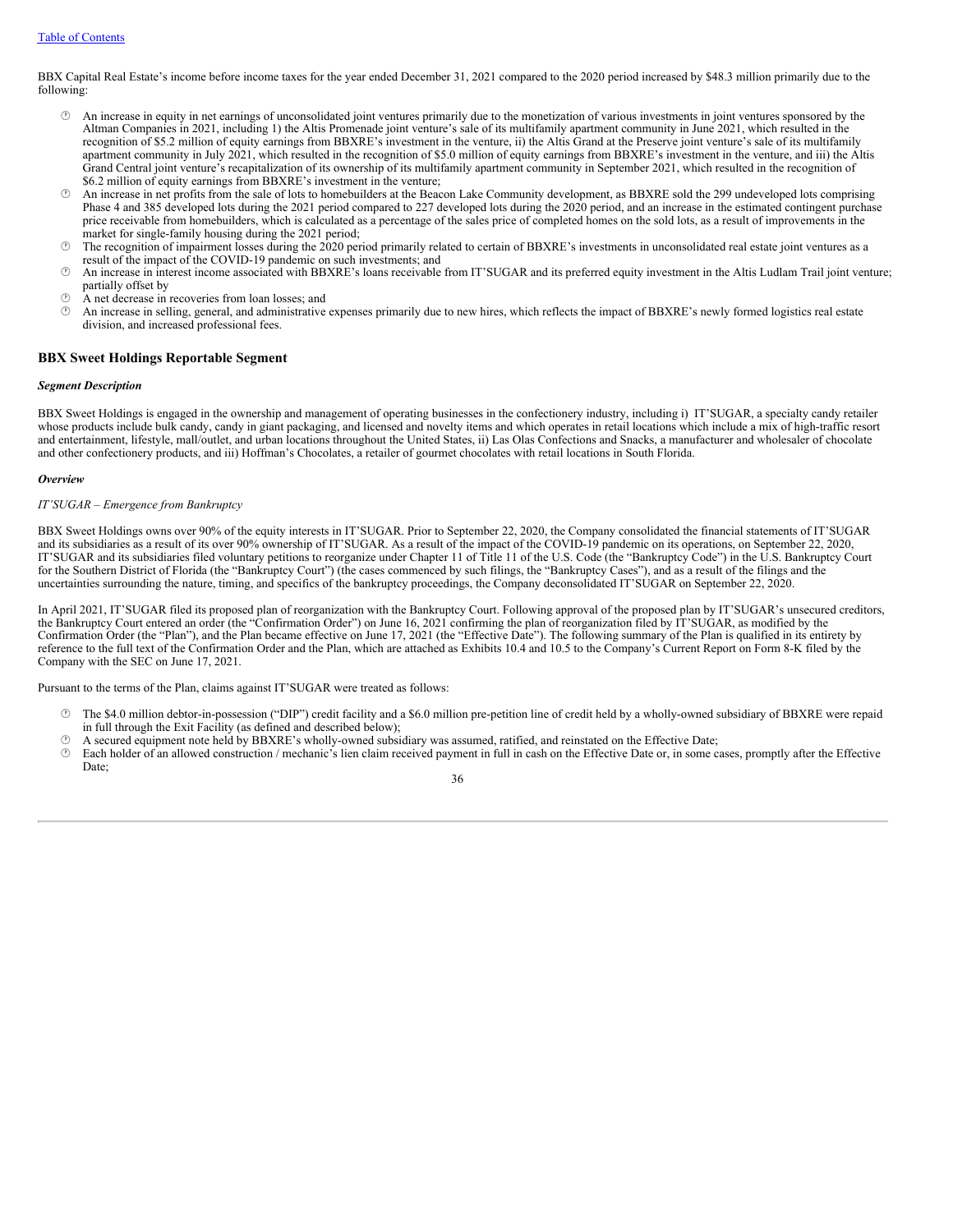BBX Capital Real Estate's income before income taxes for the year ended December 31, 2021 compared to the 2020 period increased by \$48.3 million primarily due to the following:

- · An increase in equity in net earnings of unconsolidated joint ventures primarily due to the monetization of various investments in joint ventures sponsored by the Altman Companies in 2021, including 1) the Altis Promenade joint venture's sale of its multifamily apartment community in June 2021, which resulted in the recognition of \$5.2 million of equity earnings from BBXRE's investment in the venture, ii) the Altis Grand at the Preserve joint venture's sale of its multifamily apartment community in July 2021, which resulted in the recognition of \$5.0 million of equity earnings from BBXRE's investment in the venture, and iii) the Altis Grand Central joint venture's recapitalization of its ownership of its multifamily apartment community in September 2021, which resulted in the recognition of \$6.2 million of equity earnings from BBXRE's investment in the venture;
- · An increase in net profits from the sale of lots to homebuilders at the Beacon Lake Community development, as BBXRE sold the 299 undeveloped lots comprising Phase 4 and 385 developed lots during the 2021 period compared to 227 developed lots during the 2020 period, and an increase in the estimated contingent purchase price receivable from homebuilders, which is calculated as a percentage of the sales price of completed homes on the sold lots, as a result of improvements in the market for single-family housing during the 2021 period;
- $\circ$  The recognition of impairment losses during the 2020 period primarily related to certain of BBXRE's investments in unconsolidated real estate joint ventures as a result of the impact of the COVID-19 pandemic on such investments; and
- · An increase in interest income associated with BBXRE's loans receivable from IT'SUGAR and its preferred equity investment in the Altis Ludlam Trail joint venture; partially offset by
- · A net decrease in recoveries from loan losses; and
- $\circ$  An increase in selling, general, and administrative expenses primarily due to new hires, which reflects the impact of BBXRE's newly formed logistics real estate division, and increased professional fees.

# **BBX Sweet Holdings Reportable Segment**

#### *Segment Description*

BBX Sweet Holdings is engaged in the ownership and management of operating businesses in the confectionery industry, including i) IT'SUGAR, a specialty candy retailer whose products include bulk candy, candy in giant packaging, and licensed and novelty items and which operates in retail locations which include a mix of high-traffic resort and entertainment, lifestyle, mall/outlet, and urban locations throughout the United States, ii) Las Olas Confections and Snacks, a manufacturer and wholesaler of chocolate and other confectionery products, and iii) Hoffman's Chocolates, a retailer of gourmet chocolates with retail locations in South Florida.

### *Overview*

## *IT'SUGAR – Emergence from Bankruptcy*

BBX Sweet Holdings owns over 90% of the equity interests in IT'SUGAR. Prior to September 22, 2020, the Company consolidated the financial statements of IT'SUGAR and its subsidiaries as a result of its over 90% ownership of IT'SUGAR. As a result of the impact of the COVID-19 pandemic on its operations, on September 22, 2020, IT'SUGAR and its subsidiaries filed voluntary petitions to reorganize under Chapter 11 of Title 11 of the U.S. Code (the "Bankruptcy Code") in the U.S. Bankruptcy Court for the Southern District of Florida (the "Bankruptcy Court") (the cases commenced by such filings, the "Bankruptcy Cases"), and as a result of the filings and the uncertainties surrounding the nature, timing, and specifics of the bankruptcy proceedings, the Company deconsolidated IT'SUGAR on September 22, 2020.

In April 2021, IT'SUGAR filed its proposed plan of reorganization with the Bankruptcy Court. Following approval of the proposed plan by IT'SUGAR's unsecured creditors, the Bankruptcy Court entered an order (the "Confirmation Order") on June 16, 2021 confirming the plan of reorganization filed by IT'SUGAR, as modified by the Confirmation Order (the "Plan"), and the Plan became effective on June 17, 2021 (the "Effective Date"). The following summary of the Plan is qualified in its entirety by reference to the full text of the Confirmation Order and the Plan, which are attached as Exhibits 10.4 and 10.5 to the Company's Current Report on Form 8-K filed by the Company with the SEC on June 17, 2021.

Pursuant to the terms of the Plan, claims against IT'SUGAR were treated as follows:

- · The \$4.0 million debtor-in-possession ("DIP") credit facility and a \$6.0 million pre-petition line of credit held by a wholly-owned subsidiary of BBXRE were repaid in full through the Exit Facility (as defined and described below);
- $\circled{?}$  A secured equipment note held by BBXRE's wholly-owned subsidiary was assumed, ratified, and reinstated on the Effective Date;<br> $\circled{?}$  Each holder of an allowed construction (mechanic's lien claim received naymen
- Each holder of an allowed construction / mechanic's lien claim received payment in full in cash on the Effective Date or, in some cases, promptly after the Effective Date;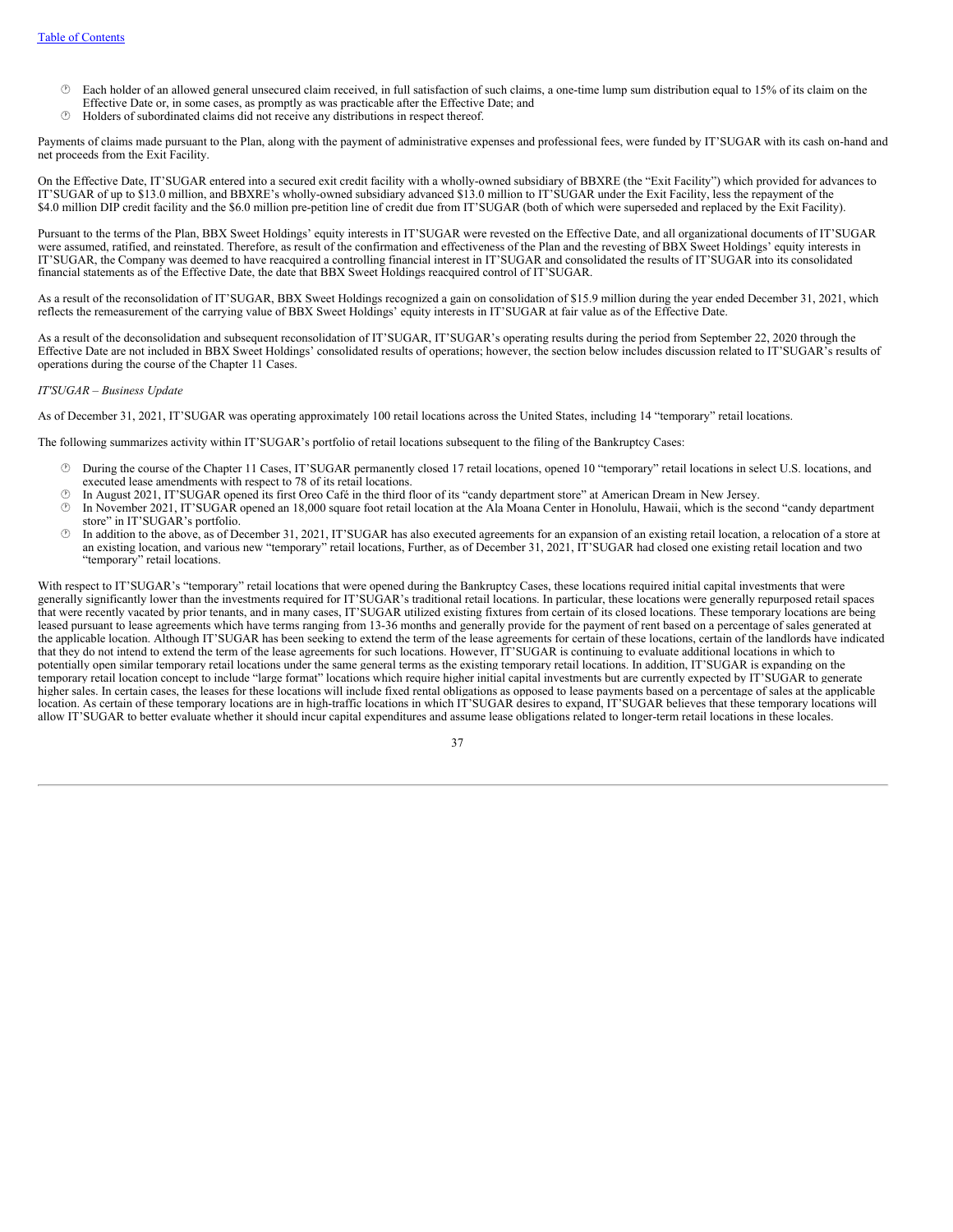- $\circled{}$  Each holder of an allowed general unsecured claim received, in full satisfaction of such claims, a one-time lump sum distribution equal to 15% of its claim on the Effective Date or, in some cases, as promptly as was practicable after the Effective Date; and
- · Holders of subordinated claims did not receive any distributions in respect thereof.

Payments of claims made pursuant to the Plan, along with the payment of administrative expenses and professional fees, were funded by IT'SUGAR with its cash on-hand and net proceeds from the Exit Facility.

On the Effective Date, IT'SUGAR entered into a secured exit credit facility with a wholly-owned subsidiary of BBXRE (the "Exit Facility") which provided for advances to IT'SUGAR of up to \$13.0 million, and BBXRE's wholly-owned subsidiary advanced \$13.0 million to IT'SUGAR under the Exit Facility, less the repayment of the \$4.0 million DIP credit facility and the \$6.0 million pre-petition line of credit due from IT'SUGAR (both of which were superseded and replaced by the Exit Facility).

Pursuant to the terms of the Plan, BBX Sweet Holdings' equity interests in IT'SUGAR were revested on the Effective Date, and all organizational documents of IT'SUGAR were assumed, ratified, and reinstated. Therefore, as result of the confirmation and effectiveness of the Plan and the revesting of BBX Sweet Holdings' equity interests in IT'SUGAR, the Company was deemed to have reacquired a controlling financial interest in IT'SUGAR and consolidated the results of IT'SUGAR into its consolidated financial statements as of the Effective Date, the date that BBX Sweet Holdings reacquired control of IT'SUGAR.

As a result of the reconsolidation of IT'SUGAR, BBX Sweet Holdings recognized a gain on consolidation of \$15.9 million during the year ended December 31, 2021, which reflects the remeasurement of the carrying value of BBX Sweet Holdings' equity interests in IT'SUGAR at fair value as of the Effective Date.

As a result of the deconsolidation and subsequent reconsolidation of IT'SUGAR, IT'SUGAR's operating results during the period from September 22, 2020 through the Effective Date are not included in BBX Sweet Holdings' consolidated results of operations; however, the section below includes discussion related to IT'SUGAR's results of operations during the course of the Chapter 11 Cases.

### *IT'SUGAR – Business Update*

As of December 31, 2021, IT'SUGAR was operating approximately 100 retail locations across the United States, including 14 "temporary" retail locations.

The following summarizes activity within IT'SUGAR's portfolio of retail locations subsequent to the filing of the Bankruptcy Cases:

- · During the course of the Chapter 11 Cases, IT'SUGAR permanently closed 17 retail locations, opened 10 "temporary" retail locations in select U.S. locations, and executed lease amendments with respect to 78 of its retail locations.
- · In August 2021, IT'SUGAR opened its first Oreo Café in the third floor of its "candy department store" at American Dream in New Jersey.
- · In November 2021, IT'SUGAR opened an 18,000 square foot retail location at the Ala Moana Center in Honolulu, Hawaii, which is the second "candy department store" in IT'SUGAR's portfolio.
- In addition to the above, as of December 31, 2021, IT'SUGAR has also executed agreements for an expansion of an existing retail location, a relocation of a store at an existing location, and various new "temporary" retail locations, Further, as of December 31, 2021, IT'SUGAR had closed one existing retail location and two "temporary" retail locations.

With respect to IT'SUGAR's "temporary" retail locations that were opened during the Bankruptcy Cases, these locations required initial capital investments that were generally significantly lower than the investments required for IT'SUGAR's traditional retail locations. In particular, these locations were generally repurposed retail spaces that were recently vacated by prior tenants, and in many cases, IT'SUGAR utilized existing fixtures from certain of its closed locations. These temporary locations are being leased pursuant to lease agreements which have terms ranging from 13-36 months and generally provide for the payment of rent based on a percentage of sales generated at the applicable location. Although IT'SUGAR has been seeking to extend the term of the lease agreements for certain of these locations, certain of the landlords have indicated that they do not intend to extend the term of the lease agreements for such locations. However, IT'SUGAR is continuing to evaluate additional locations in which to potentially open similar temporary retail locations under the same general terms as the existing temporary retail locations. In addition, IT'SUGAR is expanding on the temporary retail location concept to include "large format" locations which require higher initial capital investments but are currently expected by IT'SUGAR to generate higher sales. In certain cases, the leases for these locations will include fixed rental obligations as opposed to lease payments based on a percentage of sales at the applicable location. As certain of these temporary locations are in high-traffic locations in which IT'SUGAR desires to expand, IT'SUGAR believes that these temporary locations will allow IT'SUGAR to better evaluate whether it should incur capital expenditures and assume lease obligations related to longer-term retail locations in these locales.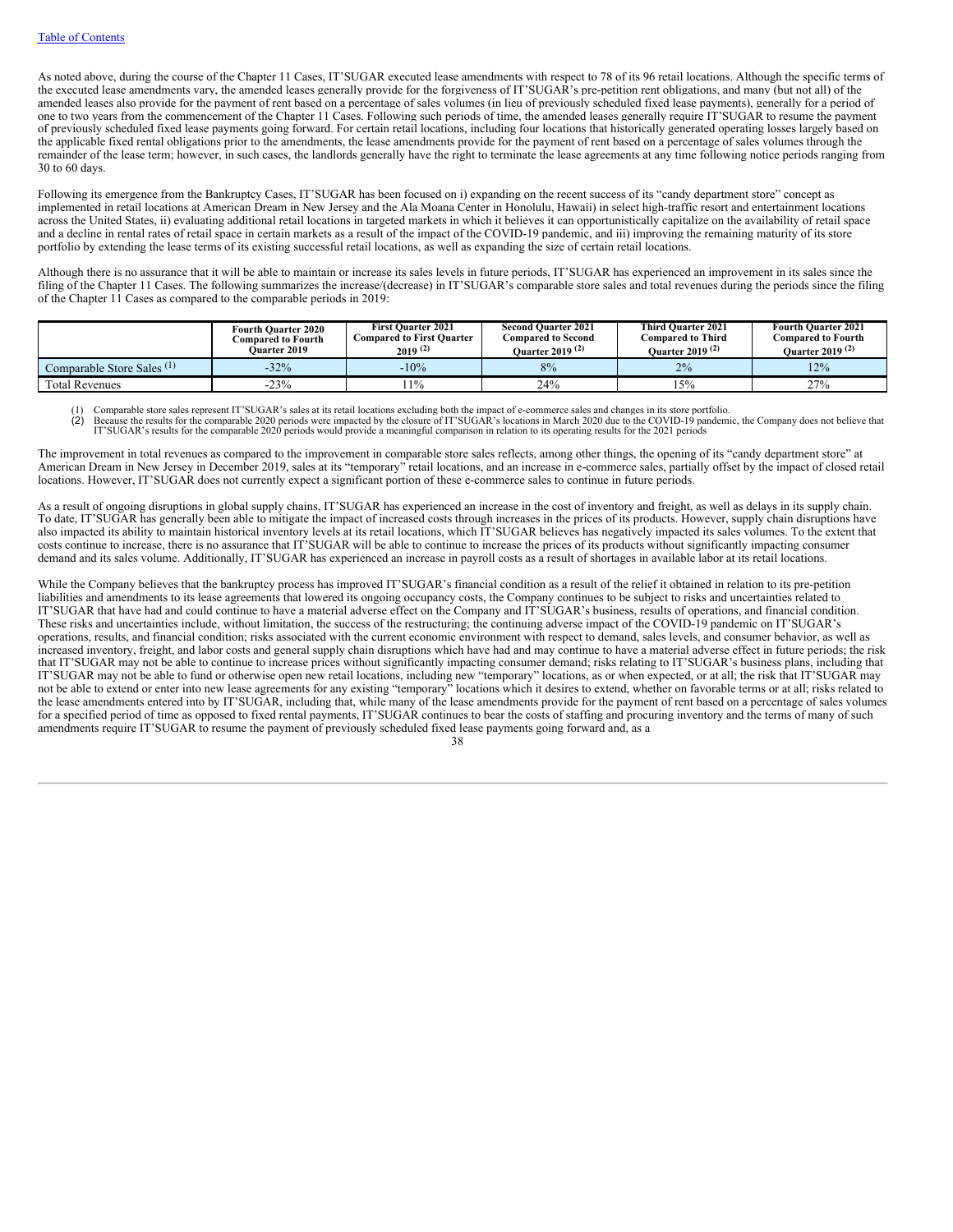As noted above, during the course of the Chapter 11 Cases, IT'SUGAR executed lease amendments with respect to 78 of its 96 retail locations. Although the specific terms of the executed lease amendments vary, the amended leases generally provide for the forgiveness of IT'SUGAR's pre-petition rent obligations, and many (but not all) of the amended leases also provide for the payment of rent based on a percentage of sales volumes (in lieu of previously scheduled fixed lease payments), generally for a period of one to two years from the commencement of the Chapter 11 Cases. Following such periods of time, the amended leases generally require IT'SUGAR to resume the payment of previously scheduled fixed lease payments going forward. For certain retail locations, including four locations that historically generated operating losses largely based on the applicable fixed rental obligations prior to the amendments, the lease amendments provide for the payment of rent based on a percentage of sales volumes through the remainder of the lease term; however, in such cases, the landlords generally have the right to terminate the lease agreements at any time following notice periods ranging from 30 to 60 days.

Following its emergence from the Bankruptcy Cases, IT'SUGAR has been focused on i) expanding on the recent success of its "candy department store" concept as implemented in retail locations at American Dream in New Jersey and the Ala Moana Center in Honolulu, Hawaii) in select high-traffic resort and entertainment locations across the United States, ii) evaluating additional retail locations in targeted markets in which it believes it can opportunistically capitalize on the availability of retail space and a decline in rental rates of retail space in certain markets as a result of the impact of the COVID-19 pandemic, and iii) improving the remaining maturity of its store portfolio by extending the lease terms of its existing successful retail locations, as well as expanding the size of certain retail locations.

Although there is no assurance that it will be able to maintain or increase its sales levels in future periods, IT'SUGAR has experienced an improvement in its sales since the filing of the Chapter 11 Cases. The following summarizes the increase/(decrease) in IT'SUGAR's comparable store sales and total revenues during the periods since the filing of the Chapter 11 Cases as compared to the comparable periods in 2019:

|                                       | <b>Fourth Ouarter 2020</b><br><b>Compared to Fourth</b><br><b>Ouarter 2019</b> | <b>First Ouarter 2021</b><br><b>Compared to First Ouarter</b><br>$2019^{(2)}$ | <b>Second Ouarter 2021</b><br><b>Compared to Second</b><br>Quarter 2019 <sup>(2)</sup> | <b>Third Ouarter 2021</b><br><b>Compared to Third</b><br>Ouarter 2019 <sup>(2)</sup> | <b>Fourth Ouarter 2021</b><br>Compared to Fourth<br>Ouarter 2019 <sup>(2)</sup> |  |
|---------------------------------------|--------------------------------------------------------------------------------|-------------------------------------------------------------------------------|----------------------------------------------------------------------------------------|--------------------------------------------------------------------------------------|---------------------------------------------------------------------------------|--|
| Comparable Store Sales <sup>(1)</sup> | $-32%$                                                                         | $-10%$                                                                        | 8%                                                                                     | 2%                                                                                   | 12%                                                                             |  |
| <b>Total Revenues</b>                 | $-23%$                                                                         | 11%                                                                           | 24%                                                                                    | 15%                                                                                  | 27%                                                                             |  |

(1) Comparable store sales represent IT'SUGAR's sales at its retail locations excluding both the impact of e-commerce sales and changes in its store portfolio.

(2) Because the results for the comparable 2020 periods were impacted by the closure of IT'SUGAR's locations in March 2020 due to the COVID-19 pandemic, the Company does not believe that IT'SUGAR's results for the comparab

The improvement in total revenues as compared to the improvement in comparable store sales reflects, among other things, the opening of its "candy department store" at American Dream in New Jersey in December 2019, sales at its "temporary" retail locations, and an increase in e-commerce sales, partially offset by the impact of closed retail locations. However, IT'SUGAR does not currently expect a significant portion of these e-commerce sales to continue in future periods.

As a result of ongoing disruptions in global supply chains, IT'SUGAR has experienced an increase in the cost of inventory and freight, as well as delays in its supply chain. To date, IT'SUGAR has generally been able to mitigate the impact of increased costs through increases in the prices of its products. However, supply chain disruptions have also impacted its ability to maintain historical inventory levels at its retail locations, which IT'SUGAR believes has negatively impacted its sales volumes. To the extent that costs continue to increase, there is no assurance that IT'SUGAR will be able to continue to increase the prices of its products without significantly impacting consumer demand and its sales volume. Additionally, IT'SUGAR has experienced an increase in payroll costs as a result of shortages in available labor at its retail locations.

While the Company believes that the bankruptcy process has improved IT'SUGAR's financial condition as a result of the relief it obtained in relation to its pre-petition liabilities and amendments to its lease agreements that lowered its ongoing occupancy costs, the Company continues to be subject to risks and uncertainties related to IT'SUGAR that have had and could continue to have a material adverse effect on the Company and IT'SUGAR's business, results of operations, and financial condition. These risks and uncertainties include, without limitation, the success of the restructuring; the continuing adverse impact of the COVID-19 pandemic on IT'SUGAR's operations, results, and financial condition; risks associated with the current economic environment with respect to demand, sales levels, and consumer behavior, as well as increased inventory, freight, and labor costs and general supply chain disruptions which have had and may continue to have a material adverse effect in future periods; the risk that IT'SUGAR may not be able to continue to increase prices without significantly impacting consumer demand; risks relating to IT'SUGAR's business plans, including that IT'SUGAR may not be able to fund or otherwise open new retail locations, including new "temporary" locations, as or when expected, or at all; the risk that IT'SUGAR may not be able to extend or enter into new lease agreements for any existing "temporary" locations which it desires to extend, whether on favorable terms or at all; risks related to the lease amendments entered into by IT'SUGAR, including that, while many of the lease amendments provide for the payment of rent based on a percentage of sales volumes for a specified period of time as opposed to fixed rental payments, IT'SUGAR continues to bear the costs of staffing and procuring inventory and the terms of many of such amendments require IT'SUGAR to resume the payment of previously scheduled fixed lease payments going forward and, as a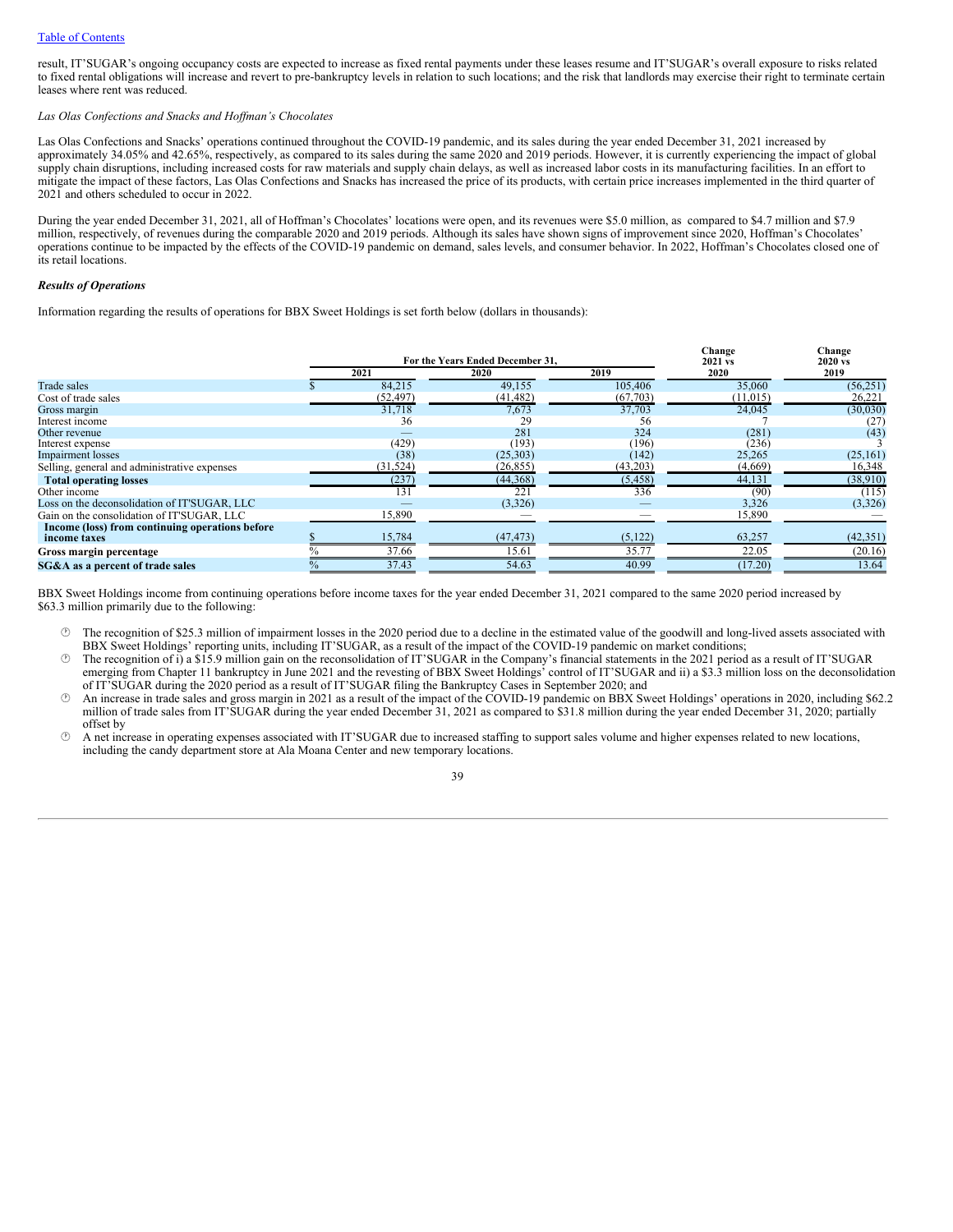result, IT'SUGAR's ongoing occupancy costs are expected to increase as fixed rental payments under these leases resume and IT'SUGAR's overall exposure to risks related to fixed rental obligations will increase and revert to pre-bankruptcy levels in relation to such locations; and the risk that landlords may exercise their right to terminate certain leases where rent was reduced.

#### *Las Olas Confections and Snacks and Hof man's Chocolates*

Las Olas Confections and Snacks' operations continued throughout the COVID-19 pandemic, and its sales during the year ended December 31, 2021 increased by approximately 34.05% and 42.65%, respectively, as compared to its sales during the same 2020 and 2019 periods. However, it is currently experiencing the impact of global supply chain disruptions, including increased costs for raw materials and supply chain delays, as well as increased labor costs in its manufacturing facilities. In an effort to mitigate the impact of these factors, Las Olas Confections and Snacks has increased the price of its products, with certain price increases implemented in the third quarter of 2021 and others scheduled to occur in 2022.

During the year ended December 31, 2021, all of Hoffman's Chocolates' locations were open, and its revenues were \$5.0 million, as compared to \$4.7 million and \$7.9 million, respectively, of revenues during the comparable 2020 and 2019 periods. Although its sales have shown signs of improvement since 2020, Hoffman's Chocolates' operations continue to be impacted by the effects of the COVID-19 pandemic on demand, sales levels, and consumer behavior. In 2022, Hoffman's Chocolates closed one of its retail locations.

#### *Results of Operations*

Information regarding the results of operations for BBX Sweet Holdings is set forth below (dollars in thousands):

|                                                                 |           | For the Years Ended December 31. |          | Change<br>2021 vs | Change<br>$2020 \text{ vs.}$ |
|-----------------------------------------------------------------|-----------|----------------------------------|----------|-------------------|------------------------------|
|                                                                 | 2021      | 2020                             | 2019     | 2020              | 2019                         |
| <b>Trade sales</b>                                              | 84,215    | 49,155                           | 105,406  | 35,060            | (56, 251)                    |
| Cost of trade sales                                             | (52, 497) | (41, 482)                        | (67,703) | (11, 015)         | 26,221                       |
| Gross margin                                                    | 31.718    | 7,673                            | 37,703   | 24.045            | (30,030)                     |
| Interest income                                                 | 36        | 29                               | 56       |                   | (27)                         |
| Other revenue                                                   |           | 281                              | 324      | (281)             | (43)                         |
| Interest expense                                                | (429)     | (193)                            | (196)    | (236)             |                              |
| <b>Impairment</b> losses                                        | (38)      | (25,303)                         | (142)    | 25,265            | (25, 161)                    |
| Selling, general and administrative expenses                    | (31, 524) | (26, 855)                        | (43,203) | (4,669)           | 16,348                       |
| <b>Total operating losses</b>                                   | (237)     | (44,368)                         | (5,458)  | 44,131            | (38,910)                     |
| Other income                                                    | 131       | 221                              | 336      | (90)              | (115)                        |
| Loss on the deconsolidation of IT'SUGAR, LLC                    |           | (3,326)                          |          | 3,326             | (3,326)                      |
| Gain on the consolidation of IT'SUGAR, LLC                      | 15,890    |                                  |          | 15,890            |                              |
| Income (loss) from continuing operations before<br>income taxes | 15,784    | (47, 473)                        | (5, 122) | 63,257            | (42, 351)                    |
| Gross margin percentage                                         | 37.66     | 15.61                            | 35.77    | 22.05             | (20.16)                      |
| SG&A as a percent of trade sales                                | 37.43     | 54.63                            | 40.99    | (17.20)           | 13.64                        |

BBX Sweet Holdings income from continuing operations before income taxes for the year ended December 31, 2021 compared to the same 2020 period increased by \$63.3 million primarily due to the following:

· The recognition of \$25.3 million of impairment losses in the 2020 period due to a decline in the estimated value of the goodwill and long-lived assets associated with BBX Sweet Holdings' reporting units, including IT'SUGAR, as a result of the impact of the COVID-19 pandemic on market conditions;

<sup>251</sup> The recognition of i) a \$15.9 million gain on the reconsolidation of IT'SUGAR in the Company's financial statements in the 2021 period as a result of IT'SUGAR emerging from Chapter 11 bankruptcy in June 2021 and the revesting of BBX Sweet Holdings' control of IT'SUGAR and ii) a \$3.3 million loss on the deconsolidation of IT'SUGAR during the 2020 period as a result of IT'SUGAR filing the Bankruptcy Cases in September 2020; and

An increase in trade sales and gross margin in 2021 as a result of the impact of the COVID-19 pandemic on BBX Sweet Holdings' operations in 2020, including \$62.2 million of trade sales from IT'SUGAR during the year ended December 31, 2021 as compared to \$31.8 million during the year ended December 31, 2020; partially offset by

· A net increase in operating expenses associated with IT'SUGAR due to increased staffing to support sales volume and higher expenses related to new locations, including the candy department store at Ala Moana Center and new temporary locations.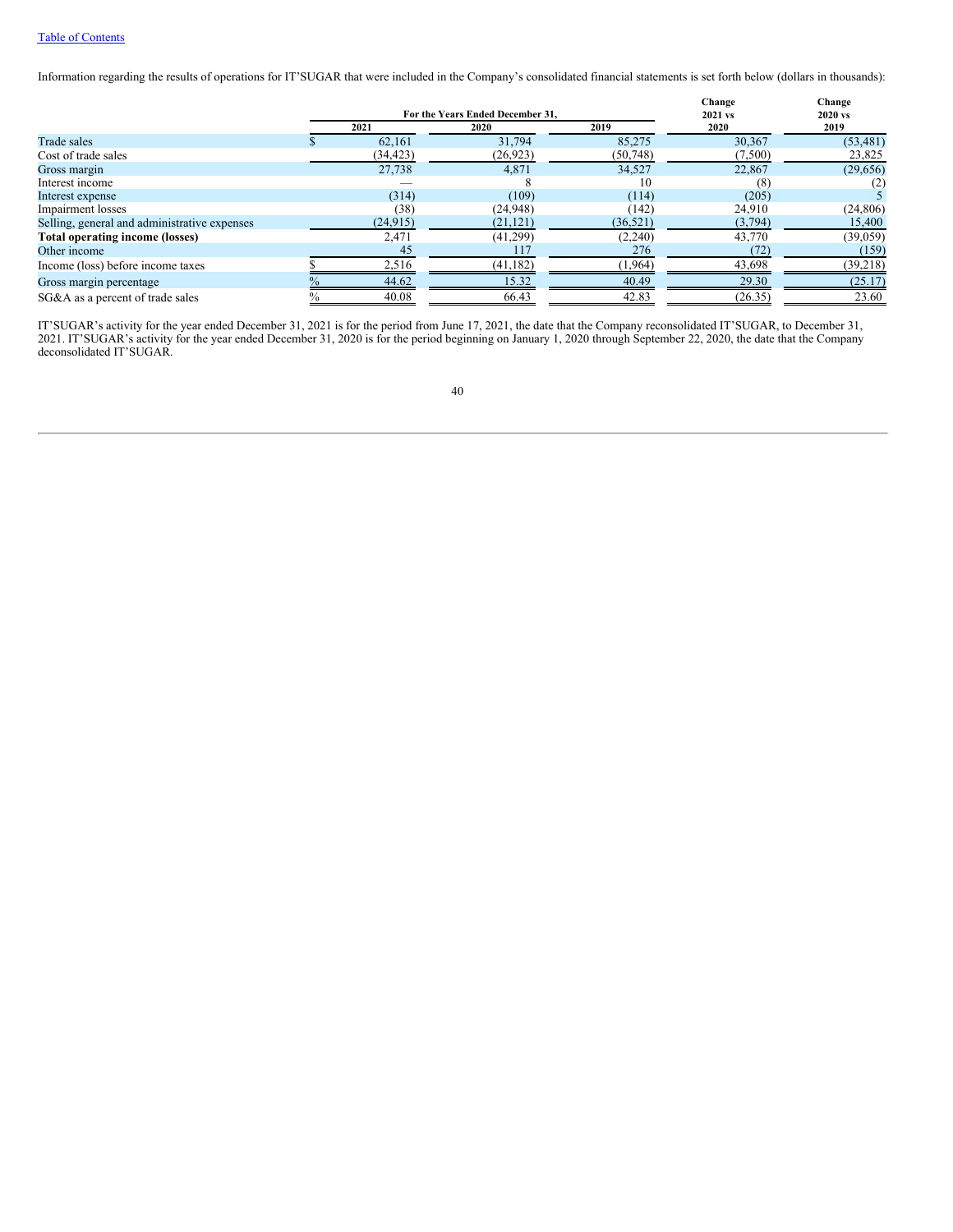# Table of [Contents](#page-0-0)

Information regarding the results of operations for IT'SUGAR that were included in the Company's consolidated financial statements is set forth below (dollars in thousands):

|                                              |      |           | For the Years Ended December 31. |           | Change<br>2021 vs | Change<br>2020 vs |  |
|----------------------------------------------|------|-----------|----------------------------------|-----------|-------------------|-------------------|--|
|                                              |      | 2021      | 2020                             | 2019      | 2020              | 2019              |  |
| Trade sales                                  |      | 62,161    | 31,794                           | 85,275    | 30,367            | (53, 481)         |  |
| Cost of trade sales                          |      | (34,423)  | (26, 923)                        | (50,748)  | (7,500)           | 23,825            |  |
| Gross margin                                 |      | 27,738    | 4,871                            | 34,527    | 22,867            | (29,656)          |  |
| Interest income                              |      |           |                                  | 10        | (8)               | (2)               |  |
| Interest expense                             |      | (314)     | (109)                            | (114)     | (205)             |                   |  |
| Impairment losses                            |      | (38)      | (24,948)                         | (142)     | 24.910            | (24, 806)         |  |
| Selling, general and administrative expenses |      | (24, 915) | (21, 121)                        | (36, 521) | (3,794)           | 15,400            |  |
| <b>Total operating income (losses)</b>       |      | 2,471     | (41,299)                         | (2,240)   | 43,770            | (39,059)          |  |
| Other income                                 |      | 45        | 117                              | 276       | (72)              | (159)             |  |
| Income (loss) before income taxes            |      | 2,516     | (41, 182)                        | (1,964)   | 43,698            | (39,218)          |  |
| Gross margin percentage                      |      | 44.62     | 15.32                            | 40.49     | 29.30             | (25.17)           |  |
| SG&A as a percent of trade sales             | $\%$ | 40.08     | 66.43                            | 42.83     | (26.35)           | 23.60             |  |

IT'SUGAR's activity for the year ended December 31, 2021 is for the period from June 17, 2021, the date that the Company reconsolidated IT'SUGAR, to December 31, 2021. IT'SUGAR's activity for the year ended December 31, 2020 is for the period beginning on January 1, 2020 through September 22, 2020, the date that the Company deconsolidated IT'SUGAR.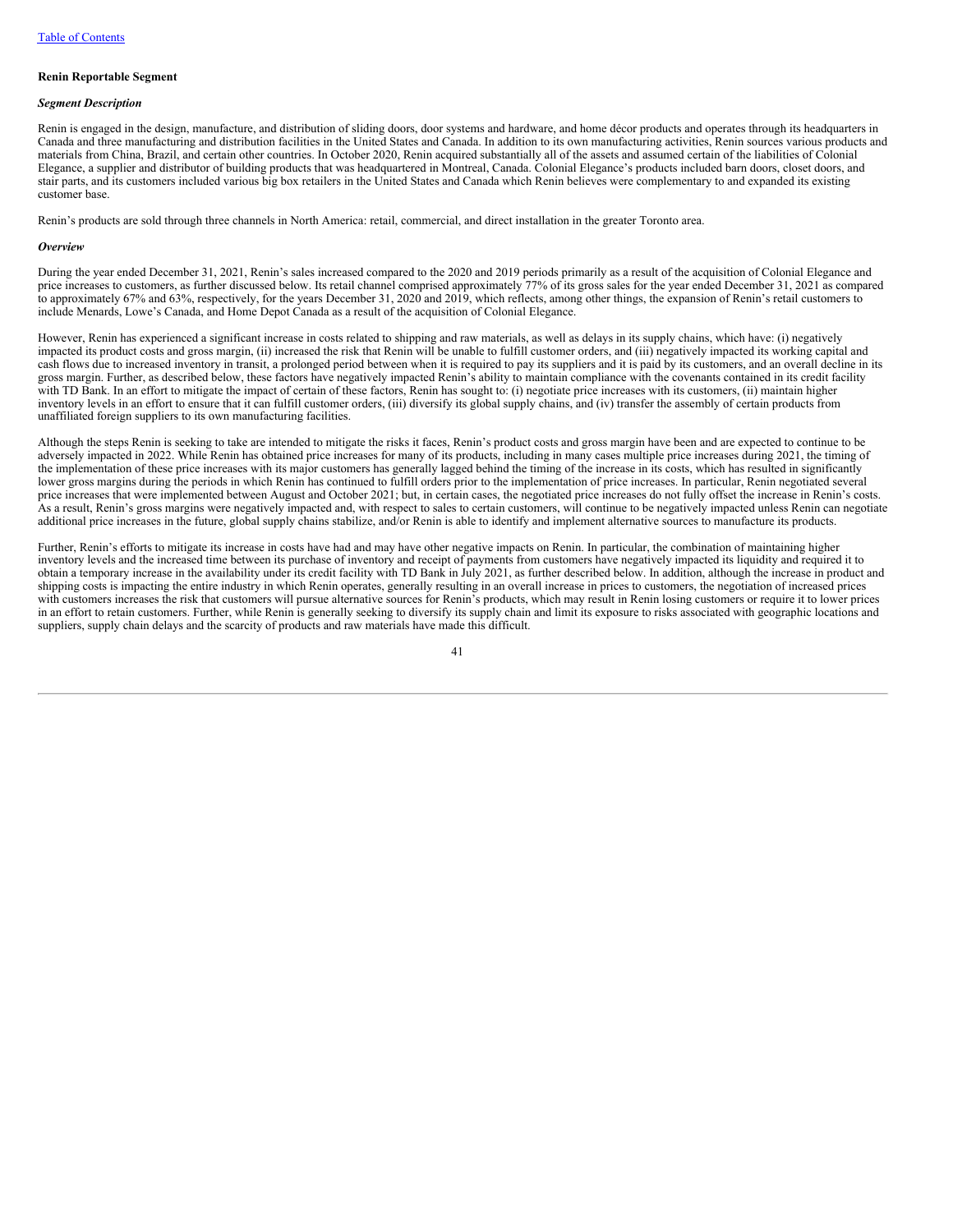#### **Renin Reportable Segment**

# *Segment Description*

Renin is engaged in the design, manufacture, and distribution of sliding doors, door systems and hardware, and home décor products and operates through its headquarters in Canada and three manufacturing and distribution facilities in the United States and Canada. In addition to its own manufacturing activities, Renin sources various products and materials from China, Brazil, and certain other countries. In October 2020, Renin acquired substantially all of the assets and assumed certain of the liabilities of Colonial Elegance, a supplier and distributor of building products that was headquartered in Montreal, Canada. Colonial Elegance's products included barn doors, closet doors, and stair parts, and its customers included various big box retailers in the United States and Canada which Renin believes were complementary to and expanded its existing customer base.

Renin's products are sold through three channels in North America: retail, commercial, and direct installation in the greater Toronto area.

#### *Overview*

During the year ended December 31, 2021, Renin's sales increased compared to the 2020 and 2019 periods primarily as a result of the acquisition of Colonial Elegance and price increases to customers, as further discussed below. Its retail channel comprised approximately 77% of its gross sales for the year ended December 31, 2021 as compared to approximately 67% and 63%, respectively, for the years December 31, 2020 and 2019, which reflects, among other things, the expansion of Renin's retail customers to include Menards, Lowe's Canada, and Home Depot Canada as a result of the acquisition of Colonial Elegance.

However, Renin has experienced a significant increase in costs related to shipping and raw materials, as well as delays in its supply chains, which have: (i) negatively impacted its product costs and gross margin, (ii) increased the risk that Renin will be unable to fulfill customer orders, and (iii) negatively impacted its working capital and cash flows due to increased inventory in transit, a prolonged period between when it is required to pay its suppliers and it is paid by its customers, and an overall decline in its gross margin. Further, as described below, these factors have negatively impacted Renin's ability to maintain compliance with the covenants contained in its credit facility with TD Bank. In an effort to mitigate the impact of certain of these factors, Renin has sought to: (i) negotiate price increases with its customers, (ii) maintain higher inventory levels in an effort to ensure that it can fulfill customer orders, (iii) diversify its global supply chains, and (iv) transfer the assembly of certain products from unaffiliated foreign suppliers to its own manufacturing facilities.

Although the steps Renin is seeking to take are intended to mitigate the risks it faces, Renin's product costs and gross margin have been and are expected to continue to be adversely impacted in 2022. While Renin has obtained price increases for many of its products, including in many cases multiple price increases during 2021, the timing of the implementation of these price increases with its major customers has generally lagged behind the timing of the increase in its costs, which has resulted in significantly lower gross margins during the periods in which Renin has continued to fulfill orders prior to the implementation of price increases. In particular, Renin negotiated several price increases that were implemented between August and October 2021; but, in certain cases, the negotiated price increases do not fully offset the increase in Renin's costs. As a result, Renin's gross margins were negatively impacted and, with respect to sales to certain customers, will continue to be negatively impacted unless Renin can negotiate additional price increases in the future, global supply chains stabilize, and/or Renin is able to identify and implement alternative sources to manufacture its products.

Further, Renin's efforts to mitigate its increase in costs have had and may have other negative impacts on Renin. In particular, the combination of maintaining higher inventory levels and the increased time between its purchase of inventory and receipt of payments from customers have negatively impacted its liquidity and required it to obtain a temporary increase in the availability under its credit facility with TD Bank in July 2021, as further described below. In addition, although the increase in product and shipping costs is impacting the entire industry in which Renin operates, generally resulting in an overall increase in prices to customers, the negotiation of increased prices with customers increases the risk that customers will pursue alternative sources for Renin's products, which may result in Renin losing customers or require it to lower prices in an effort to retain customers. Further, while Renin is generally seeking to diversify its supply chain and limit its exposure to risks associated with geographic locations and suppliers, supply chain delays and the scarcity of products and raw materials have made this difficult.

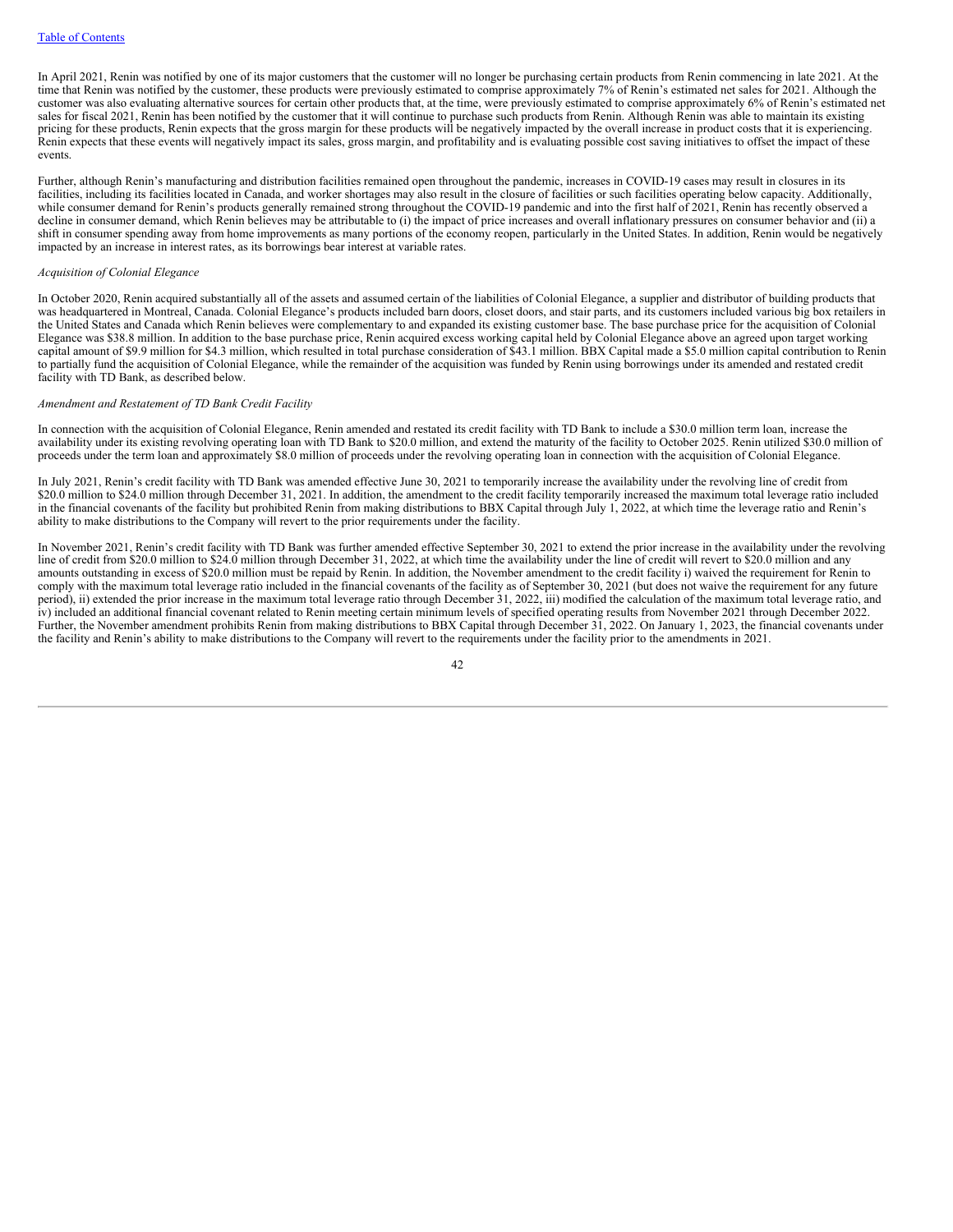In April 2021, Renin was notified by one of its major customers that the customer will no longer be purchasing certain products from Renin commencing in late 2021. At the time that Renin was notified by the customer, these products were previously estimated to comprise approximately 7% of Renin's estimated net sales for 2021. Although the customer was also evaluating alternative sources for certain other products that, at the time, were previously estimated to comprise approximately 6% of Renin's estimated net sales for fiscal 2021, Renin has been notified by the customer that it will continue to purchase such products from Renin. Although Renin was able to maintain its existing pricing for these products, Renin expects that the gross margin for these products will be negatively impacted by the overall increase in product costs that it is experiencing. Renin expects that these events will negatively impact its sales, gross margin, and profitability and is evaluating possible cost saving initiatives to offset the impact of these events.

Further, although Renin's manufacturing and distribution facilities remained open throughout the pandemic, increases in COVID-19 cases may result in closures in its facilities, including its facilities located in Canada, and worker shortages may also result in the closure of facilities or such facilities operating below capacity. Additionally, while consumer demand for Renin's products generally remained strong throughout the COVID-19 pandemic and into the first half of 2021, Renin has recently observed a decline in consumer demand, which Renin believes may be attributable to (i) the impact of price increases and overall inflationary pressures on consumer behavior and (ii) a shift in consumer spending away from home improvements as many portions of the economy reopen, particularly in the United States. In addition, Renin would be negatively impacted by an increase in interest rates, as its borrowings bear interest at variable rates.

### *Acquisition of Colonial Elegance*

In October 2020, Renin acquired substantially all of the assets and assumed certain of the liabilities of Colonial Elegance, a supplier and distributor of building products that was headquartered in Montreal, Canada. Colonial Elegance's products included barn doors, closet doors, and stair parts, and its customers included various big box retailers in the United States and Canada which Renin believes were complementary to and expanded its existing customer base. The base purchase price for the acquisition of Colonial Elegance was \$38.8 million. In addition to the base purchase price, Renin acquired excess working capital held by Colonial Elegance above an agreed upon target working capital amount of \$9.9 million for \$4.3 million, which resulted in total purchase consideration of \$43.1 million. BBX Capital made a \$5.0 million capital contribution to Renin to partially fund the acquisition of Colonial Elegance, while the remainder of the acquisition was funded by Renin using borrowings under its amended and restated credit facility with TD Bank, as described below.

### *Amendment and Restatement of TD Bank Credit Facility*

In connection with the acquisition of Colonial Elegance, Renin amended and restated its credit facility with TD Bank to include a \$30.0 million term loan, increase the availability under its existing revolving operating loan with TD Bank to \$20.0 million, and extend the maturity of the facility to October 2025. Renin utilized \$30.0 million of proceeds under the term loan and approximately \$8.0 million of proceeds under the revolving operating loan in connection with the acquisition of Colonial Elegance.

In July 2021, Renin's credit facility with TD Bank was amended effective June 30, 2021 to temporarily increase the availability under the revolving line of credit from \$20.0 million to \$24.0 million through December 31, 2021. In addition, the amendment to the credit facility temporarily increased the maximum total leverage ratio included in the financial covenants of the facility but prohibited Renin from making distributions to BBX Capital through July 1, 2022, at which time the leverage ratio and Renin's ability to make distributions to the Company will revert to the prior requirements under the facility.

In November 2021, Renin's credit facility with TD Bank was further amended effective September 30, 2021 to extend the prior increase in the availability under the revolving line of credit from \$20.0 million to \$24.0 million through December 31, 2022, at which time the availability under the line of credit will revert to \$20.0 million and any amounts outstanding in excess of \$20.0 million must be repaid by Renin. In addition, the November amendment to the credit facility i) waived the requirement for Renin to comply with the maximum total leverage ratio included in the financial covenants of the facility as of September 30, 2021 (but does not waive the requirement for any future period), ii) extended the prior increase in the maximum total leverage ratio through December 31, 2022, iii) modified the calculation of the maximum total leverage ratio, and iv) included an additional financial covenant related to Renin meeting certain minimum levels of specified operating results from November 2021 through December 2022. Further, the November amendment prohibits Renin from making distributions to BBX Capital through December 31, 2022. On January 1, 2023, the financial covenants under the facility and Renin's ability to make distributions to the Company will revert to the requirements under the facility prior to the amendments in 2021.

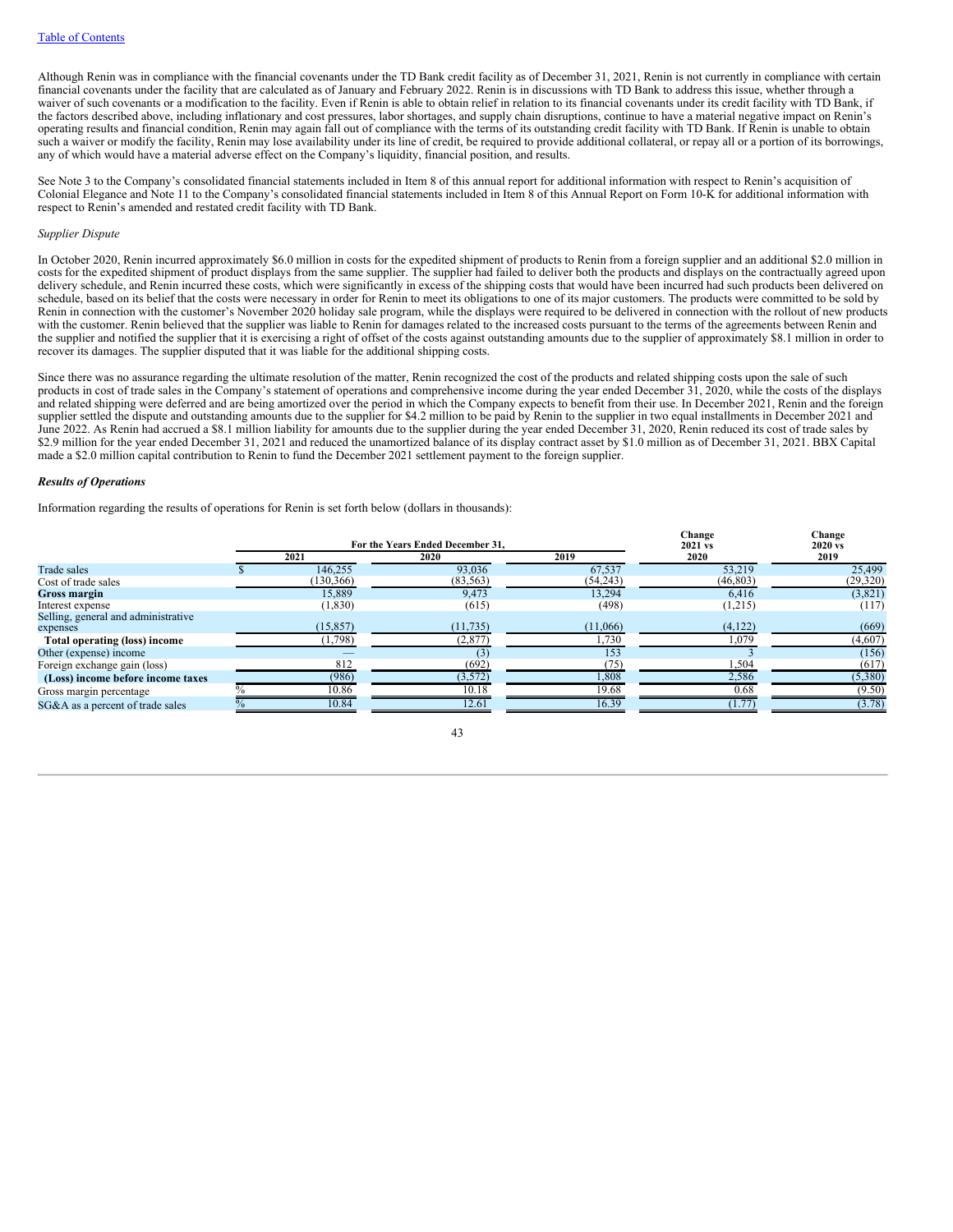Although Renin was in compliance with the financial covenants under the TD Bank credit facility as of December 31, 2021, Renin is not currently in compliance with certain financial covenants under the facility that are calculated as of January and February 2022. Renin is in discussions with TD Bank to address this issue, whether through a waiver of such covenants or a modification to the facility. Even if Renin is able to obtain relief in relation to its financial covenants under its credit facility with TD Bank, if the factors described above, including inflationary and cost pressures, labor shortages, and supply chain disruptions, continue to have a material negative impact on Renin's operating results and financial condition, Renin may again fall out of compliance with the terms of its outstanding credit facility with TD Bank. If Renin is unable to obtain such a waiver or modify the facility, Renin may lose availability under its line of credit, be required to provide additional collateral, or repay all or a portion of its borrowings, any of which would have a material adverse effect on the Company's liquidity, financial position, and results.

See Note 3 to the Company's consolidated financial statements included in Item 8 of this annual report for additional information with respect to Renin's acquisition of Colonial Elegance and Note 11 to the Company's consolidated financial statements included in Item 8 of this Annual Report on Form 10-K for additional information with respect to Renin's amended and restated credit facility with TD Bank.

### *Supplier Dispute*

In October 2020, Renin incurred approximately \$6.0 million in costs for the expedited shipment of products to Renin from a foreign supplier and an additional \$2.0 million in costs for the expedited shipment of product displays from the same supplier. The supplier had failed to deliver both the products and displays on the contractually agreed upon delivery schedule, and Renin incurred these costs, which were significantly in excess of the shipping costs that would have been incurred had such products been delivered on schedule, based on its belief that the costs were necessary in order for Renin to meet its obligations to one of its major customers. The products were committed to be sold by Renin in connection with the customer's November 2020 holiday sale program, while the displays were required to be delivered in connection with the rollout of new products with the customer. Renin believed that the supplier was liable to Renin for damages related to the increased costs pursuant to the terms of the agreements between Renin and the supplier and notified the supplier that it is exercising a right of offset of the costs against outstanding amounts due to the supplier of approximately \$8.1 million in order to recover its damages. The supplier disputed that it was liable for the additional shipping costs.

Since there was no assurance regarding the ultimate resolution of the matter, Renin recognized the cost of the products and related shipping costs upon the sale of such products in cost of trade sales in the Company's statement of operations and comprehensive income during the year ended December 31, 2020, while the costs of the displays and related shipping were deferred and are being amortized over the period in which the Company expects to benefit from their use. In December 2021, Renin and the foreign supplier settled the dispute and outstanding amounts due to the supplier for \$4.2 million to be paid by Renin to the supplier in two equal installments in December 2021 and June 2022. As Renin had accrued a \$8.1 million liability for amounts due to the supplier during the year ended December 31, 2020, Renin reduced its cost of trade sales by \$2.9 million for the year ended December 31, 2021 and reduced the unamortized balance of its display contract asset by \$1.0 million as of December 31, 2021. BBX Capital made a \$2.0 million capital contribution to Renin to fund the December 2021 settlement payment to the foreign supplier.

#### *Results of Operations*

Information regarding the results of operations for Renin is set forth below (dollars in thousands):

|                                     |            | For the Years Ended December 31. |          | Change<br>2021 vs | Change<br>2020 vs |  |
|-------------------------------------|------------|----------------------------------|----------|-------------------|-------------------|--|
|                                     | 2021       | 2020                             | 2019     | 2020              | 2019              |  |
| Trade sales                         | 146.255    | 93,036                           | 67,537   | 53.219            | 25,499            |  |
| Cost of trade sales                 | (130, 366) | (83, 563)                        | (54,243) | (46, 803)         | (29, 320)         |  |
| <b>Gross margin</b>                 | 15.889     | 9.473                            | 13.294   | 6.416             | (3,821)           |  |
| Interest expense                    | (1,830)    | (615)                            | (498)    | (1,215)           | (117)             |  |
| Selling, general and administrative |            |                                  |          |                   |                   |  |
| expenses                            | (15, 857)  | (11, 735)                        | (11,066) | (4,122)           | (669)             |  |
| Total operating (loss) income       | (1,798)    | (2,877)                          | 1,730    | 1,079             | (4,607)           |  |
| Other (expense) income              |            | (3)                              | 153      |                   | (156)             |  |
| Foreign exchange gain (loss)        | 812        | (692)                            | (75      | 1,504             | (617)             |  |
| (Loss) income before income taxes   | (986)      | (3,572)                          | .808     | 2,586             | (5,380)           |  |
| Gross margin percentage             | 10.86      | 10.18                            | 19.68    | 0.68              | (9.50)            |  |
| SG&A as a percent of trade sales    | 10.84      | 12.61                            | 16.39    | (1.77)            | (3.78)            |  |
|                                     |            |                                  |          |                   |                   |  |

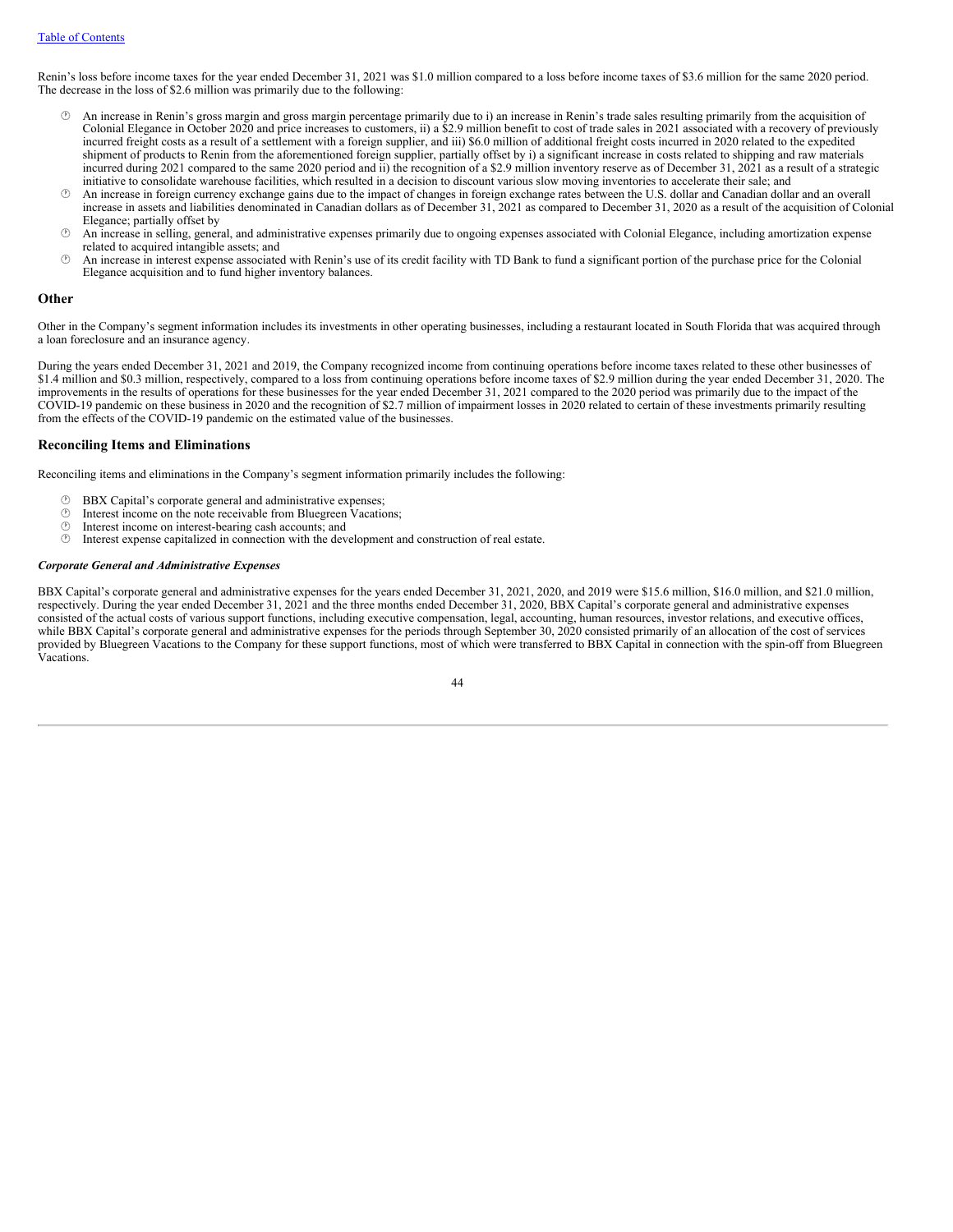Renin's loss before income taxes for the year ended December 31, 2021 was \$1.0 million compared to a loss before income taxes of \$3.6 million for the same 2020 period. The decrease in the loss of \$2.6 million was primarily due to the following:

- An increase in Renin's gross margin and gross margin percentage primarily due to i) an increase in Renin's trade sales resulting primarily from the acquisition of Colonial Elegance in October 2020 and price increases to customers, ii) a \$2.9 million benefit to cost of trade sales in 2021 associated with a recovery of previously incurred freight costs as a result of a settlement with a foreign supplier, and iii) \$6.0 million of additional freight costs incurred in 2020 related to the expedited shipment of products to Renin from the aforementioned foreign supplier, partially offset by i) a significant increase in costs related to shipping and raw materials incurred during 2021 compared to the same 2020 period and ii) the recognition of a \$2.9 million inventory reserve as of December 31, 2021 as a result of a strategic initiative to consolidate warehouse facilities, which resulted in a decision to discount various slow moving inventories to accelerate their sale; and
- · An increase in foreign currency exchange gains due to the impact of changes in foreign exchange rates between the U.S. dollar and Canadian dollar and an overall increase in assets and liabilities denominated in Canadian dollars as of December 31, 2021 as compared to December 31, 2020 as a result of the acquisition of Colonial Elegance; partially offset by
- · An increase in selling, general, and administrative expenses primarily due to ongoing expenses associated with Colonial Elegance, including amortization expense related to acquired intangible assets; and
- $\circled{b}$  An increase in interest expense associated with Renin's use of its credit facility with TD Bank to fund a significant portion of the purchase price for the Colonial Elegance acquisition and to fund higher inventory balances.

### **Other**

Other in the Company's segment information includes its investments in other operating businesses, including a restaurant located in South Florida that was acquired through a loan foreclosure and an insurance agency.

During the years ended December 31, 2021 and 2019, the Company recognized income from continuing operations before income taxes related to these other businesses of \$1.4 million and \$0.3 million, respectively, compared to a loss from continuing operations before income taxes of \$2.9 million during the year ended December 31, 2020. The improvements in the results of operations for these businesses for the year ended December 31, 2021 compared to the 2020 period was primarily due to the impact of the COVID-19 pandemic on these business in 2020 and the recognition of \$2.7 million of impairment losses in 2020 related to certain of these investments primarily resulting from the effects of the COVID-19 pandemic on the estimated value of the businesses.

# **Reconciling Items and Eliminations**

Reconciling items and eliminations in the Company's segment information primarily includes the following:

- $\circled{B}$  BBX Capital's corporate general and administrative expenses;<br> $\circled{D}$  Interest income on the note receivable from Bluegreen Vacation
- $\circled{1}$  Interest income on the note receivable from Bluegreen Vacations;<br> $\circled{1}$  Interest income on interest-bearing cash accounts: and
- $\circled{+}$  Interest income on interest-bearing cash accounts; and  $\circled{+}$  Interest expense capitalized in connection with the dev
- · Interest expense capitalized in connection with the development and construction of real estate.

### *Corporate General and Administrative Expenses*

BBX Capital's corporate general and administrative expenses for the years ended December 31, 2021, 2020, and 2019 were \$15.6 million, \$16.0 million, and \$21.0 million, respectively. During the year ended December 31, 2021 and the three months ended December 31, 2020, BBX Capital's corporate general and administrative expenses consisted of the actual costs of various support functions, including executive compensation, legal, accounting, human resources, investor relations, and executive offices, while BBX Capital's corporate general and administrative expenses for the periods through September 30, 2020 consisted primarily of an allocation of the cost of services provided by Bluegreen Vacations to the Company for these support functions, most of which were transferred to BBX Capital in connection with the spin-off from Bluegreen Vacations.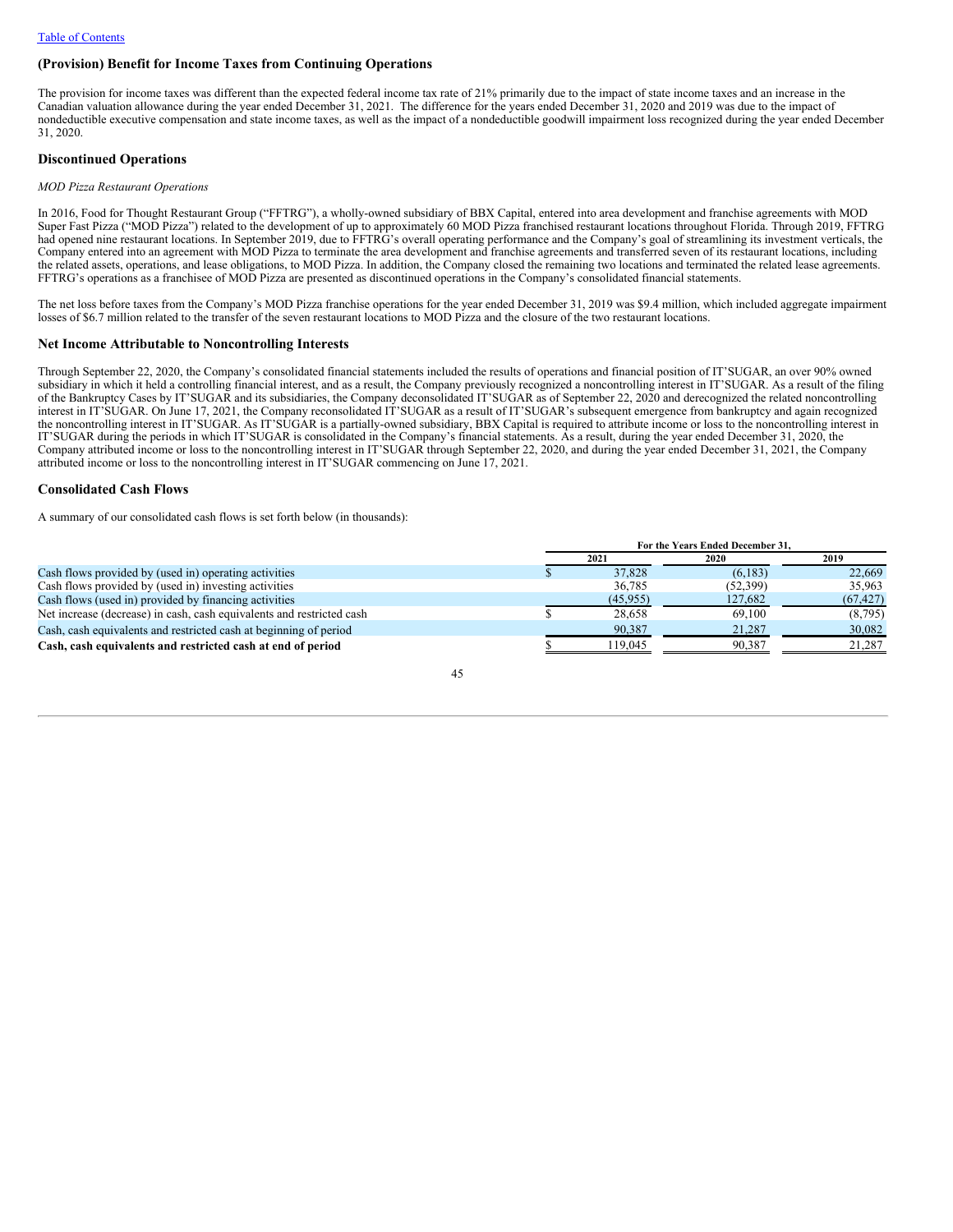# **(Provision) Benefit for Income Taxes from Continuing Operations**

The provision for income taxes was different than the expected federal income tax rate of 21% primarily due to the impact of state income taxes and an increase in the Canadian valuation allowance during the year ended December 31, 2021. The difference for the years ended December 31, 2020 and 2019 was due to the impact of nondeductible executive compensation and state income taxes, as well as the impact of a nondeductible goodwill impairment loss recognized during the year ended December 31, 2020.

### **Discontinued Operations**

#### *MOD Pizza Restaurant Operations*

In 2016, Food for Thought Restaurant Group ("FFTRG"), a wholly-owned subsidiary of BBX Capital, entered into area development and franchise agreements with MOD Super Fast Pizza ("MOD Pizza") related to the development of up to approximately 60 MOD Pizza franchised restaurant locations throughout Florida. Through 2019, FFTRG had opened nine restaurant locations. In September 2019, due to FFTRG's overall operating performance and the Company's goal of streamlining its investment verticals, the Company entered into an agreement with MOD Pizza to terminate the area development and franchise agreements and transferred seven of its restaurant locations, including the related assets, operations, and lease obligations, to MOD Pizza. In addition, the Company closed the remaining two locations and terminated the related lease agreements. FFTRG's operations as a franchisee of MOD Pizza are presented as discontinued operations in the Company's consolidated financial statements.

The net loss before taxes from the Company's MOD Pizza franchise operations for the year ended December 31, 2019 was \$9.4 million, which included aggregate impairment losses of \$6.7 million related to the transfer of the seven restaurant locations to MOD Pizza and the closure of the two restaurant locations.

### **Net Income Attributable to Noncontrolling Interests**

Through September 22, 2020, the Company's consolidated financial statements included the results of operations and financial position of IT'SUGAR, an over 90% owned subsidiary in which it held a controlling financial interest, and as a result, the Company previously recognized a noncontrolling interest in IT'SUGAR. As a result of the filing of the Bankruptcy Cases by IT'SUGAR and its subsidiaries, the Company deconsolidated IT'SUGAR as of September 22, 2020 and derecognized the related noncontrolling interest in IT'SUGAR. On June 17, 2021, the Company reconsolidated IT'SUGAR as a result of IT'SUGAR's subsequent emergence from bankruptcy and again recognized the noncontrolling interest in IT'SUGAR. As IT'SUGAR is a partially-owned subsidiary, BBX Capital is required to attribute income or loss to the noncontrolling interest in IT'SUGAR during the periods in which IT'SUGAR is consolidated in the Company's financial statements. As a result, during the year ended December 31, 2020, the Company attributed income or loss to the noncontrolling interest in IT'SUGAR through September 22, 2020, and during the year ended December 31, 2021, the Company attributed income or loss to the noncontrolling interest in IT'SUGAR commencing on June 17, 2021.

### **Consolidated Cash Flows**

A summary of our consolidated cash flows is set forth below (in thousands):

|                                                                       | For the Years Ended December 31. |           |          |           |  |  |
|-----------------------------------------------------------------------|----------------------------------|-----------|----------|-----------|--|--|
|                                                                       |                                  | 2021      | 2020     | 2019      |  |  |
| Cash flows provided by (used in) operating activities                 |                                  | 37,828    | (6, 183) | 22,669    |  |  |
| Cash flows provided by (used in) investing activities                 |                                  | 36,785    | (52,399) | 35,963    |  |  |
| Cash flows (used in) provided by financing activities                 |                                  | (45, 955) | 127,682  | (67, 427) |  |  |
| Net increase (decrease) in cash, cash equivalents and restricted cash |                                  | 28.658    | 69.100   | (8,795)   |  |  |
| Cash, cash equivalents and restricted cash at beginning of period     |                                  | 90,387    | 21,287   | 30,082    |  |  |
| Cash, cash equivalents and restricted cash at end of period           |                                  | 119.045   | 90.387   | 21.287    |  |  |

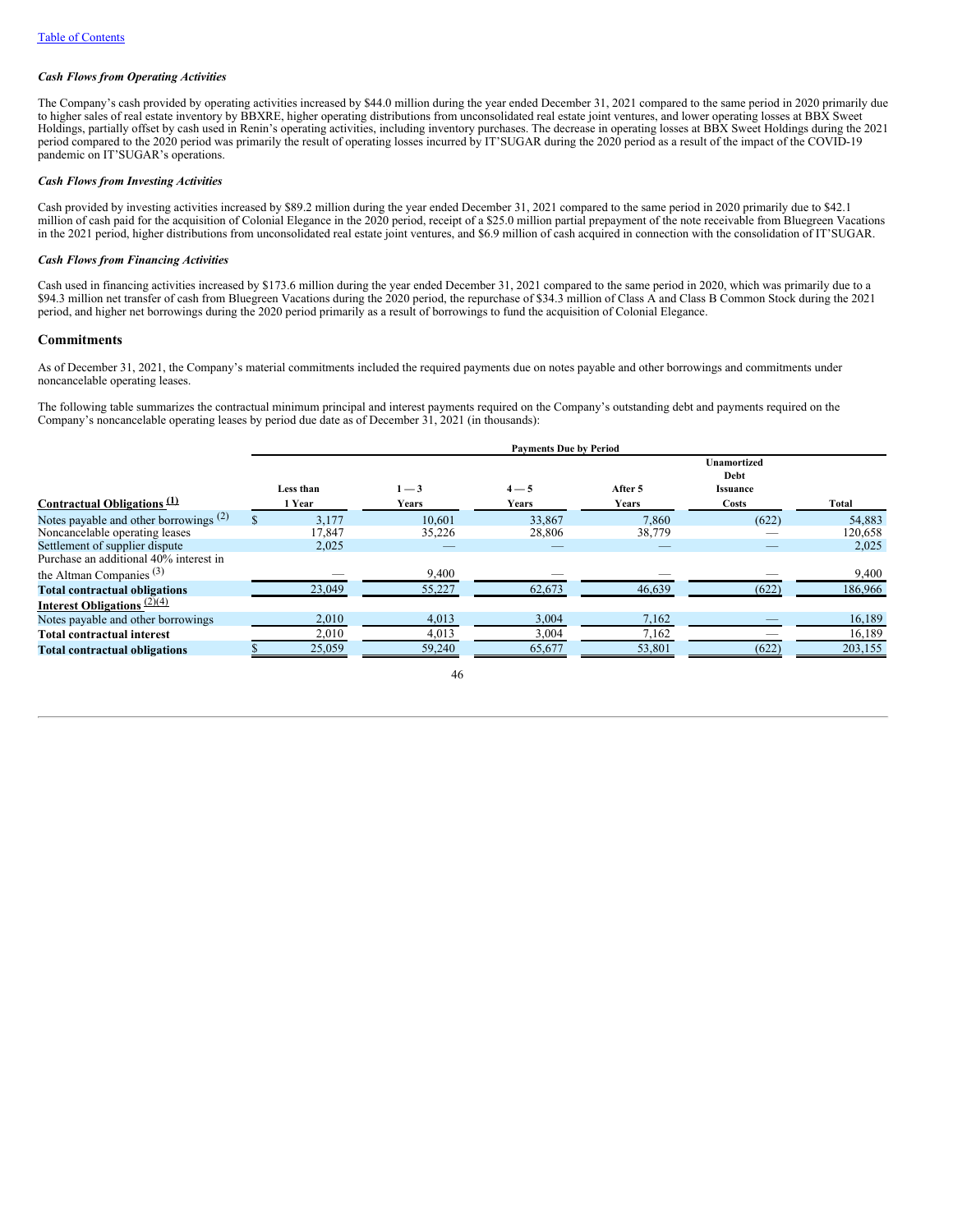### *Cash Flows from Operating Activities*

The Company's cash provided by operating activities increased by \$44.0 million during the year ended December 31, 2021 compared to the same period in 2020 primarily due to higher sales of real estate inventory by BBXRE, higher operating distributions from unconsolidated real estate joint ventures, and lower operating losses at BBX Sweet Holdings, partially offset by cash used in Renin's operating activities, including inventory purchases. The decrease in operating losses at BBX Sweet Holdings during the 2021 period compared to the 2020 period was primarily the result of operating losses incurred by IT'SUGAR during the 2020 period as a result of the impact of the COVID-19 pandemic on IT'SUGAR's operations.

### *Cash Flows from Investing Activities*

Cash provided by investing activities increased by \$89.2 million during the year ended December 31, 2021 compared to the same period in 2020 primarily due to \$42.1 million of cash paid for the acquisition of Colonial Elegance in the 2020 period, receipt of a \$25.0 million partial prepayment of the note receivable from Bluegreen Vacations in the 2021 period, higher distributions from unconsolidated real estate joint ventures, and \$6.9 million of cash acquired in connection with the consolidation of IT'SUGAR.

### *Cash Flows from Financing Activities*

Cash used in financing activities increased by \$173.6 million during the year ended December 31, 2021 compared to the same period in 2020, which was primarily due to a \$94.3 million net transfer of cash from Bluegreen Vacations during the 2020 period, the repurchase of \$34.3 million of Class A and Class B Common Stock during the 2021 period, and higher net borrowings during the 2020 period primarily as a result of borrowings to fund the acquisition of Colonial Elegance.

# **Commitments**

As of December 31, 2021, the Company's material commitments included the required payments due on notes payable and other borrowings and commitments under noncancelable operating leases.

The following table summarizes the contractual minimum principal and interest payments required on the Company's outstanding debt and payments required on the Company's noncancelable operating leases by period due date as of December 31, 2021 (in thousands):

|                                          | <b>Payments Due by Period</b> |              |         |         |                                               |         |  |  |  |
|------------------------------------------|-------------------------------|--------------|---------|---------|-----------------------------------------------|---------|--|--|--|
|                                          | Less than                     | $1 - 3$      | $4 - 5$ | After 5 | <b>Unamortized</b><br>Debt<br><b>Issuance</b> |         |  |  |  |
| Contractual Obligations $\mathcal{L}$    | 1 Year                        | <b>Years</b> | Years   | Years   | Costs                                         | Total   |  |  |  |
| Notes payable and other borrowings $(2)$ | 3.177                         | 10.601       | 33,867  | 7,860   | (622)                                         | 54,883  |  |  |  |
| Noncancelable operating leases           | 17,847                        | 35,226       | 28,806  | 38,779  |                                               | 120,658 |  |  |  |
| Settlement of supplier dispute           | 2,025                         | _            |         |         |                                               | 2,025   |  |  |  |
| Purchase an additional 40% interest in   |                               |              |         |         |                                               |         |  |  |  |
| the Altman Companies $(3)$               |                               | 9,400        |         |         |                                               | 9,400   |  |  |  |
| <b>Total contractual obligations</b>     | 23,049                        | 55,227       | 62,673  | 46,639  | (622)                                         | 186,966 |  |  |  |
| Interest Obligations $(2)(4)$            |                               |              |         |         |                                               |         |  |  |  |
| Notes payable and other borrowings       | 2,010                         | 4,013        | 3,004   | 7,162   |                                               | 16,189  |  |  |  |
| <b>Total contractual interest</b>        | 2,010                         | 4,013        | 3,004   | 7,162   |                                               | 16,189  |  |  |  |
| <b>Total contractual obligations</b>     | 25,059                        | 59,240       | 65,677  | 53,801  | (622)                                         | 203,155 |  |  |  |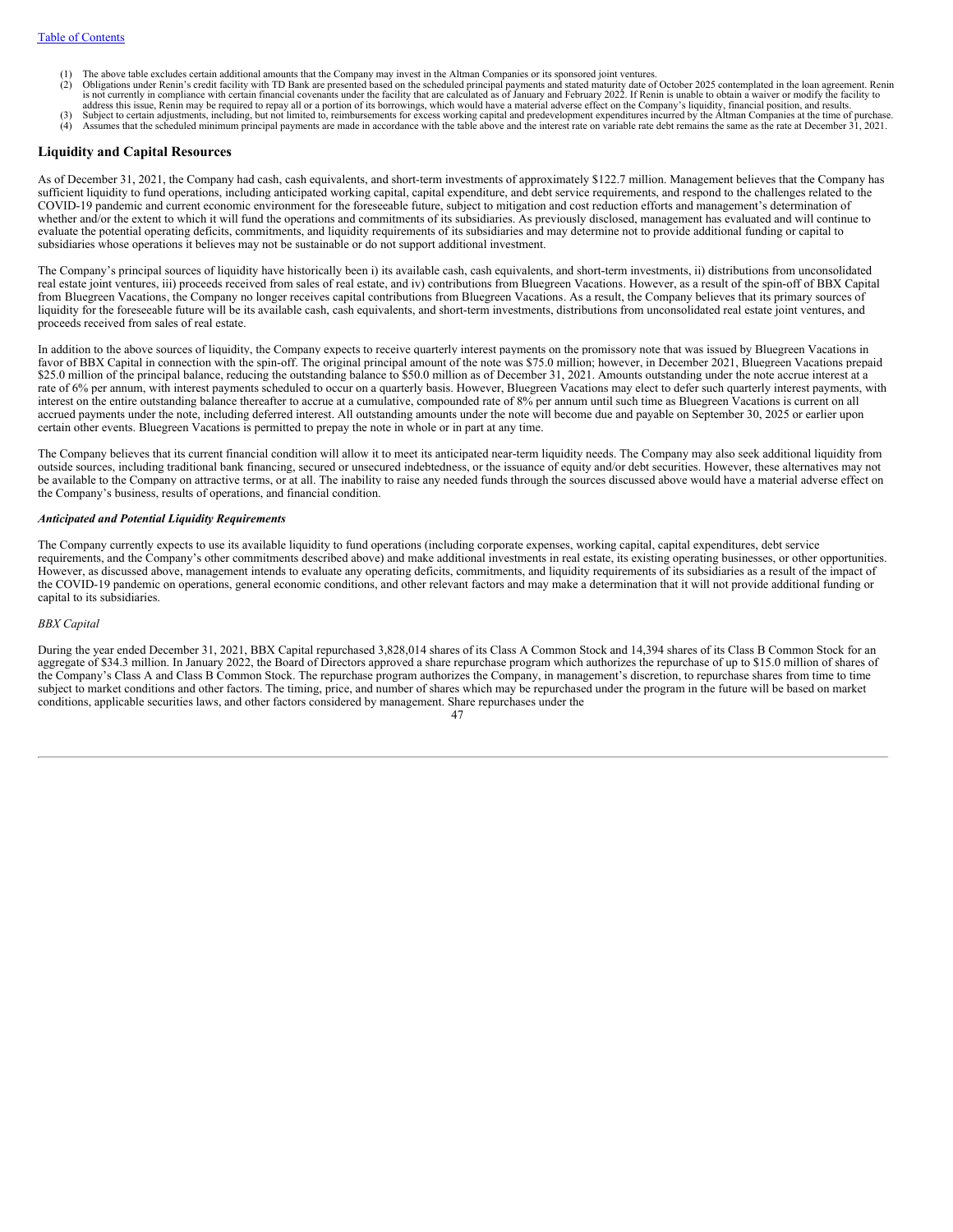- The above table excludes certain additional amounts that the Company may invest in the Altman Companies or its sponsored joint ventures.
- (2) Obligations under Renin's credit facility with TD Bank are presented based on the scheduled principal payments and stated maturity date of October 2025 contemplated in the loan agreement. Renin is not currently in comp
- address this issue, Renin may be required to repay all or a portion of its borrowings, which would have a material adverse effect on the Company's liquidity, financial position, and results.<br>(3) Subject to certain adjustme
- (4) Assumes that the scheduled minimum principal payments are made in accordance with the table above and the interest rate on variable rate debt remains the same as the rate at December 31, 2021.

### **Liquidity and Capital Resources**

As of December 31, 2021, the Company had cash, cash equivalents, and short-term investments of approximately \$122.7 million. Management believes that the Company has sufficient liquidity to fund operations, including anticipated working capital, capital expenditure, and debt service requirements, and respond to the challenges related to the COVID-19 pandemic and current economic environment for the foreseeable future, subject to mitigation and cost reduction efforts and management's determination of whether and/or the extent to which it will fund the operations and commitments of its subsidiaries. As previously disclosed, management has evaluated and will continue to evaluate the potential operating deficits, commitments, and liquidity requirements of its subsidiaries and may determine not to provide additional funding or capital to subsidiaries whose operations it believes may not be sustainable or do not support additional investment.

The Company's principal sources of liquidity have historically been i) its available cash, cash equivalents, and short-term investments, ii) distributions from unconsolidated real estate joint ventures, iii) proceeds received from sales of real estate, and iv) contributions from Bluegreen Vacations. However, as a result of the spin-off of BBX Capital from Bluegreen Vacations, the Company no longer receives capital contributions from Bluegreen Vacations. As a result, the Company believes that its primary sources of liquidity for the foreseeable future will be its available cash, cash equivalents, and short-term investments, distributions from unconsolidated real estate joint ventures, and proceeds received from sales of real estate.

In addition to the above sources of liquidity, the Company expects to receive quarterly interest payments on the promissory note that was issued by Bluegreen Vacations in favor of BBX Capital in connection with the spin-off. The original principal amount of the note was \$75.0 million; however, in December 2021, Bluegreen Vacations prepaid \$25.0 million of the principal balance, reducing the outstanding balance to \$50.0 million as of December 31, 2021. Amounts outstanding under the note accrue interest at a rate of 6% per annum, with interest payments scheduled to occur on a quarterly basis. However, Bluegreen Vacations may elect to defer such quarterly interest payments, with interest on the entire outstanding balance thereafter to accrue at a cumulative, compounded rate of 8% per annum until such time as Bluegreen Vacations is current on all accrued payments under the note, including deferred interest. All outstanding amounts under the note will become due and payable on September 30, 2025 or earlier upon certain other events. Bluegreen Vacations is permitted to prepay the note in whole or in part at any time.

The Company believes that its current financial condition will allow it to meet its anticipated near-term liquidity needs. The Company may also seek additional liquidity from outside sources, including traditional bank financing, secured or unsecured indebtedness, or the issuance of equity and/or debt securities. However, these alternatives may not be available to the Company on attractive terms, or at all. The inability to raise any needed funds through the sources discussed above would have a material adverse effect on the Company's business, results of operations, and financial condition.

#### *Anticipated and Potential Liquidity Requirements*

The Company currently expects to use its available liquidity to fund operations (including corporate expenses, working capital, capital expenditures, debt service requirements, and the Company's other commitments described above) and make additional investments in real estate, its existing operating businesses, or other opportunities. However, as discussed above, management intends to evaluate any operating deficits, commitments, and liquidity requirements of its subsidiaries as a result of the impact of the COVID-19 pandemic on operations, general economic conditions, and other relevant factors and may make a determination that it will not provide additional funding or capital to its subsidiaries.

### *BBX Capital*

During the year ended December 31, 2021, BBX Capital repurchased 3,828,014 shares of its Class A Common Stock and 14,394 shares of its Class B Common Stock for an aggregate of \$34.3 million. In January 2022, the Board of Directors approved a share repurchase program which authorizes the repurchase of up to \$15.0 million of shares of the Company's Class A and Class B Common Stock. The repurchase program authorizes the Company, in management's discretion, to repurchase shares from time to time subject to market conditions and other factors. The timing, price, and number of shares which may be repurchased under the program in the future will be based on market conditions, applicable securities laws, and other factors considered by management. Share repurchases under the

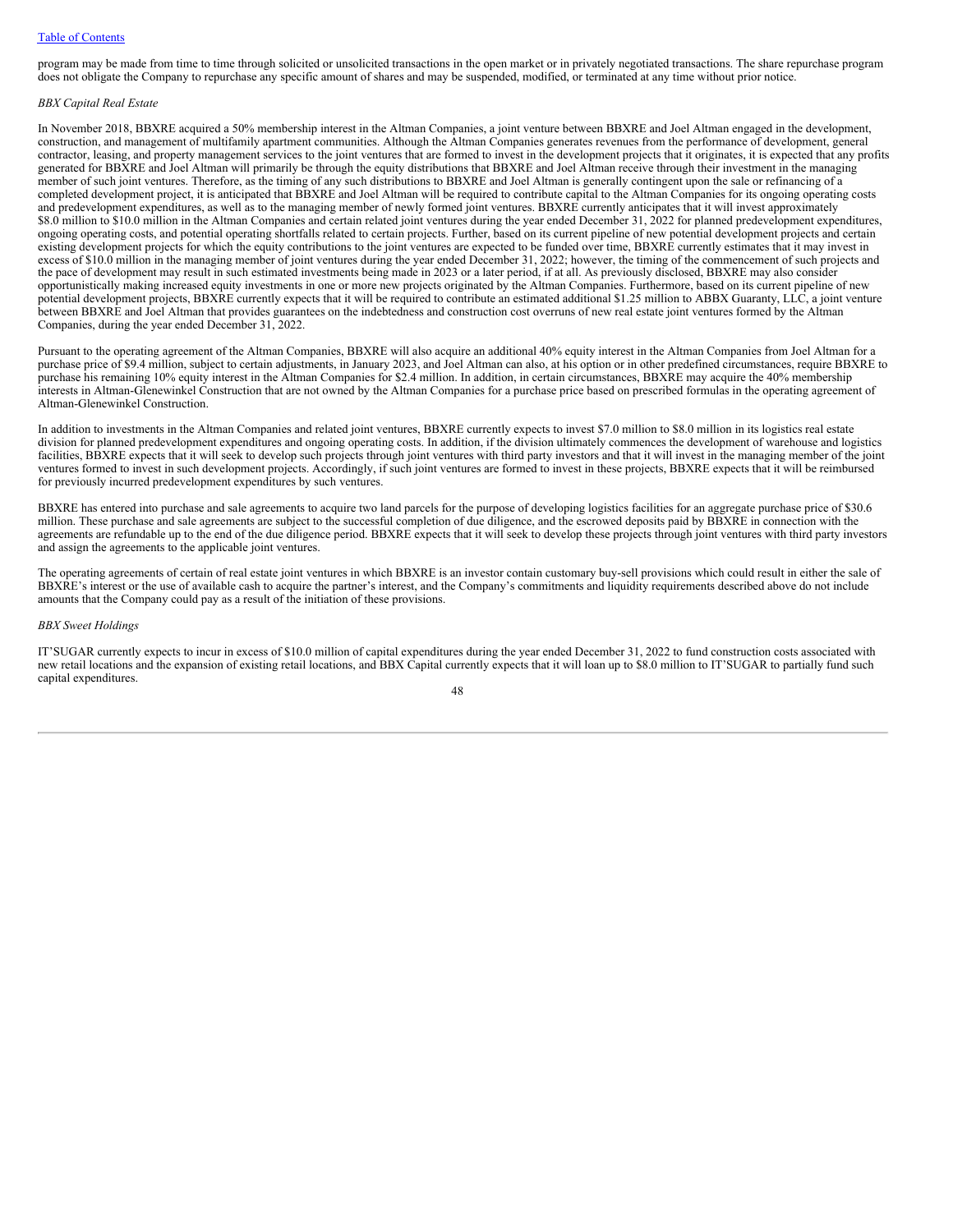### Table of [Contents](#page-0-0)

program may be made from time to time through solicited or unsolicited transactions in the open market or in privately negotiated transactions. The share repurchase program does not obligate the Company to repurchase any specific amount of shares and may be suspended, modified, or terminated at any time without prior notice.

### *BBX Capital Real Estate*

In November 2018, BBXRE acquired a 50% membership interest in the Altman Companies, a joint venture between BBXRE and Joel Altman engaged in the development, construction, and management of multifamily apartment communities. Although the Altman Companies generates revenues from the performance of development, general contractor, leasing, and property management services to the joint ventures that are formed to invest in the development projects that it originates, it is expected that any profits generated for BBXRE and Joel Altman will primarily be through the equity distributions that BBXRE and Joel Altman receive through their investment in the managing member of such joint ventures. Therefore, as the timing of any such distributions to BBXRE and Joel Altman is generally contingent upon the sale or refinancing of a completed development project, it is anticipated that BBXRE and Joel Altman will be required to contribute capital to the Altman Companies for its ongoing operating costs and predevelopment expenditures, as well as to the managing member of newly formed joint ventures. BBXRE currently anticipates that it will invest approximately \$8.0 million to \$10.0 million in the Altman Companies and certain related joint ventures during the year ended December 31, 2022 for planned predevelopment expenditures, ongoing operating costs, and potential operating shortfalls related to certain projects. Further, based on its current pipeline of new potential development projects and certain existing development projects for which the equity contributions to the joint ventures are expected to be funded over time, BBXRE currently estimates that it may invest in excess of \$10.0 million in the managing member of joint ventures during the year ended December 31, 2022; however, the timing of the commencement of such projects and the pace of development may result in such estimated investments being made in 2023 or a later period, if at all. As previously disclosed, BBXRE may also consider opportunistically making increased equity investments in one or more new projects originated by the Altman Companies. Furthermore, based on its current pipeline of new potential development projects, BBXRE currently expects that it will be required to contribute an estimated additional \$1.25 million to ABBX Guaranty, LLC, a joint venture between BBXRE and Joel Altman that provides guarantees on the indebtedness and construction cost overruns of new real estate joint ventures formed by the Altman Companies, during the year ended December 31, 2022.

Pursuant to the operating agreement of the Altman Companies, BBXRE will also acquire an additional 40% equity interest in the Altman Companies from Joel Altman for a purchase price of \$9.4 million, subject to certain adjustments, in January 2023, and Joel Altman can also, at his option or in other predefined circumstances, require BBXRE to purchase his remaining 10% equity interest in the Altman Companies for \$2.4 million. In addition, in certain circumstances, BBXRE may acquire the 40% membership interests in Altman-Glenewinkel Construction that are not owned by the Altman Companies for a purchase price based on prescribed formulas in the operating agreement of Altman-Glenewinkel Construction.

In addition to investments in the Altman Companies and related joint ventures, BBXRE currently expects to invest \$7.0 million to \$8.0 million in its logistics real estate division for planned predevelopment expenditures and ongoing operating costs. In addition, if the division ultimately commences the development of warehouse and logistics facilities, BBXRE expects that it will seek to develop such projects through joint ventures with third party investors and that it will invest in the managing member of the joint ventures formed to invest in such development projects. Accordingly, if such joint ventures are formed to invest in these projects, BBXRE expects that it will be reimbursed for previously incurred predevelopment expenditures by such ventures.

BBXRE has entered into purchase and sale agreements to acquire two land parcels for the purpose of developing logistics facilities for an aggregate purchase price of \$30.6 million. These purchase and sale agreements are subject to the successful completion of due diligence, and the escrowed deposits paid by BBXRE in connection with the agreements are refundable up to the end of the due diligence period. BBXRE expects that it will seek to develop these projects through joint ventures with third party investors and assign the agreements to the applicable joint ventures.

The operating agreements of certain of real estate joint ventures in which BBXRE is an investor contain customary buy-sell provisions which could result in either the sale of BBXRE's interest or the use of available cash to acquire the partner's interest, and the Company's commitments and liquidity requirements described above do not include amounts that the Company could pay as a result of the initiation of these provisions.

#### *BBX Sweet Holdings*

IT'SUGAR currently expects to incur in excess of \$10.0 million of capital expenditures during the year ended December 31, 2022 to fund construction costs associated with new retail locations and the expansion of existing retail locations, and BBX Capital currently expects that it will loan up to \$8.0 million to IT'SUGAR to partially fund such capital expenditures.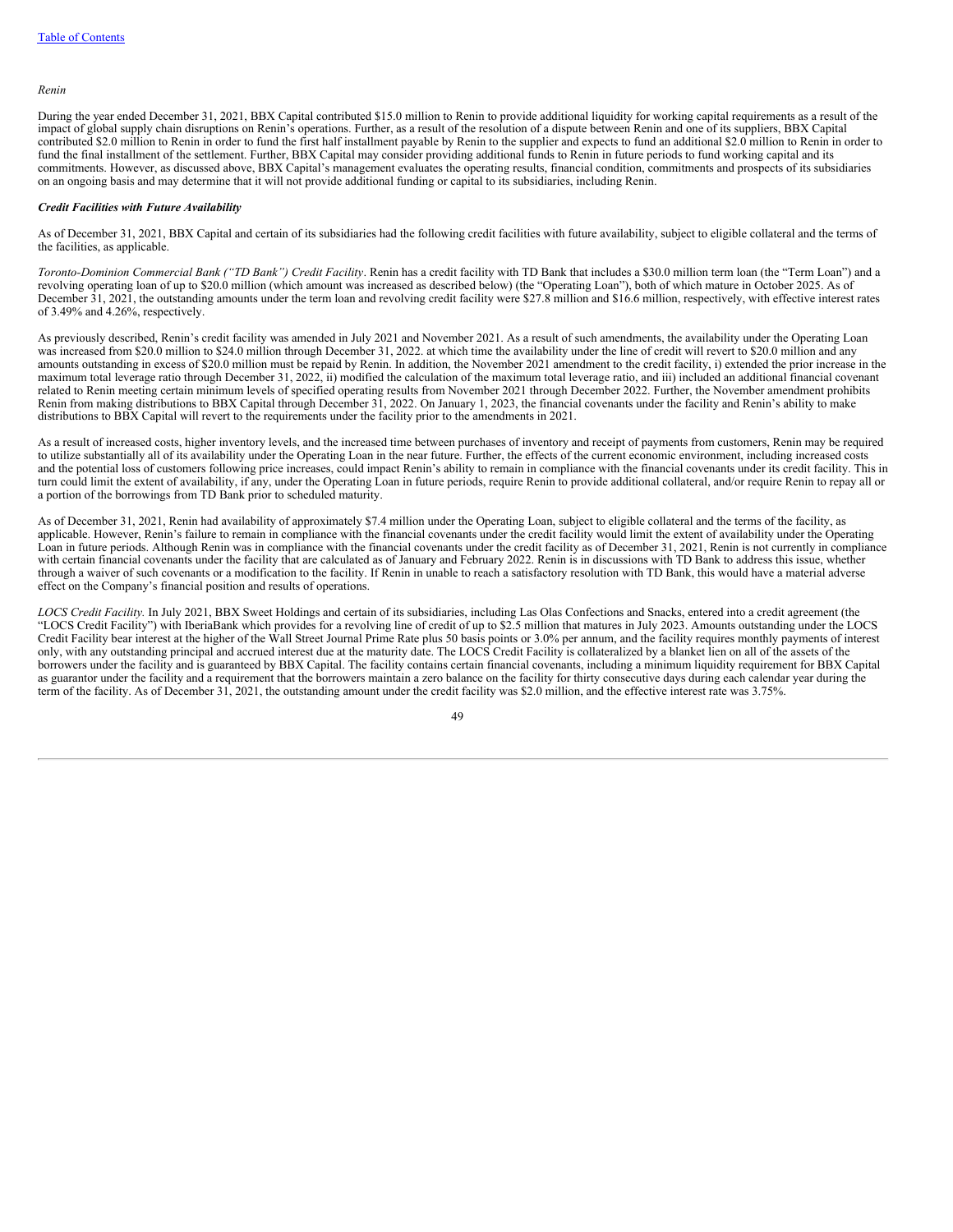#### *Renin*

During the year ended December 31, 2021, BBX Capital contributed \$15.0 million to Renin to provide additional liquidity for working capital requirements as a result of the impact of global supply chain disruptions on Renin's operations. Further, as a result of the resolution of a dispute between Renin and one of its suppliers, BBX Capital contributed \$2.0 million to Renin in order to fund the first half installment payable by Renin to the supplier and expects to fund an additional \$2.0 million to Renin in order to fund the final installment of the settlement. Further, BBX Capital may consider providing additional funds to Renin in future periods to fund working capital and its commitments. However, as discussed above, BBX Capital's management evaluates the operating results, financial condition, commitments and prospects of its subsidiaries on an ongoing basis and may determine that it will not provide additional funding or capital to its subsidiaries, including Renin.

#### *Credit Facilities with Future Availability*

As of December 31, 2021, BBX Capital and certain of its subsidiaries had the following credit facilities with future availability, subject to eligible collateral and the terms of the facilities, as applicable.

*Toronto-Dominion Commercial Bank ("TD Bank") Credit Facility*. Renin has a credit facility with TD Bank that includes a \$30.0 million term loan (the "Term Loan") and a revolving operating loan of up to \$20.0 million (which amount was increased as described below) (the "Operating Loan"), both of which mature in October 2025. As of December 31, 2021, the outstanding amounts under the term loan and revolving credit facility were \$27.8 million and \$16.6 million, respectively, with effective interest rates of 3.49% and 4.26%, respectively.

As previously described, Renin's credit facility was amended in July 2021 and November 2021. As a result of such amendments, the availability under the Operating Loan was increased from \$20.0 million to \$24.0 million through December 31, 2022. at which time the availability under the line of credit will revert to \$20.0 million and any amounts outstanding in excess of \$20.0 million must be repaid by Renin. In addition, the November 2021 amendment to the credit facility, i) extended the prior increase in the maximum total leverage ratio through December 31, 2022, ii) modified the calculation of the maximum total leverage ratio, and iii) included an additional financial covenant related to Renin meeting certain minimum levels of specified operating results from November 2021 through December 2022. Further, the November amendment prohibits Renin from making distributions to BBX Capital through December 31, 2022. On January 1, 2023, the financial covenants under the facility and Renin's ability to make distributions to BBX Capital will revert to the requirements under the facility prior to the amendments in 2021.

As a result of increased costs, higher inventory levels, and the increased time between purchases of inventory and receipt of payments from customers, Renin may be required to utilize substantially all of its availability under the Operating Loan in the near future. Further, the effects of the current economic environment, including increased costs and the potential loss of customers following price increases, could impact Renin's ability to remain in compliance with the financial covenants under its credit facility. This in turn could limit the extent of availability, if any, under the Operating Loan in future periods, require Renin to provide additional collateral, and/or require Renin to repay all or a portion of the borrowings from TD Bank prior to scheduled maturity.

As of December 31, 2021, Renin had availability of approximately \$7.4 million under the Operating Loan, subject to eligible collateral and the terms of the facility, as applicable. However, Renin's failure to remain in compliance with the financial covenants under the credit facility would limit the extent of availability under the Operating Loan in future periods. Although Renin was in compliance with the financial covenants under the credit facility as of December 31, 2021, Renin is not currently in compliance with certain financial covenants under the facility that are calculated as of January and February 2022. Renin is in discussions with TD Bank to address this issue, whether through a waiver of such covenants or a modification to the facility. If Renin in unable to reach a satisfactory resolution with TD Bank, this would have a material adverse effect on the Company's financial position and results of operations.

*LOCS Credit Facility.* In July 2021, BBX Sweet Holdings and certain of its subsidiaries, including Las Olas Confections and Snacks, entered into a credit agreement (the "LOCS Credit Facility") with IberiaBank which provides for a revolving line of credit of up to \$2.5 million that matures in July 2023. Amounts outstanding under the LOCS Credit Facility bear interest at the higher of the Wall Street Journal Prime Rate plus 50 basis points or 3.0% per annum, and the facility requires monthly payments of interest only, with any outstanding principal and accrued interest due at the maturity date. The LOCS Credit Facility is collateralized by a blanket lien on all of the assets of the borrowers under the facility and is guaranteed by BBX Capital. The facility contains certain financial covenants, including a minimum liquidity requirement for BBX Capital as guarantor under the facility and a requirement that the borrowers maintain a zero balance on the facility for thirty consecutive days during each calendar year during the term of the facility. As of December 31, 2021, the outstanding amount under the credit facility was \$2.0 million, and the effective interest rate was 3.75%.

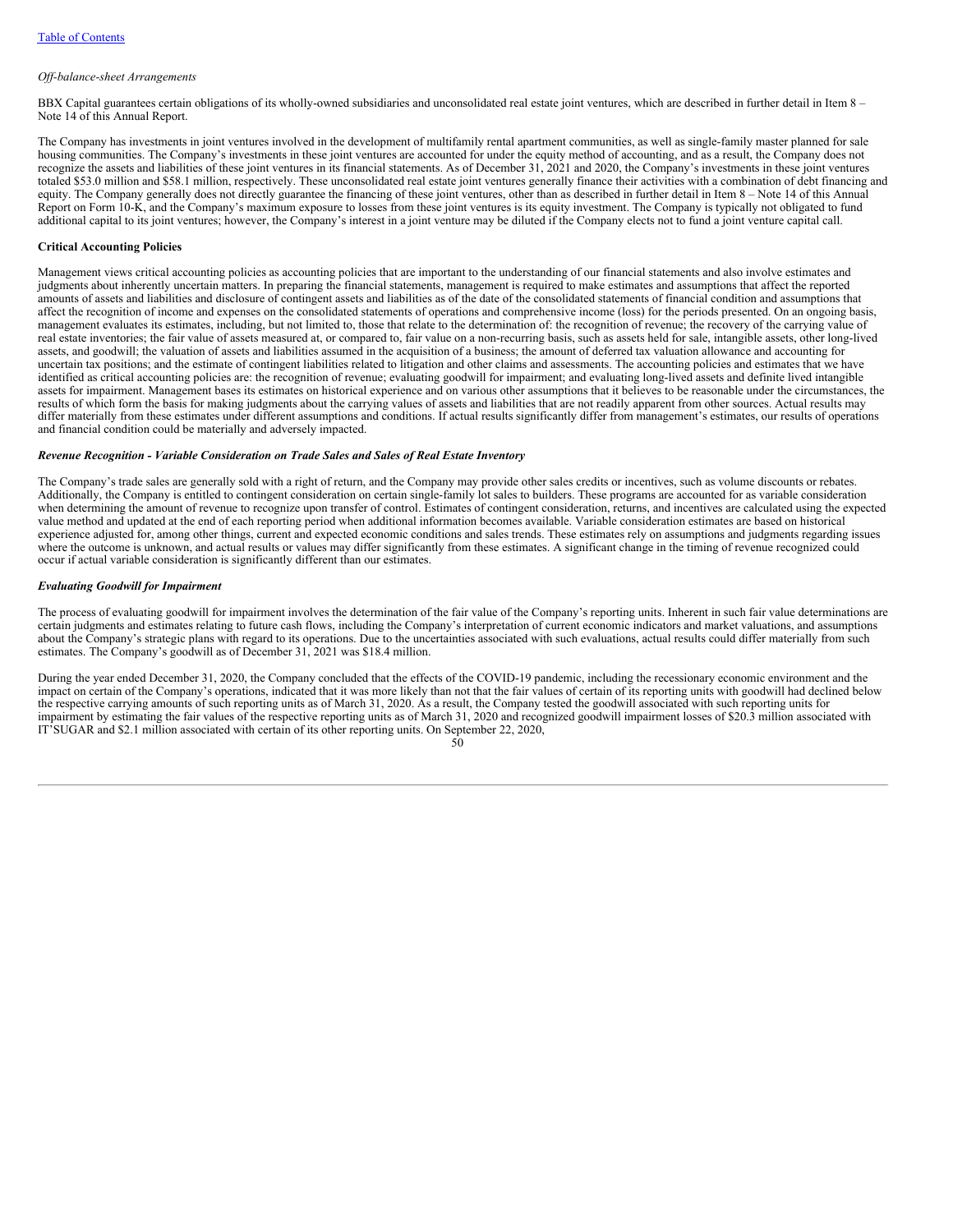#### *Of -balance-sheet Arrangements*

BBX Capital guarantees certain obligations of its wholly-owned subsidiaries and unconsolidated real estate joint ventures, which are described in further detail in Item 8 – Note 14 of this Annual Report.

The Company has investments in joint ventures involved in the development of multifamily rental apartment communities, as well as single-family master planned for sale housing communities. The Company's investments in these joint ventures are accounted for under the equity method of accounting, and as a result, the Company does not recognize the assets and liabilities of these joint ventures in its financial statements. As of December 31, 2021 and 2020, the Company's investments in these joint ventures totaled \$53.0 million and \$58.1 million, respectively. These unconsolidated real estate joint ventures generally finance their activities with a combination of debt financing and equity. The Company generally does not directly guarantee the financing of these joint ventures, other than as described in further detail in Item 8 – Note 14 of this Annual Report on Form 10-K, and the Company's maximum exposure to losses from these joint ventures is its equity investment. The Company is typically not obligated to fund additional capital to its joint ventures; however, the Company's interest in a joint venture may be diluted if the Company elects not to fund a joint venture capital call.

### **Critical Accounting Policies**

Management views critical accounting policies as accounting policies that are important to the understanding of our financial statements and also involve estimates and judgments about inherently uncertain matters. In preparing the financial statements, management is required to make estimates and assumptions that affect the reported amounts of assets and liabilities and disclosure of contingent assets and liabilities as of the date of the consolidated statements of financial condition and assumptions that affect the recognition of income and expenses on the consolidated statements of operations and comprehensive income (loss) for the periods presented. On an ongoing basis, management evaluates its estimates, including, but not limited to, those that relate to the determination of: the recognition of revenue; the recovery of the carrying value of real estate inventories; the fair value of assets measured at, or compared to, fair value on a non-recurring basis, such as assets held for sale, intangible assets, other long-lived assets, and goodwill; the valuation of assets and liabilities assumed in the acquisition of a business; the amount of deferred tax valuation allowance and accounting for uncertain tax positions; and the estimate of contingent liabilities related to litigation and other claims and assessments. The accounting policies and estimates that we have identified as critical accounting policies are: the recognition of revenue; evaluating goodwill for impairment; and evaluating long-lived assets and definite lived intangible assets for impairment. Management bases its estimates on historical experience and on various other assumptions that it believes to be reasonable under the circumstances, the results of which form the basis for making judgments about the carrying values of assets and liabilities that are not readily apparent from other sources. Actual results may differ materially from these estimates under different assumptions and conditions. If actual results significantly differ from management's estimates, our results of operations and financial condition could be materially and adversely impacted.

### *Revenue Recognition - Variable Consideration on Trade Sales and Sales of Real Estate Inventory*

The Company's trade sales are generally sold with a right of return, and the Company may provide other sales credits or incentives, such as volume discounts or rebates. Additionally, the Company is entitled to contingent consideration on certain single-family lot sales to builders. These programs are accounted for as variable consideration when determining the amount of revenue to recognize upon transfer of control. Estimates of contingent consideration, returns, and incentives are calculated using the expected value method and updated at the end of each reporting period when additional information becomes available. Variable consideration estimates are based on historical experience adjusted for, among other things, current and expected economic conditions and sales trends. These estimates rely on assumptions and judgments regarding issues where the outcome is unknown, and actual results or values may differ significantly from these estimates. A significant change in the timing of revenue recognized could occur if actual variable consideration is significantly different than our estimates.

#### *Evaluating Goodwill for Impairment*

The process of evaluating goodwill for impairment involves the determination of the fair value of the Company's reporting units. Inherent in such fair value determinations are certain judgments and estimates relating to future cash flows, including the Company's interpretation of current economic indicators and market valuations, and assumptions about the Company's strategic plans with regard to its operations. Due to the uncertainties associated with such evaluations, actual results could differ materially from such estimates. The Company's goodwill as of December 31, 2021 was \$18.4 million.

During the year ended December 31, 2020, the Company concluded that the effects of the COVID-19 pandemic, including the recessionary economic environment and the impact on certain of the Company's operations, indicated that it was more likely than not that the fair values of certain of its reporting units with goodwill had declined below the respective carrying amounts of such reporting units as of March 31, 2020. As a result, the Company tested the goodwill associated with such reporting units for impairment by estimating the fair values of the respective reporting units as of March 31, 2020 and recognized goodwill impairment losses of \$20.3 million associated with IT'SUGAR and \$2.1 million associated with certain of its other reporting units. On September 22, 2020,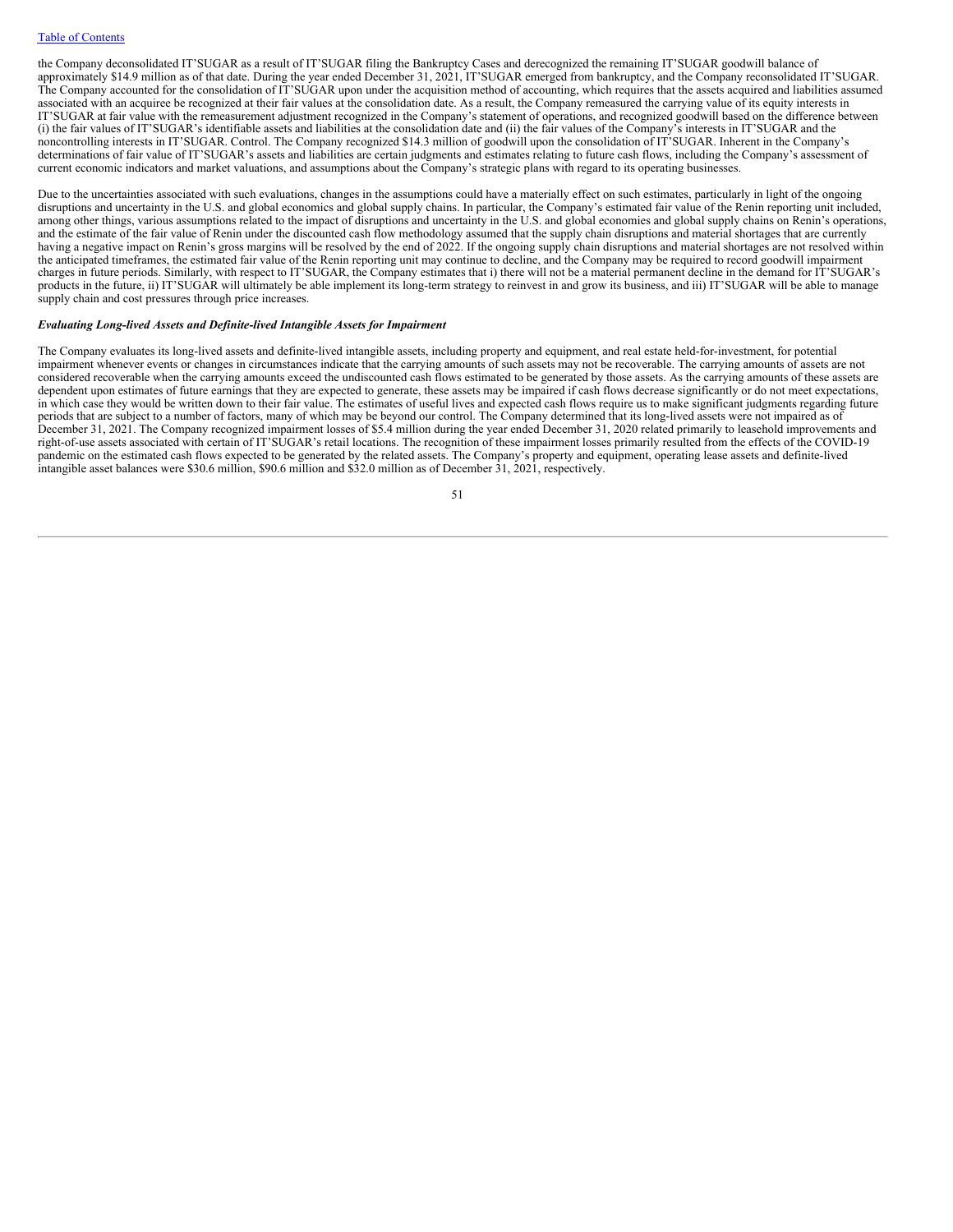the Company deconsolidated IT'SUGAR as a result of IT'SUGAR filing the Bankruptcy Cases and derecognized the remaining IT'SUGAR goodwill balance of approximately \$14.9 million as of that date. During the year ended December 31, 2021, IT'SUGAR emerged from bankruptcy, and the Company reconsolidated IT'SUGAR. The Company accounted for the consolidation of IT'SUGAR upon under the acquisition method of accounting, which requires that the assets acquired and liabilities assumed associated with an acquiree be recognized at their fair values at the consolidation date. As a result, the Company remeasured the carrying value of its equity interests in IT'SUGAR at fair value with the remeasurement adjustment recognized in the Company's statement of operations, and recognized goodwill based on the difference between (i) the fair values of IT'SUGAR's identifiable assets and liabilities at the consolidation date and (ii) the fair values of the Company's interests in IT'SUGAR and the noncontrolling interests in IT'SUGAR. Control. The Company recognized \$14.3 million of goodwill upon the consolidation of IT'SUGAR. Inherent in the Company's determinations of fair value of IT'SUGAR's assets and liabilities are certain judgments and estimates relating to future cash flows, including the Company's assessment of current economic indicators and market valuations, and assumptions about the Company's strategic plans with regard to its operating businesses.

Due to the uncertainties associated with such evaluations, changes in the assumptions could have a materially effect on such estimates, particularly in light of the ongoing disruptions and uncertainty in the U.S. and global economics and global supply chains. In particular, the Company's estimated fair value of the Renin reporting unit included, among other things, various assumptions related to the impact of disruptions and uncertainty in the U.S. and global economies and global supply chains on Renin's operations, and the estimate of the fair value of Renin under the discounted cash flow methodology assumed that the supply chain disruptions and material shortages that are currently having a negative impact on Renin's gross margins will be resolved by the end of 2022. If the ongoing supply chain disruptions and material shortages are not resolved within the anticipated timeframes, the estimated fair value of the Renin reporting unit may continue to decline, and the Company may be required to record goodwill impairment charges in future periods. Similarly, with respect to IT'SUGAR, the Company estimates that i) there will not be a material permanent decline in the demand for IT'SUGAR's products in the future, ii) IT'SUGAR will ultimately be able implement its long-term strategy to reinvest in and grow its business, and iii) IT'SUGAR will be able to manage supply chain and cost pressures through price increases.

### *Evaluating Long-lived Assets and Definite-lived Intangible Assets for Impairment*

The Company evaluates its long-lived assets and definite-lived intangible assets, including property and equipment, and real estate held-for-investment, for potential impairment whenever events or changes in circumstances indicate that the carrying amounts of such assets may not be recoverable. The carrying amounts of assets are not considered recoverable when the carrying amounts exceed the undiscounted cash flows estimated to be generated by those assets. As the carrying amounts of these assets are dependent upon estimates of future earnings that they are expected to generate, these assets may be impaired if cash flows decrease significantly or do not meet expectations, in which case they would be written down to their fair value. The estimates of useful lives and expected cash flows require us to make significant judgments regarding future periods that are subject to a number of factors, many of which may be beyond our control. The Company determined that its long-lived assets were not impaired as of December 31, 2021. The Company recognized impairment losses of \$5.4 million during the year ended December 31, 2020 related primarily to leasehold improvements and right-of-use assets associated with certain of IT'SUGAR's retail locations. The recognition of these impairment losses primarily resulted from the effects of the COVID-19 pandemic on the estimated cash flows expected to be generated by the related assets. The Company's property and equipment, operating lease assets and definite-lived intangible asset balances were \$30.6 million, \$90.6 million and \$32.0 million as of December 31, 2021, respectively.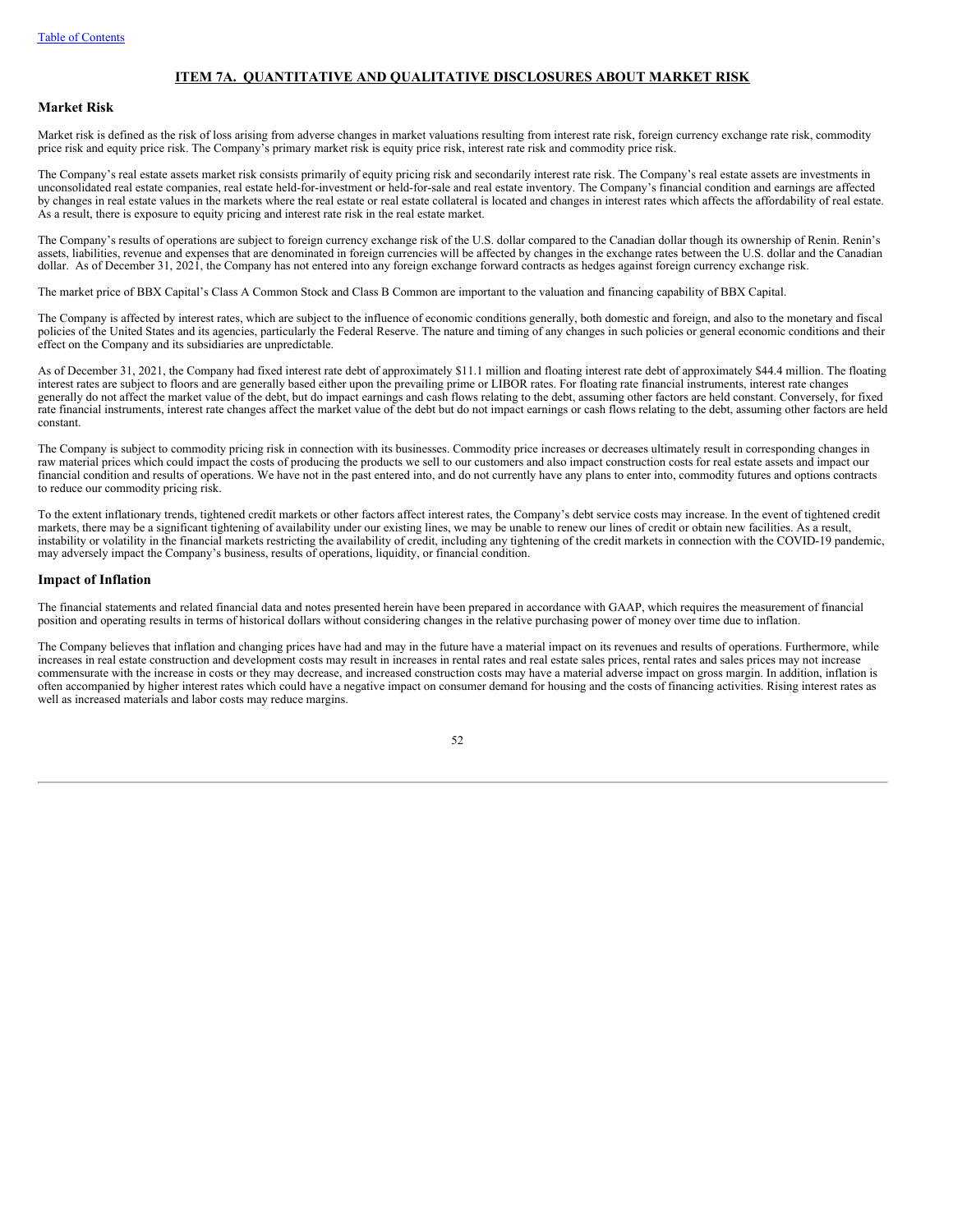# **ITEM 7A. QUANTITATIVE AND QUALITATIVE DISCLOSURES ABOUT MARKET RISK**

# **Market Risk**

Market risk is defined as the risk of loss arising from adverse changes in market valuations resulting from interest rate risk, foreign currency exchange rate risk, commodity price risk and equity price risk. The Company's primary market risk is equity price risk, interest rate risk and commodity price risk.

The Company's real estate assets market risk consists primarily of equity pricing risk and secondarily interest rate risk. The Company's real estate assets are investments in unconsolidated real estate companies, real estate held-for-investment or held-for-sale and real estate inventory. The Company's financial condition and earnings are affected by changes in real estate values in the markets where the real estate or real estate collateral is located and changes in interest rates which affects the affordability of real estate. As a result, there is exposure to equity pricing and interest rate risk in the real estate market.

The Company's results of operations are subject to foreign currency exchange risk of the U.S. dollar compared to the Canadian dollar though its ownership of Renin. Renin's assets, liabilities, revenue and expenses that are denominated in foreign currencies will be affected by changes in the exchange rates between the U.S. dollar and the Canadian dollar. As of December 31, 2021, the Company has not entered into any foreign exchange forward contracts as hedges against foreign currency exchange risk.

The market price of BBX Capital's Class A Common Stock and Class B Common are important to the valuation and financing capability of BBX Capital.

The Company is affected by interest rates, which are subject to the influence of economic conditions generally, both domestic and foreign, and also to the monetary and fiscal policies of the United States and its agencies, particularly the Federal Reserve. The nature and timing of any changes in such policies or general economic conditions and their effect on the Company and its subsidiaries are unpredictable.

As of December 31, 2021, the Company had fixed interest rate debt of approximately \$11.1 million and floating interest rate debt of approximately \$44.4 million. The floating interest rates are subject to floors and are generally based either upon the prevailing prime or LIBOR rates. For floating rate financial instruments, interest rate changes generally do not affect the market value of the debt, but do impact earnings and cash flows relating to the debt, assuming other factors are held constant. Conversely, for fixed rate financial instruments, interest rate changes affect the market value of the debt but do not impact earnings or cash flows relating to the debt, assuming other factors are held constant.

The Company is subject to commodity pricing risk in connection with its businesses. Commodity price increases or decreases ultimately result in corresponding changes in raw material prices which could impact the costs of producing the products we sell to our customers and also impact construction costs for real estate assets and impact our financial condition and results of operations. We have not in the past entered into, and do not currently have any plans to enter into, commodity futures and options contracts to reduce our commodity pricing risk.

To the extent inflationary trends, tightened credit markets or other factors affect interest rates, the Company's debt service costs may increase. In the event of tightened credit markets, there may be a significant tightening of availability under our existing lines, we may be unable to renew our lines of credit or obtain new facilities. As a result, instability or volatility in the financial markets restricting the availability of credit, including any tightening of the credit markets in connection with the COVID-19 pandemic, may adversely impact the Company's business, results of operations, liquidity, or financial condition.

### **Impact of Inflation**

The financial statements and related financial data and notes presented herein have been prepared in accordance with GAAP, which requires the measurement of financial position and operating results in terms of historical dollars without considering changes in the relative purchasing power of money over time due to inflation.

The Company believes that inflation and changing prices have had and may in the future have a material impact on its revenues and results of operations. Furthermore, while increases in real estate construction and development costs may result in increases in rental rates and real estate sales prices, rental rates and sales prices may not increase commensurate with the increase in costs or they may decrease, and increased construction costs may have a material adverse impact on gross margin. In addition, inflation is often accompanied by higher interest rates which could have a negative impact on consumer demand for housing and the costs of financing activities. Rising interest rates as well as increased materials and labor costs may reduce margins.

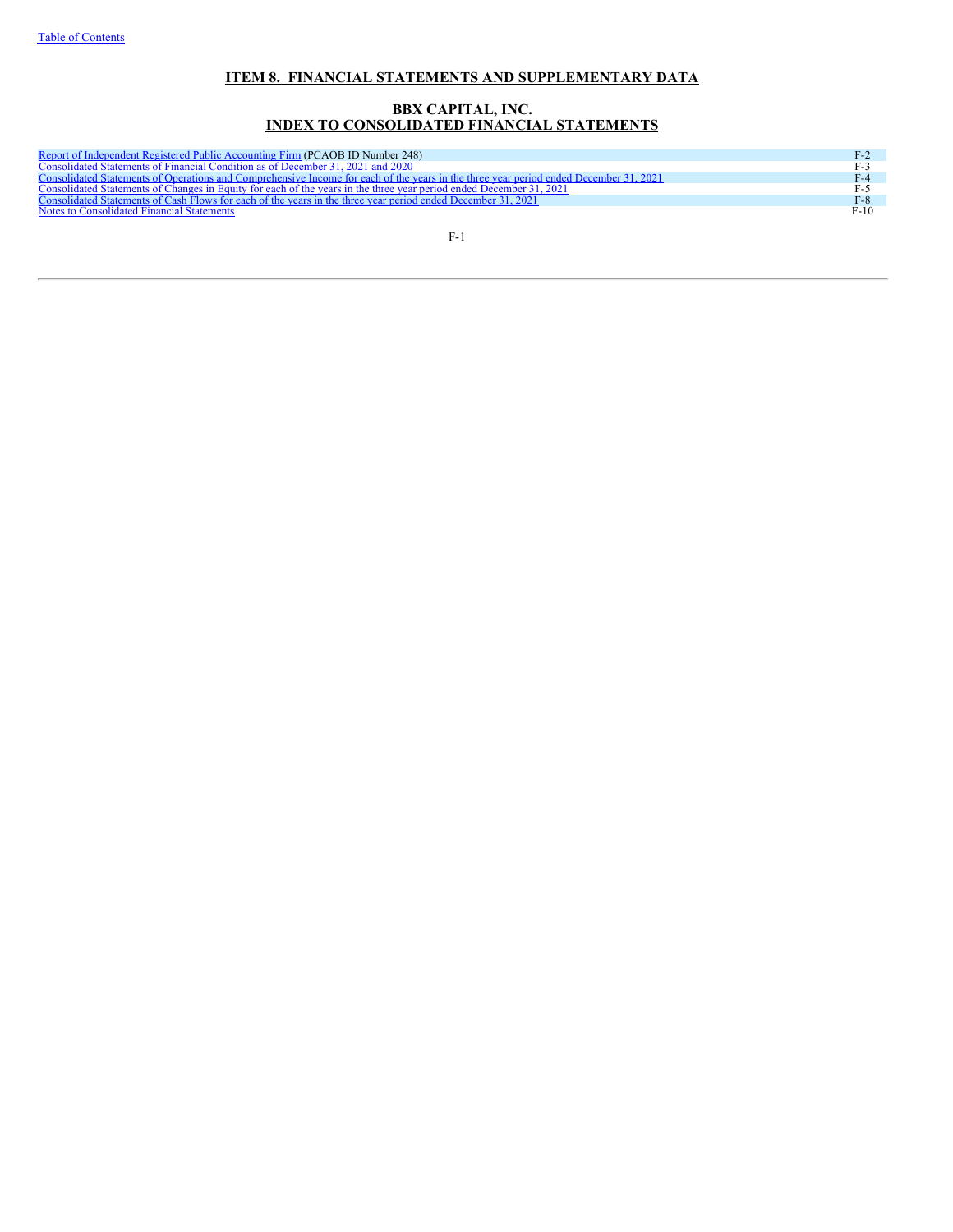# **ITEM 8. FINANCIAL STATEMENTS AND SUPPLEMENTARY DATA**

# **BBX CAPITAL, INC. INDEX TO CONSOLIDATED FINANCIAL STATEMENTS**

| Report of Independent Registered Public Accounting Firm (PCAOB ID Number 248)                                                         | $F-2$  |
|---------------------------------------------------------------------------------------------------------------------------------------|--------|
| Consolidated Statements of Financial Condition as of December 31, 2021 and 2020                                                       | $F-3$  |
| Consolidated Statements of Operations and Comprehensive Income for each of the vears in the three vear period ended December 31, 2021 | $F-4$  |
| Consolidated Statements of Changes in Equity for each of the years in the three year period ended December 31, 2021                   | $F-5$  |
| Consolidated Statements of Cash Flows for each of the years in the three year period ended December 31, 2021                          | $F-8$  |
| Notes to Consolidated Financial Statements                                                                                            | $F-10$ |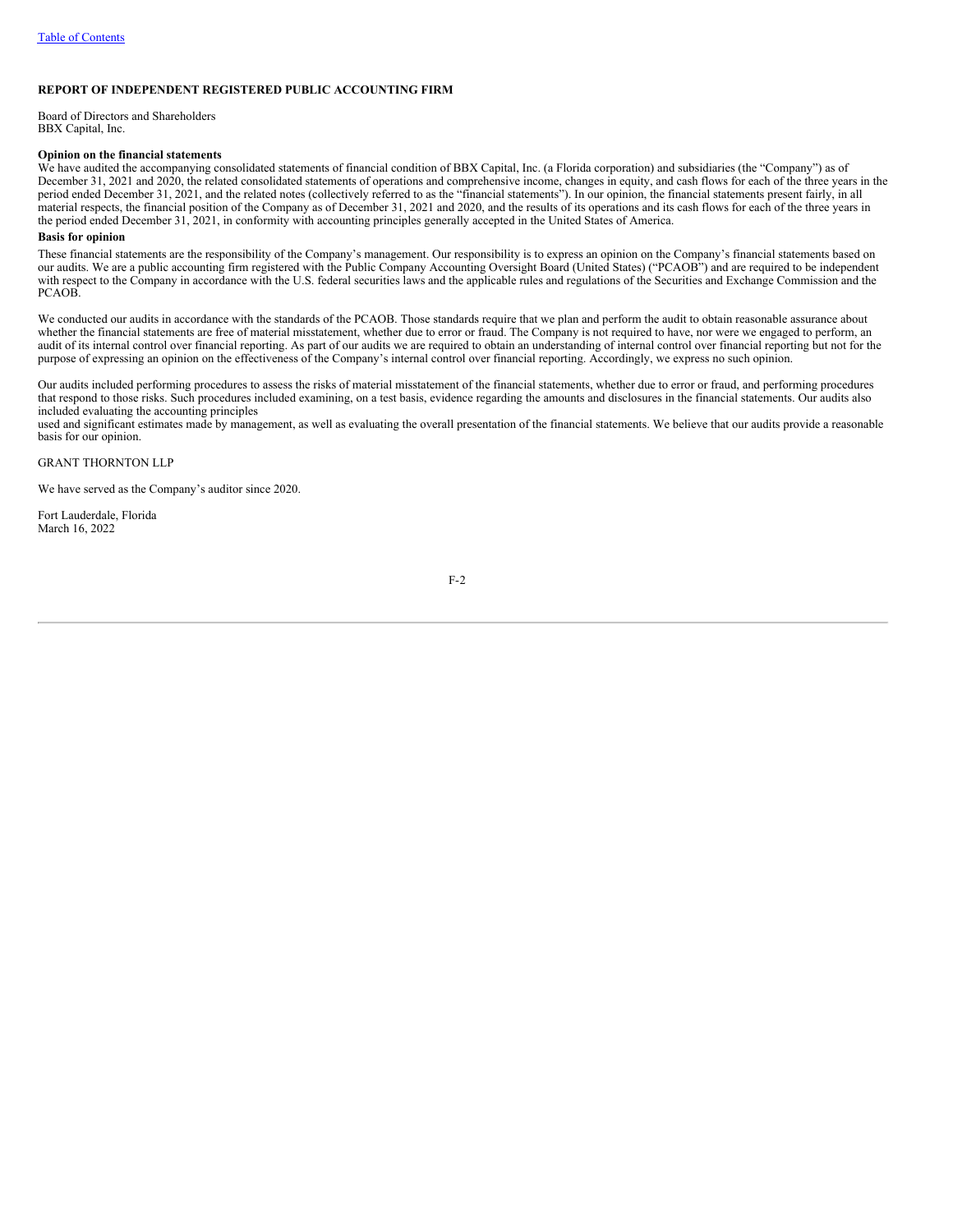## <span id="page-55-0"></span>**REPORT OF INDEPENDENT REGISTERED PUBLIC ACCOUNTING FIRM**

Board of Directors and Shareholders BBX Capital, Inc.

#### **Opinion on the financial statements**

We have audited the accompanying consolidated statements of financial condition of BBX Capital, Inc. (a Florida corporation) and subsidiaries (the "Company") as of December 31, 2021 and 2020, the related consolidated statements of operations and comprehensive income, changes in equity, and cash flows for each of the three years in the period ended December 31, 2021, and the related notes (collectively referred to as the "financial statements"). In our opinion, the financial statements present fairly, in all material respects, the financial position of the Company as of December 31, 2021 and 2020, and the results of its operations and its cash flows for each of the three years in the period ended December 31, 2021, in conformity with accounting principles generally accepted in the United States of America.

## **Basis for opinion**

These financial statements are the responsibility of the Company's management. Our responsibility is to express an opinion on the Company's financial statements based on our audits. We are a public accounting firm registered with the Public Company Accounting Oversight Board (United States) ("PCAOB") and are required to be independent with respect to the Company in accordance with the U.S. federal securities laws and the applicable rules and regulations of the Securities and Exchange Commission and the PCAOB.

We conducted our audits in accordance with the standards of the PCAOB. Those standards require that we plan and perform the audit to obtain reasonable assurance about whether the financial statements are free of material misstatement, whether due to error or fraud. The Company is not required to have, nor were we engaged to perform, an audit of its internal control over financial reporting. As part of our audits we are required to obtain an understanding of internal control over financial reporting but not for the purpose of expressing an opinion on the effectiveness of the Company's internal control over financial reporting. Accordingly, we express no such opinion.

Our audits included performing procedures to assess the risks of material misstatement of the financial statements, whether due to error or fraud, and performing procedures that respond to those risks. Such procedures included examining, on a test basis, evidence regarding the amounts and disclosures in the financial statements. Our audits also included evaluating the accounting principles

used and significant estimates made by management, as well as evaluating the overall presentation of the financial statements. We believe that our audits provide a reasonable basis for our opinion.

GRANT THORNTON LLP

We have served as the Company's auditor since 2020.

Fort Lauderdale, Florida March 16, 2022

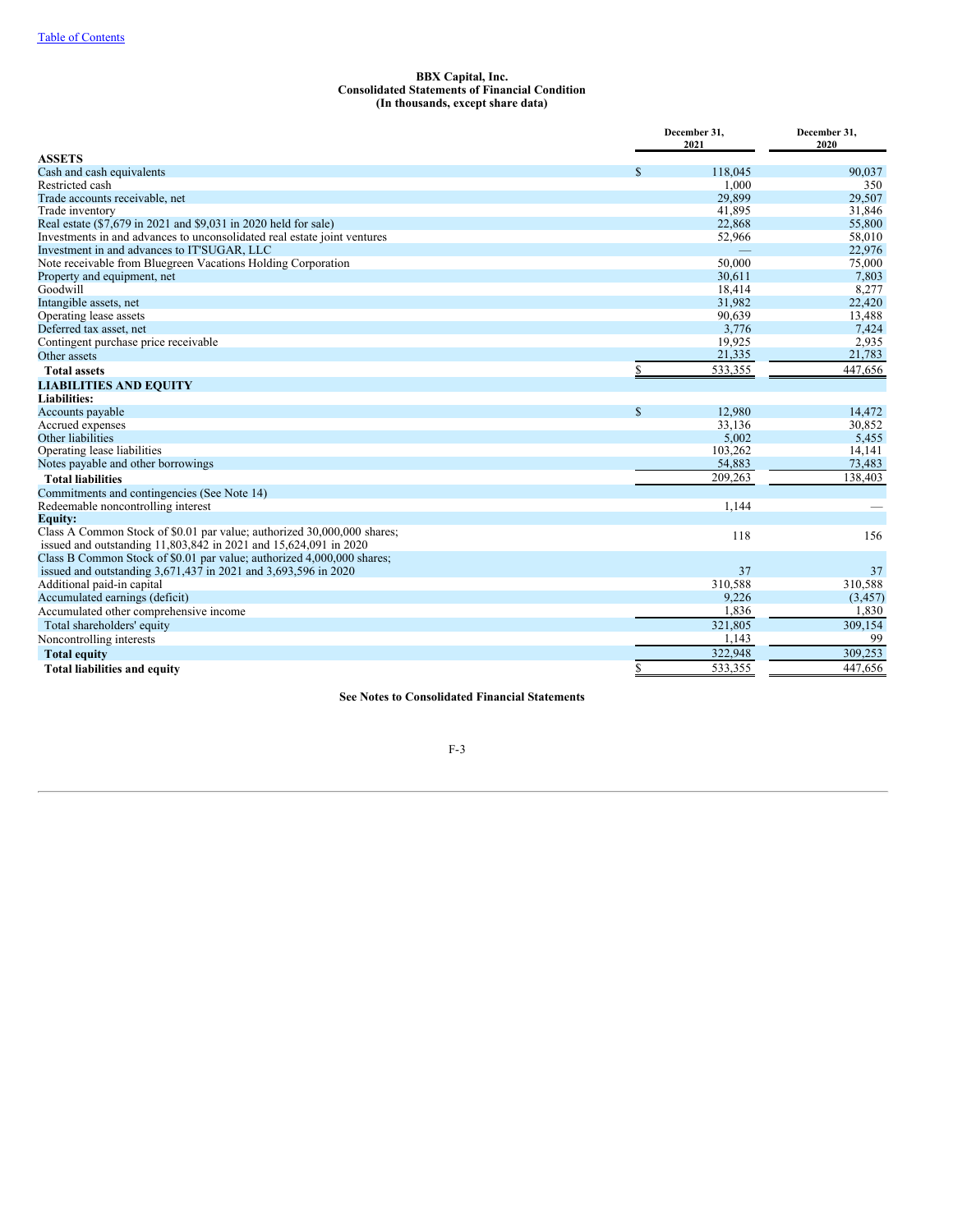### <span id="page-56-0"></span>**BBX Capital, Inc. Consolidated Statements of Financial Condition (In thousands, except share data)**

|                                                                          |             | December 31,<br>2021 | December 31, |
|--------------------------------------------------------------------------|-------------|----------------------|--------------|
| <b>ASSETS</b>                                                            |             |                      | 2020         |
| Cash and cash equivalents                                                | \$          | 118,045              | 90,037       |
| Restricted cash                                                          |             | 1,000                | 350          |
| Trade accounts receivable, net                                           |             | 29,899               | 29,507       |
| Trade inventory                                                          |             | 41,895               | 31,846       |
| Real estate (\$7,679 in 2021 and \$9,031 in 2020 held for sale)          |             | 22,868               | 55,800       |
| Investments in and advances to unconsolidated real estate joint ventures |             | 52,966               | 58,010       |
| Investment in and advances to IT'SUGAR, LLC                              |             |                      | 22,976       |
| Note receivable from Bluegreen Vacations Holding Corporation             |             | 50,000               | 75,000       |
| Property and equipment, net                                              |             | 30.611               | 7,803        |
| Goodwill                                                                 |             | 18,414               | 8,277        |
| Intangible assets, net                                                   |             | 31,982               | 22,420       |
| Operating lease assets                                                   |             | 90,639               | 13,488       |
| Deferred tax asset, net                                                  |             | 3,776                | 7.424        |
| Contingent purchase price receivable                                     |             | 19,925               | 2,935        |
| Other assets                                                             |             | 21,335               | 21,783       |
| <b>Total assets</b>                                                      | \$          | 533,355              | 447,656      |
| <b>LIABILITIES AND EQUITY</b>                                            |             |                      |              |
| <b>Liabilities:</b>                                                      |             |                      |              |
| Accounts payable                                                         | $\mathbf S$ | 12,980               | 14,472       |
| Accrued expenses                                                         |             | 33,136               | 30,852       |
| Other liabilities                                                        |             | 5,002                | 5,455        |
| Operating lease liabilities                                              |             | 103,262              | 14,141       |
| Notes payable and other borrowings                                       |             | 54,883               | 73,483       |
| <b>Total liabilities</b>                                                 |             | 209,263              | 138,403      |
| Commitments and contingencies (See Note 14)                              |             |                      |              |
| Redeemable noncontrolling interest                                       |             | 1,144                |              |
| <b>Equity:</b>                                                           |             |                      |              |
| Class A Common Stock of \$0.01 par value; authorized 30,000,000 shares;  |             | 118                  | 156          |
| issued and outstanding 11,803,842 in 2021 and 15,624,091 in 2020         |             |                      |              |
| Class B Common Stock of \$0.01 par value; authorized 4,000,000 shares;   |             |                      |              |
| issued and outstanding 3,671,437 in 2021 and 3,693,596 in 2020           |             | 37                   | 37           |
| Additional paid-in capital                                               |             | 310,588              | 310,588      |
| Accumulated earnings (deficit)                                           |             | 9,226                | (3, 457)     |
| Accumulated other comprehensive income                                   |             | 1,836                | 1,830        |
| Total shareholders' equity                                               |             | 321,805              | 309,154      |
| Noncontrolling interests                                                 |             | 1,143                | 99           |
| <b>Total equity</b>                                                      |             | 322,948              | 309,253      |
| <b>Total liabilities and equity</b>                                      | \$          | 533,355              | 447,656      |

**See Notes to Consolidated Financial Statements**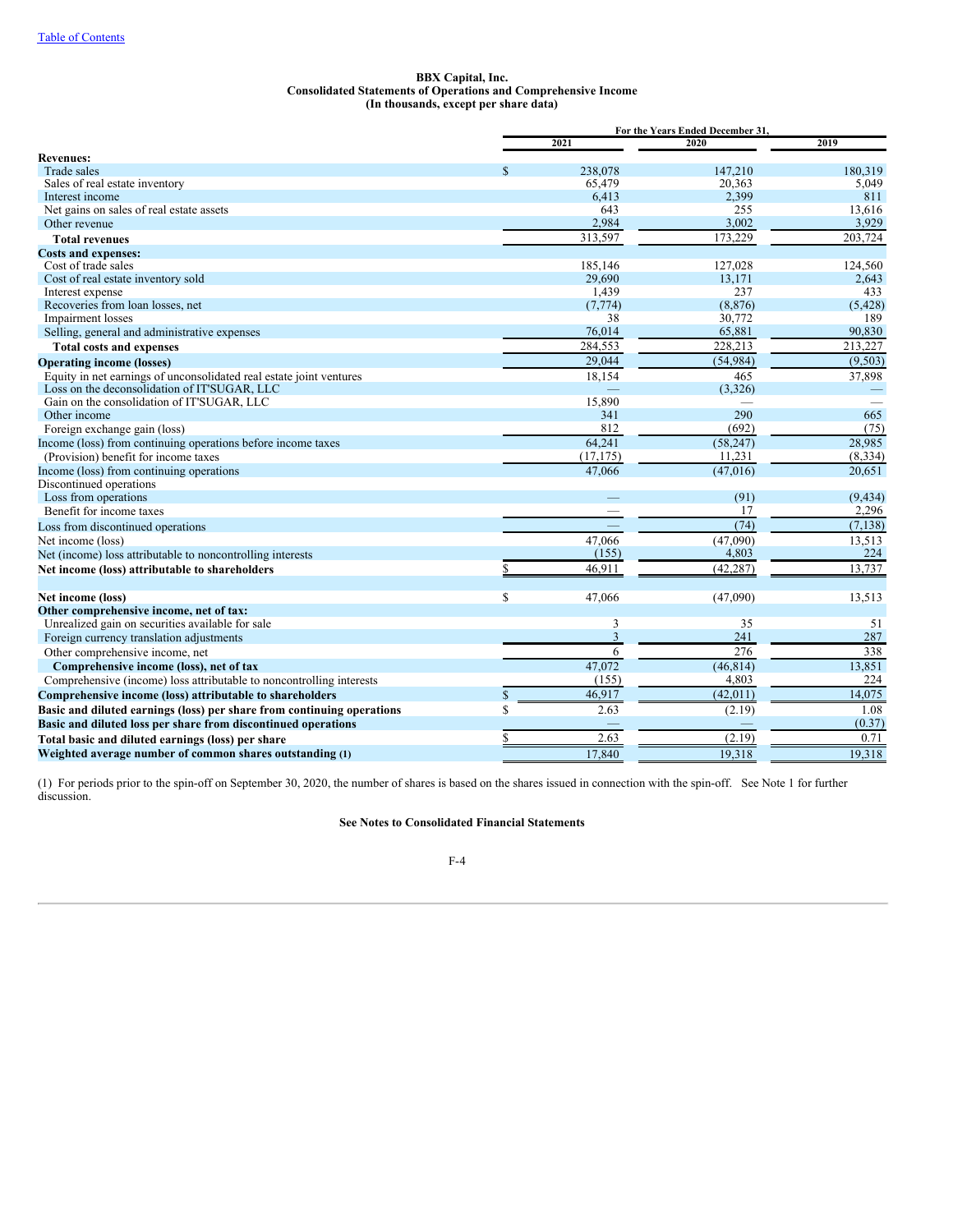#### **BBX Capital, Inc. Consolidated Statements of Operations and Comprehensive Income (In thousands, except per share data)**

|                                                                        |               | For the Years Ended December 31. |          |
|------------------------------------------------------------------------|---------------|----------------------------------|----------|
|                                                                        | 2021          | 2020                             | 2019     |
| <b>Revenues:</b>                                                       |               |                                  |          |
| Trade sales                                                            | \$<br>238,078 | 147,210                          | 180.319  |
| Sales of real estate inventory                                         | 65,479        | 20,363                           | 5,049    |
| Interest income                                                        | 6,413         | 2,399                            | 811      |
| Net gains on sales of real estate assets                               | 643           | 255                              | 13,616   |
| Other revenue                                                          | 2,984         | 3,002                            | 3,929    |
| <b>Total revenues</b>                                                  | 313,597       | 173,229                          | 203,724  |
| <b>Costs and expenses:</b>                                             |               |                                  |          |
| Cost of trade sales                                                    | 185,146       | 127,028                          | 124,560  |
| Cost of real estate inventory sold                                     | 29.690        | 13,171                           | 2.643    |
| Interest expense                                                       | 1,439         | 237                              | 433      |
| Recoveries from loan losses, net                                       | (7, 774)      | (8, 876)                         | (5, 428) |
| Impairment losses                                                      | 38            | 30,772                           | 189      |
| Selling, general and administrative expenses                           | 76,014        | 65,881                           | 90,830   |
| <b>Total costs and expenses</b>                                        | 284,553       | 228,213                          | 213,227  |
| <b>Operating income (losses)</b>                                       | 29,044        | (54, 984)                        | (9,503)  |
| Equity in net earnings of unconsolidated real estate joint ventures    | 18,154        | 465                              | 37,898   |
| Loss on the deconsolidation of IT'SUGAR, LLC                           |               | (3,326)                          |          |
| Gain on the consolidation of IT'SUGAR, LLC                             | 15,890        |                                  |          |
| Other income                                                           | 341           | 290                              | 665      |
| Foreign exchange gain (loss)                                           | 812           | (692)                            | (75)     |
| Income (loss) from continuing operations before income taxes           | 64,241        | (58, 247)                        | 28.985   |
| (Provision) benefit for income taxes                                   | (17, 175)     | 11,231                           | (8, 334) |
| Income (loss) from continuing operations                               | 47,066        | (47, 016)                        | 20,651   |
| Discontinued operations                                                |               |                                  |          |
| Loss from operations                                                   |               | (91)                             | (9, 434) |
| Benefit for income taxes                                               | -             | 17                               | 2,296    |
| Loss from discontinued operations                                      |               | (74)                             | (7, 138) |
| Net income (loss)                                                      | 47,066        | (47,090)                         | 13,513   |
| Net (income) loss attributable to noncontrolling interests             | (155)         | 4,803                            | 224      |
| Net income (loss) attributable to shareholders                         | 46.911        | (42, 287)                        | 13.737   |
|                                                                        |               |                                  |          |
| Net income (loss)                                                      | \$<br>47,066  | (47,090)                         | 13,513   |
| Other comprehensive income, net of tax:                                |               |                                  |          |
| Unrealized gain on securities available for sale                       | 3             | 35                               | 51       |
| Foreign currency translation adjustments                               | 3             | 241                              | 287      |
| Other comprehensive income, net                                        | 6             | 276                              | 338      |
| Comprehensive income (loss), net of tax                                | 47,072        | (46, 814)                        | 13,851   |
| Comprehensive (income) loss attributable to noncontrolling interests   | (155)         | 4,803                            | 224      |
| Comprehensive income (loss) attributable to shareholders               | \$<br>46,917  | (42, 011)                        | 14,075   |
| Basic and diluted earnings (loss) per share from continuing operations | \$<br>2.63    | (2.19)                           | 1.08     |
| Basic and diluted loss per share from discontinued operations          |               |                                  | (0.37)   |
|                                                                        | 2.63          | (2.19)                           | 0.71     |
| Total basic and diluted earnings (loss) per share                      |               |                                  |          |
| Weighted average number of common shares outstanding (1)               | 17.840        | 19,318                           | 19,318   |

(1) For periods prior to the spin-off on September 30, 2020, the number of shares is based on the shares issued in connection with the spin-off. See Note 1 for further discussion.

# **See Notes to Consolidated Financial Statements**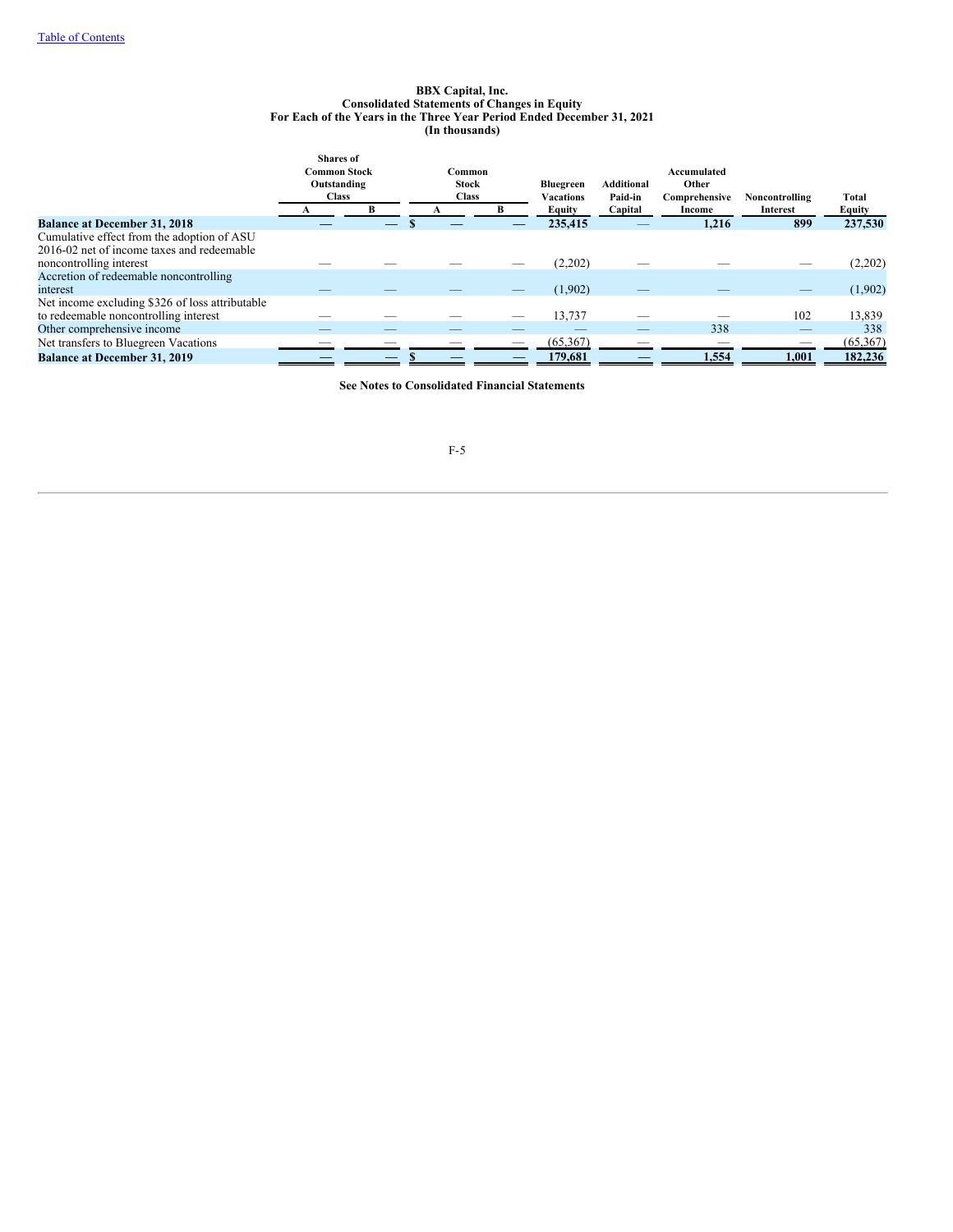#### **BBX Capital, Inc. Consolidated Statements of Changes in Equity For Each of the Years in the Three Year Period Ended December 31, 2021 (In thousands)**

|                                                 | <b>Shares</b> of    |              |   |                  |                   |               |                |           |
|-------------------------------------------------|---------------------|--------------|---|------------------|-------------------|---------------|----------------|-----------|
|                                                 | <b>Common Stock</b> | Common       |   |                  |                   | Accumulated   |                |           |
|                                                 | Outstanding         | <b>Stock</b> |   | <b>Bluegreen</b> | <b>Additional</b> | Other         |                |           |
|                                                 | <b>Class</b>        | <b>Class</b> |   | Vacations        | Paid-in           | Comprehensive | Noncontrolling | Total     |
|                                                 |                     |              |   | Equity           | Capital           | Income        | Interest       | Equity    |
| <b>Balance at December 31, 2018</b>             |                     |              |   | 235,415          |                   | 1,216         | 899            | 237,530   |
| Cumulative effect from the adoption of ASU      |                     |              |   |                  |                   |               |                |           |
| 2016-02 net of income taxes and redeemable      |                     |              |   |                  |                   |               |                |           |
| noncontrolling interest                         |                     |              |   | (2,202)          |                   |               |                | (2,202)   |
| Accretion of redeemable noncontrolling          |                     |              |   |                  |                   |               |                |           |
| interest                                        |                     |              |   | (1,902)          |                   |               | -              | (1,902)   |
| Net income excluding \$326 of loss attributable |                     |              |   |                  |                   |               |                |           |
| to redeemable noncontrolling interest           |                     |              |   | 13,737           |                   |               | 102            | 13,839    |
| Other comprehensive income                      |                     |              | _ |                  | _                 | 338           | $-$            | 338       |
| Net transfers to Bluegreen Vacations            |                     |              |   | (65, 367)        |                   |               |                | (65, 367) |
| <b>Balance at December 31, 2019</b>             |                     |              |   | 179,681          |                   | 1,554         | 1,001          | 182,236   |

**See Notes to Consolidated Financial Statements**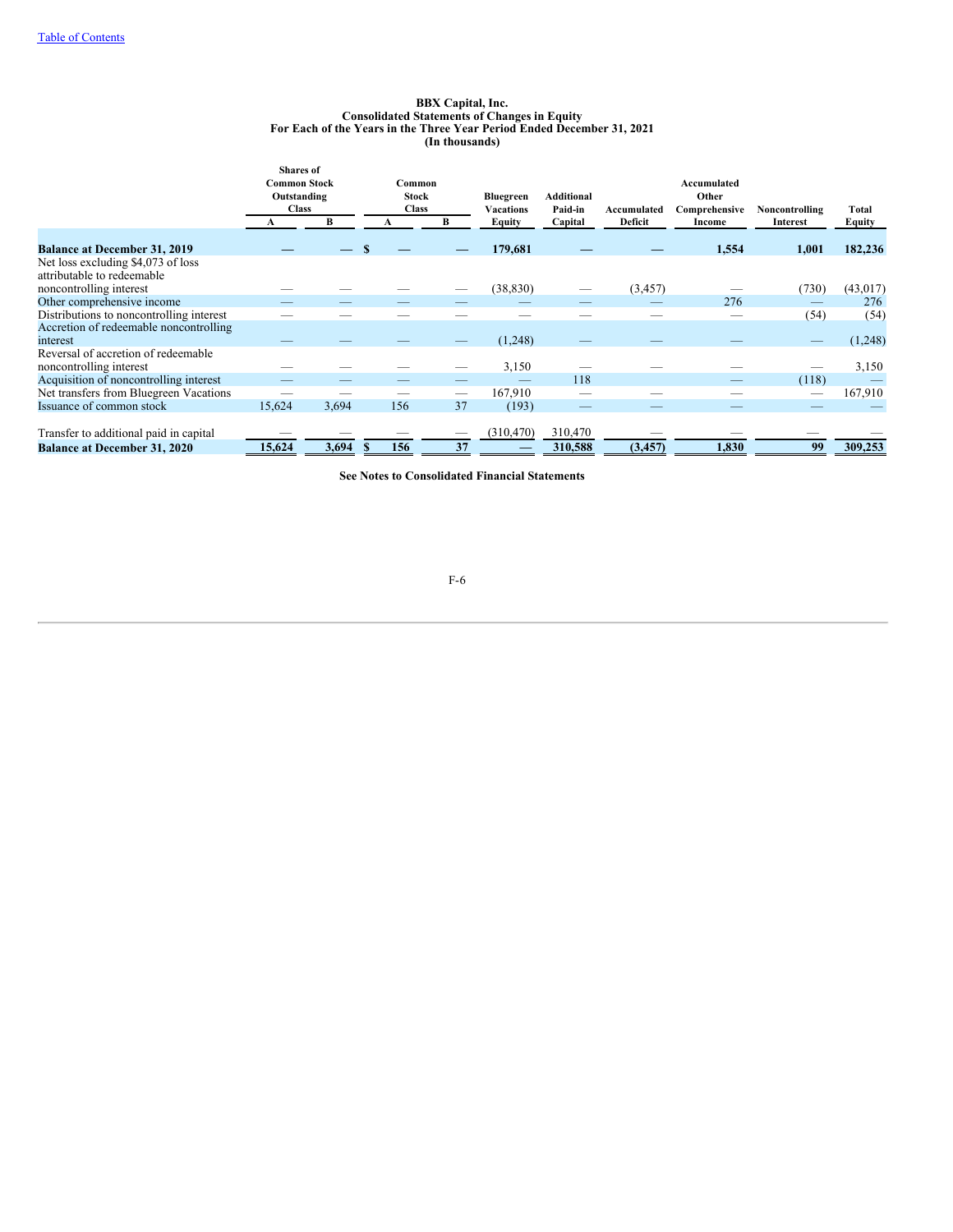#### **BBX Capital, Inc. Consolidated Statements of Changes in Equity For Each of the Years in the Three Year Period Ended December 31, 2021 (In thousands)**

|                                          | <b>Shares</b> of    |       |              |              |                  |                   |             |               |                |               |
|------------------------------------------|---------------------|-------|--------------|--------------|------------------|-------------------|-------------|---------------|----------------|---------------|
|                                          | <b>Common Stock</b> |       | Common       |              |                  |                   |             | Accumulated   |                |               |
|                                          | Outstanding         |       |              | <b>Stock</b> | <b>Bluegreen</b> | <b>Additional</b> |             | Other         |                |               |
|                                          | <b>Class</b>        |       | <b>Class</b> |              | <b>Vacations</b> | Paid-in           | Accumulated | Comprehensive | Noncontrolling | Total         |
|                                          |                     | В     |              | В            | Equity           | Capital           | Deficit     | Income        | Interest       | <b>Equity</b> |
|                                          |                     |       |              |              |                  |                   |             |               |                |               |
| <b>Balance at December 31, 2019</b>      |                     |       |              |              | 179,681          |                   |             | 1,554         | 1,001          | 182,236       |
| Net loss excluding \$4,073 of loss       |                     |       |              |              |                  |                   |             |               |                |               |
| attributable to redeemable               |                     |       |              |              |                  |                   |             |               |                |               |
| noncontrolling interest                  |                     |       |              |              | (38, 830)        |                   | (3, 457)    |               | (730)          | (43, 017)     |
| Other comprehensive income               |                     |       |              |              |                  |                   |             | 276           | _              | 276           |
| Distributions to noncontrolling interest |                     |       |              |              |                  |                   |             |               | (54)           | (54)          |
| Accretion of redeemable noncontrolling   |                     |       |              |              |                  |                   |             |               |                |               |
| interest                                 |                     |       |              |              | (1,248)          |                   |             |               |                | (1,248)       |
| Reversal of accretion of redeemable      |                     |       |              |              |                  |                   |             |               |                |               |
| noncontrolling interest                  |                     |       |              |              | 3,150            |                   |             |               |                | 3,150         |
| Acquisition of noncontrolling interest   |                     |       |              |              |                  | 118               |             |               | (118)          |               |
| Net transfers from Bluegreen Vacations   |                     |       |              | -            | 167,910          |                   |             |               |                | 167,910       |
| Issuance of common stock                 | 15,624              | 3,694 | 156          | 37           | (193)            |                   | _           |               | _              |               |
|                                          |                     |       |              |              |                  |                   |             |               |                |               |
| Transfer to additional paid in capital   |                     |       |              |              | (310, 470)       | 310,470           |             |               |                |               |
| <b>Balance at December 31, 2020</b>      | 15,624              | 3,694 | 156          | 37           |                  | 310,588           | (3, 457)    | 1,830         | 99             | 309,253       |

**See Notes to Consolidated Financial Statements**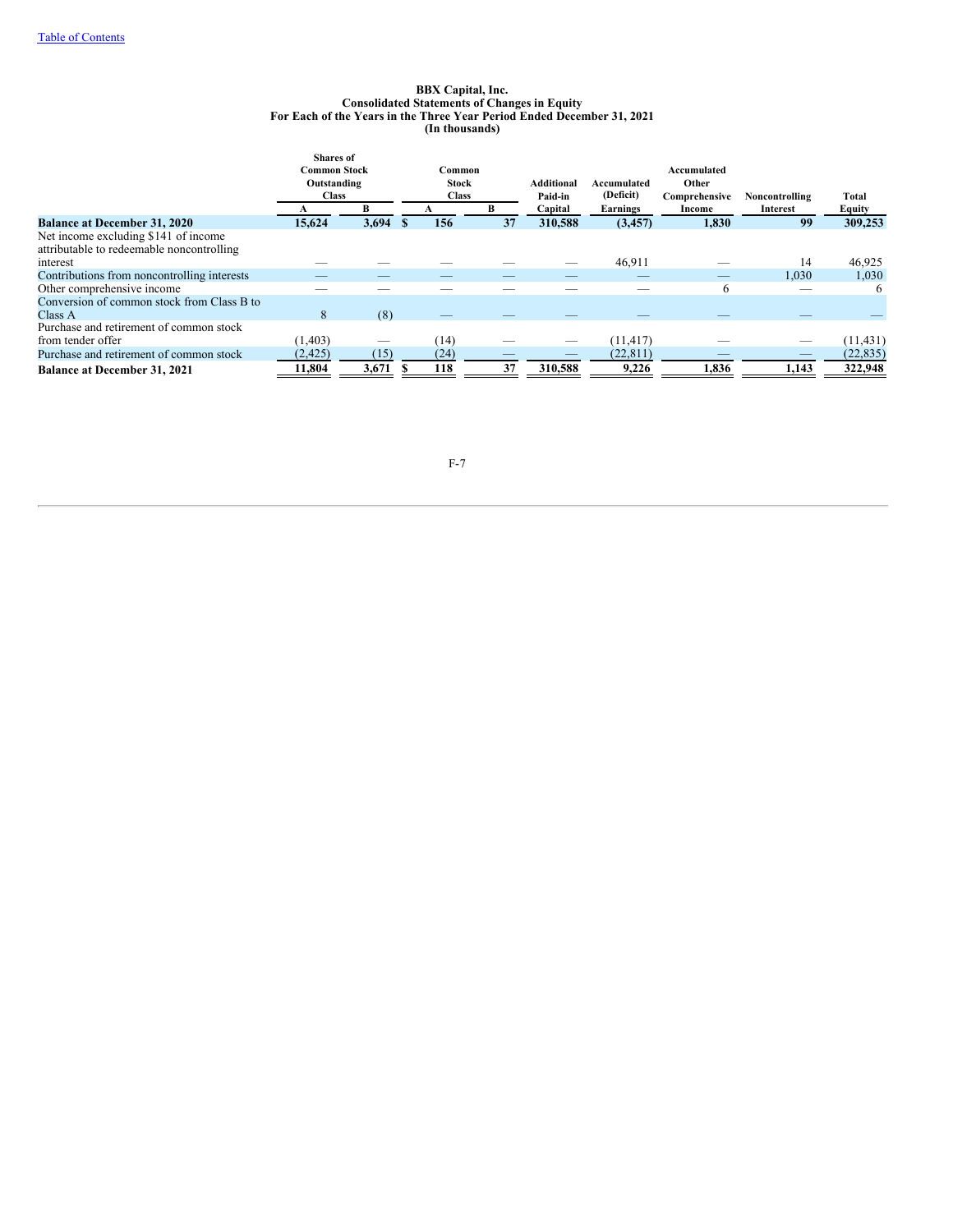#### **BBX Capital, Inc. Consolidated Statements of Changes in Equity For Each of the Years in the Three Year Period Ended December 31, 2021 (In thousands)**

|                                             | <b>Shares</b> of                                   |       |                                        |                          |                       |                          |                                       |                          |              |
|---------------------------------------------|----------------------------------------------------|-------|----------------------------------------|--------------------------|-----------------------|--------------------------|---------------------------------------|--------------------------|--------------|
|                                             | <b>Common Stock</b><br>Outstanding<br><b>Class</b> |       | Common<br><b>Stock</b><br><b>Class</b> |                          |                       | Accumulated<br>(Deficit) | Accumulated<br>Other<br>Comprehensive | Noncontrolling           | <b>Total</b> |
|                                             |                                                    |       |                                        |                          | Additional<br>Paid-in |                          |                                       |                          |              |
|                                             |                                                    |       |                                        |                          |                       |                          |                                       |                          |              |
|                                             |                                                    | в     |                                        | В                        | Capital               | Earnings                 | Income                                | Interest                 | Equity       |
| <b>Balance at December 31, 2020</b>         | 15.624                                             | 3,694 | 156                                    | 37                       | 310,588               | (3,457)                  | 1,830                                 | 99                       | 309,253      |
| Net income excluding \$141 of income        |                                                    |       |                                        |                          |                       |                          |                                       |                          |              |
| attributable to redeemable noncontrolling   |                                                    |       |                                        |                          |                       |                          |                                       |                          |              |
| interest                                    |                                                    |       |                                        |                          |                       | 46,911                   |                                       | 14                       | 46,925       |
| Contributions from noncontrolling interests |                                                    |       |                                        |                          |                       |                          |                                       | 1.030                    | 1,030        |
| Other comprehensive income                  |                                                    |       |                                        |                          |                       |                          | 6                                     |                          | 6            |
| Conversion of common stock from Class B to  |                                                    |       |                                        |                          |                       |                          |                                       |                          |              |
| Class A                                     | 8                                                  | (8)   | __                                     |                          |                       |                          |                                       |                          |              |
| Purchase and retirement of common stock     |                                                    |       |                                        |                          |                       |                          |                                       |                          |              |
| from tender offer                           | (1, 403)                                           | _     | (14)                                   | $\overline{\phantom{a}}$ |                       | (11, 417)                |                                       | $\overline{\phantom{a}}$ | (11, 431)    |
| Purchase and retirement of common stock     | (2, 425)                                           | (15)  | (24)                                   |                          |                       | (22, 811)                |                                       |                          | (22, 835)    |
| <b>Balance at December 31, 2021</b>         | 11.804                                             | 3.671 | 118                                    | 37                       | 310,588               | 9.226                    | 1.836                                 | 1.143                    | 322,948      |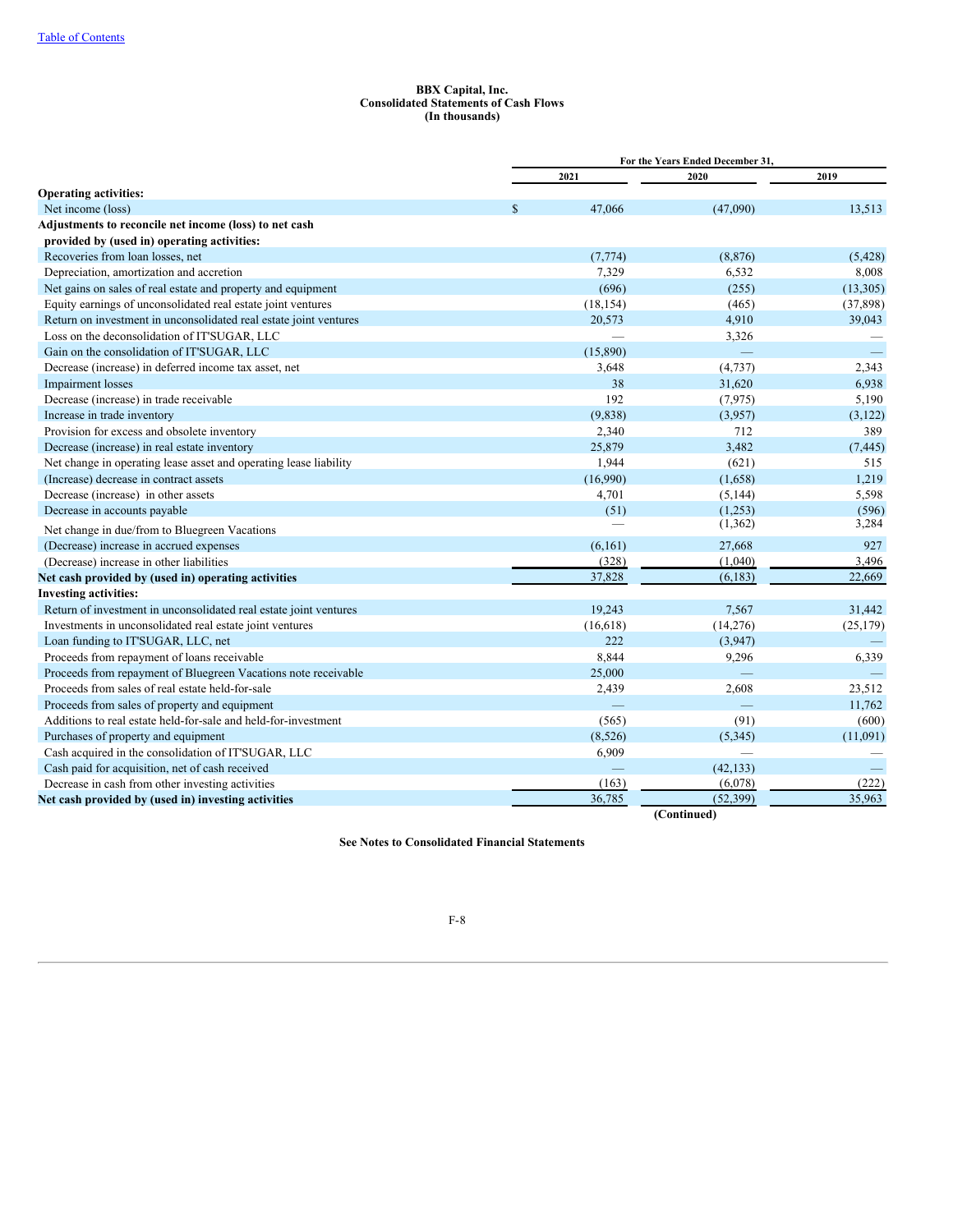#### **BBX Capital, Inc. Consolidated Statements of Cash Flows (In thousands)**

|                                                                   | For the Years Ended December 31. |           |             |           |  |  |
|-------------------------------------------------------------------|----------------------------------|-----------|-------------|-----------|--|--|
|                                                                   |                                  | 2021      | 2020        | 2019      |  |  |
| <b>Operating activities:</b>                                      |                                  |           |             |           |  |  |
| Net income (loss)                                                 |                                  | 47,066    | (47,090)    | 13,513    |  |  |
| Adjustments to reconcile net income (loss) to net cash            |                                  |           |             |           |  |  |
| provided by (used in) operating activities:                       |                                  |           |             |           |  |  |
| Recoveries from loan losses, net                                  |                                  | (7, 774)  | (8, 876)    | (5,428)   |  |  |
| Depreciation, amortization and accretion                          |                                  | 7,329     | 6,532       | 8,008     |  |  |
| Net gains on sales of real estate and property and equipment      |                                  | (696)     | (255)       | (13,305)  |  |  |
| Equity earnings of unconsolidated real estate joint ventures      |                                  | (18, 154) | (465)       | (37, 898) |  |  |
| Return on investment in unconsolidated real estate joint ventures |                                  | 20,573    | 4,910       | 39,043    |  |  |
| Loss on the deconsolidation of IT'SUGAR, LLC                      |                                  | ÷.        | 3,326       |           |  |  |
| Gain on the consolidation of IT'SUGAR, LLC                        |                                  | (15,890)  |             |           |  |  |
| Decrease (increase) in deferred income tax asset, net             |                                  | 3,648     | (4, 737)    | 2,343     |  |  |
| Impairment losses                                                 |                                  | 38        | 31,620      | 6,938     |  |  |
| Decrease (increase) in trade receivable                           |                                  | 192       | (7, 975)    | 5,190     |  |  |
| Increase in trade inventory                                       |                                  | (9,838)   | (3,957)     | (3, 122)  |  |  |
| Provision for excess and obsolete inventory                       |                                  | 2,340     | 712         | 389       |  |  |
| Decrease (increase) in real estate inventory                      |                                  | 25,879    | 3,482       | (7, 445)  |  |  |
| Net change in operating lease asset and operating lease liability |                                  | 1,944     | (621)       | 515       |  |  |
| (Increase) decrease in contract assets                            |                                  | (16,990)  | (1,658)     | 1,219     |  |  |
| Decrease (increase) in other assets                               |                                  | 4,701     | (5, 144)    | 5,598     |  |  |
| Decrease in accounts payable                                      |                                  | (51)      | (1,253)     | (596)     |  |  |
| Net change in due/from to Bluegreen Vacations                     |                                  |           | (1, 362)    | 3,284     |  |  |
| (Decrease) increase in accrued expenses                           |                                  | (6,161)   | 27,668      | 927       |  |  |
| (Decrease) increase in other liabilities                          |                                  | (328)     | (1,040)     | 3,496     |  |  |
| Net cash provided by (used in) operating activities               |                                  | 37,828    | (6, 183)    | 22,669    |  |  |
| <b>Investing activities:</b>                                      |                                  |           |             |           |  |  |
| Return of investment in unconsolidated real estate joint ventures |                                  | 19,243    | 7,567       | 31,442    |  |  |
| Investments in unconsolidated real estate joint ventures          |                                  | (16, 618) | (14,276)    | (25, 179) |  |  |
| Loan funding to IT'SUGAR, LLC, net                                |                                  | 222       | (3,947)     |           |  |  |
| Proceeds from repayment of loans receivable                       |                                  | 8,844     | 9,296       | 6,339     |  |  |
| Proceeds from repayment of Bluegreen Vacations note receivable    |                                  | 25,000    |             |           |  |  |
| Proceeds from sales of real estate held-for-sale                  |                                  | 2,439     | 2,608       | 23,512    |  |  |
| Proceeds from sales of property and equipment                     |                                  |           |             | 11,762    |  |  |
| Additions to real estate held-for-sale and held-for-investment    |                                  | (565)     | (91)        | (600)     |  |  |
| Purchases of property and equipment                               |                                  | (8,526)   | (5,345)     | (11,091)  |  |  |
| Cash acquired in the consolidation of IT'SUGAR, LLC               |                                  | 6,909     |             |           |  |  |
| Cash paid for acquisition, net of cash received                   |                                  |           | (42, 133)   |           |  |  |
| Decrease in cash from other investing activities                  |                                  | (163)     | (6,078)     | (222)     |  |  |
| Net cash provided by (used in) investing activities               |                                  | 36,785    | (52, 399)   | 35,963    |  |  |
|                                                                   |                                  |           | (Continued) |           |  |  |

**See Notes to Consolidated Financial Statements**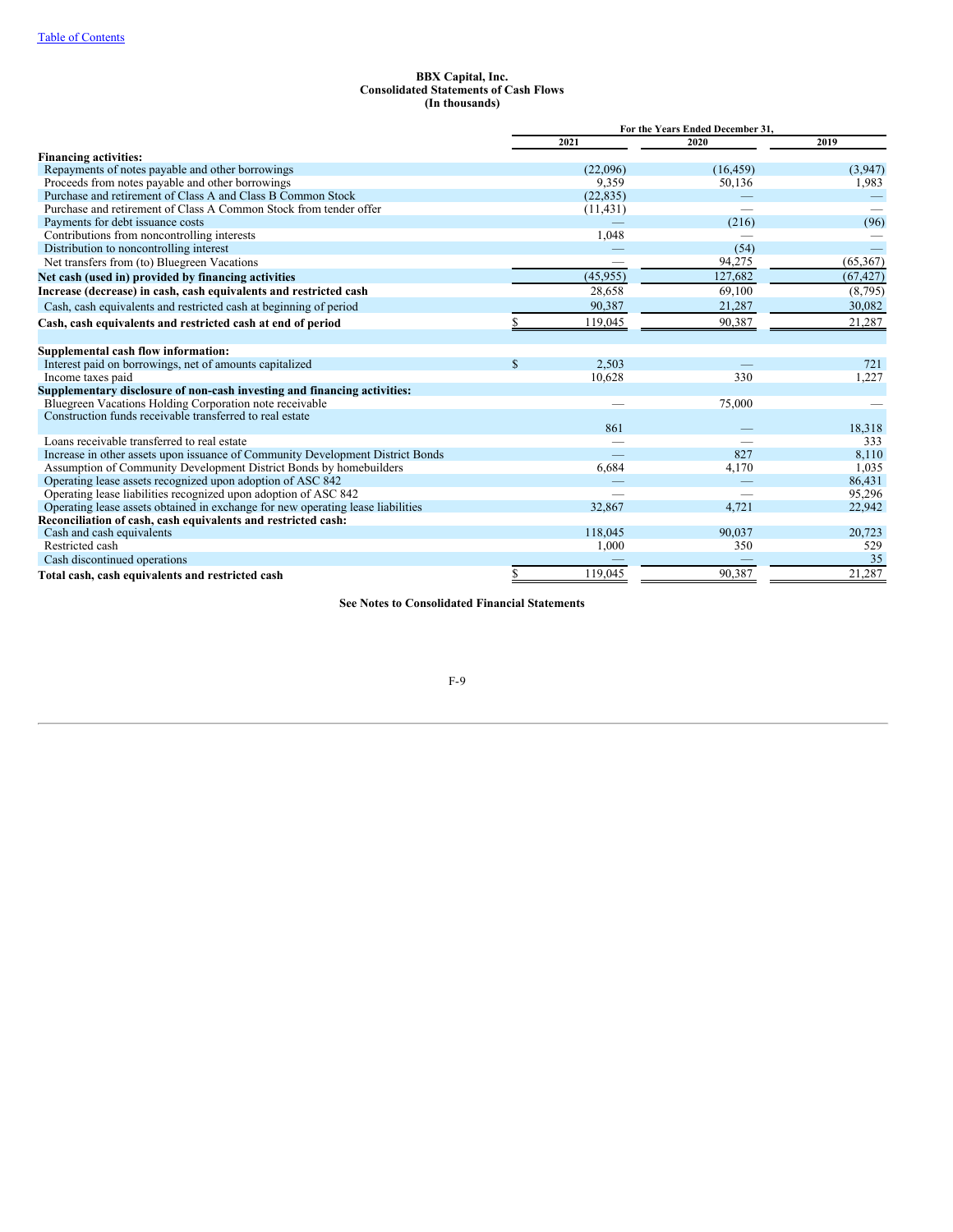#### **BBX Capital, Inc. Consolidated Statements of Cash Flows (In thousands)**

|                                                                                 |              | For the Years Ended December 31, |           |           |  |
|---------------------------------------------------------------------------------|--------------|----------------------------------|-----------|-----------|--|
|                                                                                 |              | 2021                             | 2020      | 2019      |  |
| <b>Financing activities:</b>                                                    |              |                                  |           |           |  |
| Repayments of notes payable and other borrowings                                |              | (22,096)                         | (16, 459) | (3,947)   |  |
| Proceeds from notes payable and other borrowings                                |              | 9,359                            | 50,136    | 1,983     |  |
| Purchase and retirement of Class A and Class B Common Stock                     |              | (22, 835)                        |           |           |  |
| Purchase and retirement of Class A Common Stock from tender offer               |              | (11, 431)                        |           |           |  |
| Payments for debt issuance costs                                                |              |                                  | (216)     | (96)      |  |
| Contributions from noncontrolling interests                                     |              | 1,048                            |           |           |  |
| Distribution to noncontrolling interest                                         |              |                                  | (54)      |           |  |
| Net transfers from (to) Bluegreen Vacations                                     |              |                                  | 94,275    | (65, 367) |  |
| Net cash (used in) provided by financing activities                             |              | (45, 955)                        | 127,682   | (67, 427) |  |
| Increase (decrease) in cash, cash equivalents and restricted cash               |              | 28,658                           | 69,100    | (8,795)   |  |
| Cash, cash equivalents and restricted cash at beginning of period               |              | 90,387                           | 21,287    | 30,082    |  |
| Cash, cash equivalents and restricted cash at end of period                     |              | 119,045                          | 90,387    | 21,287    |  |
| Supplemental cash flow information:                                             |              |                                  |           |           |  |
| Interest paid on borrowings, net of amounts capitalized                         | $\mathbb{S}$ | 2,503                            |           | 721       |  |
| Income taxes paid                                                               |              | 10,628                           | 330       | 1,227     |  |
| Supplementary disclosure of non-cash investing and financing activities:        |              |                                  |           |           |  |
| Bluegreen Vacations Holding Corporation note receivable                         |              |                                  | 75,000    |           |  |
| Construction funds receivable transferred to real estate                        |              |                                  |           |           |  |
|                                                                                 |              | 861                              |           | 18,318    |  |
| Loans receivable transferred to real estate                                     |              |                                  |           | 333       |  |
| Increase in other assets upon issuance of Community Development District Bonds  |              |                                  | 827       | 8,110     |  |
| Assumption of Community Development District Bonds by homebuilders              |              | 6,684                            | 4,170     | 1,035     |  |
| Operating lease assets recognized upon adoption of ASC 842                      |              |                                  |           | 86,431    |  |
| Operating lease liabilities recognized upon adoption of ASC 842                 |              |                                  |           | 95,296    |  |
| Operating lease assets obtained in exchange for new operating lease liabilities |              | 32,867                           | 4,721     | 22,942    |  |
| Reconciliation of cash, cash equivalents and restricted cash:                   |              |                                  |           |           |  |
| Cash and cash equivalents                                                       |              | 118,045                          | 90,037    | 20,723    |  |
| Restricted cash                                                                 |              | 1,000                            | 350       | 529       |  |
| Cash discontinued operations                                                    |              |                                  |           | 35        |  |
| Total cash, cash equivalents and restricted cash                                | \$           | 119,045                          | 90,387    | 21,287    |  |

**See Notes to Consolidated Financial Statements**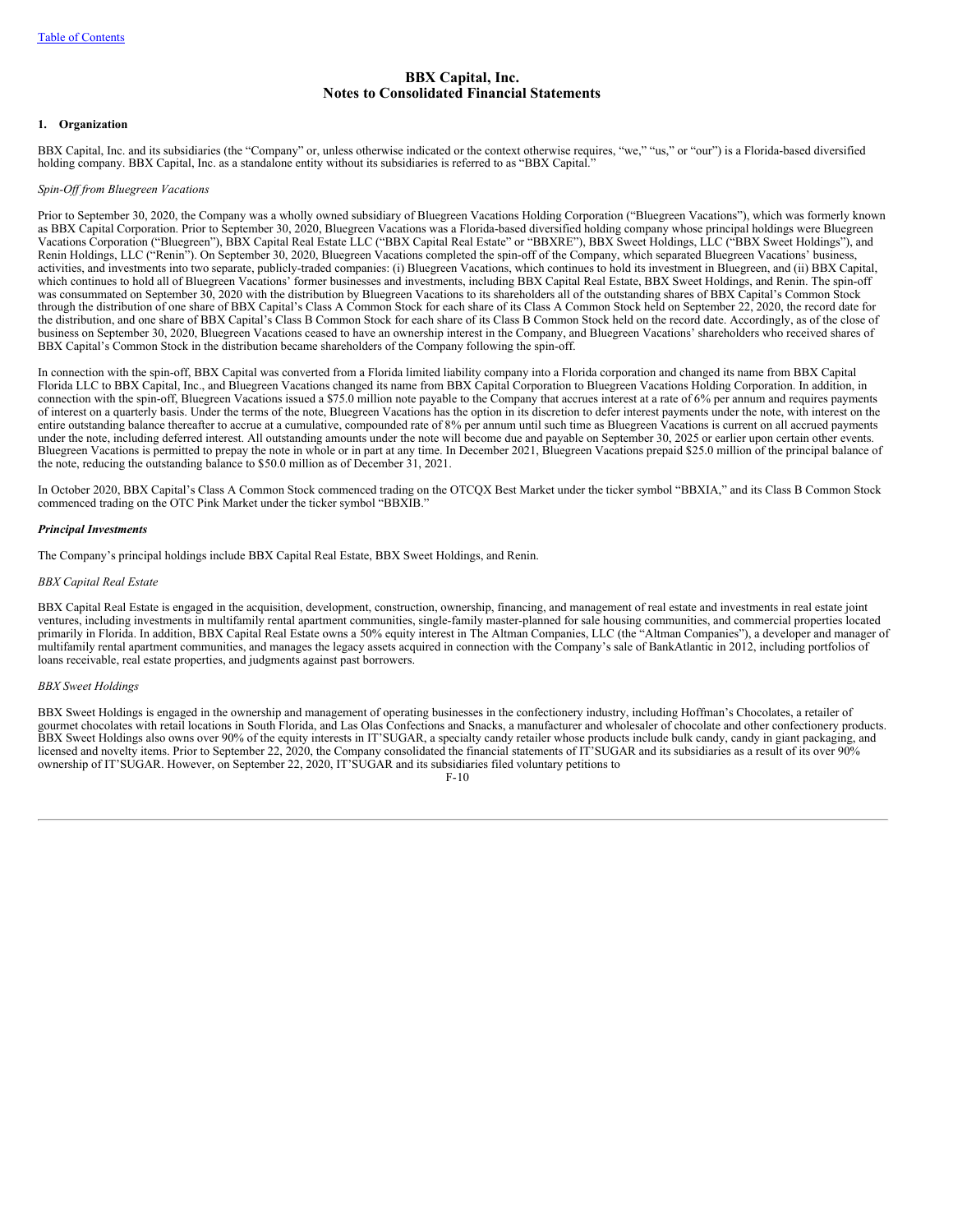# <span id="page-63-0"></span>**BBX Capital, Inc. Notes to Consolidated Financial Statements**

### **1. Organization**

BBX Capital, Inc. and its subsidiaries (the "Company" or, unless otherwise indicated or the context otherwise requires, "we," "us," or "our") is a Florida-based diversified holding company. BBX Capital, Inc. as a standalone entity without its subsidiaries is referred to as "BBX Capital."

### *Spin-Of from Bluegreen Vacations*

Prior to September 30, 2020, the Company was a wholly owned subsidiary of Bluegreen Vacations Holding Corporation ("Bluegreen Vacations"), which was formerly known as BBX Capital Corporation. Prior to September 30, 2020, Bluegreen Vacations was a Florida-based diversified holding company whose principal holdings were Bluegreen Vacations Corporation ("Bluegreen"), BBX Capital Real Estate LLC ("BBX Capital Real Estate" or "BBXRE"), BBX Sweet Holdings, LLC ("BBX Sweet Holdings"), and Renin Holdings, LLC ("Renin"). On September 30, 2020, Bluegreen Vacations completed the spin-off of the Company, which separated Bluegreen Vacations' business, activities, and investments into two separate, publicly-traded companies: (i) Bluegreen Vacations, which continues to hold its investment in Bluegreen, and (ii) BBX Capital, which continues to hold all of Bluegreen Vacations' former businesses and investments, including BBX Capital Real Estate, BBX Sweet Holdings, and Renin. The spin-off was consummated on September 30, 2020 with the distribution by Bluegreen Vacations to its shareholders all of the outstanding shares of BBX Capital's Common Stock through the distribution of one share of BBX Capital's Class A Common Stock for each share of its Class A Common Stock held on September 22, 2020, the record date for the distribution, and one share of BBX Capital's Class B Common Stock for each share of its Class B Common Stock held on the record date. Accordingly, as of the close of business on September 30, 2020, Bluegreen Vacations ceased to have an ownership interest in the Company, and Bluegreen Vacations' shareholders who received shares of BBX Capital's Common Stock in the distribution became shareholders of the Company following the spin-off.

In connection with the spin-off, BBX Capital was converted from a Florida limited liability company into a Florida corporation and changed its name from BBX Capital Florida LLC to BBX Capital, Inc., and Bluegreen Vacations changed its name from BBX Capital Corporation to Bluegreen Vacations Holding Corporation. In addition, in connection with the spin-off, Bluegreen Vacations issued a \$75.0 million note payable to the Company that accrues interest at a rate of 6% per annum and requires payments of interest on a quarterly basis. Under the terms of the note, Bluegreen Vacations has the option in its discretion to defer interest payments under the note, with interest on the entire outstanding balance thereafter to accrue at a cumulative, compounded rate of 8% per annum until such time as Bluegreen Vacations is current on all accrued payments under the note, including deferred interest. All outstanding amounts under the note will become due and payable on September 30, 2025 or earlier upon certain other events. Bluegreen Vacations is permitted to prepay the note in whole or in part at any time. In December 2021, Bluegreen Vacations prepaid \$25.0 million of the principal balance of the note, reducing the outstanding balance to \$50.0 million as of December 31, 2021.

In October 2020, BBX Capital's Class A Common Stock commenced trading on the OTCQX Best Market under the ticker symbol "BBXIA," and its Class B Common Stock commenced trading on the OTC Pink Market under the ticker symbol "BBXIB."

#### *Principal Investments*

The Company's principal holdings include BBX Capital Real Estate, BBX Sweet Holdings, and Renin.

#### *BBX Capital Real Estate*

BBX Capital Real Estate is engaged in the acquisition, development, construction, ownership, financing, and management of real estate and investments in real estate joint ventures, including investments in multifamily rental apartment communities, single-family master-planned for sale housing communities, and commercial properties located primarily in Florida. In addition, BBX Capital Real Estate owns a 50% equity interest in The Altman Companies, LLC (the "Altman Companies"), a developer and manager of multifamily rental apartment communities, and manages the legacy assets acquired in connection with the Company's sale of BankAtlantic in 2012, including portfolios of loans receivable, real estate properties, and judgments against past borrowers.

#### *BBX Sweet Holdings*

BBX Sweet Holdings is engaged in the ownership and management of operating businesses in the confectionery industry, including Hoffman's Chocolates, a retailer of gourmet chocolates with retail locations in South Florida, and Las Olas Confections and Snacks, a manufacturer and wholesaler of chocolate and other confectionery products. BBX Sweet Holdings also owns over 90% of the equity interests in IT'SUGAR, a specialty candy retailer whose products include bulk candy, candy in giant packaging, and licensed and novelty items. Prior to September 22, 2020, the Company consolidated the financial statements of IT'SUGAR and its subsidiaries as a result of its over 90% ownership of IT'SUGAR. However, on September 22, 2020, IT'SUGAR and its subsidiaries filed voluntary petitions to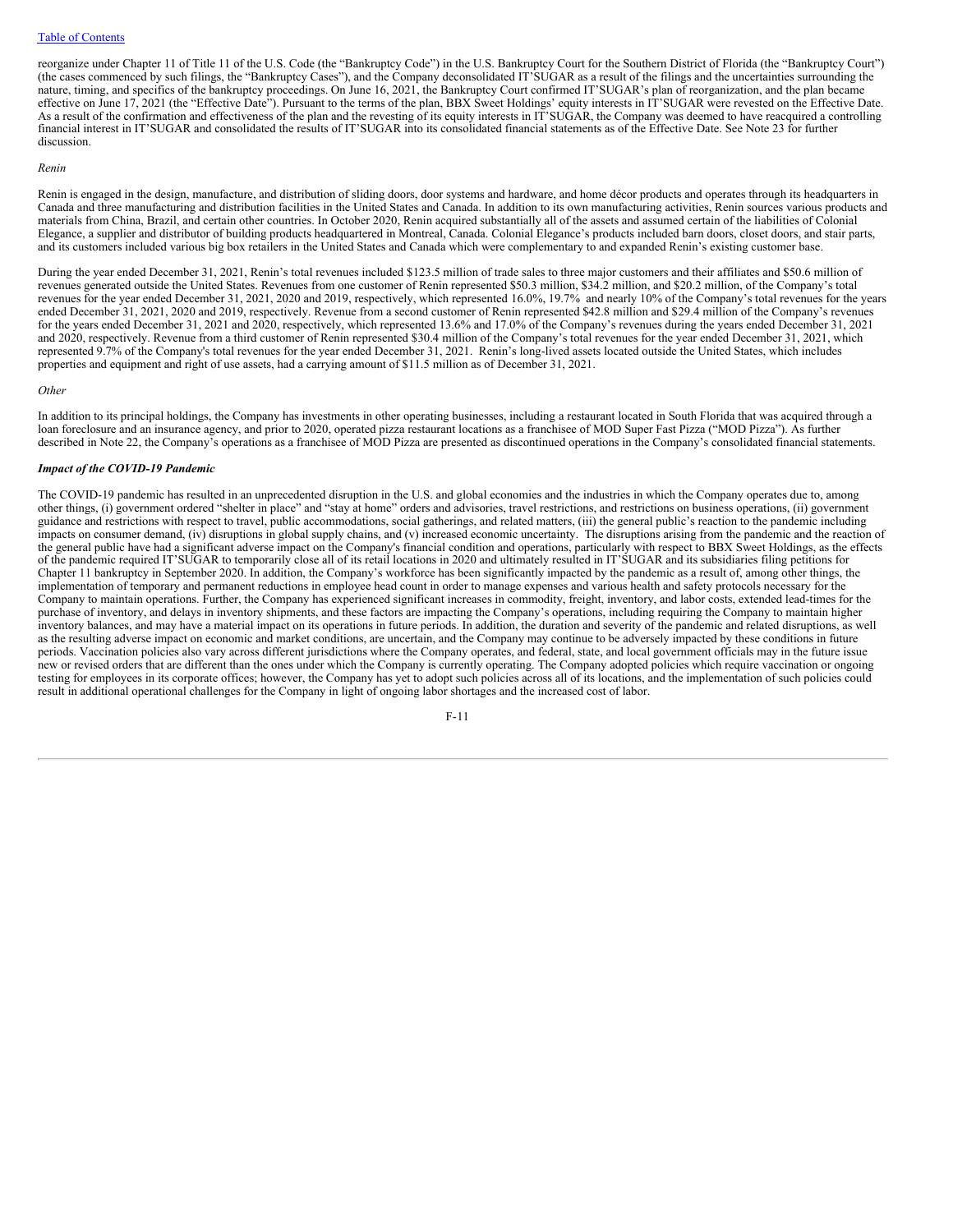reorganize under Chapter 11 of Title 11 of the U.S. Code (the "Bankruptcy Code") in the U.S. Bankruptcy Court for the Southern District of Florida (the "Bankruptcy Court") (the cases commenced by such filings, the "Bankruptcy Cases"), and the Company deconsolidated IT'SUGAR as a result of the filings and the uncertainties surrounding the nature, timing, and specifics of the bankruptcy proceedings. On June 16, 2021, the Bankruptcy Court confirmed IT'SUGAR's plan of reorganization, and the plan became effective on June 17, 2021 (the "Effective Date"). Pursuant to the terms of the plan, BBX Sweet Holdings' equity interests in IT'SUGAR were revested on the Effective Date. As a result of the confirmation and effectiveness of the plan and the revesting of its equity interests in IT'SUGAR, the Company was deemed to have reacquired a controlling financial interest in IT'SUGAR and consolidated the results of IT'SUGAR into its consolidated financial statements as of the Effective Date. See Note 23 for further discussion.

### *Renin*

Renin is engaged in the design, manufacture, and distribution of sliding doors, door systems and hardware, and home décor products and operates through its headquarters in Canada and three manufacturing and distribution facilities in the United States and Canada. In addition to its own manufacturing activities, Renin sources various products and materials from China, Brazil, and certain other countries. In October 2020, Renin acquired substantially all of the assets and assumed certain of the liabilities of Colonial Elegance, a supplier and distributor of building products headquartered in Montreal, Canada. Colonial Elegance's products included barn doors, closet doors, and stair parts, and its customers included various big box retailers in the United States and Canada which were complementary to and expanded Renin's existing customer base.

During the year ended December 31, 2021, Renin's total revenues included \$123.5 million of trade sales to three major customers and their affiliates and \$50.6 million of revenues generated outside the United States. Revenues from one customer of Renin represented \$50.3 million, \$34.2 million, and \$20.2 million, of the Company's total revenues for the year ended December 31, 2021, 2020 and 2019, respectively, which represented 16.0%, 19.7% and nearly 10% of the Company's total revenues for the years ended December 31, 2021, 2020 and 2019, respectively. Revenue from a second customer of Renin represented \$42.8 million and \$29.4 million of the Company's revenues for the years ended December 31, 2021 and 2020, respectively, which represented 13.6% and 17.0% of the Company's revenues during the years ended December 31, 2021 and 2020, respectively. Revenue from a third customer of Renin represented \$30.4 million of the Company's total revenues for the year ended December 31, 2021, which represented 9.7% of the Company's total revenues for the year ended December 31, 2021. Renin's long-lived assets located outside the United States, which includes properties and equipment and right of use assets, had a carrying amount of \$11.5 million as of December 31, 2021.

#### *Other*

In addition to its principal holdings, the Company has investments in other operating businesses, including a restaurant located in South Florida that was acquired through a loan foreclosure and an insurance agency, and prior to 2020, operated pizza restaurant locations as a franchisee of MOD Super Fast Pizza ("MOD Pizza"). As further described in Note 22, the Company's operations as a franchisee of MOD Pizza are presented as discontinued operations in the Company's consolidated financial statements.

### *Impact of the COVID-19 Pandemic*

The COVID-19 pandemic has resulted in an unprecedented disruption in the U.S. and global economies and the industries in which the Company operates due to, among other things, (i) government ordered "shelter in place" and "stay at home" orders and advisories, travel restrictions, and restrictions on business operations, (ii) government guidance and restrictions with respect to travel, public accommodations, social gatherings, and related matters, (iii) the general public's reaction to the pandemic including impacts on consumer demand,  $(iv)$  disruptions in global supply chains, and  $(v)$  increased economic uncertainty. The disruptions arising from the pandemic and the reaction of the general public have had a significant adverse impact on the Company's financial condition and operations, particularly with respect to BBX Sweet Holdings, as the effects of the pandemic required IT'SUGAR to temporarily close all of its retail locations in 2020 and ultimately resulted in IT'SUGAR and its subsidiaries filing petitions for Chapter 11 bankruptcy in September 2020. In addition, the Company's workforce has been significantly impacted by the pandemic as a result of, among other things, the implementation of temporary and permanent reductions in employee head count in order to manage expenses and various health and safety protocols necessary for the Company to maintain operations. Further, the Company has experienced significant increases in commodity, freight, inventory, and labor costs, extended lead-times for the purchase of inventory, and delays in inventory shipments, and these factors are impacting the Company's operations, including requiring the Company to maintain higher inventory balances, and may have a material impact on its operations in future periods. In addition, the duration and severity of the pandemic and related disruptions, as well as the resulting adverse impact on economic and market conditions, are uncertain, and the Company may continue to be adversely impacted by these conditions in future periods. Vaccination policies also vary across different jurisdictions where the Company operates, and federal, state, and local government officials may in the future issue new or revised orders that are different than the ones under which the Company is currently operating. The Company adopted policies which require vaccination or ongoing testing for employees in its corporate offices; however, the Company has yet to adopt such policies across all of its locations, and the implementation of such policies could result in additional operational challenges for the Company in light of ongoing labor shortages and the increased cost of labor.

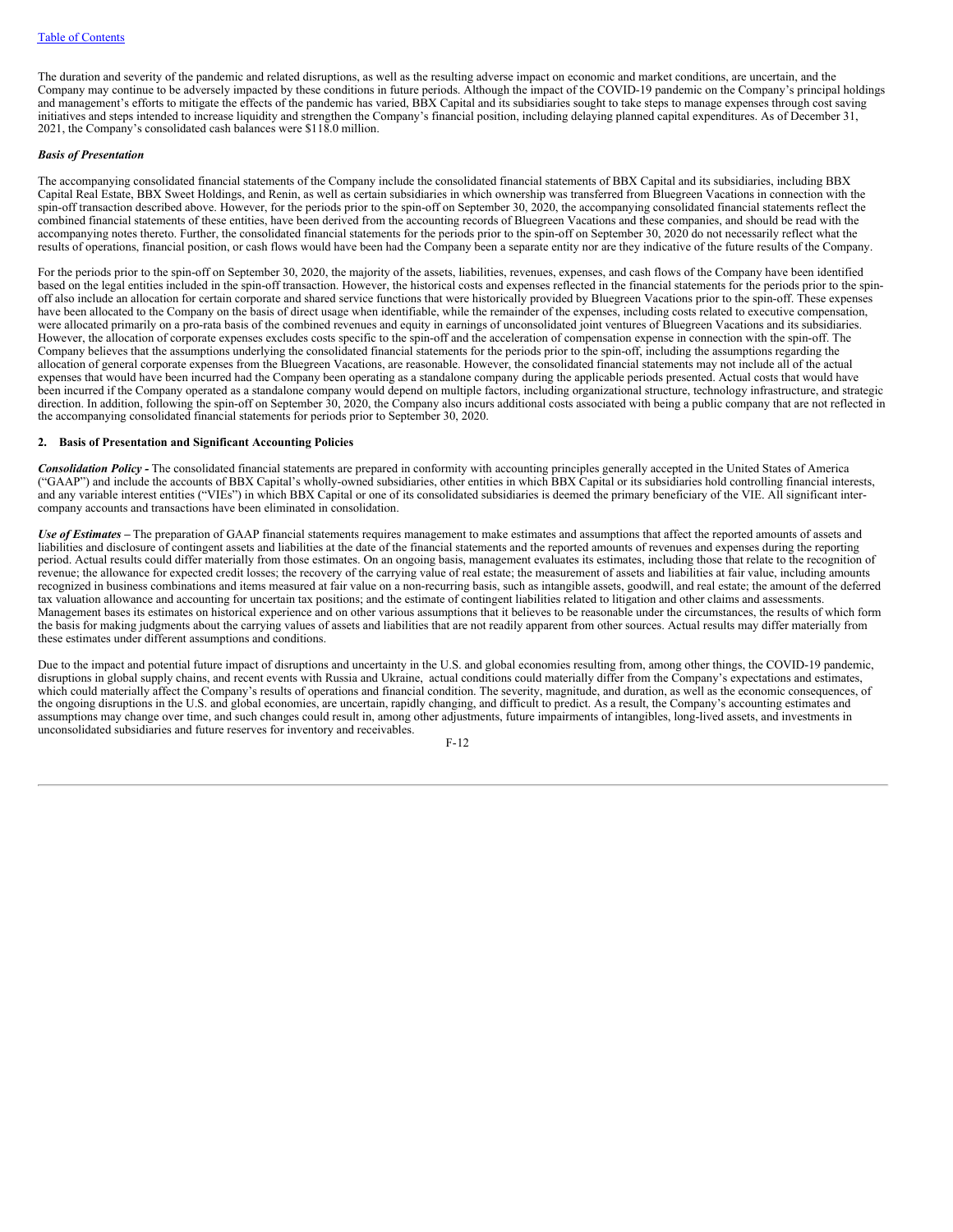The duration and severity of the pandemic and related disruptions, as well as the resulting adverse impact on economic and market conditions, are uncertain, and the Company may continue to be adversely impacted by these conditions in future periods. Although the impact of the COVID-19 pandemic on the Company's principal holdings and management's efforts to mitigate the effects of the pandemic has varied, BBX Capital and its subsidiaries sought to take steps to manage expenses through cost saving initiatives and steps intended to increase liquidity and strengthen the Company's financial position, including delaying planned capital expenditures. As of December 31, 2021, the Company's consolidated cash balances were \$118.0 million.

#### *Basis of Presentation*

The accompanying consolidated financial statements of the Company include the consolidated financial statements of BBX Capital and its subsidiaries, including BBX Capital Real Estate, BBX Sweet Holdings, and Renin, as well as certain subsidiaries in which ownership was transferred from Bluegreen Vacations in connection with the spin-off transaction described above. However, for the periods prior to the spin-off on September 30, 2020, the accompanying consolidated financial statements reflect the combined financial statements of these entities, have been derived from the accounting records of Bluegreen Vacations and these companies, and should be read with the accompanying notes thereto. Further, the consolidated financial statements for the periods prior to the spin-off on September 30, 2020 do not necessarily reflect what the results of operations, financial position, or cash flows would have been had the Company been a separate entity nor are they indicative of the future results of the Company.

For the periods prior to the spin-off on September 30, 2020, the majority of the assets, liabilities, revenues, expenses, and cash flows of the Company have been identified based on the legal entities included in the spin-off transaction. However, the historical costs and expenses reflected in the financial statements for the periods prior to the spinoff also include an allocation for certain corporate and shared service functions that were historically provided by Bluegreen Vacations prior to the spin-off. These expenses have been allocated to the Company on the basis of direct usage when identifiable, while the remainder of the expenses, including costs related to executive compensation, were allocated primarily on a pro-rata basis of the combined revenues and equity in earnings of unconsolidated joint ventures of Bluegreen Vacations and its subsidiaries. However, the allocation of corporate expenses excludes costs specific to the spin-off and the acceleration of compensation expense in connection with the spin-off. The Company believes that the assumptions underlying the consolidated financial statements for the periods prior to the spin-off, including the assumptions regarding the allocation of general corporate expenses from the Bluegreen Vacations, are reasonable. However, the consolidated financial statements may not include all of the actual expenses that would have been incurred had the Company been operating as a standalone company during the applicable periods presented. Actual costs that would have been incurred if the Company operated as a standalone company would depend on multiple factors, including organizational structure, technology infrastructure, and strategic direction. In addition, following the spin-off on September 30, 2020, the Company also incurs additional costs associated with being a public company that are not reflected in the accompanying consolidated financial statements for periods prior to September 30, 2020.

### **2. Basis of Presentation and Significant Accounting Policies**

*Consolidation Policy* - The consolidated financial statements are prepared in conformity with accounting principles generally accepted in the United States of America ("GAAP") and include the accounts of BBX Capital's wholly-owned subsidiaries, other entities in which BBX Capital or its subsidiaries hold controlling financial interests, and any variable interest entities ("VIEs") in which BBX Capital or one of its consolidated subsidiaries is deemed the primary beneficiary of the VIE. All significant intercompany accounts and transactions have been eliminated in consolidation.

Use of Estimates – The preparation of GAAP financial statements requires management to make estimates and assumptions that affect the reported amounts of assets and liabilities and disclosure of contingent assets and liabilities at the date of the financial statements and the reported amounts of revenues and expenses during the reporting period. Actual results could differ materially from those estimates. On an ongoing basis, management evaluates its estimates, including those that relate to the recognition of revenue; the allowance for expected credit losses; the recovery of the carrying value of real estate; the measurement of assets and liabilities at fair value, including amounts recognized in business combinations and items measured at fair value on a non-recurring basis, such as intangible assets, goodwill, and real estate; the amount of the deferred tax valuation allowance and accounting for uncertain tax positions; and the estimate of contingent liabilities related to litigation and other claims and assessments. Management bases its estimates on historical experience and on other various assumptions that it believes to be reasonable under the circumstances, the results of which form the basis for making judgments about the carrying values of assets and liabilities that are not readily apparent from other sources. Actual results may differ materially from these estimates under different assumptions and conditions.

Due to the impact and potential future impact of disruptions and uncertainty in the U.S. and global economies resulting from, among other things, the COVID-19 pandemic, disruptions in global supply chains, and recent events with Russia and Ukraine, actual conditions could materially differ from the Company's expectations and estimates, which could materially affect the Company's results of operations and financial condition. The severity, magnitude, and duration, as well as the economic consequences, of the ongoing disruptions in the U.S. and global economies, are uncertain, rapidly changing, and difficult to predict. As a result, the Company's accounting estimates and assumptions may change over time, and such changes could result in, among other adjustments, future impairments of intangibles, long-lived assets, and investments in unconsolidated subsidiaries and future reserves for inventory and receivables.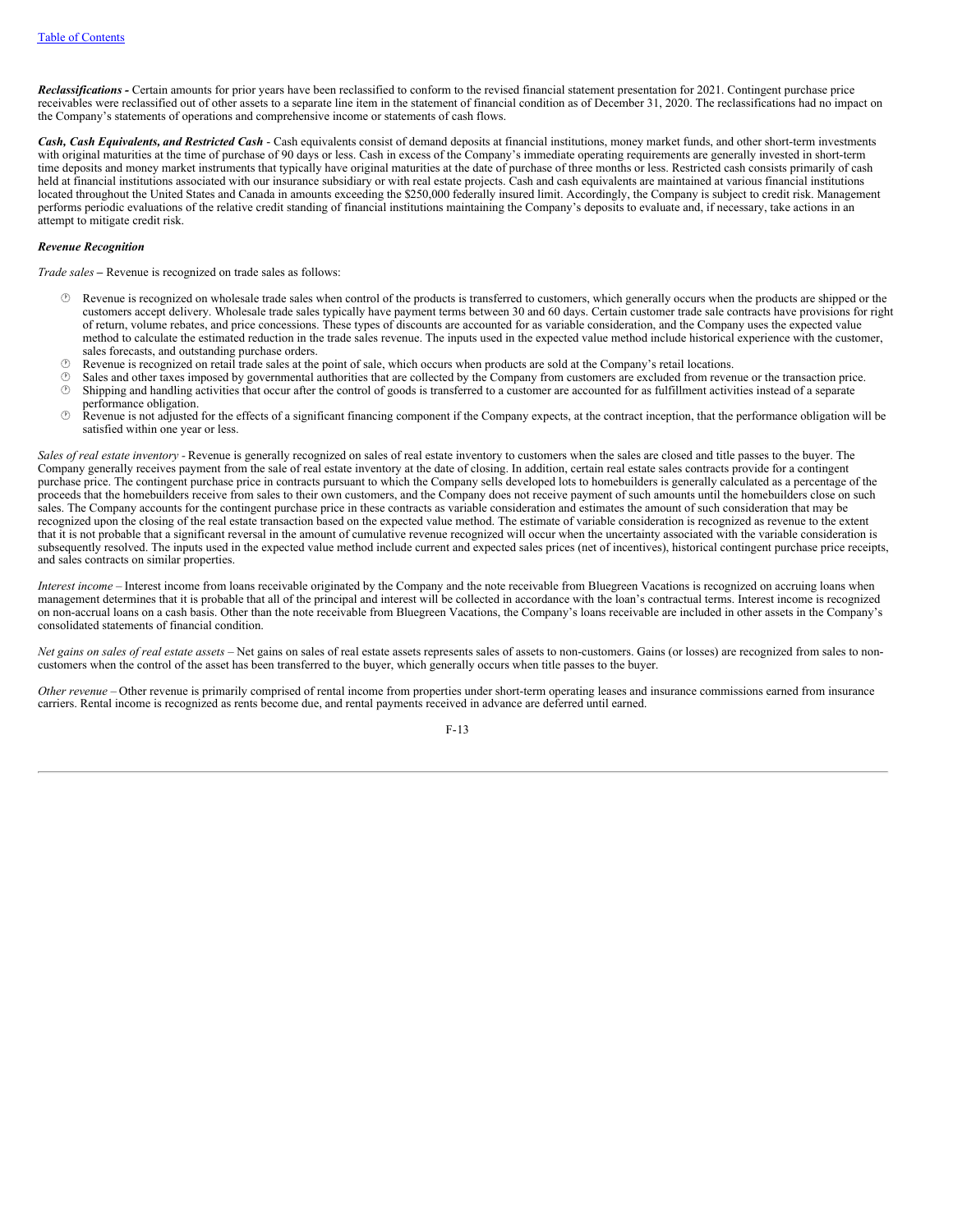*Reclassifications -* Certain amounts for prior years have been reclassified to conform to the revised financial statement presentation for 2021. Contingent purchase price receivables were reclassified out of other assets to a separate line item in the statement of financial condition as of December 31, 2020. The reclassifications had no impact on the Company's statements of operations and comprehensive income or statements of cash flows.

*Cash, Cash Equivalents, and Restricted Cash* - Cash equivalents consist of demand deposits at financial institutions, money market funds, and other short-term investments with original maturities at the time of purchase of 90 days or less. Cash in excess of the Company's immediate operating requirements are generally invested in short-term time deposits and money market instruments that typically have original maturities at the date of purchase of three months or less. Restricted cash consists primarily of cash held at financial institutions associated with our insurance subsidiary or with real estate projects. Cash and cash equivalents are maintained at various financial institutions located throughout the United States and Canada in amounts exceeding the \$250,000 federally insured limit. Accordingly, the Company is subject to credit risk. Management performs periodic evaluations of the relative credit standing of financial institutions maintaining the Company's deposits to evaluate and, if necessary, take actions in an attempt to mitigate credit risk.

### *Revenue Recognition*

*Trade sales –* Revenue is recognized on trade sales as follows:

- · Revenue is recognized on wholesale trade sales when control of the products is transferred to customers, which generally occurs when the products are shipped or the customers accept delivery. Wholesale trade sales typically have payment terms between 30 and 60 days. Certain customer trade sale contracts have provisions for right of return, volume rebates, and price concessions. These types of discounts are accounted for as variable consideration, and the Company uses the expected value method to calculate the estimated reduction in the trade sales revenue. The inputs used in the expected value method include historical experience with the customer, sales forecasts, and outstanding purchase orders.
- · Revenue is recognized on retail trade sales at the point of sale, which occurs when products are sold at the Company's retail locations.
- Sales and other taxes imposed by governmental authorities that are collected by the Company from customers are excluded from revenue or the transaction price.  $\circled{b}$  Shipping and handling activities that occur after the control of goods is transferred to a customer are accounted for as fulfillment activities instead of a separate performance obligation.
- · Revenue is not adjusted for the effects of a significant financing component if the Company expects, at the contract inception, that the performance obligation will be satisfied within one year or less.

*Sales of real estate inventory -* Revenue is generally recognized on sales of real estate inventory to customers when the sales are closed and title passes to the buyer. The Company generally receives payment from the sale of real estate inventory at the date of closing. In addition, certain real estate sales contracts provide for a contingent purchase price. The contingent purchase price in contracts pursuant to which the Company sells developed lots to homebuilders is generally calculated as a percentage of the proceeds that the homebuilders receive from sales to their own customers, and the Company does not receive payment of such amounts until the homebuilders close on such sales. The Company accounts for the contingent purchase price in these contracts as variable consideration and estimates the amount of such consideration that may be recognized upon the closing of the real estate transaction based on the expected value method. The estimate of variable consideration is recognized as revenue to the extent that it is not probable that a significant reversal in the amount of cumulative revenue recognized will occur when the uncertainty associated with the variable consideration is subsequently resolved. The inputs used in the expected value method include current and expected sales prices (net of incentives), historical contingent purchase price receipts, and sales contracts on similar properties.

*Interest income –* Interest income from loans receivable originated by the Company and the note receivable from Bluegreen Vacations is recognized on accruing loans when management determines that it is probable that all of the principal and interest will be collected in accordance with the loan's contractual terms. Interest income is recognized on non-accrual loans on a cash basis. Other than the note receivable from Bluegreen Vacations, the Company's loans receivable are included in other assets in the Company's consolidated statements of financial condition.

Net gains on sales of real estate assets - Net gains on sales of real estate assets represents sales of assets to non-customers. Gains (or losses) are recognized from sales to noncustomers when the control of the asset has been transferred to the buyer, which generally occurs when title passes to the buyer.

*Other revenue* – Other revenue is primarily comprised of rental income from properties under short-term operating leases and insurance commissions earned from insurance carriers. Rental income is recognized as rents become due, and rental payments received in advance are deferred until earned.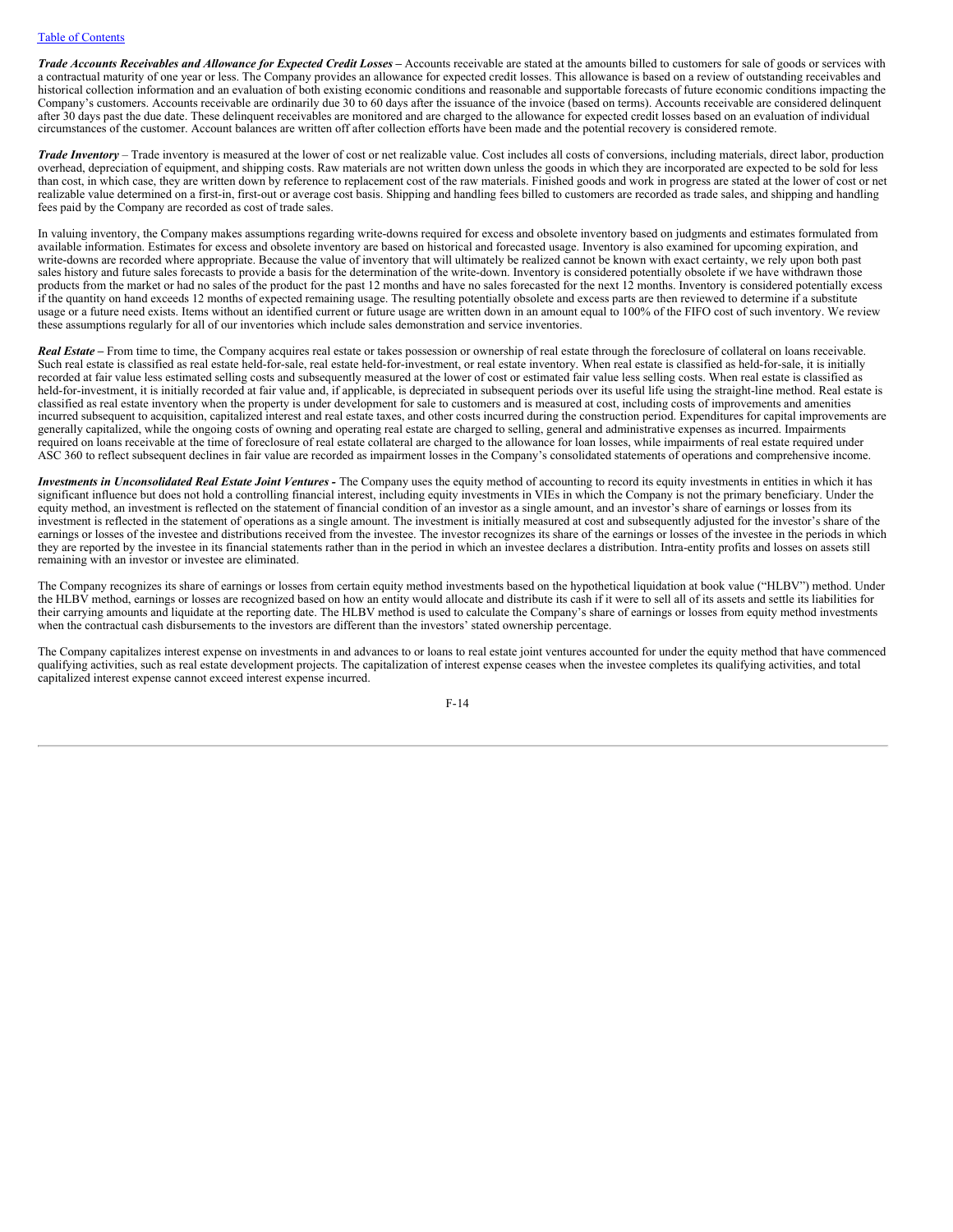Trade Accounts Receivables and Allowance for Expected Credit Losses - Accounts receivable are stated at the amounts billed to customers for sale of goods or services with a contractual maturity of one year or less. The Company provides an allowance for expected credit losses. This allowance is based on a review of outstanding receivables and historical collection information and an evaluation of both existing economic conditions and reasonable and supportable forecasts of future economic conditions impacting the Company's customers. Accounts receivable are ordinarily due 30 to 60 days after the issuance of the invoice (based on terms). Accounts receivable are considered delinquent after 30 days past the due date. These delinquent receivables are monitored and are charged to the allowance for expected credit losses based on an evaluation of individual circumstances of the customer. Account balances are written off after collection efforts have been made and the potential recovery is considered remote.

*Trade Inventory* – Trade inventory is measured at the lower of cost or net realizable value. Cost includes all costs of conversions, including materials, direct labor, production overhead, depreciation of equipment, and shipping costs. Raw materials are not written down unless the goods in which they are incorporated are expected to be sold for less than cost, in which case, they are written down by reference to replacement cost of the raw materials. Finished goods and work in progress are stated at the lower of cost or net realizable value determined on a first-in, first-out or average cost basis. Shipping and handling fees billed to customers are recorded as trade sales, and shipping and handling fees paid by the Company are recorded as cost of trade sales.

In valuing inventory, the Company makes assumptions regarding write-downs required for excess and obsolete inventory based on judgments and estimates formulated from available information. Estimates for excess and obsolete inventory are based on historical and forecasted usage. Inventory is also examined for upcoming expiration, and write-downs are recorded where appropriate. Because the value of inventory that will ultimately be realized cannot be known with exact certainty, we rely upon both past sales history and future sales forecasts to provide a basis for the determination of the write-down. Inventory is considered potentially obsolete if we have withdrawn those products from the market or had no sales of the product for the past 12 months and have no sales forecasted for the next 12 months. Inventory is considered potentially excess if the quantity on hand exceeds 12 months of expected remaining usage. The resulting potentially obsolete and excess parts are then reviewed to determine if a substitute usage or a future need exists. Items without an identified current or future usage are written down in an amount equal to 100% of the FIFO cost of such inventory. We review these assumptions regularly for all of our inventories which include sales demonstration and service inventories.

*Real Estate –* From time to time, the Company acquires real estate or takes possession or ownership of real estate through the foreclosure of collateral on loans receivable. Such real estate is classified as real estate held-for-sale, real estate held-for-investment, or real estate inventory. When real estate is classified as held-for-sale, it is initially recorded at fair value less estimated selling costs and subsequently measured at the lower of cost or estimated fair value less selling costs. When real estate is classified as held-for-investment, it is initially recorded at fair value and, if applicable, is depreciated in subsequent periods over its useful life using the straight-line method. Real estate is classified as real estate inventory when the property is under development for sale to customers and is measured at cost, including costs of improvements and amenities incurred subsequent to acquisition, capitalized interest and real estate taxes, and other costs incurred during the construction period. Expenditures for capital improvements are generally capitalized, while the ongoing costs of owning and operating real estate are charged to selling, general and administrative expenses as incurred. Impairments required on loans receivable at the time of foreclosure of real estate collateral are charged to the allowance for loan losses, while impairments of real estate required under ASC 360 to reflect subsequent declines in fair value are recorded as impairment losses in the Company's consolidated statements of operations and comprehensive income.

*Investments in Unconsolidated Real Estate Joint Ventures -* The Company uses the equity method of accounting to record its equity investments in entities in which it has significant influence but does not hold a controlling financial interest, including equity investments in VIEs in which the Company is not the primary beneficiary. Under the equity method, an investment is reflected on the statement of financial condition of an investor as a single amount, and an investor's share of earnings or losses from its investment is reflected in the statement of operations as a single amount. The investment is initially measured at cost and subsequently adjusted for the investor's share of the earnings or losses of the investee and distributions received from the investee. The investor recognizes its share of the earnings or losses of the investee in the periods in which they are reported by the investee in its financial statements rather than in the period in which an investee declares a distribution. Intra-entity profits and losses on assets still remaining with an investor or investee are eliminated.

The Company recognizes its share of earnings or losses from certain equity method investments based on the hypothetical liquidation at book value ("HLBV") method. Under the HLBV method, earnings or losses are recognized based on how an entity would allocate and distribute its cash if it were to sell all of its assets and settle its liabilities for their carrying amounts and liquidate at the reporting date. The HLBV method is used to calculate the Company's share of earnings or losses from equity method investments when the contractual cash disbursements to the investors are different than the investors' stated ownership percentage.

The Company capitalizes interest expense on investments in and advances to or loans to real estate joint ventures accounted for under the equity method that have commenced qualifying activities, such as real estate development projects. The capitalization of interest expense ceases when the investee completes its qualifying activities, and total capitalized interest expense cannot exceed interest expense incurred.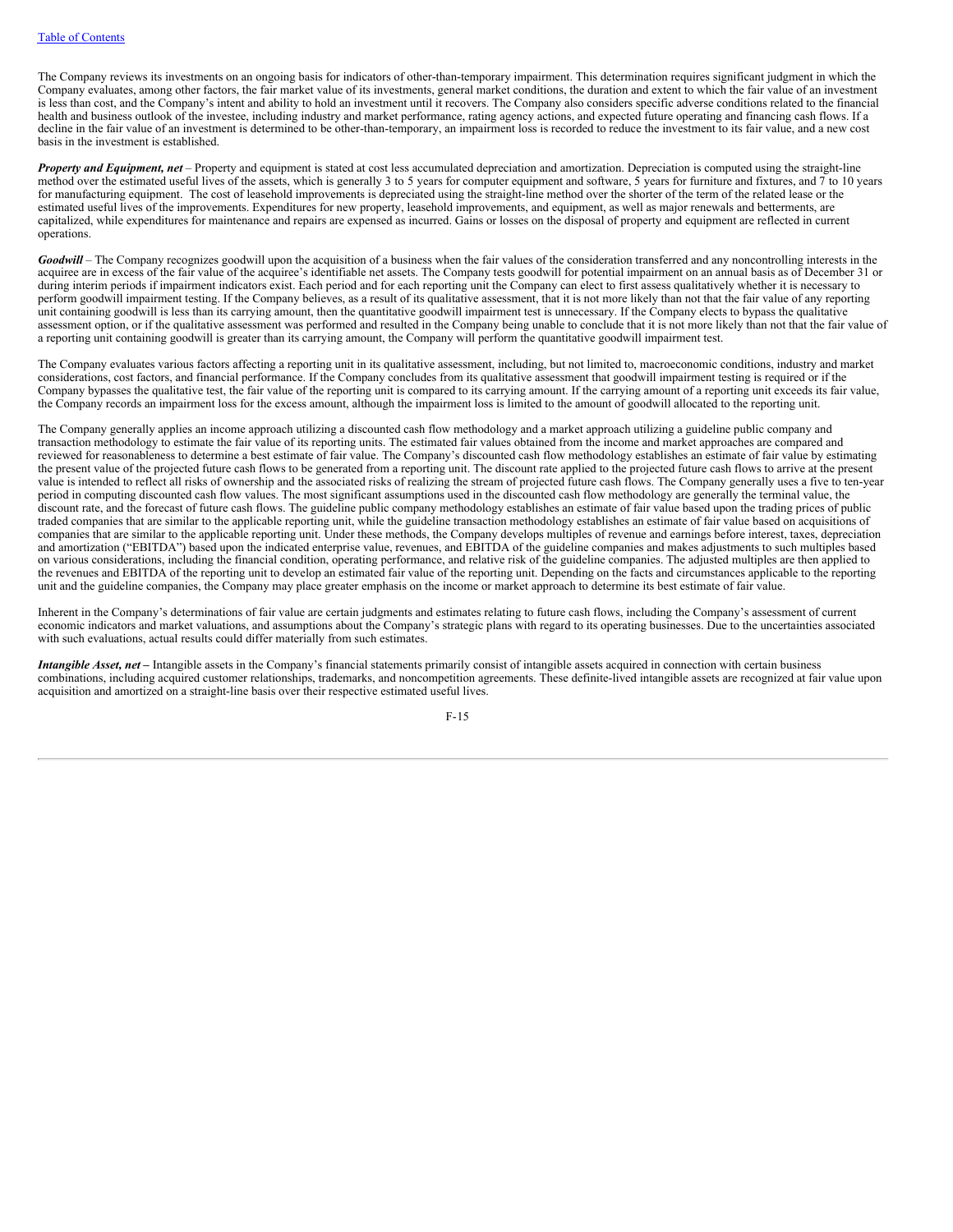The Company reviews its investments on an ongoing basis for indicators of other-than-temporary impairment. This determination requires significant judgment in which the Company evaluates, among other factors, the fair market value of its investments, general market conditions, the duration and extent to which the fair value of an investment is less than cost, and the Company's intent and ability to hold an investment until it recovers. The Company also considers specific adverse conditions related to the financial health and business outlook of the investee, including industry and market performance, rating agency actions, and expected future operating and financing cash flows. If a decline in the fair value of an investment is determined to be other-than-temporary, an impairment loss is recorded to reduce the investment to its fair value, and a new cost basis in the investment is established.

*Property and Equipment, net* – Property and equipment is stated at cost less accumulated depreciation and amortization. Depreciation is computed using the straight-line method over the estimated useful lives of the assets, which is generally 3 to 5 years for computer equipment and software, 5 years for furniture and fixtures, and  $\overline{7}$  to 10 years for manufacturing equipment. The cost of leasehold improvements is depreciated using the straight-line method over the shorter of the term of the related lease or the estimated useful lives of the improvements. Expenditures for new property, leasehold improvements, and equipment, as well as major renewals and betterments, are capitalized, while expenditures for maintenance and repairs are expensed as incurred. Gains or losses on the disposal of property and equipment are reflected in current operations.

*Goodwill* – The Company recognizes goodwill upon the acquisition of a business when the fair values of the consideration transferred and any noncontrolling interests in the acquiree are in excess of the fair value of the acquiree's identifiable net assets. The Company tests goodwill for potential impairment on an annual basis as of December 31 or during interim periods if impairment indicators exist. Each period and for each reporting unit the Company can elect to first assess qualitatively whether it is necessary to perform goodwill impairment testing. If the Company believes, as a result of its qualitative assessment, that it is not more likely than not that the fair value of any reporting unit containing goodwill is less than its carrying amount, then the quantitative goodwill impairment test is unnecessary. If the Company elects to bypass the qualitative assessment option, or if the qualitative assessment was performed and resulted in the Company being unable to conclude that it is not more likely than not that the fair value of a reporting unit containing goodwill is greater than its carrying amount, the Company will perform the quantitative goodwill impairment test.

The Company evaluates various factors affecting a reporting unit in its qualitative assessment, including, but not limited to, macroeconomic conditions, industry and market considerations, cost factors, and financial performance. If the Company concludes from its qualitative assessment that goodwill impairment testing is required or if the Company bypasses the qualitative test, the fair value of the reporting unit is compared to its carrying amount. If the carrying amount of a reporting unit exceeds its fair value, the Company records an impairment loss for the excess amount, although the impairment loss is limited to the amount of goodwill allocated to the reporting unit.

The Company generally applies an income approach utilizing a discounted cash flow methodology and a market approach utilizing a guideline public company and transaction methodology to estimate the fair value of its reporting units. The estimated fair values obtained from the income and market approaches are compared and reviewed for reasonableness to determine a best estimate of fair value. The Company's discounted cash flow methodology establishes an estimate of fair value by estimating the present value of the projected future cash flows to be generated from a reporting unit. The discount rate applied to the projected future cash flows to arrive at the present value is intended to reflect all risks of ownership and the associated risks of realizing the stream of projected future cash flows. The Company generally uses a five to ten-year period in computing discounted cash flow values. The most significant assumptions used in the discounted cash flow methodology are generally the terminal value, the discount rate, and the forecast of future cash flows. The guideline public company methodology establishes an estimate of fair value based upon the trading prices of public traded companies that are similar to the applicable reporting unit, while the guideline transaction methodology establishes an estimate of fair value based on acquisitions of companies that are similar to the applicable reporting unit. Under these methods, the Company develops multiples of revenue and earnings before interest, taxes, depreciation and amortization ("EBITDA") based upon the indicated enterprise value, revenues, and EBITDA of the guideline companies and makes adjustments to such multiples based on various considerations, including the financial condition, operating performance, and relative risk of the guideline companies. The adjusted multiples are then applied to the revenues and EBITDA of the reporting unit to develop an estimated fair value of the reporting unit. Depending on the facts and circumstances applicable to the reporting unit and the guideline companies, the Company may place greater emphasis on the income or market approach to determine its best estimate of fair value.

Inherent in the Company's determinations of fair value are certain judgments and estimates relating to future cash flows, including the Company's assessment of current economic indicators and market valuations, and assumptions about the Company's strategic plans with regard to its operating businesses. Due to the uncertainties associated with such evaluations, actual results could differ materially from such estimates.

*Intangible Asset, net* **–** Intangible assets in the Company's financial statements primarily consist of intangible assets acquired in connection with certain business combinations, including acquired customer relationships, trademarks, and noncompetition agreements. These definite-lived intangible assets are recognized at fair value upon acquisition and amortized on a straight-line basis over their respective estimated useful lives.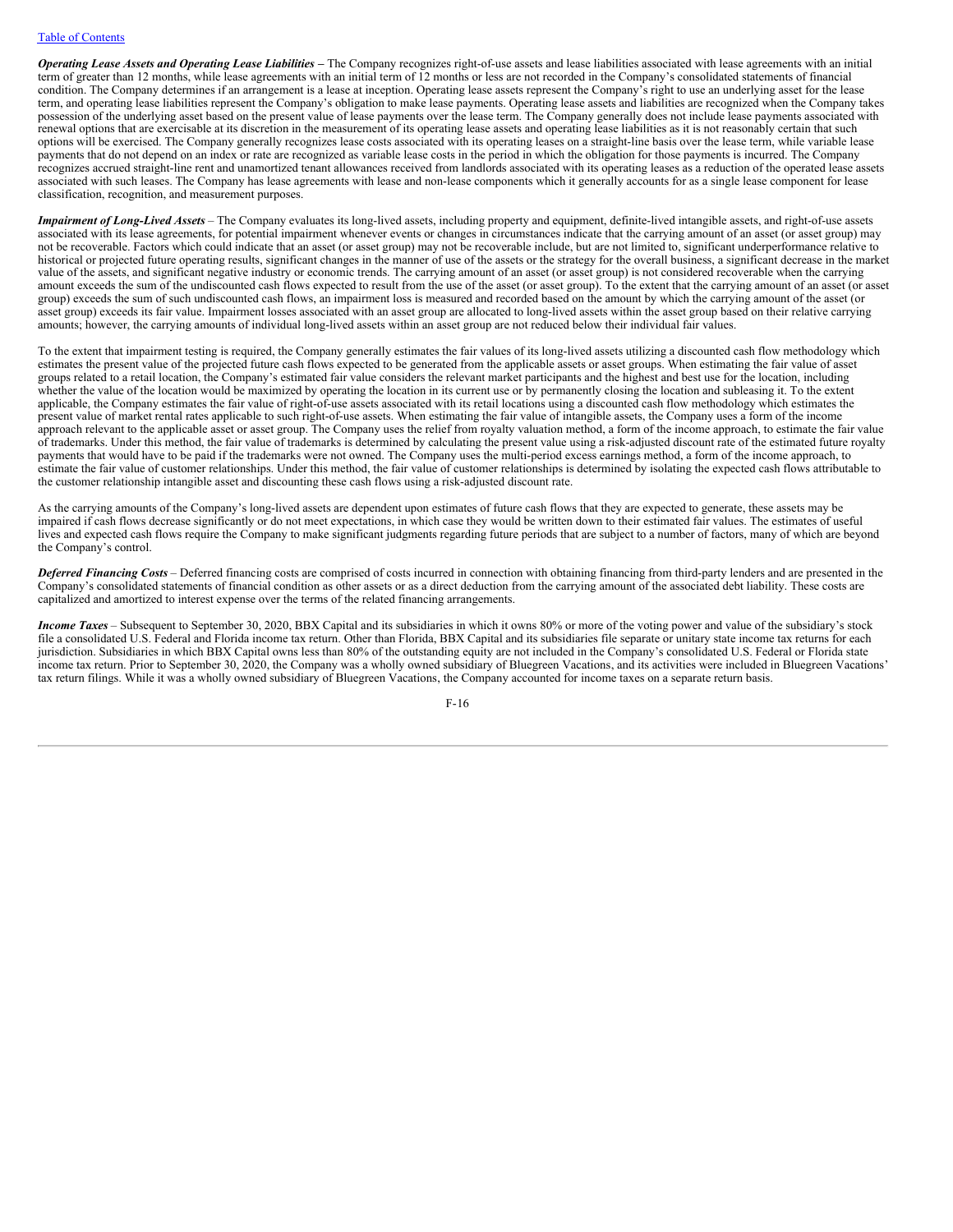Operating Lease Assets and Operating Lease Liabilities - The Company recognizes right-of-use assets and lease liabilities associated with lease agreements with an initial term of greater than 12 months, while lease agreements with an initial term of 12 months or less are not recorded in the Company's consolidated statements of financial condition. The Company determines if an arrangement is a lease at inception. Operating lease assets represent the Company's right to use an underlying asset for the lease term, and operating lease liabilities represent the Company's obligation to make lease payments. Operating lease assets and liabilities are recognized when the Company takes possession of the underlying asset based on the present value of lease payments over the lease term. The Company generally does not include lease payments associated with renewal options that are exercisable at its discretion in the measurement of its operating lease assets and operating lease liabilities as it is not reasonably certain that such options will be exercised. The Company generally recognizes lease costs associated with its operating leases on a straight-line basis over the lease term, while variable lease payments that do not depend on an index or rate are recognized as variable lease costs in the period in which the obligation for those payments is incurred. The Company recognizes accrued straight-line rent and unamortized tenant allowances received from landlords associated with its operating leases as a reduction of the operated lease assets associated with such leases. The Company has lease agreements with lease and non-lease components which it generally accounts for as a single lease component for lease classification, recognition, and measurement purposes.

*Impairment of Long-Lived Assets* – The Company evaluates its long-lived assets, including property and equipment, definite-lived intangible assets, and right-of-use assets associated with its lease agreements, for potential impairment whenever events or changes in circumstances indicate that the carrying amount of an asset (or asset group) may not be recoverable. Factors which could indicate that an asset (or asset group) may not be recoverable include, but are not limited to, significant underperformance relative to historical or projected future operating results, significant changes in the manner of use of the assets or the strategy for the overall business, a significant decrease in the market value of the assets, and significant negative industry or economic trends. The carrying amount of an asset (or asset group) is not considered recoverable when the carrying amount exceeds the sum of the undiscounted cash flows expected to result from the use of the asset (or asset group). To the extent that the carrying amount of an asset (or asset group) exceeds the sum of such undiscounted cash flows, an impairment loss is measured and recorded based on the amount by which the carrying amount of the asset (or asset group) exceeds its fair value. Impairment losses associated with an asset group are allocated to long-lived assets within the asset group based on their relative carrying amounts; however, the carrying amounts of individual long-lived assets within an asset group are not reduced below their individual fair values.

To the extent that impairment testing is required, the Company generally estimates the fair values of its long-lived assets utilizing a discounted cash flow methodology which estimates the present value of the projected future cash flows expected to be generated from the applicable assets or asset groups. When estimating the fair value of asset groups related to a retail location, the Company's estimated fair value considers the relevant market participants and the highest and best use for the location, including whether the value of the location would be maximized by operating the location in its current use or by permanently closing the location and subleasing it. To the extent applicable, the Company estimates the fair value of right-of-use assets associated with its retail locations using a discounted cash flow methodology which estimates the present value of market rental rates applicable to such right-of-use assets. When estimating the fair value of intangible assets, the Company uses a form of the income approach relevant to the applicable asset or asset group. The Company uses the relief from royalty valuation method, a form of the income approach, to estimate the fair value of trademarks. Under this method, the fair value of trademarks is determined by calculating the present value using a risk-adjusted discount rate of the estimated future royalty payments that would have to be paid if the trademarks were not owned. The Company uses the multi-period excess earnings method, a form of the income approach, to estimate the fair value of customer relationships. Under this method, the fair value of customer relationships is determined by isolating the expected cash flows attributable to the customer relationship intangible asset and discounting these cash flows using a risk-adjusted discount rate.

As the carrying amounts of the Company's long-lived assets are dependent upon estimates of future cash flows that they are expected to generate, these assets may be impaired if cash flows decrease significantly or do not meet expectations, in which case they would be written down to their estimated fair values. The estimates of useful lives and expected cash flows require the Company to make significant judgments regarding future periods that are subject to a number of factors, many of which are beyond the Company's control.

*Deferred Financing Costs* – Deferred financing costs are comprised of costs incurred in connection with obtaining financing from third-party lenders and are presented in the Company's consolidated statements of financial condition as other assets or as a direct deduction from the carrying amount of the associated debt liability. These costs are capitalized and amortized to interest expense over the terms of the related financing arrangements.

*Income Taxes* – Subsequent to September 30, 2020, BBX Capital and its subsidiaries in which it owns 80% or more of the voting power and value of the subsidiary's stock file a consolidated U.S. Federal and Florida income tax return. Other than Florida, BBX Capital and its subsidiaries file separate or unitary state income tax returns for each jurisdiction. Subsidiaries in which BBX Capital owns less than 80% of the outstanding equity are not included in the Company's consolidated U.S. Federal or Florida state income tax return. Prior to September 30, 2020, the Company was a wholly owned subsidiary of Bluegreen Vacations, and its activities were included in Bluegreen Vacations' tax return filings. While it was a wholly owned subsidiary of Bluegreen Vacations, the Company accounted for income taxes on a separate return basis.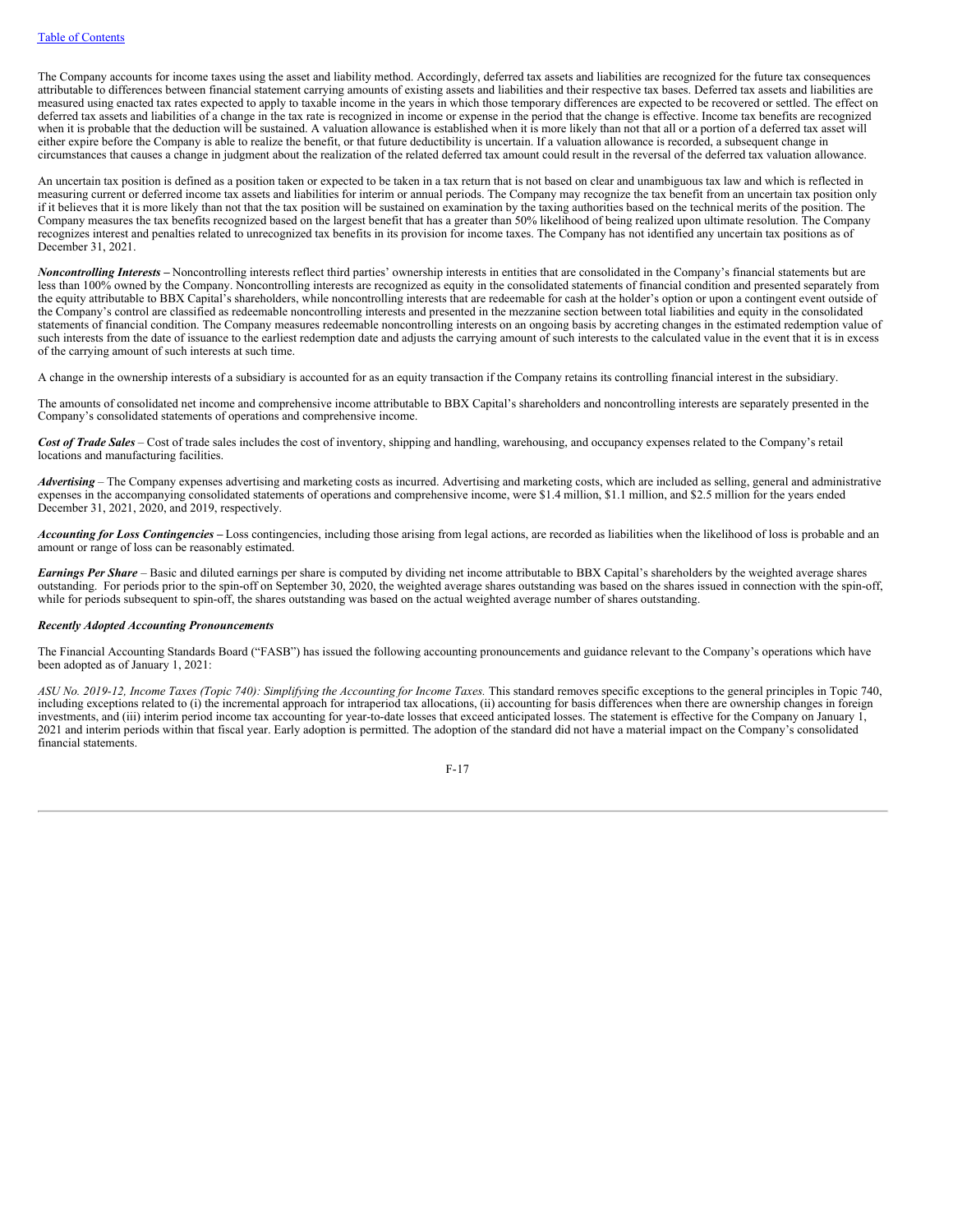The Company accounts for income taxes using the asset and liability method. Accordingly, deferred tax assets and liabilities are recognized for the future tax consequences attributable to differences between financial statement carrying amounts of existing assets and liabilities and their respective tax bases. Deferred tax assets and liabilities are measured using enacted tax rates expected to apply to taxable income in the years in which those temporary differences are expected to be recovered or settled. The effect on deferred tax assets and liabilities of a change in the tax rate is recognized in income or expense in the period that the change is effective. Income tax benefits are recognized when it is probable that the deduction will be sustained. A valuation allowance is established when it is more likely than not that all or a portion of a deferred tax asset will either expire before the Company is able to realize the benefit, or that future deductibility is uncertain. If a valuation allowance is recorded, a subsequent change in circumstances that causes a change in judgment about the realization of the related deferred tax amount could result in the reversal of the deferred tax valuation allowance.

An uncertain tax position is defined as a position taken or expected to be taken in a tax return that is not based on clear and unambiguous tax law and which is reflected in measuring current or deferred income tax assets and liabilities for interim or annual periods. The Company may recognize the tax benefit from an uncertain tax position only if it believes that it is more likely than not that the tax position will be sustained on examination by the taxing authorities based on the technical merits of the position. The Company measures the tax benefits recognized based on the largest benefit that has a greater than 50% likelihood of being realized upon ultimate resolution. The Company recognizes interest and penalties related to unrecognized tax benefits in its provision for income taxes. The Company has not identified any uncertain tax positions as of December 31, 2021.

*Noncontrolling Interests –* Noncontrolling interests reflect third parties' ownership interests in entities that are consolidated in the Company's financial statements but are less than 100% owned by the Company. Noncontrolling interests are recognized as equity in the consolidated statements of financial condition and presented separately from the equity attributable to BBX Capital's shareholders, while noncontrolling interests that are redeemable for cash at the holder's option or upon a contingent event outside of the Company's control are classified as redeemable noncontrolling interests and presented in the mezzanine section between total liabilities and equity in the consolidated statements of financial condition. The Company measures redeemable noncontrolling interests on an ongoing basis by accreting changes in the estimated redemption value of such interests from the date of issuance to the earliest redemption date and adjusts the carrying amount of such interests to the calculated value in the event that it is in excess of the carrying amount of such interests at such time.

A change in the ownership interests of a subsidiary is accounted for as an equity transaction if the Company retains its controlling financial interest in the subsidiary.

The amounts of consolidated net income and comprehensive income attributable to BBX Capital's shareholders and noncontrolling interests are separately presented in the Company's consolidated statements of operations and comprehensive income.

Cost of Trade Sales – Cost of trade sales includes the cost of inventory, shipping and handling, warehousing, and occupancy expenses related to the Company's retail locations and manufacturing facilities.

*Advertising* – The Company expenses advertising and marketing costs as incurred. Advertising and marketing costs, which are included as selling, general and administrative expenses in the accompanying consolidated statements of operations and comprehensive income, were \$1.4 million, \$1.1 million, and \$2.5 million for the years ended December 31, 2021, 2020, and 2019, respectively.

*Accounting for Loss Contingencies* – Loss contingencies, including those arising from legal actions, are recorded as liabilities when the likelihood of loss is probable and an amount or range of loss can be reasonably estimated.

*Earnings Per Share* – Basic and diluted earnings per share is computed by dividing net income attributable to BBX Capital's shareholders by the weighted average shares outstanding. For periods prior to the spin-off on September 30, 2020, the weighted average shares outstanding was based on the shares issued in connection with the spin-off, while for periods subsequent to spin-off, the shares outstanding was based on the actual weighted average number of shares outstanding.

#### *Recently Adopted Accounting Pronouncements*

The Financial Accounting Standards Board ("FASB") has issued the following accounting pronouncements and guidance relevant to the Company's operations which have been adopted as of January 1, 2021:

ASU No. 2019-12, Income Taxes (Topic 740): Simplifying the Accounting for Income Taxes. This standard removes specific exceptions to the general principles in Topic 740, including exceptions related to (i) the incremental approach for intraperiod tax allocations, (ii) accounting for basis differences when there are ownership changes in foreign investments, and (iii) interim period income tax accounting for year-to-date losses that exceed anticipated losses. The statement is effective for the Company on January 1, 2021 and interim periods within that fiscal year. Early adoption is permitted. The adoption of the standard did not have a material impact on the Company's consolidated financial statements.

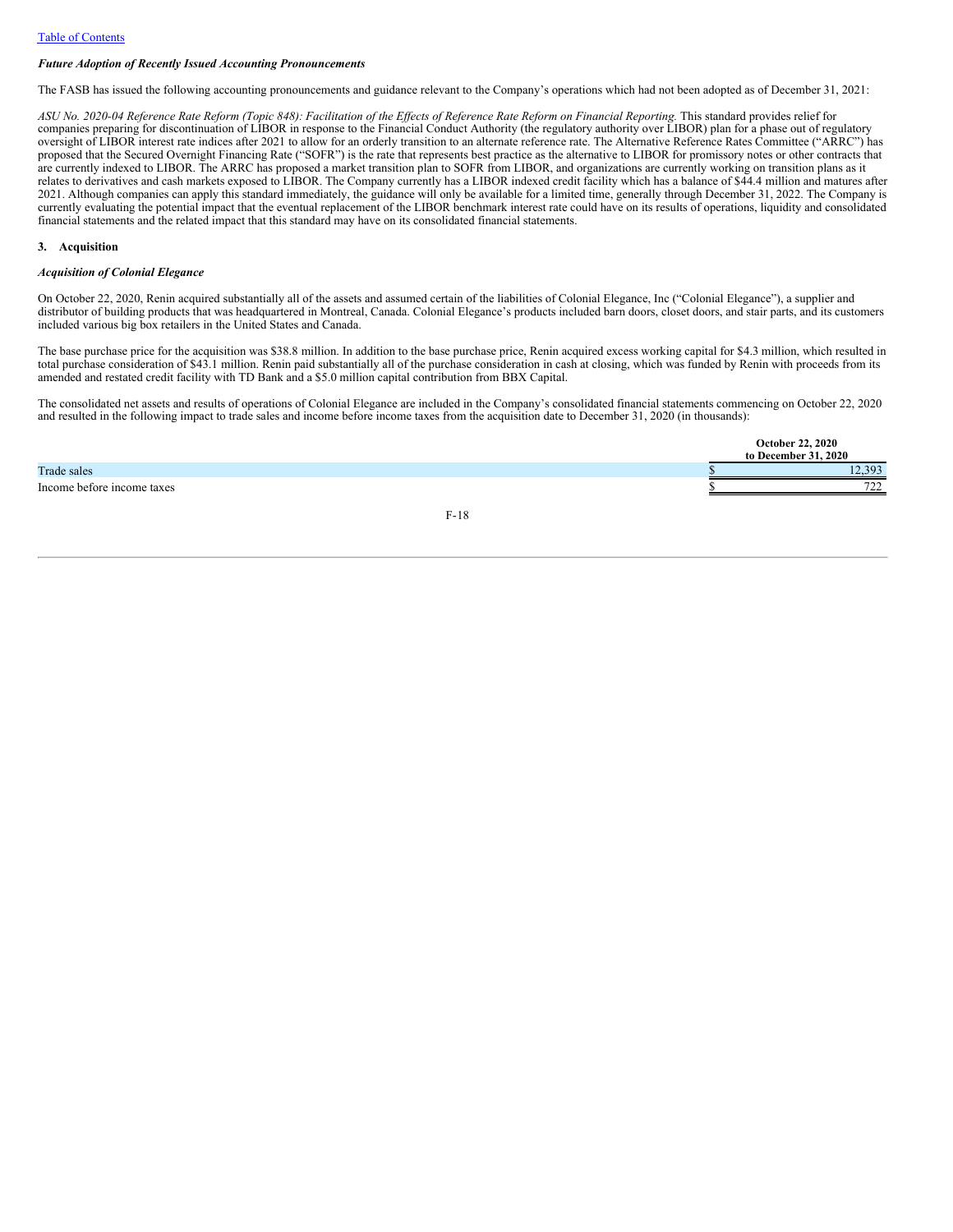#### *Future Adoption of Recently Issued Accounting Pronouncements*

The FASB has issued the following accounting pronouncements and guidance relevant to the Company's operations which had not been adopted as of December 31, 2021:

ASU No. 2020-04 Reference Rate Reform (Topic 848): Facilitation of the Effects of Reference Rate Reform on Financial Reporting. This standard provides relief for companies preparing for discontinuation of LIBOR in response to the Financial Conduct Authority (the regulatory authority over LIBOR) plan for a phase out of regulatory oversight of LIBOR interest rate indices after 2021 to allow for an orderly transition to an alternate reference rate. The Alternative Reference Rates Committee ("ARRC") has proposed that the Secured Overnight Financing Rate ("SOFR") is the rate that represents best practice as the alternative to LIBOR for promissory notes or other contracts that are currently indexed to LIBOR. The ARRC has proposed a market transition plan to SOFR from LIBOR, and organizations are currently working on transition plans as it relates to derivatives and cash markets exposed to LIBOR. The Company currently has a LIBOR indexed credit facility which has a balance of \$44.4 million and matures after 2021. Although companies can apply this standard immediately, the guidance will only be available for a limited time, generally through December 31, 2022. The Company is currently evaluating the potential impact that the eventual replacement of the LIBOR benchmark interest rate could have on its results of operations, liquidity and consolidated financial statements and the related impact that this standard may have on its consolidated financial statements.

#### **3. Acquisition**

#### *Acquisition of Colonial Elegance*

On October 22, 2020, Renin acquired substantially all of the assets and assumed certain of the liabilities of Colonial Elegance, Inc ("Colonial Elegance"), a supplier and distributor of building products that was headquartered in Montreal, Canada. Colonial Elegance's products included barn doors, closet doors, and stair parts, and its customers included various big box retailers in the United States and Canada.

The base purchase price for the acquisition was \$38.8 million. In addition to the base purchase price, Renin acquired excess working capital for \$4.3 million, which resulted in total purchase consideration of \$43.1 million. Renin paid substantially all of the purchase consideration in cash at closing, which was funded by Renin with proceeds from its amended and restated credit facility with TD Bank and a \$5.0 million capital contribution from BBX Capital.

The consolidated net assets and results of operations of Colonial Elegance are included in the Company's consolidated financial statements commencing on October 22, 2020 and resulted in the following impact to trade sales and income before income taxes from the acquisition date to December 31, 2020 (in thousands):

|                            | <b>October 22, 2020</b><br>to December 31, 2020 |              |  |
|----------------------------|-------------------------------------------------|--------------|--|
| Trade sales                |                                                 | 303<br>12.JJ |  |
| Income before income taxes |                                                 | 722<br>ے ت   |  |
|                            |                                                 |              |  |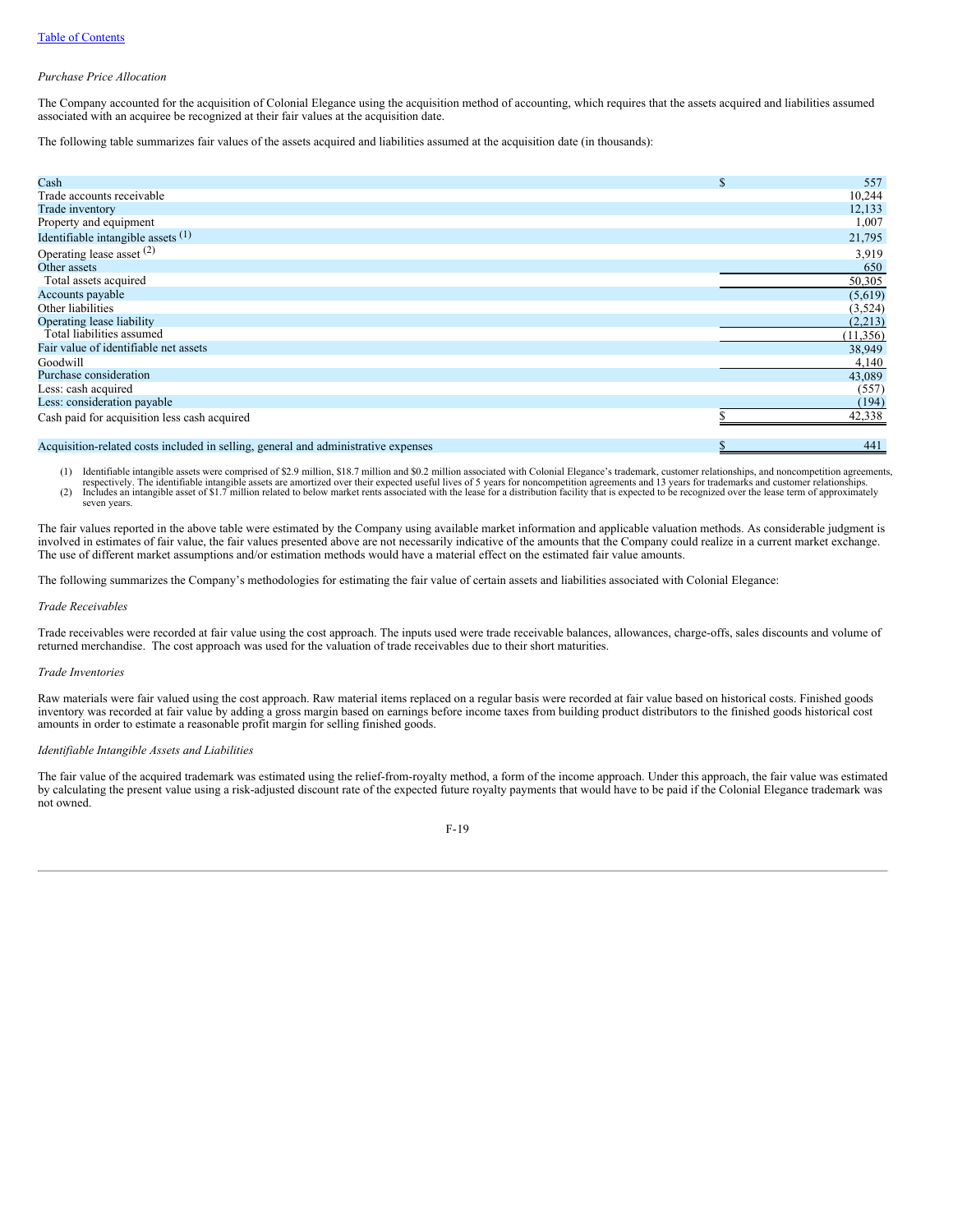#### *Purchase Price Allocation*

The Company accounted for the acquisition of Colonial Elegance using the acquisition method of accounting, which requires that the assets acquired and liabilities assumed associated with an acquiree be recognized at their fair values at the acquisition date.

The following table summarizes fair values of the assets acquired and liabilities assumed at the acquisition date (in thousands):

| Cash                                                                               | 557<br>Ф  |
|------------------------------------------------------------------------------------|-----------|
| Trade accounts receivable                                                          | 10,244    |
| Trade inventory                                                                    | 12,133    |
| Property and equipment                                                             | 1,007     |
| Identifiable intangible assets $(1)$                                               | 21,795    |
| Operating lease asset (2)                                                          | 3,919     |
| Other assets                                                                       | 650       |
| Total assets acquired                                                              | 50,305    |
| Accounts payable                                                                   | (5,619)   |
| Other liabilities                                                                  | (3, 524)  |
| Operating lease liability                                                          | (2,213)   |
| Total liabilities assumed                                                          | (11, 356) |
| Fair value of identifiable net assets                                              | 38,949    |
| Goodwill                                                                           | 4,140     |
| Purchase consideration                                                             | 43,089    |
| Less: cash acquired                                                                | (557)     |
| Less: consideration payable                                                        | (194)     |
| Cash paid for acquisition less cash acquired                                       | 42,338    |
|                                                                                    |           |
| Acquisition-related costs included in selling, general and administrative expenses | 441       |

1) Identifiable intangible assets were comprised of \$2.9 million, \$18.7 million and \$0.2 million associated with Colonial Elegance's trademark, customer relationships, and noncompetition agreements,<br>respectively. The ident

seven years.

The fair values reported in the above table were estimated by the Company using available market information and applicable valuation methods. As considerable judgment is involved in estimates of fair value, the fair values presented above are not necessarily indicative of the amounts that the Company could realize in a current market exchange. The use of different market assumptions and/or estimation methods would have a material effect on the estimated fair value amounts.

The following summarizes the Company's methodologies for estimating the fair value of certain assets and liabilities associated with Colonial Elegance:

#### *Trade Receivables*

Trade receivables were recorded at fair value using the cost approach. The inputs used were trade receivable balances, allowances, charge-offs, sales discounts and volume of returned merchandise. The cost approach was used for the valuation of trade receivables due to their short maturities.

#### *Trade Inventories*

Raw materials were fair valued using the cost approach. Raw material items replaced on a regular basis were recorded at fair value based on historical costs. Finished goods inventory was recorded at fair value by adding a gross margin based on earnings before income taxes from building product distributors to the finished goods historical cost amounts in order to estimate a reasonable profit margin for selling finished goods.

## *Identifiable Intangible Assets and Liabilities*

The fair value of the acquired trademark was estimated using the relief-from-royalty method, a form of the income approach. Under this approach, the fair value was estimated by calculating the present value using a risk-adjusted discount rate of the expected future royalty payments that would have to be paid if the Colonial Elegance trademark was not owned.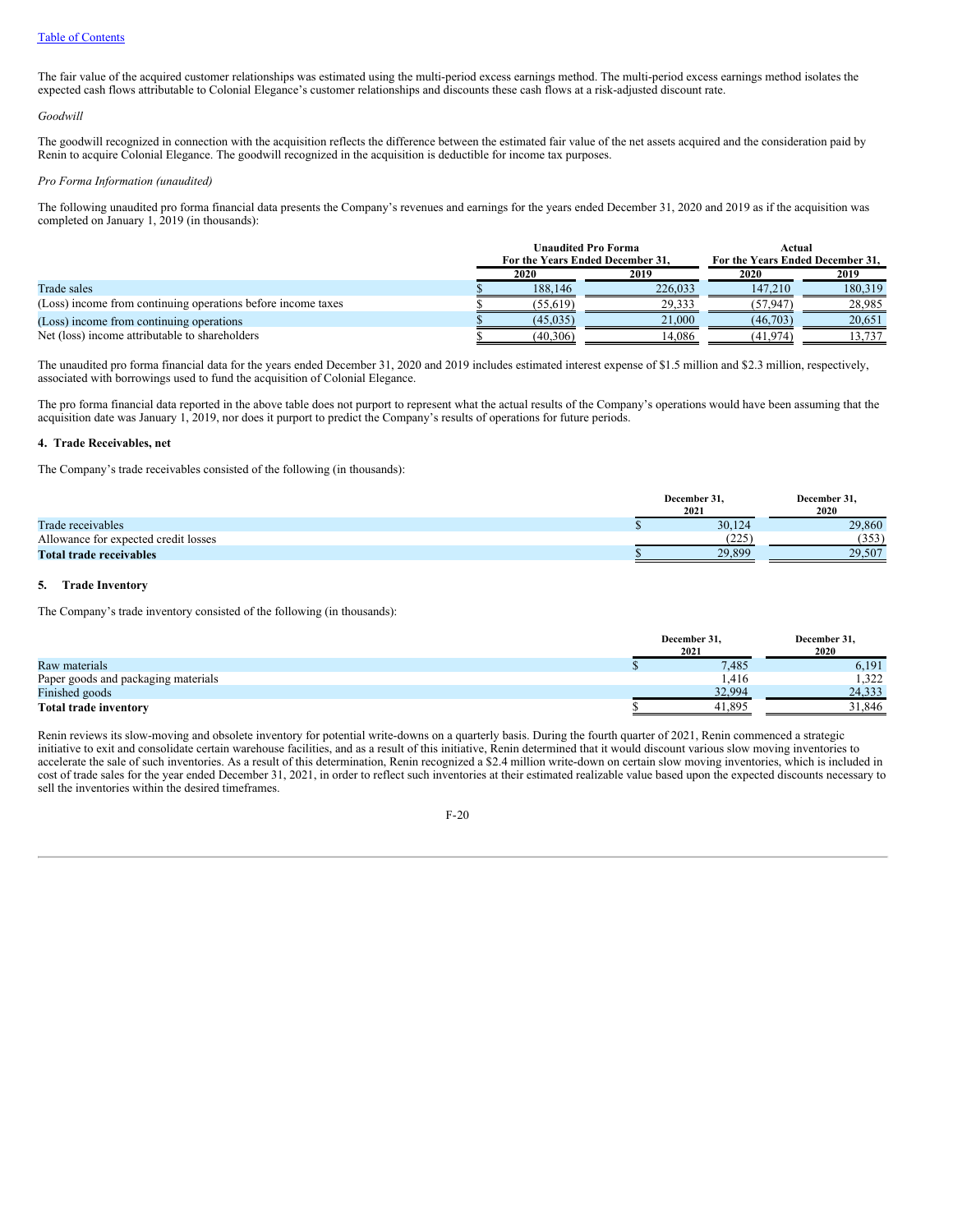The fair value of the acquired customer relationships was estimated using the multi-period excess earnings method. The multi-period excess earnings method isolates the expected cash flows attributable to Colonial Elegance's customer relationships and discounts these cash flows at a risk-adjusted discount rate.

## *Goodwill*

The goodwill recognized in connection with the acquisition reflects the difference between the estimated fair value of the net assets acquired and the consideration paid by Renin to acquire Colonial Elegance. The goodwill recognized in the acquisition is deductible for income tax purposes.

#### *Pro Forma Information (unaudited)*

The following unaudited pro forma financial data presents the Company's revenues and earnings for the years ended December 31, 2020 and 2019 as if the acquisition was completed on January 1, 2019 (in thousands):

|                                                              |              | <b>Unaudited Pro Forma</b>       | Actual                           |         |  |
|--------------------------------------------------------------|--------------|----------------------------------|----------------------------------|---------|--|
|                                                              |              | For the Years Ended December 31. | For the Years Ended December 31. |         |  |
|                                                              | 2020<br>2019 |                                  | 2020                             | 2019    |  |
| Trade sales                                                  | 188,146      | 226,033                          | 147.210                          | 180.319 |  |
| (Loss) income from continuing operations before income taxes | (55.619)     | 29.333                           | (57.947)                         | 28,985  |  |
| (Loss) income from continuing operations                     | (45, 035)    | 21,000                           | (46,703)                         | 20.651  |  |
| Net (loss) income attributable to shareholders               | (40,306)     | 14.086                           | (41,974)                         | 13.737  |  |

The unaudited pro forma financial data for the years ended December 31, 2020 and 2019 includes estimated interest expense of \$1.5 million and \$2.3 million, respectively, associated with borrowings used to fund the acquisition of Colonial Elegance.

The pro forma financial data reported in the above table does not purport to represent what the actual results of the Company's operations would have been assuming that the acquisition date was January 1, 2019, nor does it purport to predict the Company's results of operations for future periods.

## **4. Trade Receivables, net**

The Company's trade receivables consisted of the following (in thousands):

|                                      | December 31.<br>2021 | December 31.<br>2020 |
|--------------------------------------|----------------------|----------------------|
| Trade receivables                    | 30,124               | 29,860               |
| Allowance for expected credit losses | ำวร<br>---           | (353)                |
| Total trade receivables              | 29.899               | 29.507               |

## **5. Trade Inventory**

The Company's trade inventory consisted of the following (in thousands):

|                                     | December 31,<br>2021 | December 31,<br>2020 |
|-------------------------------------|----------------------|----------------------|
| Raw materials                       | 7.485                | 6,191                |
| Paper goods and packaging materials | .416                 | 1.322                |
| Finished goods                      | 32.994               | 24.333               |
| <b>Total trade inventory</b>        | 41.895               | 31,846               |

Renin reviews its slow-moving and obsolete inventory for potential write-downs on a quarterly basis. During the fourth quarter of 2021, Renin commenced a strategic initiative to exit and consolidate certain warehouse facilities, and as a result of this initiative, Renin determined that it would discount various slow moving inventories to accelerate the sale of such inventories. As a result of this determination, Renin recognized a \$2.4 million write-down on certain slow moving inventories, which is included in cost of trade sales for the year ended December 31, 2021, in order to reflect such inventories at their estimated realizable value based upon the expected discounts necessary to sell the inventories within the desired timeframes.

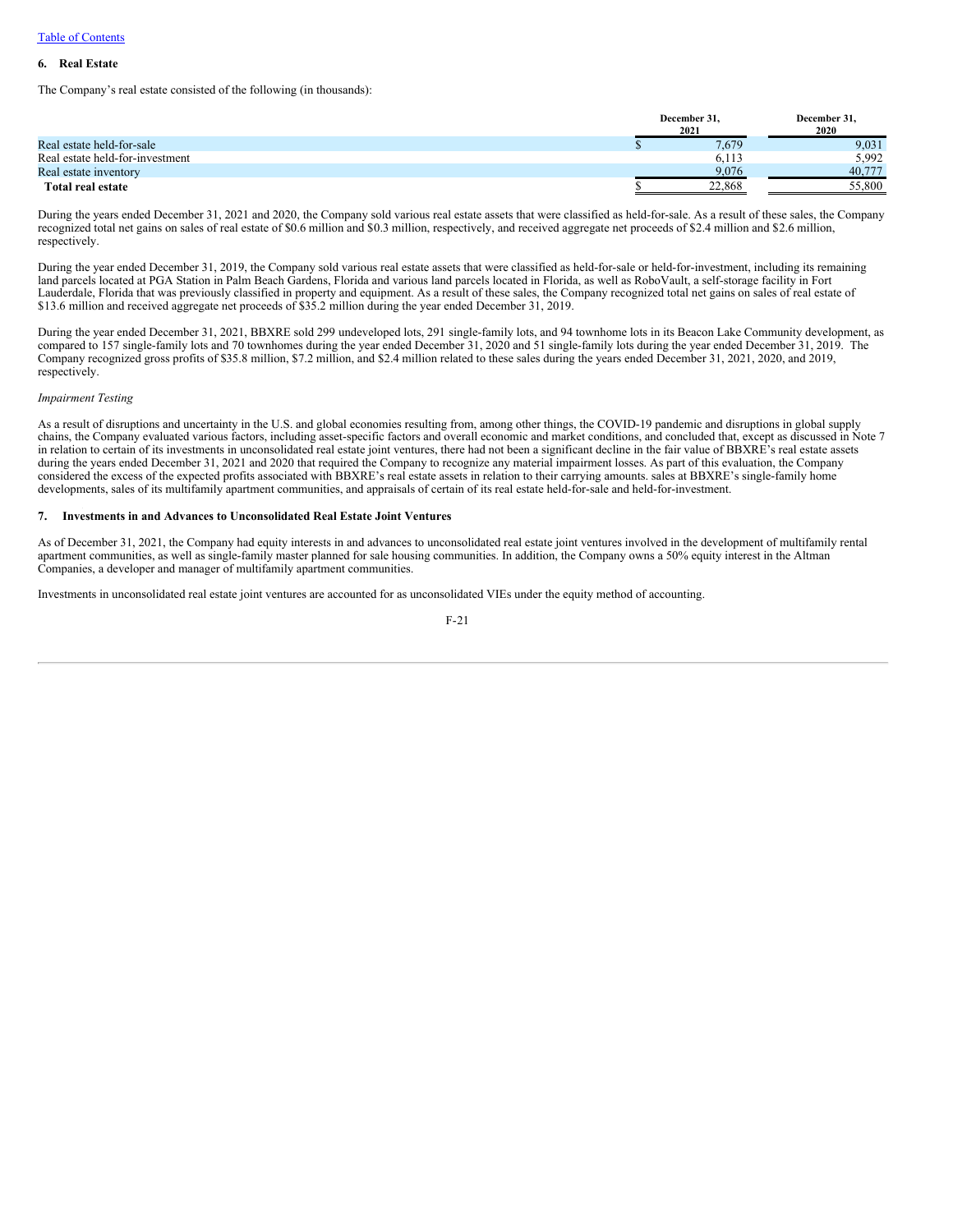## **6. Real Estate**

The Company's real estate consisted of the following (in thousands):

|                                 | December 31.<br>2021 |        |  |
|---------------------------------|----------------------|--------|--|
| Real estate held-for-sale       | 7,679                | 9,031  |  |
| Real estate held-for-investment | 6,113                | 5.992  |  |
| Real estate inventory           | 9.076                | 40,777 |  |
| Total real estate               | 22,868               | 55,800 |  |

During the years ended December 31, 2021 and 2020, the Company sold various real estate assets that were classified as held-for-sale. As a result of these sales, the Company recognized total net gains on sales of real estate of \$0.6 million and \$0.3 million, respectively, and received aggregate net proceeds of \$2.4 million and \$2.6 million, respectively.

During the year ended December 31, 2019, the Company sold various real estate assets that were classified as held-for-sale or held-for-investment, including its remaining land parcels located at PGA Station in Palm Beach Gardens, Florida and various land parcels located in Florida, as well as RoboVault, a self-storage facility in Fort Lauderdale, Florida that was previously classified in property and equipment. As a result of these sales, the Company recognized total net gains on sales of real estate of \$13.6 million and received aggregate net proceeds of \$35.2 million during the year ended December 31, 2019.

During the year ended December 31, 2021, BBXRE sold 299 undeveloped lots, 291 single-family lots, and 94 townhome lots in its Beacon Lake Community development, as compared to 157 single-family lots and 70 townhomes during the year ended December 31, 2020 and 51 single-family lots during the year ended December 31, 2019. The Company recognized gross profits of \$35.8 million, \$7.2 million, and \$2.4 million related to these sales during the years ended December 31, 2021, 2020, and 2019, respectively.

#### *Impairment Testing*

As a result of disruptions and uncertainty in the U.S. and global economies resulting from, among other things, the COVID-19 pandemic and disruptions in global supply chains, the Company evaluated various factors, including asset-specific factors and overall economic and market conditions, and concluded that, except as discussed in Note 7 in relation to certain of its investments in unconsolidated real estate joint ventures, there had not been a significant decline in the fair value of BBXRE's real estate assets during the years ended December 31, 2021 and 2020 that required the Company to recognize any material impairment losses. As part of this evaluation, the Company considered the excess of the expected profits associated with BBXRE's real estate assets in relation to their carrying amounts. sales at BBXRE's single-family home developments, sales of its multifamily apartment communities, and appraisals of certain of its real estate held-for-sale and held-for-investment.

#### **7. Investments in and Advances to Unconsolidated Real Estate Joint Ventures**

As of December 31, 2021, the Company had equity interests in and advances to unconsolidated real estate joint ventures involved in the development of multifamily rental apartment communities, as well as single-family master planned for sale housing communities. In addition, the Company owns a 50% equity interest in the Altman Companies, a developer and manager of multifamily apartment communities.

Investments in unconsolidated real estate joint ventures are accounted for as unconsolidated VIEs under the equity method of accounting.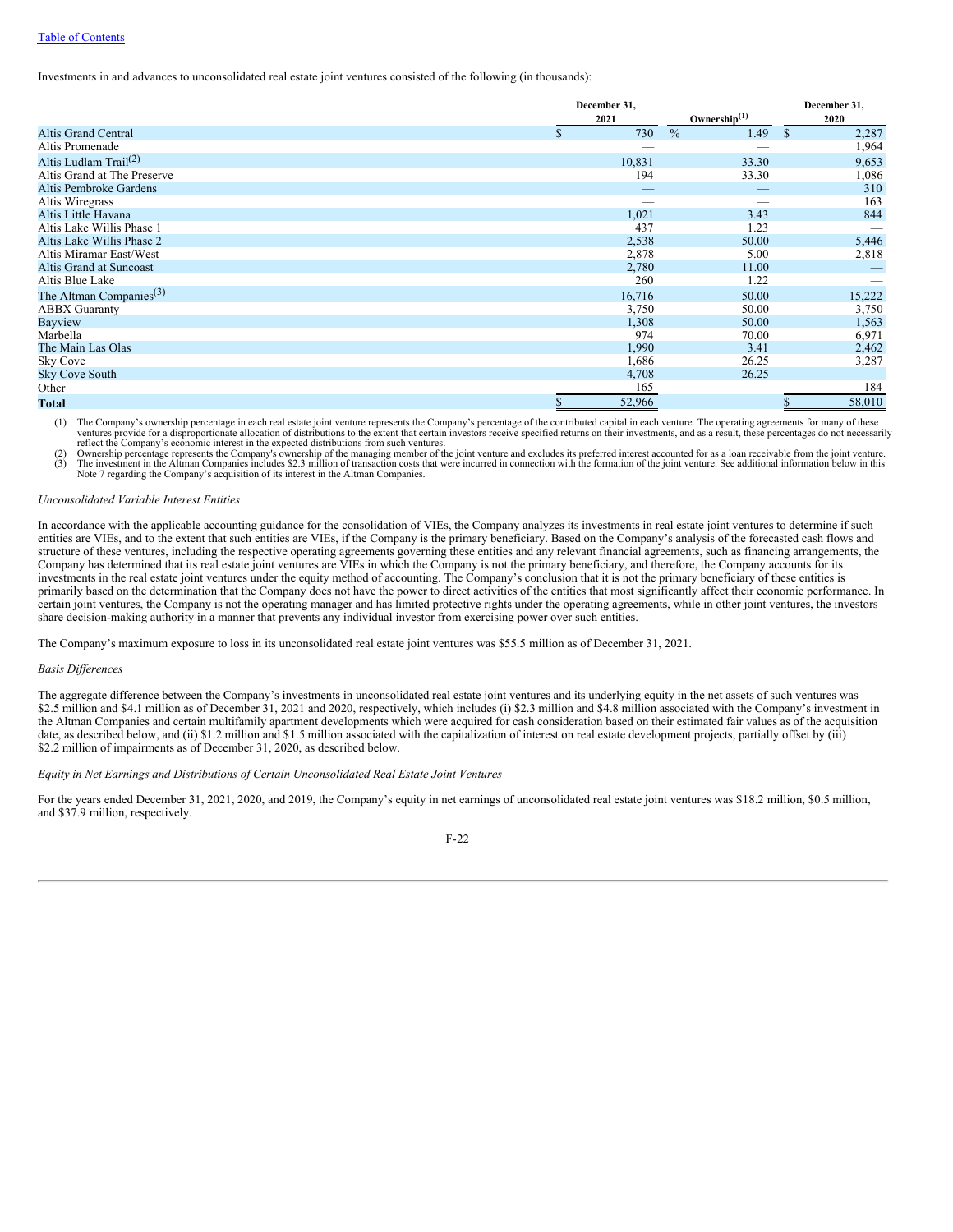## Table of [Contents](#page-0-0)

Investments in and advances to unconsolidated real estate joint ventures consisted of the following (in thousands):

|                                     | December 31,        |                       |                       |
|-------------------------------------|---------------------|-----------------------|-----------------------|
|                                     | 2021                | Ownership $(1)$       | 2020                  |
| Altis Grand Central                 | 730<br>$\mathbf{s}$ | $\frac{0}{0}$<br>1.49 | 2,287<br><sup>S</sup> |
| Altis Promenade                     |                     |                       | 1,964                 |
| Altis Ludlam Trail <sup>(2)</sup>   | 10,831              | 33.30                 | 9,653                 |
| Altis Grand at The Preserve         | 194                 | 33.30                 | 1,086                 |
| Altis Pembroke Gardens              |                     | _                     | 310                   |
| Altis Wiregrass                     | -                   |                       | 163                   |
| Altis Little Havana                 | 1,021               | 3.43                  | 844                   |
| Altis Lake Willis Phase 1           | 437                 | 1.23                  |                       |
| Altis Lake Willis Phase 2           | 2,538               | 50.00                 | 5,446                 |
| Altis Miramar East/West             | 2,878               | 5.00                  | 2,818                 |
| Altis Grand at Suncoast             | 2,780               | 11.00                 |                       |
| Altis Blue Lake                     | 260                 | 1.22                  |                       |
| The Altman Companies <sup>(3)</sup> | 16,716              | 50.00                 | 15,222                |
| <b>ABBX</b> Guaranty                | 3,750               | 50.00                 | 3,750                 |
| Bayview                             | 1,308               | 50.00                 | 1,563                 |
| Marbella                            | 974                 | 70.00                 | 6,971                 |
| The Main Las Olas                   | 1,990               | 3.41                  | 2,462                 |
| Sky Cove                            | 1,686               | 26.25                 | 3,287                 |
| <b>Sky Cove South</b>               | 4,708               | 26.25                 |                       |
| Other                               | 165                 |                       | 184                   |
| <b>Total</b>                        | 52,966              |                       | 58,010                |

(1) The Company's ownership percentage in each real estate joint venture represents the Company's percentage of the contributed capital in each venture. The operating agreements for many of these ventures provide for a disproportionate allocation of distributions to the extent that certain investors receive specified returns on their investments, and as a result, these percentages do not necessarily reflect the Company's economic interest in the expected distributions from such ventures.

(2) Ownership percentage represents the Company's ownership of the managing member of the joint venture and excludes its preferred interest accounted for as a loan receivable from the joint venture.<br>(3) The investment in t Note 7 regarding the Company's acquisition of its interest in the Altman Companies.

#### *Unconsolidated Variable Interest Entities*

In accordance with the applicable accounting guidance for the consolidation of VIEs, the Company analyzes its investments in real estate joint ventures to determine if such entities are VIEs, and to the extent that such entities are VIEs, if the Company is the primary beneficiary. Based on the Company's analysis of the forecasted cash flows and structure of these ventures, including the respective operating agreements governing these entities and any relevant financial agreements, such as financing arrangements, the Company has determined that its real estate joint ventures are VIEs in which the Company is not the primary beneficiary, and therefore, the Company accounts for its investments in the real estate joint ventures under the equity method of accounting. The Company's conclusion that it is not the primary beneficiary of these entities is primarily based on the determination that the Company does not have the power to direct activities of the entities that most significantly affect their economic performance. In certain joint ventures, the Company is not the operating manager and has limited protective rights under the operating agreements, while in other joint ventures, the investors share decision-making authority in a manner that prevents any individual investor from exercising power over such entities.

The Company's maximum exposure to loss in its unconsolidated real estate joint ventures was \$55.5 million as of December 31, 2021.

## *Basis Dif erences*

The aggregate difference between the Company's investments in unconsolidated real estate joint ventures and its underlying equity in the net assets of such ventures was \$2.5 million and \$4.1 million as of December 31, 2021 and 2020, respectively, which includes (i) \$2.3 million and \$4.8 million associated with the Company's investment in the Altman Companies and certain multifamily apartment developments which were acquired for cash consideration based on their estimated fair values as of the acquisition date, as described below, and (ii) \$1.2 million and \$1.5 million associated with the capitalization of interest on real estate development projects, partially offset by (iii) \$2.2 million of impairments as of December 31, 2020, as described below.

## *Equity in Net Earnings and Distributions of Certain Unconsolidated Real Estate Joint Ventures*

For the years ended December 31, 2021, 2020, and 2019, the Company's equity in net earnings of unconsolidated real estate joint ventures was \$18.2 million, \$0.5 million, and \$37.9 million, respectively.

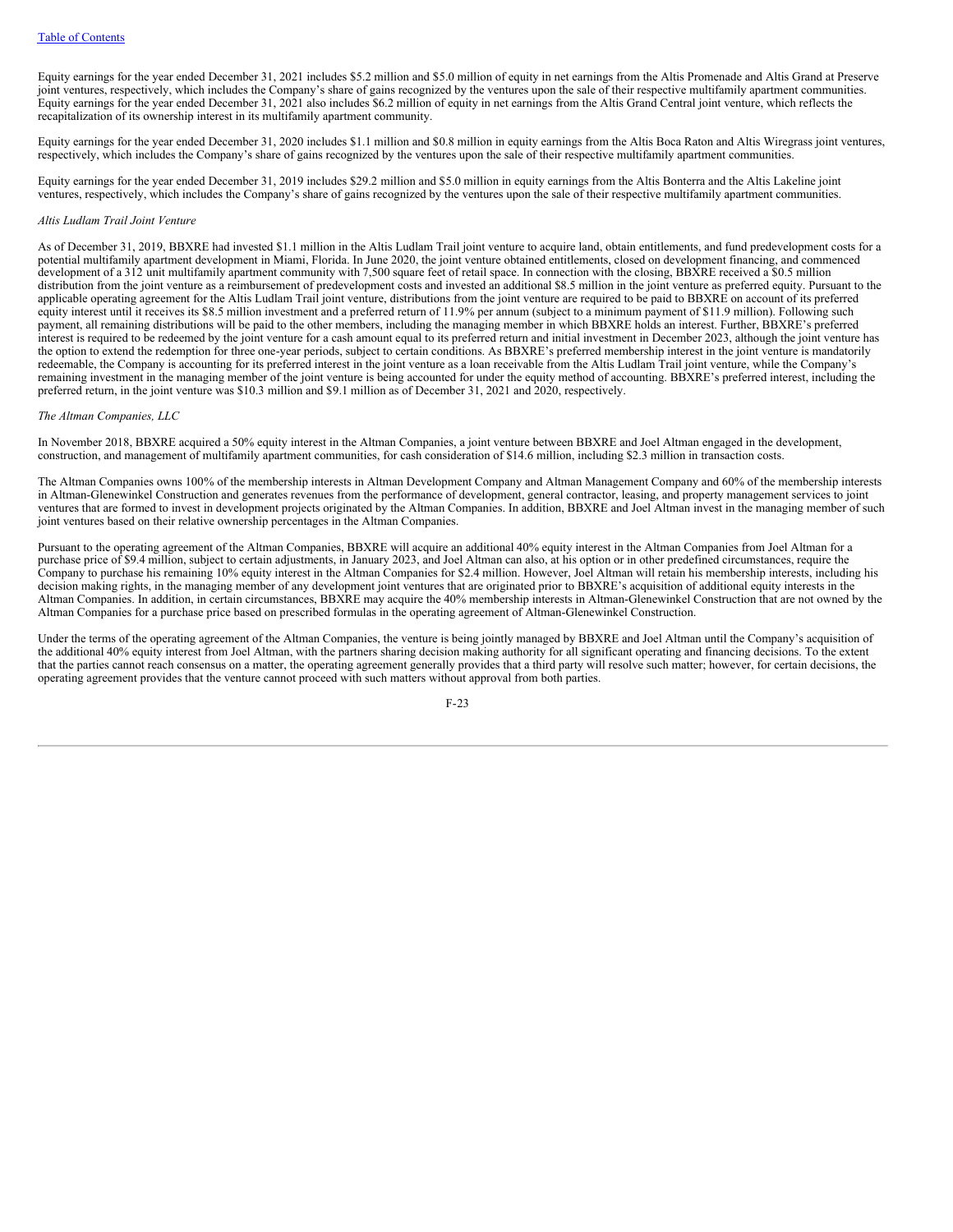Equity earnings for the year ended December 31, 2021 includes \$5.2 million and \$5.0 million of equity in net earnings from the Altis Promenade and Altis Grand at Preserve joint ventures, respectively, which includes the Company's share of gains recognized by the ventures upon the sale of their respective multifamily apartment communities. Equity earnings for the year ended December 31, 2021 also includes \$6.2 million of equity in net earnings from the Altis Grand Central joint venture, which reflects the recapitalization of its ownership interest in its multifamily apartment community.

Equity earnings for the year ended December 31, 2020 includes \$1.1 million and \$0.8 million in equity earnings from the Altis Boca Raton and Altis Wiregrass joint ventures, respectively, which includes the Company's share of gains recognized by the ventures upon the sale of their respective multifamily apartment communities.

Equity earnings for the year ended December 31, 2019 includes \$29.2 million and \$5.0 million in equity earnings from the Altis Bonterra and the Altis Lakeline joint ventures, respectively, which includes the Company's share of gains recognized by the ventures upon the sale of their respective multifamily apartment communities.

## *Altis Ludlam Trail Joint Venture*

As of December 31, 2019, BBXRE had invested \$1.1 million in the Altis Ludlam Trail joint venture to acquire land, obtain entitlements, and fund predevelopment costs for a potential multifamily apartment development in Miami, Florida. In June 2020, the joint venture obtained entitlements, closed on development financing, and commenced development of a 312 unit multifamily apartment community with 7,500 square feet of retail space. In connection with the closing, BBXRE received a \$0.5 million distribution from the joint venture as a reimbursement of predevelopment costs and invested an additional \$8.5 million in the joint venture as preferred equity. Pursuant to the applicable operating agreement for the Altis Ludlam Trail joint venture, distributions from the joint venture are required to be paid to BBXRE on account of its preferred equity interest until it receives its \$8.5 million investment and a preferred return of 11.9% per annum (subject to a minimum payment of \$11.9 million). Following such payment, all remaining distributions will be paid to the other members, including the managing member in which BBXRE holds an interest. Further, BBXRE's preferred interest is required to be redeemed by the joint venture for a cash amount equal to its preferred return and initial investment in December 2023, although the joint venture has the option to extend the redemption for three one-year periods, subject to certain conditions. As BBXRE's preferred membership interest in the joint venture is mandatorily redeemable, the Company is accounting for its preferred interest in the joint venture as a loan receivable from the Altis Ludlam Trail joint venture, while the Company's remaining investment in the managing member of the joint venture is being accounted for under the equity method of accounting. BBXRE's preferred interest, including the preferred return, in the joint venture was \$10.3 million and \$9.1 million as of December 31, 2021 and 2020, respectively.

#### *The Altman Companies, LLC*

In November 2018, BBXRE acquired a 50% equity interest in the Altman Companies, a joint venture between BBXRE and Joel Altman engaged in the development, construction, and management of multifamily apartment communities, for cash consideration of \$14.6 million, including \$2.3 million in transaction costs.

The Altman Companies owns 100% of the membership interests in Altman Development Company and Altman Management Company and 60% of the membership interests in Altman-Glenewinkel Construction and generates revenues from the performance of development, general contractor, leasing, and property management services to joint ventures that are formed to invest in development projects originated by the Altman Companies. In addition, BBXRE and Joel Altman invest in the managing member of such joint ventures based on their relative ownership percentages in the Altman Companies.

Pursuant to the operating agreement of the Altman Companies, BBXRE will acquire an additional 40% equity interest in the Altman Companies from Joel Altman for a purchase price of \$9.4 million, subject to certain adjustments, in January 2023, and Joel Altman can also, at his option or in other predefined circumstances, require the Company to purchase his remaining 10% equity interest in the Altman Companies for \$2.4 million. However, Joel Altman will retain his membership interests, including his decision making rights, in the managing member of any development joint ventures that are originated prior to BBXRE's acquisition of additional equity interests in the Altman Companies. In addition, in certain circumstances, BBXRE may acquire the 40% membership interests in Altman-Glenewinkel Construction that are not owned by the Altman Companies for a purchase price based on prescribed formulas in the operating agreement of Altman-Glenewinkel Construction.

Under the terms of the operating agreement of the Altman Companies, the venture is being jointly managed by BBXRE and Joel Altman until the Company's acquisition of the additional 40% equity interest from Joel Altman, with the partners sharing decision making authority for all significant operating and financing decisions. To the extent that the parties cannot reach consensus on a matter, the operating agreement generally provides that a third party will resolve such matter; however, for certain decisions, the operating agreement provides that the venture cannot proceed with such matters without approval from both parties.

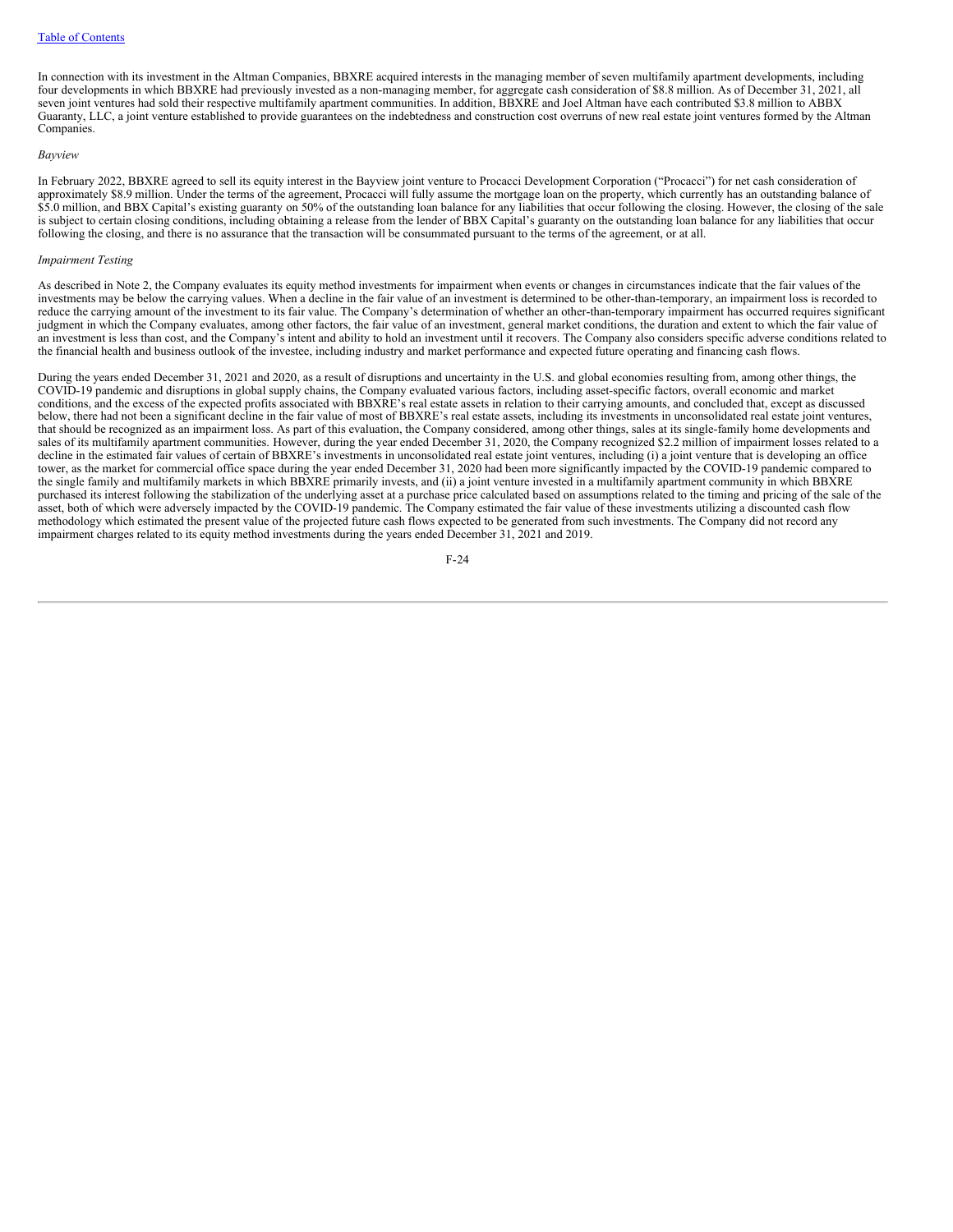In connection with its investment in the Altman Companies, BBXRE acquired interests in the managing member of seven multifamily apartment developments, including four developments in which BBXRE had previously invested as a non-managing member, for aggregate cash consideration of \$8.8 million. As of December 31, 2021, all seven joint ventures had sold their respective multifamily apartment communities. In addition, BBXRE and Joel Altman have each contributed \$3.8 million to ABBX Guaranty, LLC, a joint venture established to provide guarantees on the indebtedness and construction cost overruns of new real estate joint ventures formed by the Altman Companies.

#### *Bayview*

In February 2022, BBXRE agreed to sell its equity interest in the Bayview joint venture to Procacci Development Corporation ("Procacci") for net cash consideration of approximately \$8.9 million. Under the terms of the agreement, Procacci will fully assume the mortgage loan on the property, which currently has an outstanding balance of \$5.0 million, and BBX Capital's existing guaranty on 50% of the outstanding loan balance for any liabilities that occur following the closing. However, the closing of the sale is subject to certain closing conditions, including obtaining a release from the lender of BBX Capital's guaranty on the outstanding loan balance for any liabilities that occur following the closing, and there is no assurance that the transaction will be consummated pursuant to the terms of the agreement, or at all.

#### *Impairment Testing*

As described in Note 2, the Company evaluates its equity method investments for impairment when events or changes in circumstances indicate that the fair values of the investments may be below the carrying values. When a decline in the fair value of an investment is determined to be other-than-temporary, an impairment loss is recorded to reduce the carrying amount of the investment to its fair value. The Company's determination of whether an other-than-temporary impairment has occurred requires significant judgment in which the Company evaluates, among other factors, the fair value of an investment, general market conditions, the duration and extent to which the fair value of an investment is less than cost, and the Company's intent and ability to hold an investment until it recovers. The Company also considers specific adverse conditions related to the financial health and business outlook of the investee, including industry and market performance and expected future operating and financing cash flows.

During the years ended December 31, 2021 and 2020, as a result of disruptions and uncertainty in the U.S. and global economies resulting from, among other things, the COVID-19 pandemic and disruptions in global supply chains, the Company evaluated various factors, including asset-specific factors, overall economic and market conditions, and the excess of the expected profits associated with BBXRE's real estate assets in relation to their carrying amounts, and concluded that, except as discussed below, there had not been a significant decline in the fair value of most of BBXRE's real estate assets, including its investments in unconsolidated real estate joint ventures, that should be recognized as an impairment loss. As part of this evaluation, the Company considered, among other things, sales at its single-family home developments and sales of its multifamily apartment communities. However, during the year ended December 31, 2020, the Company recognized \$2.2 million of impairment losses related to a decline in the estimated fair values of certain of BBXRE's investments in unconsolidated real estate joint ventures, including (i) a joint venture that is developing an office tower, as the market for commercial office space during the year ended December 31, 2020 had been more significantly impacted by the COVID-19 pandemic compared to the single family and multifamily markets in which BBXRE primarily invests, and (ii) a joint venture invested in a multifamily apartment community in which BBXRE purchased its interest following the stabilization of the underlying asset at a purchase price calculated based on assumptions related to the timing and pricing of the sale of the asset, both of which were adversely impacted by the COVID-19 pandemic. The Company estimated the fair value of these investments utilizing a discounted cash flow methodology which estimated the present value of the projected future cash flows expected to be generated from such investments. The Company did not record any impairment charges related to its equity method investments during the years ended December 31, 2021 and 2019.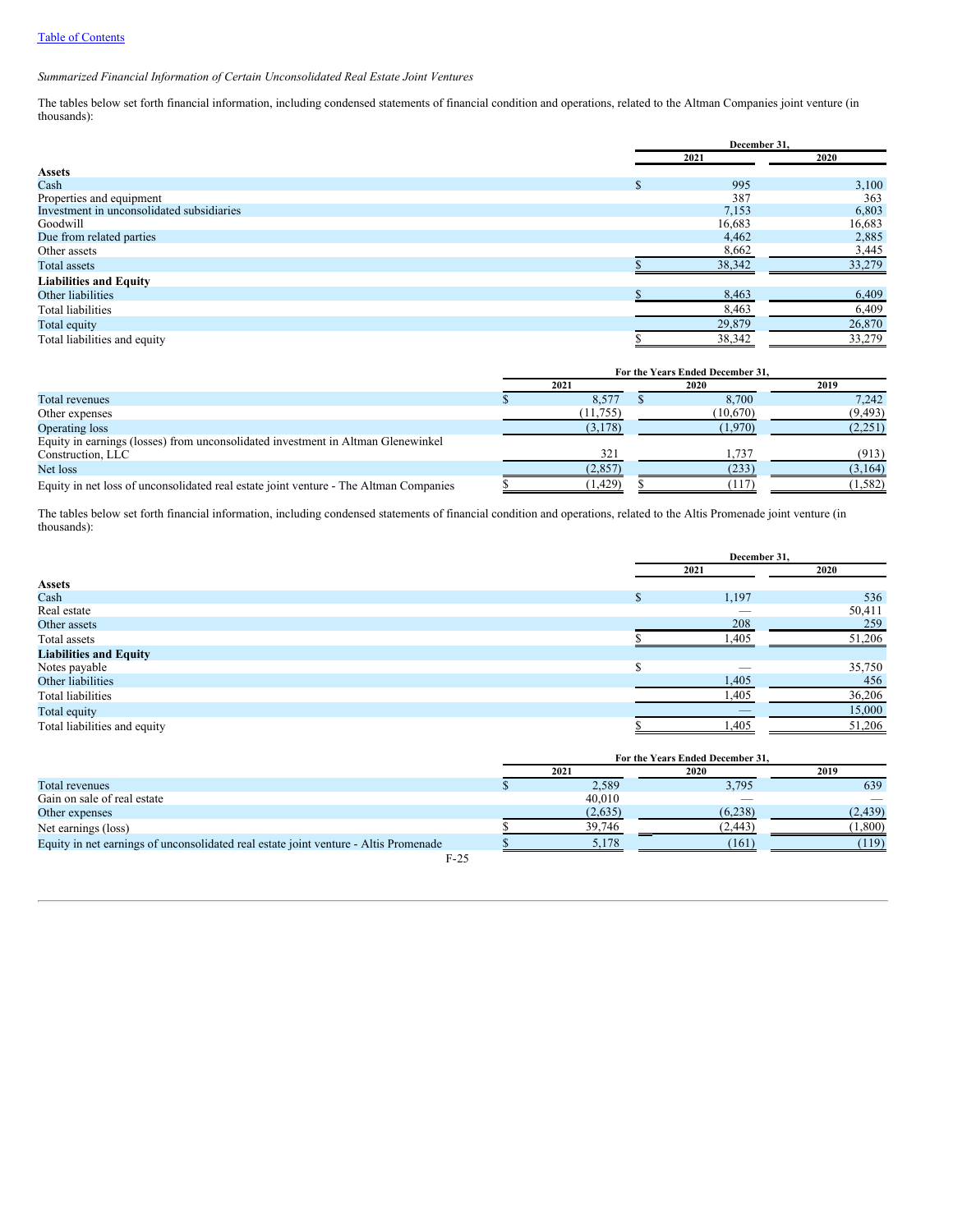*Summarized Financial Information of Certain Unconsolidated Real Estate Joint Ventures*

The tables below set forth financial information, including condensed statements of financial condition and operations, related to the Altman Companies joint venture (in thousands):

|                                           | December 31. |        |  |
|-------------------------------------------|--------------|--------|--|
|                                           | 2021         | 2020   |  |
| <b>Assets</b>                             |              |        |  |
| Cash                                      | 995          | 3,100  |  |
| Properties and equipment                  | 387          | 363    |  |
| Investment in unconsolidated subsidiaries | 7,153        | 6,803  |  |
| Goodwill                                  | 16,683       | 16,683 |  |
| Due from related parties                  | 4,462        | 2,885  |  |
| Other assets                              | 8,662        | 3,445  |  |
| Total assets                              | 38,342       | 33,279 |  |
| <b>Liabilities and Equity</b>             |              |        |  |
| Other liabilities                         | 8,463        | 6,409  |  |
| <b>Total liabilities</b>                  | 8,463        | 6,409  |  |
| Total equity                              | 29,879       | 26,870 |  |
| Total liabilities and equity              | 38,342       | 33,279 |  |

|                                                                                       | For the Years Ended December 31, |           |  |          |          |  |
|---------------------------------------------------------------------------------------|----------------------------------|-----------|--|----------|----------|--|
|                                                                                       |                                  | 2021      |  | 2020     | 2019     |  |
| Total revenues                                                                        |                                  | 8.577     |  | 8.700    | 7.242    |  |
| Other expenses                                                                        |                                  | (11, 755) |  | (10,670) | (9, 493) |  |
| Operating loss                                                                        |                                  | (3,178)   |  | (1.970)  | (2,251)  |  |
| Equity in earnings (losses) from unconsolidated investment in Altman Glenewinkel      |                                  |           |  |          |          |  |
| Construction, LLC                                                                     |                                  | 321       |  | .737     | (913)    |  |
| Net loss                                                                              |                                  | (2,857)   |  | (233)    | (3,164)  |  |
| Equity in net loss of unconsolidated real estate joint venture - The Altman Companies |                                  | (1, 429)  |  |          | (1, 582) |  |

The tables below set forth financial information, including condensed statements of financial condition and operations, related to the Altis Promenade joint venture (in thousands):

|                               | December 31. |        |  |
|-------------------------------|--------------|--------|--|
|                               | 2021         | 2020   |  |
| <b>Assets</b>                 |              |        |  |
| Cash                          | 1,197        | 536    |  |
| Real estate                   | _            | 50,411 |  |
| Other assets                  | 208          | 259    |  |
| Total assets                  | 1,405        | 51,206 |  |
| <b>Liabilities and Equity</b> |              |        |  |
| Notes payable                 | _            | 35,750 |  |
| Other liabilities             | 1,405        | 456    |  |
| Total liabilities             | 1,405        | 36,206 |  |
| Total equity                  |              | 15,000 |  |
| Total liabilities and equity  | 1,405        | 51,206 |  |
|                               |              |        |  |

|                                                                                      | For the Years Ended December 31, |         |          |          |  |
|--------------------------------------------------------------------------------------|----------------------------------|---------|----------|----------|--|
|                                                                                      | 2021                             |         | 2020     | 2019     |  |
| Total revenues                                                                       |                                  | 2.589   | 3,795    | 639      |  |
| Gain on sale of real estate                                                          |                                  | 40.010  |          |          |  |
| Other expenses                                                                       |                                  | (2,635) | (6,238)  | (2, 439) |  |
| Net earnings (loss)                                                                  |                                  | 39,746  | (2, 443) | (1,800)  |  |
| Equity in net earnings of unconsolidated real estate joint venture - Altis Promenade |                                  | 5.178   | (161)    | (119)    |  |
| $F-25$                                                                               |                                  |         |          |          |  |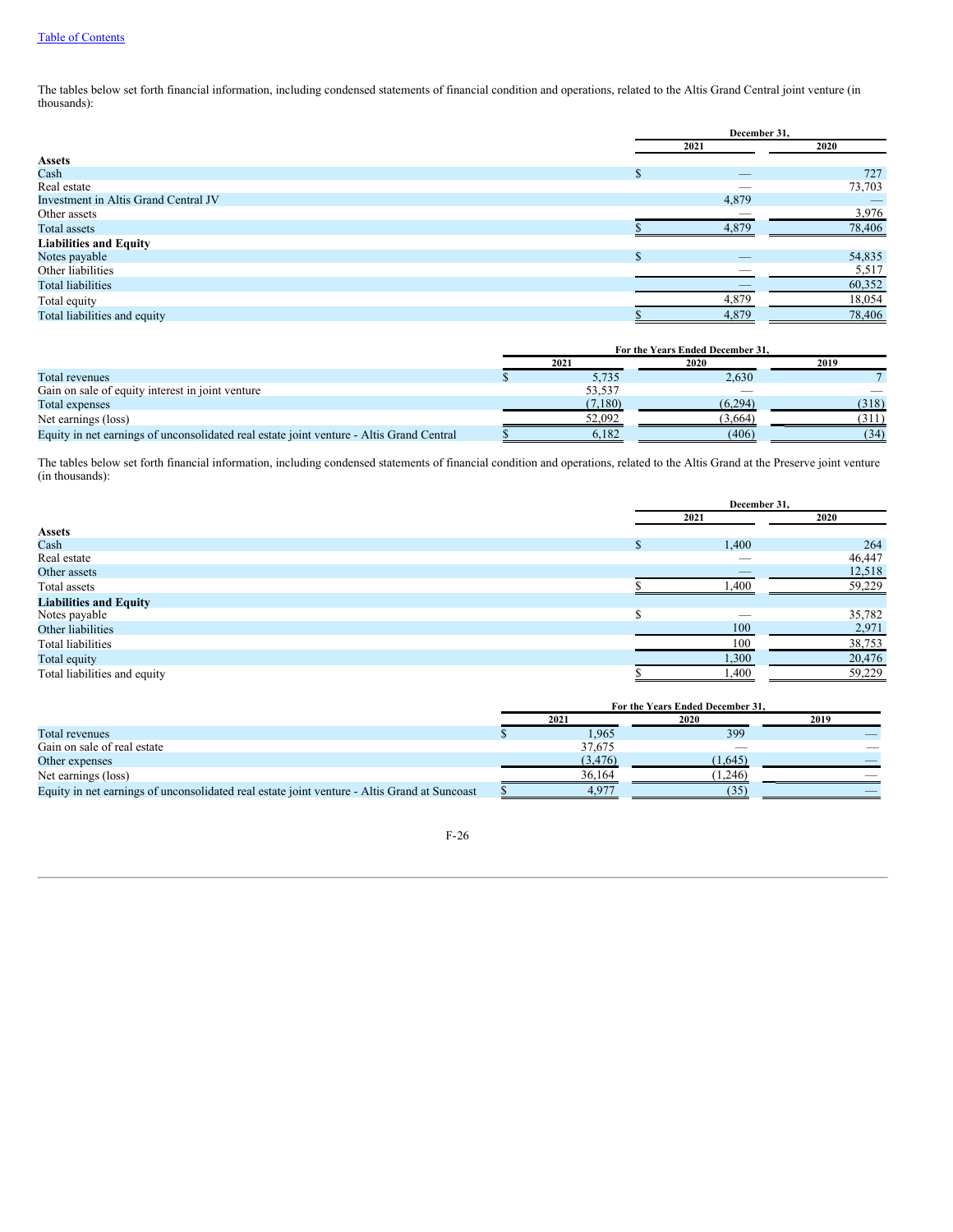The tables below set forth financial information, including condensed statements of financial condition and operations, related to the Altis Grand Central joint venture (in thousands):

|                                      |                | December 31,             |        |  |
|--------------------------------------|----------------|--------------------------|--------|--|
|                                      | 2021           |                          | 2020   |  |
| <b>Assets</b>                        |                |                          |        |  |
| Cash                                 | £.             | $\overline{\phantom{a}}$ | 727    |  |
| Real estate                          |                |                          | 73,703 |  |
| Investment in Altis Grand Central JV |                | 4,879                    |        |  |
| Other assets                         |                |                          | 3,976  |  |
| Total assets                         |                | 4.879                    | 78,406 |  |
| <b>Liabilities and Equity</b>        |                |                          |        |  |
| Notes payable                        | $\sigma$<br>J. | _                        | 54,835 |  |
| Other liabilities                    |                |                          | 5,517  |  |
| <b>Total liabilities</b>             |                |                          | 60,352 |  |
| Total equity                         |                | 4,879                    | 18,054 |  |
| Total liabilities and equity         |                | 4,879                    | 78,406 |  |

|                                                                                          | For the Years Ended December 31. |         |         |       |  |
|------------------------------------------------------------------------------------------|----------------------------------|---------|---------|-------|--|
|                                                                                          |                                  | 2021    | 2019    |       |  |
| Total revenues                                                                           |                                  | 5.735   | 2.630   |       |  |
| Gain on sale of equity interest in joint venture                                         |                                  | 53,537  | __      |       |  |
| Total expenses                                                                           |                                  | (7,180) | (6.294) | (318) |  |
| Net earnings (loss)                                                                      |                                  | 52.092  | (3.664) | (311) |  |
| Equity in net earnings of unconsolidated real estate joint venture - Altis Grand Central |                                  | 6,182   | (406)   | (34)  |  |

The tables below set forth financial information, including condensed statements of financial condition and operations, related to the Altis Grand at the Preserve joint venture (in thousands):

|                               | December 31,             |        |
|-------------------------------|--------------------------|--------|
|                               | 2021                     | 2020   |
| <b>Assets</b>                 |                          |        |
| Cash                          | 1,400                    | 264    |
| Real estate                   | __                       | 46,447 |
| Other assets                  | $\overline{\phantom{a}}$ | 12,518 |
| Total assets                  | ,400                     | 59,229 |
| <b>Liabilities and Equity</b> |                          |        |
| Notes payable                 |                          | 35,782 |
| Other liabilities             | 100                      | 2,971  |
| Total liabilities             | 100                      | 38,753 |
| Total equity                  | 1,300                    | 20,476 |
| Total liabilities and equity  | ,400                     | 59,229 |

|                                                                                              | For the Years Ended December 31. |          |         |      |  |
|----------------------------------------------------------------------------------------------|----------------------------------|----------|---------|------|--|
|                                                                                              |                                  | 2021     | 2020    | 2019 |  |
| Total revenues                                                                               |                                  | 1.965    | 399     |      |  |
| Gain on sale of real estate                                                                  |                                  | 37,675   |         |      |  |
| Other expenses                                                                               |                                  | (3, 476) | (1.645) |      |  |
| Net earnings (loss)                                                                          |                                  | 36,164   | 1,246   |      |  |
| Equity in net earnings of unconsolidated real estate joint venture - Altis Grand at Suncoast |                                  |          |         |      |  |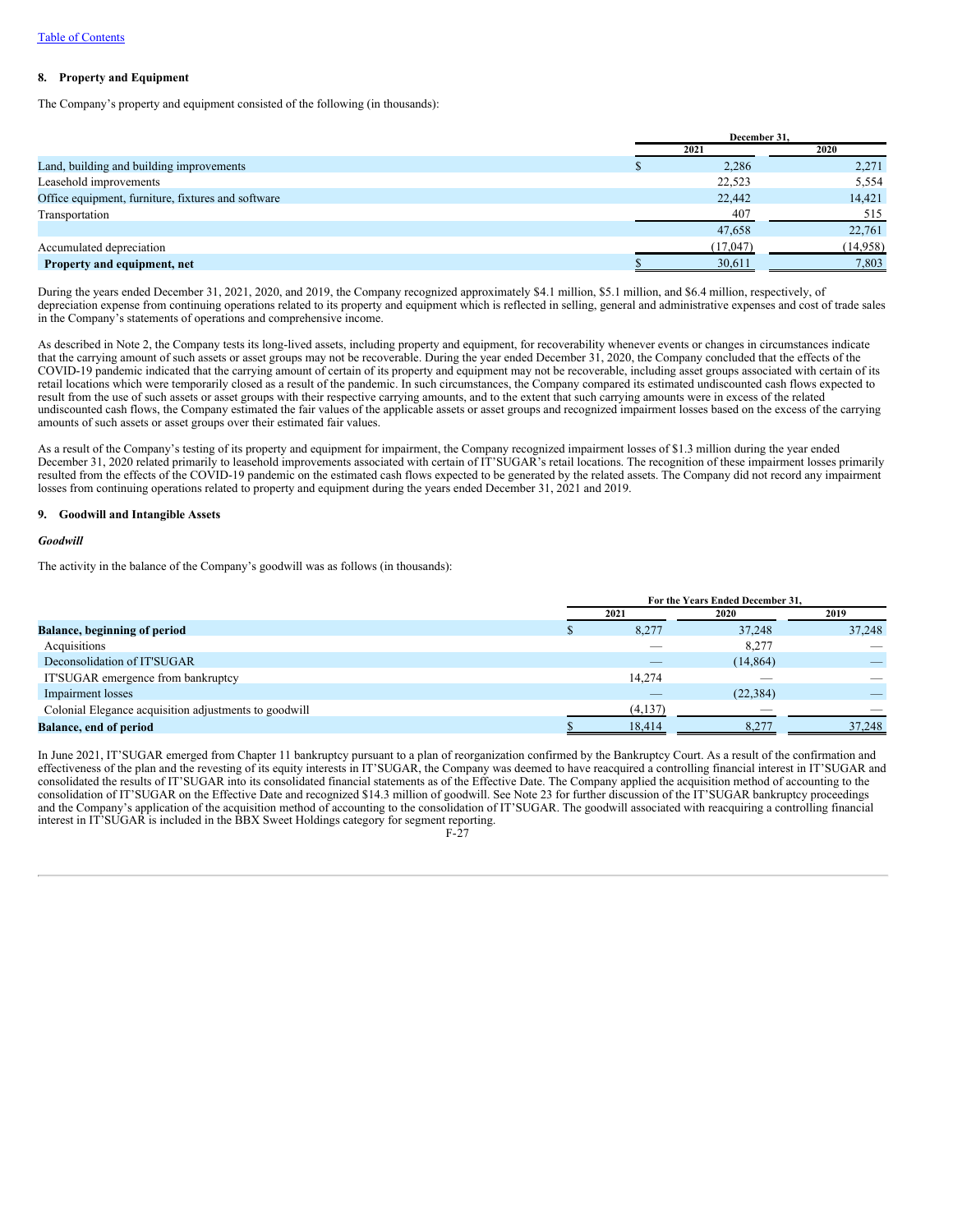## **8. Property and Equipment**

The Company's property and equipment consisted of the following (in thousands):

|                                                    | December 31, |          |  |
|----------------------------------------------------|--------------|----------|--|
|                                                    | 2021         | 2020     |  |
| Land, building and building improvements           | 2,286        | 2,271    |  |
| Leasehold improvements                             | 22,523       | 5,554    |  |
| Office equipment, furniture, fixtures and software | 22,442       | 14,421   |  |
| Transportation                                     | 407          | 515      |  |
|                                                    | 47,658       | 22,761   |  |
| Accumulated depreciation                           | (17,047)     | (14,958) |  |
| Property and equipment, net                        | 30,611       | 7,803    |  |

During the years ended December 31, 2021, 2020, and 2019, the Company recognized approximately \$4.1 million, \$5.1 million, and \$6.4 million, respectively, of depreciation expense from continuing operations related to its property and equipment which is reflected in selling, general and administrative expenses and cost of trade sales in the Company's statements of operations and comprehensive income.

As described in Note 2, the Company tests its long-lived assets, including property and equipment, for recoverability whenever events or changes in circumstances indicate that the carrying amount of such assets or asset groups may not be recoverable. During the year ended December 31, 2020, the Company concluded that the effects of the COVID-19 pandemic indicated that the carrying amount of certain of its property and equipment may not be recoverable, including asset groups associated with certain of its retail locations which were temporarily closed as a result of the pandemic. In such circumstances, the Company compared its estimated undiscounted cash flows expected to result from the use of such assets or asset groups with their respective carrying amounts, and to the extent that such carrying amounts were in excess of the related undiscounted cash flows, the Company estimated the fair values of the applicable assets or asset groups and recognized impairment losses based on the excess of the carrying amounts of such assets or asset groups over their estimated fair values.

As a result of the Company's testing of its property and equipment for impairment, the Company recognized impairment losses of \$1.3 million during the year ended December 31, 2020 related primarily to leasehold improvements associated with certain of IT'SUGAR's retail locations. The recognition of these impairment losses primarily resulted from the effects of the COVID-19 pandemic on the estimated cash flows expected to be generated by the related assets. The Company did not record any impairment losses from continuing operations related to property and equipment during the years ended December 31, 2021 and 2019.

## **9. Goodwill and Intangible Assets**

#### *Goodwill*

The activity in the balance of the Company's goodwill was as follows (in thousands):

|                                                       | For the Years Ended December 31, |         |                          |        |  |
|-------------------------------------------------------|----------------------------------|---------|--------------------------|--------|--|
|                                                       |                                  | 2021    | 2020                     | 2019   |  |
| <b>Balance, beginning of period</b>                   |                                  | 8,277   | 37,248                   | 37,248 |  |
| Acquisitions                                          |                                  |         | 8,277                    |        |  |
| Deconsolidation of IT'SUGAR                           |                                  |         | (14, 864)                |        |  |
| IT'SUGAR emergence from bankruptcy                    |                                  | 14,274  | $\overline{\phantom{a}}$ |        |  |
| Impairment losses                                     |                                  | _       | (22, 384)                |        |  |
| Colonial Elegance acquisition adjustments to goodwill |                                  | (4,137) | $-$                      |        |  |
| <b>Balance, end of period</b>                         |                                  | 18,414  |                          | 37,248 |  |

In June 2021, IT'SUGAR emerged from Chapter 11 bankruptcy pursuant to a plan of reorganization confirmed by the Bankruptcy Court. As a result of the confirmation and effectiveness of the plan and the revesting of its equity interests in IT'SUGAR, the Company was deemed to have reacquired a controlling financial interest in IT'SUGAR and consolidated the results of IT'SUGAR into its consolidated financial statements as of the Effective Date. The Company applied the acquisition method of accounting to the consolidation of IT'SUGAR on the Effective Date and recognized \$14.3 million of goodwill. See Note 23 for further discussion of the IT'SUGAR bankruptcy proceedings and the Company's application of the acquisition method of accounting to the consolidation of IT'SUGAR. The goodwill associated with reacquiring a controlling financial interest in IT'SUGAR is included in the BBX Sweet Holdings category for segment reporting. F-27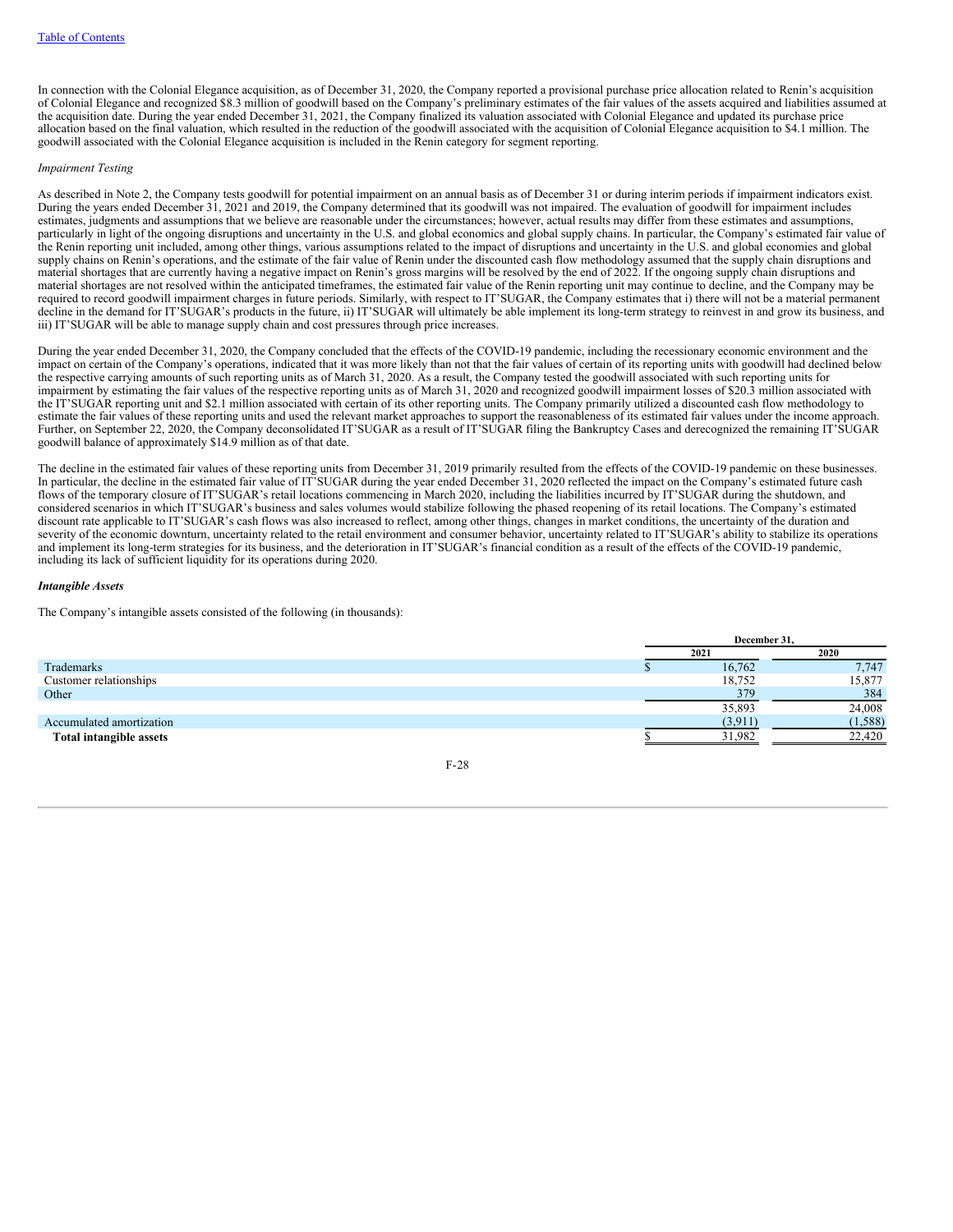In connection with the Colonial Elegance acquisition, as of December 31, 2020, the Company reported a provisional purchase price allocation related to Renin's acquisition of Colonial Elegance and recognized \$8.3 million of goodwill based on the Company's preliminary estimates of the fair values of the assets acquired and liabilities assumed at the acquisition date. During the year ended December 31, 2021, the Company finalized its valuation associated with Colonial Elegance and updated its purchase price allocation based on the final valuation, which resulted in the reduction of the goodwill associated with the acquisition of Colonial Elegance acquisition to \$4.1 million. The goodwill associated with the Colonial Elegance acquisition is included in the Renin category for segment reporting.

## *Impairment Testing*

As described in Note 2, the Company tests goodwill for potential impairment on an annual basis as of December 31 or during interim periods if impairment indicators exist. During the years ended December 31, 2021 and 2019, the Company determined that its goodwill was not impaired. The evaluation of goodwill for impairment includes estimates, judgments and assumptions that we believe are reasonable under the circumstances; however, actual results may differ from these estimates and assumptions, particularly in light of the ongoing disruptions and uncertainty in the U.S. and global economics and global supply chains. In particular, the Company's estimated fair value of the Renin reporting unit included, among other things, various assumptions related to the impact of disruptions and uncertainty in the U.S. and global economies and global supply chains on Renin's operations, and the estimate of the fair value of Renin under the discounted cash flow methodology assumed that the supply chain disruptions and material shortages that are currently having a negative impact on Renin's gross margins will be resolved by the end of 2022. If the ongoing supply chain disruptions and material shortages are not resolved within the anticipated timeframes, the estimated fair value of the Renin reporting unit may continue to decline, and the Company may be required to record goodwill impairment charges in future periods. Similarly, with respect to IT'SUGAR, the Company estimates that i) there will not be a material permanent decline in the demand for IT'SUGAR's products in the future, ii) IT'SUGAR will ultimately be able implement its long-term strategy to reinvest in and grow its business, and iii) IT'SUGAR will be able to manage supply chain and cost pressures through price increases.

During the year ended December 31, 2020, the Company concluded that the effects of the COVID-19 pandemic, including the recessionary economic environment and the impact on certain of the Company's operations, indicated that it was more likely than not that the fair values of certain of its reporting units with goodwill had declined below the respective carrying amounts of such reporting units as of March 31, 2020. As a result, the Company tested the goodwill associated with such reporting units for impairment by estimating the fair values of the respective reporting units as of March 31, 2020 and recognized goodwill impairment losses of \$20.3 million associated with the IT'SUGAR reporting unit and \$2.1 million associated with certain of its other reporting units. The Company primarily utilized a discounted cash flow methodology to estimate the fair values of these reporting units and used the relevant market approaches to support the reasonableness of its estimated fair values under the income approach. Further, on September 22, 2020, the Company deconsolidated IT'SUGAR as a result of IT'SUGAR filing the Bankruptcy Cases and derecognized the remaining IT'SUGAR goodwill balance of approximately \$14.9 million as of that date.

The decline in the estimated fair values of these reporting units from December 31, 2019 primarily resulted from the effects of the COVID-19 pandemic on these businesses. In particular, the decline in the estimated fair value of IT'SUGAR during the year ended December 31, 2020 reflected the impact on the Company's estimated future cash flows of the temporary closure of IT'SUGAR's retail locations commencing in March 2020, including the liabilities incurred by IT'SUGAR during the shutdown, and considered scenarios in which IT'SUGAR's business and sales volumes would stabilize following the phased reopening of its retail locations. The Company's estimated discount rate applicable to IT'SUGAR's cash flows was also increased to reflect, among other things, changes in market conditions, the uncertainty of the duration and severity of the economic downturn, uncertainty related to the retail environment and consumer behavior, uncertainty related to IT'SUGAR's ability to stabilize its operations and implement its long-term strategies for its business, and the deterioration in IT'SUGAR's financial condition as a result of the effects of the COVID-19 pandemic, including its lack of sufficient liquidity for its operations during 2020.

#### *Intangible Assets*

The Company's intangible assets consisted of the following (in thousands):

|                          | December 31, |          |  |  |
|--------------------------|--------------|----------|--|--|
|                          | 2021         | 2020     |  |  |
| Trademarks               | 16,762       | 7,747    |  |  |
| Customer relationships   | 18,752       | 15,877   |  |  |
| Other                    | 379          | 384      |  |  |
|                          | 35,893       | 24,008   |  |  |
| Accumulated amortization | (3,911)      | (1, 588) |  |  |
| Total intangible assets  | 31.982       | 22,420   |  |  |

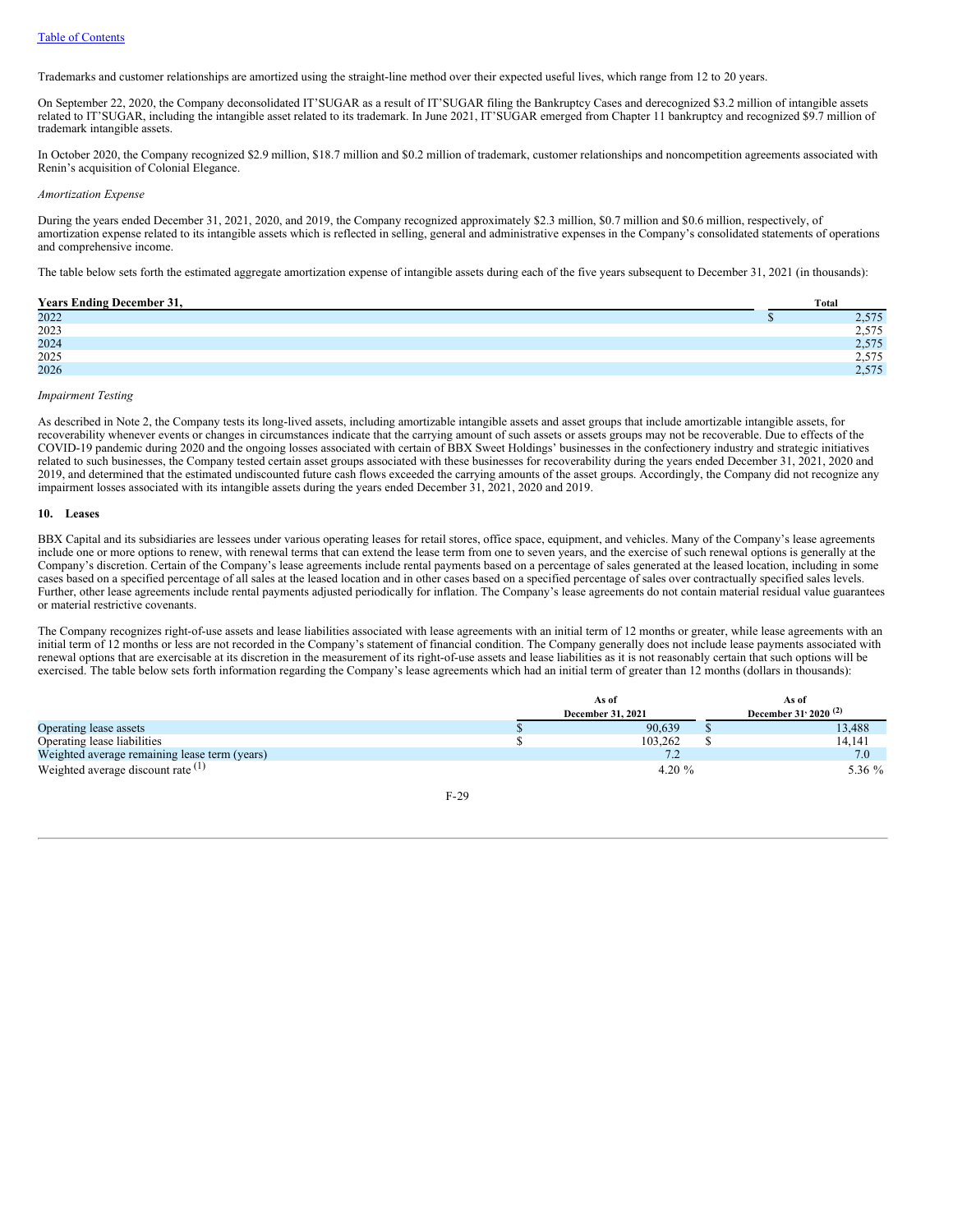Trademarks and customer relationships are amortized using the straight-line method over their expected useful lives, which range from 12 to 20 years.

On September 22, 2020, the Company deconsolidated IT'SUGAR as a result of IT'SUGAR filing the Bankruptcy Cases and derecognized \$3.2 million of intangible assets related to IT'SUGAR, including the intangible asset related to its trademark. In June 2021, IT'SUGAR emerged from Chapter 11 bankruptcy and recognized \$9.7 million of trademark intangible assets.

In October 2020, the Company recognized \$2.9 million, \$18.7 million and \$0.2 million of trademark, customer relationships and noncompetition agreements associated with Renin's acquisition of Colonial Elegance.

#### *Amortization Expense*

During the years ended December 31, 2021, 2020, and 2019, the Company recognized approximately \$2.3 million, \$0.7 million and \$0.6 million, respectively, of amortization expense related to its intangible assets which is reflected in selling, general and administrative expenses in the Company's consolidated statements of operations and comprehensive income.

The table below sets forth the estimated aggregate amortization expense of intangible assets during each of the five years subsequent to December 31, 2021 (in thousands):

#### **Years Ending December 31, Total**

| rears Enume December 31, | TULAI              |
|--------------------------|--------------------|
| 2022                     | E7E<br>ر ر د ک     |
| 2023                     | 575<br>ر رود       |
| 2024                     | $E \pi E$<br>2.919 |
| 2025                     | $- - -$<br>ر رود   |
| 2026                     | $E \pi E$<br>2.919 |
|                          |                    |

#### *Impairment Testing*

As described in Note 2, the Company tests its long-lived assets, including amortizable intangible assets and asset groups that include amortizable intangible assets, for recoverability whenever events or changes in circumstances indicate that the carrying amount of such assets or assets groups may not be recoverable. Due to effects of the COVID-19 pandemic during 2020 and the ongoing losses associated with certain of BBX Sweet Holdings' businesses in the confectionery industry and strategic initiatives related to such businesses, the Company tested certain asset groups associated with these businesses for recoverability during the years ended December 31, 2021, 2020 and 2019, and determined that the estimated undiscounted future cash flows exceeded the carrying amounts of the asset groups. Accordingly, the Company did not recognize any impairment losses associated with its intangible assets during the years ended December 31, 2021, 2020 and 2019.

#### **10. Leases**

BBX Capital and its subsidiaries are lessees under various operating leases for retail stores, office space, equipment, and vehicles. Many of the Company's lease agreements include one or more options to renew, with renewal terms that can extend the lease term from one to seven years, and the exercise of such renewal options is generally at the Company's discretion. Certain of the Company's lease agreements include rental payments based on a percentage of sales generated at the leased location, including in some cases based on a specified percentage of all sales at the leased location and in other cases based on a specified percentage of sales over contractually specified sales levels. Further, other lease agreements include rental payments adjusted periodically for inflation. The Company's lease agreements do not contain material residual value guarantees or material restrictive covenants.

The Company recognizes right-of-use assets and lease liabilities associated with lease agreements with an initial term of 12 months or greater, while lease agreements with an initial term of 12 months or less are not recorded in the Company's statement of financial condition. The Company generally does not include lease payments associated with renewal options that are exercisable at its discretion in the measurement of its right-of-use assets and lease liabilities as it is not reasonably certain that such options will be exercised. The table below sets forth information regarding the Company's lease agreements which had an initial term of greater than 12 months (dollars in thousands):

|                                               | As of                    | As of                            |
|-----------------------------------------------|--------------------------|----------------------------------|
|                                               | <b>December 31, 2021</b> | December 31' 2020 <sup>(2)</sup> |
| Operating lease assets                        | 90.639                   | 13.488                           |
| Operating lease liabilities                   | 103.262                  | 14.141                           |
| Weighted average remaining lease term (years) | ے ،                      | 7.0                              |
| Weighted average discount rate $(1)$          | 4.20 $%$                 | 5.36 %                           |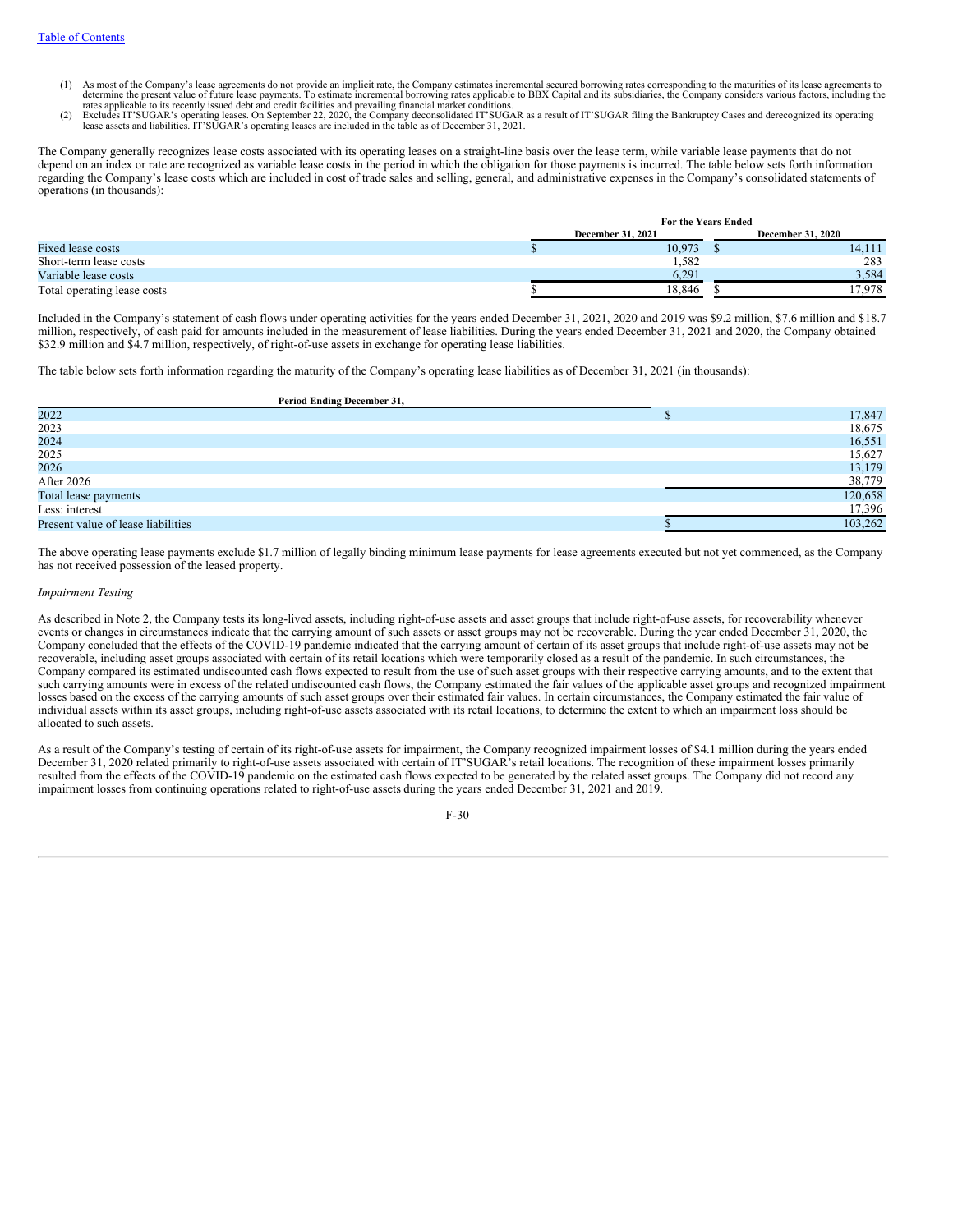- (1) As most of the Company's lease agreements do not provide an implicit rate, the Company estimates incremental secured borrowing rates corresponding to the maturities of its lease agreements to determine the present valu
- rates applicable to its recently issued debt and credit facilities and prevailing financial market conditions.<br>(2) Excludes IT'SUGAR's operating leases. On September 22, 2020, the Company deconsolidated IT'SUGAR as a resul lease assets and liabilities. IT'SUGAR's operating leases are included in the table as of December 31, 2021.

The Company generally recognizes lease costs associated with its operating leases on a straight-line basis over the lease term, while variable lease payments that do not depend on an index or rate are recognized as variable lease costs in the period in which the obligation for those payments is incurred. The table below sets forth information regarding the Company's lease costs which are included in cost of trade sales and selling, general, and administrative expenses in the Company's consolidated statements of operations (in thousands):

|                             | For the Years Ended      |  |                          |  |
|-----------------------------|--------------------------|--|--------------------------|--|
|                             | <b>December 31, 2021</b> |  | <b>December 31, 2020</b> |  |
| Fixed lease costs           | 10.973                   |  | 14.111                   |  |
| Short-term lease costs      | 1,582                    |  | 283                      |  |
| Variable lease costs        | 6.291                    |  | 3,584                    |  |
| Total operating lease costs | 18.846                   |  | 17.978                   |  |

Included in the Company's statement of cash flows under operating activities for the years ended December 31, 2021, 2020 and 2019 was \$9.2 million, \$7.6 million and \$18.7 million, respectively, of cash paid for amounts included in the measurement of lease liabilities. During the years ended December 31, 2021 and 2020, the Company obtained \$32.9 million and \$4.7 million, respectively, of right-of-use assets in exchange for operating lease liabilities.

The table below sets forth information regarding the maturity of the Company's operating lease liabilities as of December 31, 2021 (in thousands):

| Period Ending December 31,         |         |
|------------------------------------|---------|
| 2022                               | 17,847  |
| 2023                               | 18,675  |
| 2024                               | 16,551  |
| 2025                               | 15,627  |
| 2026                               | 13,179  |
| After 2026                         | 38,779  |
| Total lease payments               | 120,658 |
| Less: interest                     | 17,396  |
| Present value of lease liabilities | 103,262 |

The above operating lease payments exclude \$1.7 million of legally binding minimum lease payments for lease agreements executed but not yet commenced, as the Company has not received possession of the leased property.

#### *Impairment Testing*

As described in Note 2, the Company tests its long-lived assets, including right-of-use assets and asset groups that include right-of-use assets, for recoverability whenever events or changes in circumstances indicate that the carrying amount of such assets or asset groups may not be recoverable. During the year ended December 31, 2020, the Company concluded that the effects of the COVID-19 pandemic indicated that the carrying amount of certain of its asset groups that include right-of-use assets may not be recoverable, including asset groups associated with certain of its retail locations which were temporarily closed as a result of the pandemic. In such circumstances, the Company compared its estimated undiscounted cash flows expected to result from the use of such asset groups with their respective carrying amounts, and to the extent that such carrying amounts were in excess of the related undiscounted cash flows, the Company estimated the fair values of the applicable asset groups and recognized impairment losses based on the excess of the carrying amounts of such asset groups over their estimated fair values. In certain circumstances, the Company estimated the fair value of individual assets within its asset groups, including right-of-use assets associated with its retail locations, to determine the extent to which an impairment loss should be allocated to such assets.

As a result of the Company's testing of certain of its right-of-use assets for impairment, the Company recognized impairment losses of \$4.1 million during the years ended December 31, 2020 related primarily to right-of-use assets associated with certain of IT'SUGAR's retail locations. The recognition of these impairment losses primarily resulted from the effects of the COVID-19 pandemic on the estimated cash flows expected to be generated by the related asset groups. The Company did not record any impairment losses from continuing operations related to right-of-use assets during the years ended December 31, 2021 and 2019.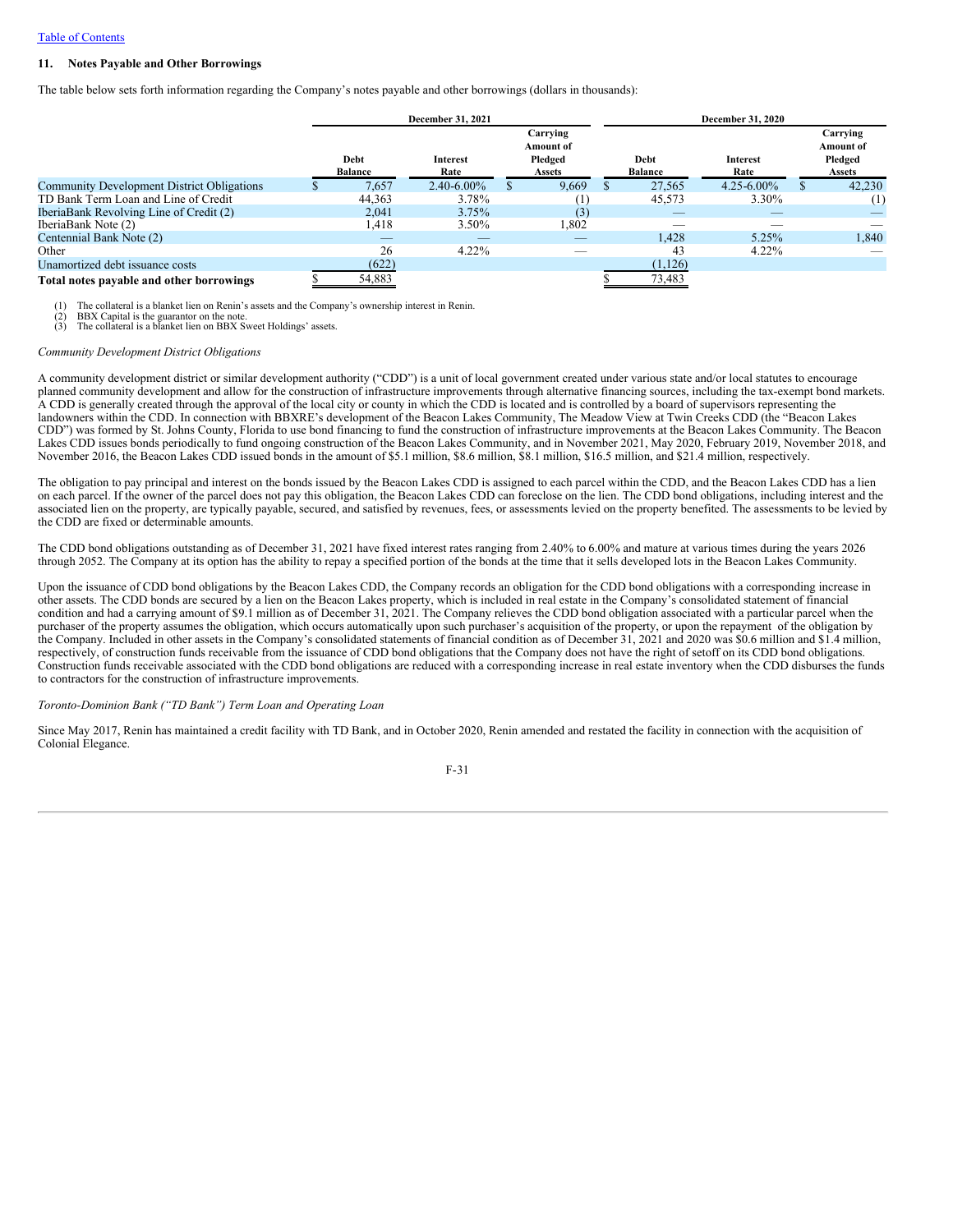## **11. Notes Payable and Other Borrowings**

The table below sets forth information regarding the Company's notes payable and other borrowings (dollars in thousands):

|                                                   | <b>December 31, 2021</b>      |                         |  |                                                          |                        | <b>December 31, 2020</b> |                                                          |
|---------------------------------------------------|-------------------------------|-------------------------|--|----------------------------------------------------------|------------------------|--------------------------|----------------------------------------------------------|
|                                                   | <b>Debt</b><br><b>Balance</b> | <b>Interest</b><br>Rate |  | Carrying<br><b>Amount of</b><br>Pledged<br><b>Assets</b> | Debt<br><b>Balance</b> | Interest<br>Rate         | Carrying<br><b>Amount</b> of<br>Pledged<br><b>Assets</b> |
| <b>Community Development District Obligations</b> | 7.657                         | $2.40 - 6.00\%$         |  | 9.669                                                    | 27.565                 | $4.25 - 6.00\%$          | 42,230                                                   |
| TD Bank Term Loan and Line of Credit              | 44.363                        | 3.78%                   |  |                                                          | 45,573                 | 3.30%                    | $^{(1)}$                                                 |
| IberiaBank Revolving Line of Credit (2)           | 2.041                         | 3.75%                   |  | (3)                                                      |                        |                          |                                                          |
| IberiaBank Note (2)                               | 1,418                         | 3.50%                   |  | 1,802                                                    |                        |                          |                                                          |
| Centennial Bank Note (2)                          | _                             |                         |  |                                                          | 1.428                  | 5.25%                    | 1,840                                                    |
| Other                                             | 26                            | $4.22\%$                |  | $\overline{\phantom{a}}$                                 | 43                     | $4.22\%$                 |                                                          |
| Unamortized debt issuance costs                   | (622)                         |                         |  |                                                          | (1,126)                |                          |                                                          |
| Total notes navable and other borrowings          | 54 883                        |                         |  |                                                          | 73 483                 |                          |                                                          |

#### **Total notes payable and other borrowings** \$ 54,883 \$ 73,483

The collateral is a blanket lien on Renin's assets and the Company's ownership interest in Renin.

 $(2)$  BBX Capital is the guarantor on the note.<br>(3) The collateral is a blanket lien on BBX S The collateral is a blanket lien on BBX Sweet Holdings' assets.

#### *Community Development District Obligations*

A community development district or similar development authority ("CDD") is a unit of local government created under various state and/or local statutes to encourage planned community development and allow for the construction of infrastructure improvements through alternative financing sources, including the tax-exempt bond markets. A CDD is generally created through the approval of the local city or county in which the CDD is located and is controlled by a board of supervisors representing the landowners within the CDD. In connection with BBXRE's development of the Beacon Lakes Community, The Meadow View at Twin Creeks CDD (the "Beacon Lakes CDD") was formed by St. Johns County, Florida to use bond financing to fund the construction of infrastructure improvements at the Beacon Lakes Community. The Beacon Lakes CDD issues bonds periodically to fund ongoing construction of the Beacon Lakes Community, and in November 2021, May 2020, February 2019, November 2018, and November 2016, the Beacon Lakes CDD issued bonds in the amount of \$5.1 million, \$8.6 million, \$8.1 million, \$16.5 million, and \$21.4 million, respectively.

The obligation to pay principal and interest on the bonds issued by the Beacon Lakes CDD is assigned to each parcel within the CDD, and the Beacon Lakes CDD has a lien on each parcel. If the owner of the parcel does not pay this obligation, the Beacon Lakes CDD can foreclose on the lien. The CDD bond obligations, including interest and the associated lien on the property, are typically payable, secured, and satisfied by revenues, fees, or assessments levied on the property benefited. The assessments to be levied by the CDD are fixed or determinable amounts.

The CDD bond obligations outstanding as of December 31, 2021 have fixed interest rates ranging from 2.40% to 6.00% and mature at various times during the years 2026 through 2052. The Company at its option has the ability to repay a specified portion of the bonds at the time that it sells developed lots in the Beacon Lakes Community.

Upon the issuance of CDD bond obligations by the Beacon Lakes CDD, the Company records an obligation for the CDD bond obligations with a corresponding increase in other assets. The CDD bonds are secured by a lien on the Beacon Lakes property, which is included in real estate in the Company's consolidated statement of financial condition and had a carrying amount of \$9.1 million as of December 31, 2021. The Company relieves the CDD bond obligation associated with a particular parcel when the purchaser of the property assumes the obligation, which occurs automatically upon such purchaser's acquisition of the property, or upon the repayment of the obligation by the Company. Included in other assets in the Company's consolidated statements of financial condition as of December 31, 2021 and 2020 was \$0.6 million and \$1.4 million, respectively, of construction funds receivable from the issuance of CDD bond obligations that the Company does not have the right of setoff on its CDD bond obligations. Construction funds receivable associated with the CDD bond obligations are reduced with a corresponding increase in real estate inventory when the CDD disburses the funds to contractors for the construction of infrastructure improvements.

#### *Toronto-Dominion Bank ("TD Bank") Term Loan and Operating Loan*

Since May 2017, Renin has maintained a credit facility with TD Bank, and in October 2020, Renin amended and restated the facility in connection with the acquisition of Colonial Elegance.

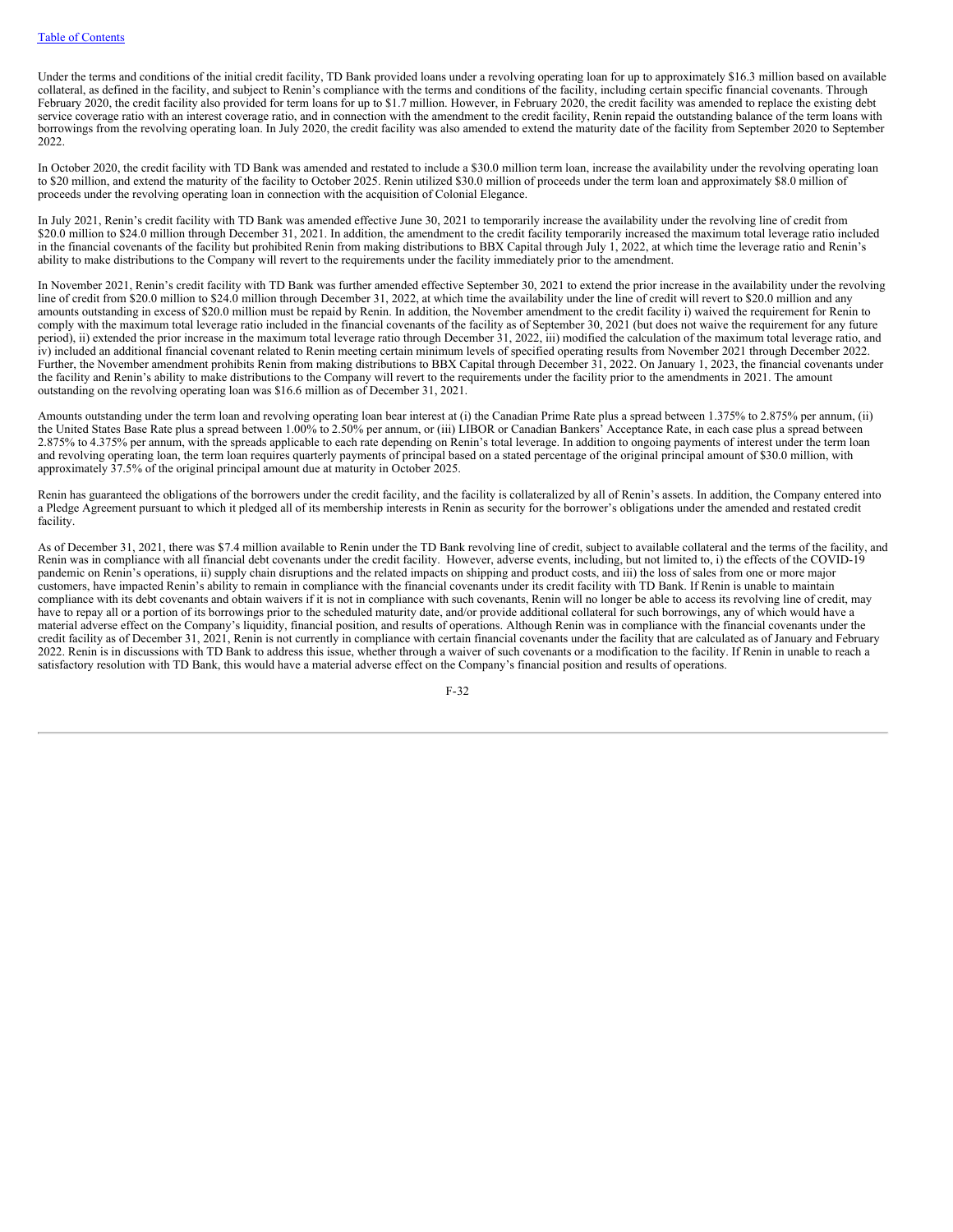Under the terms and conditions of the initial credit facility, TD Bank provided loans under a revolving operating loan for up to approximately \$16.3 million based on available collateral, as defined in the facility, and subject to Renin's compliance with the terms and conditions of the facility, including certain specific financial covenants. Through February 2020, the credit facility also provided for term loans for up to \$1.7 million. However, in February 2020, the credit facility was amended to replace the existing debt service coverage ratio with an interest coverage ratio, and in connection with the amendment to the credit facility, Renin repaid the outstanding balance of the term loans with borrowings from the revolving operating loan. In July 2020, the credit facility was also amended to extend the maturity date of the facility from September 2020 to September 2022.

In October 2020, the credit facility with TD Bank was amended and restated to include a \$30.0 million term loan, increase the availability under the revolving operating loan to \$20 million, and extend the maturity of the facility to October 2025. Renin utilized \$30.0 million of proceeds under the term loan and approximately \$8.0 million of proceeds under the revolving operating loan in connection with the acquisition of Colonial Elegance.

In July 2021, Renin's credit facility with TD Bank was amended effective June 30, 2021 to temporarily increase the availability under the revolving line of credit from \$20.0 million to \$24.0 million through December 31, 2021. In addition, the amendment to the credit facility temporarily increased the maximum total leverage ratio included in the financial covenants of the facility but prohibited Renin from making distributions to BBX Capital through July 1, 2022, at which time the leverage ratio and Renin's ability to make distributions to the Company will revert to the requirements under the facility immediately prior to the amendment.

In November 2021, Renin's credit facility with TD Bank was further amended effective September 30, 2021 to extend the prior increase in the availability under the revolving line of credit from \$20.0 million to \$24.0 million through December 31, 2022, at which time the availability under the line of credit will revert to \$20.0 million and any amounts outstanding in excess of \$20.0 million must be repaid by Renin. In addition, the November amendment to the credit facility i) waived the requirement for Renin to comply with the maximum total leverage ratio included in the financial covenants of the facility as of September 30, 2021 (but does not waive the requirement for any future period), ii) extended the prior increase in the maximum total leverage ratio through December 31, 2022, iii) modified the calculation of the maximum total leverage ratio, and iv) included an additional financial covenant related to Renin meeting certain minimum levels of specified operating results from November 2021 through December 2022. Further, the November amendment prohibits Renin from making distributions to BBX Capital through December 31, 2022. On January 1, 2023, the financial covenants under the facility and Renin's ability to make distributions to the Company will revert to the requirements under the facility prior to the amendments in 2021. The amount outstanding on the revolving operating loan was \$16.6 million as of December 31, 2021.

Amounts outstanding under the term loan and revolving operating loan bear interest at (i) the Canadian Prime Rate plus a spread between 1.375% to 2.875% per annum, (ii) the United States Base Rate plus a spread between 1.00% to 2.50% per annum, or (iii) LIBOR or Canadian Bankers' Acceptance Rate, in each case plus a spread between 2.875% to 4.375% per annum, with the spreads applicable to each rate depending on Renin's total leverage. In addition to ongoing payments of interest under the term loan and revolving operating loan, the term loan requires quarterly payments of principal based on a stated percentage of the original principal amount of \$30.0 million, with approximately 37.5% of the original principal amount due at maturity in October 2025.

Renin has guaranteed the obligations of the borrowers under the credit facility, and the facility is collateralized by all of Renin's assets. In addition, the Company entered into a Pledge Agreement pursuant to which it pledged all of its membership interests in Renin as security for the borrower's obligations under the amended and restated credit facility.

As of December 31, 2021, there was \$7.4 million available to Renin under the TD Bank revolving line of credit, subject to available collateral and the terms of the facility, and Renin was in compliance with all financial debt covenants under the credit facility. However, adverse events, including, but not limited to, i) the effects of the COVID-19 pandemic on Renin's operations, ii) supply chain disruptions and the related impacts on shipping and product costs, and iii) the loss of sales from one or more major customers, have impacted Renin's ability to remain in compliance with the financial covenants under its credit facility with TD Bank. If Renin is unable to maintain compliance with its debt covenants and obtain waivers if it is not in compliance with such covenants, Renin will no longer be able to access its revolving line of credit, may have to repay all or a portion of its borrowings prior to the scheduled maturity date, and/or provide additional collateral for such borrowings, any of which would have a material adverse effect on the Company's liquidity, financial position, and results of operations. Although Renin was in compliance with the financial covenants under the credit facility as of December 31, 2021, Renin is not currently in compliance with certain financial covenants under the facility that are calculated as of January and February 2022. Renin is in discussions with TD Bank to address this issue, whether through a waiver of such covenants or a modification to the facility. If Renin in unable to reach a satisfactory resolution with TD Bank, this would have a material adverse effect on the Company's financial position and results of operations.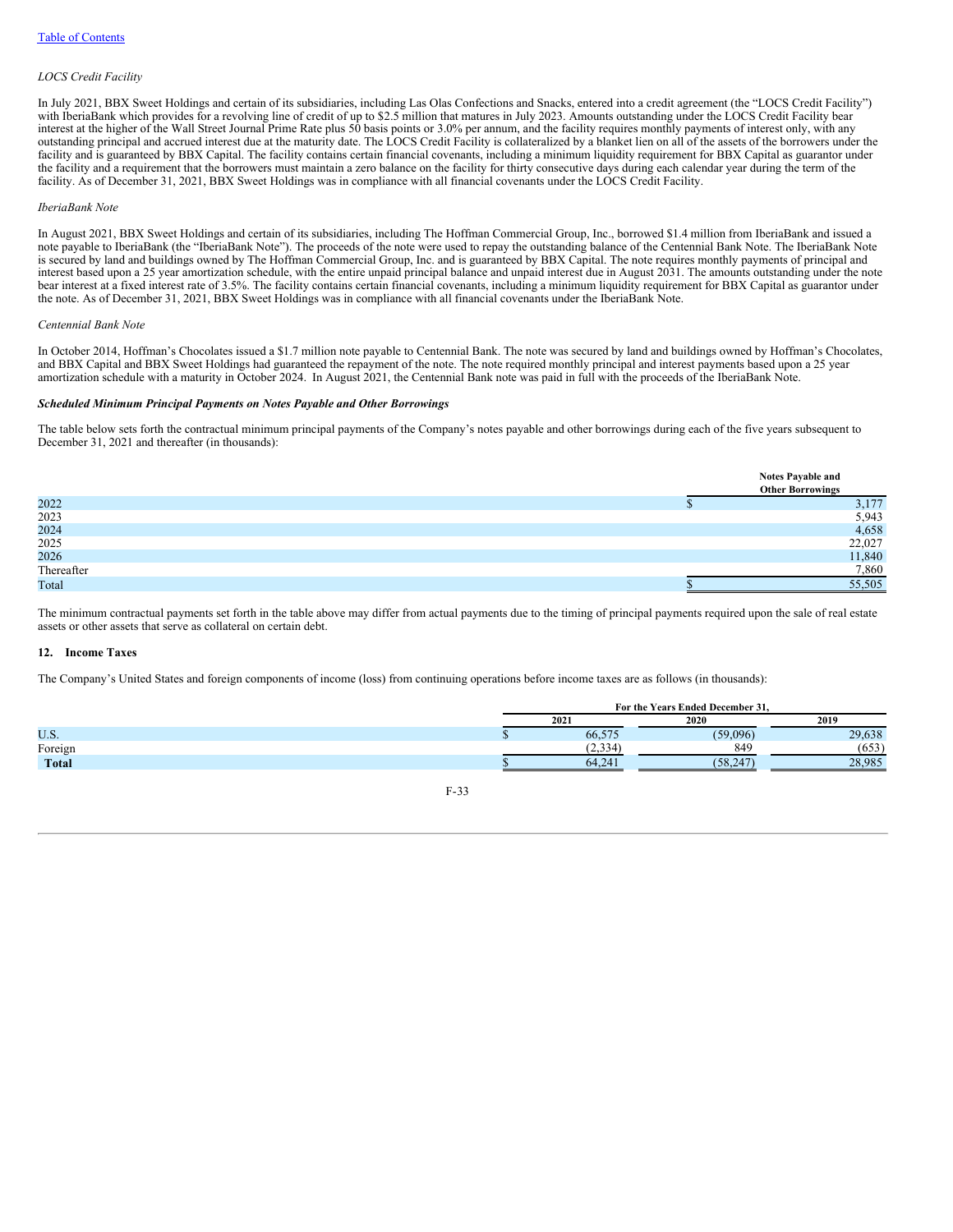### *LOCS Credit Facility*

In July 2021, BBX Sweet Holdings and certain of its subsidiaries, including Las Olas Confections and Snacks, entered into a credit agreement (the "LOCS Credit Facility") with IberiaBank which provides for a revolving line of credit of up to \$2.5 million that matures in July 2023. Amounts outstanding under the LOCS Credit Facility bear interest at the higher of the Wall Street Journal Prime Rate plus 50 basis points or 3.0% per annum, and the facility requires monthly payments of interest only, with any interest at the higher of the Wall Street Journal P outstanding principal and accrued interest due at the maturity date. The LOCS Credit Facility is collateralized by a blanket lien on all of the assets of the borrowers under the facility and is guaranteed by BBX Capital. The facility contains certain financial covenants, including a minimum liquidity requirement for BBX Capital as guarantor under the facility and a requirement that the borrowers must maintain a zero balance on the facility for thirty consecutive days during each calendar year during the term of the facility. As of December 31, 2021, BBX Sweet Holdings was in compliance with all financial covenants under the LOCS Credit Facility.

#### *IberiaBank Note*

In August 2021, BBX Sweet Holdings and certain of its subsidiaries, including The Hoffman Commercial Group, Inc., borrowed \$1.4 million from IberiaBank and issued a note payable to IberiaBank (the "IberiaBank Note"). The proceeds of the note were used to repay the outstanding balance of the Centennial Bank Note. The IberiaBank Note is secured by land and buildings owned by The Hoffman Commercial Group, Inc. and is guaranteed by BBX Capital. The note requires monthly payments of principal and interest based upon a 25 year amortization schedule, with the entire unpaid principal balance and unpaid interest due in August 2031. The amounts outstanding under the note bear interest at a fixed interest rate of 3.5%. The facility contains certain financial covenants, including a minimum liquidity requirement for BBX Capital as guarantor under the note. As of December 31, 2021, BBX Sweet Holdings was in compliance with all financial covenants under the IberiaBank Note.

#### *Centennial Bank Note*

In October 2014, Hoffman's Chocolates issued a \$1.7 million note payable to Centennial Bank. The note was secured by land and buildings owned by Hoffman's Chocolates, and BBX Capital and BBX Sweet Holdings had guaranteed the repayment of the note. The note required monthly principal and interest payments based upon a 25 year amortization schedule with a maturity in October 2024. In August 2021, the Centennial Bank note was paid in full with the proceeds of the IberiaBank Note.

## *Scheduled Minimum Principal Payments on Notes Payable and Other Borrowings*

The table below sets forth the contractual minimum principal payments of the Company's notes payable and other borrowings during each of the five years subsequent to December 31, 2021 and thereafter (in thousands):

|              | <b>Notes Payable and</b> |       |
|--------------|--------------------------|-------|
|              | <b>Other Borrowings</b>  |       |
| 2022         |                          | 3,177 |
| 2023         |                          | 5,943 |
| 2024<br>2025 |                          | 4,658 |
|              | 22,027                   |       |
| 2026         | 11,840                   |       |
| Thereafter   |                          | 7,860 |
| Total        | 55,505                   |       |

The minimum contractual payments set forth in the table above may differ from actual payments due to the timing of principal payments required upon the sale of real estate assets or other assets that serve as collateral on certain debt.

#### **12. Income Taxes**

The Company's United States and foreign components of income (loss) from continuing operations before income taxes are as follows (in thousands):

|              | For the Years Ended December 31. |          |        |  |  |
|--------------|----------------------------------|----------|--------|--|--|
|              | 2021                             | 2019     |        |  |  |
| U.S.         | 66.575                           | (50,006) | 29,638 |  |  |
| Foreign      | 2,334                            | 849      | 653    |  |  |
| <b>Total</b> | 64.24                            | 58.2     | 28.985 |  |  |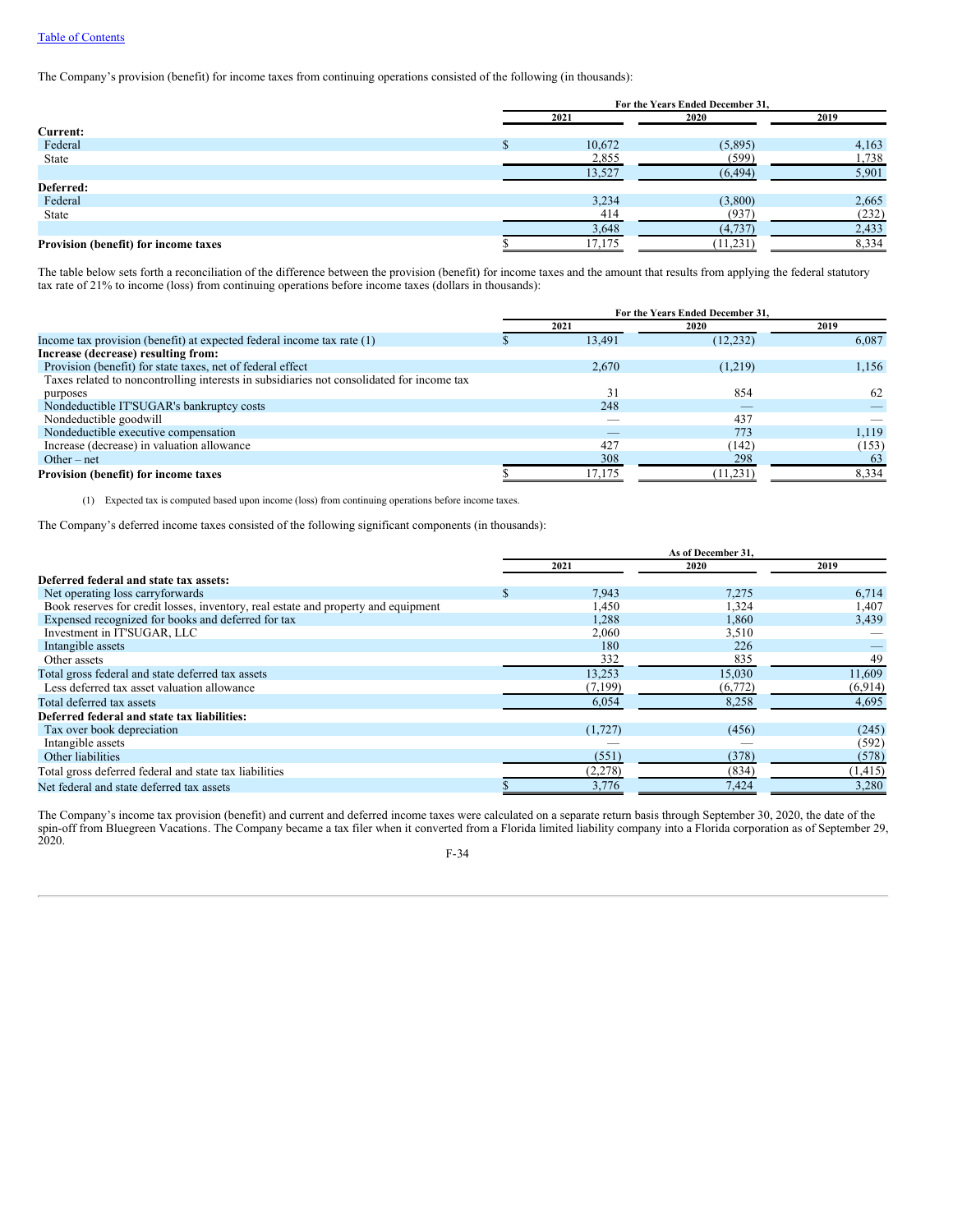The Company's provision (benefit) for income taxes from continuing operations consisted of the following (in thousands):

|                                      | For the Years Ended December 31, |        |           |       |  |  |
|--------------------------------------|----------------------------------|--------|-----------|-------|--|--|
|                                      |                                  | 2021   | 2020      | 2019  |  |  |
| Current:                             |                                  |        |           |       |  |  |
| Federal                              |                                  | 10,672 | (5,895)   | 4,163 |  |  |
| State                                |                                  | 2,855  | (599)     | 1,738 |  |  |
|                                      |                                  | 13,527 | (6, 494)  | 5,901 |  |  |
| Deferred:                            |                                  |        |           |       |  |  |
| Federal                              |                                  | 3,234  | (3,800)   | 2,665 |  |  |
| State                                |                                  | 414    | (937)     | (232) |  |  |
|                                      |                                  | 3,648  | (4,737)   | 2,433 |  |  |
| Provision (benefit) for income taxes |                                  | 17,175 | (11, 231) | 8,334 |  |  |

The table below sets forth a reconciliation of the difference between the provision (benefit) for income taxes and the amount that results from applying the federal statutory tax rate of 21% to income (loss) from continuing operations before income taxes (dollars in thousands):

|                                                                                           | For the Years Ended December 31. |                          |           |       |  |
|-------------------------------------------------------------------------------------------|----------------------------------|--------------------------|-----------|-------|--|
|                                                                                           |                                  | 2021                     | 2020      | 2019  |  |
| Income tax provision (benefit) at expected federal income tax rate (1)                    |                                  | 13.491                   | (12, 232) | 6,087 |  |
| Increase (decrease) resulting from:                                                       |                                  |                          |           |       |  |
| Provision (benefit) for state taxes, net of federal effect                                |                                  | 2.670                    | (1,219)   | 1,156 |  |
| Taxes related to noncontrolling interests in subsidiaries not consolidated for income tax |                                  |                          |           |       |  |
| purposes                                                                                  |                                  | 31                       | 854       | 62    |  |
| Nondeductible IT'SUGAR's bankruptcy costs                                                 |                                  | 248                      | __        |       |  |
| Nondeductible goodwill                                                                    |                                  | $\overline{\phantom{a}}$ | 437       |       |  |
| Nondeductible executive compensation                                                      |                                  |                          | 773       | 1,119 |  |
| Increase (decrease) in valuation allowance                                                |                                  | 427                      | (142)     | (153) |  |
| Other – net                                                                               |                                  | 308                      | 298       | 63    |  |
| Provision (benefit) for income taxes                                                      |                                  | 17,175                   | (11, 231) | 8,334 |  |

(1) Expected tax is computed based upon income (loss) from continuing operations before income taxes.

The Company's deferred income taxes consisted of the following significant components (in thousands):

|                                                                                    | As of December 31. |         |         |          |
|------------------------------------------------------------------------------------|--------------------|---------|---------|----------|
|                                                                                    |                    | 2021    | 2020    | 2019     |
| Deferred federal and state tax assets:                                             |                    |         |         |          |
| Net operating loss carryforwards                                                   |                    | 7,943   | 7,275   | 6,714    |
| Book reserves for credit losses, inventory, real estate and property and equipment |                    | 1,450   | 1,324   | 1,407    |
| Expensed recognized for books and deferred for tax                                 |                    | 1,288   | 1.860   | 3,439    |
| Investment in IT'SUGAR, LLC                                                        |                    | 2,060   | 3,510   |          |
| Intangible assets                                                                  |                    | 180     | 226     |          |
| Other assets                                                                       |                    | 332     | 835     | 49       |
| Total gross federal and state deferred tax assets                                  |                    | 13.253  | 15,030  | 11,609   |
| Less deferred tax asset valuation allowance                                        |                    | (7,199) | (6,772) | (6,914)  |
| Total deferred tax assets                                                          |                    | 6,054   | 8.258   | 4,695    |
| Deferred federal and state tax liabilities:                                        |                    |         |         |          |
| Tax over book depreciation                                                         |                    | (1,727) | (456)   | (245)    |
| Intangible assets                                                                  |                    |         |         | (592)    |
| Other liabilities                                                                  |                    | (551)   | (378)   | (578)    |
| Total gross deferred federal and state tax liabilities                             |                    | (2,278) | (834)   | (1, 415) |
| Net federal and state deferred tax assets                                          |                    | 3,776   | 7.424   | 3,280    |

The Company's income tax provision (benefit) and current and deferred income taxes were calculated on a separate return basis through September 30, 2020, the date of the spin-off from Bluegreen Vacations. The Company became a tax filer when it converted from a Florida limited liability company into a Florida corporation as of September 29, 2020.

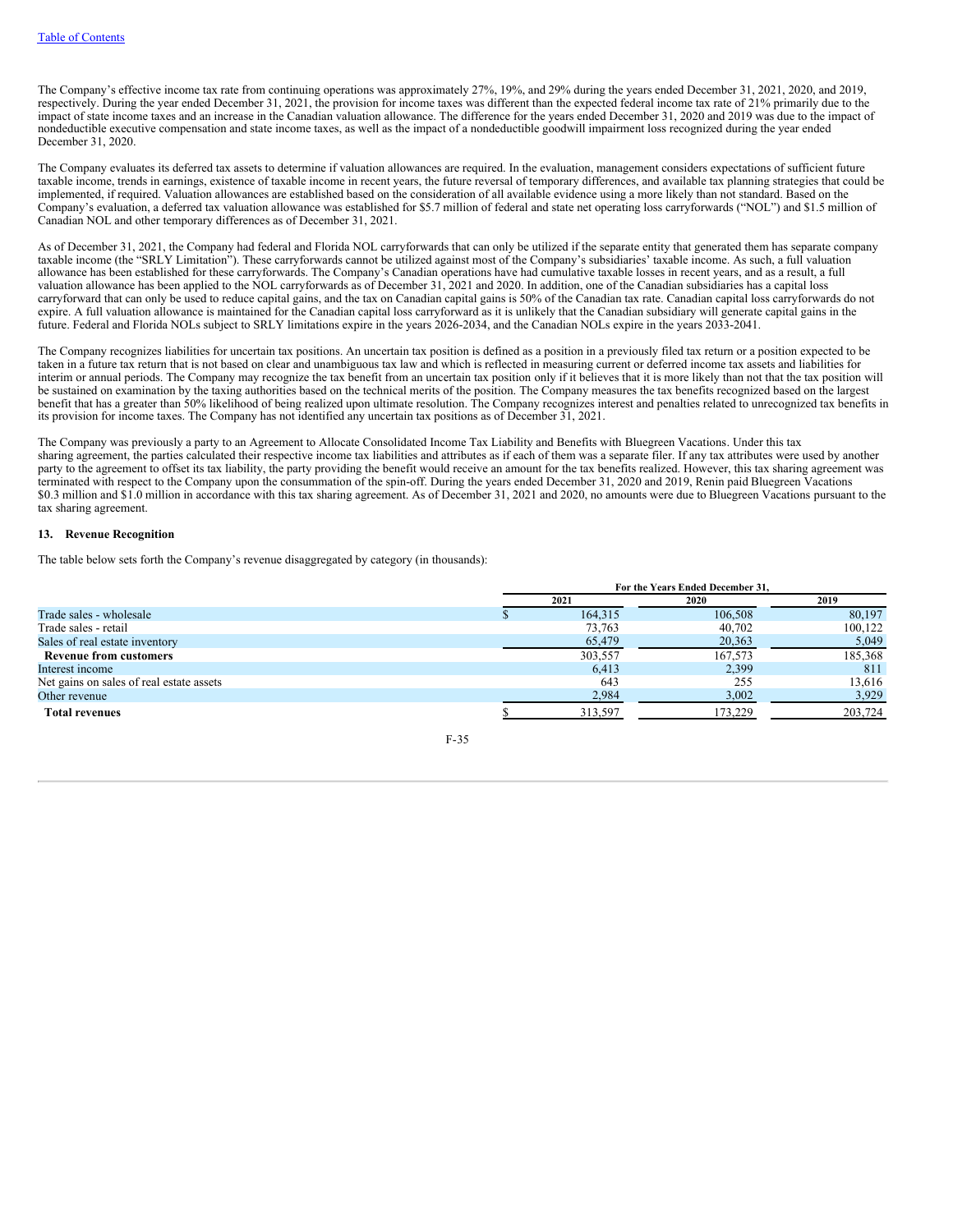The Company's effective income tax rate from continuing operations was approximately 27%, 19%, and 29% during the years ended December 31, 2021, 2020, and 2019, respectively. During the year ended December 31, 2021, the provision for income taxes was different than the expected federal income tax rate of 21% primarily due to the impact of state income taxes and an increase in the Canadian valuation allowance. The difference for the years ended December 31, 2020 and 2019 was due to the impact of nondeductible executive compensation and state income taxes, as well as the impact of a nondeductible goodwill impairment loss recognized during the year ended December 31, 2020.

The Company evaluates its deferred tax assets to determine if valuation allowances are required. In the evaluation, management considers expectations of sufficient future taxable income, trends in earnings, existence of taxable income in recent years, the future reversal of temporary differences, and available tax planning strategies that could be implemented, if required. Valuation allowances are established based on the consideration of all available evidence using a more likely than not standard. Based on the Company's evaluation, a deferred tax valuation allowance was established for \$5.7 million of federal and state net operating loss carryforwards ("NOL") and \$1.5 million of Canadian NOL and other temporary differences as of December 31, 2021.

As of December 31, 2021, the Company had federal and Florida NOL carryforwards that can only be utilized if the separate entity that generated them has separate company taxable income (the "SRLY Limitation"). These carryforwards cannot be utilized against most of the Company's subsidiaries' taxable income. As such, a full valuation allowance has been established for these carryforwards. The Company's Canadian operations have had cumulative taxable losses in recent years, and as a result, a full valuation allowance has been applied to the NOL carryforwards as of December 31, 2021 and 2020. In addition, one of the Canadian subsidiaries has a capital loss carryforward that can only be used to reduce capital gains, and the tax on Canadian capital gains is 50% of the Canadian tax rate. Canadian capital loss carryforwards do not expire. A full valuation allowance is maintained for the Canadian capital loss carryforward as it is unlikely that the Canadian subsidiary will generate capital gains in the future. Federal and Florida NOLs subject to SRLY limitations expire in the years 2026-2034, and the Canadian NOLs expire in the years 2033-2041.

The Company recognizes liabilities for uncertain tax positions. An uncertain tax position is defined as a position in a previously filed tax return or a position expected to be taken in a future tax return that is not based on clear and unambiguous tax law and which is reflected in measuring current or deferred income tax assets and liabilities for interim or annual periods. The Company may recognize the tax benefit from an uncertain tax position only if it believes that it is more likely than not that the tax position will be sustained on examination by the taxing authorities based on the technical merits of the position. The Company measures the tax benefits recognized based on the largest benefit that has a greater than 50% likelihood of being realized upon ultimate resolution. The Company recognizes interest and penalties related to unrecognized tax benefits in its provision for income taxes. The Company has not identified any uncertain tax positions as of December 31, 2021.

The Company was previously a party to an Agreement to Allocate Consolidated Income Tax Liability and Benefits with Bluegreen Vacations. Under this tax sharing agreement, the parties calculated their respective income tax liabilities and attributes as if each of them was a separate filer. If any tax attributes were used by another party to the agreement to offset its tax liability, the party providing the benefit would receive an amount for the tax benefits realized. However, this tax sharing agreement was terminated with respect to the Company upon the consummation of the spin-off. During the years ended December 31, 2020 and 2019, Renin paid Bluegreen Vacations \$0.3 million and \$1.0 million in accordance with this tax sharing agreement. As of December 31, 2021 and 2020, no amounts were due to Bluegreen Vacations pursuant to the tax sharing agreement.

## **13. Revenue Recognition**

The table below sets forth the Company's revenue disaggregated by category (in thousands):

|                                          | For the Years Ended December 31. |         |         |         |  |
|------------------------------------------|----------------------------------|---------|---------|---------|--|
|                                          |                                  | 2021    | 2020    | 2019    |  |
| Trade sales - wholesale                  |                                  | 164.315 | 106.508 | 80.197  |  |
| Trade sales - retail                     |                                  | 73.763  | 40,702  | 100,122 |  |
| Sales of real estate inventory           |                                  | 65,479  | 20,363  | 5,049   |  |
| <b>Revenue from customers</b>            |                                  | 303,557 | 167,573 | 185,368 |  |
| Interest income                          |                                  | 6.413   | 2,399   | 811     |  |
| Net gains on sales of real estate assets |                                  | 643     | 255     | 13,616  |  |
| Other revenue                            |                                  | 2,984   | 3,002   | 3.929   |  |
| <b>Total revenues</b>                    |                                  | 313,597 | 173,229 | 203,724 |  |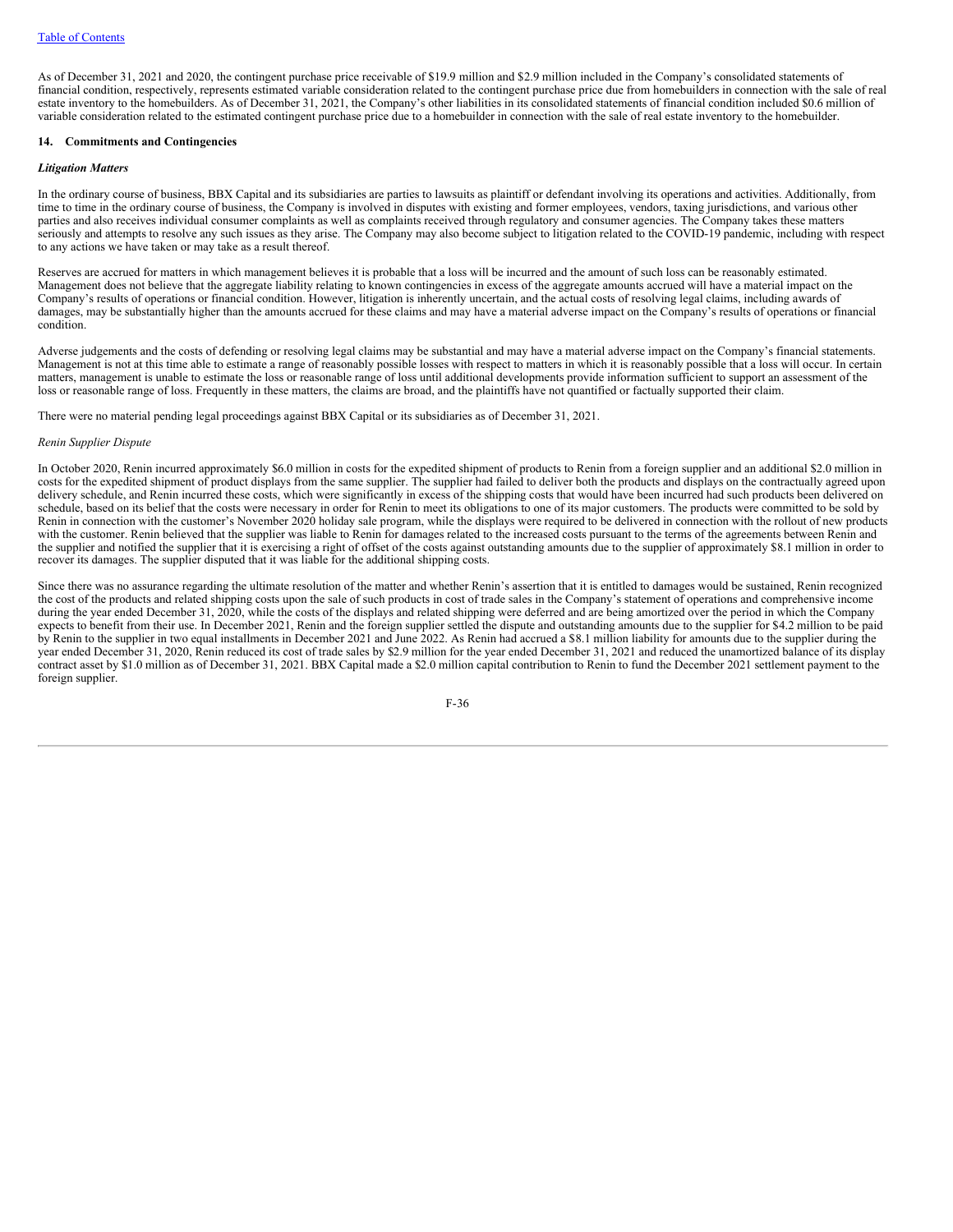As of December 31, 2021 and 2020, the contingent purchase price receivable of \$19.9 million and \$2.9 million included in the Company's consolidated statements of financial condition, respectively, represents estimated variable consideration related to the contingent purchase price due from homebuilders in connection with the sale of real estate inventory to the homebuilders. As of December 31, 2021, the Company's other liabilities in its consolidated statements of financial condition included \$0.6 million of variable consideration related to the estimated contingent purchase price due to a homebuilder in connection with the sale of real estate inventory to the homebuilder.

#### **14. Commitments and Contingencies**

## *Litigation Matters*

In the ordinary course of business, BBX Capital and its subsidiaries are parties to lawsuits as plaintiff or defendant involving its operations and activities. Additionally, from time to time in the ordinary course of business, the Company is involved in disputes with existing and former employees, vendors, taxing jurisdictions, and various other parties and also receives individual consumer complaints as well as complaints received through regulatory and consumer agencies. The Company takes these matters seriously and attempts to resolve any such issues as they arise. The Company may also become subject to litigation related to the COVID-19 pandemic, including with respect to any actions we have taken or may take as a result thereof.

Reserves are accrued for matters in which management believes it is probable that a loss will be incurred and the amount of such loss can be reasonably estimated. Management does not believe that the aggregate liability relating to known contingencies in excess of the aggregate amounts accrued will have a material impact on the Company's results of operations or financial condition. However, litigation is inherently uncertain, and the actual costs of resolving legal claims, including awards of damages, may be substantially higher than the amounts accrued for these claims and may have a material adverse impact on the Company's results of operations or financial condition.

Adverse judgements and the costs of defending or resolving legal claims may be substantial and may have a material adverse impact on the Company's financial statements. Management is not at this time able to estimate a range of reasonably possible losses with respect to matters in which it is reasonably possible that a loss will occur. In certain matters, management is unable to estimate the loss or reasonable range of loss until additional developments provide information sufficient to support an assessment of the loss or reasonable range of loss. Frequently in these matters, the claims are broad, and the plaintiffs have not quantified or factually supported their claim.

There were no material pending legal proceedings against BBX Capital or its subsidiaries as of December 31, 2021.

## *Renin Supplier Dispute*

In October 2020, Renin incurred approximately \$6.0 million in costs for the expedited shipment of products to Renin from a foreign supplier and an additional \$2.0 million in costs for the expedited shipment of product displays from the same supplier. The supplier had failed to deliver both the products and displays on the contractually agreed upon delivery schedule, and Renin incurred these costs, which were significantly in excess of the shipping costs that would have been incurred had such products been delivered on schedule, based on its belief that the costs were necessary in order for Renin to meet its obligations to one of its major customers. The products were committed to be sold by Renin in connection with the customer's November 2020 holiday sale program, while the displays were required to be delivered in connection with the rollout of new products with the customer. Renin believed that the supplier was liable to Renin for damages related to the increased costs pursuant to the terms of the agreements between Renin and the supplier and notified the supplier that it is exercising a right of offset of the costs against outstanding amounts due to the supplier of approximately \$8.1 million in order to recover its damages. The supplier disputed that it was liable for the additional shipping costs.

Since there was no assurance regarding the ultimate resolution of the matter and whether Renin's assertion that it is entitled to damages would be sustained, Renin recognized the cost of the products and related shipping costs upon the sale of such products in cost of trade sales in the Company's statement of operations and comprehensive income during the year ended December 31, 2020, while the costs of the displays and related shipping were deferred and are being amortized over the period in which the Company expects to benefit from their use. In December 2021, Renin and the foreign supplier settled the dispute and outstanding amounts due to the supplier for \$4.2 million to be paid by Renin to the supplier in two equal installments in December 2021 and June 2022. As Renin had accrued a \$8.1 million liability for amounts due to the supplier during the year ended December 31, 2020, Renin reduced its cost of trade sales by \$2.9 million for the year ended December 31, 2021 and reduced the unamortized balance of its display contract asset by \$1.0 million as of December 31, 2021. BBX Capital made a \$2.0 million capital contribution to Renin to fund the December 2021 settlement payment to the foreign supplier.

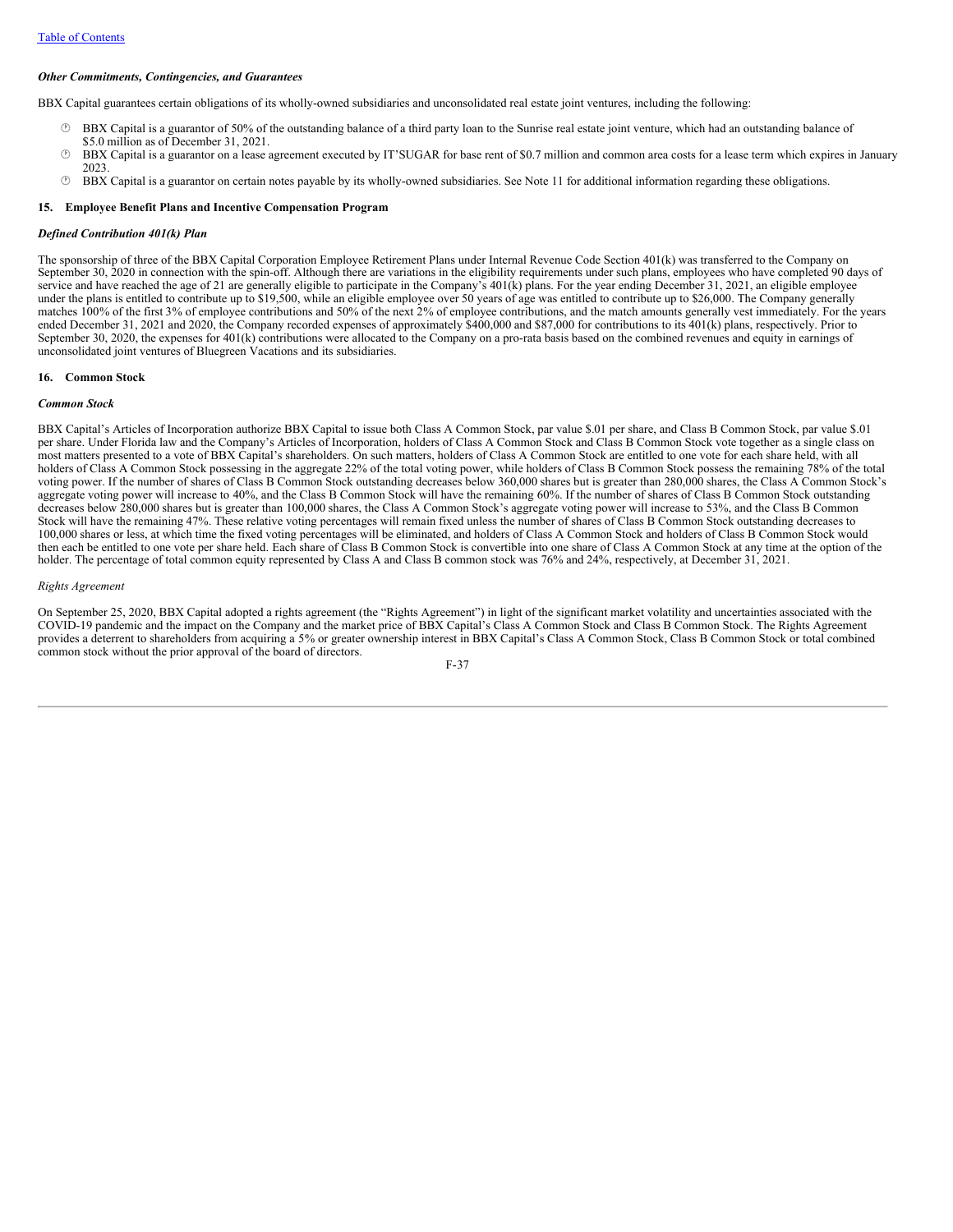#### *Other Commitments, Contingencies, and Guarantees*

BBX Capital guarantees certain obligations of its wholly-owned subsidiaries and unconsolidated real estate joint ventures, including the following:

- BBX Capital is a guarantor of 50% of the outstanding balance of a third party loan to the Sunrise real estate joint venture, which had an outstanding balance of \$5.0 million as of December 31, 2021.
- · BBX Capital is a guarantor on a lease agreement executed by IT'SUGAR for base rent of \$0.7 million and common area costs for a lease term which expires in January 2023.
- · BBX Capital is a guarantor on certain notes payable by its wholly-owned subsidiaries. See Note 11 for additional information regarding these obligations.

#### **15. Employee Benefit Plans and Incentive Compensation Program**

#### *Defined Contribution 401(k) Plan*

The sponsorship of three of the BBX Capital Corporation Employee Retirement Plans under Internal Revenue Code Section 401(k) was transferred to the Company on September 30, 2020 in connection with the spin-off. Although there are variations in the eligibility requirements under such plans, employees who have completed 90 days of service and have reached the age of 21 are generally eligible to participate in the Company's  $401(k)$  plans. For the year ending December 31, 2021, an eligible employee under the plans is entitled to contribute up to \$19,500, while an eligible employee over 50 years of age was entitled to contribute up to \$26,000. The Company generally matches 100% of the first 3% of employee contributions and 50% of the next 2% of employee contributions, and the match amounts generally vest immediately. For the years ended December 31, 2021 and 2020, the Company recorded expenses of approximately \$400,000 and \$87,000 for contributions to its 401(k) plans, respectively. Prior to September 30, 2020, the expenses for 401(k) contributions were allocated to the Company on a pro-rata basis based on the combined revenues and equity in earnings of unconsolidated joint ventures of Bluegreen Vacations and its subsidiaries.

#### **16. Common Stock**

## *Common Stock*

BBX Capital's Articles of Incorporation authorize BBX Capital to issue both Class A Common Stock, par value \$.01 per share, and Class B Common Stock, par value \$.01 per share. Under Florida law and the Company's Articles of Incorporation, holders of Class A Common Stock and Class B Common Stock vote together as a single class on most matters presented to a vote of BBX Capital's shareholders. On such matters, holders of Class A Common Stock are entitled to one vote for each share held, with all holders of Class A Common Stock possessing in the aggregate 22% of the total voting power, while holders of Class B Common Stock possess the remaining 78% of the total voting power. If the number of shares of Class B Common Stock outstanding decreases below 360,000 shares but is greater than 280,000 shares, the Class A Common Stock's aggregate voting power will increase to 40%, and the Class B Common Stock will have the remaining 60%. If the number of shares of Class B Common Stock outstanding decreases below 280,000 shares but is greater than 100,000 shares, the Class A Common Stock's aggregate voting power will increase to 53%, and the Class B Common Stock will have the remaining 47%. These relative voting percentages will remain fixed unless the number of shares of Class B Common Stock outstanding decreases to 100,000 shares or less, at which time the fixed voting percentages will be eliminated, and holders of Class A Common Stock and holders of Class B Common Stock would then each be entitled to one vote per share held. Each share of Class B Common Stock is convertible into one share of Class A Common Stock at any time at the option of the holder. The percentage of total common equity represented by Class A and Class B common stock was 76% and 24%, respectively, at December 31, 2021.

#### *Rights Agreement*

On September 25, 2020, BBX Capital adopted a rights agreement (the "Rights Agreement") in light of the significant market volatility and uncertainties associated with the COVID-19 pandemic and the impact on the Company and the market price of BBX Capital's Class A Common Stock and Class B Common Stock. The Rights Agreement provides a deterrent to shareholders from acquiring a 5% or greater ownership interest in BBX Capital's Class A Common Stock, Class B Common Stock or total combined common stock without the prior approval of the board of directors.

F-37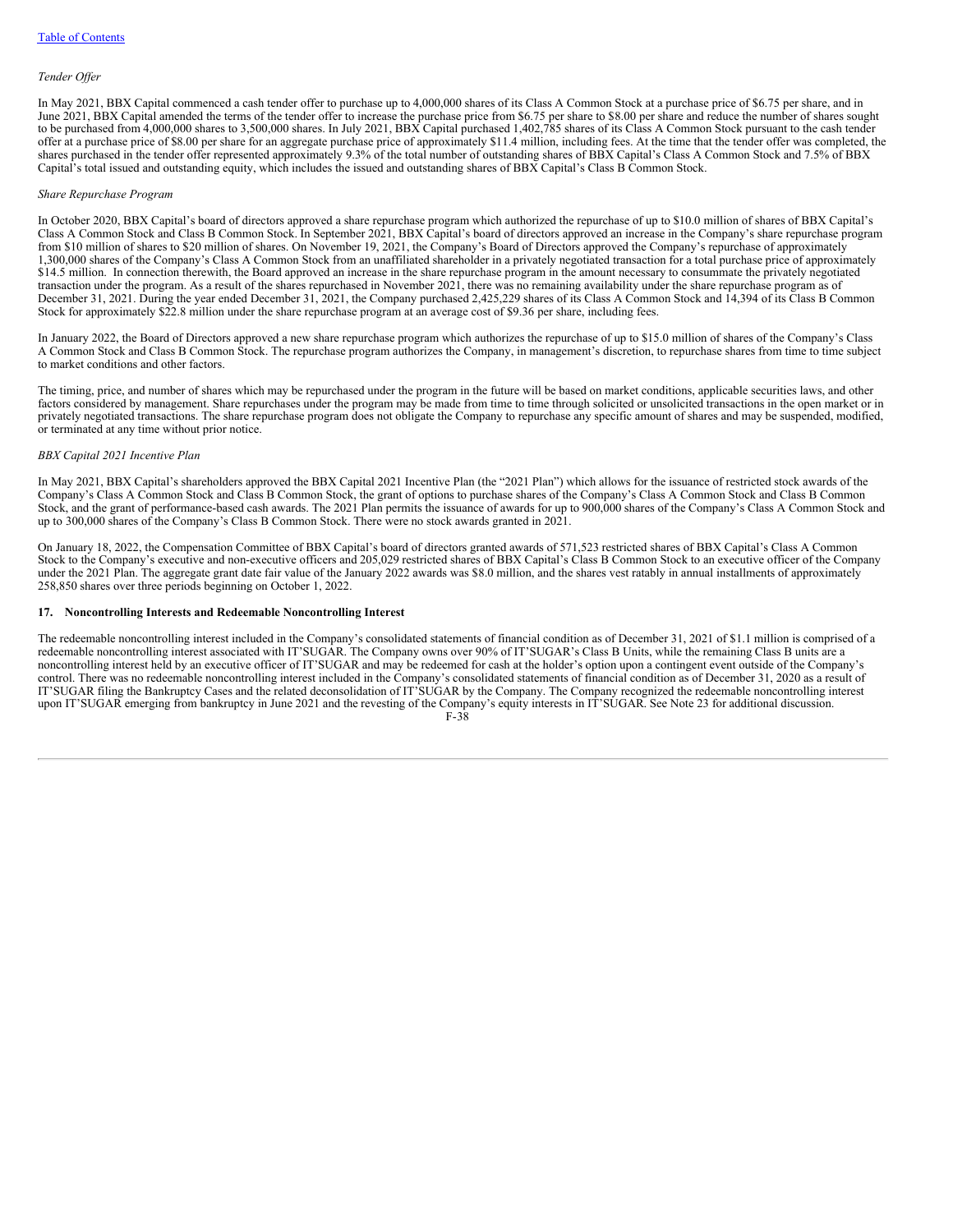#### *Tender Of er*

In May 2021, BBX Capital commenced a cash tender offer to purchase up to 4,000,000 shares of its Class A Common Stock at a purchase price of \$6.75 per share, and in June 2021, BBX Capital amended the terms of the tender offer to increase the purchase price from \$6.75 per share to \$8.00 per share and reduce the number of shares sought to be purchased from 4,000,000 shares to 3,500,000 shares. In July 2021, BBX Capital purchased 1,402,785 shares of its Class A Common Stock pursuant to the cash tender offer at a purchase price of \$8.00 per share for an aggregate purchase price of approximately \$11.4 million, including fees. At the time that the tender offer was completed, the shares purchased in the tender offer represented approximately 9.3% of the total number of outstanding shares of BBX Capital's Class A Common Stock and 7.5% of BBX Capital's total issued and outstanding equity, which includes the issued and outstanding shares of BBX Capital's Class B Common Stock.

#### *Share Repurchase Program*

In October 2020, BBX Capital's board of directors approved a share repurchase program which authorized the repurchase of up to \$10.0 million of shares of BBX Capital's Class A Common Stock and Class B Common Stock. In September 2021, BBX Capital's board of directors approved an increase in the Company's share repurchase program from \$10 million of shares to \$20 million of shares. On November 19, 2021, the Company's Board of Directors approved the Company's repurchase of approximately 1,300,000 shares of the Company's Class A Common Stock from an unaffiliated shareholder in a privately negotiated transaction for a total purchase price of approximately \$14.5 million. In connection therewith, the Board approved an increase in the share repurchase program in the amount necessary to consummate the privately negotiated transaction under the program. As a result of the shares repurchased in November 2021, there was no remaining availability under the share repurchase program as of December 31, 2021. During the year ended December 31, 2021, the Company purchased 2,425,229 shares of its Class A Common Stock and 14,394 of its Class B Common Stock for approximately \$22.8 million under the share repurchase program at an average cost of \$9.36 per share, including fees.

In January 2022, the Board of Directors approved a new share repurchase program which authorizes the repurchase of up to \$15.0 million of shares of the Company's Class A Common Stock and Class B Common Stock. The repurchase program authorizes the Company, in management's discretion, to repurchase shares from time to time subject to market conditions and other factors.

The timing, price, and number of shares which may be repurchased under the program in the future will be based on market conditions, applicable securities laws, and other factors considered by management. Share repurchases under the program may be made from time to time through solicited or unsolicited transactions in the open market or in privately negotiated transactions. The share repurchase program does not obligate the Company to repurchase any specific amount of shares and may be suspended, modified, or terminated at any time without prior notice.

#### *BBX Capital 2021 Incentive Plan*

In May 2021, BBX Capital's shareholders approved the BBX Capital 2021 Incentive Plan (the "2021 Plan") which allows for the issuance of restricted stock awards of the Company's Class A Common Stock and Class B Common Stock, the grant of options to purchase shares of the Company's Class A Common Stock and Class B Common Stock, and the grant of performance-based cash awards. The 2021 Plan permits the issuance of awards for up to 900,000 shares of the Company's Class A Common Stock and up to 300,000 shares of the Company's Class B Common Stock. There were no stock awards granted in 2021.

On January 18, 2022, the Compensation Committee of BBX Capital's board of directors granted awards of 571,523 restricted shares of BBX Capital's Class A Common Stock to the Company's executive and non-executive officers and 205,029 restricted shares of BBX Capital's Class B Common Stock to an executive officer of the Company under the 2021 Plan. The aggregate grant date fair value of the January 2022 awards was \$8.0 million, and the shares vest ratably in annual installments of approximately 258,850 shares over three periods beginning on October 1, 2022.

#### **17. Noncontrolling Interests and Redeemable Noncontrolling Interest**

The redeemable noncontrolling interest included in the Company's consolidated statements of financial condition as of December 31, 2021 of \$1.1 million is comprised of a redeemable noncontrolling interest associated with IT'SUGAR. The Company owns over 90% of IT'SUGAR's Class B Units, while the remaining Class B units are a noncontrolling interest held by an executive officer of IT'SUGAR and may be redeemed for cash at the holder's option upon a contingent event outside of the Company's control. There was no redeemable noncontrolling interest included in the Company's consolidated statements of financial condition as of December 31, 2020 as a result of IT'SUGAR filing the Bankruptcy Cases and the related deconsolidation of IT'SUGAR by the Company. The Company recognized the redeemable noncontrolling interest upon IT'SUGAR emerging from bankruptcy in June 2021 and the revesting of the Company's equity interests in IT'SUGAR. See Note 23 for additional discussion.

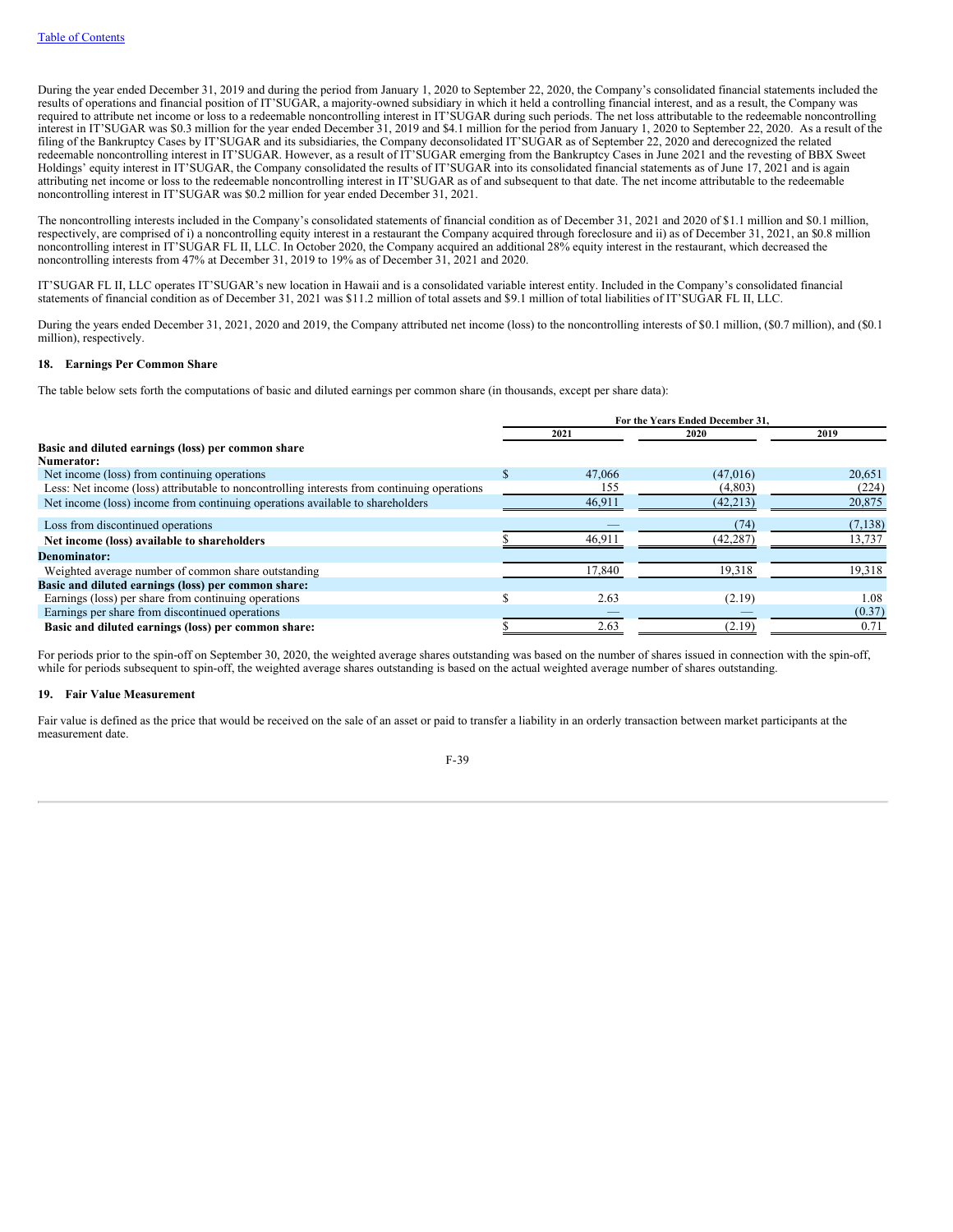During the year ended December 31, 2019 and during the period from January 1, 2020 to September 22, 2020, the Company's consolidated financial statements included the results of operations and financial position of IT'SUGAR, a majority-owned subsidiary in which it held a controlling financial interest, and as a result, the Company was required to attribute net income or loss to a redeemable noncontrolling interest in IT'SUGAR during such periods. The net loss attributable to the redeemable noncontrolling interest in IT'SUGAR was \$0.3 million for the year ended December 31, 2019 and \$4.1 million for the period from January 1, 2020 to September 22, 2020. As a result of the filing of the Bankruptcy Cases by IT'SUGAR and its subsidiaries, the Company deconsolidated IT'SUGAR as of September 22, 2020 and derecognized the related redeemable noncontrolling interest in IT'SUGAR. However, as a result of IT'SUGAR emerging from the Bankruptcy Cases in June 2021 and the revesting of BBX Sweet Holdings' equity interest in IT'SUGAR, the Company consolidated the results of IT'SUGAR into its consolidated financial statements as of June 17, 2021 and is again attributing net income or loss to the redeemable noncontrolling interest in IT'SUGAR as of and subsequent to that date. The net income attributable to the redeemable noncontrolling interest in IT'SUGAR was \$0.2 million for year ended December 31, 2021.

The noncontrolling interests included in the Company's consolidated statements of financial condition as of December 31, 2021 and 2020 of \$1.1 million and \$0.1 million, respectively, are comprised of i) a noncontrolling equity interest in a restaurant the Company acquired through foreclosure and ii) as of December 31, 2021, an \$0.8 million noncontrolling interest in IT'SUGAR FL II, LLC. In October 2020, the Company acquired an additional 28% equity interest in the restaurant, which decreased the noncontrolling interests from 47% at December 31, 2019 to 19% as of December 31, 2021 and 2020.

IT'SUGAR FL II, LLC operates IT'SUGAR's new location in Hawaii and is a consolidated variable interest entity. Included in the Company's consolidated financial statements of financial condition as of December 31, 2021 was \$11.2 million of total assets and \$9.1 million of total liabilities of IT'SUGAR FL II, LLC.

During the years ended December 31, 2021, 2020 and 2019, the Company attributed net income (loss) to the noncontrolling interests of \$0.1 million, (\$0.7 million), and (\$0.1 million), respectively.

## **18. Earnings Per Common Share**

The table below sets forth the computations of basic and diluted earnings per common share (in thousands, except per share data):

|                                                                                             | For the Years Ended December 31. |        |           |          |  |
|---------------------------------------------------------------------------------------------|----------------------------------|--------|-----------|----------|--|
|                                                                                             |                                  | 2021   | 2020      | 2019     |  |
| Basic and diluted earnings (loss) per common share                                          |                                  |        |           |          |  |
| <b>Numerator:</b>                                                                           |                                  |        |           |          |  |
| Net income (loss) from continuing operations                                                |                                  | 47,066 | (47.016)  | 20.651   |  |
| Less: Net income (loss) attributable to noncontrolling interests from continuing operations |                                  | 155    | (4,803)   | (224)    |  |
| Net income (loss) income from continuing operations available to shareholders               |                                  | 46.911 | (42, 213) | 20,875   |  |
| Loss from discontinued operations                                                           |                                  |        | (74       | (7, 138) |  |
| Net income (loss) available to shareholders                                                 |                                  | 46.911 | (42,287)  | 13,737   |  |
| Denominator:                                                                                |                                  |        |           |          |  |
| Weighted average number of common share outstanding                                         |                                  | 17,840 | 19,318    | 19,318   |  |
| Basic and diluted earnings (loss) per common share:                                         |                                  |        |           |          |  |
| Earnings (loss) per share from continuing operations                                        |                                  | 2.63   | (2.19)    | 1.08     |  |
| Earnings per share from discontinued operations                                             |                                  |        |           | (0.37)   |  |
| Basic and diluted earnings (loss) per common share:                                         |                                  | 2.63   | (2.19)    | 0.71     |  |

For periods prior to the spin-off on September 30, 2020, the weighted average shares outstanding was based on the number of shares issued in connection with the spin-off, while for periods subsequent to spin-off, the weighted average shares outstanding is based on the actual weighted average number of shares outstanding.

## **19. Fair Value Measurement**

Fair value is defined as the price that would be received on the sale of an asset or paid to transfer a liability in an orderly transaction between market participants at the measurement date.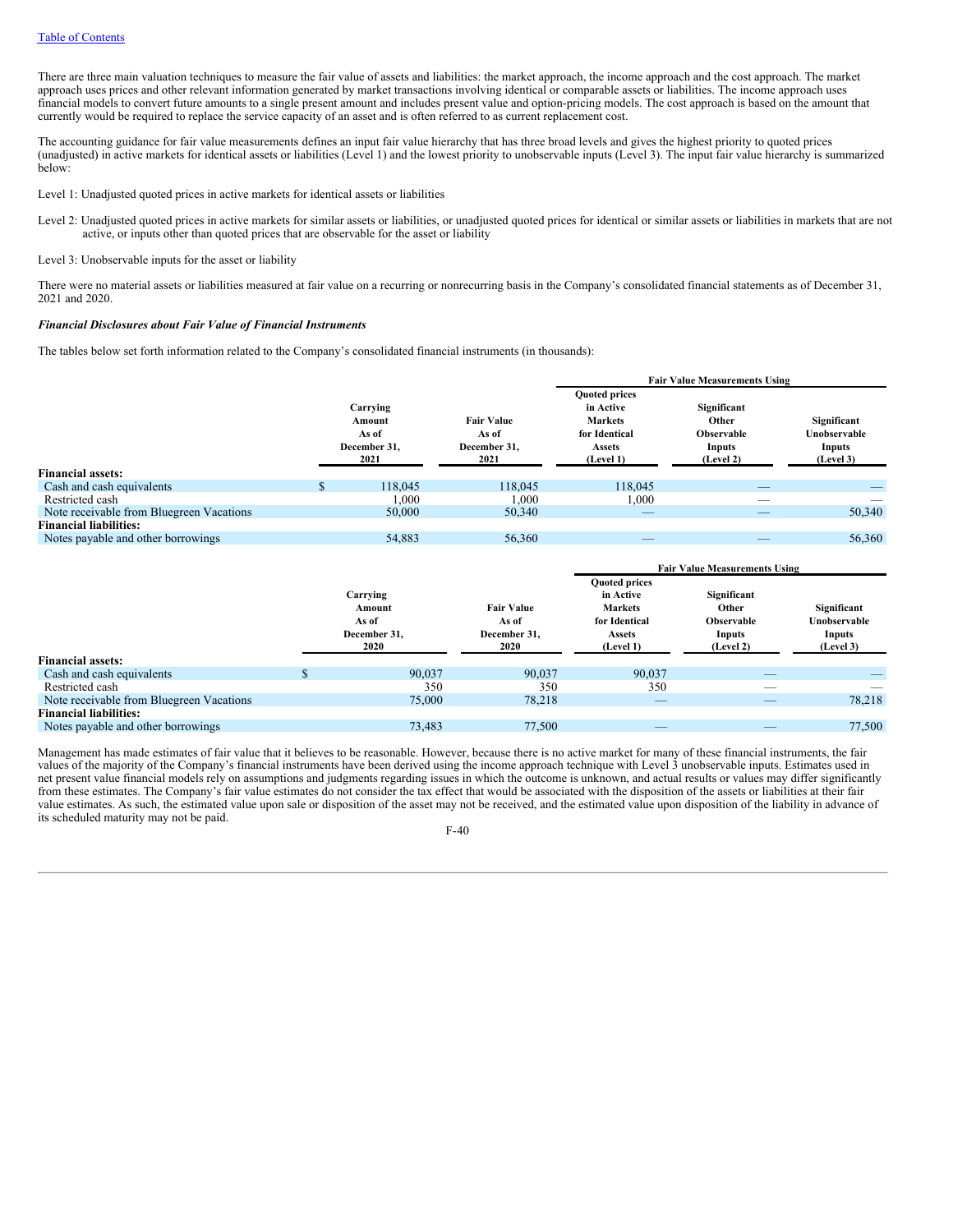There are three main valuation techniques to measure the fair value of assets and liabilities: the market approach, the income approach and the cost approach. The market approach uses prices and other relevant information generated by market transactions involving identical or comparable assets or liabilities. The income approach uses financial models to convert future amounts to a single present amount and includes present value and option-pricing models. The cost approach is based on the amount that currently would be required to replace the service capacity of an asset and is often referred to as current replacement cost.

The accounting guidance for fair value measurements defines an input fair value hierarchy that has three broad levels and gives the highest priority to quoted prices (unadjusted) in active markets for identical assets or liabilities (Level 1) and the lowest priority to unobservable inputs (Level 3). The input fair value hierarchy is summarized below:

Level 1: Unadjusted quoted prices in active markets for identical assets or liabilities

Level 2: Unadjusted quoted prices in active markets for similar assets or liabilities, or unadjusted quoted prices for identical or similar assets or liabilities in markets that are not active, or inputs other than quoted prices that are observable for the asset or liability

Level 3: Unobservable inputs for the asset or liability

There were no material assets or liabilities measured at fair value on a recurring or nonrecurring basis in the Company's consolidated financial statements as of December 31, 2021 and 2020.

### *Financial Disclosures about Fair Value of Financial Instruments*

The tables below set forth information related to the Company's consolidated financial instruments (in thousands):

|                                          |                                                     |                                                    | <b>Fair Value Measurements Using</b>                                                               |                                                                  |                                                    |
|------------------------------------------|-----------------------------------------------------|----------------------------------------------------|----------------------------------------------------------------------------------------------------|------------------------------------------------------------------|----------------------------------------------------|
|                                          | Carrying<br>Amount<br>As of<br>December 31.<br>2021 | <b>Fair Value</b><br>As of<br>December 31.<br>2021 | <b>Quoted prices</b><br>in Active<br><b>Markets</b><br>for Identical<br><b>Assets</b><br>(Level 1) | Significant<br>Other<br><b>Observable</b><br>Inputs<br>(Level 2) | Significant<br>Unobservable<br>Inputs<br>(Level 3) |
| <b>Financial assets:</b>                 |                                                     |                                                    |                                                                                                    |                                                                  |                                                    |
| Cash and cash equivalents                | 118,045                                             | 118,045                                            | 118,045                                                                                            | _                                                                |                                                    |
| Restricted cash                          | 1,000                                               | 1,000                                              | 1,000                                                                                              | -                                                                |                                                    |
| Note receivable from Bluegreen Vacations | 50,000                                              | 50,340                                             |                                                                                                    | _                                                                | 50,340                                             |
| <b>Financial liabilities:</b>            |                                                     |                                                    |                                                                                                    |                                                                  |                                                    |
| Notes payable and other borrowings       | 54,883                                              | 56,360                                             | _                                                                                                  | _                                                                | 56,360                                             |

|                                          |                                                     |                                                    | <b>Fair Value Measurements Using</b>                                                               |                                                                  |                                                    |
|------------------------------------------|-----------------------------------------------------|----------------------------------------------------|----------------------------------------------------------------------------------------------------|------------------------------------------------------------------|----------------------------------------------------|
|                                          | Carrying<br>Amount<br>As of<br>December 31.<br>2020 | <b>Fair Value</b><br>As of<br>December 31.<br>2020 | <b>Quoted prices</b><br>in Active<br><b>Markets</b><br>for Identical<br><b>Assets</b><br>(Level 1) | Significant<br>Other<br><b>Observable</b><br>Inputs<br>(Level 2) | Significant<br>Unobservable<br>Inputs<br>(Level 3) |
| <b>Financial assets:</b>                 |                                                     |                                                    |                                                                                                    |                                                                  |                                                    |
| Cash and cash equivalents                | 90.037                                              | 90.037                                             | 90.037                                                                                             |                                                                  |                                                    |
| Restricted cash                          | 350                                                 | 350                                                | 350                                                                                                | __                                                               |                                                    |
| Note receivable from Bluegreen Vacations | 75,000                                              | 78.218                                             | $\overline{\phantom{a}}$                                                                           | _                                                                | 78,218                                             |
| <b>Financial liabilities:</b>            |                                                     |                                                    |                                                                                                    |                                                                  |                                                    |
| Notes payable and other borrowings       | 73.483                                              | 77,500                                             | _                                                                                                  |                                                                  | 77,500                                             |

Management has made estimates of fair value that it believes to be reasonable. However, because there is no active market for many of these financial instruments, the fair values of the majority of the Company's financial instruments have been derived using the income approach technique with Level 3 unobservable inputs. Estimates used in net present value financial models rely on assumptions and judgments regarding issues in which the outcome is unknown, and actual results or values may differ significantly from these estimates. The Company's fair value estimates do not consider the tax effect that would be associated with the disposition of the assets or liabilities at their fair value estimates. As such, the estimated value upon sale or disposition of the asset may not be received, and the estimated value upon disposition of the liability in advance of its scheduled maturity may not be paid.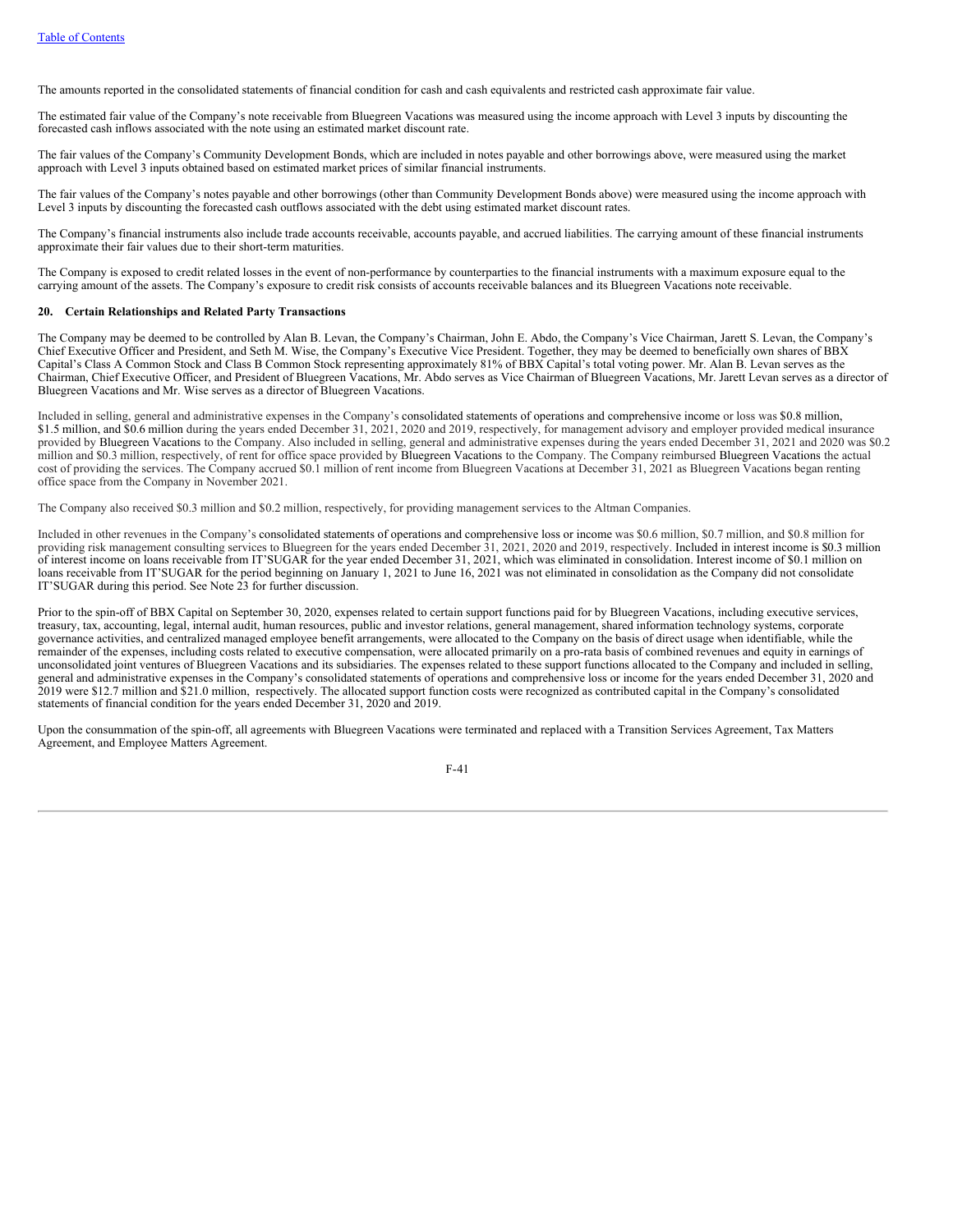The amounts reported in the consolidated statements of financial condition for cash and cash equivalents and restricted cash approximate fair value.

The estimated fair value of the Company's note receivable from Bluegreen Vacations was measured using the income approach with Level 3 inputs by discounting the forecasted cash inflows associated with the note using an estimated market discount rate.

The fair values of the Company's Community Development Bonds, which are included in notes payable and other borrowings above, were measured using the market approach with Level 3 inputs obtained based on estimated market prices of similar financial instruments.

The fair values of the Company's notes payable and other borrowings (other than Community Development Bonds above) were measured using the income approach with Level 3 inputs by discounting the forecasted cash outflows associated with the debt using estimated market discount rates.

The Company's financial instruments also include trade accounts receivable, accounts payable, and accrued liabilities. The carrying amount of these financial instruments approximate their fair values due to their short-term maturities.

The Company is exposed to credit related losses in the event of non-performance by counterparties to the financial instruments with a maximum exposure equal to the carrying amount of the assets. The Company's exposure to credit risk consists of accounts receivable balances and its Bluegreen Vacations note receivable.

#### **20. Certain Relationships and Related Party Transactions**

The Company may be deemed to be controlled by Alan B. Levan, the Company's Chairman, John E. Abdo, the Company's Vice Chairman, Jarett S. Levan, the Company's Chief Executive Officer and President, and Seth M. Wise, the Company's Executive Vice President. Together, they may be deemed to beneficially own shares of BBX Capital's Class A Common Stock and Class B Common Stock representing approximately 81% of BBX Capital's total voting power. Mr. Alan B. Levan serves as the Chairman, Chief Executive Officer, and President of Bluegreen Vacations, Mr. Abdo serves as Vice Chairman of Bluegreen Vacations, Mr. Jarett Levan serves as a director of Bluegreen Vacations and Mr. Wise serves as a director of Bluegreen Vacations.

Included in selling, general and administrative expenses in the Company's consolidated statements of operations and comprehensive income or loss was \$0.8 million, \$1.5 million, and \$0.6 million during the years ended December 31, 2021, 2020 and 2019, respectively, for management advisory and employer provided medical insurance provided by Bluegreen Vacations to the Company. Also included in selling, general and administrative expenses during the years ended December 31, 2021 and 2020 was \$0.2 million and \$0.3 million, respectively, of rent for office space provided by Bluegreen Vacations to the Company. The Company reimbursed Bluegreen Vacations the actual cost of providing the services. The Company accrued \$0.1 million of rent income from Bluegreen Vacations at December 31, 2021 as Bluegreen Vacations began renting office space from the Company in November 2021.

The Company also received \$0.3 million and \$0.2 million, respectively, for providing management services to the Altman Companies.

Included in other revenues in the Company's consolidated statements of operations and comprehensive loss or income was \$0.6 million, \$0.7 million, and \$0.8 million for providing risk management consulting services to Bluegreen for the years ended December 31, 2021, 2020 and 2019, respectively. Included in interest income is \$0.3 million of interest income on loans receivable from IT'SUGAR for the year ended December 31, 2021, which was eliminated in consolidation. Interest income of \$0.1 million on loans receivable from IT'SUGAR for the period beginning on January 1, 2021 to June 16, 2021 was not eliminated in consolidation as the Company did not consolidate IT'SUGAR during this period. See Note 23 for further discussion.

Prior to the spin-off of BBX Capital on September 30, 2020, expenses related to certain support functions paid for by Bluegreen Vacations, including executive services, treasury, tax, accounting, legal, internal audit, human resources, public and investor relations, general management, shared information technology systems, corporate governance activities, and centralized managed employee benefit arrangements, were allocated to the Company on the basis of direct usage when identifiable, while the remainder of the expenses, including costs related to executive compensation, were allocated primarily on a pro-rata basis of combined revenues and equity in earnings of unconsolidated joint ventures of Bluegreen Vacations and its subsidiaries. The expenses related to these support functions allocated to the Company and included in selling, general and administrative expenses in the Company's consolidated statements of operations and comprehensive loss or income for the years ended December 31, 2020 and 2019 were \$12.7 million and \$21.0 million, respectively. The allocated support function costs were recognized as contributed capital in the Company's consolidated statements of financial condition for the years ended December 31, 2020 and 2019.

Upon the consummation of the spin-off, all agreements with Bluegreen Vacations were terminated and replaced with a Transition Services Agreement, Tax Matters Agreement, and Employee Matters Agreement.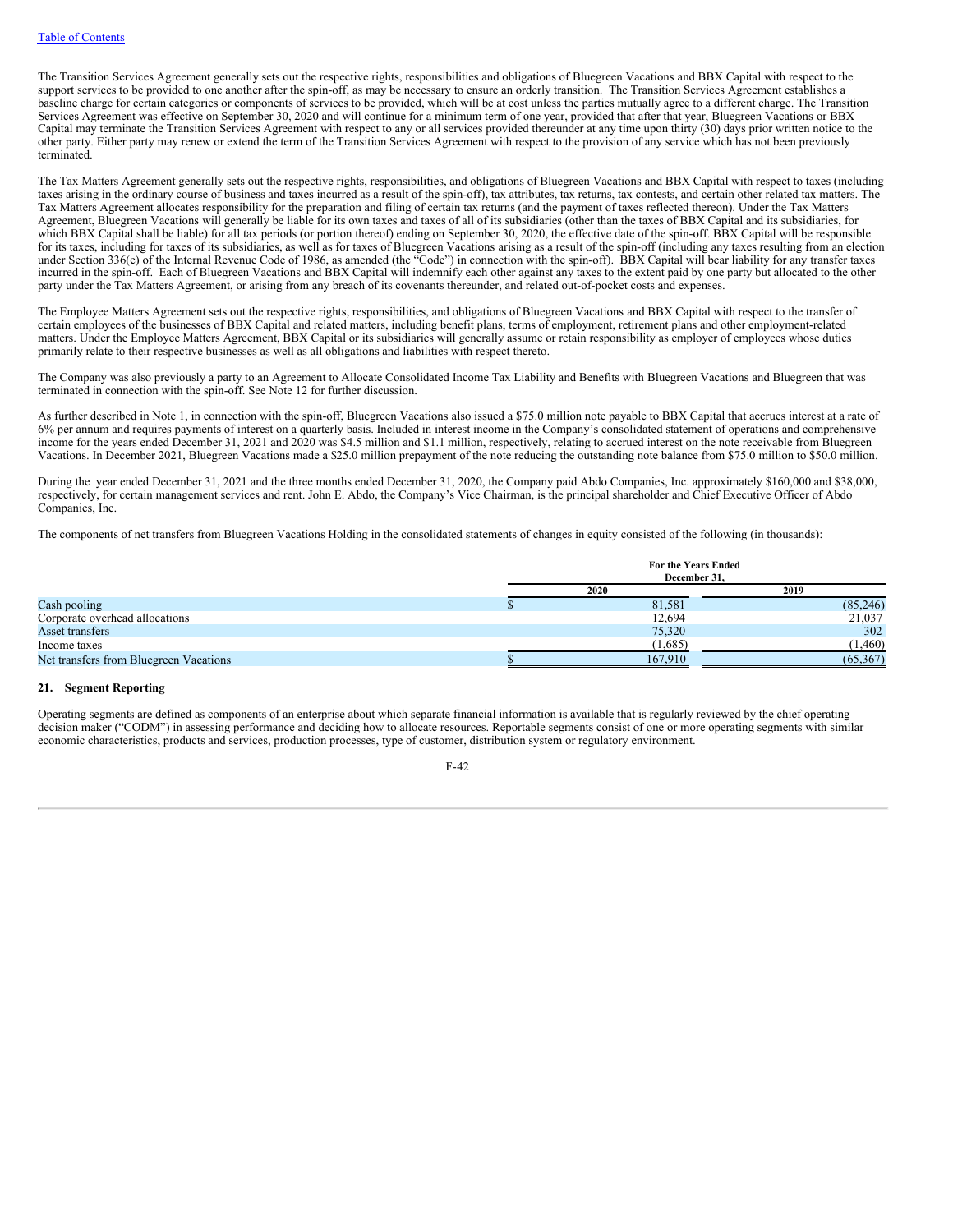The Transition Services Agreement generally sets out the respective rights, responsibilities and obligations of Bluegreen Vacations and BBX Capital with respect to the support services to be provided to one another after the spin-off, as may be necessary to ensure an orderly transition. The Transition Services Agreement establishes a baseline charge for certain categories or components of services to be provided, which will be at cost unless the parties mutually agree to a different charge. The Transition Services Agreement was effective on September 30, 2020 and will continue for a minimum term of one year, provided that after that year, Bluegreen Vacations or BBX Capital may terminate the Transition Services Agreement with respect to any or all services provided thereunder at any time upon thirty (30) days prior written notice to the other party. Either party may renew or extend the term of the Transition Services Agreement with respect to the provision of any service which has not been previously terminated.

The Tax Matters Agreement generally sets out the respective rights, responsibilities, and obligations of Bluegreen Vacations and BBX Capital with respect to taxes (including taxes arising in the ordinary course of business and taxes incurred as a result of the spin-off), tax attributes, tax returns, tax contests, and certain other related tax matters. The Tax Matters Agreement allocates responsibility for the preparation and filing of certain tax returns (and the payment of taxes reflected thereon). Under the Tax Matters Agreement, Bluegreen Vacations will generally be liable for its own taxes and taxes of all of its subsidiaries (other than the taxes of BBX Capital and its subsidiaries, for which BBX Capital shall be liable) for all tax periods (or portion thereof) ending on September 30, 2020, the effective date of the spin-off. BBX Capital will be responsible for its taxes, including for taxes of its subsidiaries, as well as for taxes of Bluegreen Vacations arising as a result of the spin-off (including any taxes resulting from an election under Section 336(e) of the Internal Revenue Code of 1986, as amended (the "Code") in connection with the spin-off). BBX Capital will bear liability for any transfer taxes incurred in the spin-off. Each of Bluegreen Vacations and BBX Capital will indemnify each other against any taxes to the extent paid by one party but allocated to the other party under the Tax Matters Agreement, or arising from any breach of its covenants thereunder, and related out-of-pocket costs and expenses.

The Employee Matters Agreement sets out the respective rights, responsibilities, and obligations of Bluegreen Vacations and BBX Capital with respect to the transfer of certain employees of the businesses of BBX Capital and related matters, including benefit plans, terms of employment, retirement plans and other employment-related matters. Under the Employee Matters Agreement, BBX Capital or its subsidiaries will generally assume or retain responsibility as employer of employees whose duties primarily relate to their respective businesses as well as all obligations and liabilities with respect thereto.

The Company was also previously a party to an Agreement to Allocate Consolidated Income Tax Liability and Benefits with Bluegreen Vacations and Bluegreen that was terminated in connection with the spin-off. See Note 12 for further discussion.

As further described in Note 1, in connection with the spin-off, Bluegreen Vacations also issued a \$75.0 million note payable to BBX Capital that accrues interest at a rate of 6% per annum and requires payments of interest on a quarterly basis. Included in interest income in the Company's consolidated statement of operations and comprehensive income for the years ended December 31, 2021 and 2020 was \$4.5 million and \$1.1 million, respectively, relating to accrued interest on the note receivable from Bluegreen Vacations. In December 2021, Bluegreen Vacations made a \$25.0 million prepayment of the note reducing the outstanding note balance from \$75.0 million to \$50.0 million.

During the year ended December 31, 2021 and the three months ended December 31, 2020, the Company paid Abdo Companies, Inc. approximately \$160,000 and \$38,000, respectively, for certain management services and rent. John E. Abdo, the Company's Vice Chairman, is the principal shareholder and Chief Executive Officer of Abdo Companies, Inc.

The components of net transfers from Bluegreen Vacations Holding in the consolidated statements of changes in equity consisted of the following (in thousands):

|                                        | For the Years Ended<br>December 31. |           |  |  |  |
|----------------------------------------|-------------------------------------|-----------|--|--|--|
|                                        | 2020                                | 2019      |  |  |  |
| Cash pooling                           | 81,581                              | (85,246)  |  |  |  |
| Corporate overhead allocations         | 12,694                              | 21,037    |  |  |  |
| Asset transfers                        | 75,320                              | 302       |  |  |  |
| Income taxes                           | (1,685)                             | (1, 460)  |  |  |  |
| Net transfers from Bluegreen Vacations | 167,910                             | (65, 367) |  |  |  |

## **21. Segment Reporting**

Operating segments are defined as components of an enterprise about which separate financial information is available that is regularly reviewed by the chief operating decision maker ("CODM") in assessing performance and deciding how to allocate resources. Reportable segments consist of one or more operating segments with similar economic characteristics, products and services, production processes, type of customer, distribution system or regulatory environment.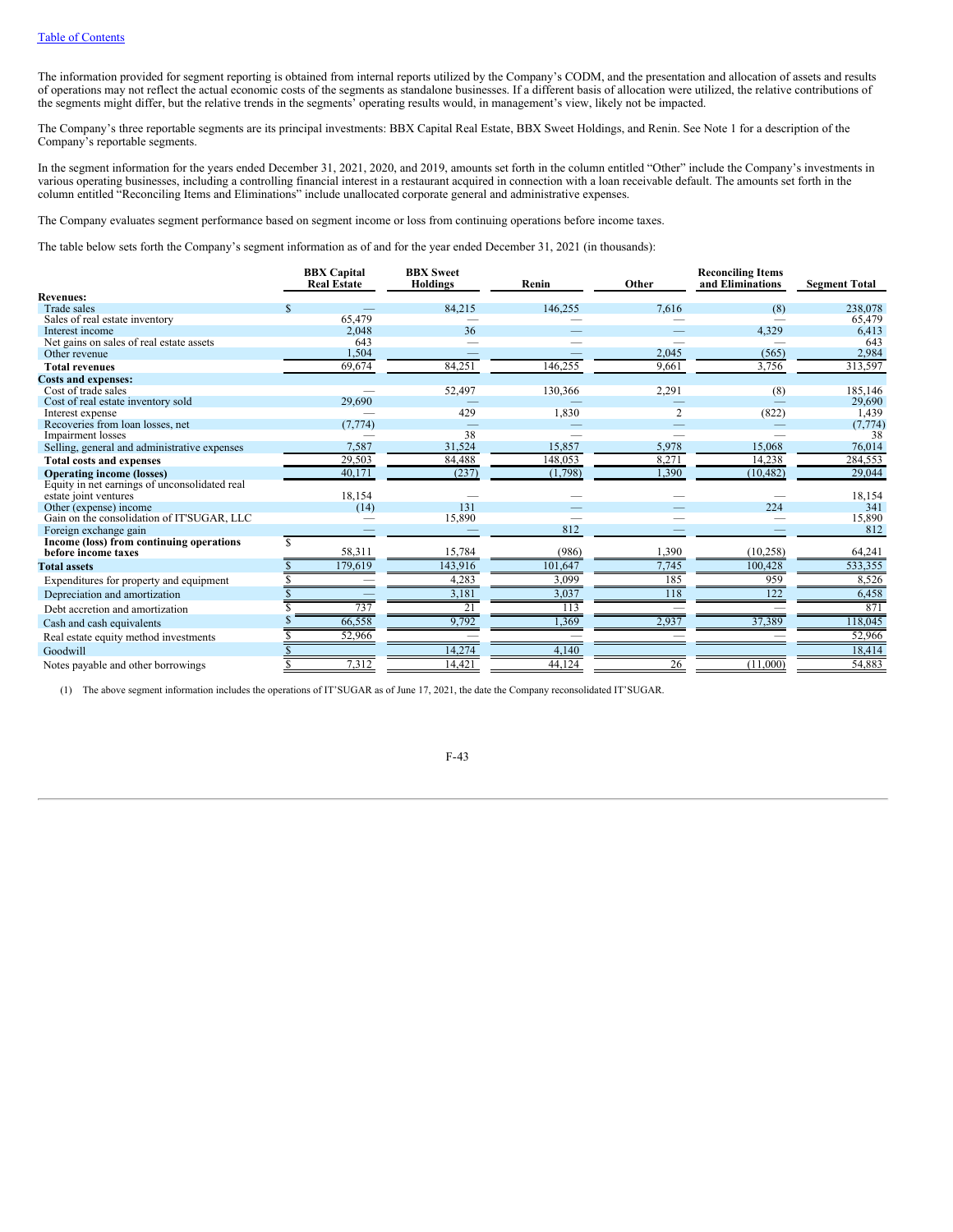The information provided for segment reporting is obtained from internal reports utilized by the Company's CODM, and the presentation and allocation of assets and results of operations may not reflect the actual economic costs of the segments as standalone businesses. If a different basis of allocation were utilized, the relative contributions of the segments might differ, but the relative trends in the segments' operating results would, in management's view, likely not be impacted.

The Company's three reportable segments are its principal investments: BBX Capital Real Estate, BBX Sweet Holdings, and Renin. See Note 1 for a description of the Company's reportable segments.

In the segment information for the years ended December 31, 2021, 2020, and 2019, amounts set forth in the column entitled "Other" include the Company's investments in various operating businesses, including a controlling financial interest in a restaurant acquired in connection with a loan receivable default. The amounts set forth in the column entitled "Reconciling Items and Eliminations" include unallocated corporate general and administrative expenses.

The Company evaluates segment performance based on segment income or loss from continuing operations before income taxes.

The table below sets forth the Company's segment information as of and for the year ended December 31, 2021 (in thousands):

|                                               |   | <b>BBX</b> Capital<br><b>Real Estate</b> | <b>BBX</b> Sweet<br><b>Holdings</b> | Renin   | Other          | <b>Reconciling Items</b><br>and Eliminations | <b>Segment Total</b> |
|-----------------------------------------------|---|------------------------------------------|-------------------------------------|---------|----------------|----------------------------------------------|----------------------|
| <b>Revenues:</b>                              |   |                                          |                                     |         |                |                                              |                      |
| <b>Trade sales</b>                            |   |                                          | 84,215                              | 146,255 | 7,616          | (8)                                          | 238,078              |
| Sales of real estate inventory                |   | 65,479                                   |                                     |         |                |                                              | 65,479               |
| Interest income                               |   | 2,048                                    | 36                                  |         |                | 4,329                                        | 6,413                |
| Net gains on sales of real estate assets      |   | 643                                      |                                     |         |                |                                              | 643                  |
| Other revenue                                 |   | 1,504                                    |                                     |         | 2,045          | (565)                                        | 2,984                |
| <b>Total revenues</b>                         |   | 69,674                                   | 84,251                              | 146,255 | 9,661          | 3,756                                        | 313,597              |
| <b>Costs and expenses:</b>                    |   |                                          |                                     |         |                |                                              |                      |
| Cost of trade sales                           |   |                                          | 52,497                              | 130,366 | 2,291          | (8)                                          | 185,146              |
| Cost of real estate inventory sold            |   | 29,690                                   |                                     |         |                |                                              | 29,690               |
| Interest expense                              |   |                                          | 429                                 | 1,830   | $\overline{2}$ | (822)                                        | 1,439                |
| Recoveries from loan losses, net              |   | (7, 774)                                 |                                     |         |                |                                              | (7, 774)             |
| Impairment losses                             |   |                                          | 38                                  |         |                |                                              | 38                   |
| Selling, general and administrative expenses  |   | 7,587                                    | 31,524                              | 15.857  | 5,978          | 15.068                                       | 76,014               |
| <b>Total costs and expenses</b>               |   | 29,503                                   | 84,488                              | 148,053 | 8,271          | 14,238                                       | 284,553              |
| <b>Operating income (losses)</b>              |   | 40,171                                   | (237)                               | (1,798) | 1,390          | (10, 482)                                    | 29,044               |
| Equity in net earnings of unconsolidated real |   |                                          |                                     |         |                |                                              |                      |
| estate joint ventures                         |   | 18,154                                   |                                     |         |                |                                              | 18,154               |
| Other (expense) income                        |   | (14)                                     | 131                                 |         |                | 224                                          | 341                  |
| Gain on the consolidation of IT'SUGAR, LLC    |   |                                          | 15,890                              |         |                |                                              | 15,890               |
| Foreign exchange gain                         |   |                                          |                                     | 812     |                |                                              | 812                  |
| Income (loss) from continuing operations      | S |                                          |                                     |         |                |                                              |                      |
| before income taxes                           |   | 58,311                                   | 15,784                              | (986)   | 1,390          | (10, 258)                                    | 64,241               |
| <b>Total assets</b>                           |   | 179,619                                  | 143,916                             | 101,647 | 7,745          | 100,428                                      | 533,355              |
| Expenditures for property and equipment       |   |                                          | 4,283                               | 3,099   | 185            | 959                                          | 8,526                |
| Depreciation and amortization                 |   |                                          | 3,181                               | 3,037   | 118            | 122                                          | 6,458                |
| Debt accretion and amortization               |   | 737                                      | 21                                  | 113     |                |                                              | 871                  |
| Cash and cash equivalents                     |   | 66,558                                   | 9,792                               | 1,369   | 2,937          | 37,389                                       | 118,045              |
| Real estate equity method investments         |   | 52,966                                   |                                     |         |                |                                              | 52,966               |
| Goodwill                                      |   |                                          | 14,274                              | 4,140   |                |                                              | 18,414               |
| Notes payable and other borrowings            |   | 7,312                                    | 14,42                               | 44,124  | 26             | (11,000)                                     | 54,883               |

(1) The above segment information includes the operations of IT'SUGAR as of June 17, 2021, the date the Company reconsolidated IT'SUGAR.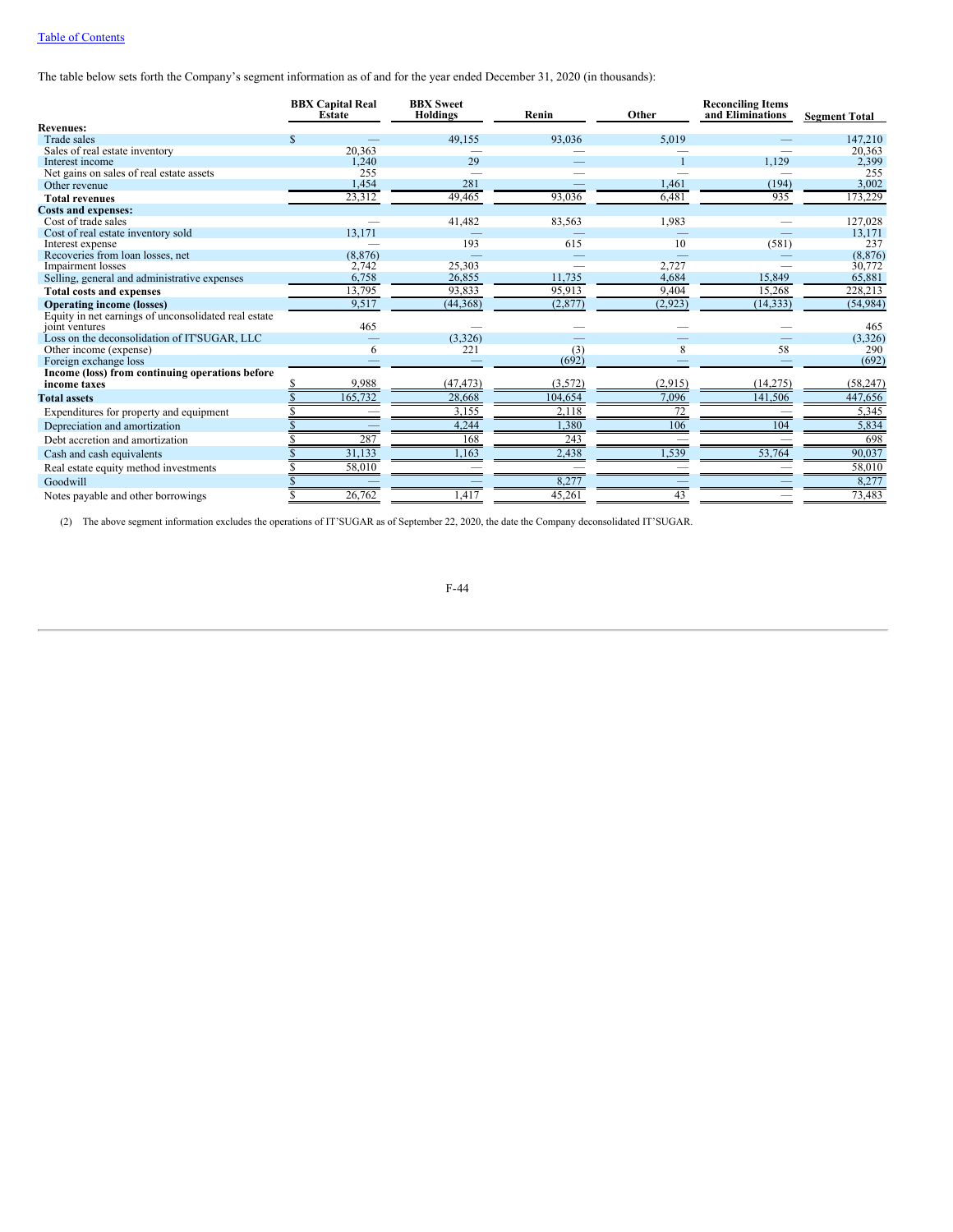The table below sets forth the Company's segment information as of and for the year ended December 31, 2020 (in thousands):

|                                                                 | <b>BBX Capital Real</b><br>Estate | <b>BBX</b> Sweet<br><b>Holdings</b> | Renin        | Other          | <b>Reconciling Items</b><br>and Eliminations | <b>Segment Total</b> |
|-----------------------------------------------------------------|-----------------------------------|-------------------------------------|--------------|----------------|----------------------------------------------|----------------------|
| <b>Revenues:</b>                                                |                                   |                                     |              |                |                                              |                      |
| Trade sales                                                     | \$                                | 49,155                              | 93,036       | 5,019          |                                              | 147,210              |
| Sales of real estate inventory                                  | 20,363                            |                                     |              |                |                                              | 20,363               |
| Interest income                                                 | 1.240                             | 29                                  |              |                | 1.129                                        | 2,399                |
| Net gains on sales of real estate assets                        | 255                               |                                     |              |                |                                              | 255                  |
| Other revenue                                                   | 1,454                             | 281                                 |              | 1,461          | (194)                                        | 3,002                |
| <b>Total revenues</b>                                           | 23,312                            | 49,465                              | 93,036       | 6,481          | 935                                          | 173,229              |
| <b>Costs and expenses:</b>                                      |                                   |                                     |              |                |                                              |                      |
| Cost of trade sales                                             |                                   | 41,482                              | 83,563       | 1,983          |                                              | 127,028              |
| Cost of real estate inventory sold                              | 13.171                            |                                     |              |                |                                              | 13,171               |
| Interest expense                                                |                                   | 193                                 | 615          | 10             | (581)                                        | 237                  |
| Recoveries from loan losses, net                                | (8, 876)                          |                                     |              |                |                                              | (8, 876)             |
| Impairment losses                                               | 2,742<br>6,758                    | 25,303<br>26,855                    | 11.735       | 2,727<br>4,684 | 15.849                                       | 30,772<br>65,881     |
| Selling, general and administrative expenses                    |                                   |                                     |              |                |                                              |                      |
| <b>Total costs and expenses</b>                                 | 13,795                            | 93,833                              | 95,913       | 9,404          | 15,268                                       | 228,213              |
| <b>Operating income (losses)</b>                                | 9,517                             | (44,368)                            | (2,877)      | (2, 923)       | (14, 333)                                    | (54, 984)            |
| Equity in net earnings of unconsolidated real estate            |                                   |                                     |              |                |                                              |                      |
| joint ventures                                                  | 465                               |                                     |              |                |                                              | 465                  |
| Loss on the deconsolidation of IT'SUGAR, LLC                    |                                   | (3,326)                             |              |                | 58                                           | (3,326)              |
| Other income (expense)                                          | 6                                 | 221                                 | (3)<br>(692) | 8              |                                              | 290<br>(692)         |
| Foreign exchange loss                                           |                                   |                                     |              |                |                                              |                      |
| Income (loss) from continuing operations before<br>income taxes | 9,988                             | (47, 473)                           | (3, 572)     | (2, 915)       | (14, 275)                                    | (58, 247)            |
| <b>Total assets</b>                                             | 165,732                           | 28,668                              | 104,654      | 7,096          | 141,506                                      | 447,656              |
| Expenditures for property and equipment                         |                                   | 3,155                               | 2,118        | 72             |                                              | 5,345                |
| Depreciation and amortization                                   |                                   | 4,244                               | 1,380        | 106            | 104                                          | 5,834                |
| Debt accretion and amortization                                 | 287                               | 168                                 | 243          |                |                                              | 698                  |
| Cash and cash equivalents                                       | 31,133                            | 1,163                               | 2,438        | 1,539          | 53,764                                       | 90,037               |
| Real estate equity method investments                           | 58,010                            |                                     |              |                |                                              | 58,010               |
| Goodwill                                                        |                                   |                                     | 8,277        |                |                                              | 8,277                |
| Notes payable and other borrowings                              | 26,762                            | .417                                | 45,261       | 43             |                                              | 73,483               |

(2) The above segment information excludes the operations of IT'SUGAR as of September 22, 2020, the date the Company deconsolidated IT'SUGAR.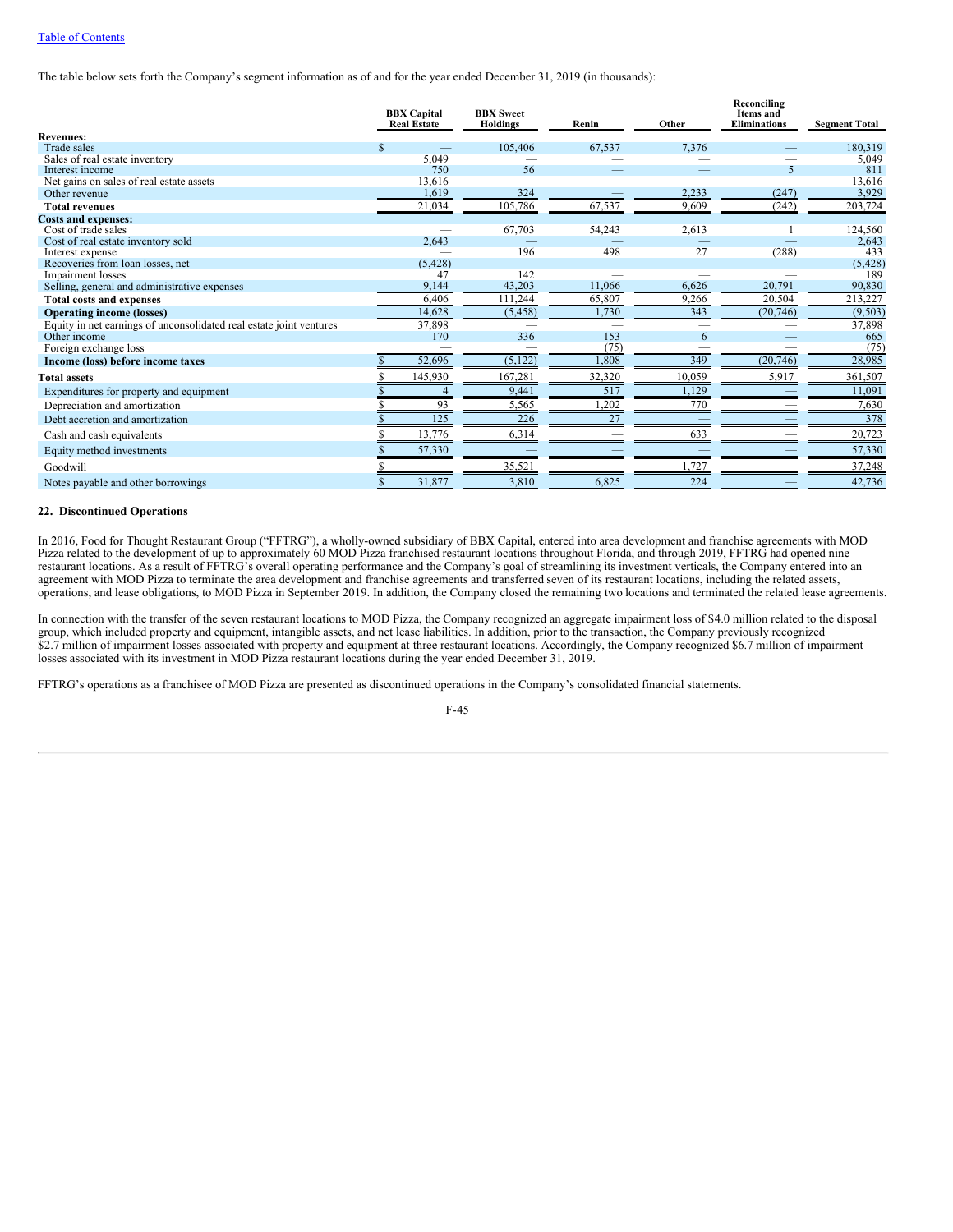The table below sets forth the Company's segment information as of and for the year ended December 31, 2019 (in thousands):

|                                                                     |   | <b>BBX</b> Capital<br><b>Real Estate</b> | <b>BBX</b> Sweet<br><b>Holdings</b> | Renin  | Other                    | Reconciling<br><b>Items</b> and<br><b>Eliminations</b> | <b>Segment Total</b> |
|---------------------------------------------------------------------|---|------------------------------------------|-------------------------------------|--------|--------------------------|--------------------------------------------------------|----------------------|
| <b>Revenues:</b>                                                    |   |                                          |                                     |        |                          |                                                        |                      |
| Trade sales                                                         | S |                                          | 105,406                             | 67,537 | 7,376                    |                                                        | 180,319              |
| Sales of real estate inventory                                      |   | 5,049                                    |                                     |        |                          |                                                        | 5,049                |
| Interest income                                                     |   | 750                                      | 56                                  |        |                          | 5                                                      | 811                  |
| Net gains on sales of real estate assets<br>Other revenue           |   | 13,616<br>1,619                          | 324                                 |        | 2,233                    | (247)                                                  | 13,616<br>3,929      |
|                                                                     |   |                                          |                                     |        | 9.609                    |                                                        | 203,724              |
| <b>Total revenues</b>                                               |   | 21,034                                   | 105,786                             | 67,537 |                          | (242)                                                  |                      |
| <b>Costs and expenses:</b><br>Cost of trade sales                   |   |                                          | 67,703                              | 54,243 | 2,613                    |                                                        | 124,560              |
| Cost of real estate inventory sold                                  |   | 2,643                                    |                                     |        |                          |                                                        | 2,643                |
| Interest expense                                                    |   |                                          | 196                                 | 498    | 27                       | (288)                                                  | 433                  |
| Recoveries from loan losses, net                                    |   | (5, 428)                                 |                                     |        | $\overline{\phantom{0}}$ |                                                        | (5, 428)             |
| Impairment losses                                                   |   | 47                                       | 142                                 |        |                          |                                                        | 189                  |
| Selling, general and administrative expenses                        |   | 9,144                                    | 43,203                              | 11,066 | 6,626                    | 20,791                                                 | 90,830               |
| <b>Total costs and expenses</b>                                     |   | 6,406                                    | 111,244                             | 65,807 | 9,266                    | 20,504                                                 | 213,227              |
| <b>Operating income (losses)</b>                                    |   | 14,628                                   | (5, 458)                            | 1,730  | 343                      | (20, 746)                                              | (9, 503)             |
| Equity in net earnings of unconsolidated real estate joint ventures |   | 37,898                                   |                                     |        |                          |                                                        | 37,898               |
| Other income                                                        |   | 170                                      | 336                                 | 153    | 6                        |                                                        | 665                  |
| Foreign exchange loss                                               |   |                                          |                                     | (75)   | $\overline{\phantom{a}}$ |                                                        | (75)                 |
| Income (loss) before income taxes                                   |   | 52,696                                   | (5, 122)                            | 1,808  | 349                      | (20, 746)                                              | 28,985               |
| <b>Total assets</b>                                                 |   | 145,930                                  | 167,281                             | 32,320 | 10,059                   | 5,917                                                  | 361,507              |
| Expenditures for property and equipment                             |   |                                          | 9,441                               | 517    | 1,129                    |                                                        | 11,091               |
| Depreciation and amortization                                       |   | 93                                       | 5,565                               | ,202   | 770                      |                                                        | 7,630                |
| Debt accretion and amortization                                     |   | 125                                      | 226                                 | 27     |                          |                                                        | 378                  |
| Cash and cash equivalents                                           |   | 13,776                                   | 6,314                               |        | 633                      |                                                        | 20,723               |
| Equity method investments                                           |   | 57,330                                   |                                     |        |                          |                                                        | 57,330               |
| Goodwill                                                            |   |                                          | 35,521                              |        | 1,727                    |                                                        | 37,248               |
| Notes payable and other borrowings                                  |   | 31,877                                   | 3,810                               | 6,825  | 224                      |                                                        | 42,736               |
|                                                                     |   |                                          |                                     |        |                          |                                                        |                      |

## **22. Discontinued Operations**

In 2016, Food for Thought Restaurant Group ("FFTRG"), a wholly-owned subsidiary of BBX Capital, entered into area development and franchise agreements with MOD Pizza related to the development of up to approximately 60 MOD Pizza franchised restaurant locations throughout Florida, and through 2019, FFTRG had opened nine restaurant locations. As a result of FFTRG's overall operating performance and the Company's goal of streamlining its investment verticals, the Company entered into an agreement with MOD Pizza to terminate the area development and franchise agreements and transferred seven of its restaurant locations, including the related assets, operations, and lease obligations, to MOD Pizza in September 2019. In addition, the Company closed the remaining two locations and terminated the related lease agreements.

In connection with the transfer of the seven restaurant locations to MOD Pizza, the Company recognized an aggregate impairment loss of \$4.0 million related to the disposal group, which included property and equipment, intangible assets, and net lease liabilities. In addition, prior to the transaction, the Company previously recognized \$2.7 million of impairment losses associated with property and equipment at three restaurant locations. Accordingly, the Company recognized \$6.7 million of impairment losses associated with its investment in MOD Pizza restaurant locations during the year ended December 31, 2019.

FFTRG's operations as a franchisee of MOD Pizza are presented as discontinued operations in the Company's consolidated financial statements.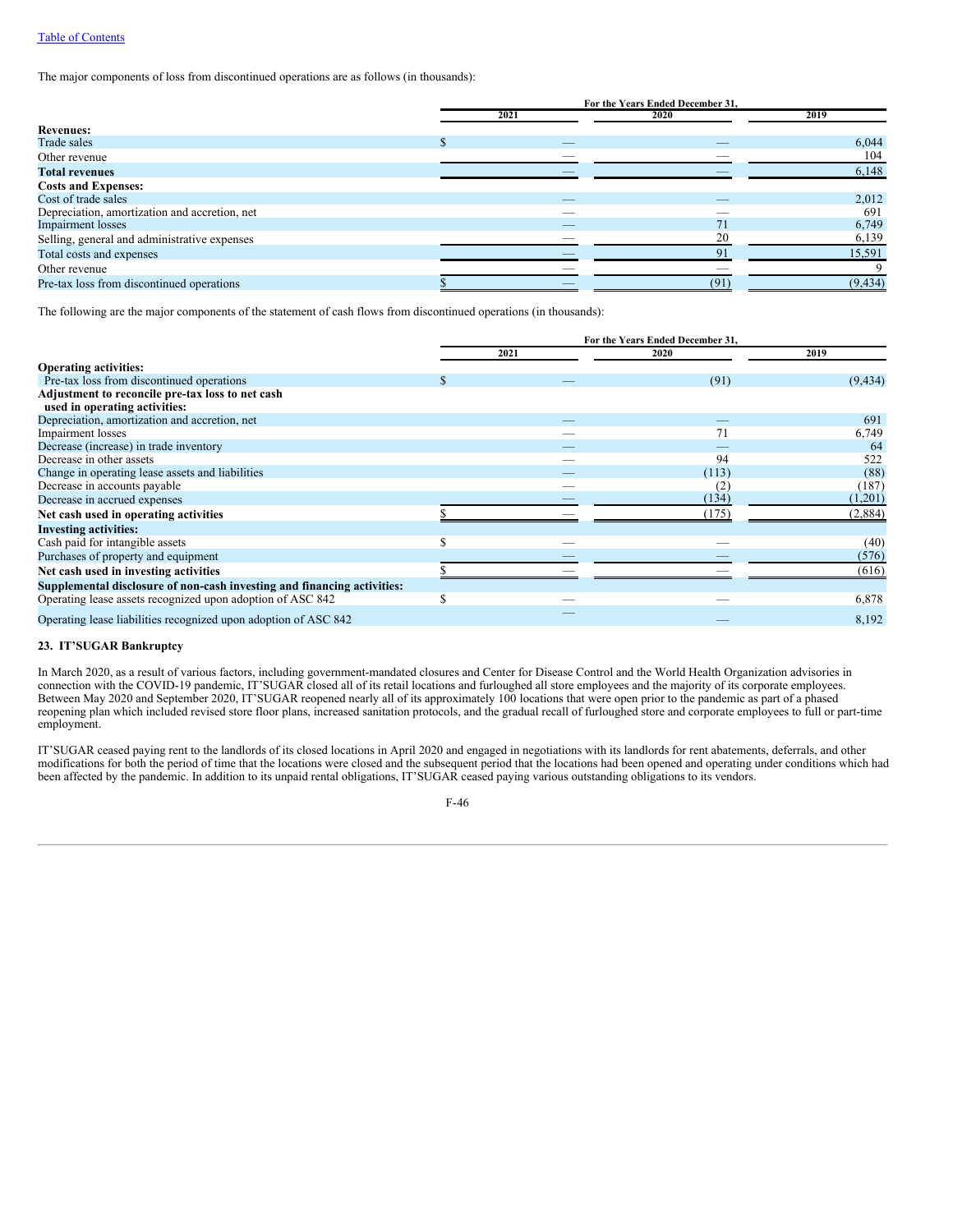The major components of loss from discontinued operations are as follows (in thousands):

|                                               | For the Years Ended December 31, |      |          |  |  |
|-----------------------------------------------|----------------------------------|------|----------|--|--|
|                                               | 2021                             | 2020 | 2019     |  |  |
| <b>Revenues:</b>                              |                                  |      |          |  |  |
| Trade sales                                   | _                                | _    | 6,044    |  |  |
| Other revenue                                 |                                  |      | 104      |  |  |
| <b>Total revenues</b>                         |                                  |      | 6,148    |  |  |
| <b>Costs and Expenses:</b>                    |                                  |      |          |  |  |
| Cost of trade sales                           | _                                | _    | 2,012    |  |  |
| Depreciation, amortization and accretion, net | __                               | _    | 691      |  |  |
| <b>Impairment</b> losses                      | _                                | 71   | 6,749    |  |  |
| Selling, general and administrative expenses  |                                  | 20   | 6,139    |  |  |
| Total costs and expenses                      |                                  | 91   | 15,591   |  |  |
| Other revenue                                 |                                  |      |          |  |  |
| Pre-tax loss from discontinued operations     |                                  | (91) | (9, 434) |  |  |

The following are the major components of the statement of cash flows from discontinued operations (in thousands):

|                                                                         | For the Years Ended December 31, |      |       |          |  |
|-------------------------------------------------------------------------|----------------------------------|------|-------|----------|--|
|                                                                         |                                  | 2021 | 2020  | 2019     |  |
| <b>Operating activities:</b>                                            |                                  |      |       |          |  |
| Pre-tax loss from discontinued operations                               |                                  |      | (91)  | (9, 434) |  |
| Adjustment to reconcile pre-tax loss to net cash                        |                                  |      |       |          |  |
| used in operating activities:                                           |                                  |      |       |          |  |
| Depreciation, amortization and accretion, net                           |                                  |      |       | 691      |  |
| Impairment losses                                                       |                                  |      | 71    | 6,749    |  |
| Decrease (increase) in trade inventory                                  |                                  |      |       | 64       |  |
| Decrease in other assets                                                |                                  |      | 94    | 522      |  |
| Change in operating lease assets and liabilities                        |                                  |      | (113) | (88)     |  |
| Decrease in accounts payable                                            |                                  |      | (2)   | (187)    |  |
| Decrease in accrued expenses                                            |                                  |      | (134) | (1,201)  |  |
| Net cash used in operating activities                                   |                                  |      | (175) | (2,884)  |  |
| <b>Investing activities:</b>                                            |                                  |      |       |          |  |
| Cash paid for intangible assets                                         |                                  |      |       | (40)     |  |
| Purchases of property and equipment                                     |                                  |      |       | (576)    |  |
| Net cash used in investing activities                                   |                                  |      |       | (616)    |  |
| Supplemental disclosure of non-cash investing and financing activities: |                                  |      |       |          |  |
| Operating lease assets recognized upon adoption of ASC 842              |                                  |      |       | 6,878    |  |
| Operating lease liabilities recognized upon adoption of ASC 842         |                                  |      |       | 8,192    |  |

## **23. IT'SUGAR Bankruptcy**

In March 2020, as a result of various factors, including government-mandated closures and Center for Disease Control and the World Health Organization advisories in connection with the COVID-19 pandemic, IT'SUGAR closed all of its retail locations and furloughed all store employees and the majority of its corporate employees. Between May 2020 and September 2020, IT'SUGAR reopened nearly all of its approximately 100 locations that were open prior to the pandemic as part of a phased reopening plan which included revised store floor plans, increased sanitation protocols, and the gradual recall of furloughed store and corporate employees to full or part-time employment.

IT'SUGAR ceased paying rent to the landlords of its closed locations in April 2020 and engaged in negotiations with its landlords for rent abatements, deferrals, and other modifications for both the period of time that the locations were closed and the subsequent period that the locations had been opened and operating under conditions which had been affected by the pandemic. In addition to its unpaid rental obligations, IT'SUGAR ceased paying various outstanding obligations to its vendors.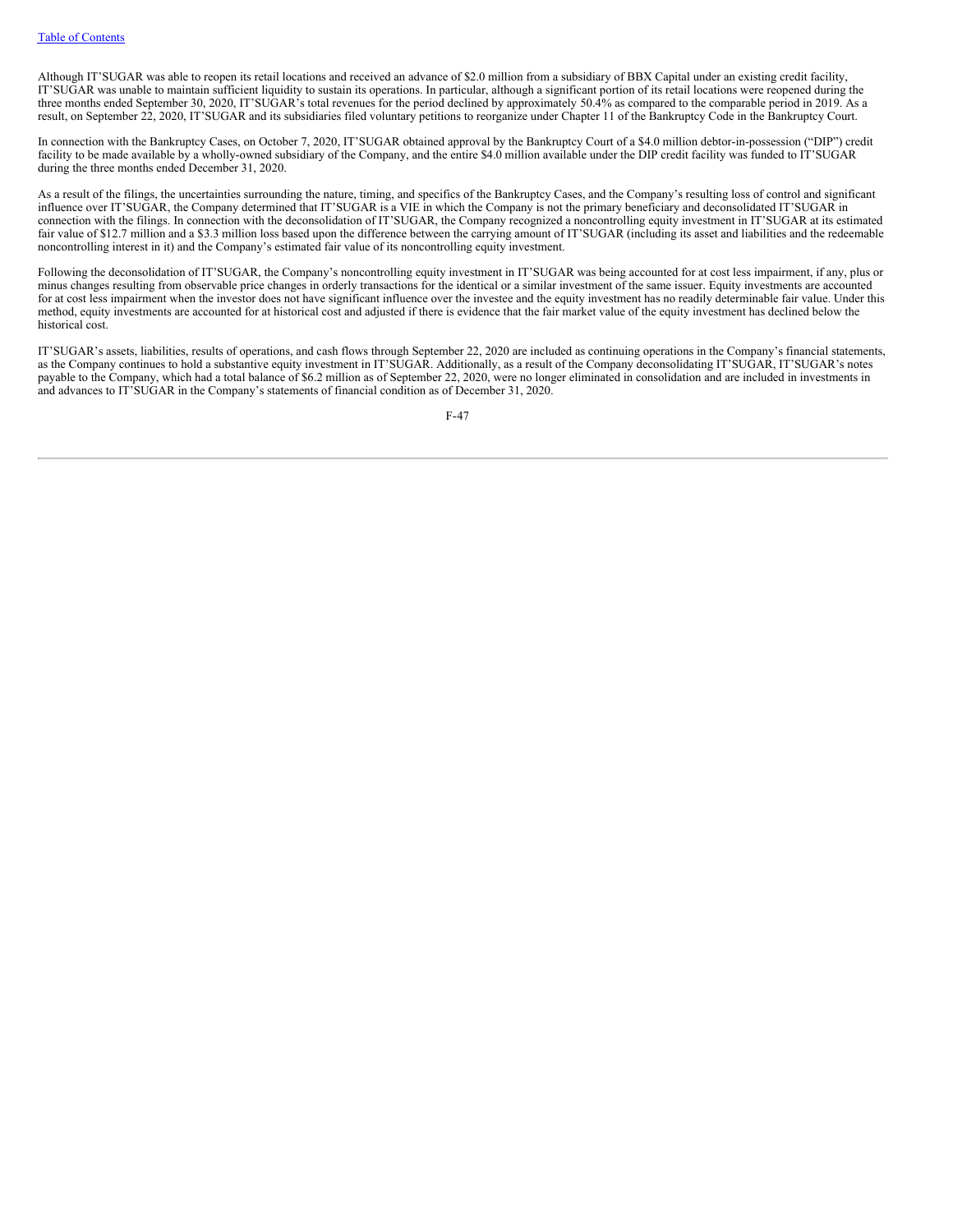Although IT'SUGAR was able to reopen its retail locations and received an advance of \$2.0 million from a subsidiary of BBX Capital under an existing credit facility, IT'SUGAR was unable to maintain sufficient liquidity to sustain its operations. In particular, although a significant portion of its retail locations were reopened during the three months ended September 30, 2020, IT'SUGAR's total revenues for the period declined by approximately 50.4% as compared to the comparable period in 2019. As a result, on September 22, 2020, IT'SUGAR and its subsidiaries filed voluntary petitions to reorganize under Chapter 11 of the Bankruptcy Code in the Bankruptcy Court.

In connection with the Bankruptcy Cases, on October 7, 2020, IT'SUGAR obtained approval by the Bankruptcy Court of a \$4.0 million debtor-in-possession ("DIP") credit facility to be made available by a wholly-owned subsidiary of the Company, and the entire \$4.0 million available under the DIP credit facility was funded to IT'SUGAR during the three months ended December 31, 2020.

As a result of the filings, the uncertainties surrounding the nature, timing, and specifics of the Bankruptcy Cases, and the Company's resulting loss of control and significant influence over IT'SUGAR, the Company determined that IT'SUGAR is a VIE in which the Company is not the primary beneficiary and deconsolidated IT'SUGAR in connection with the filings. In connection with the deconsolidation of IT'SUGAR, the Company recognized a noncontrolling equity investment in IT'SUGAR at its estimated fair value of \$12.7 million and a \$3.3 million loss based upon the difference between the carrying amount of IT'SUGAR (including its asset and liabilities and the redeemable noncontrolling interest in it) and the Company's estimated fair value of its noncontrolling equity investment.

Following the deconsolidation of IT'SUGAR, the Company's noncontrolling equity investment in IT'SUGAR was being accounted for at cost less impairment, if any, plus or minus changes resulting from observable price changes in orderly transactions for the identical or a similar investment of the same issuer. Equity investments are accounted for at cost less impairment when the investor does not have significant influence over the investee and the equity investment has no readily determinable fair value. Under this method, equity investments are accounted for at historical cost and adjusted if there is evidence that the fair market value of the equity investment has declined below the historical cost.

IT'SUGAR's assets, liabilities, results of operations, and cash flows through September 22, 2020 are included as continuing operations in the Company's financial statements, as the Company continues to hold a substantive equity investment in IT'SUGAR. Additionally, as a result of the Company deconsolidating IT'SUGAR, IT'SUGAR's notes payable to the Company, which had a total balance of \$6.2 million as of September 22, 2020, were no longer eliminated in consolidation and are included in investments in and advances to IT'SUGAR in the Company's statements of financial condition as of December 31, 2020.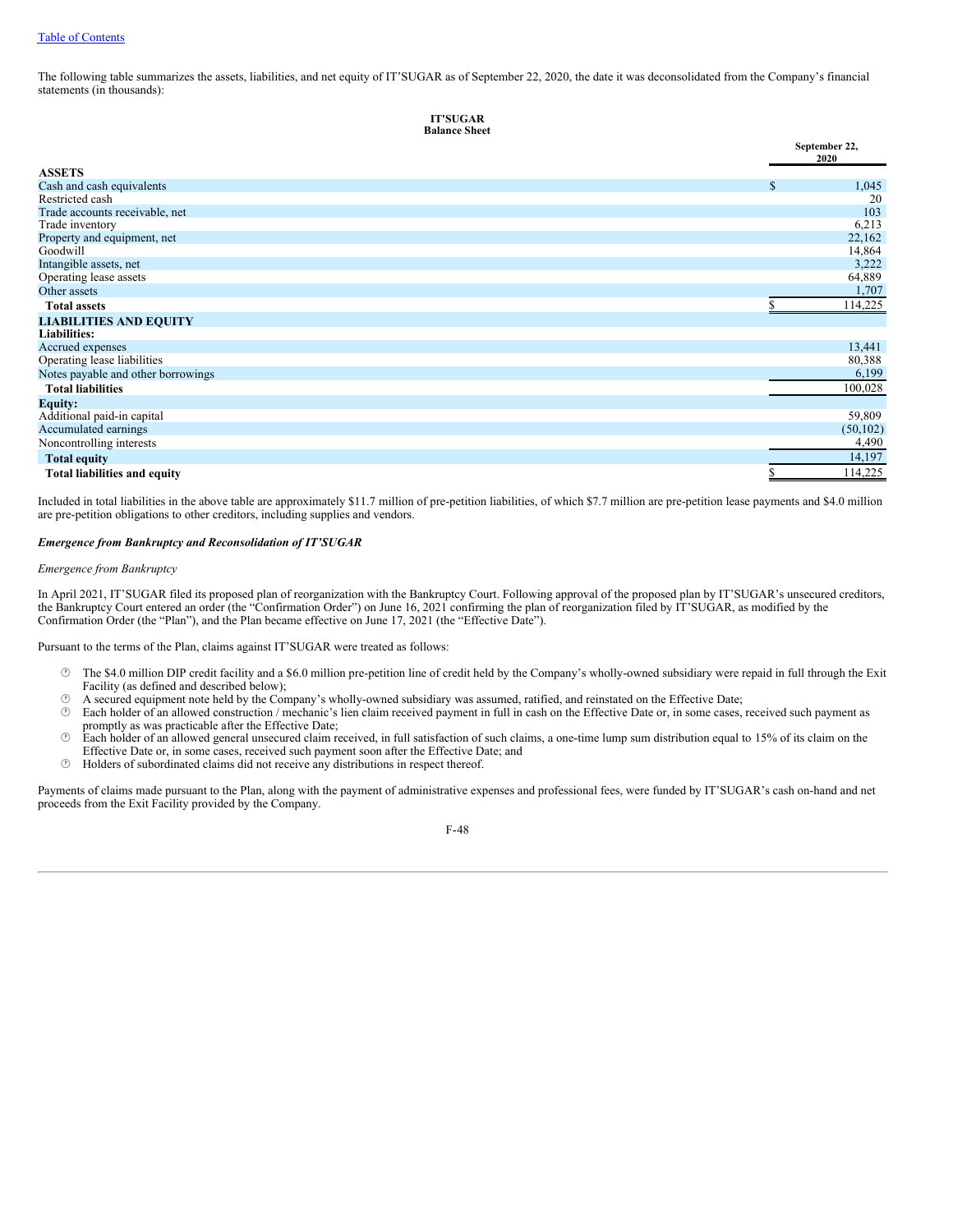The following table summarizes the assets, liabilities, and net equity of IT'SUGAR as of September 22, 2020, the date it was deconsolidated from the Company's financial statements (in thousands):

```
IT'SUGAR
Balance Sheet
```

|                                     |               | September 22,<br>2020 |
|-------------------------------------|---------------|-----------------------|
| <b>ASSETS</b>                       |               |                       |
| Cash and cash equivalents           | <sup>\$</sup> | 1,045                 |
| Restricted cash                     |               | 20                    |
| Trade accounts receivable, net      |               | 103                   |
| Trade inventory                     |               | 6,213                 |
| Property and equipment, net         |               | 22,162                |
| Goodwill                            |               | 14,864                |
| Intangible assets, net              |               | 3,222                 |
| Operating lease assets              |               | 64,889                |
| Other assets                        |               | 1,707                 |
| <b>Total assets</b>                 |               | 114,225               |
| <b>LIABILITIES AND EQUITY</b>       |               |                       |
| <b>Liabilities:</b>                 |               |                       |
| Accrued expenses                    |               | 13,441                |
| Operating lease liabilities         |               | 80,388                |
| Notes payable and other borrowings  |               | 6,199                 |
| <b>Total liabilities</b>            |               | 100,028               |
| <b>Equity:</b>                      |               |                       |
| Additional paid-in capital          |               | 59,809                |
| Accumulated earnings                |               | (50, 102)             |
| Noncontrolling interests            |               | 4,490                 |
| <b>Total equity</b>                 |               | 14,197                |
| <b>Total liabilities and equity</b> |               | 114,225               |

Included in total liabilities in the above table are approximately \$11.7 million of pre-petition liabilities, of which \$7.7 million are pre-petition lease payments and \$4.0 million are pre-petition obligations to other creditors, including supplies and vendors.

## *Emergence from Bankruptcy and Reconsolidation of IT'SUGAR*

#### *Emergence from Bankruptcy*

In April 2021, IT'SUGAR filed its proposed plan of reorganization with the Bankruptcy Court. Following approval of the proposed plan by IT'SUGAR's unsecured creditors, the Bankruptcy Court entered an order (the "Confirmation Order") on June 16, 2021 confirming the plan of reorganization filed by IT'SUGAR, as modified by the Confirmation Order (the "Plan"), and the Plan became effective on June 17, 2021 (the "Effective Date").

Pursuant to the terms of the Plan, claims against IT'SUGAR were treated as follows:

- · The \$4.0 million DIP credit facility and a \$6.0 million pre-petition line of credit held by the Company's wholly-owned subsidiary were repaid in full through the Exit Facility (as defined and described below);
- $\circled{b}$  A secured equipment note held by the Company's wholly-owned subsidiary was assumed, ratified, and reinstated on the Effective Date;<br> $\circled{b}$  Each holder of an allowed construction / mechanic's lien claim received
- Each holder of an allowed construction / mechanic's lien claim received payment in full in cash on the Effective Date or, in some cases, received such payment as promptly as was practicable after the Effective Date;
- $\degree$  Each holder of an allowed general unsecured claim received, in full satisfaction of such claims, a one-time lump sum distribution equal to 15% of its claim on the Effective Date or, in some cases, received such payment soon after the Effective Date; and
- · Holders of subordinated claims did not receive any distributions in respect thereof.

Payments of claims made pursuant to the Plan, along with the payment of administrative expenses and professional fees, were funded by IT'SUGAR's cash on-hand and net proceeds from the Exit Facility provided by the Company.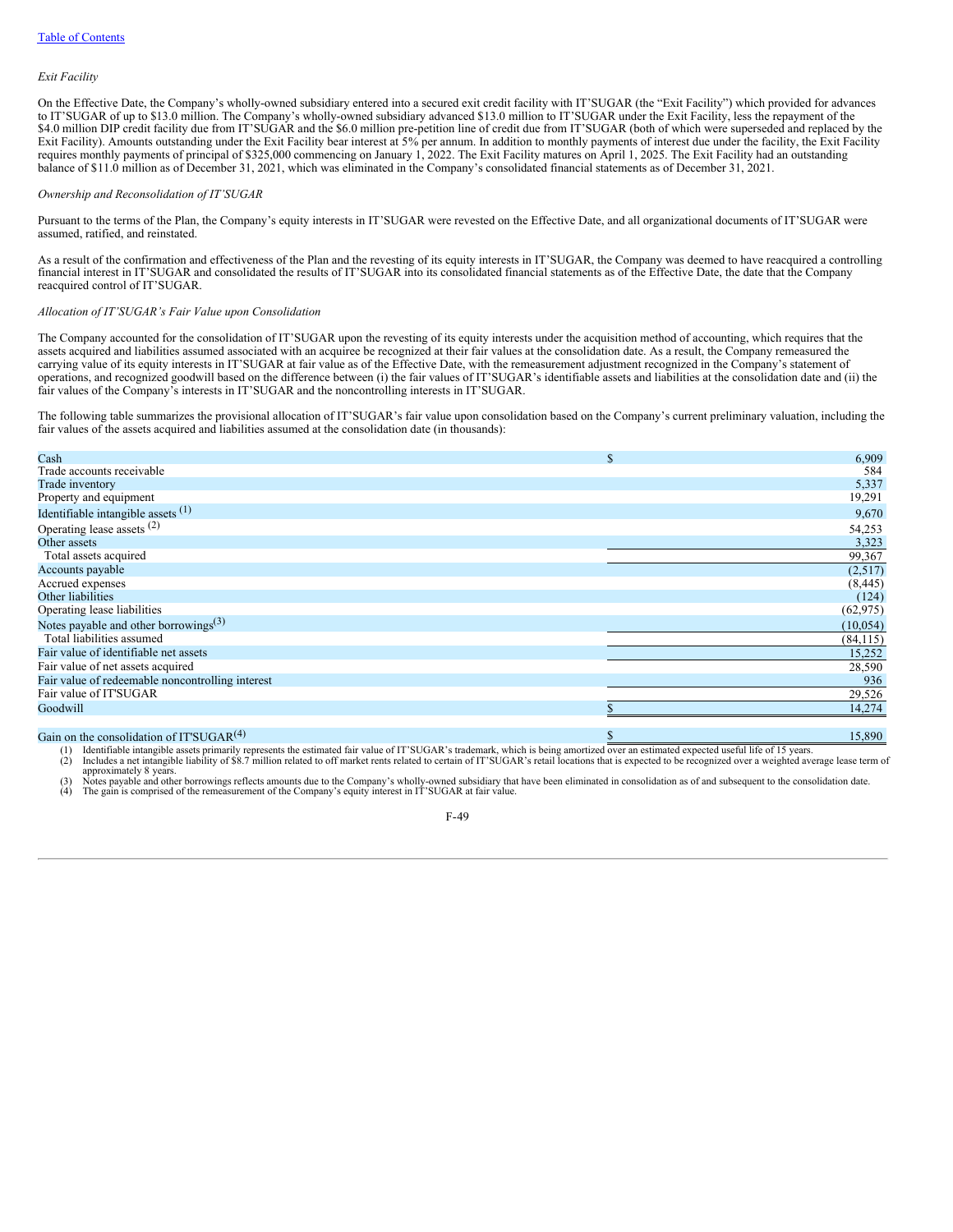#### *Exit Facility*

On the Effective Date, the Company's wholly-owned subsidiary entered into a secured exit credit facility with IT'SUGAR (the "Exit Facility") which provided for advances to IT'SUGAR of up to \$13.0 million. The Company's wholly-owned subsidiary advanced \$13.0 million to IT'SUGAR under the Exit Facility, less the repayment of the \$4.0 million DIP credit facility due from IT'SUGAR and the \$6.0 million pre-petition line of credit due from IT'SUGAR (both of which were superseded and replaced by the Exit Facility). Amounts outstanding under the Exit Facility bear interest at 5% per annum. In addition to monthly payments of interest due under the facility, the Exit Facility requires monthly payments of principal of \$325,000 commencing on January 1, 2022. The Exit Facility matures on April 1, 2025. The Exit Facility had an outstanding balance of \$11.0 million as of December 31, 2021, which was eliminated in the Company's consolidated financial statements as of December 31, 2021.

## *Ownership and Reconsolidation of IT'SUGAR*

Pursuant to the terms of the Plan, the Company's equity interests in IT'SUGAR were revested on the Effective Date, and all organizational documents of IT'SUGAR were assumed, ratified, and reinstated.

As a result of the confirmation and effectiveness of the Plan and the revesting of its equity interests in IT'SUGAR, the Company was deemed to have reacquired a controlling financial interest in IT'SUGAR and consolidated the results of IT'SUGAR into its consolidated financial statements as of the Effective Date, the date that the Company reacquired control of IT'SUGAR.

#### *Allocation of IT'SUGAR's Fair Value upon Consolidation*

The Company accounted for the consolidation of IT'SUGAR upon the revesting of its equity interests under the acquisition method of accounting, which requires that the assets acquired and liabilities assumed associated with an acquiree be recognized at their fair values at the consolidation date. As a result, the Company remeasured the carrying value of its equity interests in IT'SUGAR at fair value as of the Effective Date, with the remeasurement adjustment recognized in the Company's statement of operations, and recognized goodwill based on the difference between (i) the fair values of IT'SUGAR's identifiable assets and liabilities at the consolidation date and (ii) the fair values of the Company's interests in IT'SUGAR and the noncontrolling interests in IT'SUGAR.

The following table summarizes the provisional allocation of IT'SUGAR's fair value upon consolidation based on the Company's current preliminary valuation, including the fair values of the assets acquired and liabilities assumed at the consolidation date (in thousands):

| Cash                                             | \$<br>6,909  |
|--------------------------------------------------|--------------|
| Trade accounts receivable                        | 584          |
| Trade inventory                                  | 5,337        |
| Property and equipment                           | 19,291       |
| Identifiable intangible assets $(1)$             | 9,670        |
| Operating lease assets <sup>(2)</sup>            | 54,253       |
| Other assets                                     | 3,323        |
| Total assets acquired                            | 99,367       |
| Accounts payable                                 | (2,517)      |
| Accrued expenses                                 | (8, 445)     |
| Other liabilities                                | (124)        |
| Operating lease liabilities                      | (62, 975)    |
| Notes payable and other borrowings $(3)$         | (10, 054)    |
| Total liabilities assumed                        | (84, 115)    |
| Fair value of identifiable net assets            | 15,252       |
| Fair value of net assets acquired                | 28,590       |
| Fair value of redeemable noncontrolling interest | 936          |
| Fair value of IT'SUGAR                           | 29,526       |
| Goodwill                                         | 14,274       |
|                                                  |              |
| Gain on the consolidation of IT'SUGAR $(4)$      | \$<br>15,890 |

(1) Identifiable intangible assets primarily represents the estimated fair value of IT'SUGAR's trademark, which is being amortized over an estimated expected useful life of 15 years.<br>(2) Includes a net intangible liability

approximately 8 years.<br>(3) Notes payable and other borrowings reflects amounts due to the Company's wholly-owned subsidiary that have been eliminated in consolidation as of and subsequent to the consolidation date. (4) The gain is comprised of the remeasurement of the Company's equity interest in IT'SUGAR at fair value.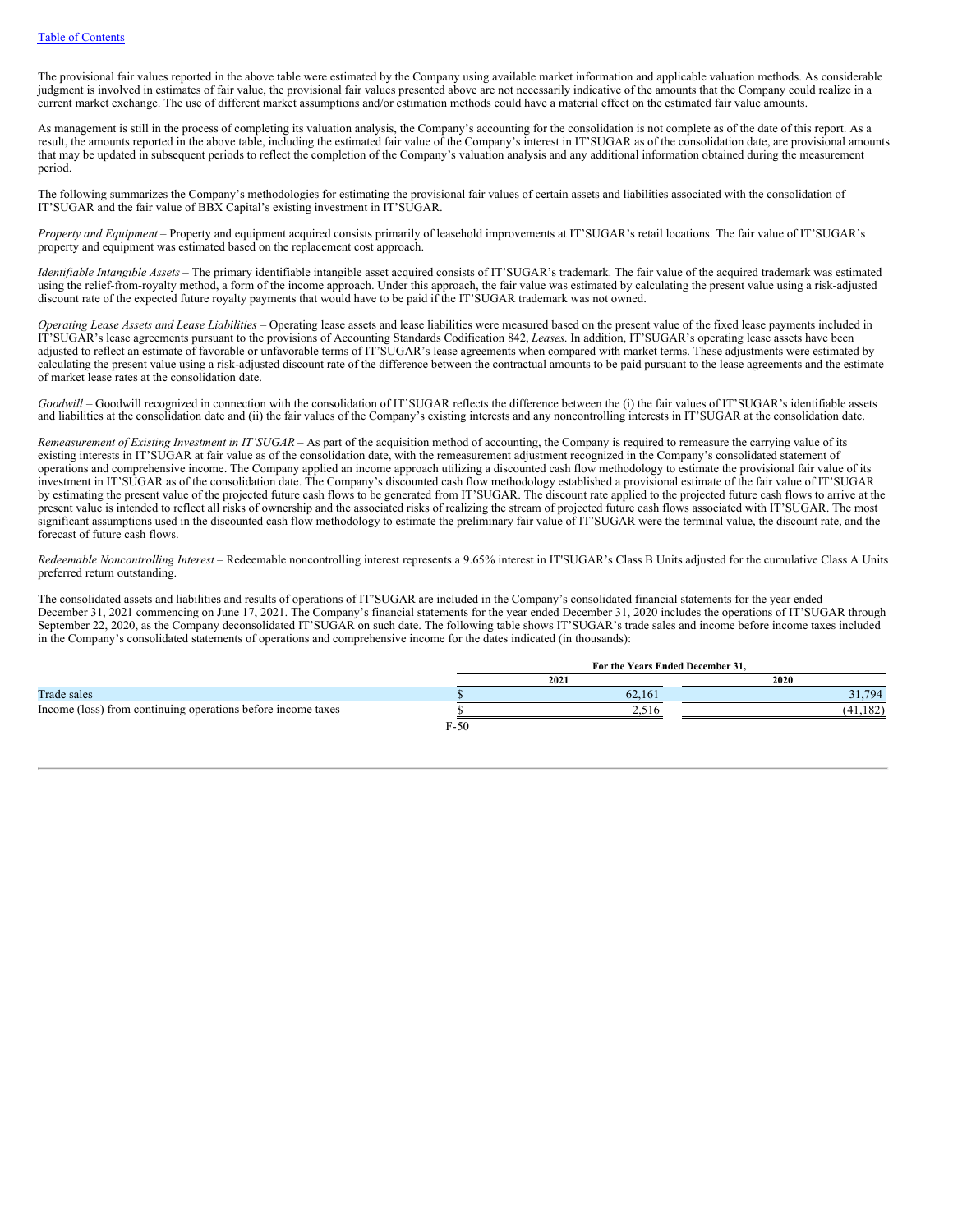The provisional fair values reported in the above table were estimated by the Company using available market information and applicable valuation methods. As considerable judgment is involved in estimates of fair value, the provisional fair values presented above are not necessarily indicative of the amounts that the Company could realize in a current market exchange. The use of different market assumptions and/or estimation methods could have a material effect on the estimated fair value amounts.

As management is still in the process of completing its valuation analysis, the Company's accounting for the consolidation is not complete as of the date of this report. As a result, the amounts reported in the above table, including the estimated fair value of the Company's interest in IT'SUGAR as of the consolidation date, are provisional amounts that may be updated in subsequent periods to reflect the completion of the Company's valuation analysis and any additional information obtained during the measurement period.

The following summarizes the Company's methodologies for estimating the provisional fair values of certain assets and liabilities associated with the consolidation of IT'SUGAR and the fair value of BBX Capital's existing investment in IT'SUGAR.

*Property and Equipment* – Property and equipment acquired consists primarily of leasehold improvements at IT'SUGAR's retail locations. The fair value of IT'SUGAR's property and equipment was estimated based on the replacement cost approach.

*Identifiable Intangible Assets* – The primary identifiable intangible asset acquired consists of IT'SUGAR's trademark. The fair value of the acquired trademark was estimated using the relief-from-royalty method, a form of the income approach. Under this approach, the fair value was estimated by calculating the present value using a risk-adjusted discount rate of the expected future royalty payments that would have to be paid if the IT'SUGAR trademark was not owned.

*Operating Lease Assets and Lease Liabilities* – Operating lease assets and lease liabilities were measured based on the present value of the fixed lease payments included in IT'SUGAR's lease agreements pursuant to the provisions of Accounting Standards Codification 842, *Leases*. In addition, IT'SUGAR's operating lease assets have been adjusted to reflect an estimate of favorable or unfavorable terms of IT'SUGAR's lease agreements when compared with market terms. These adjustments were estimated by calculating the present value using a risk-adjusted discount rate of the difference between the contractual amounts to be paid pursuant to the lease agreements and the estimate of market lease rates at the consolidation date.

*Goodwill* – Goodwill recognized in connection with the consolidation of IT'SUGAR reflects the difference between the (i) the fair values of IT'SUGAR's identifiable assets and liabilities at the consolidation date and (ii) the fair values of the Company's existing interests and any noncontrolling interests in IT'SUGAR at the consolidation date.

*Remeasurement of Existing Investment in IT'SUGAR* – As part of the acquisition method of accounting, the Company is required to remeasure the carrying value of its existing interests in IT'SUGAR at fair value as of the consolidation date, with the remeasurement adjustment recognized in the Company's consolidated statement of operations and comprehensive income. The Company applied an income approach utilizing a discounted cash flow methodology to estimate the provisional fair value of its investment in IT'SUGAR as of the consolidation date. The Company's discounted cash flow methodology established a provisional estimate of the fair value of IT'SUGAR by estimating the present value of the projected future cash flows to be generated from IT'SUGAR. The discount rate applied to the projected future cash flows to arrive at the present value is intended to reflect all risks of ownership and the associated risks of realizing the stream of projected future cash flows associated with IT'SUGAR. The most significant assumptions used in the discounted cash flow methodology to estimate the preliminary fair value of IT'SUGAR were the terminal value, the discount rate, and the forecast of future cash flows.

*Redeemable Noncontrolling Interest* – Redeemable noncontrolling interest represents a 9.65% interest in IT'SUGAR's Class B Units adjusted for the cumulative Class A Units preferred return outstanding.

The consolidated assets and liabilities and results of operations of IT'SUGAR are included in the Company's consolidated financial statements for the year ended December 31, 2021 commencing on June 17, 2021. The Company's financial statements for the year ended December 31, 2020 includes the operations of IT'SUGAR through September 22, 2020, as the Company deconsolidated IT'SUGAR on such date. The following table shows IT'SUGAR's trade sales and income before income taxes included in the Company's consolidated statements of operations and comprehensive income for the dates indicated (in thousands):

|                                                              |        | For the Years Ended December 31. |          |  |
|--------------------------------------------------------------|--------|----------------------------------|----------|--|
|                                                              |        | 2021                             | 2020     |  |
| Trade sales                                                  |        | 62.161                           | 31.794   |  |
| Income (loss) from continuing operations before income taxes |        | سمد                              | (41.182) |  |
|                                                              | $F-50$ |                                  |          |  |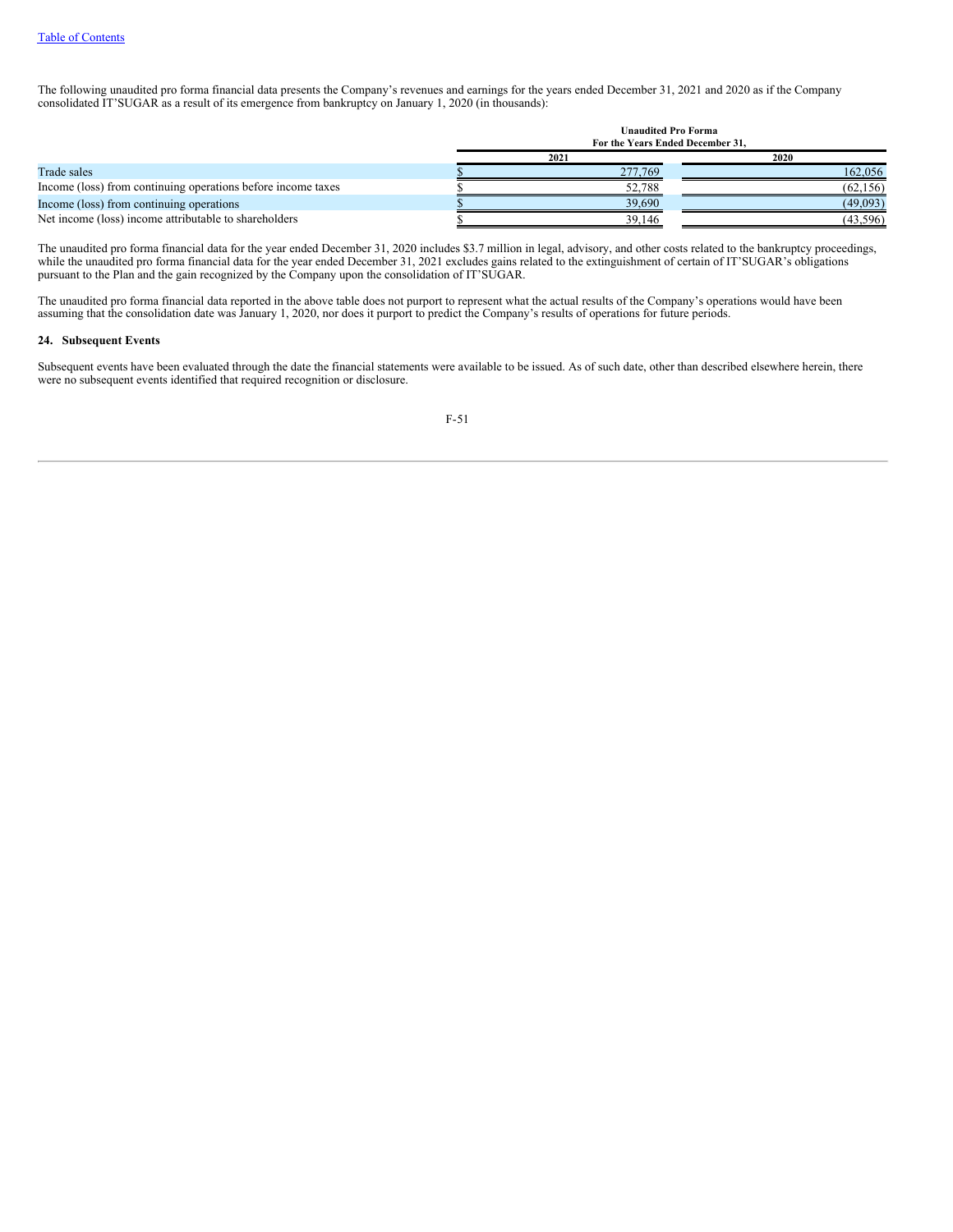The following unaudited pro forma financial data presents the Company's revenues and earnings for the years ended December 31, 2021 and 2020 as if the Company consolidated IT'SUGAR as a result of its emergence from bankruptcy on January 1, 2020 (in thousands).

|                                                              | <b>Unaudited Pro Forma</b><br>For the Years Ended December 31, |         |           |
|--------------------------------------------------------------|----------------------------------------------------------------|---------|-----------|
|                                                              |                                                                | 2021    | 2020      |
| Trade sales                                                  |                                                                | 277,769 | 162,056   |
| Income (loss) from continuing operations before income taxes |                                                                | 52.788  | (62, 156) |
| Income (loss) from continuing operations                     |                                                                | 39.690  | (49,093)  |
| Net income (loss) income attributable to shareholders        |                                                                | 39.146  | (43, 596) |

The unaudited pro forma financial data for the year ended December 31, 2020 includes \$3.7 million in legal, advisory, and other costs related to the bankruptcy proceedings, while the unaudited pro forma financial data for the year ended December 31, 2021 excludes gains related to the extinguishment of certain of IT'SUGAR's obligations pursuant to the Plan and the gain recognized by the Company upon the consolidation of IT'SUGAR.

The unaudited pro forma financial data reported in the above table does not purport to represent what the actual results of the Company's operations would have been assuming that the consolidation date was January 1, 2020, nor does it purport to predict the Company's results of operations for future periods.

## **24. Subsequent Events**

Subsequent events have been evaluated through the date the financial statements were available to be issued. As of such date, other than described elsewhere herein, there were no subsequent events identified that required recognition or disclosure.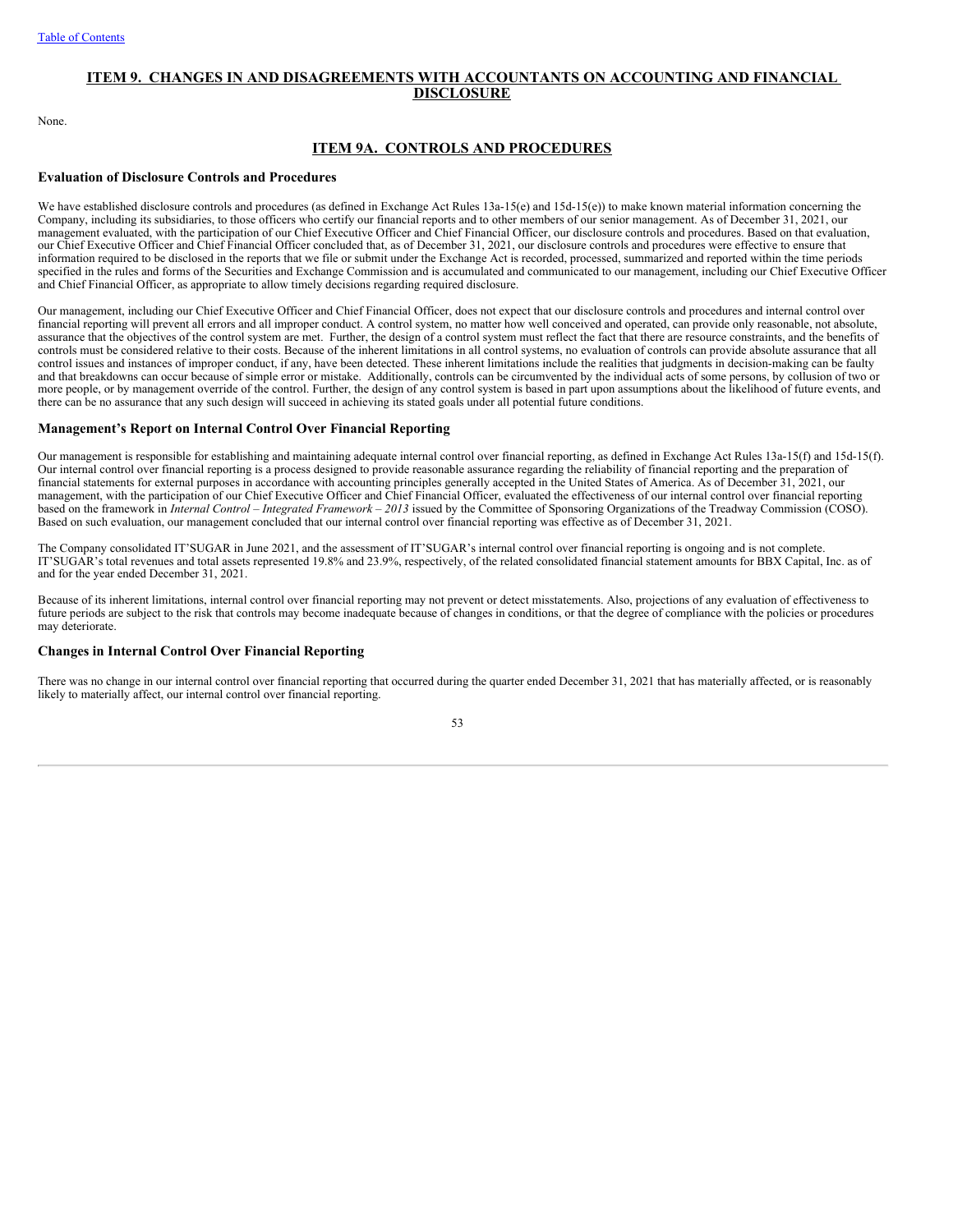## **ITEM 9. CHANGES IN AND DISAGREEMENTS WITH ACCOUNTANTS ON ACCOUNTING AND FINANCIAL DISCLOSURE**

None.

## **ITEM 9A. CONTROLS AND PROCEDURES**

## **Evaluation of Disclosure Controls and Procedures**

We have established disclosure controls and procedures (as defined in Exchange Act Rules 13a-15(e) and 15d-15(e)) to make known material information concerning the Company, including its subsidiaries, to those officers who certify our financial reports and to other members of our senior management. As of December 31, 2021, our management evaluated, with the participation of our Chief Executive Officer and Chief Financial Officer, our disclosure controls and procedures. Based on that evaluation, our Chief Executive Officer and Chief Financial Officer concluded that, as of December 31, 2021, our disclosure controls and procedures were effective to ensure that information required to be disclosed in the reports that we file or submit under the Exchange Act is recorded, processed, summarized and reported within the time periods specified in the rules and forms of the Securities and Exchange Commission and is accumulated and communicated to our management, including our Chief Executive Officer and Chief Financial Officer, as appropriate to allow timely decisions regarding required disclosure.

Our management, including our Chief Executive Officer and Chief Financial Officer, does not expect that our disclosure controls and procedures and internal control over financial reporting will prevent all errors and all improper conduct. A control system, no matter how well conceived and operated, can provide only reasonable, not absolute, assurance that the objectives of the control system are met. Further, the design of a control system must reflect the fact that there are resource constraints, and the benefits of controls must be considered relative to their costs. Because of the inherent limitations in all control systems, no evaluation of controls can provide absolute assurance that all control issues and instances of improper conduct, if any, have been detected. These inherent limitations include the realities that judgments in decision-making can be faulty and that breakdowns can occur because of simple error or mistake. Additionally, controls can be circumvented by the individual acts of some persons, by collusion of two or more people, or by management override of the control. Further, the design of any control system is based in part upon assumptions about the likelihood of future events, and there can be no assurance that any such design will succeed in achieving its stated goals under all potential future conditions.

## **Management's Report on Internal Control Over Financial Reporting**

Our management is responsible for establishing and maintaining adequate internal control over financial reporting, as defined in Exchange Act Rules 13a-15(f) and 15d-15(f). Our internal control over financial reporting is a process designed to provide reasonable assurance regarding the reliability of financial reporting and the preparation of financial statements for external purposes in accordance with accounting principles generally accepted in the United States of America. As of December 31, 2021, our management, with the participation of our Chief Executive Officer and Chief Financial Officer, evaluated the effectiveness of our internal control over financial reporting based on the framework in *Internal Control – Integrated Framework – 2013* issued by the Committee of Sponsoring Organizations of the Treadway Commission (COSO). Based on such evaluation, our management concluded that our internal control over financial reporting was effective as of December 31, 2021.

The Company consolidated IT'SUGAR in June 2021, and the assessment of IT'SUGAR's internal control over financial reporting is ongoing and is not complete. IT'SUGAR's total revenues and total assets represented 19.8% and 23.9%, respectively, of the related consolidated financial statement amounts for BBX Capital, Inc. as of and for the year ended December 31, 2021.

Because of its inherent limitations, internal control over financial reporting may not prevent or detect misstatements. Also, projections of any evaluation of effectiveness to future periods are subject to the risk that controls may become inadequate because of changes in conditions, or that the degree of compliance with the policies or procedures may deteriorate.

## **Changes in Internal Control Over Financial Reporting**

There was no change in our internal control over financial reporting that occurred during the quarter ended December 31, 2021 that has materially affected, or is reasonably likely to materially affect, our internal control over financial reporting.

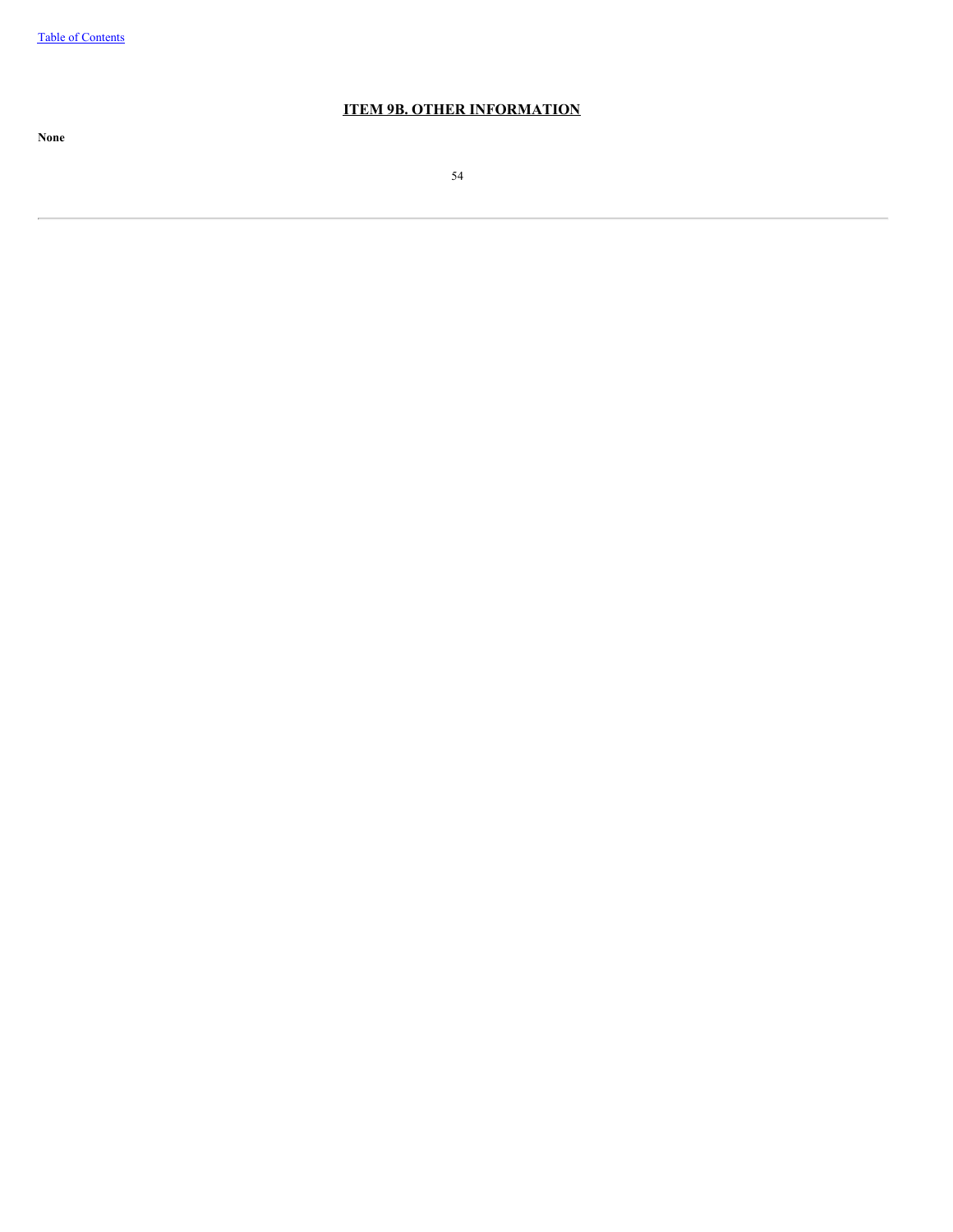# **ITEM 9B. OTHER INFORMATION**

54

**None**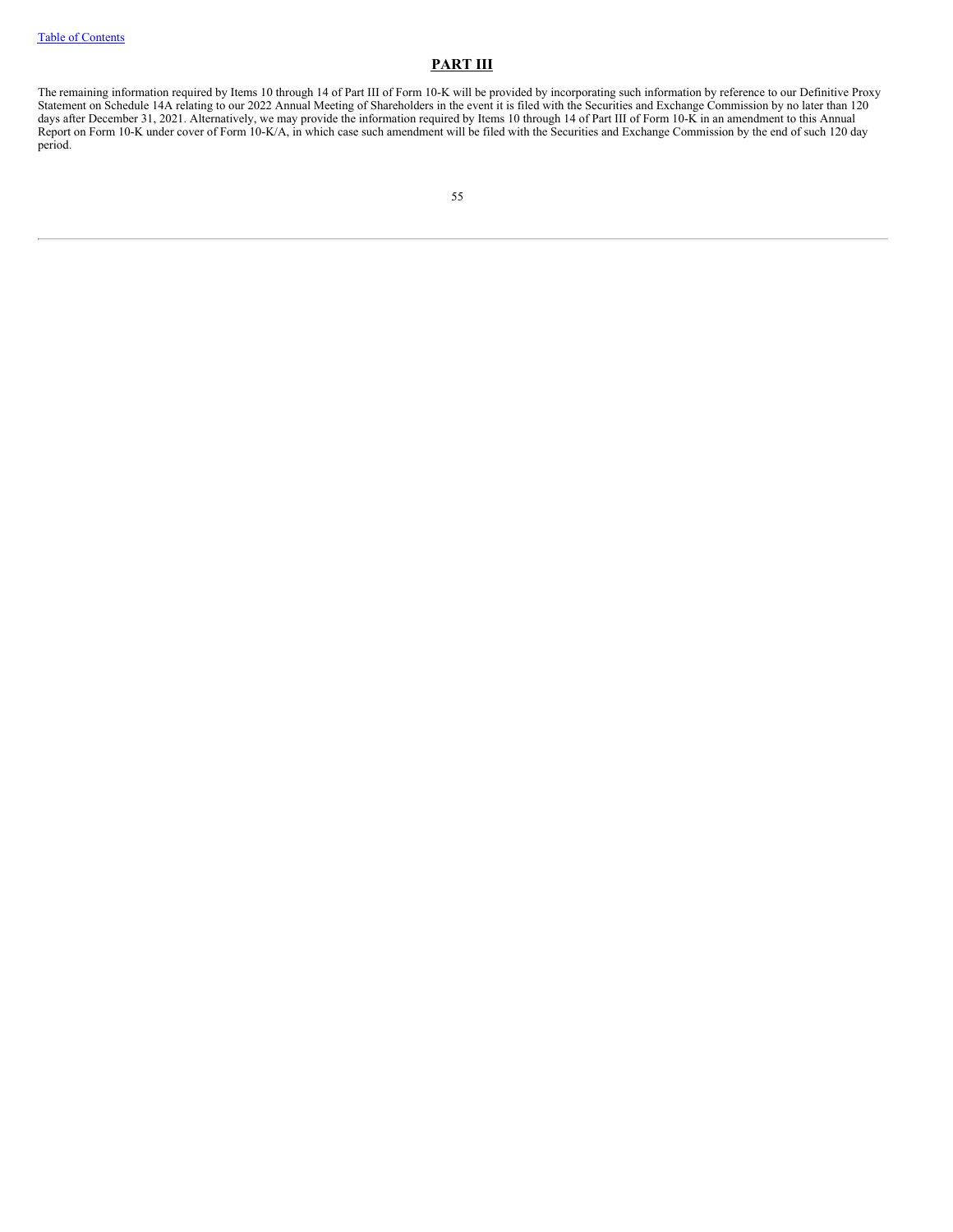## **PART III**

The remaining information required by Items 10 through 14 of Part III of Form 10-K will be provided by incorporating such information by reference to our Definitive Proxy Statement on Schedule 14A relating to our 2022 Annual Meeting of Shareholders in the event it is filed with the Securities and Exchange Commission by no later than 120 days after December 31, 2021. Alternatively, we may provide the information required by Items 10 through 14 of Part III of Form 10-K in an amendment to this Annual Report on Form 10-K under cover of Form 10-K/A, in which case such amendment will be filed with the Securities and Exchange Commission by the end of such 120 day period.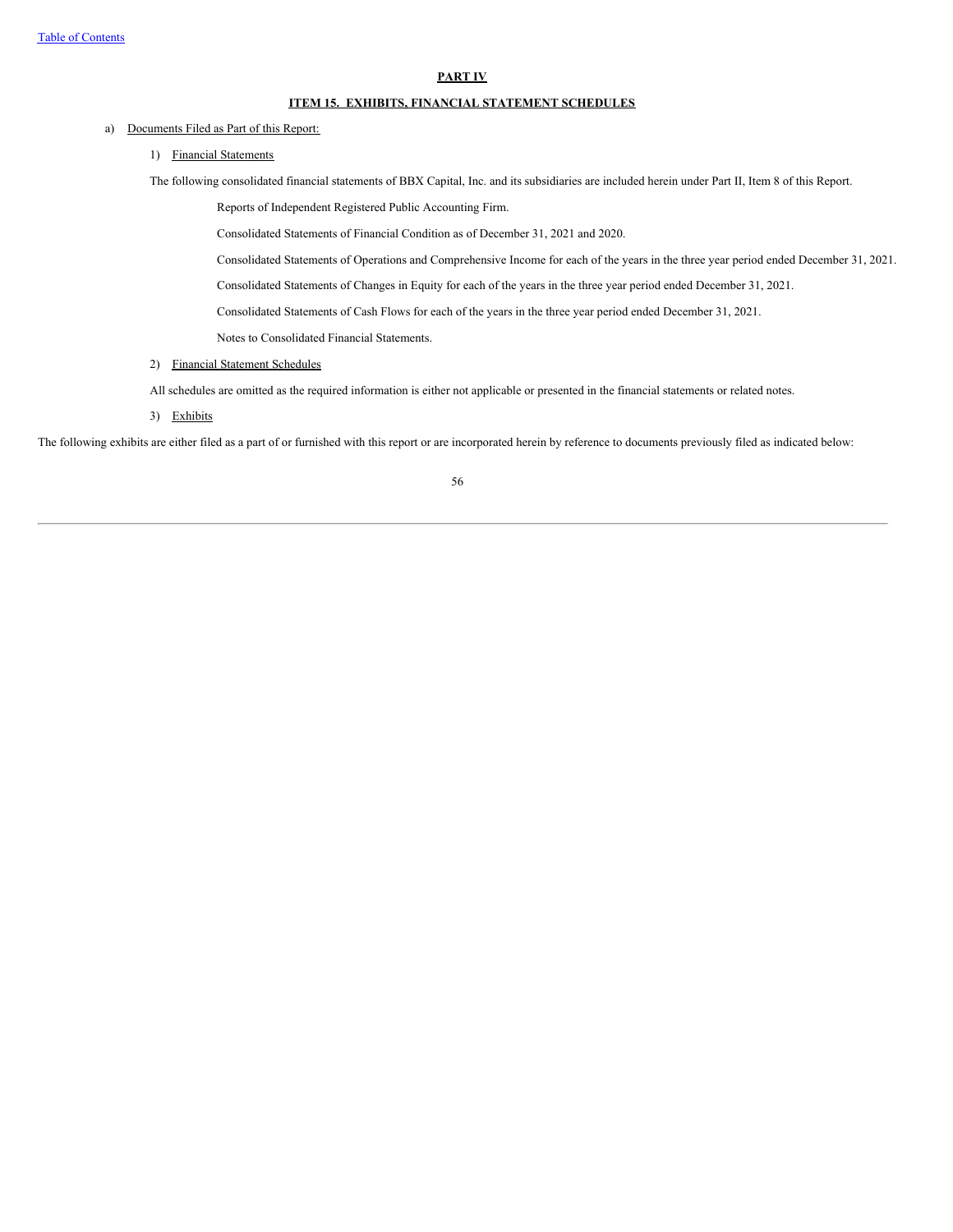#### **PART IV**

### **ITEM 15. EXHIBITS, FINANCIAL STATEMENT SCHEDULES**

### a) Documents Filed as Part of this Report:

1) Financial Statements

The following consolidated financial statements of BBX Capital, Inc. and its subsidiaries are included herein under Part II, Item 8 of this Report.

Reports of Independent Registered Public Accounting Firm.

Consolidated Statements of Financial Condition as of December 31, 2021 and 2020.

Consolidated Statements of Operations and Comprehensive Income for each of the years in the three year period ended December 31, 2021.

Consolidated Statements of Changes in Equity for each of the years in the three year period ended December 31, 2021.

Consolidated Statements of Cash Flows for each of the years in the three year period ended December 31, 2021.

Notes to Consolidated Financial Statements.

2) Financial Statement Schedules

All schedules are omitted as the required information is either not applicable or presented in the financial statements or related notes.

3) Exhibits

The following exhibits are either filed as a part of or furnished with this report or are incorporated herein by reference to documents previously filed as indicated below:

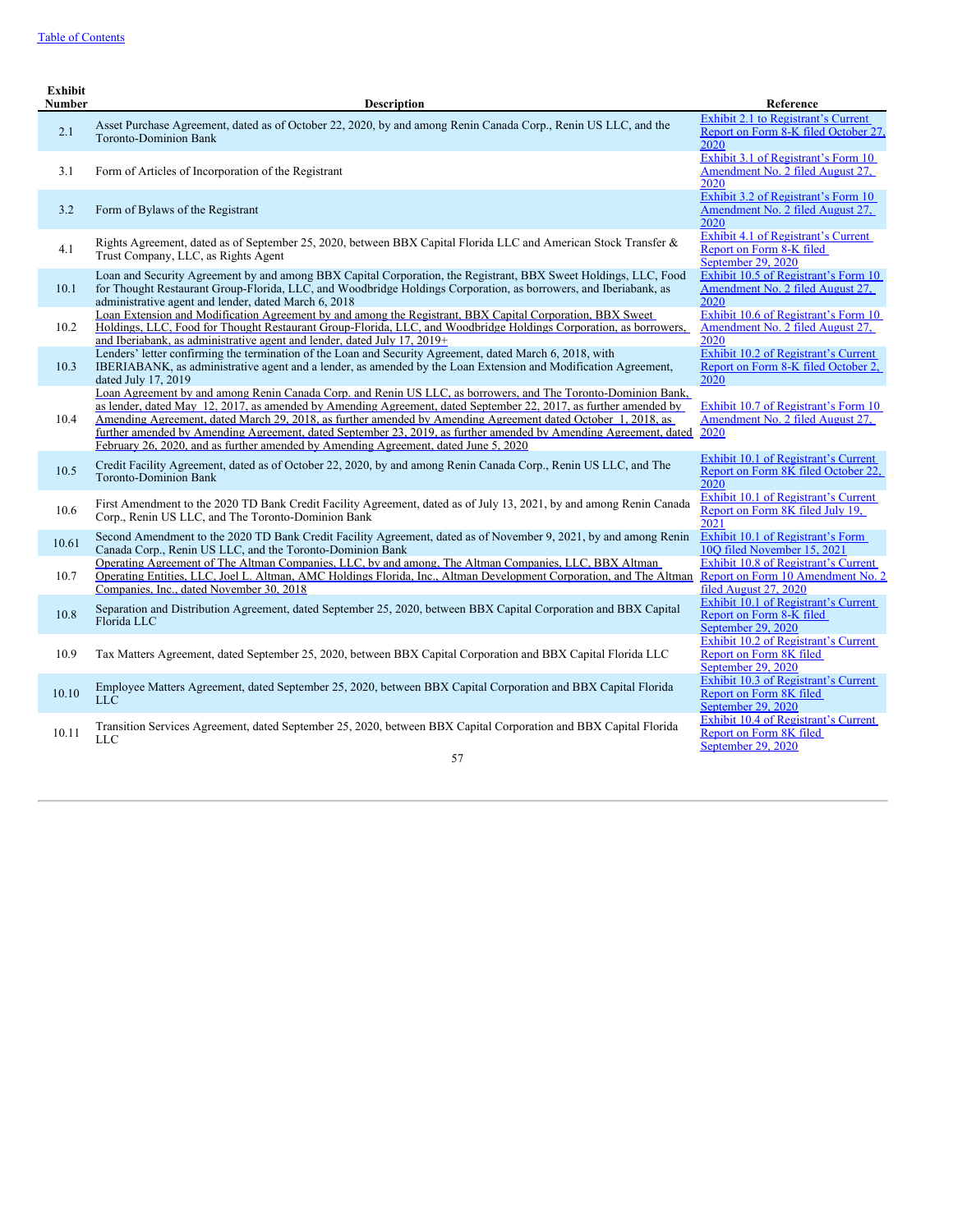| <b>Exhibit</b><br>Number | <b>Description</b>                                                                                                                                                                                                                                                                                                                                                                                                                                                                                                                                           | Reference                                                                                          |
|--------------------------|--------------------------------------------------------------------------------------------------------------------------------------------------------------------------------------------------------------------------------------------------------------------------------------------------------------------------------------------------------------------------------------------------------------------------------------------------------------------------------------------------------------------------------------------------------------|----------------------------------------------------------------------------------------------------|
| 2.1                      | Asset Purchase Agreement, dated as of October 22, 2020, by and among Renin Canada Corp., Renin US LLC, and the<br><b>Toronto-Dominion Bank</b>                                                                                                                                                                                                                                                                                                                                                                                                               | Exhibit 2.1 to Registrant's Current<br>Report on Form 8-K filed October 27.<br>2020                |
| 3.1                      | Form of Articles of Incorporation of the Registrant                                                                                                                                                                                                                                                                                                                                                                                                                                                                                                          | Exhibit 3.1 of Registrant's Form 10<br>Amendment No. 2 filed August 27.<br>2020                    |
| 3.2                      | Form of Bylaws of the Registrant                                                                                                                                                                                                                                                                                                                                                                                                                                                                                                                             | Exhibit 3.2 of Registrant's Form 10<br>Amendment No. 2 filed August 27,<br>2020                    |
| 4.1                      | Rights Agreement, dated as of September 25, 2020, between BBX Capital Florida LLC and American Stock Transfer &<br>Trust Company, LLC, as Rights Agent                                                                                                                                                                                                                                                                                                                                                                                                       | Exhibit 4.1 of Registrant's Current<br>Report on Form 8-K filed<br>Sentember 29, 2020              |
| 10.1                     | Loan and Security Agreement by and among BBX Capital Corporation, the Registrant, BBX Sweet Holdings, LLC, Food<br>for Thought Restaurant Group-Florida, LLC, and Woodbridge Holdings Corporation, as borrowers, and Iberiabank, as<br>administrative agent and lender, dated March 6, 2018                                                                                                                                                                                                                                                                  | Exhibit 10.5 of Registrant's Form 10<br>Amendment No. 2 filed August 27,<br>2020                   |
| 10.2                     | Loan Extension and Modification Agreement by and among the Registrant, BBX Capital Corporation, BBX Sweet<br>Holdings, LLC, Food for Thought Restaurant Group-Florida, LLC, and Woodbridge Holdings Corporation, as borrowers,<br>and Iberiabank, as administrative agent and lender, dated July 17, 2019+                                                                                                                                                                                                                                                   | Exhibit 10.6 of Registrant's Form 10<br>Amendment No. 2 filed August 27.<br>2020                   |
| 10.3                     | Lenders' letter confirming the termination of the Loan and Security Agreement, dated March 6, 2018, with<br>IBERIABANK, as administrative agent and a lender, as amended by the Loan Extension and Modification Agreement,<br>dated July 17, 2019                                                                                                                                                                                                                                                                                                            | Exhibit 10.2 of Registrant's Current<br>Report on Form 8-K filed October 2,<br>2020                |
| 10.4                     | Loan Agreement by and among Renin Canada Corp. and Renin US LLC, as borrowers, and The Toronto-Dominion Bank,<br>as lender, dated May 12, 2017, as amended by Amending Agreement, dated September 22, 2017, as further amended by<br>Amending Agreement, dated March 29, 2018, as further amended by Amending Agreement dated October 1, 2018, as<br>further amended by Amending Agreement, dated September 23, 2019, as further amended by Amending Agreement, dated<br>February 26, 2020, and as further amended by Amending Agreement, dated June 5, 2020 | Exhibit 10.7 of Registrant's Form 10<br>Amendment No. 2 filed August 27.<br>2020                   |
| 10.5                     | Credit Facility Agreement, dated as of October 22, 2020, by and among Renin Canada Corp., Renin US LLC, and The<br><b>Toronto-Dominion Bank</b>                                                                                                                                                                                                                                                                                                                                                                                                              | Exhibit 10.1 of Registrant's Current<br>Report on Form 8K filed October 22,<br>2020                |
| 10.6                     | First Amendment to the 2020 TD Bank Credit Facility Agreement, dated as of July 13, 2021, by and among Renin Canada<br>Corp., Renin US LLC, and The Toronto-Dominion Bank                                                                                                                                                                                                                                                                                                                                                                                    | Exhibit 10.1 of Registrant's Current<br>Report on Form 8K filed July 19,<br>2021                   |
| 10.61                    | Second Amendment to the 2020 TD Bank Credit Facility Agreement, dated as of November 9, 2021, by and among Renin<br>Canada Corp., Renin US LLC, and the Toronto-Dominion Bank                                                                                                                                                                                                                                                                                                                                                                                | Exhibit 10.1 of Registrant's Form<br>100 filed November 15, 2021                                   |
| 10.7                     | Operating Agreement of The Altman Companies, LLC, by and among, The Altman Companies, LLC, BBX Altman<br>Operating Entities, LLC, Joel L. Altman, AMC Holdings Florida, Inc., Altman Development Corporation, and The Altman<br>Companies, Inc., dated November 30, 2018                                                                                                                                                                                                                                                                                     | Exhibit 10.8 of Registrant's Current<br>Report on Form 10 Amendment No. 2<br>filed August 27, 2020 |
| 10.8                     | Separation and Distribution Agreement, dated September 25, 2020, between BBX Capital Corporation and BBX Capital<br>Florida LLC                                                                                                                                                                                                                                                                                                                                                                                                                              | Exhibit 10.1 of Registrant's Current<br>Report on Form 8-K filed<br>September 29, 2020             |
| 10.9                     | Tax Matters Agreement, dated September 25, 2020, between BBX Capital Corporation and BBX Capital Florida LLC                                                                                                                                                                                                                                                                                                                                                                                                                                                 | Exhibit 10.2 of Registrant's Current<br>Report on Form 8K filed<br>September 29, 2020              |
| 10.10                    | Employee Matters Agreement, dated September 25, 2020, between BBX Capital Corporation and BBX Capital Florida<br><b>LLC</b>                                                                                                                                                                                                                                                                                                                                                                                                                                  | Exhibit 10.3 of Registrant's Current<br>Report on Form 8K filed<br>September 29, 2020              |
| 10.11                    | Transition Services Agreement, dated September 25, 2020, between BBX Capital Corporation and BBX Capital Florida<br><b>LLC</b>                                                                                                                                                                                                                                                                                                                                                                                                                               | Exhibit 10.4 of Registrant's Current<br>Report on Form 8K filed<br>September 29, 2020              |
|                          | 57                                                                                                                                                                                                                                                                                                                                                                                                                                                                                                                                                           |                                                                                                    |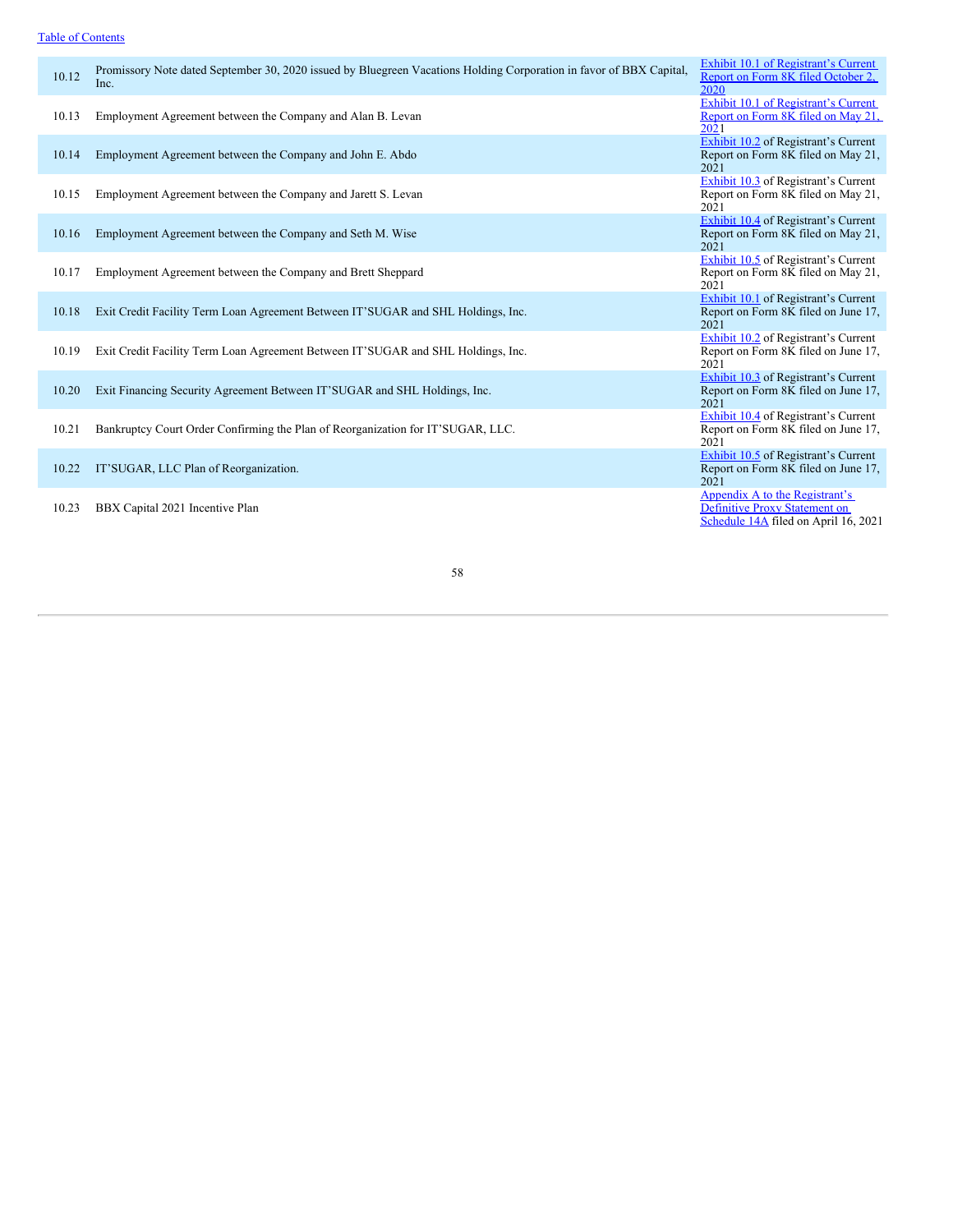# Table of [Contents](#page-0-0)

| 10.12 | Promissory Note dated September 30, 2020 issued by Bluegreen Vacations Holding Corporation in favor of BBX Capital,<br>Inc. | Exhibit 10.1 of Registrant's Current<br>Report on Form 8K filed October 2,<br>2020                             |
|-------|-----------------------------------------------------------------------------------------------------------------------------|----------------------------------------------------------------------------------------------------------------|
| 10.13 | Employment Agreement between the Company and Alan B. Levan                                                                  | Exhibit 10.1 of Registrant's Current<br>Report on Form 8K filed on May 21,<br>2021                             |
| 10.14 | Employment Agreement between the Company and John E. Abdo                                                                   | Exhibit 10.2 of Registrant's Current<br>Report on Form 8K filed on May 21,<br>2021                             |
| 10.15 | Employment Agreement between the Company and Jarett S. Levan                                                                | <b>Exhibit 10.3</b> of Registrant's Current<br>Report on Form 8K filed on May 21,<br>2021                      |
| 10.16 | Employment Agreement between the Company and Seth M. Wise                                                                   | <b>Exhibit 10.4</b> of Registrant's Current<br>Report on Form 8K filed on May 21,<br>2021                      |
| 10.17 | Employment Agreement between the Company and Brett Sheppard                                                                 | Exhibit 10.5 of Registrant's Current<br>Report on Form 8K filed on May 21,<br>2021                             |
| 10.18 | Exit Credit Facility Term Loan Agreement Between IT'SUGAR and SHL Holdings, Inc.                                            | Exhibit 10.1 of Registrant's Current<br>Report on Form 8K filed on June 17,<br>2021                            |
| 10.19 | Exit Credit Facility Term Loan Agreement Between IT'SUGAR and SHL Holdings, Inc.                                            | Exhibit 10.2 of Registrant's Current<br>Report on Form 8K filed on June 17,<br>2021                            |
| 10.20 | Exit Financing Security Agreement Between IT'SUGAR and SHL Holdings, Inc.                                                   | Exhibit 10.3 of Registrant's Current<br>Report on Form 8K filed on June 17,<br>2021                            |
| 10.21 | Bankruptcy Court Order Confirming the Plan of Reorganization for IT'SUGAR, LLC.                                             | Exhibit 10.4 of Registrant's Current<br>Report on Form 8K filed on June 17,<br>2021                            |
| 10.22 | IT'SUGAR, LLC Plan of Reorganization.                                                                                       | Exhibit 10.5 of Registrant's Current<br>Report on Form 8K filed on June 17,<br>2021                            |
| 10.23 | BBX Capital 2021 Incentive Plan                                                                                             | Appendix A to the Registrant's<br><b>Definitive Proxy Statement on</b><br>Schedule 14A filed on April 16, 2021 |

58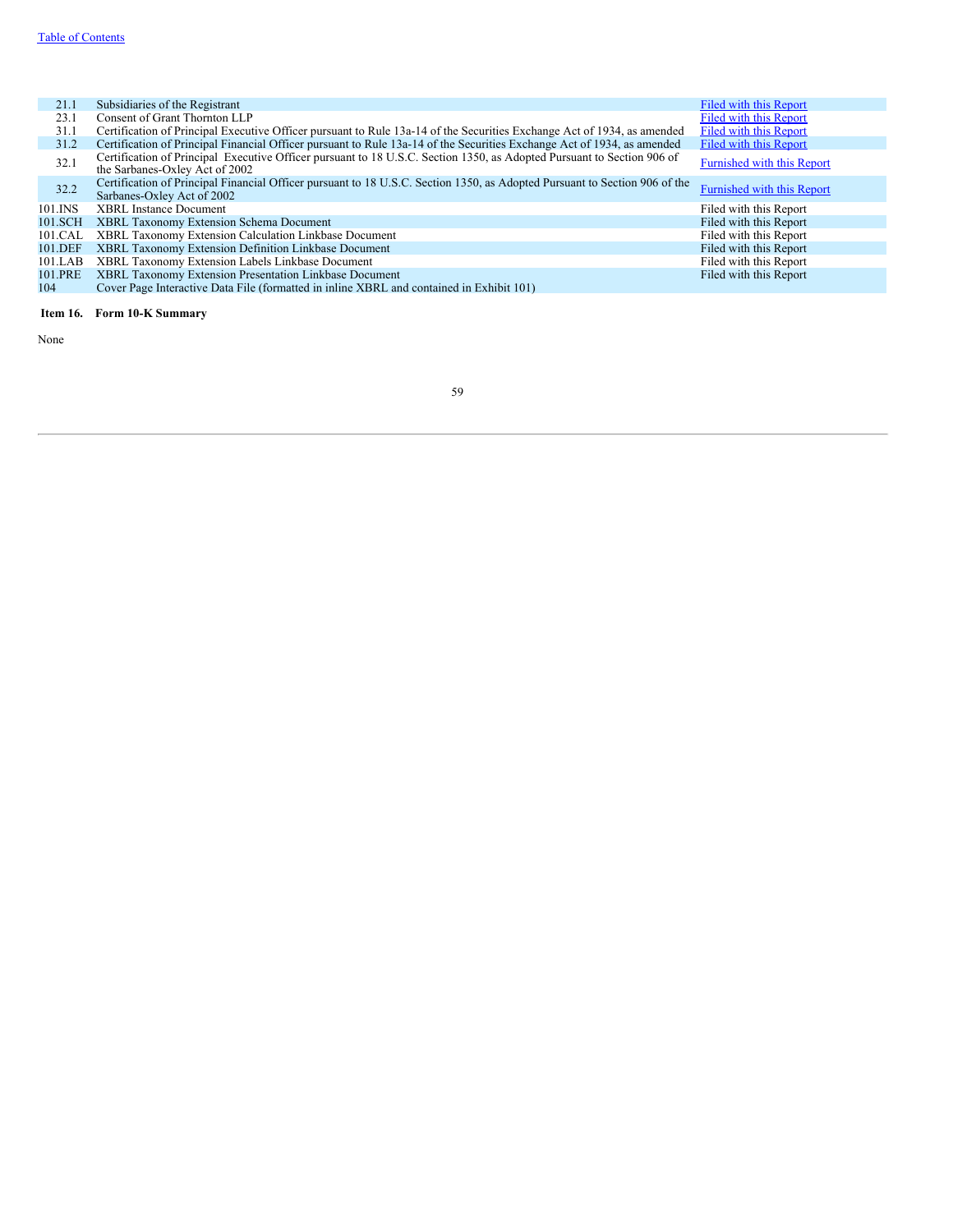| 21.1    | Subsidiaries of the Registrant                                                                                                                           | Filed with this Report     |
|---------|----------------------------------------------------------------------------------------------------------------------------------------------------------|----------------------------|
| 23.1    | Consent of Grant Thornton LLP                                                                                                                            | Filed with this Report     |
| 31.1    | Certification of Principal Executive Officer pursuant to Rule 13a-14 of the Securities Exchange Act of 1934, as amended                                  | Filed with this Report     |
| 31.2    | Certification of Principal Financial Officer pursuant to Rule 13a-14 of the Securities Exchange Act of 1934, as amended                                  | Filed with this Report     |
| 32.1    | Certification of Principal Executive Officer pursuant to 18 U.S.C. Section 1350, as Adopted Pursuant to Section 906 of<br>the Sarbanes-Oxley Act of 2002 | Furnished with this Report |
| 32.2    | Certification of Principal Financial Officer pursuant to 18 U.S.C. Section 1350, as Adopted Pursuant to Section 906 of the<br>Sarbanes-Oxley Act of 2002 | Furnished with this Report |
| 101.INS | <b>XBRL Instance Document</b>                                                                                                                            | Filed with this Report     |
| 101.SCH | XBRL Taxonomy Extension Schema Document                                                                                                                  | Filed with this Report     |
| 101.CAL | XBRL Taxonomy Extension Calculation Linkbase Document                                                                                                    | Filed with this Report     |
| 101.DEF | XBRL Taxonomy Extension Definition Linkbase Document                                                                                                     | Filed with this Report     |
| 101.LAB | XBRL Taxonomy Extension Labels Linkbase Document                                                                                                         | Filed with this Report     |
| 101.PRE | XBRL Taxonomy Extension Presentation Linkbase Document                                                                                                   | Filed with this Report     |
| 104     | Cover Page Interactive Data File (formatted in inline XBRL and contained in Exhibit 101)                                                                 |                            |

# **Item 16. Form 10-K Summary**

None

# 59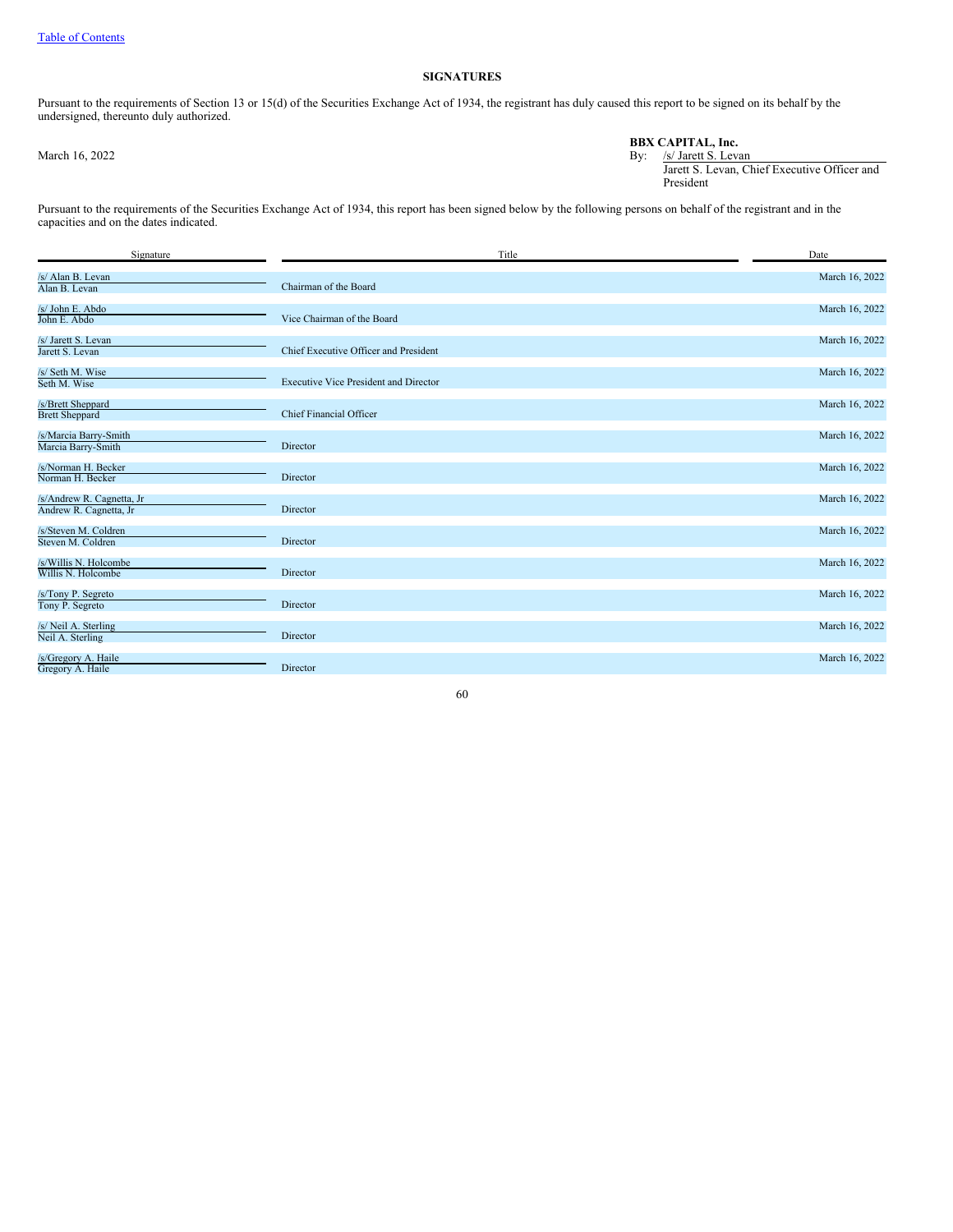### **SIGNATURES**

Pursuant to the requirements of Section 13 or 15(d) of the Securities Exchange Act of 1934, the registrant has duly caused this report to be signed on its behalf by the undersigned, thereunto duly authorized.

|                | <b>BBX CAPITAL. Inc.</b>                     |
|----------------|----------------------------------------------|
| March 16, 2022 | By: /s/ Jarett S. Levan                      |
|                | Jarett S. Levan, Chief Executive Officer and |
|                | President                                    |

Pursuant to the requirements of the Securities Exchange Act of 1934, this report has been signed below by the following persons on behalf of the registrant and in the capacities and on the dates indicated.

| Signature                                            | Title                                        | Date           |
|------------------------------------------------------|----------------------------------------------|----------------|
| /s/ Alan B. Levan<br>Alan B. Levan                   | Chairman of the Board                        | March 16, 2022 |
| /s/ John E. Abdo<br>John E. Abdo                     | Vice Chairman of the Board                   | March 16, 2022 |
| /s/ Jarett S. Levan<br>Jarett S. Levan               | Chief Executive Officer and President        | March 16, 2022 |
| /s/ Seth M. Wise<br>Seth M. Wise                     | <b>Executive Vice President and Director</b> | March 16, 2022 |
| /s/Brett Sheppard<br><b>Brett Sheppard</b>           | <b>Chief Financial Officer</b>               | March 16, 2022 |
| /s/Marcia Barry-Smith<br>Marcia Barry-Smith          | Director                                     | March 16, 2022 |
| /s/Norman H. Becker<br>Norman H. Becker              | Director                                     | March 16, 2022 |
| /s/Andrew R. Cagnetta, Jr<br>Andrew R. Cagnetta, Jr. | Director                                     | March 16, 2022 |
| /s/Steven M. Coldren<br>Steven M. Coldren            | Director                                     | March 16, 2022 |
| /s/Willis N. Holcombe<br>Willis N. Holcombe          | Director                                     | March 16, 2022 |
| /s/Tony P. Segreto<br>Tony P. Segreto                | Director                                     | March 16, 2022 |
| /s/ Neil A. Sterling<br>Neil A. Sterling             | Director                                     | March 16, 2022 |
| /s/Gregory A. Haile<br>Gregory A. Haile              | Director                                     | March 16, 2022 |

60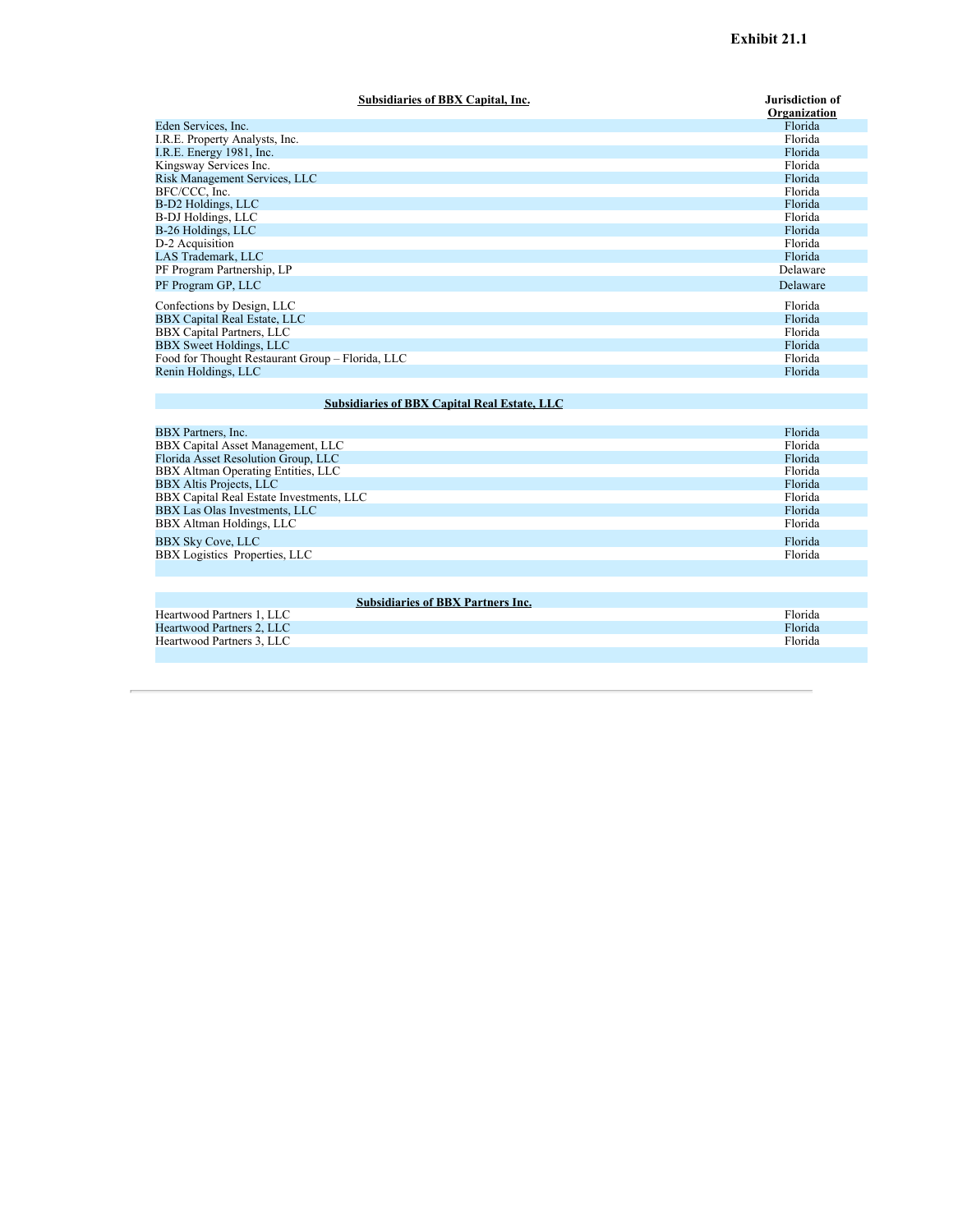| Subsidiaries of BBX Capital, Inc.                | <b>Jurisdiction of</b> |
|--------------------------------------------------|------------------------|
|                                                  | Organization           |
| Eden Services, Inc.                              | Florida                |
| I.R.E. Property Analysts, Inc.                   | Florida                |
| I.R.E. Energy 1981, Inc.                         | Florida                |
| Kingsway Services Inc.                           | Florida                |
| Risk Management Services, LLC                    | Florida                |
| BFC/CCC, Inc.                                    | Florida                |
| B-D2 Holdings, LLC                               | Florida                |
| <b>B-DJ</b> Holdings, LLC                        | Florida                |
| B-26 Holdings, LLC                               | Florida                |
| D-2 Acquisition                                  | Florida                |
| LAS Trademark, LLC                               | Florida                |
| PF Program Partnership, LP                       | Delaware               |
| PF Program GP, LLC                               | Delaware               |
| Confections by Design, LLC                       | Florida                |
| BBX Capital Real Estate, LLC                     | Florida                |
| BBX Capital Partners, LLC                        | Florida                |
| BBX Sweet Holdings, LLC                          | Florida                |
| Food for Thought Restaurant Group - Florida, LLC | Florida                |
| Renin Holdings, LLC                              | Florida                |
|                                                  |                        |

# **Subsidiaries of BBX Capital Real Estate, LLC**

| BBX Partners, Inc.                       | Florida |
|------------------------------------------|---------|
| BBX Capital Asset Management, LLC        | Florida |
| Florida Asset Resolution Group, LLC      | Florida |
| BBX Altman Operating Entities, LLC       | Florida |
| <b>BBX Altis Projects, LLC</b>           | Florida |
| BBX Capital Real Estate Investments, LLC | Florida |
| BBX Las Olas Investments, LLC            | Florida |
| BBX Altman Holdings, LLC                 | Florida |
| <b>BBX Sky Cove, LLC</b>                 | Florida |
| BBX Logistics Properties, LLC            | Florida |
|                                          |         |

| <b>Subsidiaries of BBX Partners Inc.</b> |         |
|------------------------------------------|---------|
| Heartwood Partners 1, LLC                | Florida |
| Heartwood Partners 2. LLC                | Florida |
| Heartwood Partners 3. LLC                | Florida |
|                                          |         |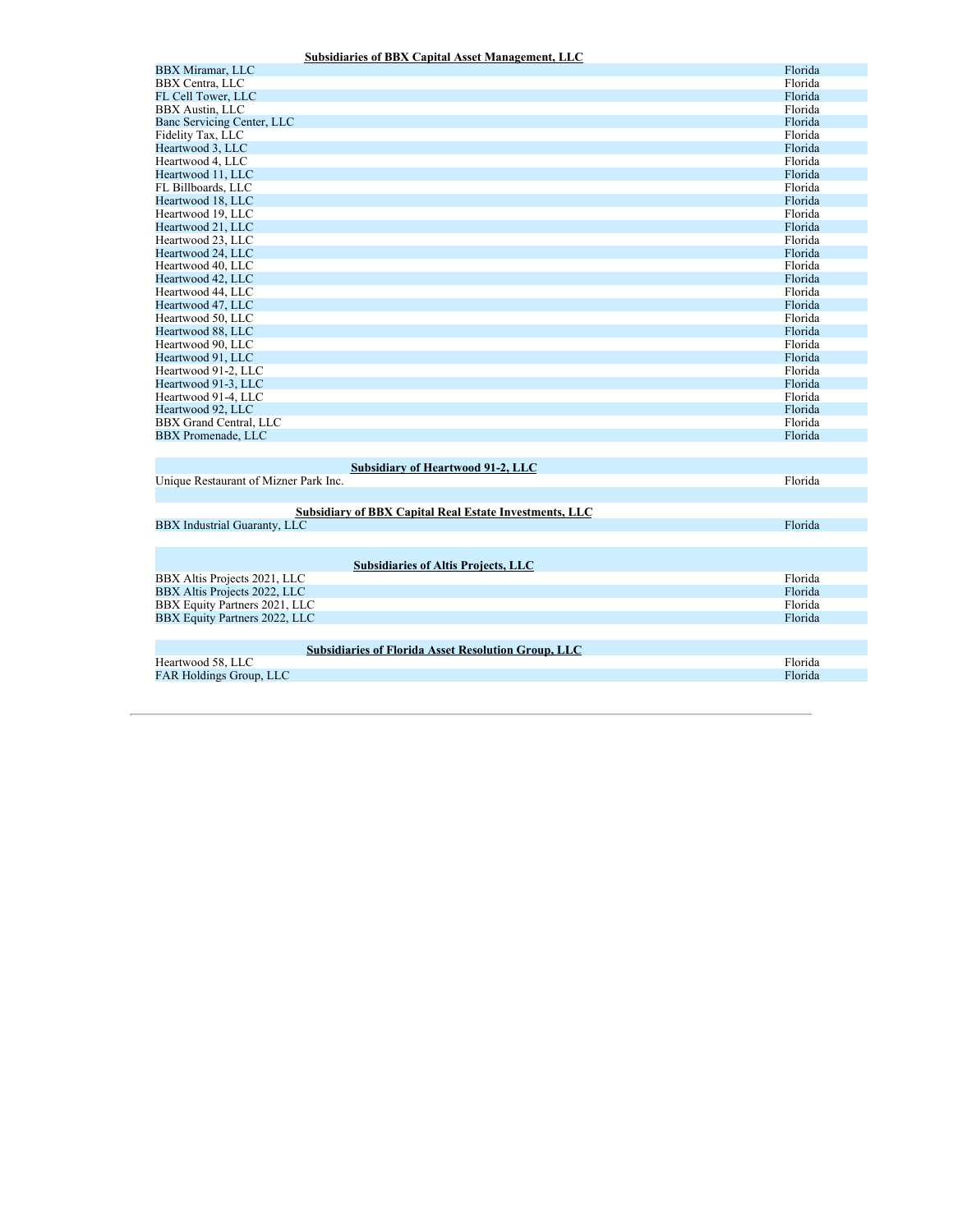### **Subsidiaries of BBX Capital Asset Management, LLC**

<span id="page-114-0"></span>

| <b>BBX</b> Miramar, LLC                                       | Florida            |
|---------------------------------------------------------------|--------------------|
| <b>BBX</b> Centra, LLC                                        | Florida            |
| FL Cell Tower, LLC                                            | Florida            |
| <b>BBX</b> Austin, LLC                                        | Florida            |
| Banc Servicing Center, LLC                                    | Florida            |
| Fidelity Tax, LLC                                             | Florida            |
| Heartwood 3, LLC                                              | Florida            |
| Heartwood 4, LLC                                              | Florida            |
| Heartwood 11, LLC                                             | Florida            |
| FL Billboards, LLC                                            | Florida            |
| Heartwood 18, LLC                                             | Florida            |
| Heartwood 19, LLC                                             | Florida            |
| Heartwood 21, LLC                                             | Florida            |
| Heartwood 23, LLC                                             | Florida            |
| Heartwood 24, LLC                                             | Florida            |
| Heartwood 40, LLC                                             | Florida            |
|                                                               |                    |
| Heartwood 42, LLC                                             | Florida<br>Florida |
| Heartwood 44, LLC                                             |                    |
| Heartwood 47, LLC                                             | Florida            |
| Heartwood 50, LLC                                             | Florida            |
| Heartwood 88, LLC                                             | Florida            |
| Heartwood 90, LLC                                             | Florida            |
| Heartwood 91, LLC                                             | Florida            |
| Heartwood 91-2, LLC                                           | Florida            |
| Heartwood 91-3, LLC                                           | Florida            |
| Heartwood 91-4, LLC                                           | Florida            |
| Heartwood 92, LLC                                             | Florida            |
| BBX Grand Central, LLC                                        | Florida            |
| <b>BBX</b> Promenade, LLC                                     | Florida            |
|                                                               |                    |
| Subsidiary of Heartwood 91-2, LLC                             |                    |
| Unique Restaurant of Mizner Park Inc.                         | Florida            |
|                                                               |                    |
| <b>Subsidiary of BBX Capital Real Estate Investments, LLC</b> |                    |
| <b>BBX</b> Industrial Guaranty, LLC                           | Florida            |
|                                                               |                    |
|                                                               |                    |
| <b>Subsidiaries of Altis Projects, LLC</b>                    |                    |
| BBX Altis Projects 2021, LLC                                  | Florida            |
| BBX Altis Projects 2022, LLC                                  | Florida            |
| BBX Equity Partners 2021, LLC                                 | Florida            |
|                                                               |                    |
| BBX Equity Partners 2022, LLC                                 | Florida            |
|                                                               |                    |
| <b>Subsidiaries of Florida Asset Resolution Group, LLC</b>    |                    |
| Heartwood 58, LLC                                             | Florida            |
| <b>FAR Holdings Group, LLC</b>                                | Florida            |
|                                                               |                    |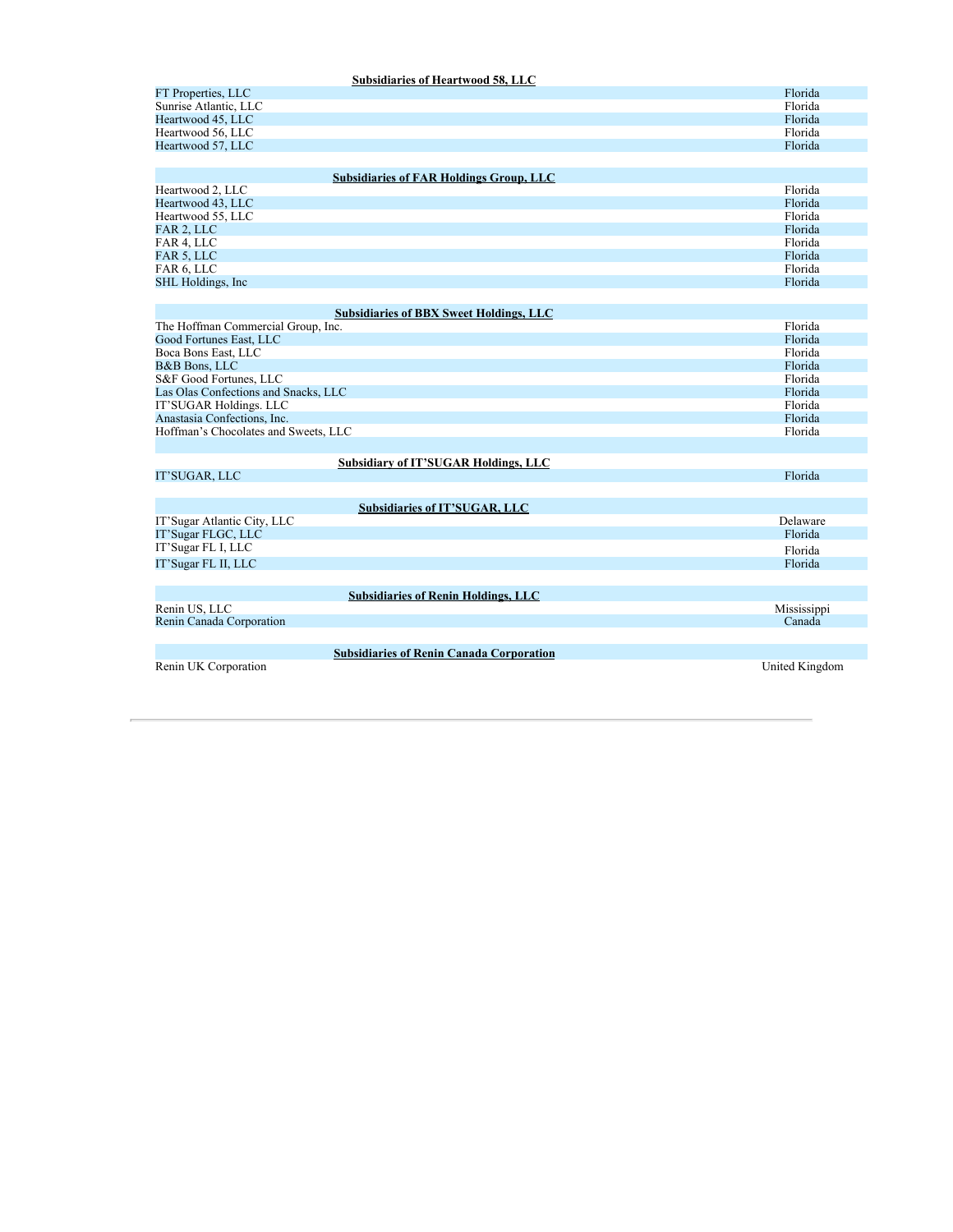| Subsidiaries of Heartwood 58, LLC              |         |
|------------------------------------------------|---------|
| FT Properties, LLC                             | Florida |
| Sunrise Atlantic, LLC                          | Florida |
| Heartwood 45, LLC                              | Florida |
| Heartwood 56, LLC                              | Florida |
| Heartwood 57, LLC                              | Florida |
|                                                |         |
| <b>Subsidiaries of FAR Holdings Group, LLC</b> |         |
| Heartwood 2, LLC                               | Florida |
| Heartwood 43, LLC                              | Florida |
| Heartwood 55, LLC                              | Florida |
| FAR 2, LLC                                     | Florida |
| FAR 4, LLC                                     | Florida |
| FAR 5, LLC                                     | Florida |

FAR 6, LLC Florida SHL Holdings, Inc Florida and the Contract of the Contract of the Contract of the Contract of the Contract of the Contract of the Contract of the Contract of the Contract of the Contract of the Contract of the Contract of

| <b>Subsidiaries of BBX Sweet Holdings, LLC</b>  |                |
|-------------------------------------------------|----------------|
| The Hoffman Commercial Group, Inc.              | Florida        |
| Good Fortunes East, LLC                         | Florida        |
| Boca Bons East, LLC                             | Florida        |
| <b>B&amp;B</b> Bons, LLC                        | Florida        |
| S&F Good Fortunes, LLC                          | Florida        |
| Las Olas Confections and Snacks, LLC            | Florida        |
| IT'SUGAR Holdings. LLC                          | Florida        |
| Anastasia Confections, Inc.                     | Florida        |
| Hoffman's Chocolates and Sweets, LLC            | Florida        |
|                                                 |                |
| <b>Subsidiary of IT'SUGAR Holdings, LLC</b>     |                |
| IT'SUGAR, LLC                                   | Florida        |
|                                                 |                |
| Subsidiaries of IT'SUGAR, LLC                   |                |
| IT'Sugar Atlantic City, LLC                     | Delaware       |
| IT'Sugar FLGC, LLC                              | Florida        |
| IT'Sugar FL I, LLC                              | Florida        |
| IT'Sugar FL II, LLC                             | Florida        |
|                                                 |                |
| <b>Subsidiaries of Renin Holdings, LLC</b>      |                |
| Renin US, LLC                                   | Mississippi    |
| Renin Canada Corporation                        | Canada         |
|                                                 |                |
| <b>Subsidiaries of Renin Canada Corporation</b> |                |
| Renin UK Corporation                            | United Kingdom |
|                                                 |                |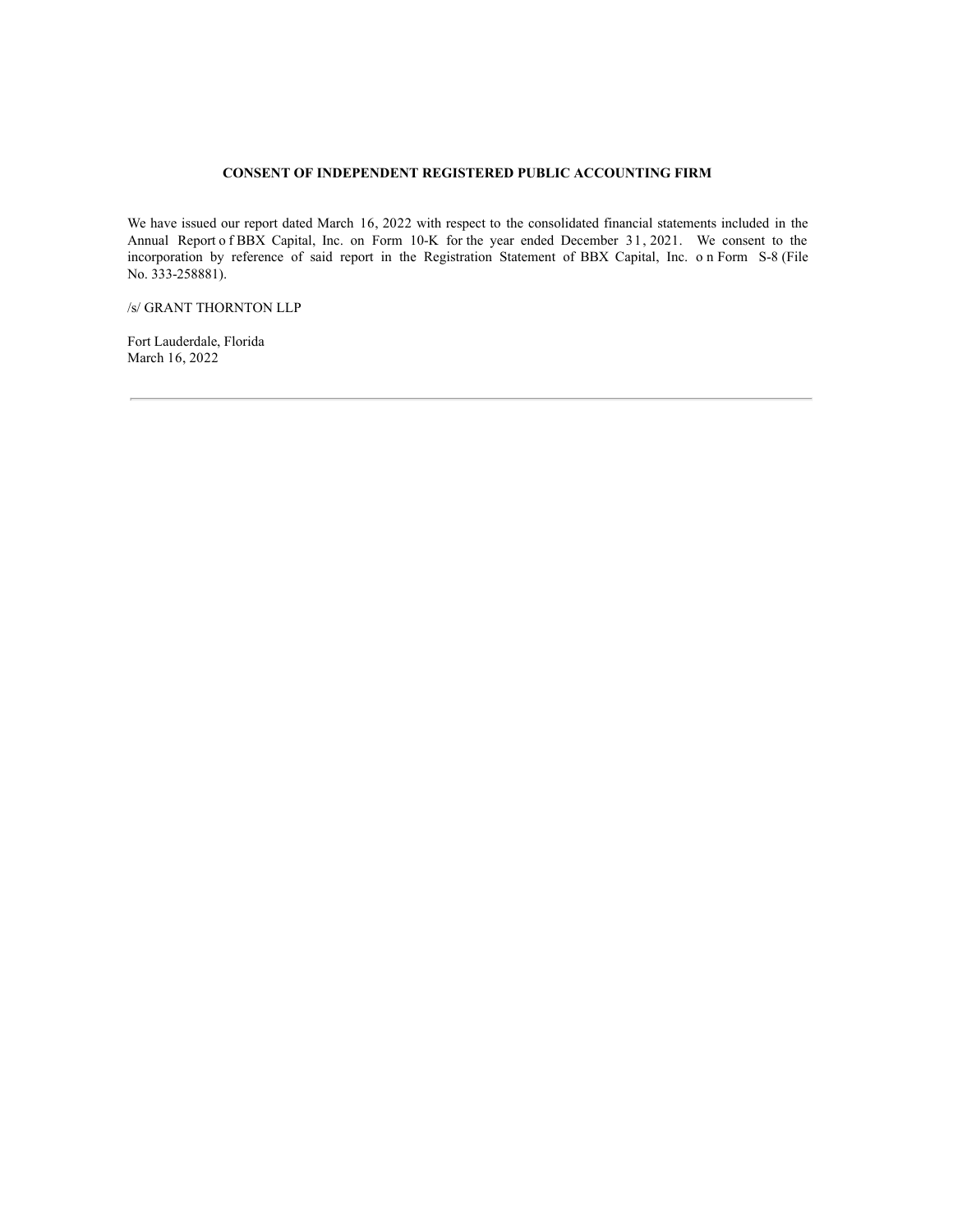### **CONSENT OF INDEPENDENT REGISTERED PUBLIC ACCOUNTING FIRM**

<span id="page-116-0"></span>We have issued our report dated March 16, 2022 with respect to the consolidated financial statements included in the Annual Report o f BBX Capital, Inc. on Form 10-K for the year ended December 31, 2021. We consent to the incorporation by reference of said report in the Registration Statement of BBX Capital, Inc. o n Form S-8 (File No. 333-258881).

/s/ GRANT THORNTON LLP

Fort Lauderdale, Florida March 16, 2022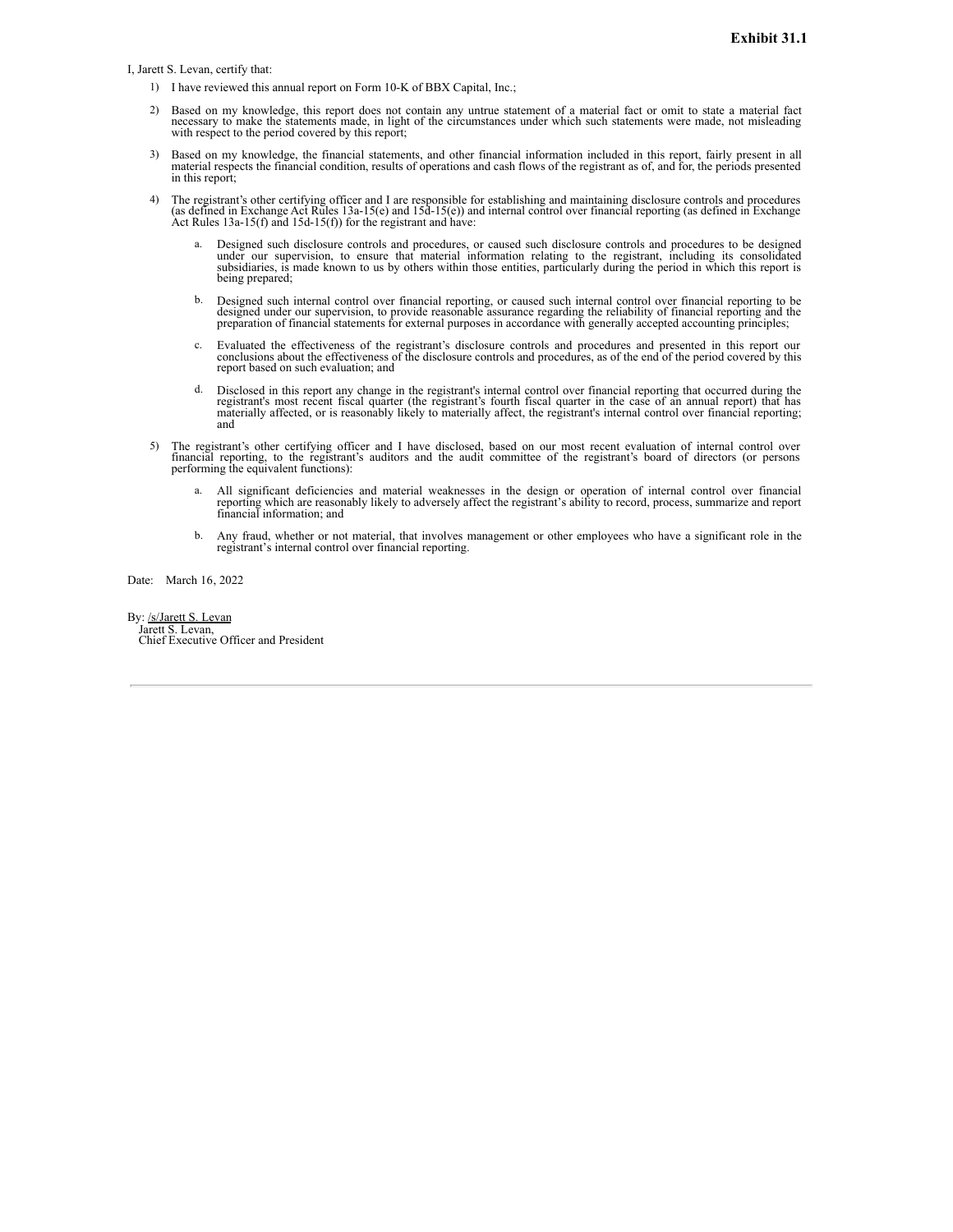<span id="page-117-0"></span>I, Jarett S. Levan, certify that:

- 1) I have reviewed this annual report on Form 10-K of BBX Capital, Inc.;
- 2) Based on my knowledge, this report does not contain any untrue statement of a material fact or omit to state a material fact necessary to make the statements made, in light of the circumstances under which such statements were made, not misleading with respect to the period covered by this report;
- 3) Based on my knowledge, the financial statements, and other financial information included in this report, fairly present in all material respects the financial condition, results of operations and cash flows of the regi in this report;
- 4) The registrant's other certifying officer and I are responsible for establishing and maintaining disclosure controls and procedures (as defined in Exchange Act Rules 13a-15(e) and 15d-15(e)) and internal control over fi Act Rules  $13a-15(f)$  and  $15d-15(f)$ ) for the registrant and have:
	- Designed such disclosure controls and procedures, or caused such disclosure controls and procedures to be designed under our supervision, to ensure that material information relating to the registrant, including its consolidated<br>subsidiaries, is made known to us by others within those entities, particularly during the period in which t being prepared;
	- b. Designed such internal control over financial reporting, or caused such internal control over financial reporting to be designed under our supervision, to provide reasonable assurance regarding the reliability of financ
	- c. Evaluated the effectiveness of the registrant's disclosure controls and procedures and presented in this report our conclusions about the effectiveness of the disclosure controls and procedures, as of the end of the per report based on such evaluation; and
	- Disclosed in this report any change in the registrant's internal control over financial reporting that occurred during the Discovered in this recent fiscal quarter (the registrant's fourth fiscal quarter in the case of an annual report) that has<br>materially affected, or is reasonably likely to materially affect, the registrant's internal contro and
- 5) The registrant's other certifying officer and I have disclosed, based on our most recent evaluation of internal control over financial reporting, to the registrant's auditors and the audit committee of the registrant's board of directors (or persons performing the equivalent functions):
	- a. All significant deficiencies and material weaknesses in the design or operation of internal control over financial reporting which are reasonably likely to adversely affect the registrant's ability to record, process, s
	- b. Any fraud, whether or not material, that involves management or other employees who have a significant role in the registrant's internal control over financial reporting.

Date: March 16, 2022

By: /s/Jarett S. Levan Jarett S. Levan, Chief Executive Officer and President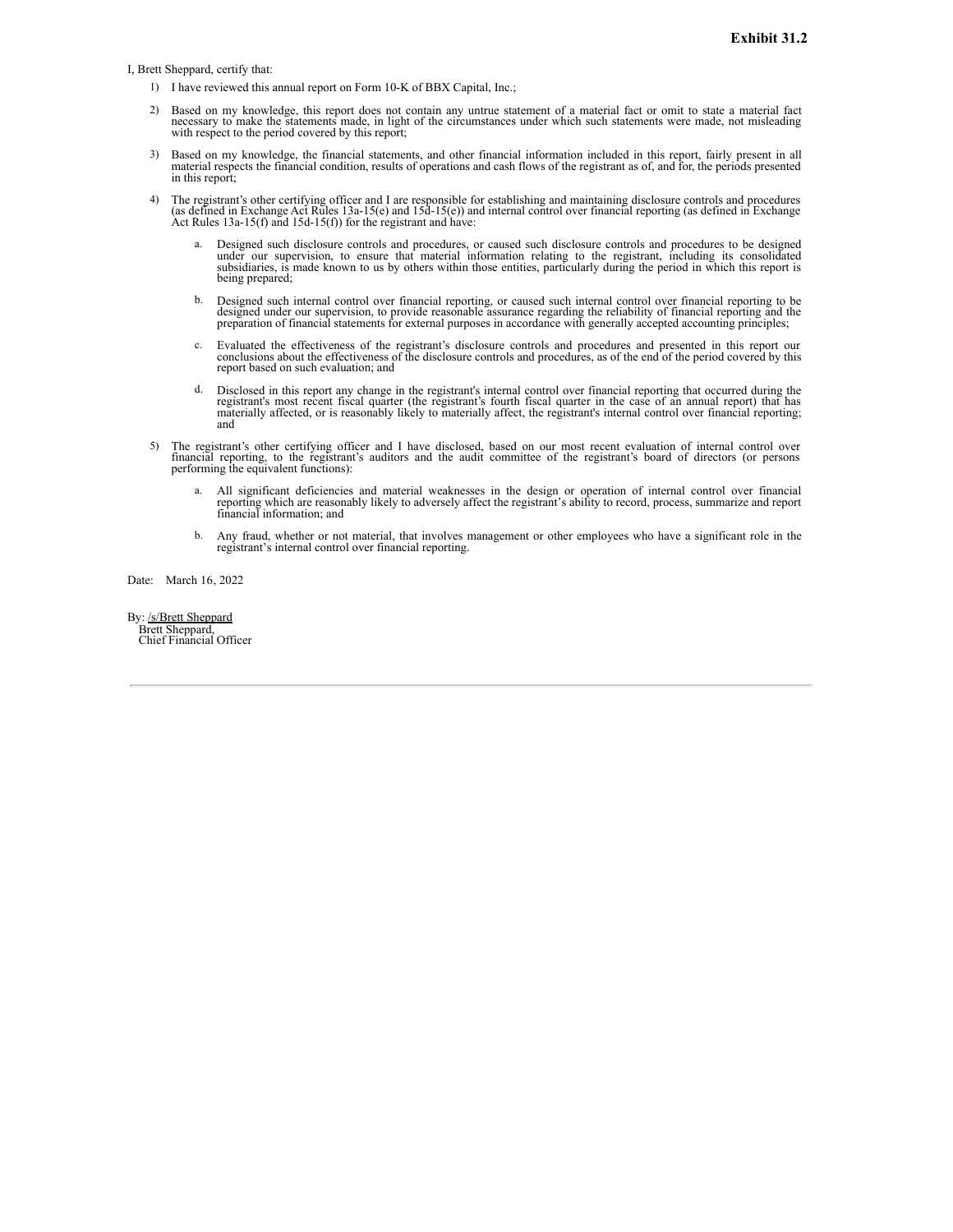<span id="page-118-0"></span>I, Brett Sheppard, certify that:

- 1) I have reviewed this annual report on Form 10-K of BBX Capital, Inc.;
- 2) Based on my knowledge, this report does not contain any untrue statement of a material fact or omit to state a material fact necessary to make the statements made, in light of the circumstances under which such statements were made, not misleading with respect to the period covered by this report;
- 3) Based on my knowledge, the financial statements, and other financial information included in this report, fairly present in all material respects the financial condition, results of operations and cash flows of the regi in this report;
- 4) The registrant's other certifying officer and I are responsible for establishing and maintaining disclosure controls and procedures (as defined in Exchange Act Rules 13a-15(e) and 15d-15(e)) and internal control over fi Act Rules  $13a-15(f)$  and  $15d-15(f)$ ) for the registrant and have:
	- Designed such disclosure controls and procedures, or caused such disclosure controls and procedures to be designed under our supervision, to ensure that material information relating to the registrant, including its consolidated<br>subsidiaries, is made known to us by others within those entities, particularly during the period in which t being prepared;
	- b. Designed such internal control over financial reporting, or caused such internal control over financial reporting to be designed under our supervision, to provide reasonable assurance regarding the reliability of financ
	- c. Evaluated the effectiveness of the registrant's disclosure controls and procedures and presented in this report our conclusions about the effectiveness of the disclosure controls and procedures, as of the end of the per report based on such evaluation; and
	- Disclosed in this report any change in the registrant's internal control over financial reporting that occurred during the Discovered in this recent fiscal quarter (the registrant's fourth fiscal quarter in the case of an annual report) that has<br>materially affected, or is reasonably likely to materially affect, the registrant's internal contro and
- 5) The registrant's other certifying officer and I have disclosed, based on our most recent evaluation of internal control over financial reporting, to the registrant's auditors and the audit committee of the registrant's board of directors (or persons performing the equivalent functions):
	- a. All significant deficiencies and material weaknesses in the design or operation of internal control over financial reporting which are reasonably likely to adversely affect the registrant's ability to record, process, s
	- b. Any fraud, whether or not material, that involves management or other employees who have a significant role in the registrant's internal control over financial reporting.

Date: March 16, 2022

By: /s/Brett Sheppard Brett Sheppard, Chief Financial Officer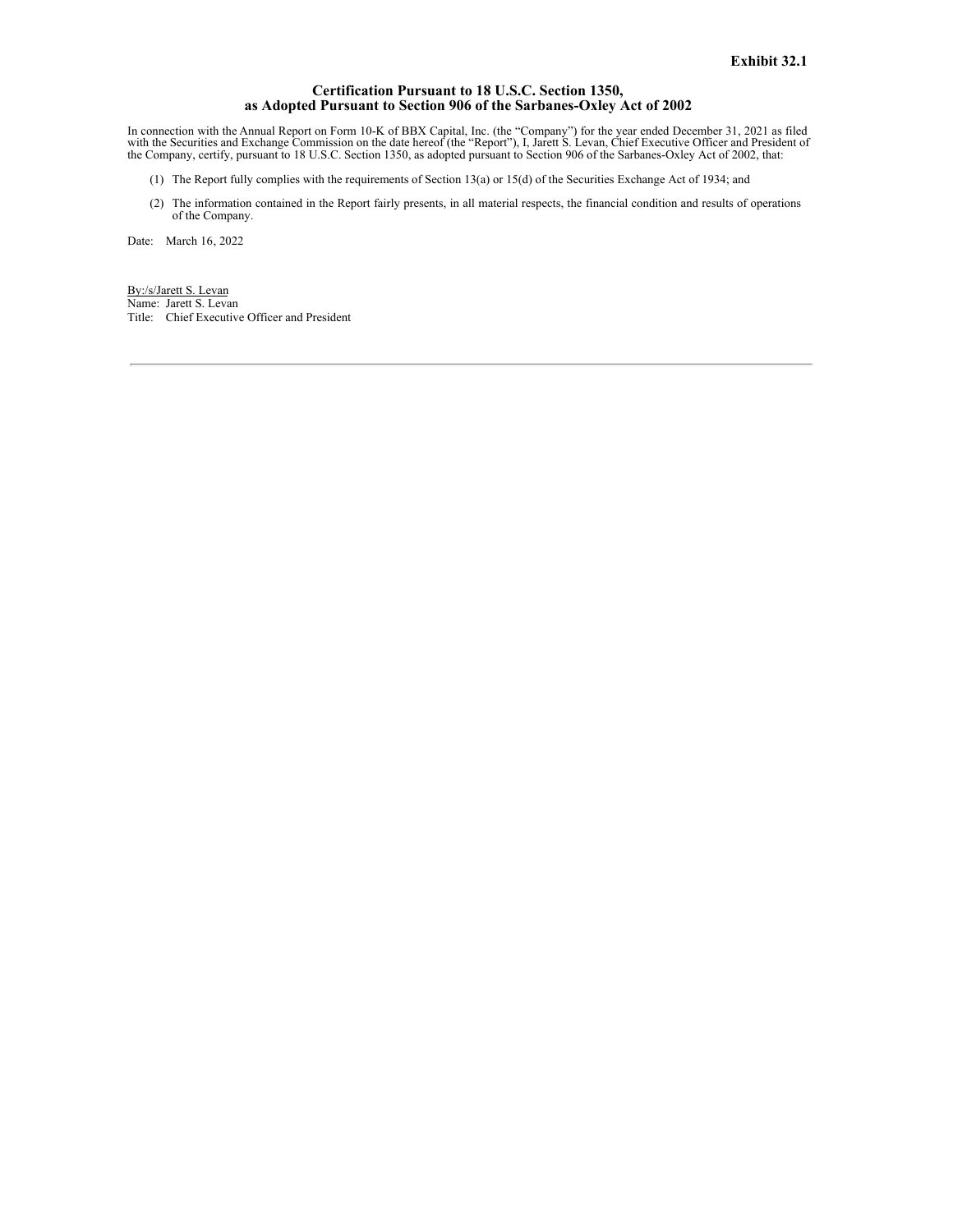#### **Certification Pursuant to 18 U.S.C. Section 1350, as Adopted Pursuant to Section 906 of the Sarbanes-Oxley Act of 2002**

<span id="page-119-0"></span>In connection with the Annual Report on Form 10-K of BBX Capital, Inc. (the "Company") for the year ended December 31, 2021 as filed<br>with the Securities and Exchange Commission on the date hereof (the "Report"), I, Jarett

- (1) The Report fully complies with the requirements of Section 13(a) or 15(d) of the Securities Exchange Act of 1934; and
- (2) The information contained in the Report fairly presents, in all material respects, the financial condition and results of operations of the Company.

Date: March 16, 2022

By:/s/Jarett S. Levan Name: Jarett S. Levan Title: Chief Executive Officer and President